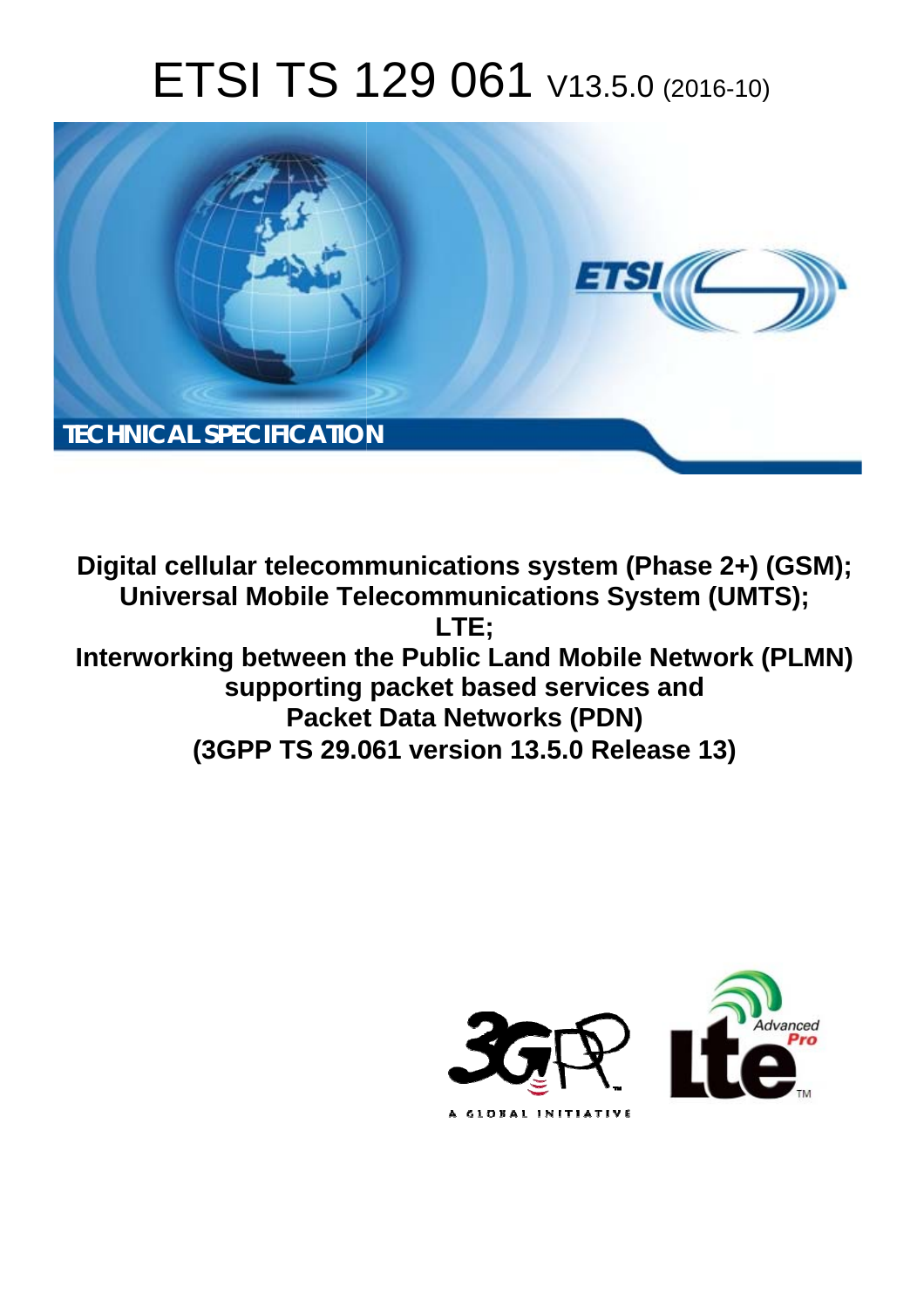# ETSI TS 129 061 V13.5.0 (2016-10)



Digital cellular telecommunications system (Phase 2+) (GSM); **Universal Mobile Telecommunications System (UMTS);** LTE: Interworking between the Public Land Mobile Network (PLMN) supporting packet based services and **Packet Data Networks (PDN)** (3GPP TS 29.061 version 13.5.0 Release 13)

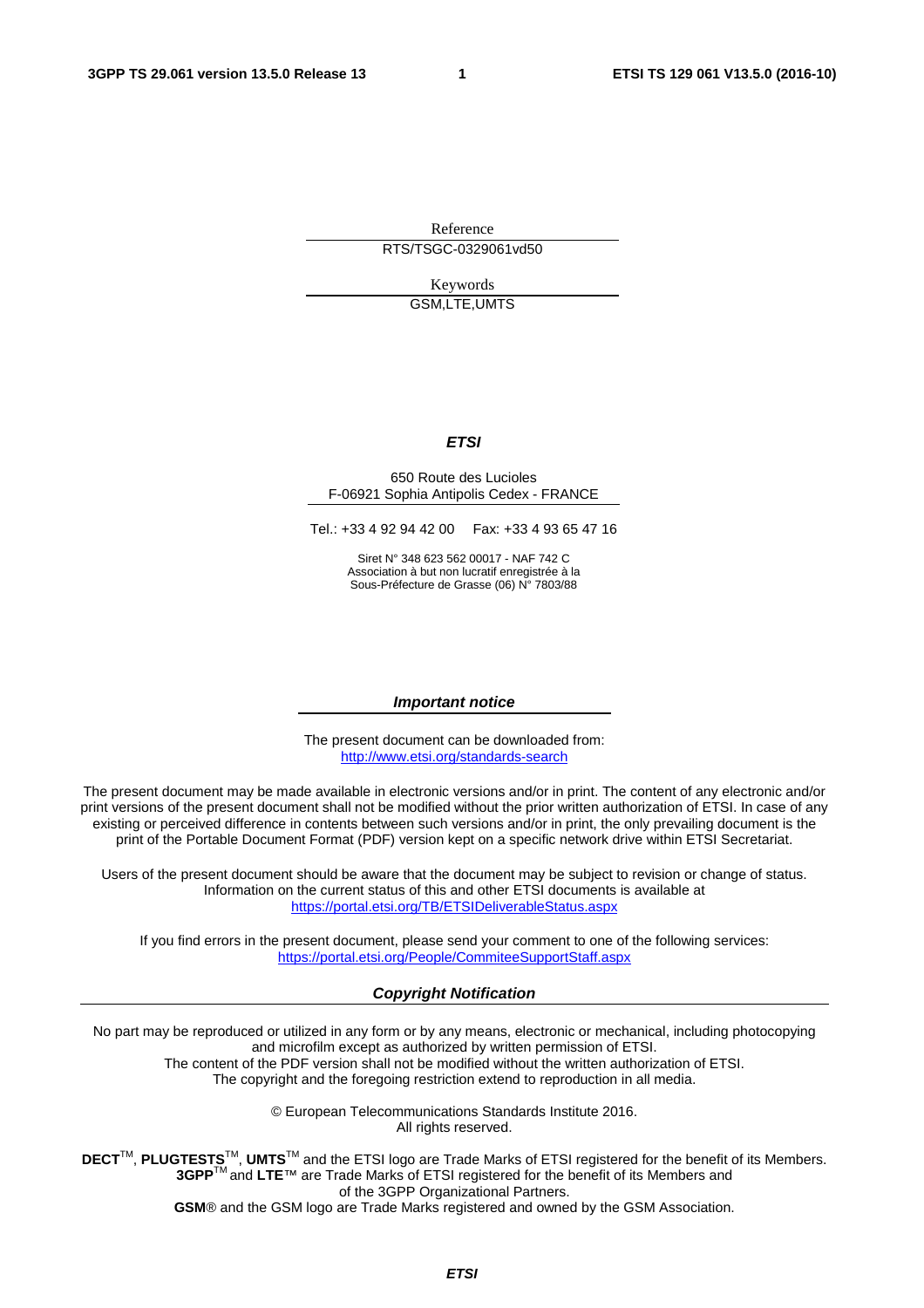Reference RTS/TSGC-0329061vd50

> Keywords GSM,LTE,UMTS

#### *ETSI*

#### 650 Route des Lucioles F-06921 Sophia Antipolis Cedex - FRANCE

Tel.: +33 4 92 94 42 00 Fax: +33 4 93 65 47 16

Siret N° 348 623 562 00017 - NAF 742 C Association à but non lucratif enregistrée à la Sous-Préfecture de Grasse (06) N° 7803/88

#### *Important notice*

The present document can be downloaded from: <http://www.etsi.org/standards-search>

The present document may be made available in electronic versions and/or in print. The content of any electronic and/or print versions of the present document shall not be modified without the prior written authorization of ETSI. In case of any existing or perceived difference in contents between such versions and/or in print, the only prevailing document is the print of the Portable Document Format (PDF) version kept on a specific network drive within ETSI Secretariat.

Users of the present document should be aware that the document may be subject to revision or change of status. Information on the current status of this and other ETSI documents is available at <https://portal.etsi.org/TB/ETSIDeliverableStatus.aspx>

If you find errors in the present document, please send your comment to one of the following services: <https://portal.etsi.org/People/CommiteeSupportStaff.aspx>

#### *Copyright Notification*

No part may be reproduced or utilized in any form or by any means, electronic or mechanical, including photocopying and microfilm except as authorized by written permission of ETSI.

The content of the PDF version shall not be modified without the written authorization of ETSI. The copyright and the foregoing restriction extend to reproduction in all media.

> © European Telecommunications Standards Institute 2016. All rights reserved.

**DECT**TM, **PLUGTESTS**TM, **UMTS**TM and the ETSI logo are Trade Marks of ETSI registered for the benefit of its Members. **3GPP**TM and **LTE**™ are Trade Marks of ETSI registered for the benefit of its Members and of the 3GPP Organizational Partners.

**GSM**® and the GSM logo are Trade Marks registered and owned by the GSM Association.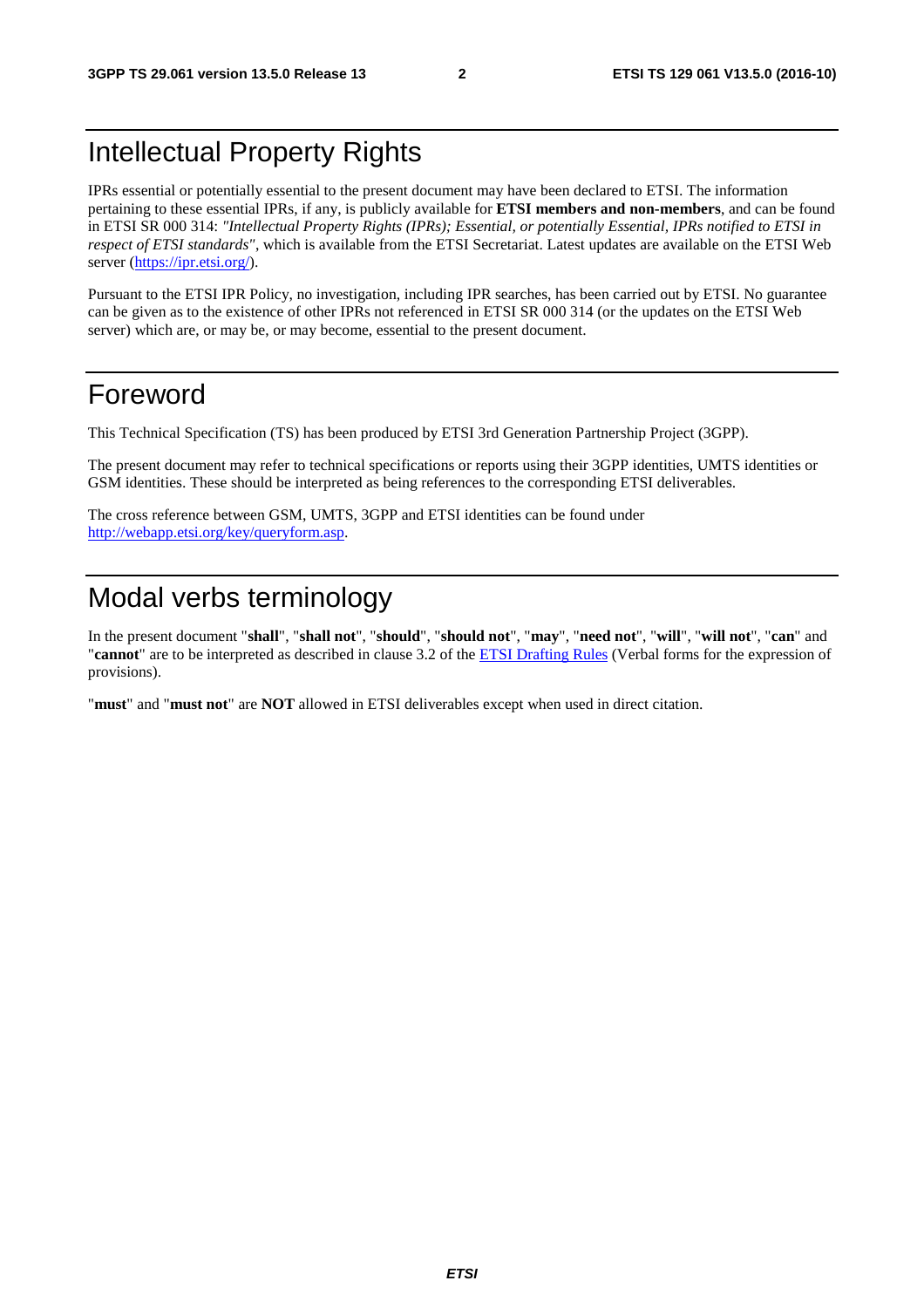# Intellectual Property Rights

IPRs essential or potentially essential to the present document may have been declared to ETSI. The information pertaining to these essential IPRs, if any, is publicly available for **ETSI members and non-members**, and can be found in ETSI SR 000 314: *"Intellectual Property Rights (IPRs); Essential, or potentially Essential, IPRs notified to ETSI in respect of ETSI standards"*, which is available from the ETSI Secretariat. Latest updates are available on the ETSI Web server [\(https://ipr.etsi.org/](https://ipr.etsi.org/)).

Pursuant to the ETSI IPR Policy, no investigation, including IPR searches, has been carried out by ETSI. No guarantee can be given as to the existence of other IPRs not referenced in ETSI SR 000 314 (or the updates on the ETSI Web server) which are, or may be, or may become, essential to the present document.

# Foreword

This Technical Specification (TS) has been produced by ETSI 3rd Generation Partnership Project (3GPP).

The present document may refer to technical specifications or reports using their 3GPP identities, UMTS identities or GSM identities. These should be interpreted as being references to the corresponding ETSI deliverables.

The cross reference between GSM, UMTS, 3GPP and ETSI identities can be found under [http://webapp.etsi.org/key/queryform.asp.](http://webapp.etsi.org/key/queryform.asp)

# Modal verbs terminology

In the present document "**shall**", "**shall not**", "**should**", "**should not**", "**may**", "**need not**", "**will**", "**will not**", "**can**" and "**cannot**" are to be interpreted as described in clause 3.2 of the [ETSI Drafting Rules](https://portal.etsi.org/Services/editHelp!/Howtostart/ETSIDraftingRules.aspx) (Verbal forms for the expression of provisions).

"**must**" and "**must not**" are **NOT** allowed in ETSI deliverables except when used in direct citation.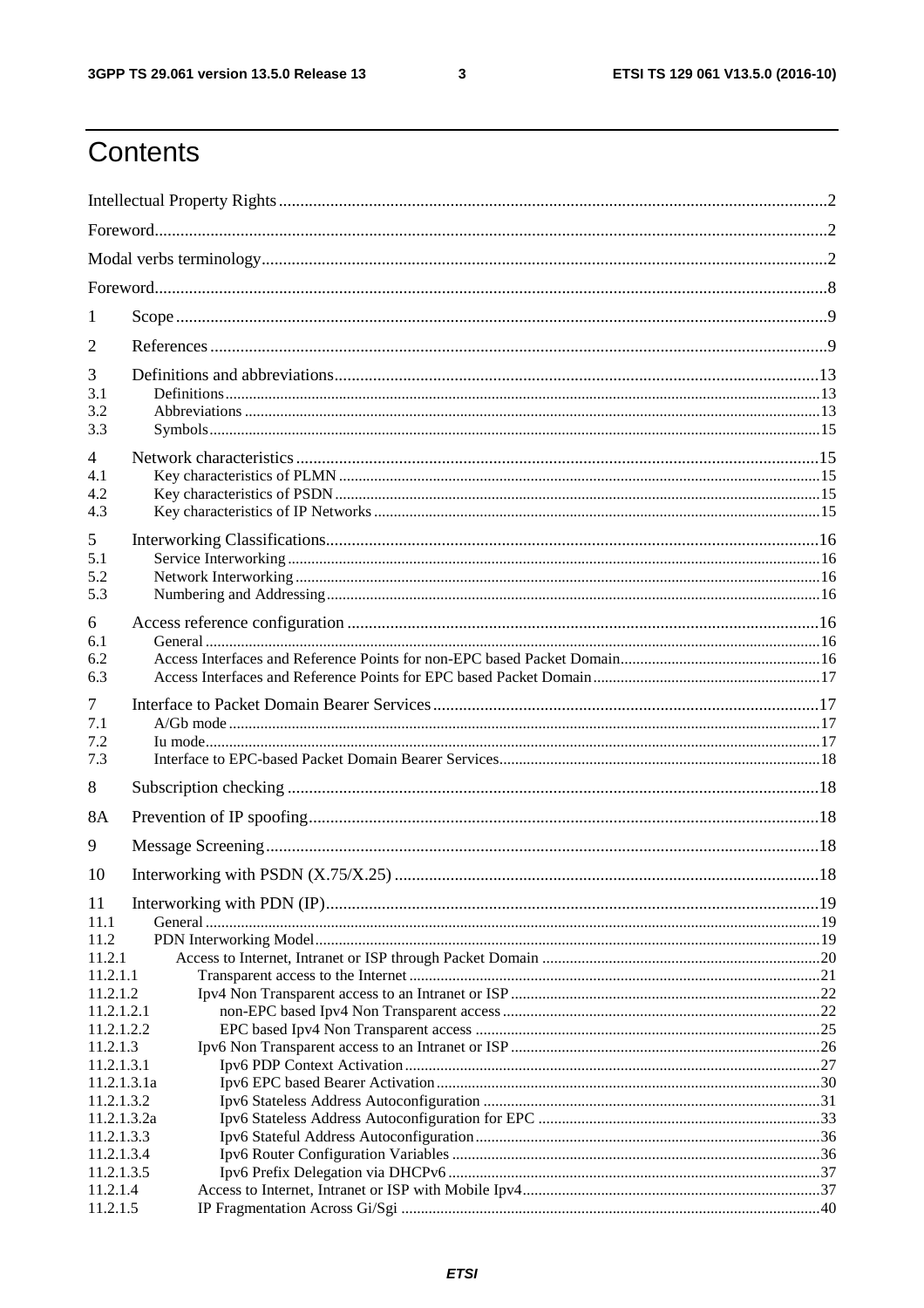$\mathbf{3}$ 

# Contents

| 1                         |  |  |  |
|---------------------------|--|--|--|
| 2                         |  |  |  |
|                           |  |  |  |
| 3<br>3.1                  |  |  |  |
| 3.2                       |  |  |  |
| 3.3                       |  |  |  |
| $\overline{4}$            |  |  |  |
| 4.1                       |  |  |  |
| 4.2                       |  |  |  |
| 4.3                       |  |  |  |
| 5                         |  |  |  |
| 5.1                       |  |  |  |
| 5.2                       |  |  |  |
| 5.3                       |  |  |  |
| 6                         |  |  |  |
| 6.1                       |  |  |  |
| 6.2                       |  |  |  |
| 6.3                       |  |  |  |
| 7                         |  |  |  |
| 7.1                       |  |  |  |
| 7.2                       |  |  |  |
| 7.3                       |  |  |  |
| 8                         |  |  |  |
| 8A                        |  |  |  |
| 9                         |  |  |  |
| 10                        |  |  |  |
|                           |  |  |  |
| 11                        |  |  |  |
| 11.1<br>11.2              |  |  |  |
| 11.2.1                    |  |  |  |
| 11.2.1.1                  |  |  |  |
| 11.2.1.2                  |  |  |  |
| 11.2.1.2.1                |  |  |  |
| 11.2.1.2.2                |  |  |  |
| 11.2.1.3                  |  |  |  |
| 11.2.1.3.1<br>11.2.1.3.1a |  |  |  |
| 11.2.1.3.2                |  |  |  |
| 11.2.1.3.2a               |  |  |  |
| 11.2.1.3.3                |  |  |  |
| 11.2.1.3.4                |  |  |  |
| 11.2.1.3.5                |  |  |  |
| 11.2.1.4                  |  |  |  |
| 11.2.1.5                  |  |  |  |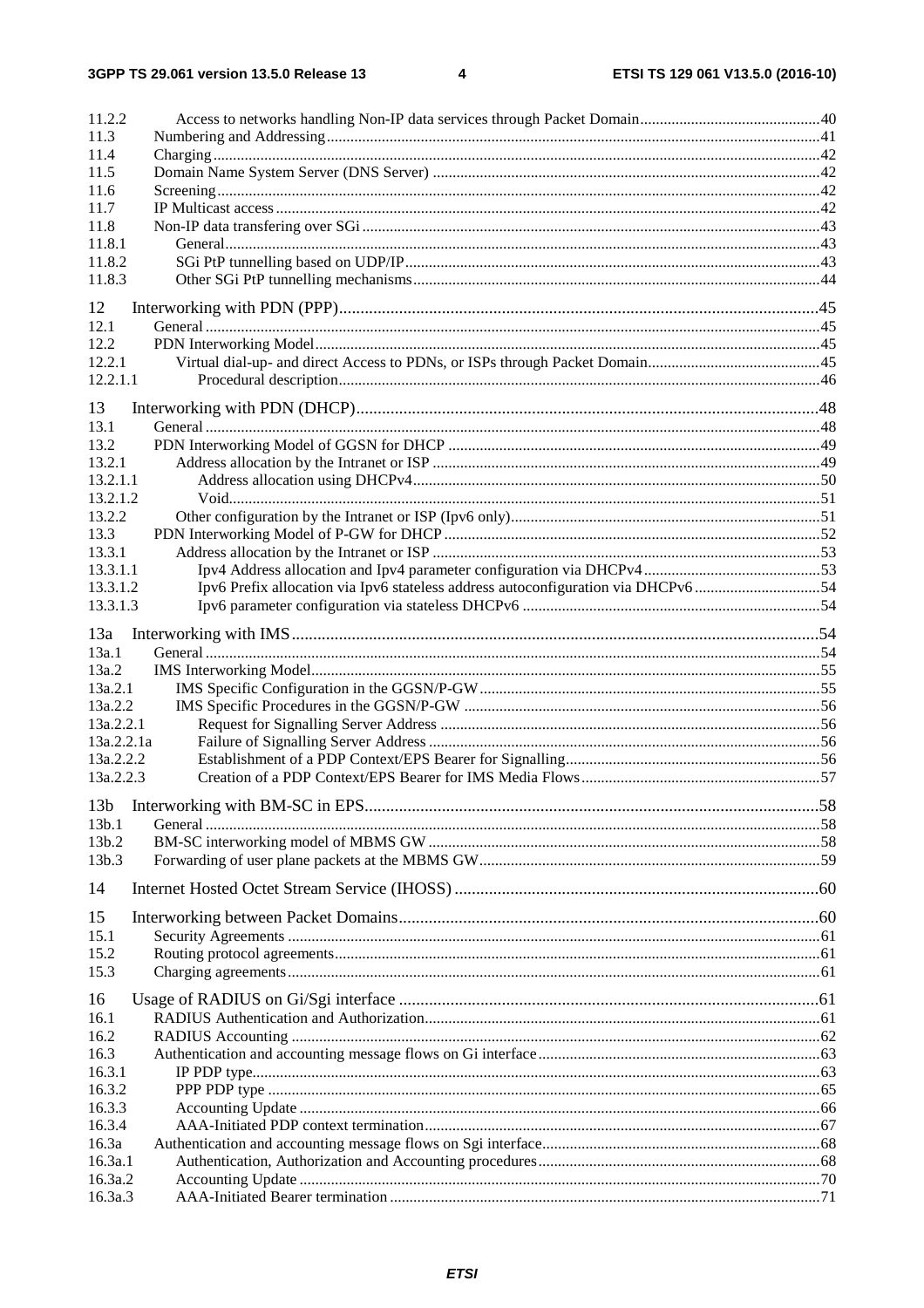| 11.2.2                                                                                       |  |
|----------------------------------------------------------------------------------------------|--|
| 11.3                                                                                         |  |
| 11.4                                                                                         |  |
| 11.5                                                                                         |  |
| 11.6                                                                                         |  |
| 11.7                                                                                         |  |
| 11.8                                                                                         |  |
| 11.8.1                                                                                       |  |
| 11.8.2                                                                                       |  |
| 11.8.3                                                                                       |  |
| 12                                                                                           |  |
| 12.1                                                                                         |  |
| 12.2                                                                                         |  |
| 12.2.1                                                                                       |  |
|                                                                                              |  |
| 12.2.1.1                                                                                     |  |
| 13                                                                                           |  |
| 13.1                                                                                         |  |
| 13.2                                                                                         |  |
| 13.2.1                                                                                       |  |
| 13.2.1.1                                                                                     |  |
| 13.2.1.2                                                                                     |  |
| 13.2.2                                                                                       |  |
| 13.3                                                                                         |  |
| 13.3.1                                                                                       |  |
| 13.3.1.1                                                                                     |  |
| Ipv6 Prefix allocation via Ipv6 stateless address autoconfiguration via DHCPv654<br>13.3.1.2 |  |
| 13.3.1.3                                                                                     |  |
|                                                                                              |  |
| 13a                                                                                          |  |
| 13a.1                                                                                        |  |
| 13a.2                                                                                        |  |
| 13a.2.1                                                                                      |  |
| 13a.2.2                                                                                      |  |
| 13a.2.2.1                                                                                    |  |
| 13a.2.2.1a                                                                                   |  |
| 13a.2.2.2                                                                                    |  |
| 13a.2.2.3                                                                                    |  |
|                                                                                              |  |
| 13 <sub>b</sub>                                                                              |  |
| 13b.1                                                                                        |  |
| 13b.2                                                                                        |  |
| 13b.3                                                                                        |  |
|                                                                                              |  |
| 14                                                                                           |  |
| 15                                                                                           |  |
| 15.1                                                                                         |  |
| 15.2                                                                                         |  |
| 15.3                                                                                         |  |
|                                                                                              |  |
| 16                                                                                           |  |
| 16.1                                                                                         |  |
| 16.2                                                                                         |  |
| 16.3                                                                                         |  |
| 16.3.1                                                                                       |  |
| 16.3.2                                                                                       |  |
| 16.3.3                                                                                       |  |
| 16.3.4                                                                                       |  |
| 16.3a                                                                                        |  |
| 16.3a.1                                                                                      |  |
| 16.3a.2                                                                                      |  |
| 16.3a.3                                                                                      |  |
|                                                                                              |  |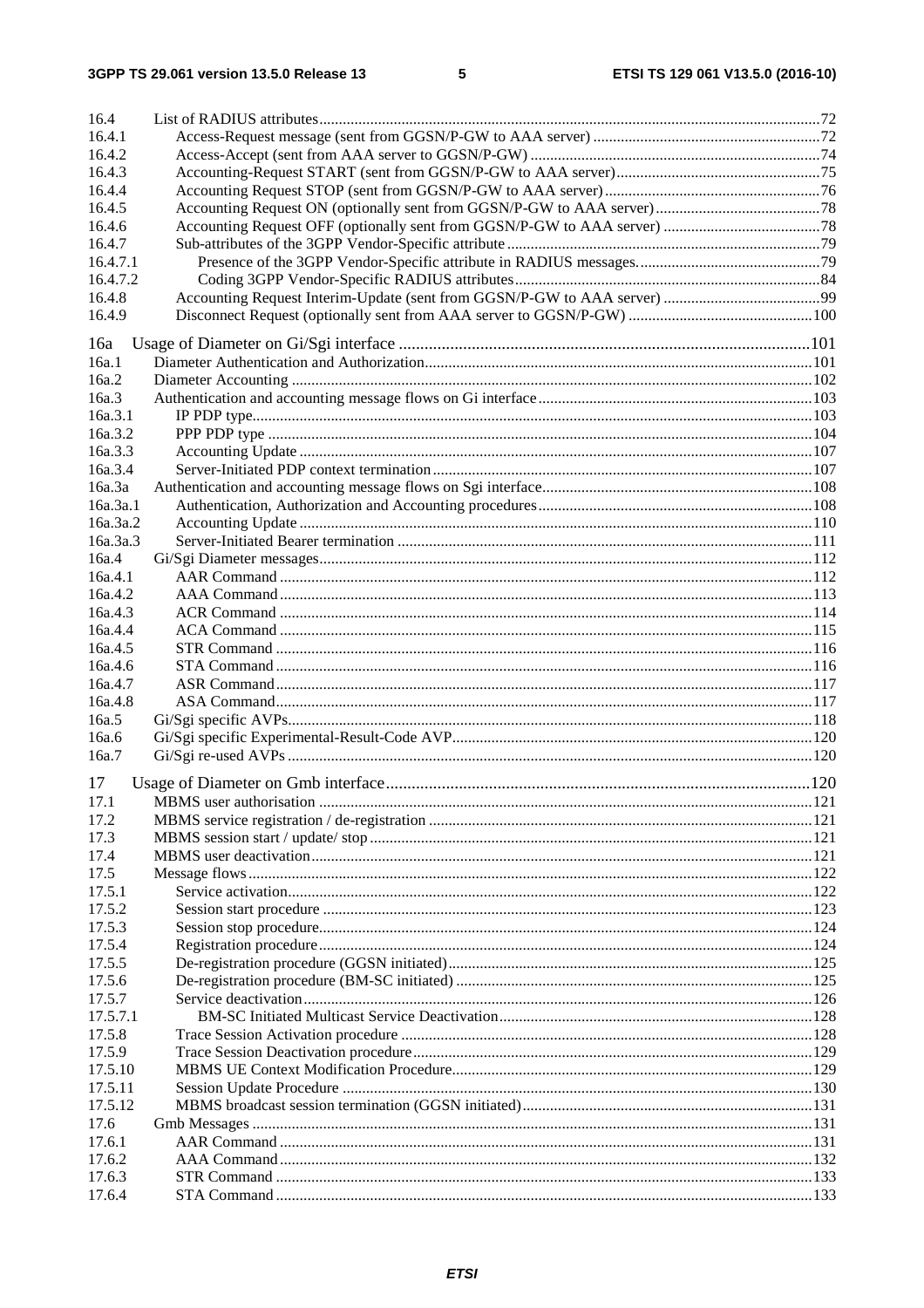| 16.4     |  |
|----------|--|
| 16.4.1   |  |
| 16.4.2   |  |
| 16.4.3   |  |
| 16.4.4   |  |
| 16.4.5   |  |
| 16.4.6   |  |
| 16.4.7   |  |
| 16.4.7.1 |  |
| 16.4.7.2 |  |
| 16.4.8   |  |
| 16.4.9   |  |
|          |  |
| 16a      |  |
| 16a.1    |  |
| 16a.2    |  |
| 16a.3    |  |
| 16a.3.1  |  |
| 16a.3.2  |  |
| 16a.3.3  |  |
| 16a.3.4  |  |
| 16a.3a   |  |
| 16a.3a.1 |  |
| 16a.3a.2 |  |
| 16a.3a.3 |  |
| 16a.4    |  |
| 16a.4.1  |  |
| 16a.4.2  |  |
| 16a.4.3  |  |
| 16a.4.4  |  |
| 16a.4.5  |  |
| 16a.4.6  |  |
| 16a.4.7  |  |
| 16a.4.8  |  |
| 16a.5    |  |
| 16a.6    |  |
| 16a.7    |  |
| 17       |  |
| 17.1     |  |
| 17.2     |  |
| 17.3     |  |
| 17.4     |  |
| 17.5     |  |
| 17.5.1   |  |
| 17.5.2   |  |
| 17.5.3   |  |
| 17.5.4   |  |
| 17.5.5   |  |
| 17.5.6   |  |
| 17.5.7   |  |
| 17.5.7.1 |  |
| 17.5.8   |  |
| 17.5.9   |  |
| 17.5.10  |  |
| 17.5.11  |  |
| 17.5.12  |  |
| 17.6     |  |
| 17.6.1   |  |
| 17.6.2   |  |
| 17.6.3   |  |
| 17.6.4   |  |
|          |  |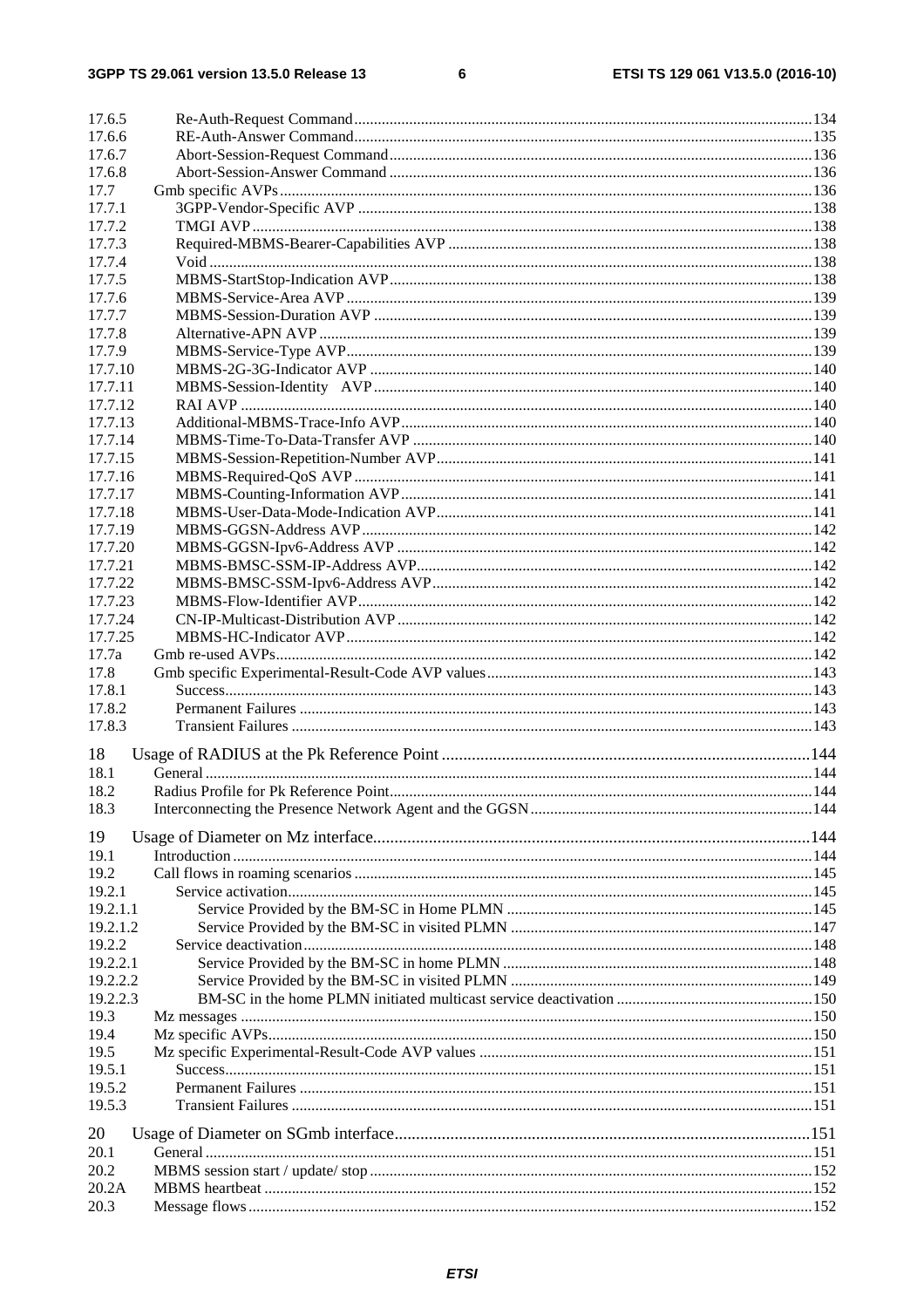#### $\bf 6$

| 17.6.5   |  |
|----------|--|
| 17.6.6   |  |
| 17.6.7   |  |
| 17.6.8   |  |
| 17.7     |  |
| 17.7.1   |  |
| 17.7.2   |  |
| 17.7.3   |  |
| 17.7.4   |  |
| 17.7.5   |  |
| 17.7.6   |  |
| 17.7.7   |  |
| 17.7.8   |  |
| 17.7.9   |  |
| 17.7.10  |  |
| 17.7.11  |  |
| 17.7.12  |  |
| 17.7.13  |  |
| 17.7.14  |  |
| 17.7.15  |  |
| 17.7.16  |  |
| 17.7.17  |  |
| 17.7.18  |  |
| 17.7.19  |  |
| 17.7.20  |  |
| 17.7.21  |  |
| 17.7.22  |  |
| 17.7.23  |  |
| 17.7.24  |  |
| 17.7.25  |  |
| 17.7a    |  |
| 17.8     |  |
| 17.8.1   |  |
| 17.8.2   |  |
| 17.8.3   |  |
|          |  |
| 18       |  |
| 18.1     |  |
| 18.2     |  |
| 18.3     |  |
| 19       |  |
| 19.1     |  |
| 19.2     |  |
| 19.2.1   |  |
| 19.2.1.1 |  |
| 19.2.1.2 |  |
| 19.2.2   |  |
| 19.2.2.1 |  |
| 19.2.2.2 |  |
| 19.2.2.3 |  |
| 19.3     |  |
| 19.4     |  |
| 19.5     |  |
| 19.5.1   |  |
| 19.5.2   |  |
| 19.5.3   |  |
|          |  |
| 20       |  |
| 20.1     |  |
| 20.2     |  |
| 20.2A    |  |
| 20.3     |  |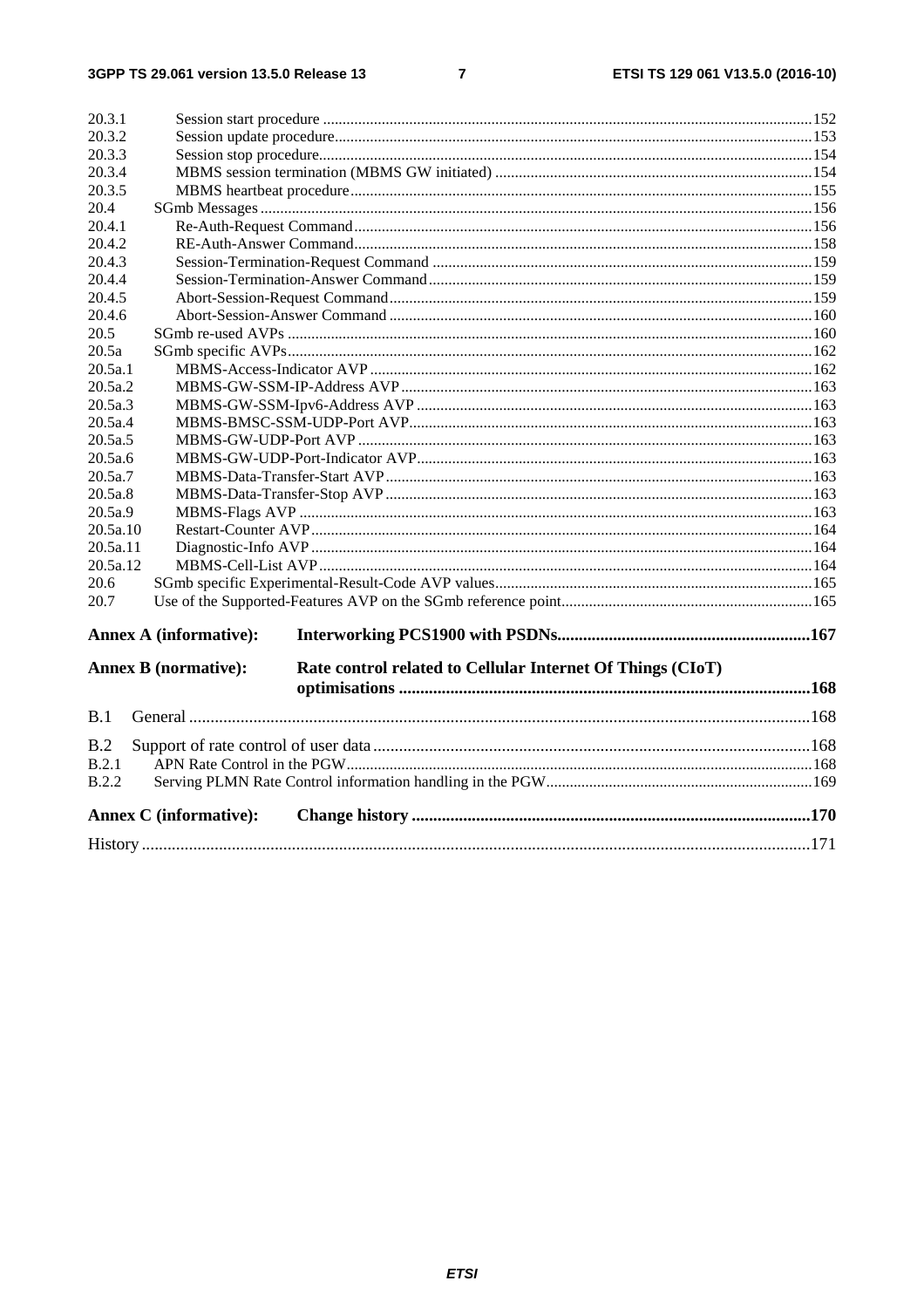| 20.3.1       |                                                                                           |  |
|--------------|-------------------------------------------------------------------------------------------|--|
| 20.3.2       |                                                                                           |  |
| 20.3.3       |                                                                                           |  |
| 20.3.4       |                                                                                           |  |
| 20.3.5       |                                                                                           |  |
| 20.4         |                                                                                           |  |
| 20.4.1       |                                                                                           |  |
| 20.4.2       |                                                                                           |  |
| 20.4.3       |                                                                                           |  |
| 20.4.4       |                                                                                           |  |
| 20.4.5       |                                                                                           |  |
| 20.4.6       |                                                                                           |  |
| 20.5         |                                                                                           |  |
| 20.5a        |                                                                                           |  |
| 20.5a.1      |                                                                                           |  |
| 20.5a.2      |                                                                                           |  |
| 20.5a.3      |                                                                                           |  |
| 20.5a.4      |                                                                                           |  |
| 20.5a.5      |                                                                                           |  |
| 20.5a.6      |                                                                                           |  |
| 20.5a.7      |                                                                                           |  |
| 20.5a.8      |                                                                                           |  |
| 20.5a.9      |                                                                                           |  |
| 20.5a.10     |                                                                                           |  |
| 20.5a.11     |                                                                                           |  |
| 20.5a.12     |                                                                                           |  |
| 20.6         |                                                                                           |  |
| 20.7         |                                                                                           |  |
|              | <b>Annex A (informative):</b>                                                             |  |
|              | Rate control related to Cellular Internet Of Things (CIoT)<br><b>Annex B</b> (normative): |  |
|              |                                                                                           |  |
| B.1          |                                                                                           |  |
| B.2          |                                                                                           |  |
| B.2.1        |                                                                                           |  |
| <b>B.2.2</b> |                                                                                           |  |
|              | <b>Annex C</b> (informative):                                                             |  |
|              |                                                                                           |  |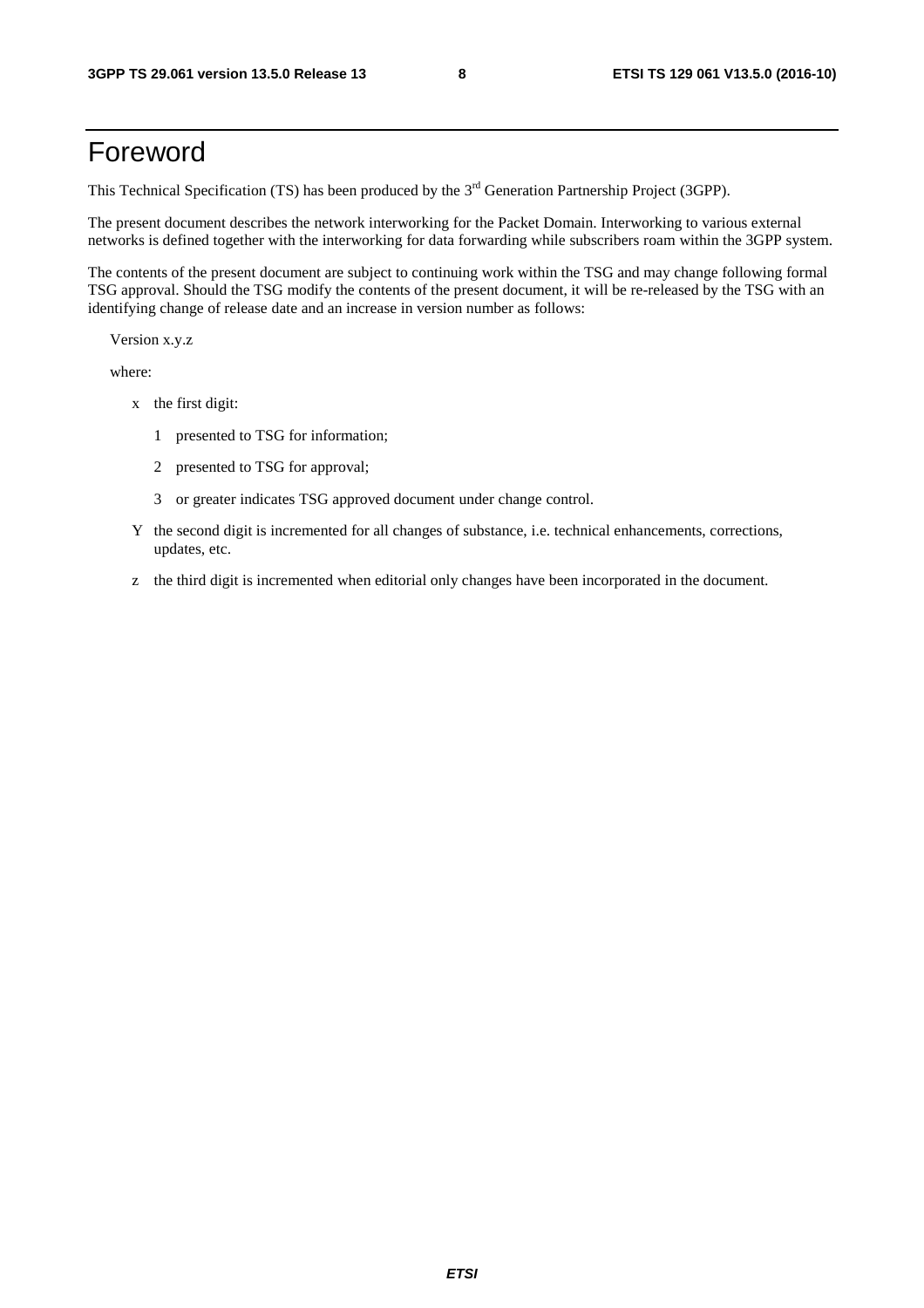# Foreword

This Technical Specification (TS) has been produced by the 3<sup>rd</sup> Generation Partnership Project (3GPP).

The present document describes the network interworking for the Packet Domain. Interworking to various external networks is defined together with the interworking for data forwarding while subscribers roam within the 3GPP system.

The contents of the present document are subject to continuing work within the TSG and may change following formal TSG approval. Should the TSG modify the contents of the present document, it will be re-released by the TSG with an identifying change of release date and an increase in version number as follows:

Version x.y.z

where:

- x the first digit:
	- 1 presented to TSG for information;
	- 2 presented to TSG for approval;
	- 3 or greater indicates TSG approved document under change control.
- Y the second digit is incremented for all changes of substance, i.e. technical enhancements, corrections, updates, etc.
- z the third digit is incremented when editorial only changes have been incorporated in the document.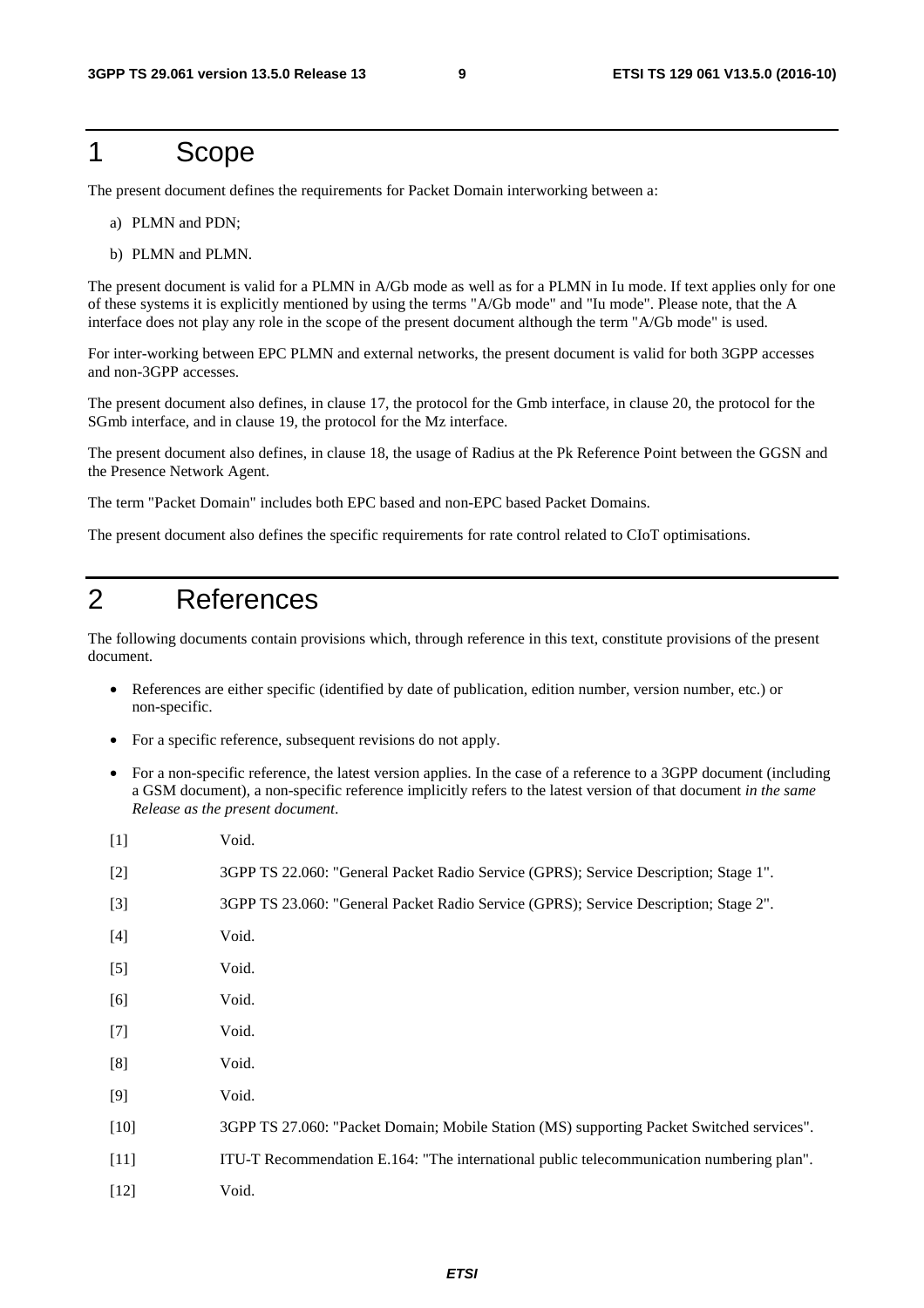### 1 Scope

The present document defines the requirements for Packet Domain interworking between a:

- a) PLMN and PDN;
- b) PLMN and PLMN.

The present document is valid for a PLMN in A/Gb mode as well as for a PLMN in Iu mode. If text applies only for one of these systems it is explicitly mentioned by using the terms "A/Gb mode" and "Iu mode". Please note, that the A interface does not play any role in the scope of the present document although the term "A/Gb mode" is used.

For inter-working between EPC PLMN and external networks, the present document is valid for both 3GPP accesses and non-3GPP accesses.

The present document also defines, in clause 17, the protocol for the Gmb interface, in clause 20, the protocol for the SGmb interface, and in clause 19, the protocol for the Mz interface.

The present document also defines, in clause 18, the usage of Radius at the Pk Reference Point between the GGSN and the Presence Network Agent.

The term "Packet Domain" includes both EPC based and non-EPC based Packet Domains.

The present document also defines the specific requirements for rate control related to CIoT optimisations.

## 2 References

The following documents contain provisions which, through reference in this text, constitute provisions of the present document.

- References are either specific (identified by date of publication, edition number, version number, etc.) or non-specific.
- For a specific reference, subsequent revisions do not apply.
- For a non-specific reference, the latest version applies. In the case of a reference to a 3GPP document (including a GSM document), a non-specific reference implicitly refers to the latest version of that document *in the same Release as the present document*.

| $[1]$  | Void.                                                                                     |
|--------|-------------------------------------------------------------------------------------------|
| $[2]$  | 3GPP TS 22.060: "General Packet Radio Service (GPRS); Service Description; Stage 1".      |
| $[3]$  | 3GPP TS 23.060: "General Packet Radio Service (GPRS); Service Description; Stage 2".      |
| $[4]$  | Void.                                                                                     |
| $[5]$  | Void.                                                                                     |
| [6]    | Void.                                                                                     |
| $[7]$  | Void.                                                                                     |
| [8]    | Void.                                                                                     |
| [9]    | Void.                                                                                     |
| $[10]$ | 3GPP TS 27.060: "Packet Domain; Mobile Station (MS) supporting Packet Switched services". |
| $[11]$ | ITU-T Recommendation E.164: "The international public telecommunication numbering plan".  |
| $[12]$ | Void.                                                                                     |
|        |                                                                                           |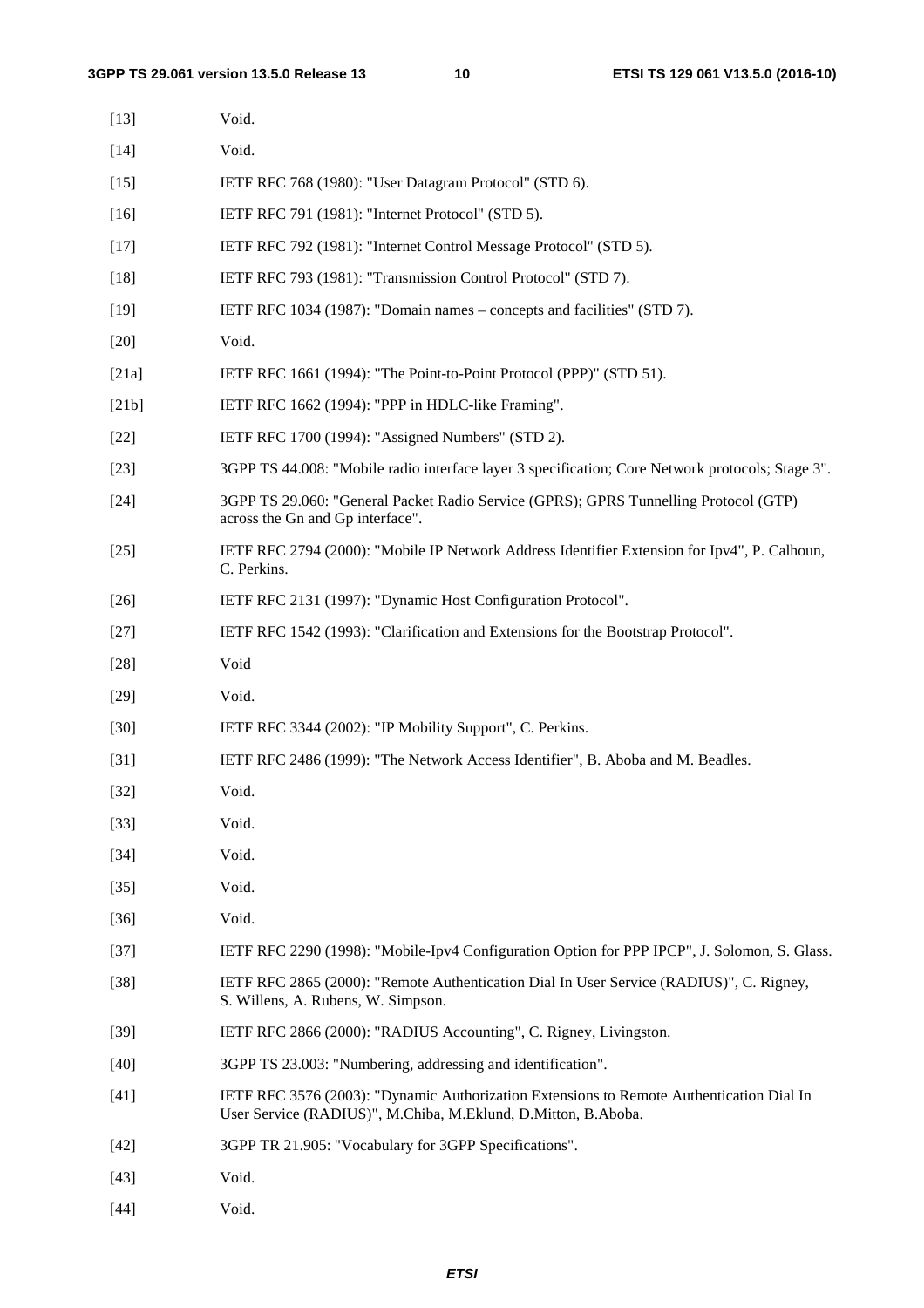| $[13]$ | Void.                                                                                                                                                     |
|--------|-----------------------------------------------------------------------------------------------------------------------------------------------------------|
| $[14]$ | Void.                                                                                                                                                     |
| $[15]$ | IETF RFC 768 (1980): "User Datagram Protocol" (STD 6).                                                                                                    |
| $[16]$ | IETF RFC 791 (1981): "Internet Protocol" (STD 5).                                                                                                         |
| $[17]$ | IETF RFC 792 (1981): "Internet Control Message Protocol" (STD 5).                                                                                         |
| $[18]$ | IETF RFC 793 (1981): "Transmission Control Protocol" (STD 7).                                                                                             |
| $[19]$ | IETF RFC 1034 (1987): "Domain names – concepts and facilities" (STD 7).                                                                                   |
| $[20]$ | Void.                                                                                                                                                     |
| [21a]  | IETF RFC 1661 (1994): "The Point-to-Point Protocol (PPP)" (STD 51).                                                                                       |
| [21b]  | IETF RFC 1662 (1994): "PPP in HDLC-like Framing".                                                                                                         |
| $[22]$ | IETF RFC 1700 (1994): "Assigned Numbers" (STD 2).                                                                                                         |
| $[23]$ | 3GPP TS 44.008: "Mobile radio interface layer 3 specification; Core Network protocols; Stage 3".                                                          |
| $[24]$ | 3GPP TS 29.060: "General Packet Radio Service (GPRS); GPRS Tunnelling Protocol (GTP)<br>across the Gn and Gp interface".                                  |
| $[25]$ | IETF RFC 2794 (2000): "Mobile IP Network Address Identifier Extension for Ipv4", P. Calhoun,<br>C. Perkins.                                               |
| $[26]$ | IETF RFC 2131 (1997): "Dynamic Host Configuration Protocol".                                                                                              |
| $[27]$ | IETF RFC 1542 (1993): "Clarification and Extensions for the Bootstrap Protocol".                                                                          |
| $[28]$ | Void                                                                                                                                                      |
| $[29]$ | Void.                                                                                                                                                     |
| $[30]$ | IETF RFC 3344 (2002): "IP Mobility Support", C. Perkins.                                                                                                  |
| $[31]$ | IETF RFC 2486 (1999): "The Network Access Identifier", B. Aboba and M. Beadles.                                                                           |
| $[32]$ | Void.                                                                                                                                                     |
| $[33]$ | Void.                                                                                                                                                     |
| $[34]$ | Void.                                                                                                                                                     |
| $[35]$ | Void.                                                                                                                                                     |
| $[36]$ | Void.                                                                                                                                                     |
| $[37]$ | IETF RFC 2290 (1998): "Mobile-Ipv4 Configuration Option for PPP IPCP", J. Solomon, S. Glass.                                                              |
| $[38]$ | IETF RFC 2865 (2000): "Remote Authentication Dial In User Service (RADIUS)", C. Rigney,<br>S. Willens, A. Rubens, W. Simpson.                             |
| $[39]$ | IETF RFC 2866 (2000): "RADIUS Accounting", C. Rigney, Livingston.                                                                                         |
| $[40]$ | 3GPP TS 23.003: "Numbering, addressing and identification".                                                                                               |
| $[41]$ | IETF RFC 3576 (2003): "Dynamic Authorization Extensions to Remote Authentication Dial In<br>User Service (RADIUS)", M.Chiba, M.Eklund, D.Mitton, B.Aboba. |
| $[42]$ | 3GPP TR 21.905: "Vocabulary for 3GPP Specifications".                                                                                                     |
| $[43]$ | Void.                                                                                                                                                     |
| $[44]$ | Void.                                                                                                                                                     |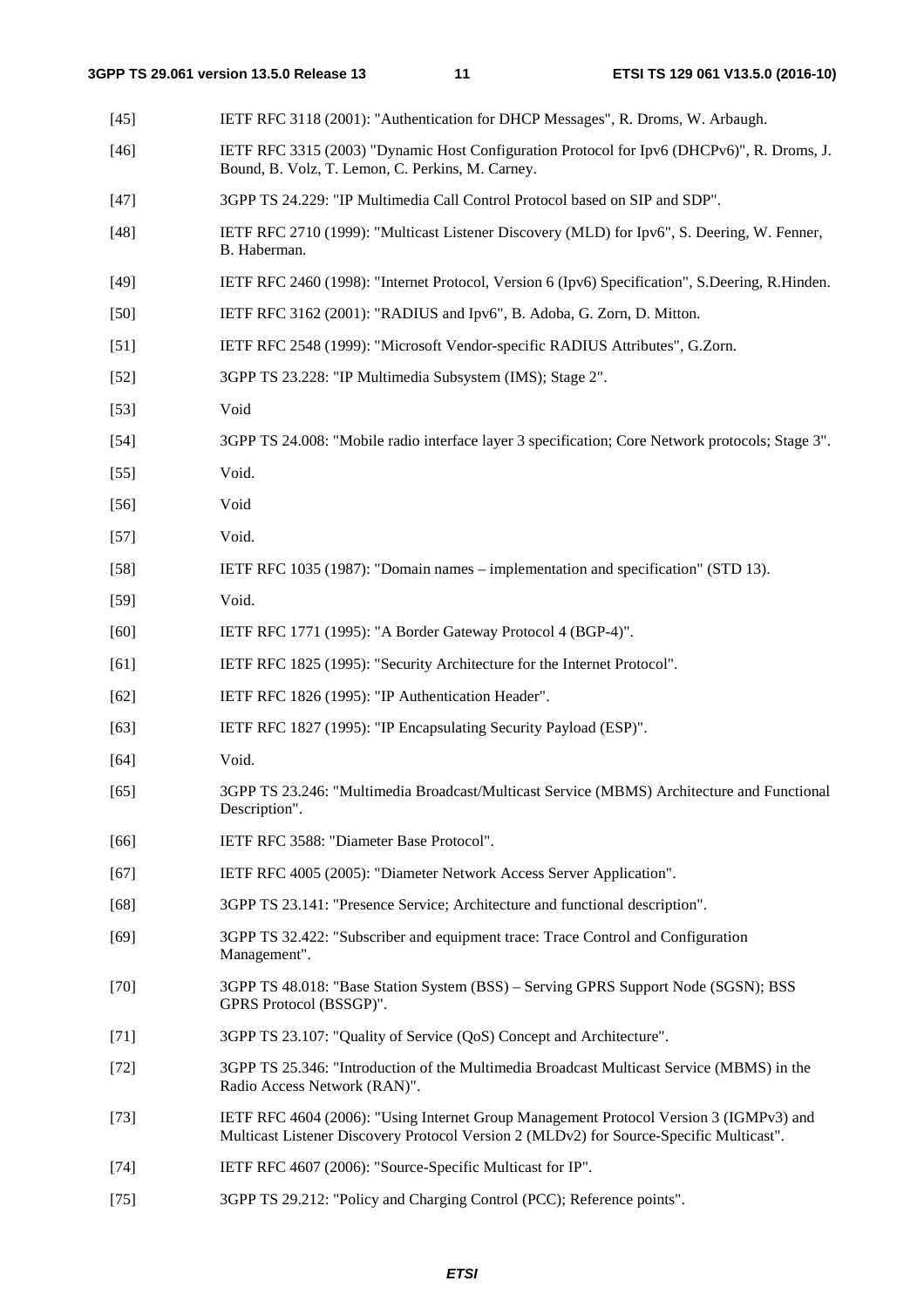| $[45]$ | IETF RFC 3118 (2001): "Authentication for DHCP Messages", R. Droms, W. Arbaugh.                                                                                                   |
|--------|-----------------------------------------------------------------------------------------------------------------------------------------------------------------------------------|
| $[46]$ | IETF RFC 3315 (2003) "Dynamic Host Configuration Protocol for Ipv6 (DHCPv6)", R. Droms, J.<br>Bound, B. Volz, T. Lemon, C. Perkins, M. Carney.                                    |
| $[47]$ | 3GPP TS 24.229: "IP Multimedia Call Control Protocol based on SIP and SDP".                                                                                                       |
| $[48]$ | IETF RFC 2710 (1999): "Multicast Listener Discovery (MLD) for Ipv6", S. Deering, W. Fenner,<br>B. Haberman.                                                                       |
| $[49]$ | IETF RFC 2460 (1998): "Internet Protocol, Version 6 (Ipv6) Specification", S.Deering, R.Hinden.                                                                                   |
| $[50]$ | IETF RFC 3162 (2001): "RADIUS and Ipv6", B. Adoba, G. Zorn, D. Mitton.                                                                                                            |
| $[51]$ | IETF RFC 2548 (1999): "Microsoft Vendor-specific RADIUS Attributes", G.Zorn.                                                                                                      |
| $[52]$ | 3GPP TS 23.228: "IP Multimedia Subsystem (IMS); Stage 2".                                                                                                                         |
| $[53]$ | Void                                                                                                                                                                              |
| $[54]$ | 3GPP TS 24.008: "Mobile radio interface layer 3 specification; Core Network protocols; Stage 3".                                                                                  |
| $[55]$ | Void.                                                                                                                                                                             |
| $[56]$ | Void                                                                                                                                                                              |
| $[57]$ | Void.                                                                                                                                                                             |
| $[58]$ | IETF RFC 1035 (1987): "Domain names – implementation and specification" (STD 13).                                                                                                 |
| $[59]$ | Void.                                                                                                                                                                             |
| $[60]$ | IETF RFC 1771 (1995): "A Border Gateway Protocol 4 (BGP-4)".                                                                                                                      |
| [61]   | IETF RFC 1825 (1995): "Security Architecture for the Internet Protocol".                                                                                                          |
| $[62]$ | IETF RFC 1826 (1995): "IP Authentication Header".                                                                                                                                 |
| $[63]$ | IETF RFC 1827 (1995): "IP Encapsulating Security Payload (ESP)".                                                                                                                  |
| [64]   | Void.                                                                                                                                                                             |
| $[65]$ | 3GPP TS 23.246: "Multimedia Broadcast/Multicast Service (MBMS) Architecture and Functional<br>Description".                                                                       |
| [66]   | IETF RFC 3588: "Diameter Base Protocol".                                                                                                                                          |
| $[67]$ | IETF RFC 4005 (2005): "Diameter Network Access Server Application".                                                                                                               |
| $[68]$ | 3GPP TS 23.141: "Presence Service; Architecture and functional description".                                                                                                      |
| $[69]$ | 3GPP TS 32.422: "Subscriber and equipment trace: Trace Control and Configuration<br>Management".                                                                                  |
| $[70]$ | 3GPP TS 48.018: "Base Station System (BSS) – Serving GPRS Support Node (SGSN); BSS<br>GPRS Protocol (BSSGP)".                                                                     |
| $[71]$ | 3GPP TS 23.107: "Quality of Service (QoS) Concept and Architecture".                                                                                                              |
| $[72]$ | 3GPP TS 25.346: "Introduction of the Multimedia Broadcast Multicast Service (MBMS) in the<br>Radio Access Network (RAN)".                                                         |
| $[73]$ | IETF RFC 4604 (2006): "Using Internet Group Management Protocol Version 3 (IGMPv3) and<br>Multicast Listener Discovery Protocol Version 2 (MLDv2) for Source-Specific Multicast". |
| $[74]$ | IETF RFC 4607 (2006): "Source-Specific Multicast for IP".                                                                                                                         |

[75] 3GPP TS 29.212: "Policy and Charging Control (PCC); Reference points".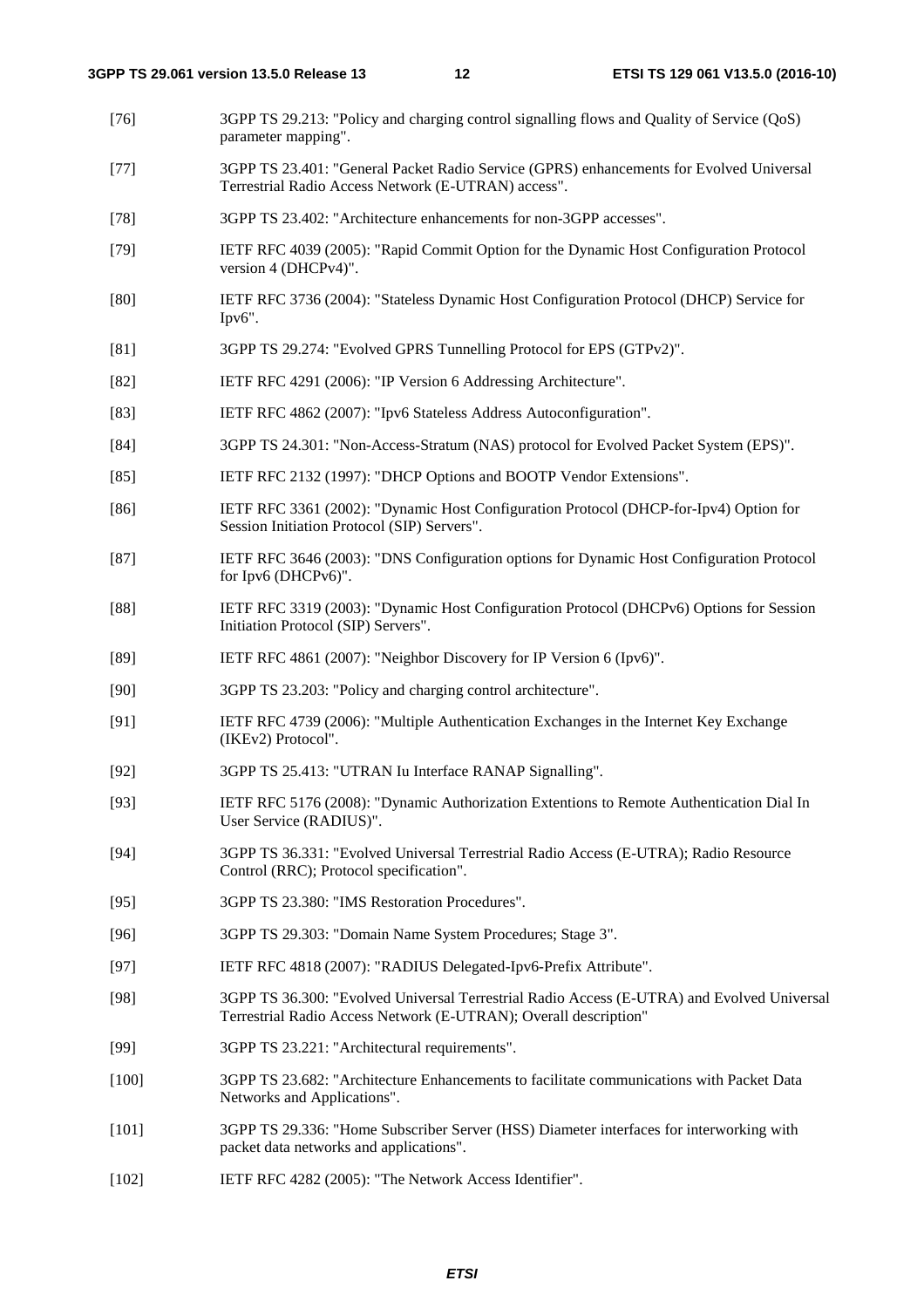- [76] 3GPP TS 29.213: "Policy and charging control signalling flows and Quality of Service (QoS) parameter mapping".
- [77] 3GPP TS 23.401: "General Packet Radio Service (GPRS) enhancements for Evolved Universal Terrestrial Radio Access Network (E-UTRAN) access".
- [78] 3GPP TS 23.402: "Architecture enhancements for non-3GPP accesses".
- [79] IETF RFC 4039 (2005): "Rapid Commit Option for the Dynamic Host Configuration Protocol version 4 (DHCPv4)".
- [80] IETF RFC 3736 (2004): "Stateless Dynamic Host Configuration Protocol (DHCP) Service for Ipv6".
- [81] 3GPP TS 29.274: "Evolved GPRS Tunnelling Protocol for EPS (GTPv2)".
- [82] IETF RFC 4291 (2006): "IP Version 6 Addressing Architecture".
- [83] IETF RFC 4862 (2007): "Ipv6 Stateless Address Autoconfiguration".
- [84] 3GPP TS 24.301: "Non-Access-Stratum (NAS) protocol for Evolved Packet System (EPS)".
- [85] IETF RFC 2132 (1997): "DHCP Options and BOOTP Vendor Extensions".
- [86] IETF RFC 3361 (2002): "Dynamic Host Configuration Protocol (DHCP-for-Ipv4) Option for Session Initiation Protocol (SIP) Servers".
- [87] IETF RFC 3646 (2003): "DNS Configuration options for Dynamic Host Configuration Protocol for Ipv6 (DHCPv6)".
- [88] IETF RFC 3319 (2003): "Dynamic Host Configuration Protocol (DHCPv6) Options for Session Initiation Protocol (SIP) Servers".
- [89] IETF RFC 4861 (2007): "Neighbor Discovery for IP Version 6 (Ipv6)".
- [90] 3GPP TS 23.203: "Policy and charging control architecture".
- [91] IETF RFC 4739 (2006): "Multiple Authentication Exchanges in the Internet Key Exchange (IKEv2) Protocol".
- [92] 3GPP TS 25.413: "UTRAN Iu Interface RANAP Signalling".
- [93] IETF RFC 5176 (2008): "Dynamic Authorization Extentions to Remote Authentication Dial In User Service (RADIUS)".
- [94] 3GPP TS 36.331: "Evolved Universal Terrestrial Radio Access (E-UTRA); Radio Resource Control (RRC); Protocol specification".
- [95] 3GPP TS 23.380: "IMS Restoration Procedures".
- [96] 3GPP TS 29.303: "Domain Name System Procedures; Stage 3".
- [97] IETF RFC 4818 (2007): "RADIUS Delegated-Ipv6-Prefix Attribute".
- [98] 3GPP TS 36.300: "Evolved Universal Terrestrial Radio Access (E-UTRA) and Evolved Universal Terrestrial Radio Access Network (E-UTRAN); Overall description"
- [99] 3GPP TS 23.221: "Architectural requirements".
- [100] 3GPP TS 23.682: "Architecture Enhancements to facilitate communications with Packet Data Networks and Applications".
- [101] 3GPP TS 29.336: "Home Subscriber Server (HSS) Diameter interfaces for interworking with packet data networks and applications".
- [102] IETF RFC 4282 (2005): "The Network Access Identifier".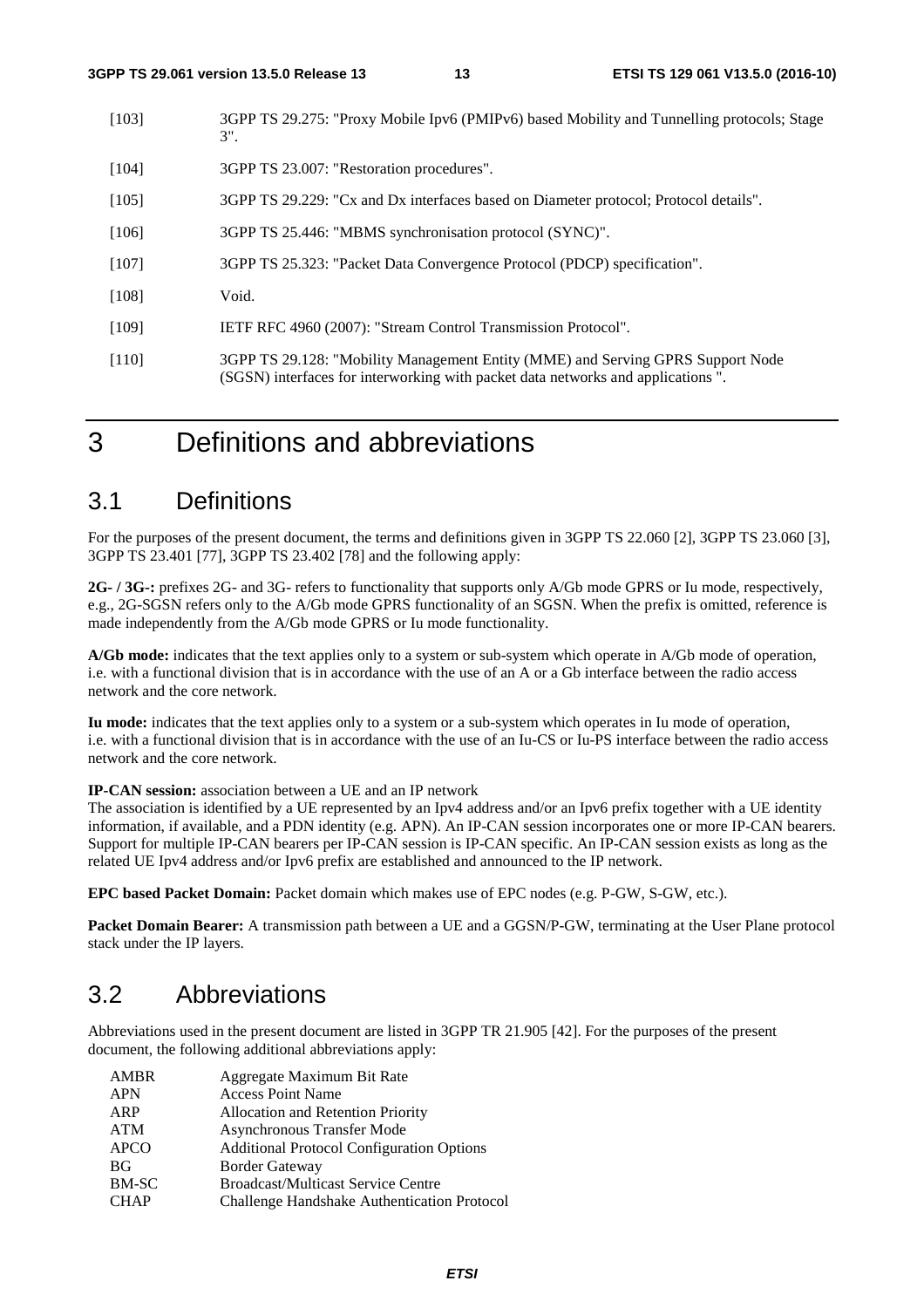| [103]   | 3GPP TS 29.275: "Proxy Mobile Ipv6 (PMIPv6) based Mobility and Tunnelling protocols; Stage<br>$3"$ .                                                               |
|---------|--------------------------------------------------------------------------------------------------------------------------------------------------------------------|
| [104]   | 3GPP TS 23.007: "Restoration procedures".                                                                                                                          |
| [105]   | 3GPP TS 29.229: "Cx and Dx interfaces based on Diameter protocol; Protocol details".                                                                               |
| [106]   | 3GPP TS 25.446: "MBMS synchronisation protocol (SYNC)".                                                                                                            |
| $[107]$ | 3GPP TS 25.323: "Packet Data Convergence Protocol (PDCP) specification".                                                                                           |
| $[108]$ | Void.                                                                                                                                                              |
| [109]   | IETF RFC 4960 (2007): "Stream Control Transmission Protocol".                                                                                                      |
| [110]   | 3GPP TS 29.128: "Mobility Management Entity (MME) and Serving GPRS Support Node<br>(SGSN) interfaces for interworking with packet data networks and applications". |

# 3 Definitions and abbreviations

### 3.1 Definitions

For the purposes of the present document, the terms and definitions given in 3GPP TS 22.060 [2], 3GPP TS 23.060 [3], 3GPP TS 23.401 [77], 3GPP TS 23.402 [78] and the following apply:

**2G- / 3G-:** prefixes 2G- and 3G- refers to functionality that supports only A/Gb mode GPRS or Iu mode, respectively, e.g., 2G-SGSN refers only to the A/Gb mode GPRS functionality of an SGSN. When the prefix is omitted, reference is made independently from the A/Gb mode GPRS or Iu mode functionality.

**A/Gb mode:** indicates that the text applies only to a system or sub-system which operate in A/Gb mode of operation, i.e. with a functional division that is in accordance with the use of an A or a Gb interface between the radio access network and the core network.

**Iu mode:** indicates that the text applies only to a system or a sub-system which operates in Iu mode of operation, i.e. with a functional division that is in accordance with the use of an Iu-CS or Iu-PS interface between the radio access network and the core network.

**IP-CAN session:** association between a UE and an IP network

The association is identified by a UE represented by an Ipv4 address and/or an Ipv6 prefix together with a UE identity information, if available, and a PDN identity (e.g. APN). An IP-CAN session incorporates one or more IP-CAN bearers. Support for multiple IP-CAN bearers per IP-CAN session is IP-CAN specific. An IP-CAN session exists as long as the related UE Ipv4 address and/or Ipv6 prefix are established and announced to the IP network.

**EPC based Packet Domain:** Packet domain which makes use of EPC nodes (e.g. P-GW, S-GW, etc.).

**Packet Domain Bearer:** A transmission path between a UE and a GGSN/P-GW, terminating at the User Plane protocol stack under the IP layers.

### 3.2 Abbreviations

Abbreviations used in the present document are listed in 3GPP TR 21.905 [42]. For the purposes of the present document, the following additional abbreviations apply:

| <b>AMBR</b> | Aggregate Maximum Bit Rate                       |
|-------------|--------------------------------------------------|
| <b>APN</b>  | <b>Access Point Name</b>                         |
| ARP         | Allocation and Retention Priority                |
| ATM         | Asynchronous Transfer Mode                       |
| <b>APCO</b> | <b>Additional Protocol Configuration Options</b> |
| <b>BG</b>   | <b>Border Gateway</b>                            |
| BM-SC       | <b>Broadcast/Multicast Service Centre</b>        |
| <b>CHAP</b> | Challenge Handshake Authentication Protocol      |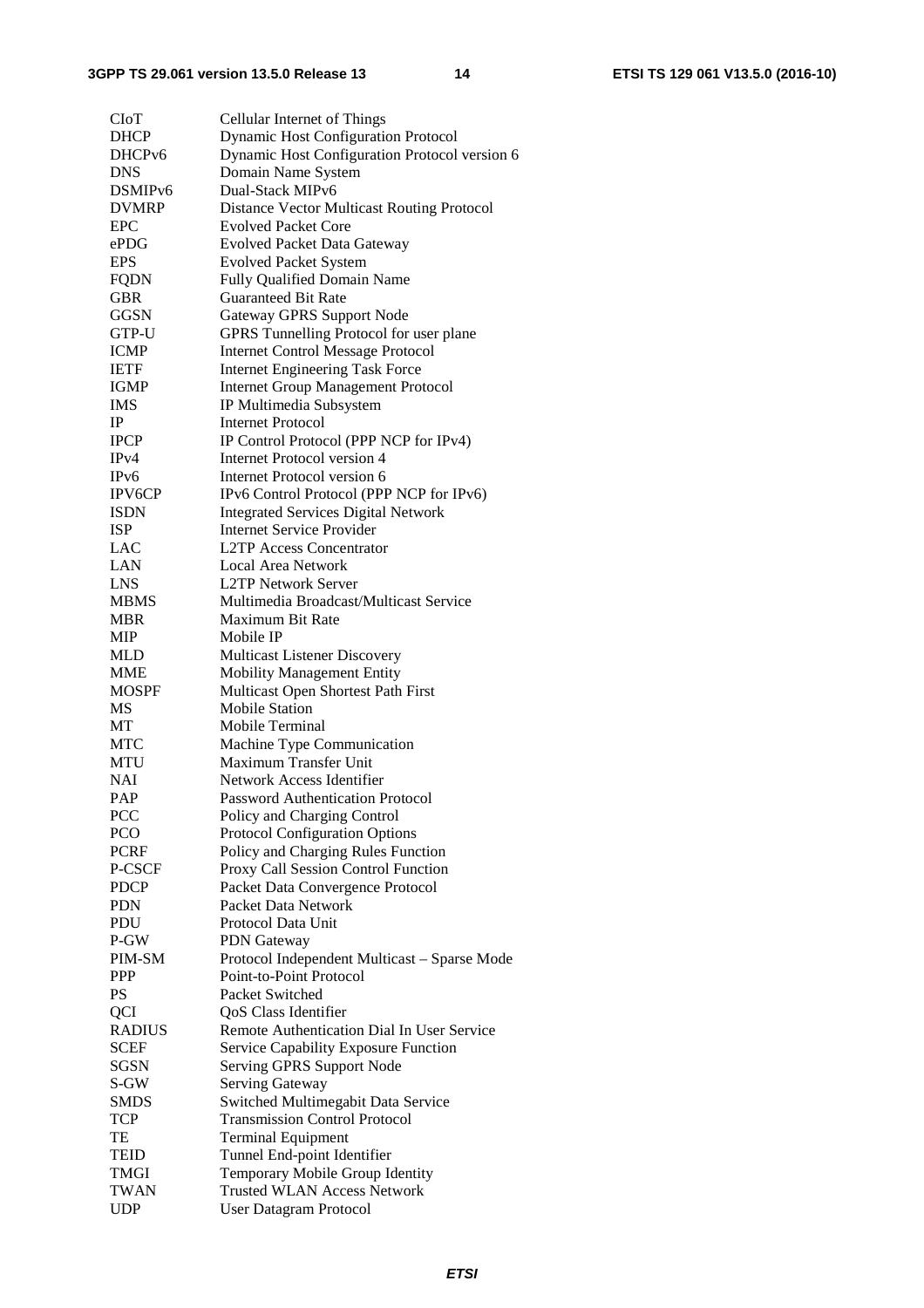### **3GPP TS 29.061 version 13.5.0 Release 13 14 ETSI TS 129 061 V13.5.0 (2016-10)**

| <b>CIoT</b>         | Cellular Internet of Things                       |
|---------------------|---------------------------------------------------|
| <b>DHCP</b>         | <b>Dynamic Host Configuration Protocol</b>        |
| DHCP <sub>v6</sub>  | Dynamic Host Configuration Protocol version 6     |
| <b>DNS</b>          | Domain Name System                                |
| DSMIP <sub>v6</sub> | Dual-Stack MIPv6                                  |
| <b>DVMRP</b>        | <b>Distance Vector Multicast Routing Protocol</b> |
| EPC                 | <b>Evolved Packet Core</b>                        |
| ePDG                | <b>Evolved Packet Data Gateway</b>                |
| <b>EPS</b>          | <b>Evolved Packet System</b>                      |
| <b>FQDN</b>         | Fully Qualified Domain Name                       |
| <b>GBR</b>          | <b>Guaranteed Bit Rate</b>                        |
| <b>GGSN</b>         | <b>Gateway GPRS Support Node</b>                  |
| GTP-U               | GPRS Tunnelling Protocol for user plane           |
| <b>ICMP</b>         | <b>Internet Control Message Protocol</b>          |
| <b>IETF</b>         | <b>Internet Engineering Task Force</b>            |
| IGMP                | <b>Internet Group Management Protocol</b>         |
| IMS                 | IP Multimedia Subsystem                           |
| IP                  | <b>Internet Protocol</b>                          |
| <b>IPCP</b>         | IP Control Protocol (PPP NCP for IPv4)            |
| IPv4                | Internet Protocol version 4                       |
| IP <sub>v</sub> 6   | Internet Protocol version 6                       |
| <b>IPV6CP</b>       | IPv6 Control Protocol (PPP NCP for IPv6)          |
| ISDN                | <b>Integrated Services Digital Network</b>        |
| <b>ISP</b>          | <b>Internet Service Provider</b>                  |
| LAC                 | L2TP Access Concentrator                          |
| LAN                 | <b>Local Area Network</b>                         |
| <b>LNS</b>          | <b>L2TP Network Server</b>                        |
| <b>MBMS</b>         | Multimedia Broadcast/Multicast Service            |
| MBR                 | <b>Maximum Bit Rate</b>                           |
| MIP                 | Mobile IP                                         |
| <b>MLD</b>          | Multicast Listener Discovery                      |
| <b>MME</b>          | Mobility Management Entity                        |
| <b>MOSPF</b>        | Multicast Open Shortest Path First                |
| <b>MS</b>           | <b>Mobile Station</b>                             |
| <b>MT</b>           | Mobile Terminal                                   |
| <b>MTC</b>          | Machine Type Communication                        |
| <b>MTU</b>          | Maximum Transfer Unit                             |
| <b>NAI</b>          | Network Access Identifier                         |
| <b>PAP</b>          | <b>Password Authentication Protocol</b>           |
| <b>PCC</b>          | Policy and Charging Control                       |
| PCO                 | Protocol Configuration Options                    |
| <b>PCRF</b>         | Policy and Charging Rules Function                |
| P-CSCF              | Proxy Call Session Control Function               |
| <b>PDCP</b>         | Packet Data Convergence Protocol                  |
| <b>PDN</b>          | Packet Data Network                               |
| PDU                 | Protocol Data Unit                                |
| P-GW                | <b>PDN</b> Gateway                                |
| PIM-SM              | Protocol Independent Multicast - Sparse Mode      |
| <b>PPP</b>          | Point-to-Point Protocol                           |
| PS                  | Packet Switched                                   |
| QCI                 | QoS Class Identifier                              |
| <b>RADIUS</b>       | Remote Authentication Dial In User Service        |
| <b>SCEF</b>         | Service Capability Exposure Function              |
| SGSN                | Serving GPRS Support Node                         |
| S-GW                | <b>Serving Gateway</b>                            |
| <b>SMDS</b>         | Switched Multimegabit Data Service                |
| <b>TCP</b>          | <b>Transmission Control Protocol</b>              |
| TE                  | <b>Terminal Equipment</b>                         |
| <b>TEID</b>         | Tunnel End-point Identifier                       |
| TMGI                | Temporary Mobile Group Identity                   |
| <b>TWAN</b>         | <b>Trusted WLAN Access Network</b>                |
| <b>UDP</b>          | <b>User Datagram Protocol</b>                     |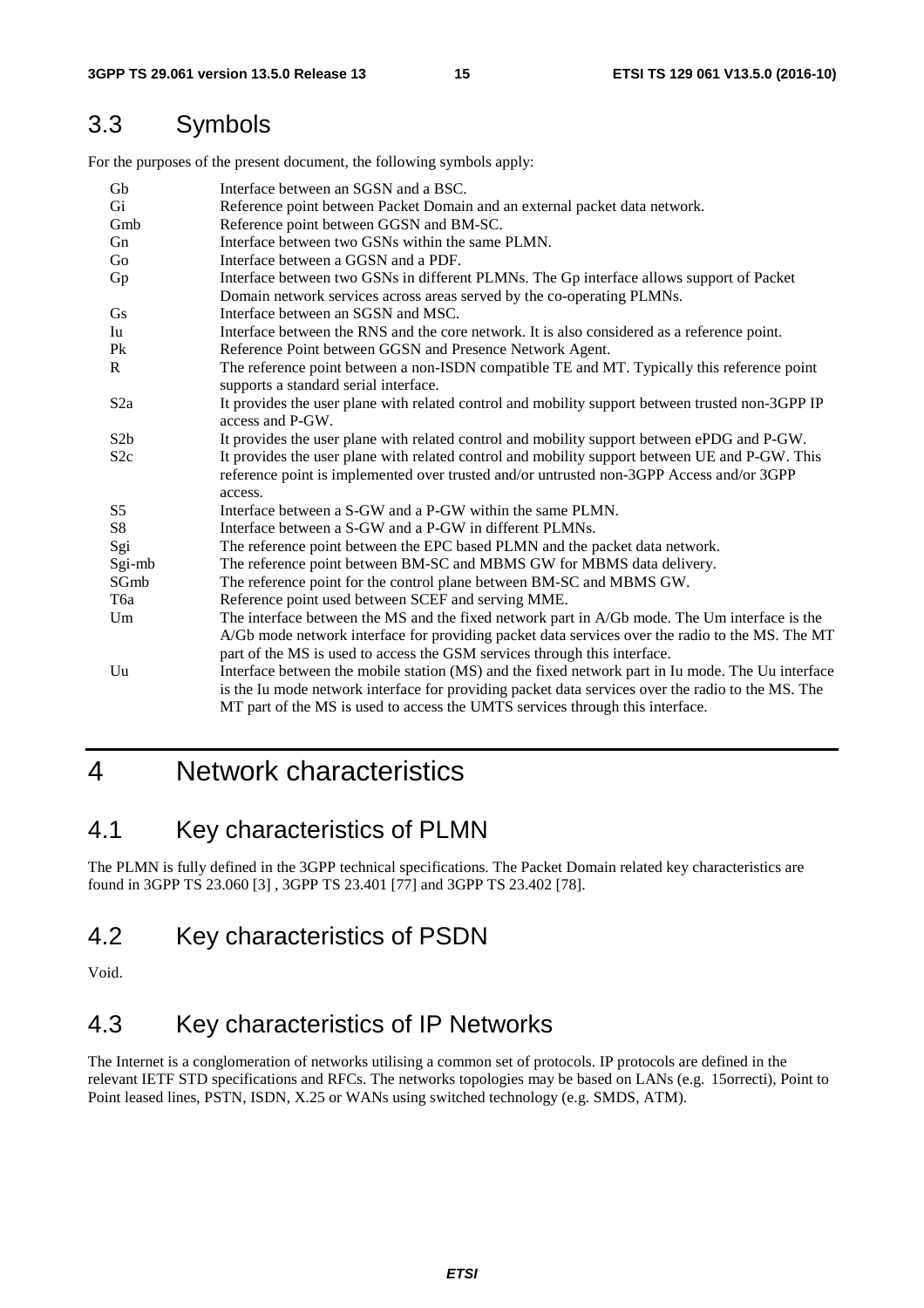### 3.3 Symbols

For the purposes of the present document, the following symbols apply:

| Gb               | Interface between an SGSN and a BSC.                                                                                                 |
|------------------|--------------------------------------------------------------------------------------------------------------------------------------|
| Gi               | Reference point between Packet Domain and an external packet data network.                                                           |
| Gmb              | Reference point between GGSN and BM-SC.                                                                                              |
| Gn               | Interface between two GSNs within the same PLMN.                                                                                     |
| Go               | Interface between a GGSN and a PDF.                                                                                                  |
| Gp               | Interface between two GSNs in different PLMNs. The Gp interface allows support of Packet                                             |
|                  | Domain network services across areas served by the co-operating PLMNs.                                                               |
| <b>Gs</b>        | Interface between an SGSN and MSC.                                                                                                   |
| Iu               | Interface between the RNS and the core network. It is also considered as a reference point.                                          |
| P <sub>k</sub>   | Reference Point between GGSN and Presence Network Agent.                                                                             |
| R                | The reference point between a non-ISDN compatible TE and MT. Typically this reference point<br>supports a standard serial interface. |
| S2a              | It provides the user plane with related control and mobility support between trusted non-3GPP IP<br>access and P-GW.                 |
| S2b              | It provides the user plane with related control and mobility support between ePDG and P-GW.                                          |
| S2c              | It provides the user plane with related control and mobility support between UE and P-GW. This                                       |
|                  | reference point is implemented over trusted and/or untrusted non-3GPP Access and/or 3GPP                                             |
|                  | access.                                                                                                                              |
| S <sub>5</sub>   | Interface between a S-GW and a P-GW within the same PLMN.                                                                            |
| S <sub>8</sub>   | Interface between a S-GW and a P-GW in different PLMNs.                                                                              |
| Sgi              | The reference point between the EPC based PLMN and the packet data network.                                                          |
| Sgi-mb           | The reference point between BM-SC and MBMS GW for MBMS data delivery.                                                                |
| SGmb             | The reference point for the control plane between BM-SC and MBMS GW.                                                                 |
| T <sub>6</sub> a | Reference point used between SCEF and serving MME.                                                                                   |
| Um               | The interface between the MS and the fixed network part in A/Gb mode. The Um interface is the                                        |
|                  | A/Gb mode network interface for providing packet data services over the radio to the MS. The MT                                      |
|                  | part of the MS is used to access the GSM services through this interface.                                                            |
| U <sub>u</sub>   | Interface between the mobile station (MS) and the fixed network part in Iu mode. The Uu interface                                    |
|                  | is the Iu mode network interface for providing packet data services over the radio to the MS. The                                    |
|                  | MT part of the MS is used to access the UMTS services through this interface.                                                        |

# 4 Network characteristics

### 4.1 Key characteristics of PLMN

The PLMN is fully defined in the 3GPP technical specifications. The Packet Domain related key characteristics are found in 3GPP TS 23.060 [3] , 3GPP TS 23.401 [77] and 3GPP TS 23.402 [78].

### 4.2 Key characteristics of PSDN

Void.

# 4.3 Key characteristics of IP Networks

The Internet is a conglomeration of networks utilising a common set of protocols. IP protocols are defined in the relevant IETF STD specifications and RFCs. The networks topologies may be based on LANs (e.g. 15orrecti), Point to Point leased lines, PSTN, ISDN, X.25 or WANs using switched technology (e.g. SMDS, ATM).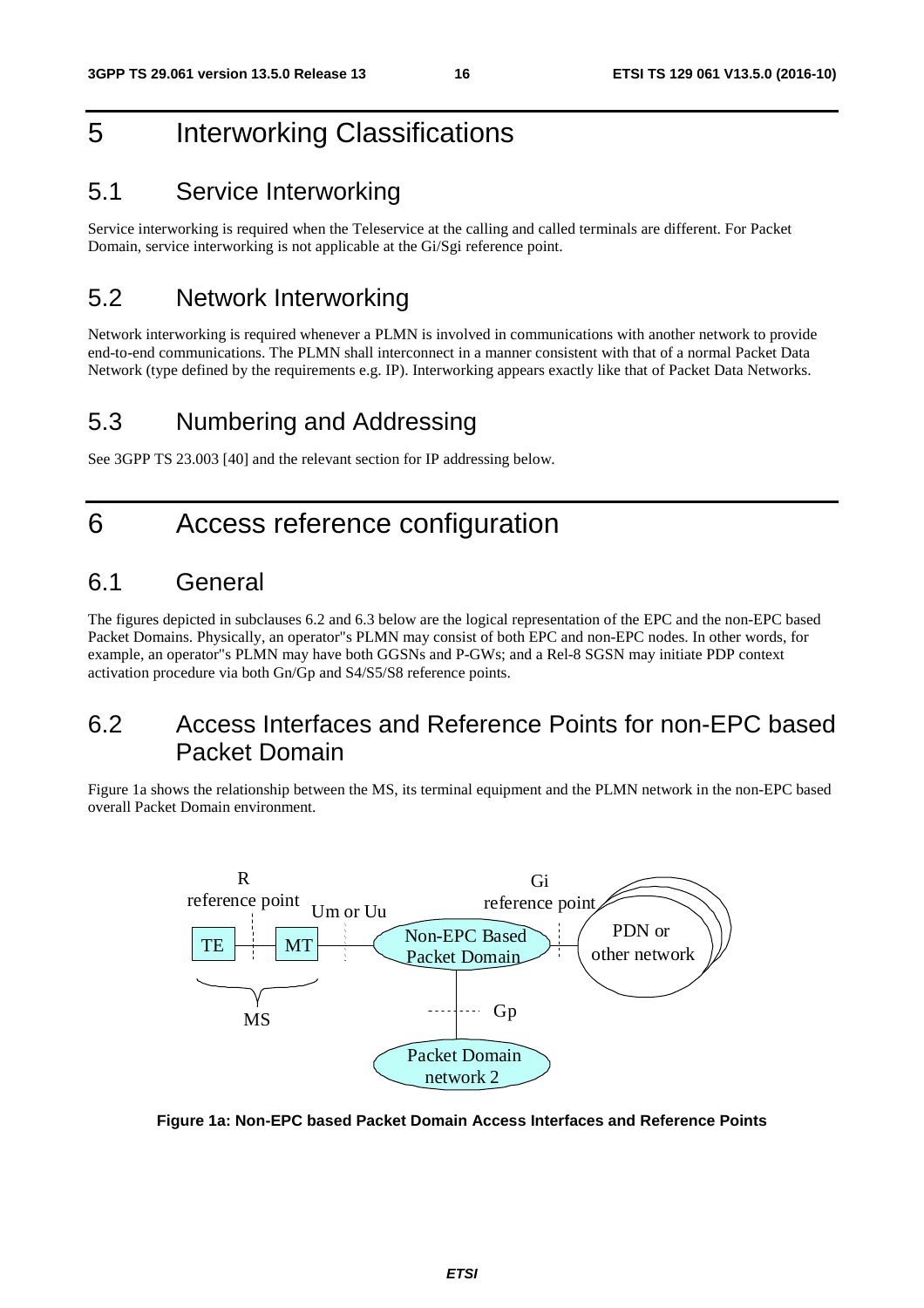# 5 Interworking Classifications

### 5.1 Service Interworking

Service interworking is required when the Teleservice at the calling and called terminals are different. For Packet Domain, service interworking is not applicable at the Gi/Sgi reference point.

### 5.2 Network Interworking

Network interworking is required whenever a PLMN is involved in communications with another network to provide end-to-end communications. The PLMN shall interconnect in a manner consistent with that of a normal Packet Data Network (type defined by the requirements e.g. IP). Interworking appears exactly like that of Packet Data Networks.

### 5.3 Numbering and Addressing

See 3GPP TS 23.003 [40] and the relevant section for IP addressing below.

# 6 Access reference configuration

### 6.1 General

The figures depicted in subclauses 6.2 and 6.3 below are the logical representation of the EPC and the non-EPC based Packet Domains. Physically, an operator"s PLMN may consist of both EPC and non-EPC nodes. In other words, for example, an operator"s PLMN may have both GGSNs and P-GWs; and a Rel-8 SGSN may initiate PDP context activation procedure via both Gn/Gp and S4/S5/S8 reference points.

### 6.2 Access Interfaces and Reference Points for non-EPC based Packet Domain

Figure 1a shows the relationship between the MS, its terminal equipment and the PLMN network in the non-EPC based overall Packet Domain environment.



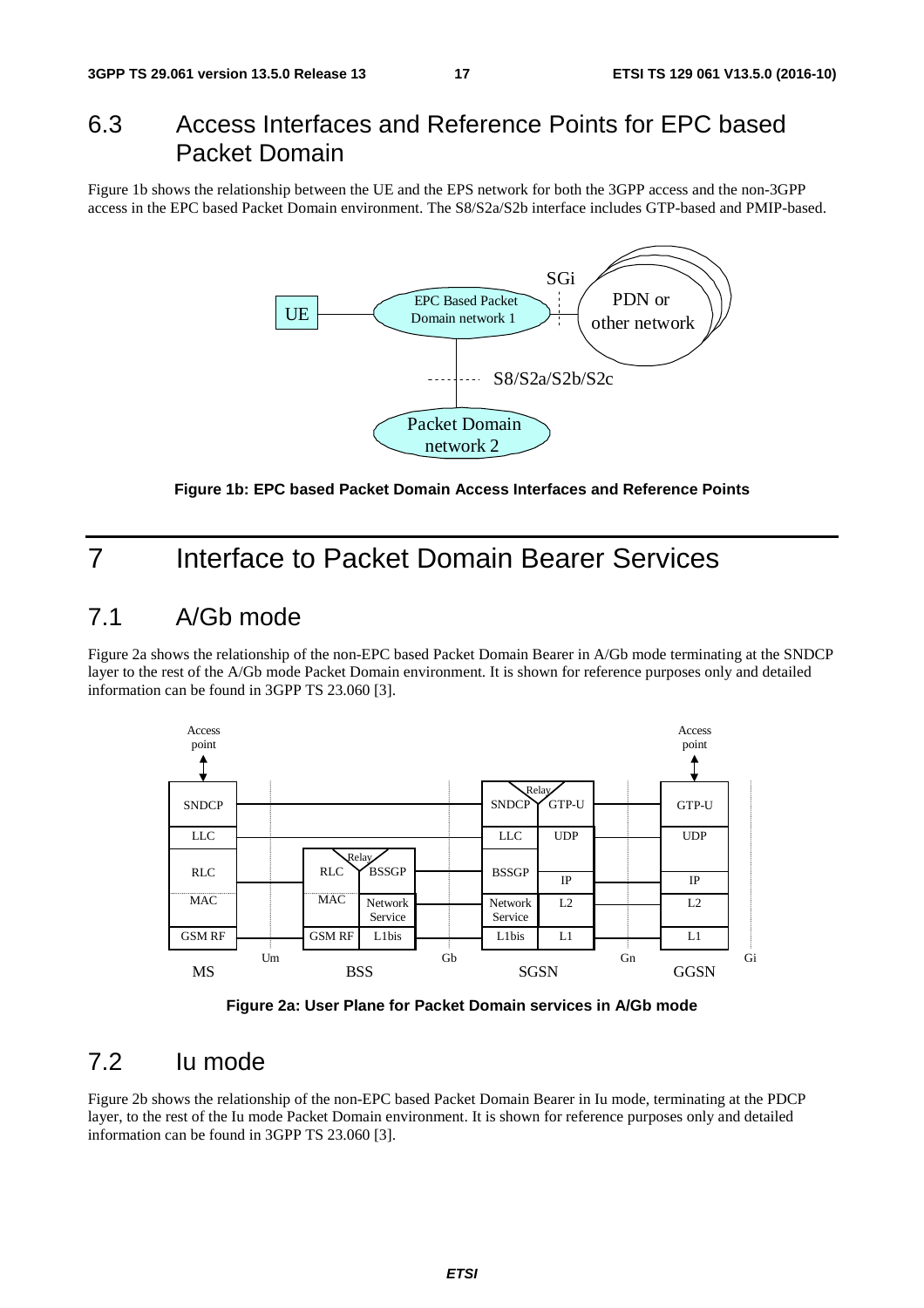### 6.3 Access Interfaces and Reference Points for EPC based Packet Domain

Figure 1b shows the relationship between the UE and the EPS network for both the 3GPP access and the non-3GPP access in the EPC based Packet Domain environment. The S8/S2a/S2b interface includes GTP-based and PMIP-based.



**Figure 1b: EPC based Packet Domain Access Interfaces and Reference Points** 

# 7 Interface to Packet Domain Bearer Services

### 7.1 A/Gb mode

Figure 2a shows the relationship of the non-EPC based Packet Domain Bearer in A/Gb mode terminating at the SNDCP layer to the rest of the A/Gb mode Packet Domain environment. It is shown for reference purposes only and detailed information can be found in 3GPP TS 23.060 [3].





# 7.2 Iu mode

Figure 2b shows the relationship of the non-EPC based Packet Domain Bearer in Iu mode, terminating at the PDCP layer, to the rest of the Iu mode Packet Domain environment. It is shown for reference purposes only and detailed information can be found in 3GPP TS 23.060 [3].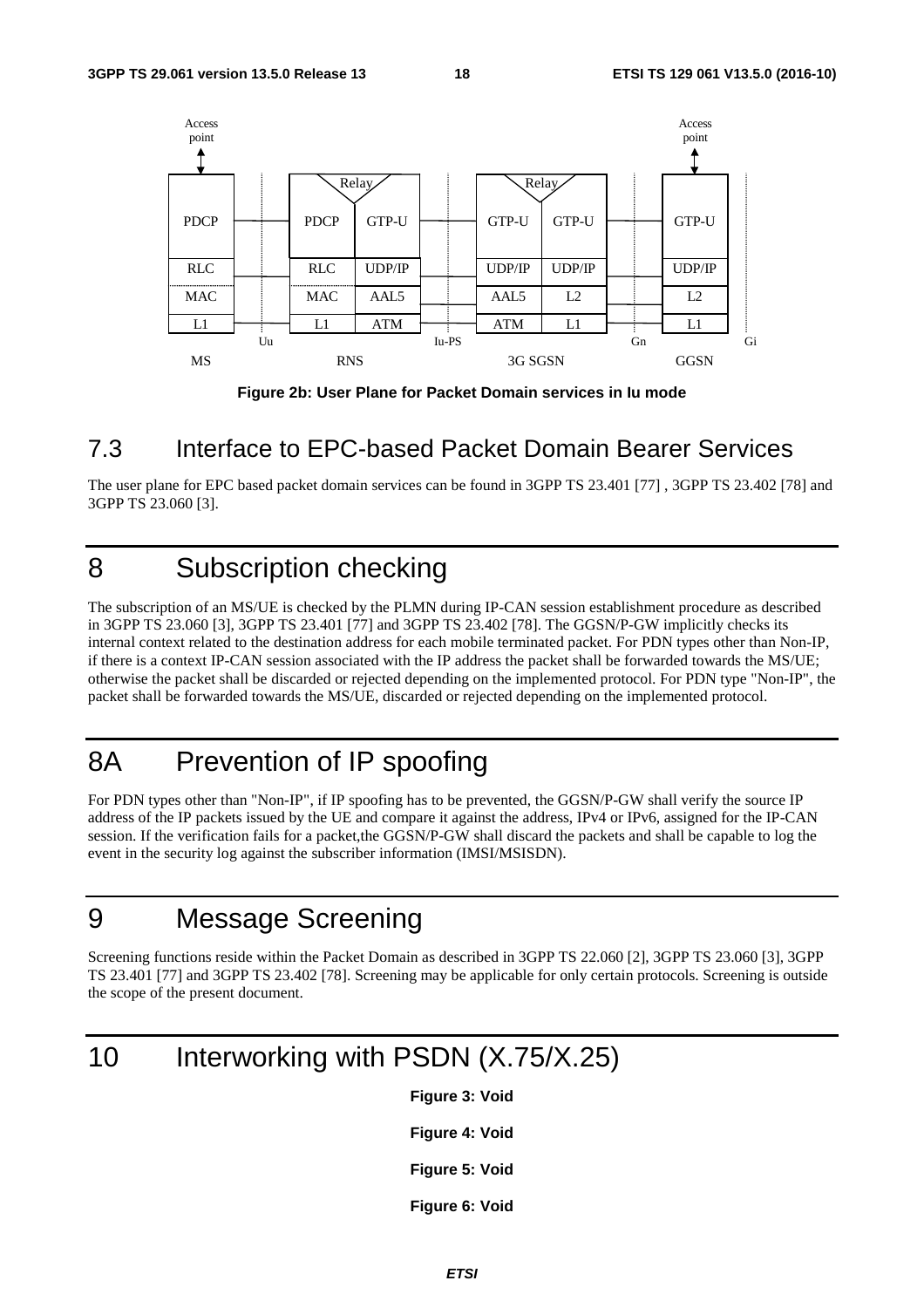

**Figure 2b: User Plane for Packet Domain services in Iu mode** 

### 7.3 Interface to EPC-based Packet Domain Bearer Services

The user plane for EPC based packet domain services can be found in 3GPP TS 23.401 [77] , 3GPP TS 23.402 [78] and 3GPP TS 23.060 [3].

# 8 Subscription checking

The subscription of an MS/UE is checked by the PLMN during IP-CAN session establishment procedure as described in 3GPP TS 23.060 [3], 3GPP TS 23.401 [77] and 3GPP TS 23.402 [78]. The GGSN/P-GW implicitly checks its internal context related to the destination address for each mobile terminated packet. For PDN types other than Non-IP, if there is a context IP-CAN session associated with the IP address the packet shall be forwarded towards the MS/UE; otherwise the packet shall be discarded or rejected depending on the implemented protocol. For PDN type "Non-IP", the packet shall be forwarded towards the MS/UE, discarded or rejected depending on the implemented protocol.

# 8A Prevention of IP spoofing

For PDN types other than "Non-IP", if IP spoofing has to be prevented, the GGSN/P-GW shall verify the source IP address of the IP packets issued by the UE and compare it against the address, IPv4 or IPv6, assigned for the IP-CAN session. If the verification fails for a packet, the GGSN/P-GW shall discard the packets and shall be capable to log the event in the security log against the subscriber information (IMSI/MSISDN).

# 9 Message Screening

Screening functions reside within the Packet Domain as described in 3GPP TS 22.060 [2], 3GPP TS 23.060 [3], 3GPP TS 23.401 [77] and 3GPP TS 23.402 [78]. Screening may be applicable for only certain protocols. Screening is outside the scope of the present document.

# 10 Interworking with PSDN (X.75/X.25)

**Figure 3: Void** 

**Figure 4: Void** 

**Figure 5: Void** 

**Figure 6: Void**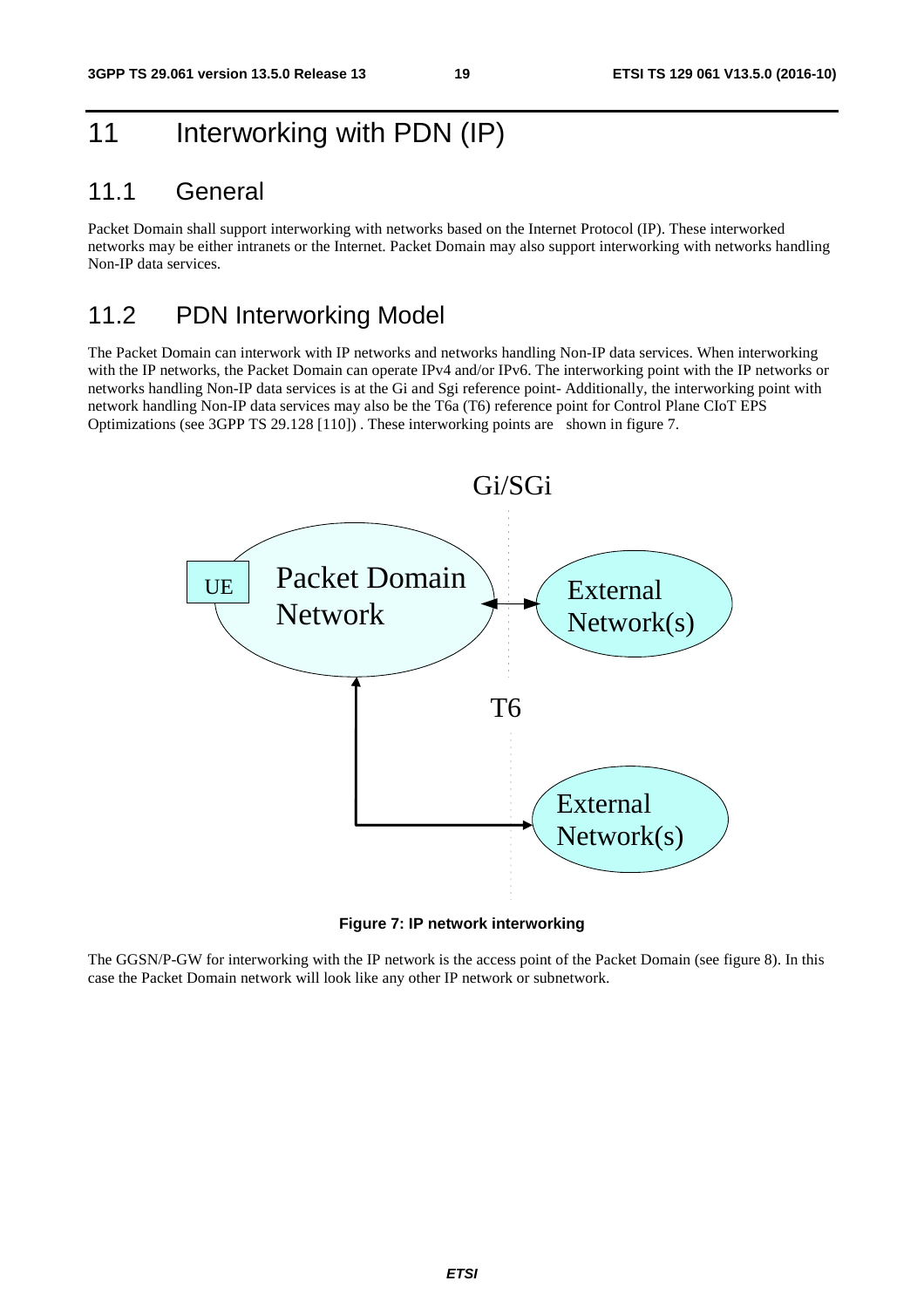# 11 Interworking with PDN (IP)

### 11.1 General

Packet Domain shall support interworking with networks based on the Internet Protocol (IP). These interworked networks may be either intranets or the Internet. Packet Domain may also support interworking with networks handling Non-IP data services.

### 11.2 PDN Interworking Model

The Packet Domain can interwork with IP networks and networks handling Non-IP data services. When interworking with the IP networks, the Packet Domain can operate IPv4 and/or IPv6. The interworking point with the IP networks or networks handling Non-IP data services is at the Gi and Sgi reference point- Additionally, the interworking point with network handling Non-IP data services may also be the T6a (T6) reference point for Control Plane CIoT EPS Optimizations (see 3GPP TS 29.128 [110]) . These interworking points are shown in figure 7.



**Figure 7: IP network interworking** 

The GGSN/P-GW for interworking with the IP network is the access point of the Packet Domain (see figure 8). In this case the Packet Domain network will look like any other IP network or subnetwork.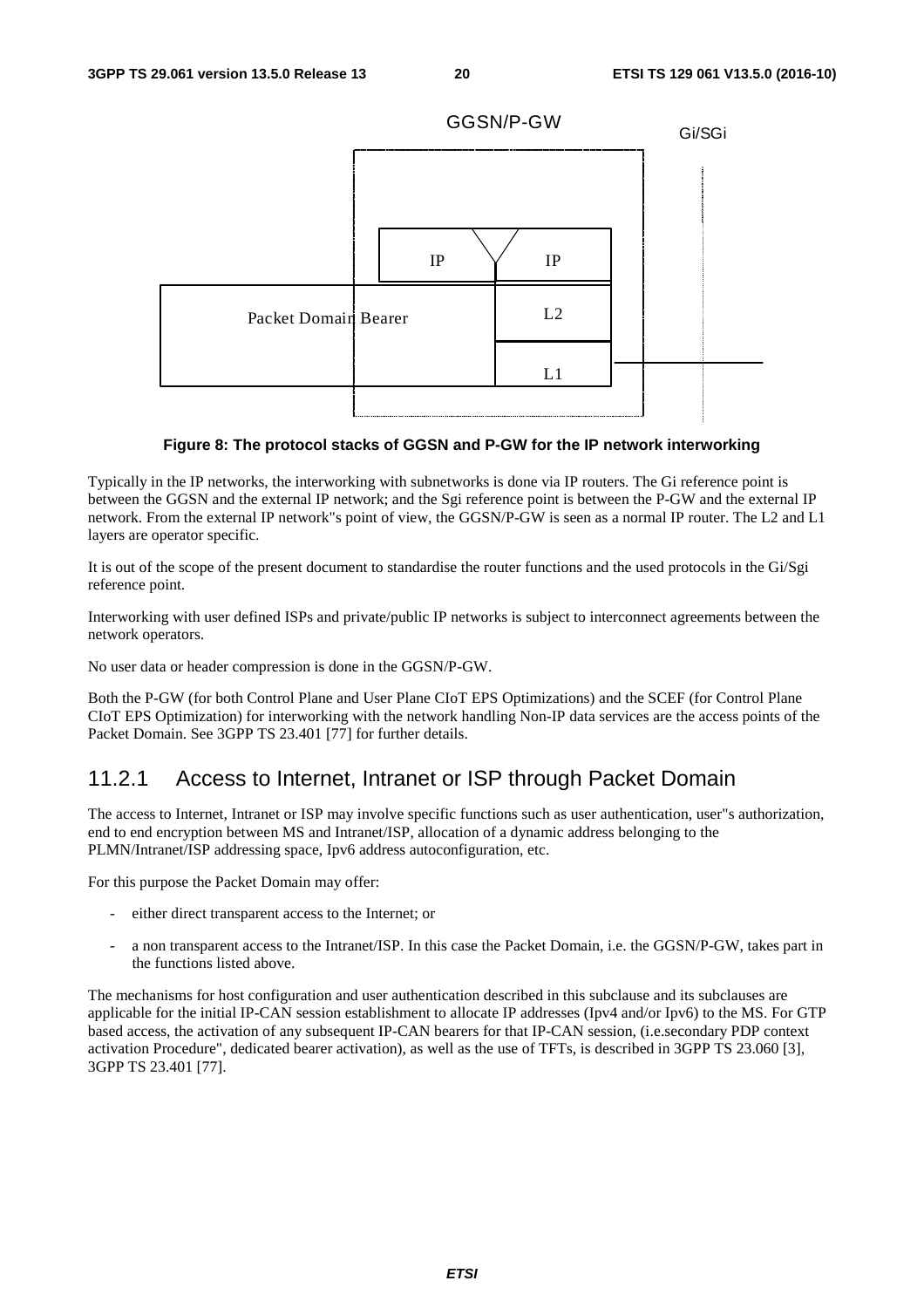

#### **Figure 8: The protocol stacks of GGSN and P-GW for the IP network interworking**

Typically in the IP networks, the interworking with subnetworks is done via IP routers. The Gi reference point is between the GGSN and the external IP network; and the Sgi reference point is between the P-GW and the external IP network. From the external IP network"s point of view, the GGSN/P-GW is seen as a normal IP router. The L2 and L1 layers are operator specific.

It is out of the scope of the present document to standardise the router functions and the used protocols in the Gi/Sgi reference point.

Interworking with user defined ISPs and private/public IP networks is subject to interconnect agreements between the network operators.

No user data or header compression is done in the GGSN/P-GW.

Both the P-GW (for both Control Plane and User Plane CIoT EPS Optimizations) and the SCEF (for Control Plane CIoT EPS Optimization) for interworking with the network handling Non-IP data services are the access points of the Packet Domain. See 3GPP TS 23.401 [77] for further details.

### 11.2.1 Access to Internet, Intranet or ISP through Packet Domain

The access to Internet, Intranet or ISP may involve specific functions such as user authentication, user"s authorization, end to end encryption between MS and Intranet/ISP, allocation of a dynamic address belonging to the PLMN/Intranet/ISP addressing space, Ipv6 address autoconfiguration, etc.

For this purpose the Packet Domain may offer:

- either direct transparent access to the Internet; or
- a non transparent access to the Intranet/ISP. In this case the Packet Domain, i.e. the GGSN/P-GW, takes part in the functions listed above.

The mechanisms for host configuration and user authentication described in this subclause and its subclauses are applicable for the initial IP-CAN session establishment to allocate IP addresses (Ipv4 and/or Ipv6) to the MS. For GTP based access, the activation of any subsequent IP-CAN bearers for that IP-CAN session, (i.e.secondary PDP context activation Procedure", dedicated bearer activation), as well as the use of TFTs, is described in 3GPP TS 23.060 [3], 3GPP TS 23.401 [77].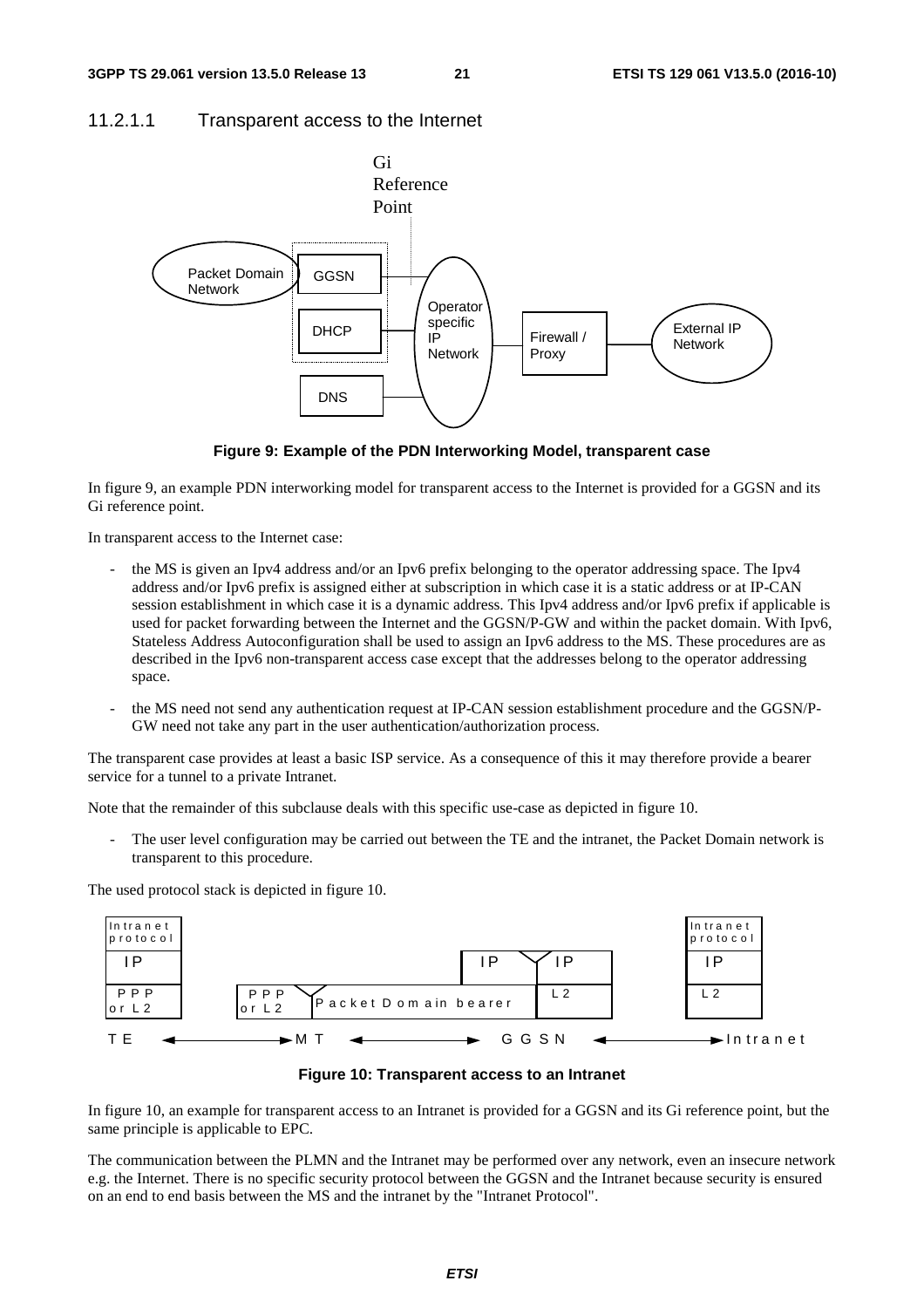### 11.2.1.1 Transparent access to the Internet





In figure 9, an example PDN interworking model for transparent access to the Internet is provided for a GGSN and its Gi reference point.

In transparent access to the Internet case:

- the MS is given an Ipv4 address and/or an Ipv6 prefix belonging to the operator addressing space. The Ipv4 address and/or Ipv6 prefix is assigned either at subscription in which case it is a static address or at IP-CAN session establishment in which case it is a dynamic address. This Ipv4 address and/or Ipv6 prefix if applicable is used for packet forwarding between the Internet and the GGSN/P-GW and within the packet domain. With Ipv6, Stateless Address Autoconfiguration shall be used to assign an Ipv6 address to the MS. These procedures are as described in the Ipv6 non-transparent access case except that the addresses belong to the operator addressing space.
- the MS need not send any authentication request at IP-CAN session establishment procedure and the GGSN/P-GW need not take any part in the user authentication/authorization process.

The transparent case provides at least a basic ISP service. As a consequence of this it may therefore provide a bearer service for a tunnel to a private Intranet.

Note that the remainder of this subclause deals with this specific use-case as depicted in figure 10.

The user level configuration may be carried out between the TE and the intranet, the Packet Domain network is transparent to this procedure.

The used protocol stack is depicted in figure 10.





In figure 10, an example for transparent access to an Intranet is provided for a GGSN and its Gi reference point, but the same principle is applicable to EPC.

The communication between the PLMN and the Intranet may be performed over any network, even an insecure network e.g. the Internet. There is no specific security protocol between the GGSN and the Intranet because security is ensured on an end to end basis between the MS and the intranet by the "Intranet Protocol".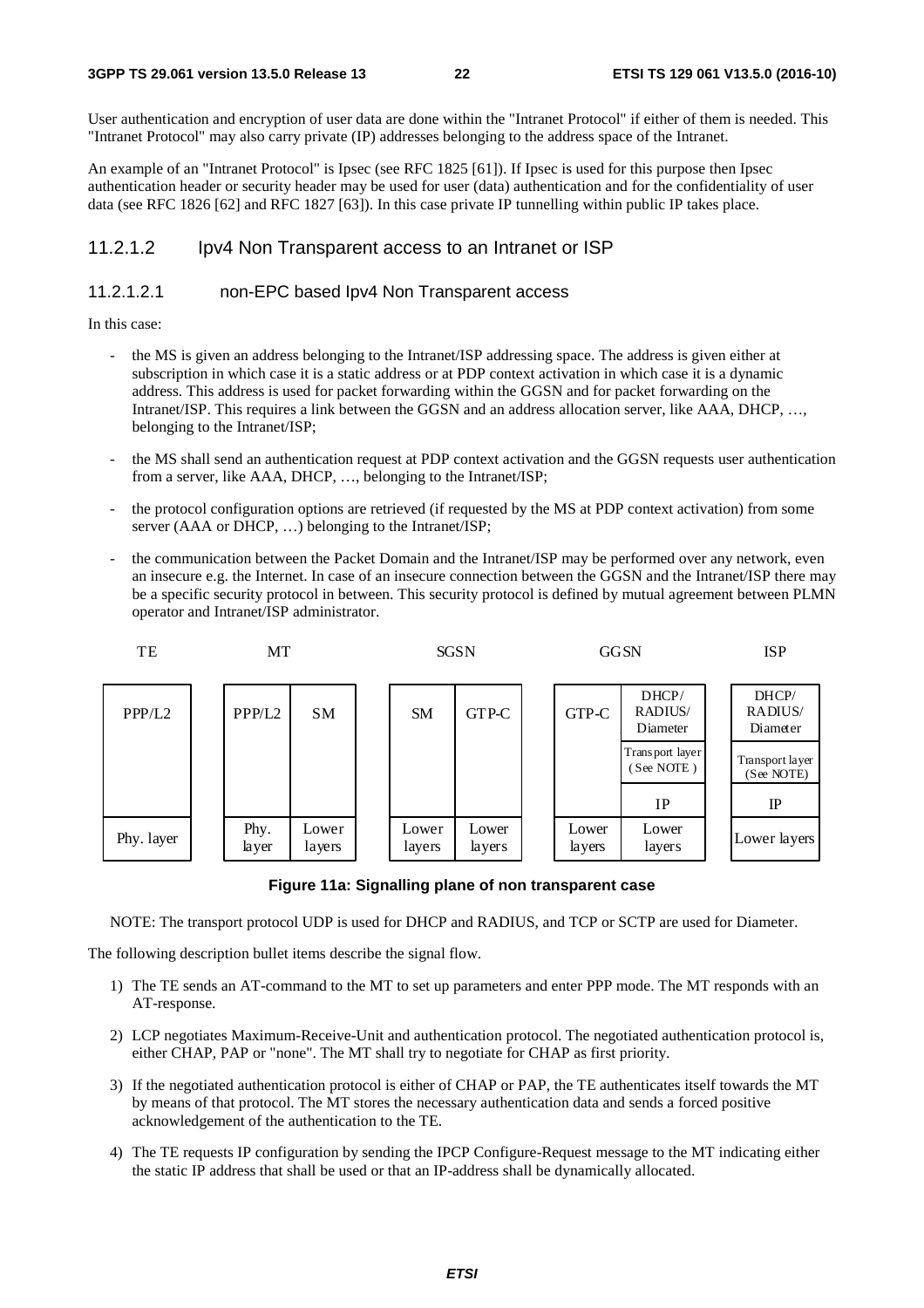#### **3GPP TS 29.061 version 13.5.0 Release 13 22 ETSI TS 129 061 V13.5.0 (2016-10)**

User authentication and encryption of user data are done within the "Intranet Protocol" if either of them is needed. This "Intranet Protocol" may also carry private (IP) addresses belonging to the address space of the Intranet.

An example of an "Intranet Protocol" is Ipsec (see RFC 1825 [61]). If Ipsec is used for this purpose then Ipsec authentication header or security header may be used for user (data) authentication and for the confidentiality of user data (see RFC 1826 [62] and RFC 1827 [63]). In this case private IP tunnelling within public IP takes place.

### 11.2.1.2 Ipv4 Non Transparent access to an Intranet or ISP

### 11.2.1.2.1 non-EPC based Ipv4 Non Transparent access

In this case:

- the MS is given an address belonging to the Intranet/ISP addressing space. The address is given either at subscription in which case it is a static address or at PDP context activation in which case it is a dynamic address. This address is used for packet forwarding within the GGSN and for packet forwarding on the Intranet/ISP. This requires a link between the GGSN and an address allocation server, like AAA, DHCP, …, belonging to the Intranet/ISP;
- the MS shall send an authentication request at PDP context activation and the GGSN requests user authentication from a server, like AAA, DHCP, …, belonging to the Intranet/ISP;
- the protocol configuration options are retrieved (if requested by the MS at PDP context activation) from some server (AAA or DHCP, ...) belonging to the Intranet/ISP;
- the communication between the Packet Domain and the Intranet/ISP may be performed over any network, even an insecure e.g. the Internet. In case of an insecure connection between the GGSN and the Intranet/ISP there may be a specific security protocol in between. This security protocol is defined by mutual agreement between PLMN operator and Intranet/ISP administrator.



**Figure 11a: Signalling plane of non transparent case** 

NOTE: The transport protocol UDP is used for DHCP and RADIUS, and TCP or SCTP are used for Diameter.

The following description bullet items describe the signal flow.

- 1) The TE sends an AT-command to the MT to set up parameters and enter PPP mode. The MT responds with an AT-response.
- 2) LCP negotiates Maximum-Receive-Unit and authentication protocol. The negotiated authentication protocol is, either CHAP, PAP or "none". The MT shall try to negotiate for CHAP as first priority.
- 3) If the negotiated authentication protocol is either of CHAP or PAP, the TE authenticates itself towards the MT by means of that protocol. The MT stores the necessary authentication data and sends a forced positive acknowledgement of the authentication to the TE.
- 4) The TE requests IP configuration by sending the IPCP Configure-Request message to the MT indicating either the static IP address that shall be used or that an IP-address shall be dynamically allocated.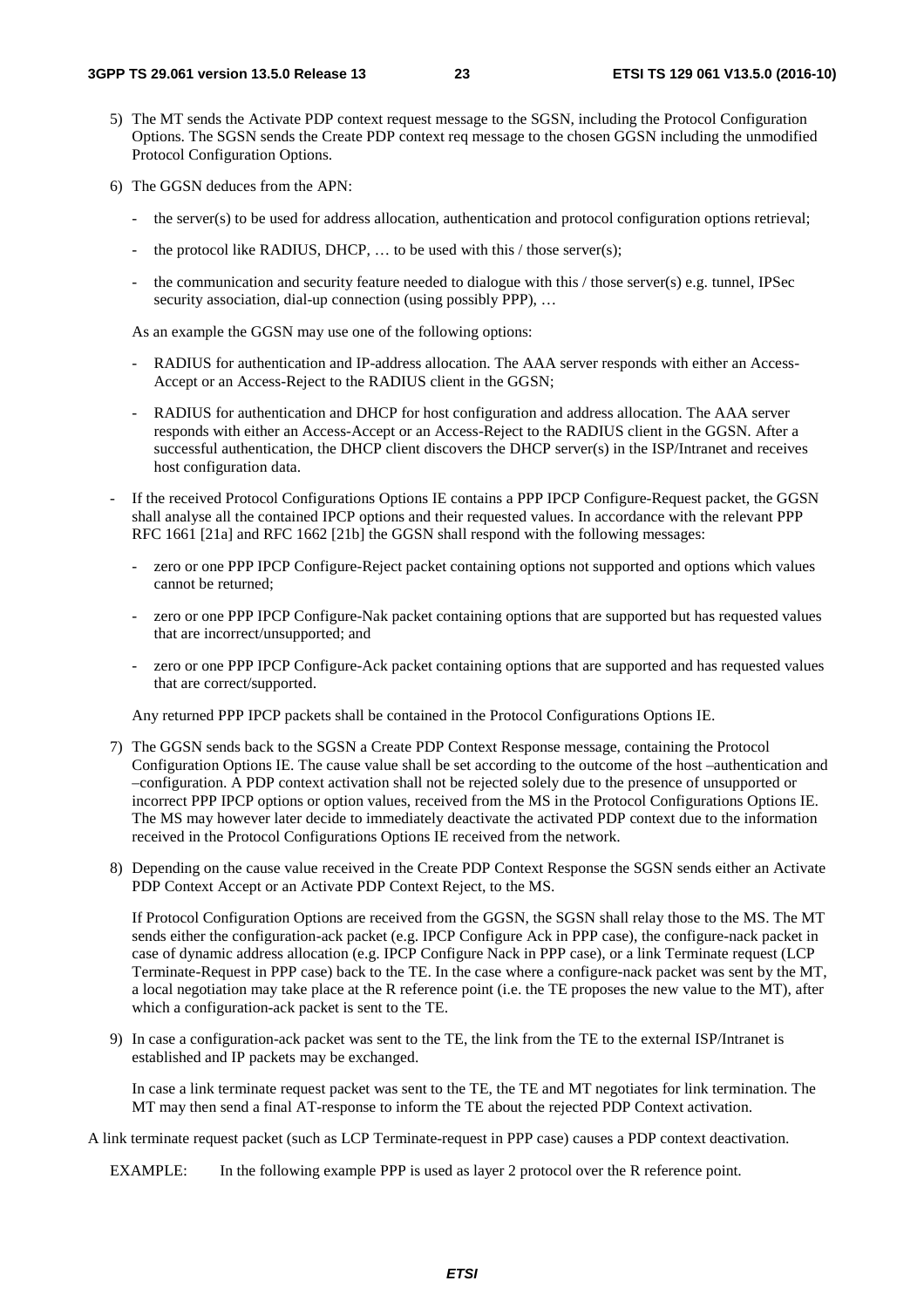- 5) The MT sends the Activate PDP context request message to the SGSN, including the Protocol Configuration Options. The SGSN sends the Create PDP context req message to the chosen GGSN including the unmodified Protocol Configuration Options.
- 6) The GGSN deduces from the APN:
	- the server(s) to be used for address allocation, authentication and protocol configuration options retrieval;
	- the protocol like RADIUS, DHCP, ... to be used with this  $\ell$  those server(s);
	- the communication and security feature needed to dialogue with this / those server(s) e.g. tunnel, IPSec security association, dial-up connection (using possibly PPP), ...

As an example the GGSN may use one of the following options:

- RADIUS for authentication and IP-address allocation. The AAA server responds with either an Access-Accept or an Access-Reject to the RADIUS client in the GGSN;
- RADIUS for authentication and DHCP for host configuration and address allocation. The AAA server responds with either an Access-Accept or an Access-Reject to the RADIUS client in the GGSN. After a successful authentication, the DHCP client discovers the DHCP server(s) in the ISP/Intranet and receives host configuration data.
- If the received Protocol Configurations Options IE contains a PPP IPCP Configure-Request packet, the GGSN shall analyse all the contained IPCP options and their requested values. In accordance with the relevant PPP RFC 1661 [21a] and RFC 1662 [21b] the GGSN shall respond with the following messages:
	- zero or one PPP IPCP Configure-Reject packet containing options not supported and options which values cannot be returned;
	- zero or one PPP IPCP Configure-Nak packet containing options that are supported but has requested values that are incorrect/unsupported; and
	- zero or one PPP IPCP Configure-Ack packet containing options that are supported and has requested values that are correct/supported.

Any returned PPP IPCP packets shall be contained in the Protocol Configurations Options IE.

- 7) The GGSN sends back to the SGSN a Create PDP Context Response message, containing the Protocol Configuration Options IE. The cause value shall be set according to the outcome of the host –authentication and –configuration. A PDP context activation shall not be rejected solely due to the presence of unsupported or incorrect PPP IPCP options or option values, received from the MS in the Protocol Configurations Options IE. The MS may however later decide to immediately deactivate the activated PDP context due to the information received in the Protocol Configurations Options IE received from the network.
- 8) Depending on the cause value received in the Create PDP Context Response the SGSN sends either an Activate PDP Context Accept or an Activate PDP Context Reject, to the MS.

 If Protocol Configuration Options are received from the GGSN, the SGSN shall relay those to the MS. The MT sends either the configuration-ack packet (e.g. IPCP Configure Ack in PPP case), the configure-nack packet in case of dynamic address allocation (e.g. IPCP Configure Nack in PPP case), or a link Terminate request (LCP Terminate-Request in PPP case) back to the TE. In the case where a configure-nack packet was sent by the MT, a local negotiation may take place at the R reference point (i.e. the TE proposes the new value to the MT), after which a configuration-ack packet is sent to the TE.

9) In case a configuration-ack packet was sent to the TE, the link from the TE to the external ISP/Intranet is established and IP packets may be exchanged.

 In case a link terminate request packet was sent to the TE, the TE and MT negotiates for link termination. The MT may then send a final AT-response to inform the TE about the rejected PDP Context activation.

A link terminate request packet (such as LCP Terminate-request in PPP case) causes a PDP context deactivation.

EXAMPLE: In the following example PPP is used as layer 2 protocol over the R reference point.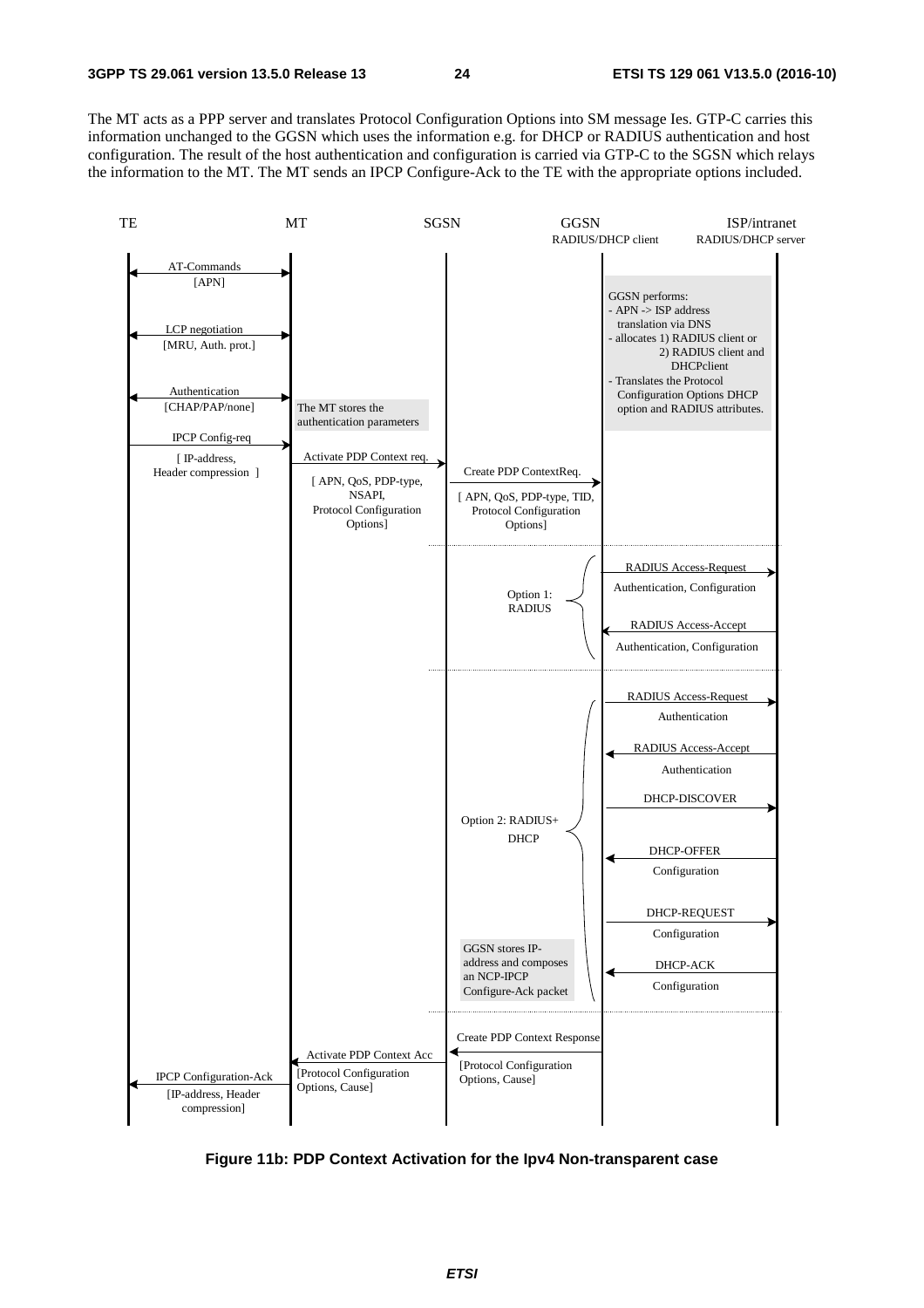The MT acts as a PPP server and translates Protocol Configuration Options into SM message Ies. GTP-C carries this information unchanged to the GGSN which uses the information e.g. for DHCP or RADIUS authentication and host configuration. The result of the host authentication and configuration is carried via GTP-C to the SGSN which relays the information to the MT. The MT sends an IPCP Configure-Ack to the TE with the appropriate options included.



**Figure 11b: PDP Context Activation for the Ipv4 Non-transparent case**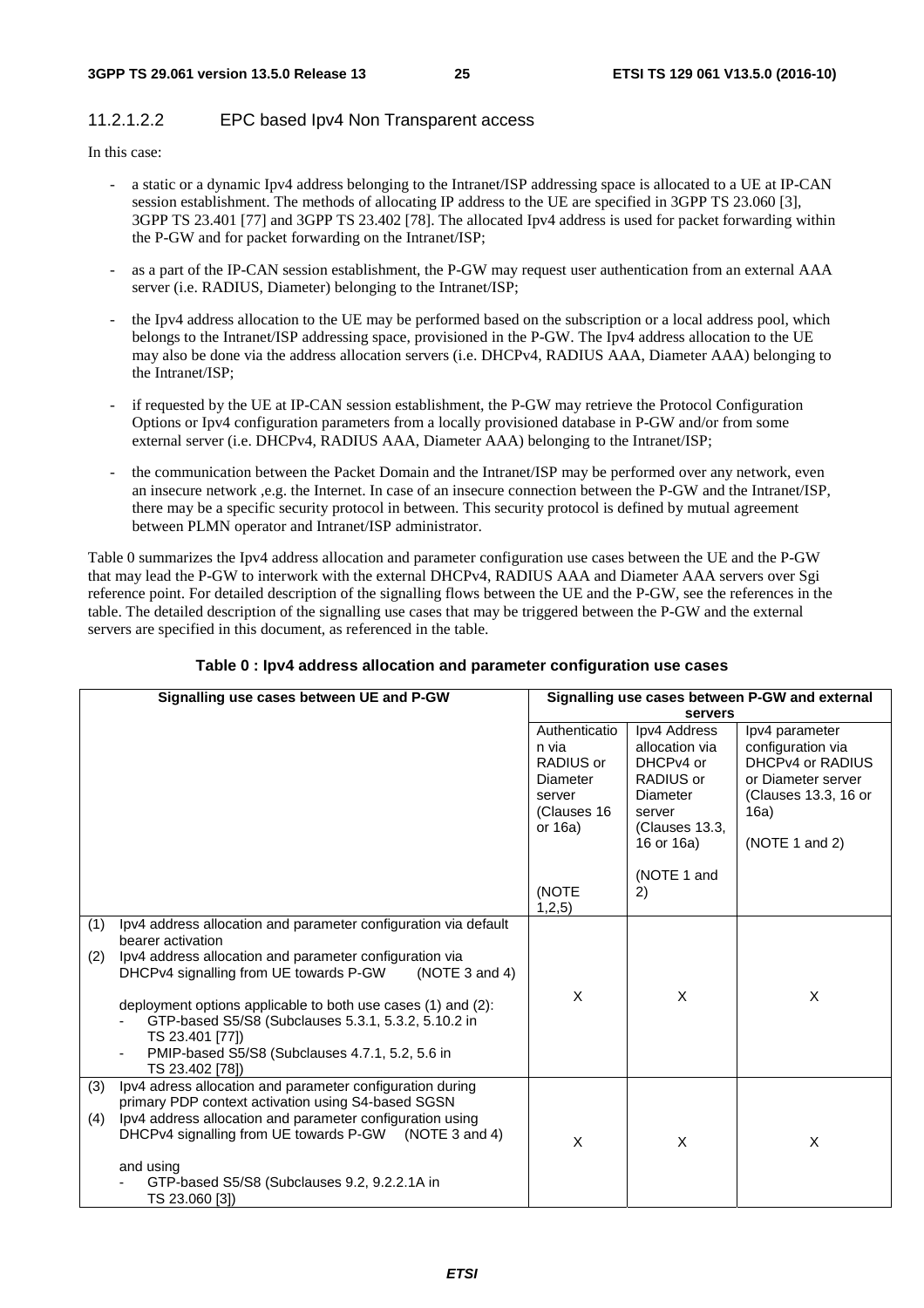### 11.2.1.2.2 EPC based Ipv4 Non Transparent access

In this case:

- a static or a dynamic Ipv4 address belonging to the Intranet/ISP addressing space is allocated to a UE at IP-CAN session establishment. The methods of allocating IP address to the UE are specified in 3GPP TS 23.060 [3], 3GPP TS 23.401 [77] and 3GPP TS 23.402 [78]. The allocated Ipv4 address is used for packet forwarding within the P-GW and for packet forwarding on the Intranet/ISP;
- as a part of the IP-CAN session establishment, the P-GW may request user authentication from an external AAA server (i.e. RADIUS, Diameter) belonging to the Intranet/ISP;
- the Ipv4 address allocation to the UE may be performed based on the subscription or a local address pool, which belongs to the Intranet/ISP addressing space, provisioned in the P-GW. The Ipv4 address allocation to the UE may also be done via the address allocation servers (i.e. DHCPv4, RADIUS AAA, Diameter AAA) belonging to the Intranet/ISP;
- if requested by the UE at IP-CAN session establishment, the P-GW may retrieve the Protocol Configuration Options or Ipv4 configuration parameters from a locally provisioned database in P-GW and/or from some external server (i.e. DHCPv4, RADIUS AAA, Diameter AAA) belonging to the Intranet/ISP;
- the communication between the Packet Domain and the Intranet/ISP may be performed over any network, even an insecure network ,e.g. the Internet. In case of an insecure connection between the P-GW and the Intranet/ISP, there may be a specific security protocol in between. This security protocol is defined by mutual agreement between PLMN operator and Intranet/ISP administrator.

Table 0 summarizes the Ipv4 address allocation and parameter configuration use cases between the UE and the P-GW that may lead the P-GW to interwork with the external DHCPv4, RADIUS AAA and Diameter AAA servers over Sgi reference point. For detailed description of the signalling flows between the UE and the P-GW, see the references in the table. The detailed description of the signalling use cases that may be triggered between the P-GW and the external servers are specified in this document, as referenced in the table.

|            | Signalling use cases between UE and P-GW                                                                                                                                                                                                                                                                                                                                                                                    | Signalling use cases between P-GW and external                                                |                                                                                                                |                                                                                                                                 |
|------------|-----------------------------------------------------------------------------------------------------------------------------------------------------------------------------------------------------------------------------------------------------------------------------------------------------------------------------------------------------------------------------------------------------------------------------|-----------------------------------------------------------------------------------------------|----------------------------------------------------------------------------------------------------------------|---------------------------------------------------------------------------------------------------------------------------------|
|            |                                                                                                                                                                                                                                                                                                                                                                                                                             |                                                                                               | servers                                                                                                        |                                                                                                                                 |
|            |                                                                                                                                                                                                                                                                                                                                                                                                                             | Authenticatio<br>n via<br>RADIUS or<br><b>Diameter</b><br>server<br>(Clauses 16<br>or $16a$ ) | Ipv4 Address<br>allocation via<br>DHCPv4 or<br>RADIUS or<br>Diameter<br>server<br>(Clauses 13.3,<br>16 or 16a) | lpv4 parameter<br>configuration via<br>DHCPv4 or RADIUS<br>or Diameter server<br>(Clauses 13.3, 16 or<br>16a)<br>(NOTE 1 and 2) |
|            |                                                                                                                                                                                                                                                                                                                                                                                                                             | (NOTE<br>1,2,5)                                                                               | (NOTE 1 and<br>2)                                                                                              |                                                                                                                                 |
| (1)<br>(2) | Ipv4 address allocation and parameter configuration via default<br>bearer activation<br>Ipv4 address allocation and parameter configuration via<br>DHCPv4 signalling from UE towards P-GW<br>(NOTE 3 and 4)<br>deployment options applicable to both use cases (1) and (2):<br>GTP-based S5/S8 (Subclauses 5.3.1, 5.3.2, 5.10.2 in<br>TS 23.401 [77])<br>PMIP-based S5/S8 (Subclauses 4.7.1, 5.2, 5.6 in<br>TS 23.402 [78]) | X                                                                                             | X                                                                                                              | X                                                                                                                               |
| (3)<br>(4) | Ipv4 adress allocation and parameter configuration during<br>primary PDP context activation using S4-based SGSN<br>Ipv4 address allocation and parameter configuration using<br>DHCPv4 signalling from UE towards P-GW (NOTE 3 and 4)<br>and using                                                                                                                                                                          | X                                                                                             | X                                                                                                              | X                                                                                                                               |
|            | GTP-based S5/S8 (Subclauses 9.2, 9.2.2.1A in<br>TS 23.060 [3])                                                                                                                                                                                                                                                                                                                                                              |                                                                                               |                                                                                                                |                                                                                                                                 |

### **Table 0 : Ipv4 address allocation and parameter configuration use cases**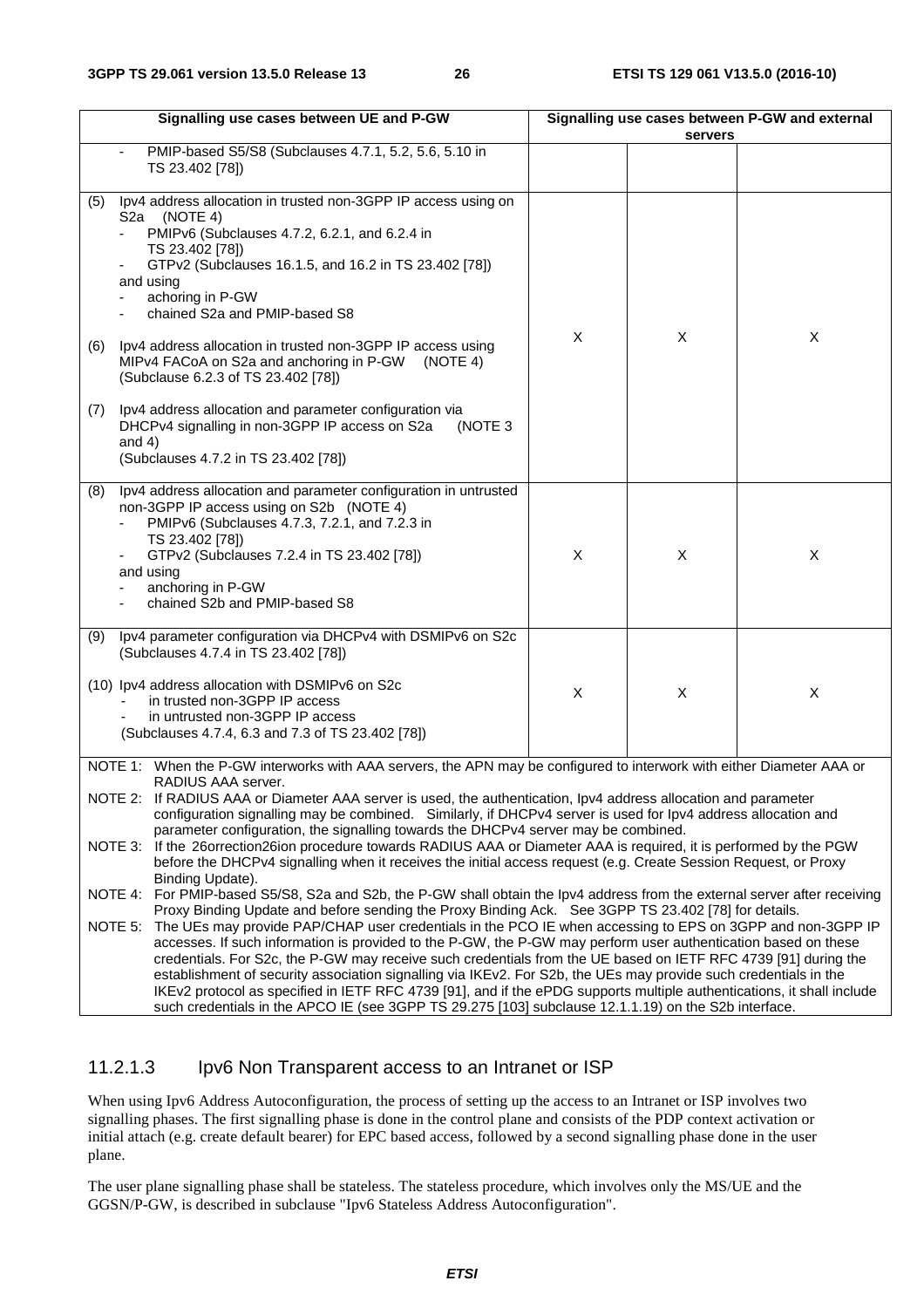| Signalling use cases between UE and P-GW                                                                                                                                                                                                                                                                                                                                        | Signalling use cases between P-GW and external |         |                           |  |
|---------------------------------------------------------------------------------------------------------------------------------------------------------------------------------------------------------------------------------------------------------------------------------------------------------------------------------------------------------------------------------|------------------------------------------------|---------|---------------------------|--|
|                                                                                                                                                                                                                                                                                                                                                                                 |                                                | servers |                           |  |
| PMIP-based S5/S8 (Subclauses 4.7.1, 5.2, 5.6, 5.10 in<br>TS 23.402 [78])                                                                                                                                                                                                                                                                                                        |                                                |         |                           |  |
| Ipv4 address allocation in trusted non-3GPP IP access using on<br>(5)<br>S2a (NOTE 4)<br>PMIPv6 (Subclauses 4.7.2, 6.2.1, and 6.2.4 in<br>TS 23.402 [78])<br>GTPv2 (Subclauses 16.1.5, and 16.2 in TS 23.402 [78])<br>and using<br>achoring in P-GW<br>chained S2a and PMIP-based S8                                                                                            | X                                              | X       | X                         |  |
| Ipv4 address allocation in trusted non-3GPP IP access using<br>(6)<br>MIPv4 FACoA on S2a and anchoring in P-GW<br>(NOTE 4)<br>(Subclause 6.2.3 of TS 23.402 [78])                                                                                                                                                                                                               |                                                |         |                           |  |
| Ipv4 address allocation and parameter configuration via<br>(7)<br>DHCPv4 signalling in non-3GPP IP access on S2a<br>(NOTE 3<br>and $4)$<br>(Subclauses 4.7.2 in TS 23.402 [78])                                                                                                                                                                                                 |                                                |         |                           |  |
| Ipv4 address allocation and parameter configuration in untrusted<br>(8)<br>non-3GPP IP access using on S2b (NOTE 4)<br>PMIPv6 (Subclauses 4.7.3, 7.2.1, and 7.2.3 in<br>TS 23.402 [78])<br>GTPv2 (Subclauses 7.2.4 in TS 23.402 [78])<br>and using<br>anchoring in P-GW<br>chained S2b and PMIP-based S8                                                                        | X                                              | X       | X                         |  |
| Ipv4 parameter configuration via DHCPv4 with DSMIPv6 on S2c<br>(9)<br>(Subclauses 4.7.4 in TS 23.402 [78])<br>(10) Ipv4 address allocation with DSMIPv6 on S2c<br>in trusted non-3GPP IP access<br>in untrusted non-3GPP IP access<br>(Subclauses 4.7.4, 6.3 and 7.3 of TS 23.402 [78])                                                                                         | X                                              | X       | $\boldsymbol{\mathsf{X}}$ |  |
| NOTE 1: When the P-GW interworks with AAA servers, the APN may be configured to interwork with either Diameter AAA or<br>RADIUS AAA server.<br>NOTE 2: If RADIUS AAA or Diameter AAA server is used, the authentication, Ipv4 address allocation and parameter<br>configuration signalling may be combined. Similarly, if DHCPv4 server is used for lpv4 address allocation and |                                                |         |                           |  |
| parameter configuration, the signalling towards the DHCPv4 server may be combined.<br>NOTE 3: If the 26orrection26ion procedure towards RADIUS AAA or Diameter AAA is required, it is performed by the PGW<br>before the DHCPv4 signalling when it receives the initial access request (e.g. Create Session Request, or Proxy<br>Binding Update).                               |                                                |         |                           |  |
| NOTE 4: For PMIP-based S5/S8, S2a and S2b, the P-GW shall obtain the lpv4 address from the external server after receiving                                                                                                                                                                                                                                                      |                                                |         |                           |  |

Proxy Binding Update and before sending the Proxy Binding Ack. See 3GPP TS 23.402 [78] for details. NOTE 5: The UEs may provide PAP/CHAP user credentials in the PCO IE when accessing to EPS on 3GPP and non-3GPP IP accesses. If such information is provided to the P-GW, the P-GW may perform user authentication based on these credentials. For S2c, the P-GW may receive such credentials from the UE based on IETF RFC 4739 [91] during the establishment of security association signalling via IKEv2. For S2b, the UEs may provide such credentials in the IKEv2 protocol as specified in IETF RFC 4739 [91], and if the ePDG supports multiple authentications, it shall include such credentials in the APCO IE (see 3GPP TS 29.275 [103] subclause 12.1.1.19) on the S2b interface.

### 11.2.1.3 Ipv6 Non Transparent access to an Intranet or ISP

When using Ipv6 Address Autoconfiguration, the process of setting up the access to an Intranet or ISP involves two signalling phases. The first signalling phase is done in the control plane and consists of the PDP context activation or initial attach (e.g. create default bearer) for EPC based access, followed by a second signalling phase done in the user plane.

The user plane signalling phase shall be stateless. The stateless procedure, which involves only the MS/UE and the GGSN/P-GW, is described in subclause "Ipv6 Stateless Address Autoconfiguration".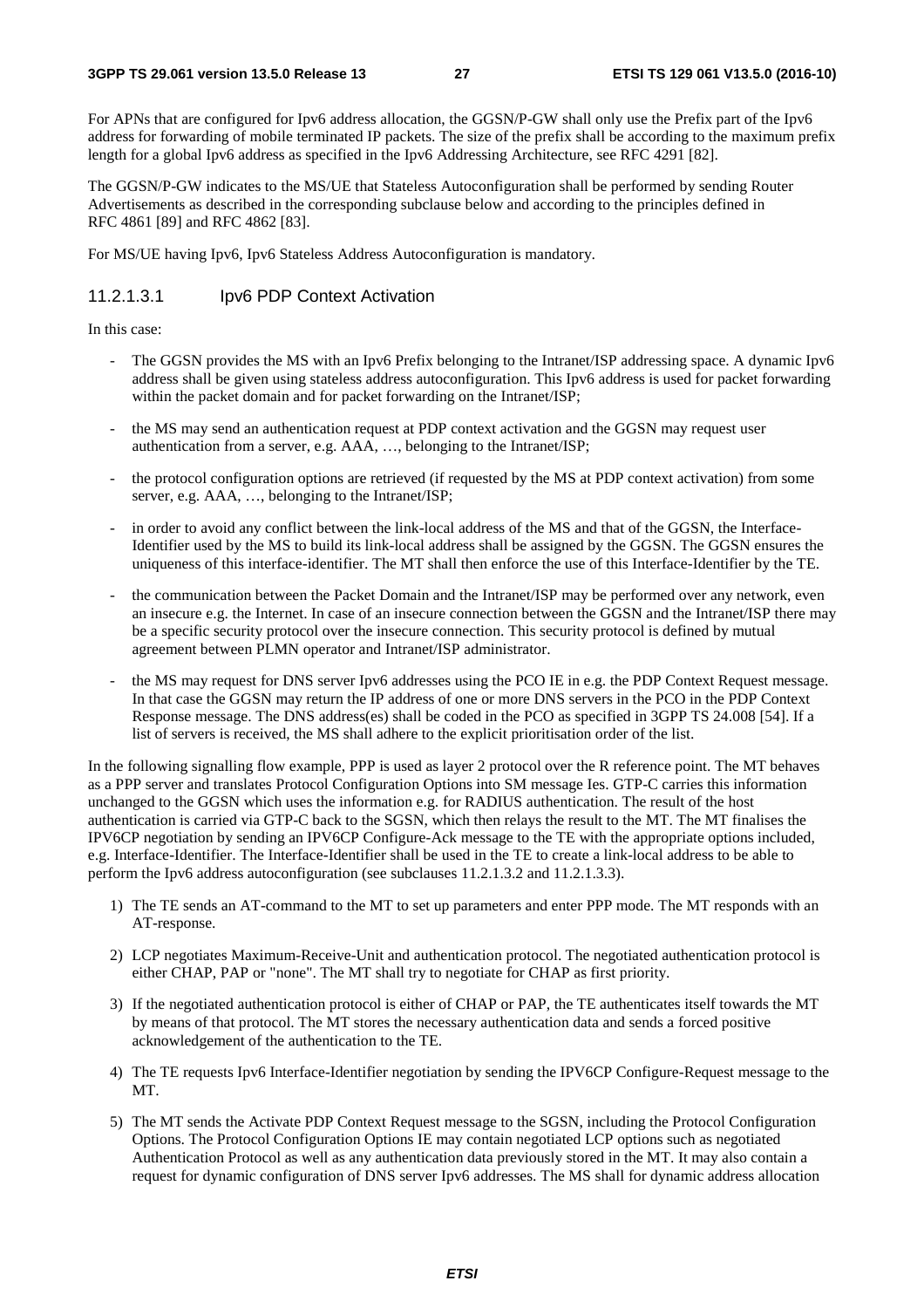For APNs that are configured for Ipv6 address allocation, the GGSN/P-GW shall only use the Prefix part of the Ipv6 address for forwarding of mobile terminated IP packets. The size of the prefix shall be according to the maximum prefix length for a global Ipv6 address as specified in the Ipv6 Addressing Architecture, see RFC 4291 [82].

The GGSN/P-GW indicates to the MS/UE that Stateless Autoconfiguration shall be performed by sending Router Advertisements as described in the corresponding subclause below and according to the principles defined in RFC 4861 [89] and RFC 4862 [83].

For MS/UE having Ipv6, Ipv6 Stateless Address Autoconfiguration is mandatory.

#### 11.2.1.3.1 Ipv6 PDP Context Activation

In this case:

- The GGSN provides the MS with an Ipv6 Prefix belonging to the Intranet/ISP addressing space. A dynamic Ipv6 address shall be given using stateless address autoconfiguration. This Ipv6 address is used for packet forwarding within the packet domain and for packet forwarding on the Intranet/ISP;
- the MS may send an authentication request at PDP context activation and the GGSN may request user authentication from a server, e.g. AAA, …, belonging to the Intranet/ISP;
- the protocol configuration options are retrieved (if requested by the MS at PDP context activation) from some server, e.g. AAA, …, belonging to the Intranet/ISP;
- in order to avoid any conflict between the link-local address of the MS and that of the GGSN, the Interface-Identifier used by the MS to build its link-local address shall be assigned by the GGSN. The GGSN ensures the uniqueness of this interface-identifier. The MT shall then enforce the use of this Interface-Identifier by the TE.
- the communication between the Packet Domain and the Intranet/ISP may be performed over any network, even an insecure e.g. the Internet. In case of an insecure connection between the GGSN and the Intranet/ISP there may be a specific security protocol over the insecure connection. This security protocol is defined by mutual agreement between PLMN operator and Intranet/ISP administrator.
- the MS may request for DNS server Ipv6 addresses using the PCO IE in e.g. the PDP Context Request message. In that case the GGSN may return the IP address of one or more DNS servers in the PCO in the PDP Context Response message. The DNS address(es) shall be coded in the PCO as specified in 3GPP TS 24.008 [54]. If a list of servers is received, the MS shall adhere to the explicit prioritisation order of the list.

In the following signalling flow example, PPP is used as layer 2 protocol over the R reference point. The MT behaves as a PPP server and translates Protocol Configuration Options into SM message Ies. GTP-C carries this information unchanged to the GGSN which uses the information e.g. for RADIUS authentication. The result of the host authentication is carried via GTP-C back to the SGSN, which then relays the result to the MT. The MT finalises the IPV6CP negotiation by sending an IPV6CP Configure-Ack message to the TE with the appropriate options included, e.g. Interface-Identifier. The Interface-Identifier shall be used in the TE to create a link-local address to be able to perform the Ipv6 address autoconfiguration (see subclauses 11.2.1.3.2 and 11.2.1.3.3).

- 1) The TE sends an AT-command to the MT to set up parameters and enter PPP mode. The MT responds with an AT-response.
- 2) LCP negotiates Maximum-Receive-Unit and authentication protocol. The negotiated authentication protocol is either CHAP, PAP or "none". The MT shall try to negotiate for CHAP as first priority.
- 3) If the negotiated authentication protocol is either of CHAP or PAP, the TE authenticates itself towards the MT by means of that protocol. The MT stores the necessary authentication data and sends a forced positive acknowledgement of the authentication to the TE.
- 4) The TE requests Ipv6 Interface-Identifier negotiation by sending the IPV6CP Configure-Request message to the MT.
- 5) The MT sends the Activate PDP Context Request message to the SGSN, including the Protocol Configuration Options. The Protocol Configuration Options IE may contain negotiated LCP options such as negotiated Authentication Protocol as well as any authentication data previously stored in the MT. It may also contain a request for dynamic configuration of DNS server Ipv6 addresses. The MS shall for dynamic address allocation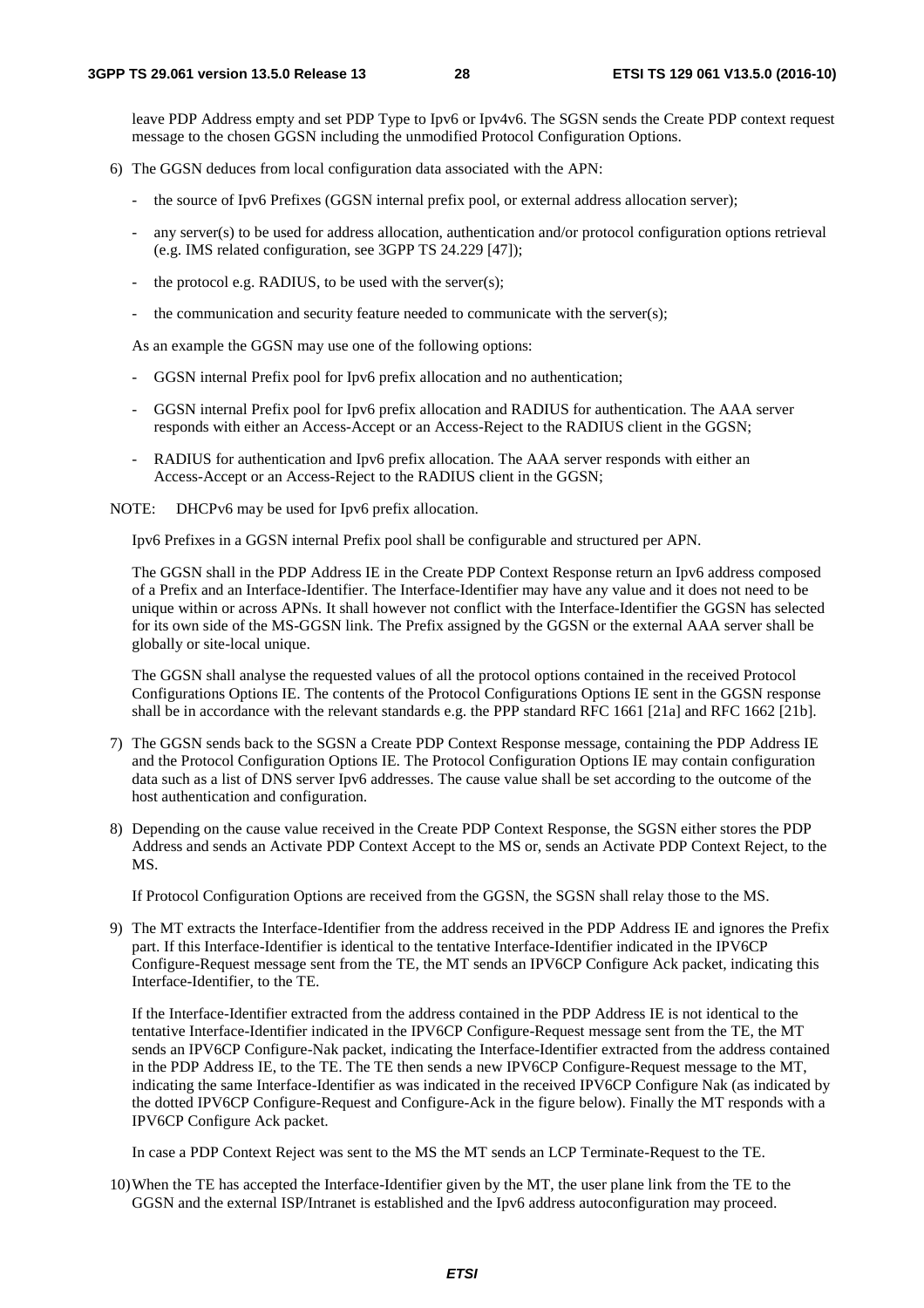leave PDP Address empty and set PDP Type to Ipv6 or Ipv4v6. The SGSN sends the Create PDP context request message to the chosen GGSN including the unmodified Protocol Configuration Options.

- 6) The GGSN deduces from local configuration data associated with the APN:
	- the source of Ipv6 Prefixes (GGSN internal prefix pool, or external address allocation server);
	- any server(s) to be used for address allocation, authentication and/or protocol configuration options retrieval (e.g. IMS related configuration, see 3GPP TS 24.229 [47]);
	- the protocol e.g. RADIUS, to be used with the server(s);
	- the communication and security feature needed to communicate with the server(s);

As an example the GGSN may use one of the following options:

- GGSN internal Prefix pool for Ipv6 prefix allocation and no authentication;
- GGSN internal Prefix pool for Ipv6 prefix allocation and RADIUS for authentication. The AAA server responds with either an Access-Accept or an Access-Reject to the RADIUS client in the GGSN;
- RADIUS for authentication and Ipv6 prefix allocation. The AAA server responds with either an Access-Accept or an Access-Reject to the RADIUS client in the GGSN;

NOTE: DHCPv6 may be used for Ipv6 prefix allocation.

Ipv6 Prefixes in a GGSN internal Prefix pool shall be configurable and structured per APN.

 The GGSN shall in the PDP Address IE in the Create PDP Context Response return an Ipv6 address composed of a Prefix and an Interface-Identifier. The Interface-Identifier may have any value and it does not need to be unique within or across APNs. It shall however not conflict with the Interface-Identifier the GGSN has selected for its own side of the MS-GGSN link. The Prefix assigned by the GGSN or the external AAA server shall be globally or site-local unique.

 The GGSN shall analyse the requested values of all the protocol options contained in the received Protocol Configurations Options IE. The contents of the Protocol Configurations Options IE sent in the GGSN response shall be in accordance with the relevant standards e.g. the PPP standard RFC 1661 [21a] and RFC 1662 [21b].

- 7) The GGSN sends back to the SGSN a Create PDP Context Response message, containing the PDP Address IE and the Protocol Configuration Options IE. The Protocol Configuration Options IE may contain configuration data such as a list of DNS server Ipv6 addresses. The cause value shall be set according to the outcome of the host authentication and configuration.
- 8) Depending on the cause value received in the Create PDP Context Response, the SGSN either stores the PDP Address and sends an Activate PDP Context Accept to the MS or, sends an Activate PDP Context Reject, to the MS.

If Protocol Configuration Options are received from the GGSN, the SGSN shall relay those to the MS.

9) The MT extracts the Interface-Identifier from the address received in the PDP Address IE and ignores the Prefix part. If this Interface-Identifier is identical to the tentative Interface-Identifier indicated in the IPV6CP Configure-Request message sent from the TE, the MT sends an IPV6CP Configure Ack packet, indicating this Interface-Identifier, to the TE.

 If the Interface-Identifier extracted from the address contained in the PDP Address IE is not identical to the tentative Interface-Identifier indicated in the IPV6CP Configure-Request message sent from the TE, the MT sends an IPV6CP Configure-Nak packet, indicating the Interface-Identifier extracted from the address contained in the PDP Address IE, to the TE. The TE then sends a new IPV6CP Configure-Request message to the MT, indicating the same Interface-Identifier as was indicated in the received IPV6CP Configure Nak (as indicated by the dotted IPV6CP Configure-Request and Configure-Ack in the figure below). Finally the MT responds with a IPV6CP Configure Ack packet.

In case a PDP Context Reject was sent to the MS the MT sends an LCP Terminate-Request to the TE.

10) When the TE has accepted the Interface-Identifier given by the MT, the user plane link from the TE to the GGSN and the external ISP/Intranet is established and the Ipv6 address autoconfiguration may proceed.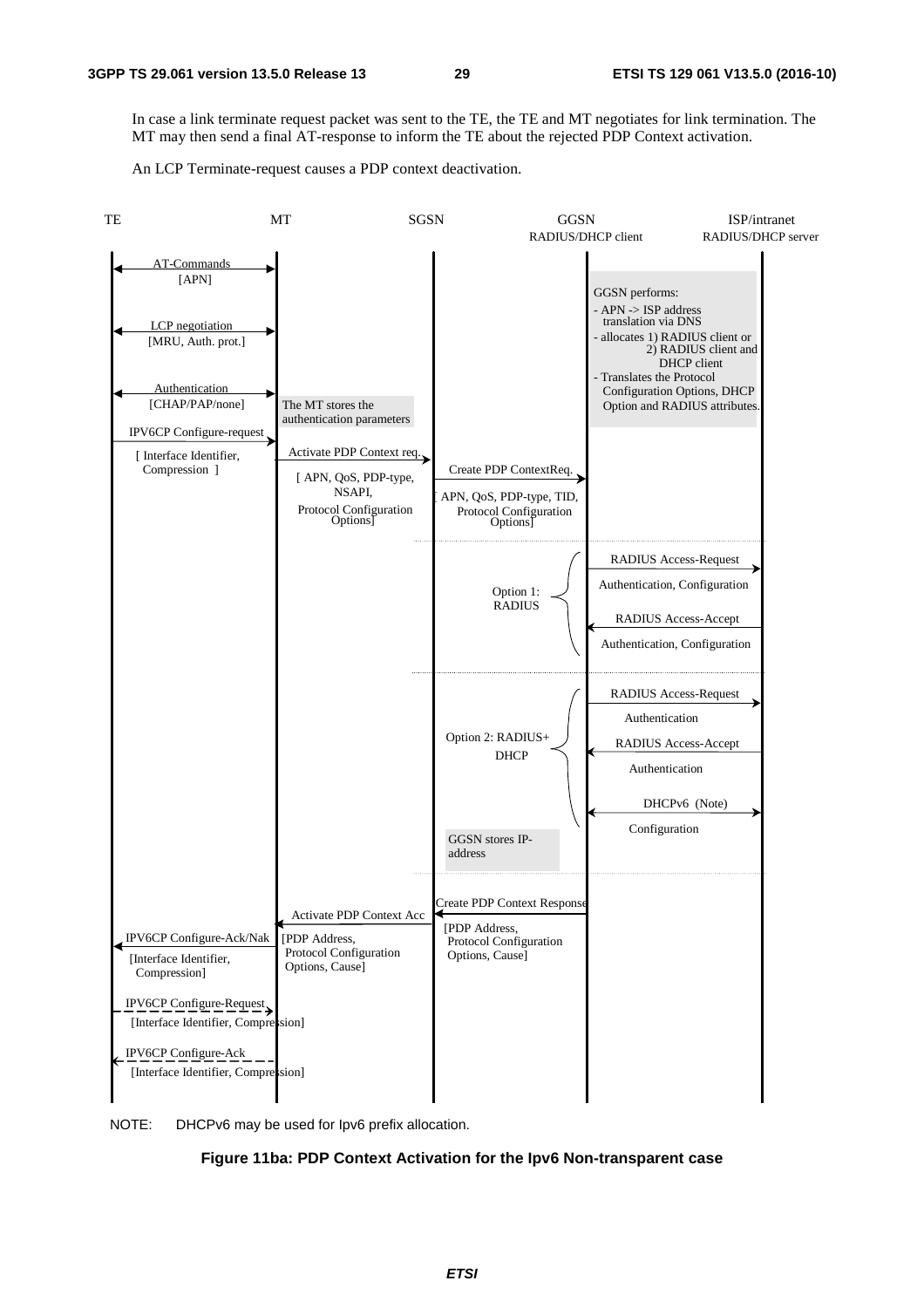In case a link terminate request packet was sent to the TE, the TE and MT negotiates for link termination. The MT may then send a final AT-response to inform the TE about the rejected PDP Context activation.

An LCP Terminate-request causes a PDP context deactivation.



NOTE: DHCPv6 may be used for Ipv6 prefix allocation.

#### **Figure 11ba: PDP Context Activation for the Ipv6 Non-transparent case**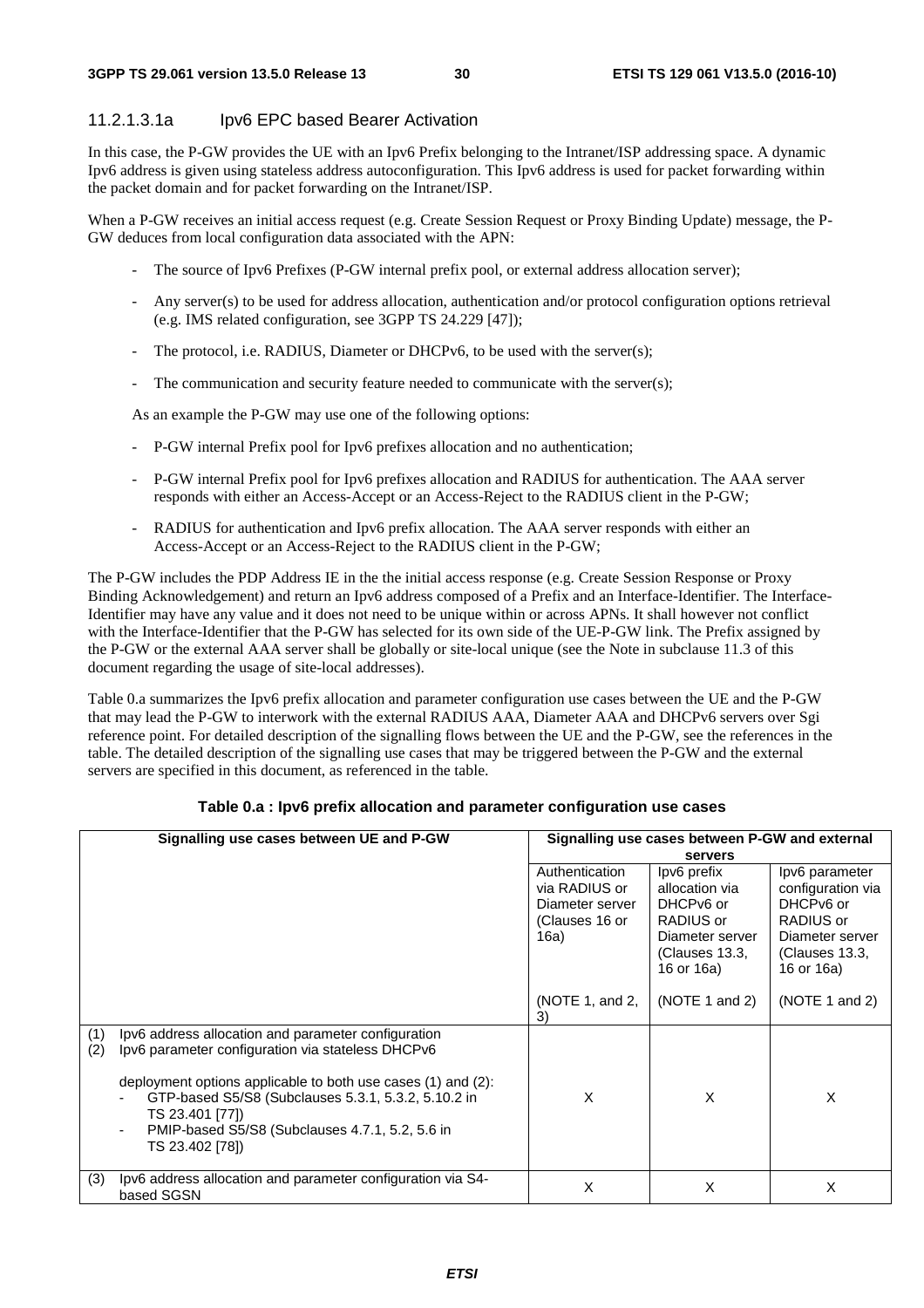#### 11.2.1.3.1a Ipv6 EPC based Bearer Activation

In this case, the P-GW provides the UE with an Ipv6 Prefix belonging to the Intranet/ISP addressing space. A dynamic Ipv6 address is given using stateless address autoconfiguration. This Ipv6 address is used for packet forwarding within the packet domain and for packet forwarding on the Intranet/ISP.

When a P-GW receives an initial access request (e.g. Create Session Request or Proxy Binding Update) message, the P-GW deduces from local configuration data associated with the APN:

- The source of Ipv6 Prefixes (P-GW internal prefix pool, or external address allocation server);
- Any server(s) to be used for address allocation, authentication and/or protocol configuration options retrieval (e.g. IMS related configuration, see 3GPP TS 24.229 [47]);
- The protocol, i.e. RADIUS, Diameter or DHCPv6, to be used with the server(s);
- The communication and security feature needed to communicate with the server(s);

As an example the P-GW may use one of the following options:

- P-GW internal Prefix pool for Ipv6 prefixes allocation and no authentication;
- P-GW internal Prefix pool for Ipv6 prefixes allocation and RADIUS for authentication. The AAA server responds with either an Access-Accept or an Access-Reject to the RADIUS client in the P-GW;
- RADIUS for authentication and Ipv6 prefix allocation. The AAA server responds with either an Access-Accept or an Access-Reject to the RADIUS client in the P-GW;

The P-GW includes the PDP Address IE in the the initial access response (e.g. Create Session Response or Proxy Binding Acknowledgement) and return an Ipv6 address composed of a Prefix and an Interface-Identifier. The Interface-Identifier may have any value and it does not need to be unique within or across APNs. It shall however not conflict with the Interface-Identifier that the P-GW has selected for its own side of the UE-P-GW link. The Prefix assigned by the P-GW or the external AAA server shall be globally or site-local unique (see the Note in subclause 11.3 of this document regarding the usage of site-local addresses).

Table 0.a summarizes the Ipv6 prefix allocation and parameter configuration use cases between the UE and the P-GW that may lead the P-GW to interwork with the external RADIUS AAA, Diameter AAA and DHCPv6 servers over Sgi reference point. For detailed description of the signalling flows between the UE and the P-GW, see the references in the table. The detailed description of the signalling use cases that may be triggered between the P-GW and the external servers are specified in this document, as referenced in the table.

| Signalling use cases between UE and P-GW |                                                                                                                                                                                                                                                                                                                          | Signalling use cases between P-GW and external<br>servers                    |                                                                                                            |                                                                                                                  |
|------------------------------------------|--------------------------------------------------------------------------------------------------------------------------------------------------------------------------------------------------------------------------------------------------------------------------------------------------------------------------|------------------------------------------------------------------------------|------------------------------------------------------------------------------------------------------------|------------------------------------------------------------------------------------------------------------------|
|                                          |                                                                                                                                                                                                                                                                                                                          | Authentication<br>via RADIUS or<br>Diameter server<br>(Clauses 16 or<br>16a) | Ipv6 prefix<br>allocation via<br>DHCPv6 or<br>RADIUS or<br>Diameter server<br>(Clauses 13.3,<br>16 or 16a) | lpv6 parameter<br>configuration via<br>DHCPv6 or<br>RADIUS or<br>Diameter server<br>(Clauses 13.3,<br>16 or 16a) |
|                                          |                                                                                                                                                                                                                                                                                                                          | (NOTE 1, and 2,<br>3)                                                        | (NOTE 1 and 2)                                                                                             | (NOTE 1 and 2)                                                                                                   |
| (1)<br>(2)                               | lpv6 address allocation and parameter configuration<br>lpv6 parameter configuration via stateless DHCPv6<br>deployment options applicable to both use cases (1) and (2):<br>GTP-based S5/S8 (Subclauses 5.3.1, 5.3.2, 5.10.2 in<br>TS 23.401 [77])<br>PMIP-based S5/S8 (Subclauses 4.7.1, 5.2, 5.6 in<br>TS 23.402 [78]) | X                                                                            | X                                                                                                          | X                                                                                                                |
| (3)                                      | lpv6 address allocation and parameter configuration via S4-<br>based SGSN                                                                                                                                                                                                                                                | X                                                                            | X                                                                                                          | X                                                                                                                |

#### **Table 0.a : Ipv6 prefix allocation and parameter configuration use cases**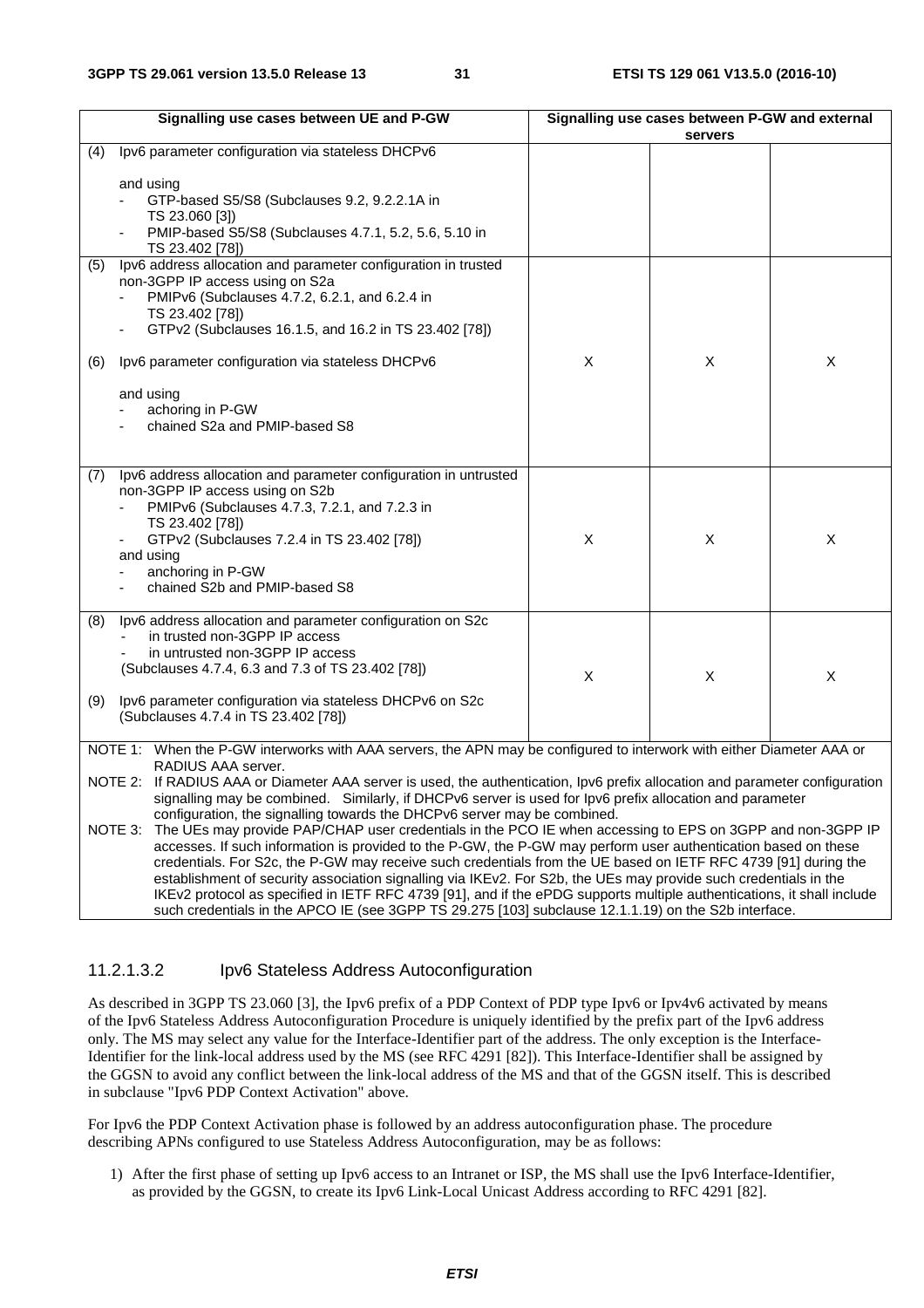| Signalling use cases between UE and P-GW                                                                                                                                                                                                                                                                                                              |                                                                                                                                                                                                                                                                                          | Signalling use cases between P-GW and external |                |                |
|-------------------------------------------------------------------------------------------------------------------------------------------------------------------------------------------------------------------------------------------------------------------------------------------------------------------------------------------------------|------------------------------------------------------------------------------------------------------------------------------------------------------------------------------------------------------------------------------------------------------------------------------------------|------------------------------------------------|----------------|----------------|
|                                                                                                                                                                                                                                                                                                                                                       |                                                                                                                                                                                                                                                                                          |                                                | servers        |                |
| (4)                                                                                                                                                                                                                                                                                                                                                   | Ipv6 parameter configuration via stateless DHCPv6                                                                                                                                                                                                                                        |                                                |                |                |
|                                                                                                                                                                                                                                                                                                                                                       | and using<br>GTP-based S5/S8 (Subclauses 9.2, 9.2.2.1A in<br>TS 23.060 [3])<br>PMIP-based S5/S8 (Subclauses 4.7.1, 5.2, 5.6, 5.10 in<br>TS 23.402 [78])                                                                                                                                  |                                                |                |                |
| (5)                                                                                                                                                                                                                                                                                                                                                   | Ipv6 address allocation and parameter configuration in trusted<br>non-3GPP IP access using on S2a<br>PMIPv6 (Subclauses 4.7.2, 6.2.1, and 6.2.4 in<br>TS 23.402 [78])<br>GTPv2 (Subclauses 16.1.5, and 16.2 in TS 23.402 [78])                                                           |                                                |                |                |
| (6)                                                                                                                                                                                                                                                                                                                                                   | Ipv6 parameter configuration via stateless DHCPv6                                                                                                                                                                                                                                        | $\mathsf X$                                    | $\pmb{\times}$ | $\pmb{\times}$ |
|                                                                                                                                                                                                                                                                                                                                                       | and using<br>achoring in P-GW<br>chained S2a and PMIP-based S8                                                                                                                                                                                                                           |                                                |                |                |
| (7)                                                                                                                                                                                                                                                                                                                                                   | Ipv6 address allocation and parameter configuration in untrusted<br>non-3GPP IP access using on S2b<br>PMIPv6 (Subclauses 4.7.3, 7.2.1, and 7.2.3 in<br>TS 23.402 [78])<br>GTPv2 (Subclauses 7.2.4 in TS 23.402 [78])<br>and using<br>anchoring in P-GW<br>chained S2b and PMIP-based S8 | X                                              | X              | X              |
| (8)<br>(9)                                                                                                                                                                                                                                                                                                                                            | Ipv6 address allocation and parameter configuration on S2c<br>in trusted non-3GPP IP access<br>in untrusted non-3GPP IP access<br>(Subclauses 4.7.4, 6.3 and 7.3 of TS 23.402 [78])<br>Ipv6 parameter configuration via stateless DHCPv6 on S2c                                          | X                                              | X              | X              |
|                                                                                                                                                                                                                                                                                                                                                       | (Subclauses 4.7.4 in TS 23.402 [78])                                                                                                                                                                                                                                                     |                                                |                |                |
|                                                                                                                                                                                                                                                                                                                                                       | NOTE 1: When the P-GW interworks with AAA servers, the APN may be configured to interwork with either Diameter AAA or<br>RADIUS AAA server.                                                                                                                                              |                                                |                |                |
| NOTE 2: If RADIUS AAA or Diameter AAA server is used, the authentication, Ipv6 prefix allocation and parameter configuration<br>signalling may be combined. Similarly, if DHCPv6 server is used for lpv6 prefix allocation and parameter<br>configuration, the signalling towards the DHCPv6 server may be combined.                                  |                                                                                                                                                                                                                                                                                          |                                                |                |                |
| NOTE 3: The UEs may provide PAP/CHAP user credentials in the PCO IE when accessing to EPS on 3GPP and non-3GPP IP<br>accesses. If such information is provided to the P-GW, the P-GW may perform user authentication based on these<br>credentials. For S2c, the P-GW may receive such credentials from the UE based on IETF RFC 4739 [91] during the |                                                                                                                                                                                                                                                                                          |                                                |                |                |

credentials. For S2c, the P-GW may receive such credentials from the UE based on IETF RFC 4739 [91] during the establishment of security association signalling via IKEv2. For S2b, the UEs may provide such credentials in the IKEv2 protocol as specified in IETF RFC 4739 [91], and if the ePDG supports multiple authentications, it shall include such credentials in the APCO IE (see 3GPP TS 29.275 [103] subclause 12.1.1.19) on the S2b interface.

#### 11.2.1.3.2 Ipv6 Stateless Address Autoconfiguration

As described in 3GPP TS 23.060 [3], the Ipv6 prefix of a PDP Context of PDP type Ipv6 or Ipv4v6 activated by means of the Ipv6 Stateless Address Autoconfiguration Procedure is uniquely identified by the prefix part of the Ipv6 address only. The MS may select any value for the Interface-Identifier part of the address. The only exception is the Interface-Identifier for the link-local address used by the MS (see RFC 4291 [82]). This Interface-Identifier shall be assigned by the GGSN to avoid any conflict between the link-local address of the MS and that of the GGSN itself. This is described in subclause "Ipv6 PDP Context Activation" above.

For Ipv6 the PDP Context Activation phase is followed by an address autoconfiguration phase. The procedure describing APNs configured to use Stateless Address Autoconfiguration, may be as follows:

1) After the first phase of setting up Ipv6 access to an Intranet or ISP, the MS shall use the Ipv6 Interface-Identifier, as provided by the GGSN, to create its Ipv6 Link-Local Unicast Address according to RFC 4291 [82].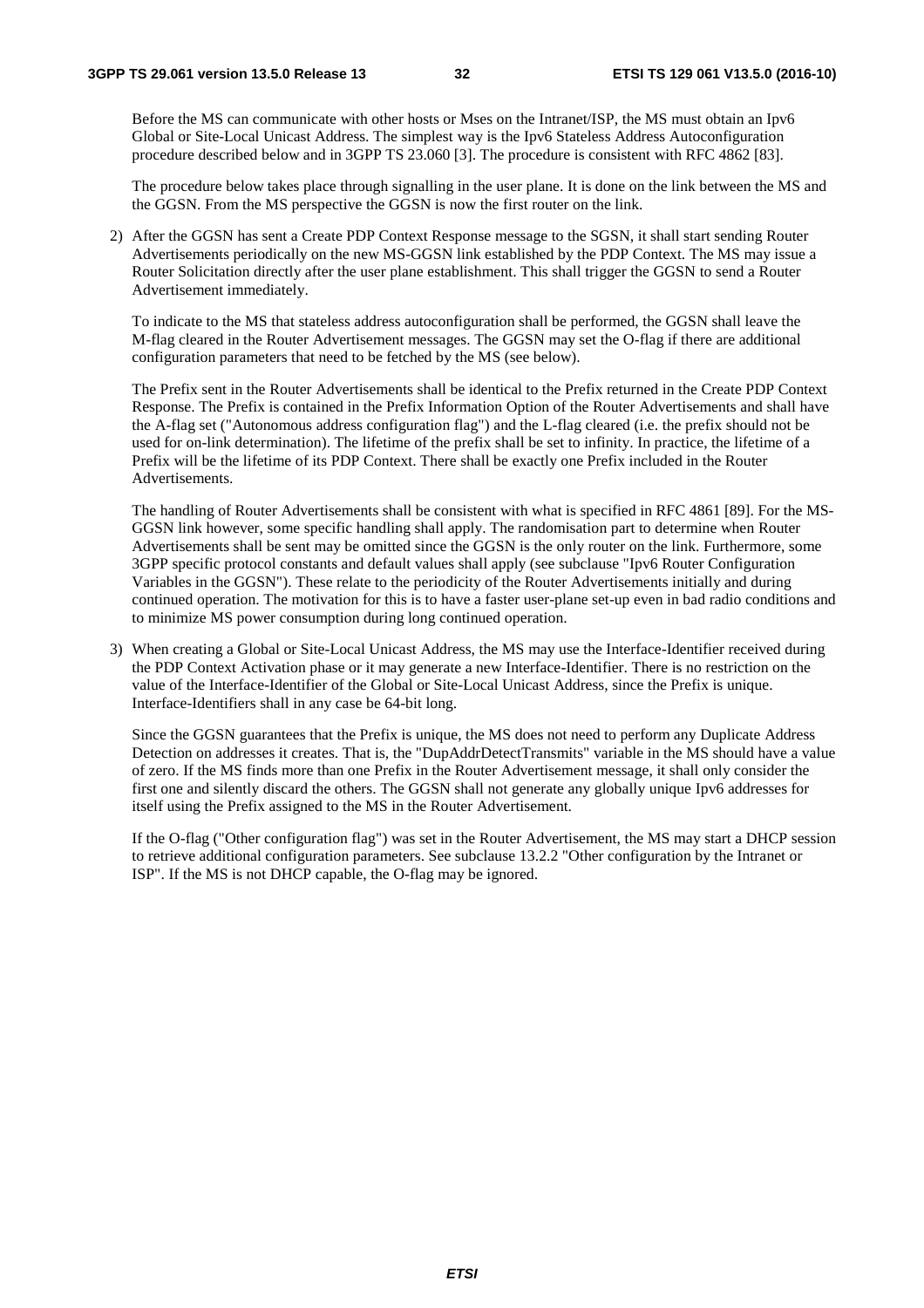Before the MS can communicate with other hosts or Mses on the Intranet/ISP, the MS must obtain an Ipv6 Global or Site-Local Unicast Address. The simplest way is the Ipv6 Stateless Address Autoconfiguration procedure described below and in 3GPP TS 23.060 [3]. The procedure is consistent with RFC 4862 [83].

 The procedure below takes place through signalling in the user plane. It is done on the link between the MS and the GGSN. From the MS perspective the GGSN is now the first router on the link.

2) After the GGSN has sent a Create PDP Context Response message to the SGSN, it shall start sending Router Advertisements periodically on the new MS-GGSN link established by the PDP Context. The MS may issue a Router Solicitation directly after the user plane establishment. This shall trigger the GGSN to send a Router Advertisement immediately.

 To indicate to the MS that stateless address autoconfiguration shall be performed, the GGSN shall leave the M-flag cleared in the Router Advertisement messages. The GGSN may set the O-flag if there are additional configuration parameters that need to be fetched by the MS (see below).

 The Prefix sent in the Router Advertisements shall be identical to the Prefix returned in the Create PDP Context Response. The Prefix is contained in the Prefix Information Option of the Router Advertisements and shall have the A-flag set ("Autonomous address configuration flag") and the L-flag cleared (i.e. the prefix should not be used for on-link determination). The lifetime of the prefix shall be set to infinity. In practice, the lifetime of a Prefix will be the lifetime of its PDP Context. There shall be exactly one Prefix included in the Router Advertisements.

 The handling of Router Advertisements shall be consistent with what is specified in RFC 4861 [89]. For the MS-GGSN link however, some specific handling shall apply. The randomisation part to determine when Router Advertisements shall be sent may be omitted since the GGSN is the only router on the link. Furthermore, some 3GPP specific protocol constants and default values shall apply (see subclause "Ipv6 Router Configuration Variables in the GGSN"). These relate to the periodicity of the Router Advertisements initially and during continued operation. The motivation for this is to have a faster user-plane set-up even in bad radio conditions and to minimize MS power consumption during long continued operation.

3) When creating a Global or Site-Local Unicast Address, the MS may use the Interface-Identifier received during the PDP Context Activation phase or it may generate a new Interface-Identifier. There is no restriction on the value of the Interface-Identifier of the Global or Site-Local Unicast Address, since the Prefix is unique. Interface-Identifiers shall in any case be 64-bit long.

 Since the GGSN guarantees that the Prefix is unique, the MS does not need to perform any Duplicate Address Detection on addresses it creates. That is, the "DupAddrDetectTransmits" variable in the MS should have a value of zero. If the MS finds more than one Prefix in the Router Advertisement message, it shall only consider the first one and silently discard the others. The GGSN shall not generate any globally unique Ipv6 addresses for itself using the Prefix assigned to the MS in the Router Advertisement.

 If the O-flag ("Other configuration flag") was set in the Router Advertisement, the MS may start a DHCP session to retrieve additional configuration parameters. See subclause 13.2.2 "Other configuration by the Intranet or ISP". If the MS is not DHCP capable, the O-flag may be ignored.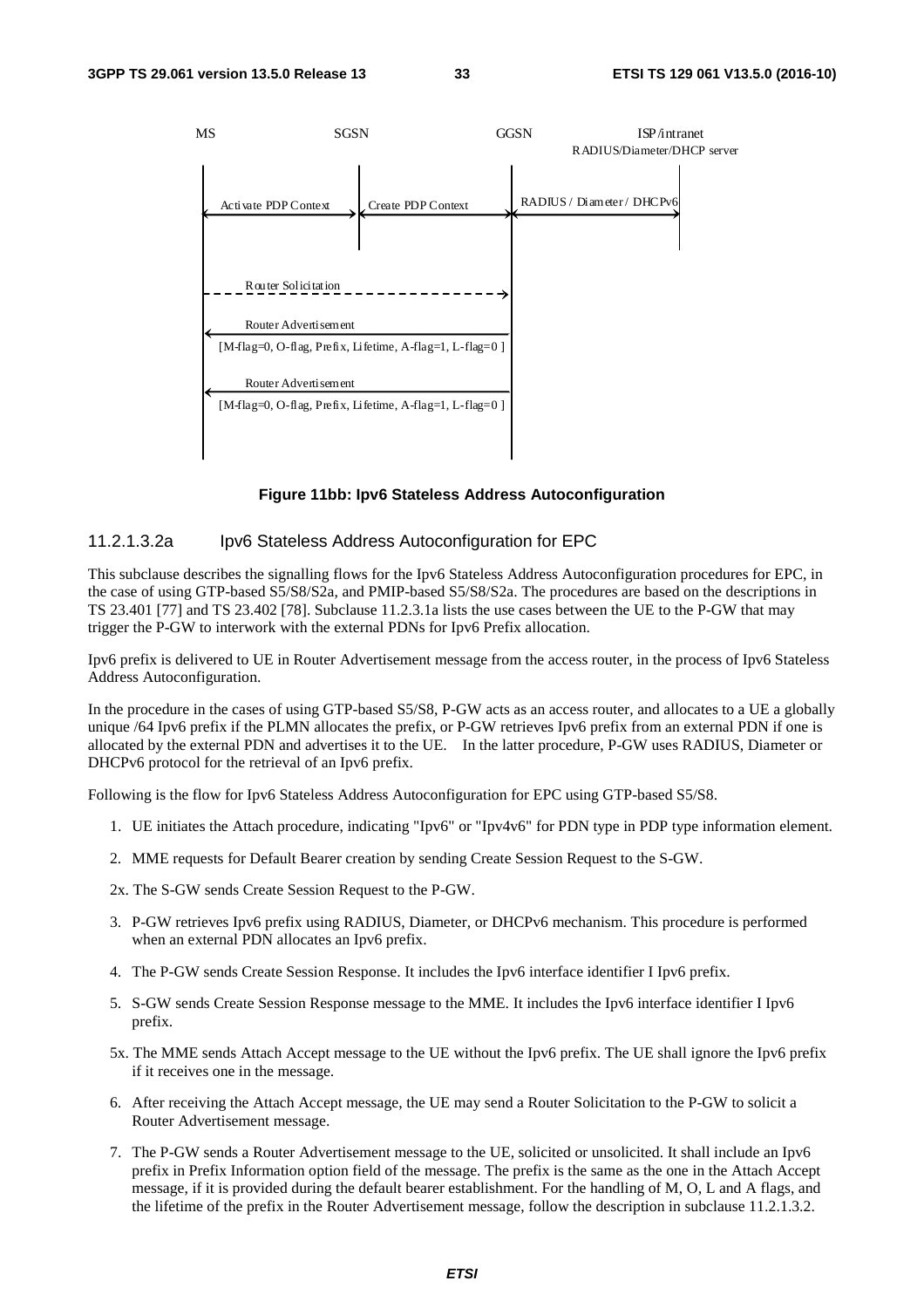

#### **Figure 11bb: Ipv6 Stateless Address Autoconfiguration**

#### 11.2.1.3.2a Ipv6 Stateless Address Autoconfiguration for EPC

This subclause describes the signalling flows for the Ipv6 Stateless Address Autoconfiguration procedures for EPC, in the case of using GTP-based S5/S8/S2a, and PMIP-based S5/S8/S2a. The procedures are based on the descriptions in TS 23.401 [77] and TS 23.402 [78]. Subclause 11.2.3.1a lists the use cases between the UE to the P-GW that may trigger the P-GW to interwork with the external PDNs for Ipv6 Prefix allocation.

Ipv6 prefix is delivered to UE in Router Advertisement message from the access router, in the process of Ipv6 Stateless Address Autoconfiguration.

In the procedure in the cases of using GTP-based S5/S8, P-GW acts as an access router, and allocates to a UE a globally unique /64 Ipv6 prefix if the PLMN allocates the prefix, or P-GW retrieves Ipv6 prefix from an external PDN if one is allocated by the external PDN and advertises it to the UE. In the latter procedure, P-GW uses RADIUS, Diameter or DHCPv6 protocol for the retrieval of an Ipv6 prefix.

Following is the flow for Ipv6 Stateless Address Autoconfiguration for EPC using GTP-based S5/S8.

- 1. UE initiates the Attach procedure, indicating "Ipv6" or "Ipv4v6" for PDN type in PDP type information element.
- 2. MME requests for Default Bearer creation by sending Create Session Request to the S-GW.
- 2x. The S-GW sends Create Session Request to the P-GW.
- 3. P-GW retrieves Ipv6 prefix using RADIUS, Diameter, or DHCPv6 mechanism. This procedure is performed when an external PDN allocates an Ipv6 prefix.
- 4. The P-GW sends Create Session Response. It includes the Ipv6 interface identifier I Ipv6 prefix.
- 5. S-GW sends Create Session Response message to the MME. It includes the Ipv6 interface identifier I Ipv6 prefix.
- 5x. The MME sends Attach Accept message to the UE without the Ipv6 prefix. The UE shall ignore the Ipv6 prefix if it receives one in the message.
- 6. After receiving the Attach Accept message, the UE may send a Router Solicitation to the P-GW to solicit a Router Advertisement message.
- 7. The P-GW sends a Router Advertisement message to the UE, solicited or unsolicited. It shall include an Ipv6 prefix in Prefix Information option field of the message. The prefix is the same as the one in the Attach Accept message, if it is provided during the default bearer establishment. For the handling of M, O, L and A flags, and the lifetime of the prefix in the Router Advertisement message, follow the description in subclause 11.2.1.3.2.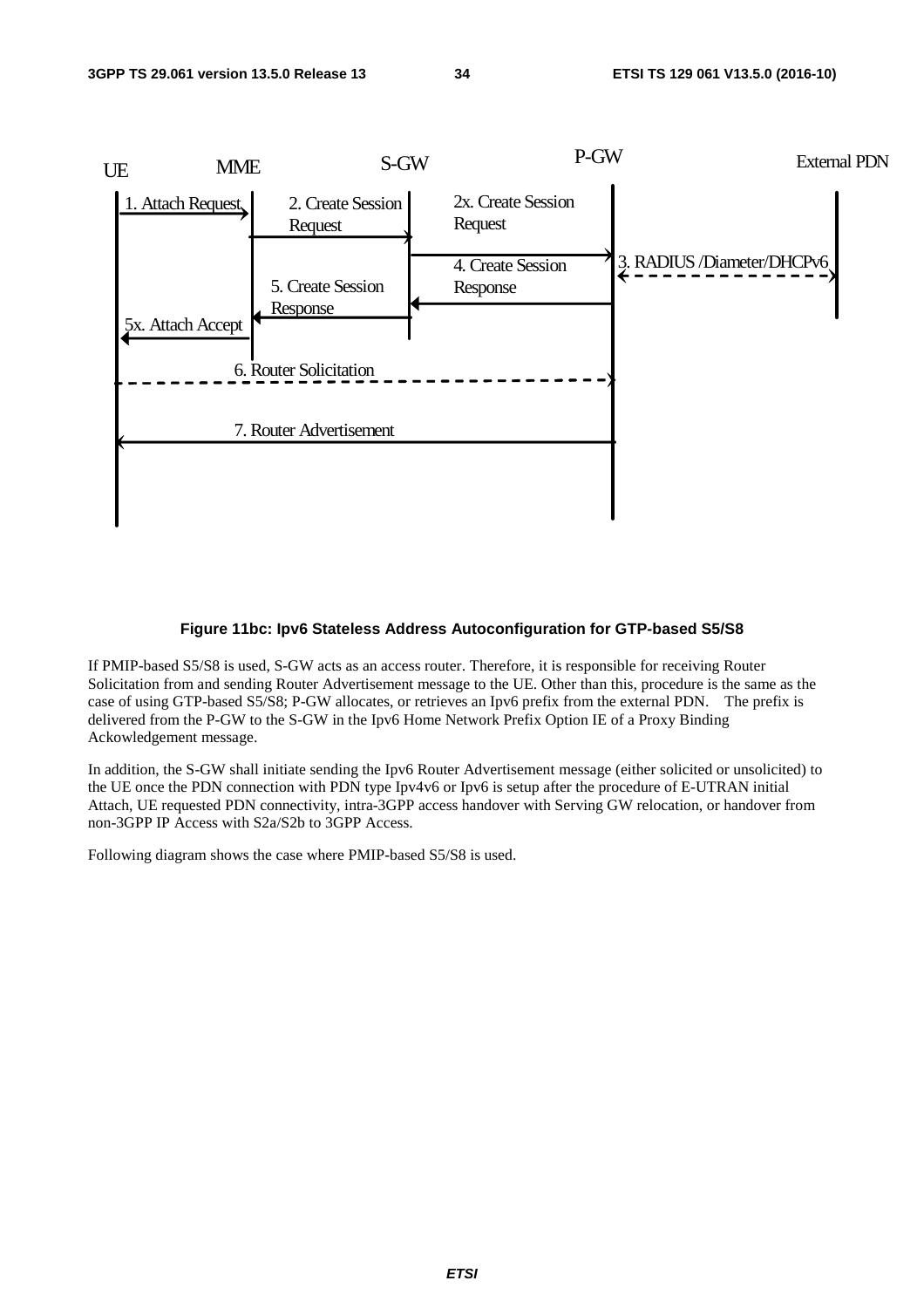

#### **Figure 11bc: Ipv6 Stateless Address Autoconfiguration for GTP-based S5/S8**

If PMIP-based S5/S8 is used, S-GW acts as an access router. Therefore, it is responsible for receiving Router Solicitation from and sending Router Advertisement message to the UE. Other than this, procedure is the same as the case of using GTP-based S5/S8; P-GW allocates, or retrieves an Ipv6 prefix from the external PDN. The prefix is delivered from the P-GW to the S-GW in the Ipv6 Home Network Prefix Option IE of a Proxy Binding Ackowledgement message.

In addition, the S-GW shall initiate sending the Ipv6 Router Advertisement message (either solicited or unsolicited) to the UE once the PDN connection with PDN type Ipv4v6 or Ipv6 is setup after the procedure of E-UTRAN initial Attach, UE requested PDN connectivity, intra-3GPP access handover with Serving GW relocation, or handover from non-3GPP IP Access with S2a/S2b to 3GPP Access.

Following diagram shows the case where PMIP-based S5/S8 is used.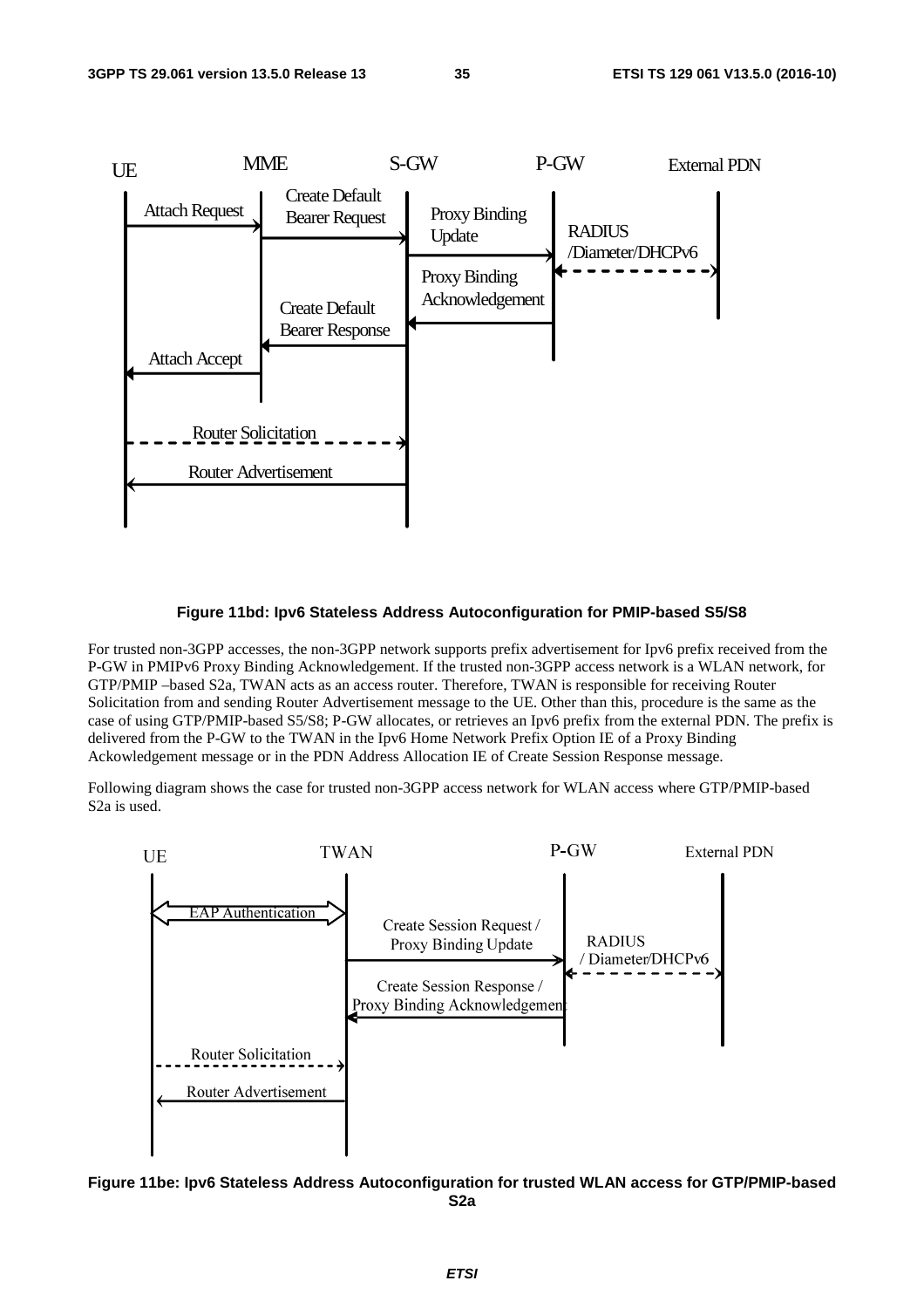

#### **Figure 11bd: Ipv6 Stateless Address Autoconfiguration for PMIP-based S5/S8**

For trusted non-3GPP accesses, the non-3GPP network supports prefix advertisement for Ipv6 prefix received from the P-GW in PMIPv6 Proxy Binding Acknowledgement. If the trusted non-3GPP access network is a WLAN network, for GTP/PMIP –based S2a, TWAN acts as an access router. Therefore, TWAN is responsible for receiving Router Solicitation from and sending Router Advertisement message to the UE. Other than this, procedure is the same as the case of using GTP/PMIP-based S5/S8; P-GW allocates, or retrieves an Ipv6 prefix from the external PDN. The prefix is delivered from the P-GW to the TWAN in the Ipv6 Home Network Prefix Option IE of a Proxy Binding Ackowledgement message or in the PDN Address Allocation IE of Create Session Response message.

Following diagram shows the case for trusted non-3GPP access network for WLAN access where GTP/PMIP-based S2a is used.



**Figure 11be: Ipv6 Stateless Address Autoconfiguration for trusted WLAN access for GTP/PMIP-based S2a**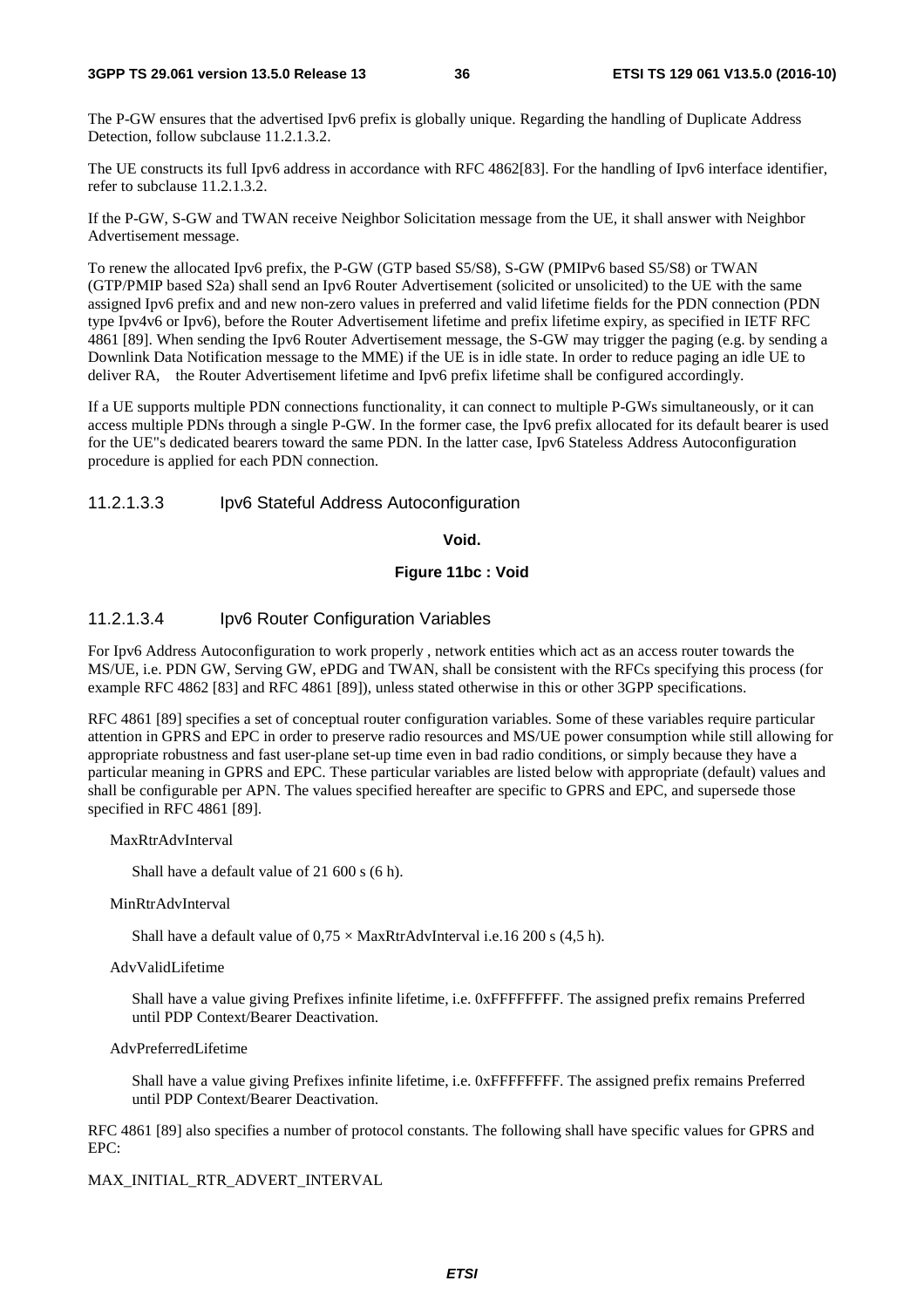The P-GW ensures that the advertised Ipv6 prefix is globally unique. Regarding the handling of Duplicate Address Detection, follow subclause 11.2.1.3.2.

The UE constructs its full Ipv6 address in accordance with RFC 4862[83]. For the handling of Ipv6 interface identifier, refer to subclause 11.2.1.3.2.

If the P-GW, S-GW and TWAN receive Neighbor Solicitation message from the UE, it shall answer with Neighbor Advertisement message.

To renew the allocated Ipv6 prefix, the P-GW (GTP based S5/S8), S-GW (PMIPv6 based S5/S8) or TWAN (GTP/PMIP based S2a) shall send an Ipv6 Router Advertisement (solicited or unsolicited) to the UE with the same assigned Ipv6 prefix and and new non-zero values in preferred and valid lifetime fields for the PDN connection (PDN type Ipv4v6 or Ipv6), before the Router Advertisement lifetime and prefix lifetime expiry, as specified in IETF RFC 4861 [89]. When sending the Ipv6 Router Advertisement message, the S-GW may trigger the paging (e.g. by sending a Downlink Data Notification message to the MME) if the UE is in idle state. In order to reduce paging an idle UE to deliver RA, the Router Advertisement lifetime and Ipv6 prefix lifetime shall be configured accordingly.

If a UE supports multiple PDN connections functionality, it can connect to multiple P-GWs simultaneously, or it can access multiple PDNs through a single P-GW. In the former case, the Ipv6 prefix allocated for its default bearer is used for the UE"s dedicated bearers toward the same PDN. In the latter case, Ipv6 Stateless Address Autoconfiguration procedure is applied for each PDN connection.

#### 11.2.1.3.3 Ipv6 Stateful Address Autoconfiguration

**Void.** 

#### **Figure 11bc : Void**

#### 11.2.1.3.4 Ipv6 Router Configuration Variables

For Ipv6 Address Autoconfiguration to work properly , network entities which act as an access router towards the MS/UE, i.e. PDN GW, Serving GW, ePDG and TWAN, shall be consistent with the RFCs specifying this process (for example RFC 4862 [83] and RFC 4861 [89]), unless stated otherwise in this or other 3GPP specifications.

RFC 4861 [89] specifies a set of conceptual router configuration variables. Some of these variables require particular attention in GPRS and EPC in order to preserve radio resources and MS/UE power consumption while still allowing for appropriate robustness and fast user-plane set-up time even in bad radio conditions, or simply because they have a particular meaning in GPRS and EPC. These particular variables are listed below with appropriate (default) values and shall be configurable per APN. The values specified hereafter are specific to GPRS and EPC, and supersede those specified in RFC 4861 [89].

MaxRtrAdvInterval

Shall have a default value of 21 600 s (6 h).

MinRtrAdvInterval

Shall have a default value of  $0.75 \times \text{MaxRtr}$  Advissariance i.e. 16 200 s (4,5 h).

#### AdvValidLifetime

 Shall have a value giving Prefixes infinite lifetime, i.e. 0xFFFFFFFF. The assigned prefix remains Preferred until PDP Context/Bearer Deactivation.

#### AdvPreferredLifetime

 Shall have a value giving Prefixes infinite lifetime, i.e. 0xFFFFFFFF. The assigned prefix remains Preferred until PDP Context/Bearer Deactivation.

RFC 4861 [89] also specifies a number of protocol constants. The following shall have specific values for GPRS and EPC:

MAX\_INITIAL\_RTR\_ADVERT\_INTERVAL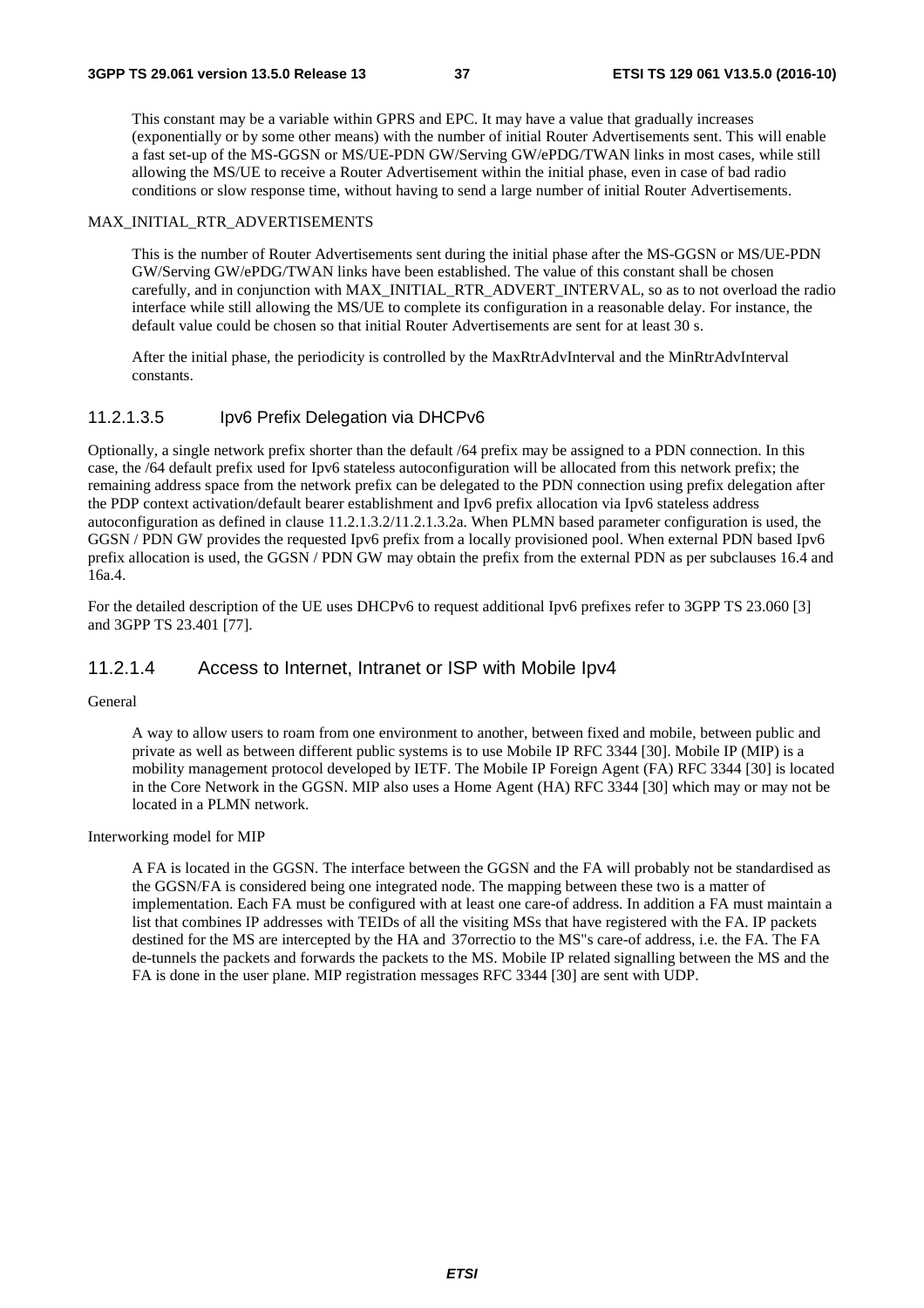This constant may be a variable within GPRS and EPC. It may have a value that gradually increases (exponentially or by some other means) with the number of initial Router Advertisements sent. This will enable a fast set-up of the MS-GGSN or MS/UE-PDN GW/Serving GW/ePDG/TWAN links in most cases, while still allowing the MS/UE to receive a Router Advertisement within the initial phase, even in case of bad radio conditions or slow response time, without having to send a large number of initial Router Advertisements.

#### MAX\_INITIAL\_RTR\_ADVERTISEMENTS

 This is the number of Router Advertisements sent during the initial phase after the MS-GGSN or MS/UE-PDN GW/Serving GW/ePDG/TWAN links have been established. The value of this constant shall be chosen carefully, and in conjunction with MAX\_INITIAL\_RTR\_ADVERT\_INTERVAL, so as to not overload the radio interface while still allowing the MS/UE to complete its configuration in a reasonable delay. For instance, the default value could be chosen so that initial Router Advertisements are sent for at least 30 s.

 After the initial phase, the periodicity is controlled by the MaxRtrAdvInterval and the MinRtrAdvInterval constants.

#### 11.2.1.3.5 Ipv6 Prefix Delegation via DHCPv6

Optionally, a single network prefix shorter than the default /64 prefix may be assigned to a PDN connection. In this case, the /64 default prefix used for Ipv6 stateless autoconfiguration will be allocated from this network prefix; the remaining address space from the network prefix can be delegated to the PDN connection using prefix delegation after the PDP context activation/default bearer establishment and Ipv6 prefix allocation via Ipv6 stateless address autoconfiguration as defined in clause 11.2.1.3.2/11.2.1.3.2a. When PLMN based parameter configuration is used, the GGSN / PDN GW provides the requested Ipv6 prefix from a locally provisioned pool. When external PDN based Ipv6 prefix allocation is used, the GGSN / PDN GW may obtain the prefix from the external PDN as per subclauses 16.4 and 16a.4.

For the detailed description of the UE uses DHCPv6 to request additional Ipv6 prefixes refer to 3GPP TS 23.060 [3] and 3GPP TS 23.401 [77].

#### 11.2.1.4 Access to Internet, Intranet or ISP with Mobile Ipv4

#### General

 A way to allow users to roam from one environment to another, between fixed and mobile, between public and private as well as between different public systems is to use Mobile IP RFC 3344 [30]. Mobile IP (MIP) is a mobility management protocol developed by IETF. The Mobile IP Foreign Agent (FA) RFC 3344 [30] is located in the Core Network in the GGSN. MIP also uses a Home Agent (HA) RFC 3344 [30] which may or may not be located in a PLMN network.

#### Interworking model for MIP

 A FA is located in the GGSN. The interface between the GGSN and the FA will probably not be standardised as the GGSN/FA is considered being one integrated node. The mapping between these two is a matter of implementation. Each FA must be configured with at least one care-of address. In addition a FA must maintain a list that combines IP addresses with TEIDs of all the visiting MSs that have registered with the FA. IP packets destined for the MS are intercepted by the HA and 37orrectio to the MS"s care-of address, i.e. the FA. The FA de-tunnels the packets and forwards the packets to the MS. Mobile IP related signalling between the MS and the FA is done in the user plane. MIP registration messages RFC 3344 [30] are sent with UDP.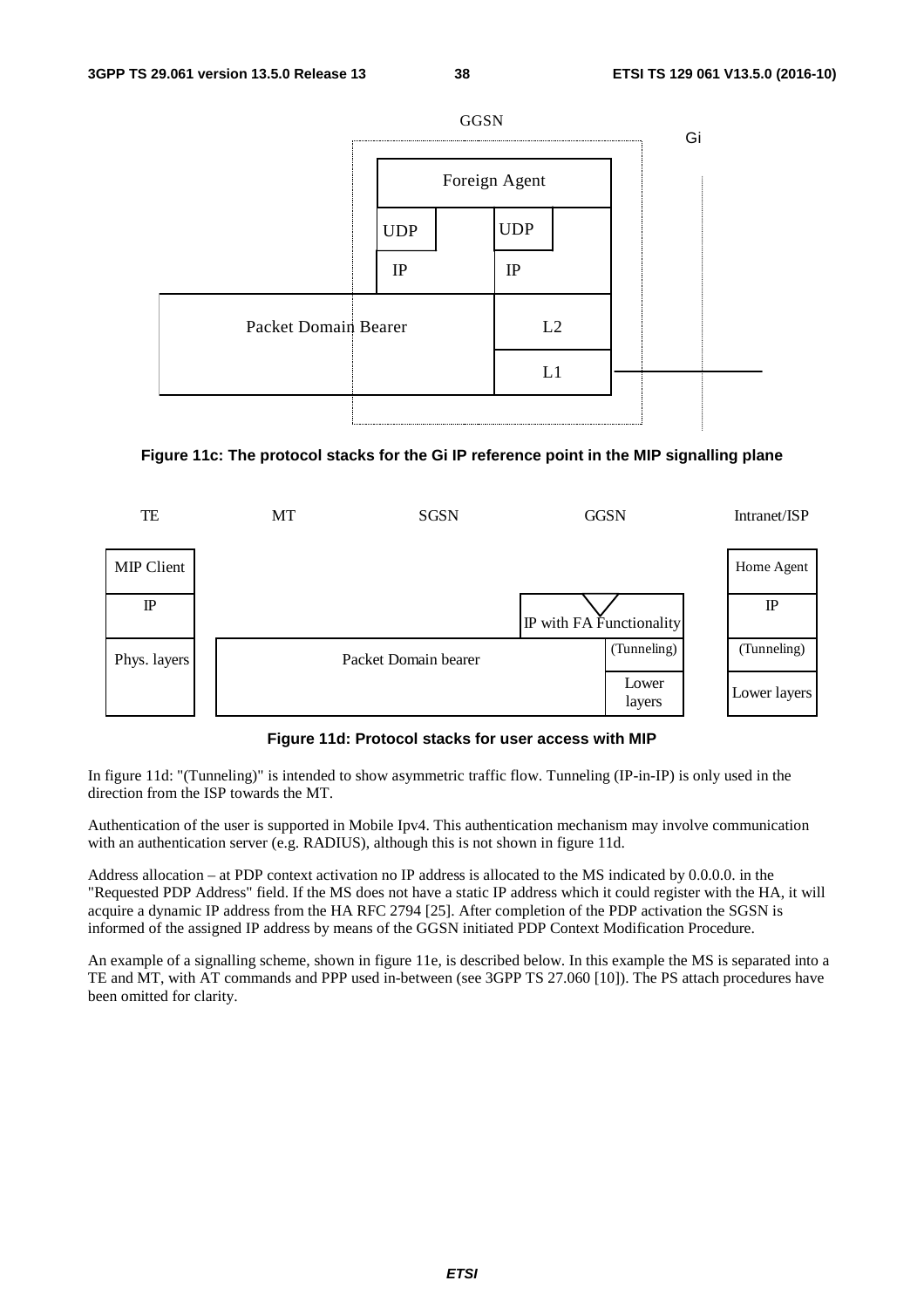

#### **Figure 11c: The protocol stacks for the Gi IP reference point in the MIP signalling plane**



#### **Figure 11d: Protocol stacks for user access with MIP**

In figure 11d: "(Tunneling)" is intended to show asymmetric traffic flow. Tunneling (IP-in-IP) is only used in the direction from the ISP towards the MT.

Authentication of the user is supported in Mobile Ipv4. This authentication mechanism may involve communication with an authentication server (e.g. RADIUS), although this is not shown in figure 11d.

Address allocation – at PDP context activation no IP address is allocated to the MS indicated by 0.0.0.0. in the "Requested PDP Address" field. If the MS does not have a static IP address which it could register with the HA, it will acquire a dynamic IP address from the HA RFC 2794 [25]. After completion of the PDP activation the SGSN is informed of the assigned IP address by means of the GGSN initiated PDP Context Modification Procedure.

An example of a signalling scheme, shown in figure 11e, is described below. In this example the MS is separated into a TE and MT, with AT commands and PPP used in-between (see 3GPP TS 27.060 [10]). The PS attach procedures have been omitted for clarity.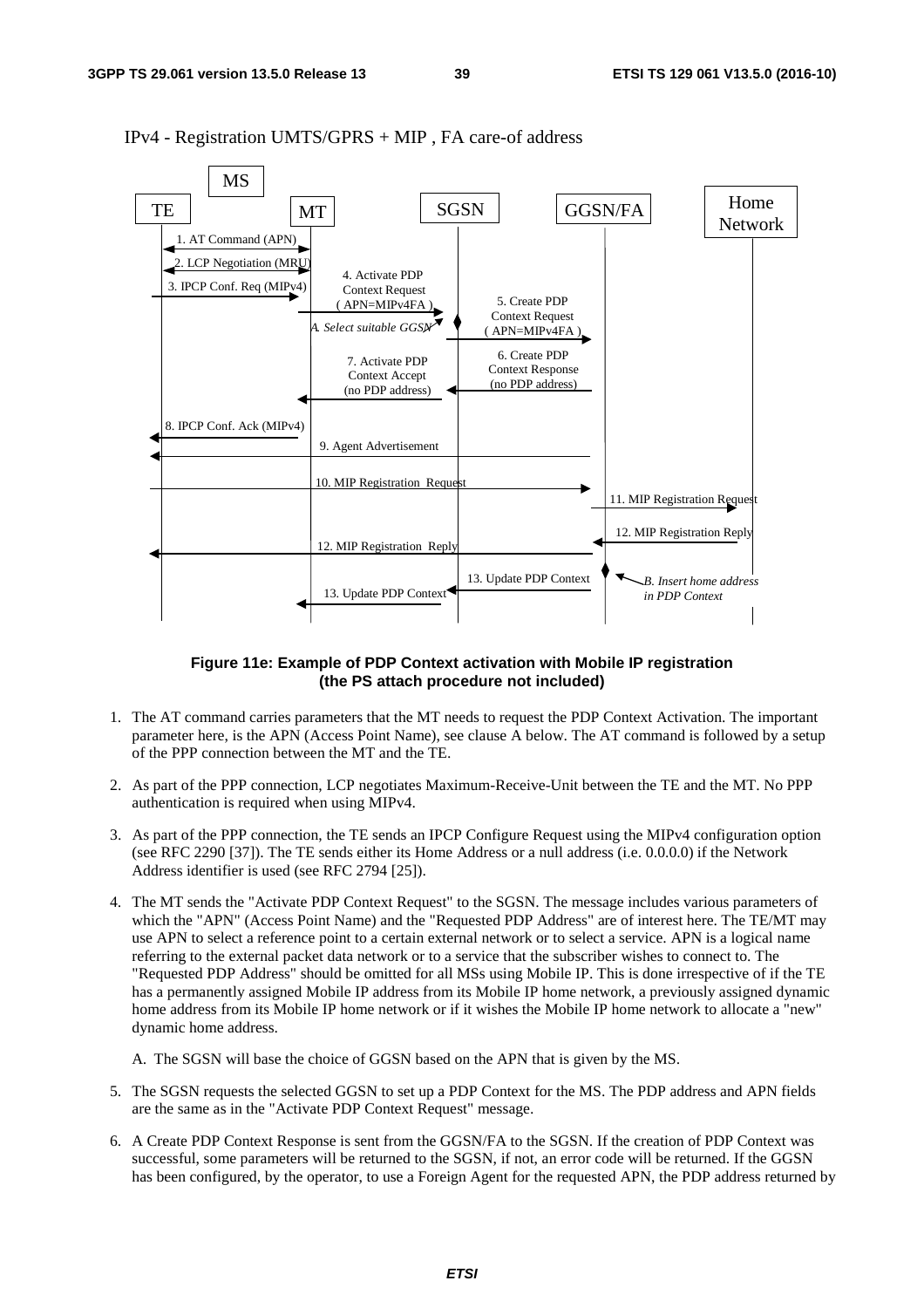

IPv4 - Registration UMTS/GPRS + MIP , FA care-of address

#### **Figure 11e: Example of PDP Context activation with Mobile IP registration (the PS attach procedure not included)**

- 1. The AT command carries parameters that the MT needs to request the PDP Context Activation. The important parameter here, is the APN (Access Point Name), see clause A below. The AT command is followed by a setup of the PPP connection between the MT and the TE.
- 2. As part of the PPP connection, LCP negotiates Maximum-Receive-Unit between the TE and the MT. No PPP authentication is required when using MIPv4.
- 3. As part of the PPP connection, the TE sends an IPCP Configure Request using the MIPv4 configuration option (see RFC 2290 [37]). The TE sends either its Home Address or a null address (i.e. 0.0.0.0) if the Network Address identifier is used (see RFC 2794 [25]).
- 4. The MT sends the "Activate PDP Context Request" to the SGSN. The message includes various parameters of which the "APN" (Access Point Name) and the "Requested PDP Address" are of interest here. The TE/MT may use APN to select a reference point to a certain external network or to select a service. APN is a logical name referring to the external packet data network or to a service that the subscriber wishes to connect to. The "Requested PDP Address" should be omitted for all MSs using Mobile IP. This is done irrespective of if the TE has a permanently assigned Mobile IP address from its Mobile IP home network, a previously assigned dynamic home address from its Mobile IP home network or if it wishes the Mobile IP home network to allocate a "new" dynamic home address.
	- A. The SGSN will base the choice of GGSN based on the APN that is given by the MS.
- 5. The SGSN requests the selected GGSN to set up a PDP Context for the MS. The PDP address and APN fields are the same as in the "Activate PDP Context Request" message.
- 6. A Create PDP Context Response is sent from the GGSN/FA to the SGSN. If the creation of PDP Context was successful, some parameters will be returned to the SGSN, if not, an error code will be returned. If the GGSN has been configured, by the operator, to use a Foreign Agent for the requested APN, the PDP address returned by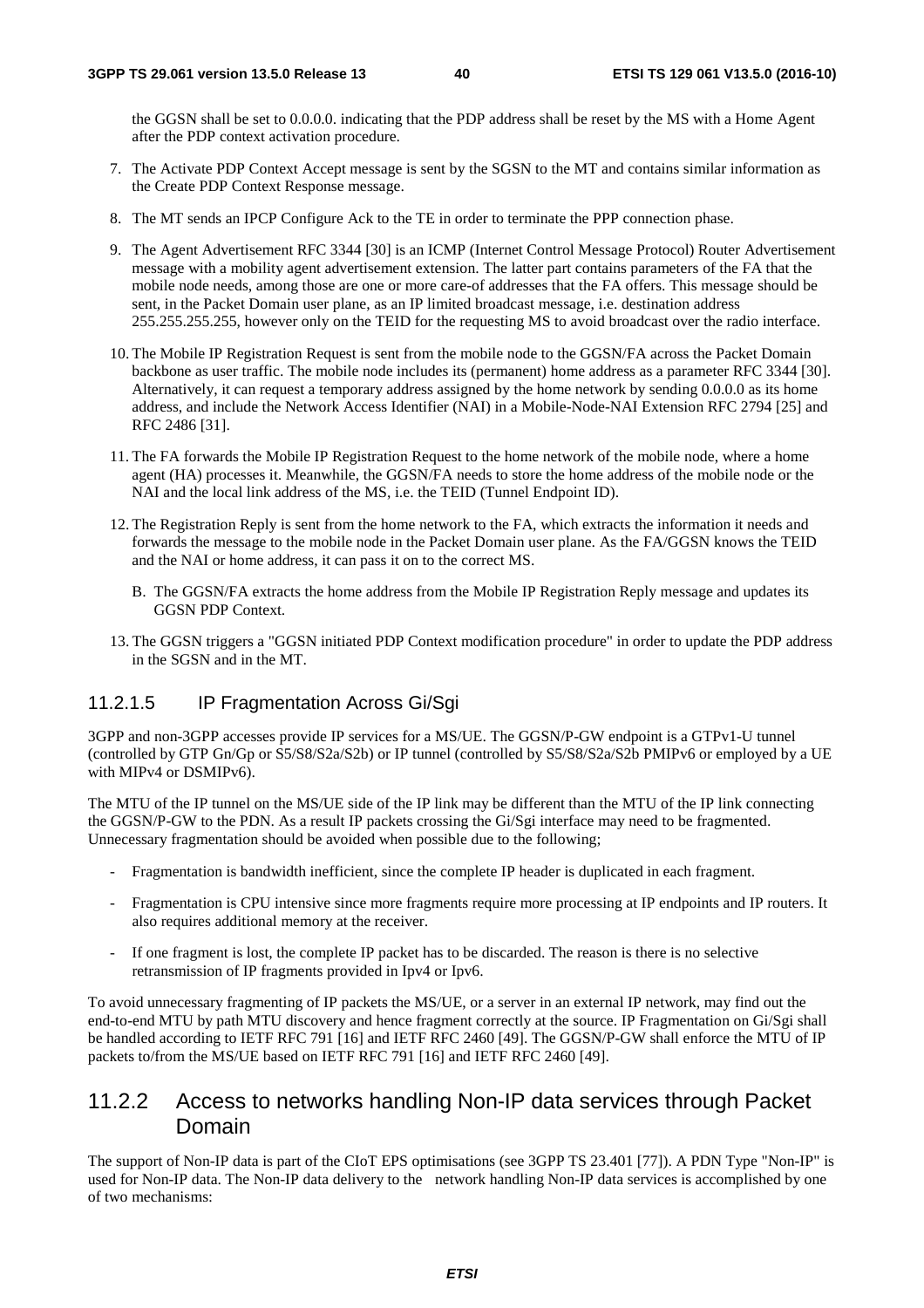the GGSN shall be set to 0.0.0.0. indicating that the PDP address shall be reset by the MS with a Home Agent after the PDP context activation procedure.

- 7. The Activate PDP Context Accept message is sent by the SGSN to the MT and contains similar information as the Create PDP Context Response message.
- 8. The MT sends an IPCP Configure Ack to the TE in order to terminate the PPP connection phase.
- 9. The Agent Advertisement RFC 3344 [30] is an ICMP (Internet Control Message Protocol) Router Advertisement message with a mobility agent advertisement extension. The latter part contains parameters of the FA that the mobile node needs, among those are one or more care-of addresses that the FA offers. This message should be sent, in the Packet Domain user plane, as an IP limited broadcast message, i.e. destination address 255.255.255.255, however only on the TEID for the requesting MS to avoid broadcast over the radio interface.
- 10. The Mobile IP Registration Request is sent from the mobile node to the GGSN/FA across the Packet Domain backbone as user traffic. The mobile node includes its (permanent) home address as a parameter RFC 3344 [30]. Alternatively, it can request a temporary address assigned by the home network by sending 0.0.0.0 as its home address, and include the Network Access Identifier (NAI) in a Mobile-Node-NAI Extension RFC 2794 [25] and RFC 2486 [31].
- 11. The FA forwards the Mobile IP Registration Request to the home network of the mobile node, where a home agent (HA) processes it. Meanwhile, the GGSN/FA needs to store the home address of the mobile node or the NAI and the local link address of the MS, i.e. the TEID (Tunnel Endpoint ID).
- 12. The Registration Reply is sent from the home network to the FA, which extracts the information it needs and forwards the message to the mobile node in the Packet Domain user plane. As the FA/GGSN knows the TEID and the NAI or home address, it can pass it on to the correct MS.
	- B. The GGSN/FA extracts the home address from the Mobile IP Registration Reply message and updates its GGSN PDP Context.
- 13. The GGSN triggers a "GGSN initiated PDP Context modification procedure" in order to update the PDP address in the SGSN and in the MT.

#### 11.2.1.5 IP Fragmentation Across Gi/Sgi

3GPP and non-3GPP accesses provide IP services for a MS/UE. The GGSN/P-GW endpoint is a GTPv1-U tunnel (controlled by GTP Gn/Gp or S5/S8/S2a/S2b) or IP tunnel (controlled by S5/S8/S2a/S2b PMIPv6 or employed by a UE with MIPv4 or DSMIPv6).

The MTU of the IP tunnel on the MS/UE side of the IP link may be different than the MTU of the IP link connecting the GGSN/P-GW to the PDN. As a result IP packets crossing the Gi/Sgi interface may need to be fragmented. Unnecessary fragmentation should be avoided when possible due to the following;

- Fragmentation is bandwidth inefficient, since the complete IP header is duplicated in each fragment.
- Fragmentation is CPU intensive since more fragments require more processing at IP endpoints and IP routers. It also requires additional memory at the receiver.
- If one fragment is lost, the complete IP packet has to be discarded. The reason is there is no selective retransmission of IP fragments provided in Ipv4 or Ipv6.

To avoid unnecessary fragmenting of IP packets the MS/UE, or a server in an external IP network, may find out the end-to-end MTU by path MTU discovery and hence fragment correctly at the source. IP Fragmentation on Gi/Sgi shall be handled according to IETF RFC 791 [16] and IETF RFC 2460 [49]. The GGSN/P-GW shall enforce the MTU of IP packets to/from the MS/UE based on IETF RFC 791 [16] and IETF RFC 2460 [49].

### 11.2.2 Access to networks handling Non-IP data services through Packet Domain

The support of Non-IP data is part of the CIoT EPS optimisations (see 3GPP TS 23.401 [77]). A PDN Type "Non-IP" is used for Non-IP data. The Non-IP data delivery to the network handling Non-IP data services is accomplished by one of two mechanisms: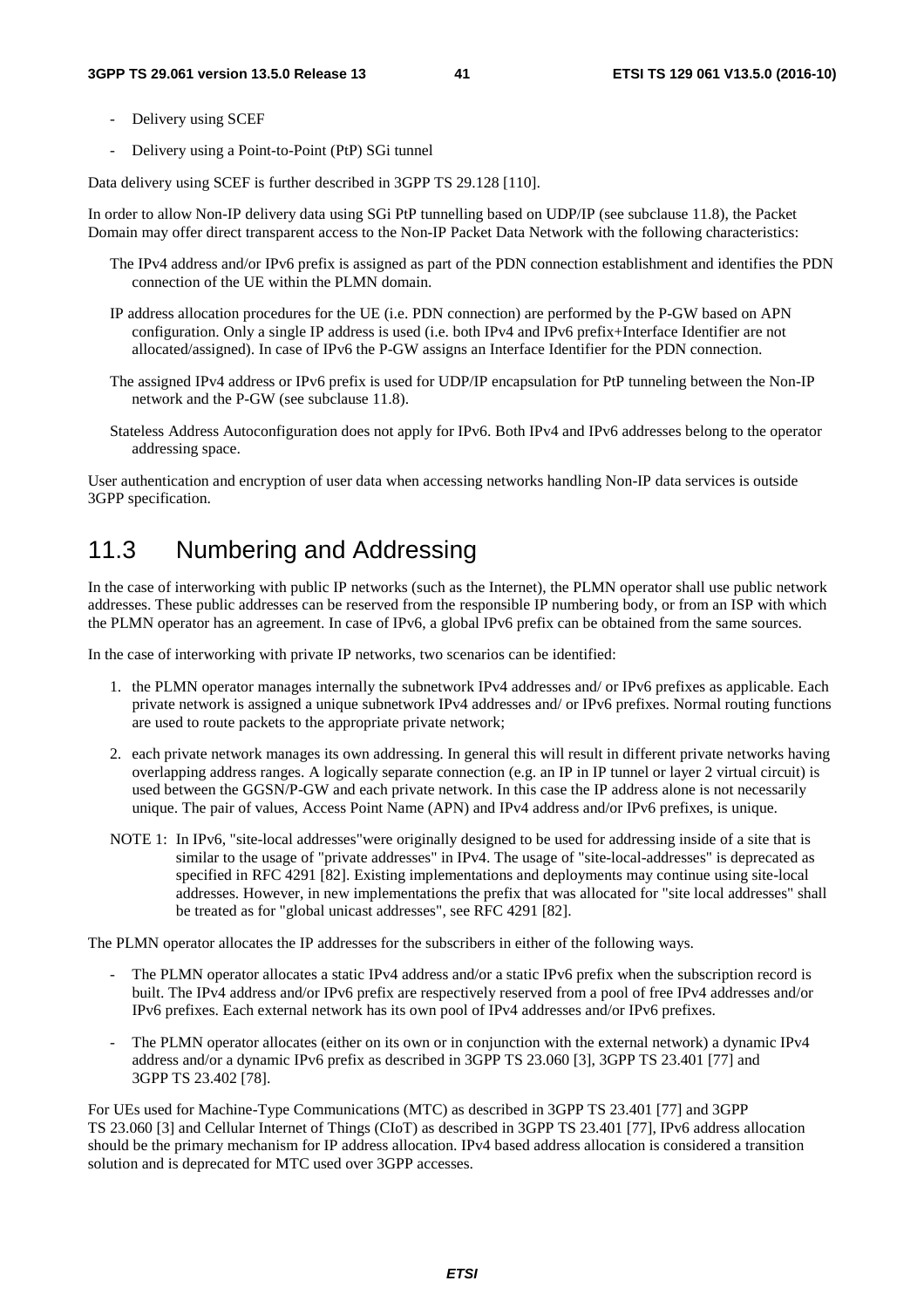- Delivery using SCEF
- Delivery using a Point-to-Point (PtP) SGi tunnel

Data delivery using SCEF is further described in 3GPP TS 29.128 [110].

In order to allow Non-IP delivery data using SGi PtP tunnelling based on UDP/IP (see subclause 11.8), the Packet Domain may offer direct transparent access to the Non-IP Packet Data Network with the following characteristics:

- The IPv4 address and/or IPv6 prefix is assigned as part of the PDN connection establishment and identifies the PDN connection of the UE within the PLMN domain.
- IP address allocation procedures for the UE (i.e. PDN connection) are performed by the P-GW based on APN configuration. Only a single IP address is used (i.e. both IPv4 and IPv6 prefix+Interface Identifier are not allocated/assigned). In case of IPv6 the P-GW assigns an Interface Identifier for the PDN connection.
- The assigned IPv4 address or IPv6 prefix is used for UDP/IP encapsulation for PtP tunneling between the Non-IP network and the P-GW (see subclause 11.8).
- Stateless Address Autoconfiguration does not apply for IPv6. Both IPv4 and IPv6 addresses belong to the operator addressing space.

User authentication and encryption of user data when accessing networks handling Non-IP data services is outside 3GPP specification.

# 11.3 Numbering and Addressing

In the case of interworking with public IP networks (such as the Internet), the PLMN operator shall use public network addresses. These public addresses can be reserved from the responsible IP numbering body, or from an ISP with which the PLMN operator has an agreement. In case of IPv6, a global IPv6 prefix can be obtained from the same sources.

In the case of interworking with private IP networks, two scenarios can be identified:

- 1. the PLMN operator manages internally the subnetwork IPv4 addresses and/ or IPv6 prefixes as applicable. Each private network is assigned a unique subnetwork IPv4 addresses and/ or IPv6 prefixes. Normal routing functions are used to route packets to the appropriate private network;
- 2. each private network manages its own addressing. In general this will result in different private networks having overlapping address ranges. A logically separate connection (e.g. an IP in IP tunnel or layer 2 virtual circuit) is used between the GGSN/P-GW and each private network. In this case the IP address alone is not necessarily unique. The pair of values, Access Point Name (APN) and IPv4 address and/or IPv6 prefixes, is unique.
- NOTE 1: In IPv6, "site-local addresses"were originally designed to be used for addressing inside of a site that is similar to the usage of "private addresses" in IPv4. The usage of "site-local-addresses" is deprecated as specified in RFC 4291 [82]. Existing implementations and deployments may continue using site-local addresses. However, in new implementations the prefix that was allocated for "site local addresses" shall be treated as for "global unicast addresses", see RFC 4291 [82].

The PLMN operator allocates the IP addresses for the subscribers in either of the following ways.

- The PLMN operator allocates a static IPv4 address and/or a static IPv6 prefix when the subscription record is built. The IPv4 address and/or IPv6 prefix are respectively reserved from a pool of free IPv4 addresses and/or IPv6 prefixes. Each external network has its own pool of IPv4 addresses and/or IPv6 prefixes.
- The PLMN operator allocates (either on its own or in conjunction with the external network) a dynamic IPv4 address and/or a dynamic IPv6 prefix as described in 3GPP TS 23.060 [3], 3GPP TS 23.401 [77] and 3GPP TS 23.402 [78].

For UEs used for Machine-Type Communications (MTC) as described in 3GPP TS 23.401 [77] and 3GPP TS 23.060 [3] and Cellular Internet of Things (CIoT) as described in 3GPP TS 23.401 [77], IPv6 address allocation should be the primary mechanism for IP address allocation. IPv4 based address allocation is considered a transition solution and is deprecated for MTC used over 3GPP accesses.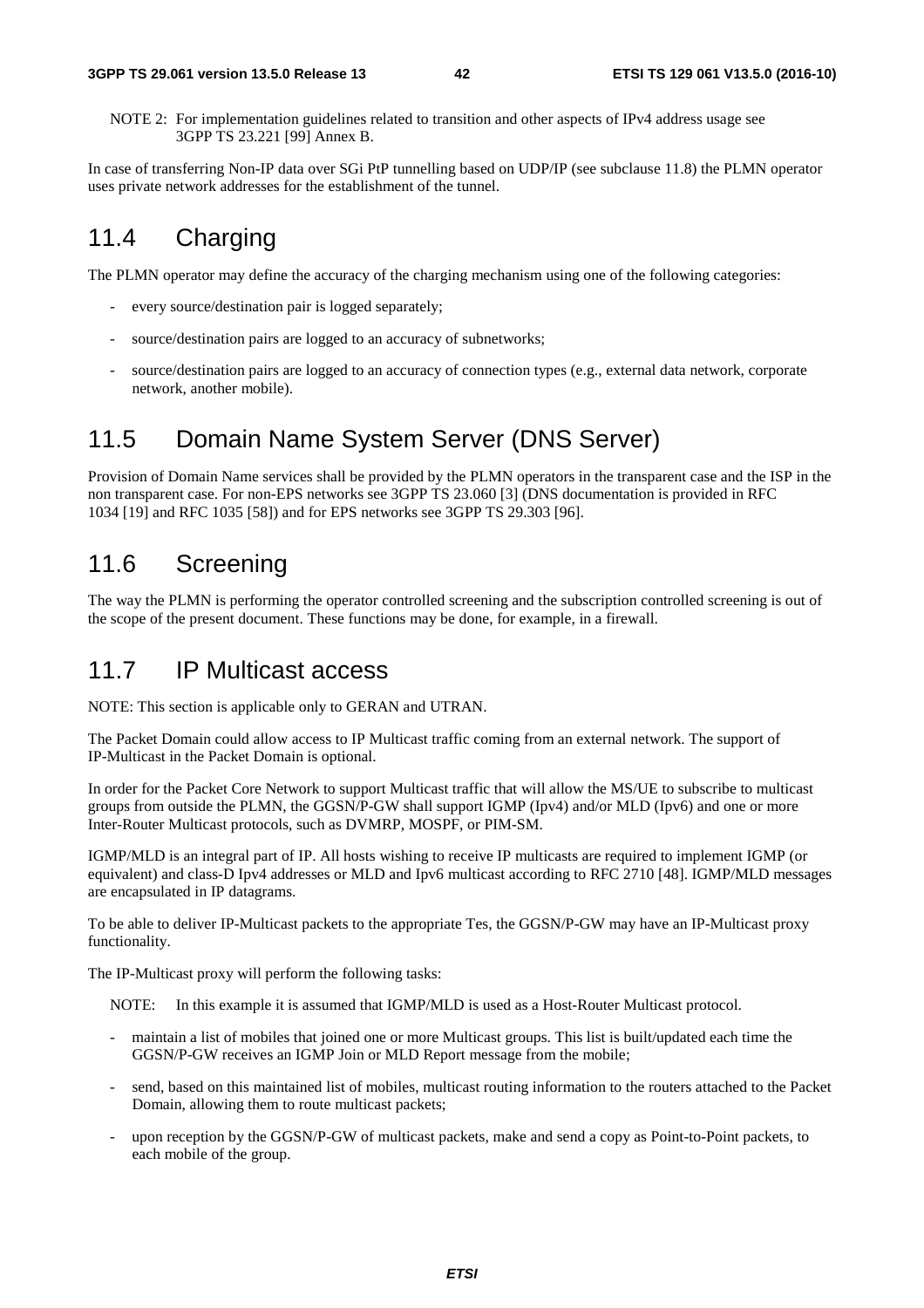NOTE 2: For implementation guidelines related to transition and other aspects of IPv4 address usage see 3GPP TS 23.221 [99] Annex B.

In case of transferring Non-IP data over SGi PtP tunnelling based on UDP/IP (see subclause 11.8) the PLMN operator uses private network addresses for the establishment of the tunnel.

# 11.4 Charging

The PLMN operator may define the accuracy of the charging mechanism using one of the following categories:

- every source/destination pair is logged separately;
- source/destination pairs are logged to an accuracy of subnetworks;
- source/destination pairs are logged to an accuracy of connection types (e.g., external data network, corporate network, another mobile).

# 11.5 Domain Name System Server (DNS Server)

Provision of Domain Name services shall be provided by the PLMN operators in the transparent case and the ISP in the non transparent case. For non-EPS networks see 3GPP TS 23.060 [3] (DNS documentation is provided in RFC 1034 [19] and RFC 1035 [58]) and for EPS networks see 3GPP TS 29.303 [96].

# 11.6 Screening

The way the PLMN is performing the operator controlled screening and the subscription controlled screening is out of the scope of the present document. These functions may be done, for example, in a firewall.

## 11.7 IP Multicast access

NOTE: This section is applicable only to GERAN and UTRAN.

The Packet Domain could allow access to IP Multicast traffic coming from an external network. The support of IP-Multicast in the Packet Domain is optional.

In order for the Packet Core Network to support Multicast traffic that will allow the MS/UE to subscribe to multicast groups from outside the PLMN, the GGSN/P-GW shall support IGMP (Ipv4) and/or MLD (Ipv6) and one or more Inter-Router Multicast protocols, such as DVMRP, MOSPF, or PIM-SM.

IGMP/MLD is an integral part of IP. All hosts wishing to receive IP multicasts are required to implement IGMP (or equivalent) and class-D Ipv4 addresses or MLD and Ipv6 multicast according to RFC 2710 [48]. IGMP/MLD messages are encapsulated in IP datagrams.

To be able to deliver IP-Multicast packets to the appropriate Tes, the GGSN/P-GW may have an IP-Multicast proxy functionality.

The IP-Multicast proxy will perform the following tasks:

NOTE: In this example it is assumed that IGMP/MLD is used as a Host-Router Multicast protocol.

- maintain a list of mobiles that joined one or more Multicast groups. This list is built/updated each time the GGSN/P-GW receives an IGMP Join or MLD Report message from the mobile;
- send, based on this maintained list of mobiles, multicast routing information to the routers attached to the Packet Domain, allowing them to route multicast packets;
- upon reception by the GGSN/P-GW of multicast packets, make and send a copy as Point-to-Point packets, to each mobile of the group.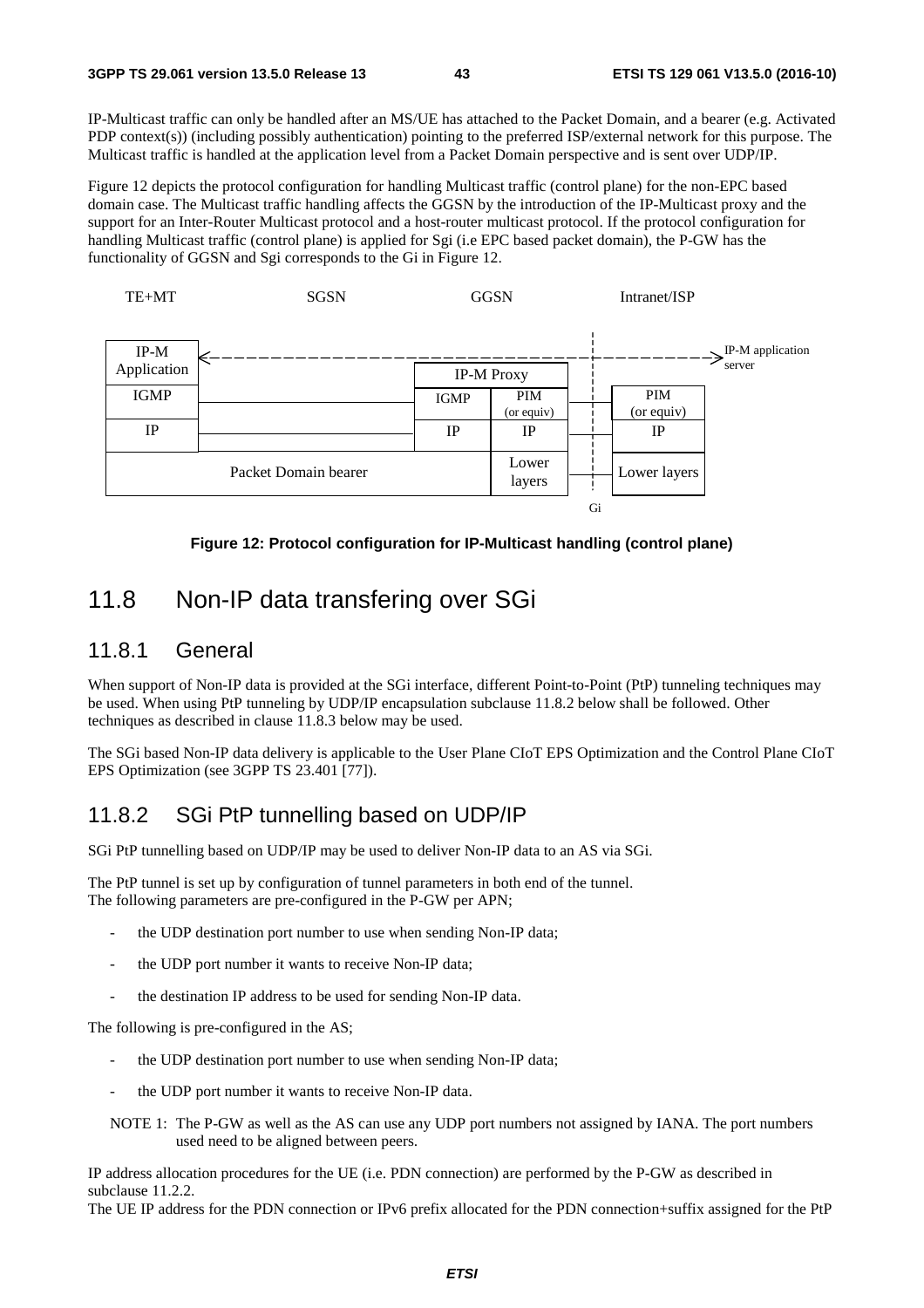IP-Multicast traffic can only be handled after an MS/UE has attached to the Packet Domain, and a bearer (e.g. Activated PDP context(s)) (including possibly authentication) pointing to the preferred ISP/external network for this purpose. The Multicast traffic is handled at the application level from a Packet Domain perspective and is sent over UDP/IP.

Figure 12 depicts the protocol configuration for handling Multicast traffic (control plane) for the non-EPC based domain case. The Multicast traffic handling affects the GGSN by the introduction of the IP-Multicast proxy and the support for an Inter-Router Multicast protocol and a host-router multicast protocol. If the protocol configuration for handling Multicast traffic (control plane) is applied for Sgi (i.e EPC based packet domain), the P-GW has the functionality of GGSN and Sgi corresponds to the Gi in Figure 12.



**Figure 12: Protocol configuration for IP-Multicast handling (control plane)** 

## 11.8 Non-IP data transfering over SGi

### 11.8.1 General

When support of Non-IP data is provided at the SGi interface, different Point-to-Point (PtP) tunneling techniques may be used. When using PtP tunneling by UDP/IP encapsulation subclause 11.8.2 below shall be followed. Other techniques as described in clause 11.8.3 below may be used.

The SGi based Non-IP data delivery is applicable to the User Plane CIoT EPS Optimization and the Control Plane CIoT EPS Optimization (see 3GPP TS 23.401 [77]).

### 11.8.2 SGi PtP tunnelling based on UDP/IP

SGi PtP tunnelling based on UDP/IP may be used to deliver Non-IP data to an AS via SGi.

The PtP tunnel is set up by configuration of tunnel parameters in both end of the tunnel. The following parameters are pre-configured in the P-GW per APN;

- the UDP destination port number to use when sending Non-IP data;
- the UDP port number it wants to receive Non-IP data:
- the destination IP address to be used for sending Non-IP data.

The following is pre-configured in the AS;

- the UDP destination port number to use when sending Non-IP data;
- the UDP port number it wants to receive Non-IP data.
- NOTE 1: The P-GW as well as the AS can use any UDP port numbers not assigned by IANA. The port numbers used need to be aligned between peers.

IP address allocation procedures for the UE (i.e. PDN connection) are performed by the P-GW as described in subclause 11.2.2.

The UE IP address for the PDN connection or IPv6 prefix allocated for the PDN connection+suffix assigned for the PtP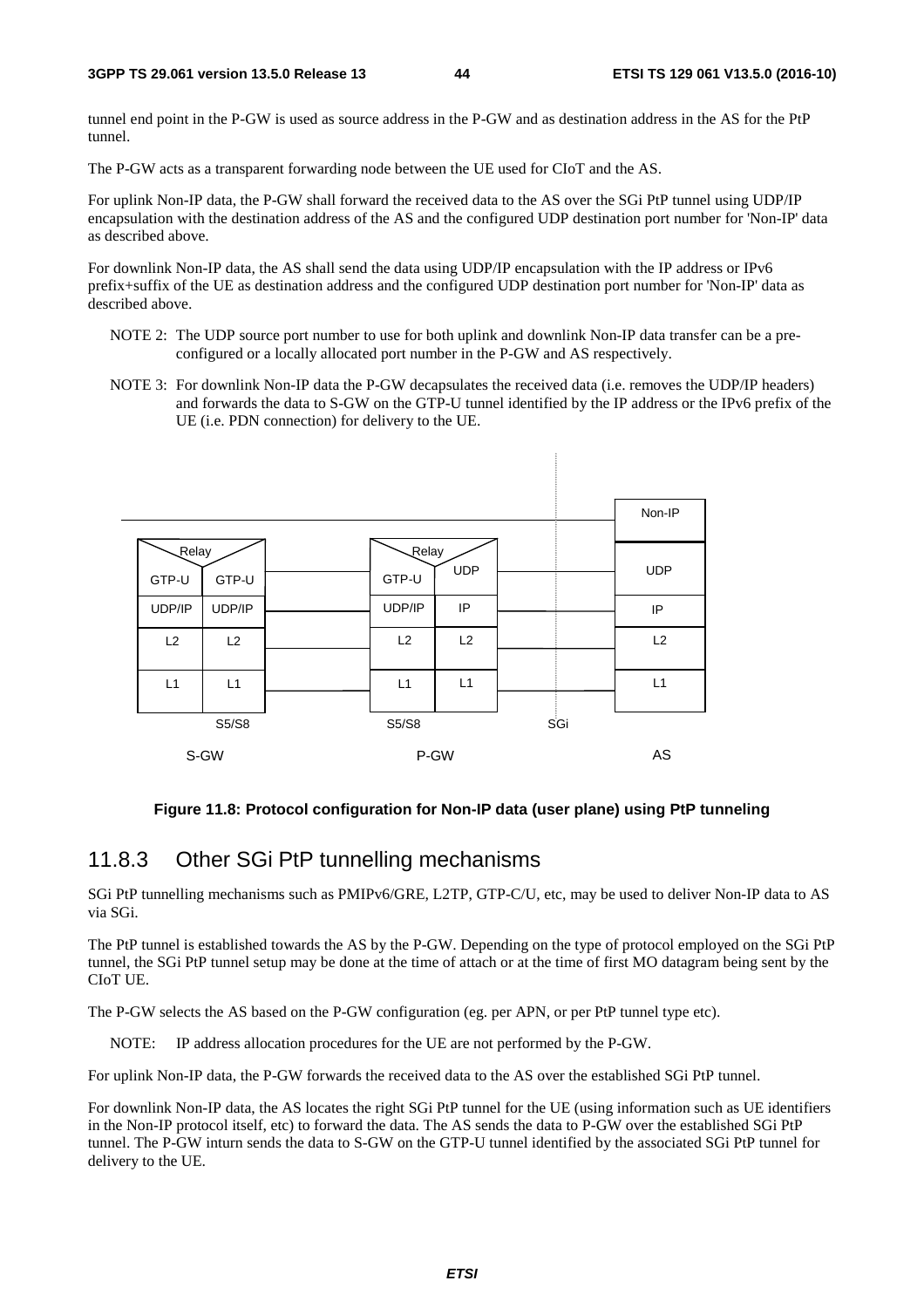tunnel end point in the P-GW is used as source address in the P-GW and as destination address in the AS for the PtP tunnel.

The P-GW acts as a transparent forwarding node between the UE used for CIoT and the AS.

For uplink Non-IP data, the P-GW shall forward the received data to the AS over the SGi PtP tunnel using UDP/IP encapsulation with the destination address of the AS and the configured UDP destination port number for 'Non-IP' data as described above.

For downlink Non-IP data, the AS shall send the data using UDP/IP encapsulation with the IP address or IPv6 prefix+suffix of the UE as destination address and the configured UDP destination port number for 'Non-IP' data as described above.

- NOTE 2: The UDP source port number to use for both uplink and downlink Non-IP data transfer can be a preconfigured or a locally allocated port number in the P-GW and AS respectively.
- NOTE 3: For downlink Non-IP data the P-GW decapsulates the received data (i.e. removes the UDP/IP headers) and forwards the data to S-GW on the GTP-U tunnel identified by the IP address or the IPv6 prefix of the UE (i.e. PDN connection) for delivery to the UE.



#### **Figure 11.8: Protocol configuration for Non-IP data (user plane) using PtP tunneling**

### 11.8.3 Other SGi PtP tunnelling mechanisms

SGi PtP tunnelling mechanisms such as PMIPv6/GRE, L2TP, GTP-C/U, etc, may be used to deliver Non-IP data to AS via SGi.

The PtP tunnel is established towards the AS by the P-GW. Depending on the type of protocol employed on the SGi PtP tunnel, the SGi PtP tunnel setup may be done at the time of attach or at the time of first MO datagram being sent by the CIoT UE.

The P-GW selects the AS based on the P-GW configuration (eg. per APN, or per PtP tunnel type etc).

NOTE: IP address allocation procedures for the UE are not performed by the P-GW.

For uplink Non-IP data, the P-GW forwards the received data to the AS over the established SGi PtP tunnel.

For downlink Non-IP data, the AS locates the right SGi PtP tunnel for the UE (using information such as UE identifiers in the Non-IP protocol itself, etc) to forward the data. The AS sends the data to P-GW over the established SGi PtP tunnel. The P-GW inturn sends the data to S-GW on the GTP-U tunnel identified by the associated SGi PtP tunnel for delivery to the UE.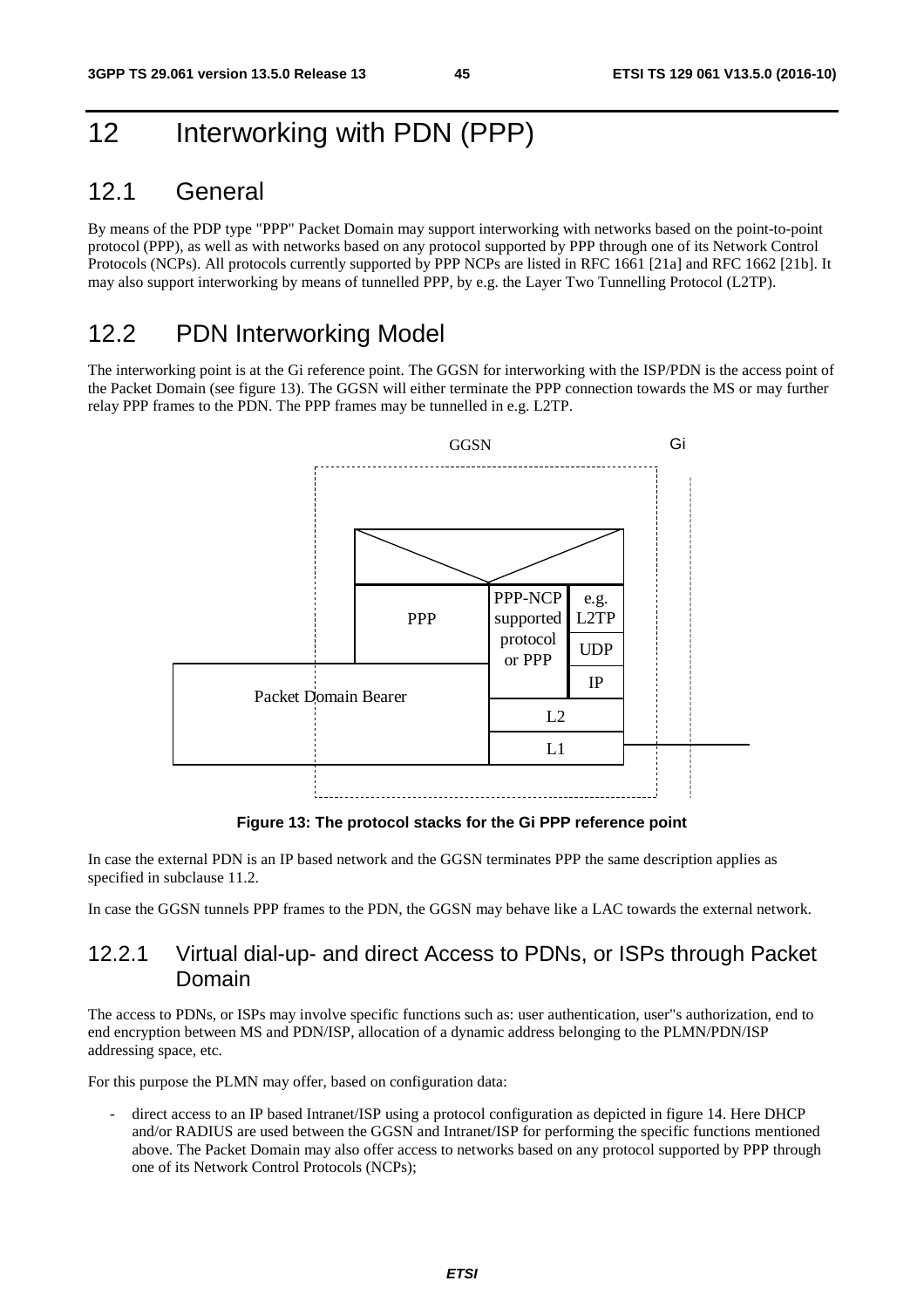# 12 Interworking with PDN (PPP)

## 12.1 General

By means of the PDP type "PPP" Packet Domain may support interworking with networks based on the point-to-point protocol (PPP), as well as with networks based on any protocol supported by PPP through one of its Network Control Protocols (NCPs). All protocols currently supported by PPP NCPs are listed in RFC 1661 [21a] and RFC 1662 [21b]. It may also support interworking by means of tunnelled PPP, by e.g. the Layer Two Tunnelling Protocol (L2TP).

# 12.2 PDN Interworking Model

The interworking point is at the Gi reference point. The GGSN for interworking with the ISP/PDN is the access point of the Packet Domain (see figure 13). The GGSN will either terminate the PPP connection towards the MS or may further relay PPP frames to the PDN. The PPP frames may be tunnelled in e.g. L2TP.



**Figure 13: The protocol stacks for the Gi PPP reference point** 

In case the external PDN is an IP based network and the GGSN terminates PPP the same description applies as specified in subclause 11.2.

In case the GGSN tunnels PPP frames to the PDN, the GGSN may behave like a LAC towards the external network.

### 12.2.1 Virtual dial-up- and direct Access to PDNs, or ISPs through Packet Domain

The access to PDNs, or ISPs may involve specific functions such as: user authentication, user"s authorization, end to end encryption between MS and PDN/ISP, allocation of a dynamic address belonging to the PLMN/PDN/ISP addressing space, etc.

For this purpose the PLMN may offer, based on configuration data:

direct access to an IP based Intranet/ISP using a protocol configuration as depicted in figure 14. Here DHCP and/or RADIUS are used between the GGSN and Intranet/ISP for performing the specific functions mentioned above. The Packet Domain may also offer access to networks based on any protocol supported by PPP through one of its Network Control Protocols (NCPs);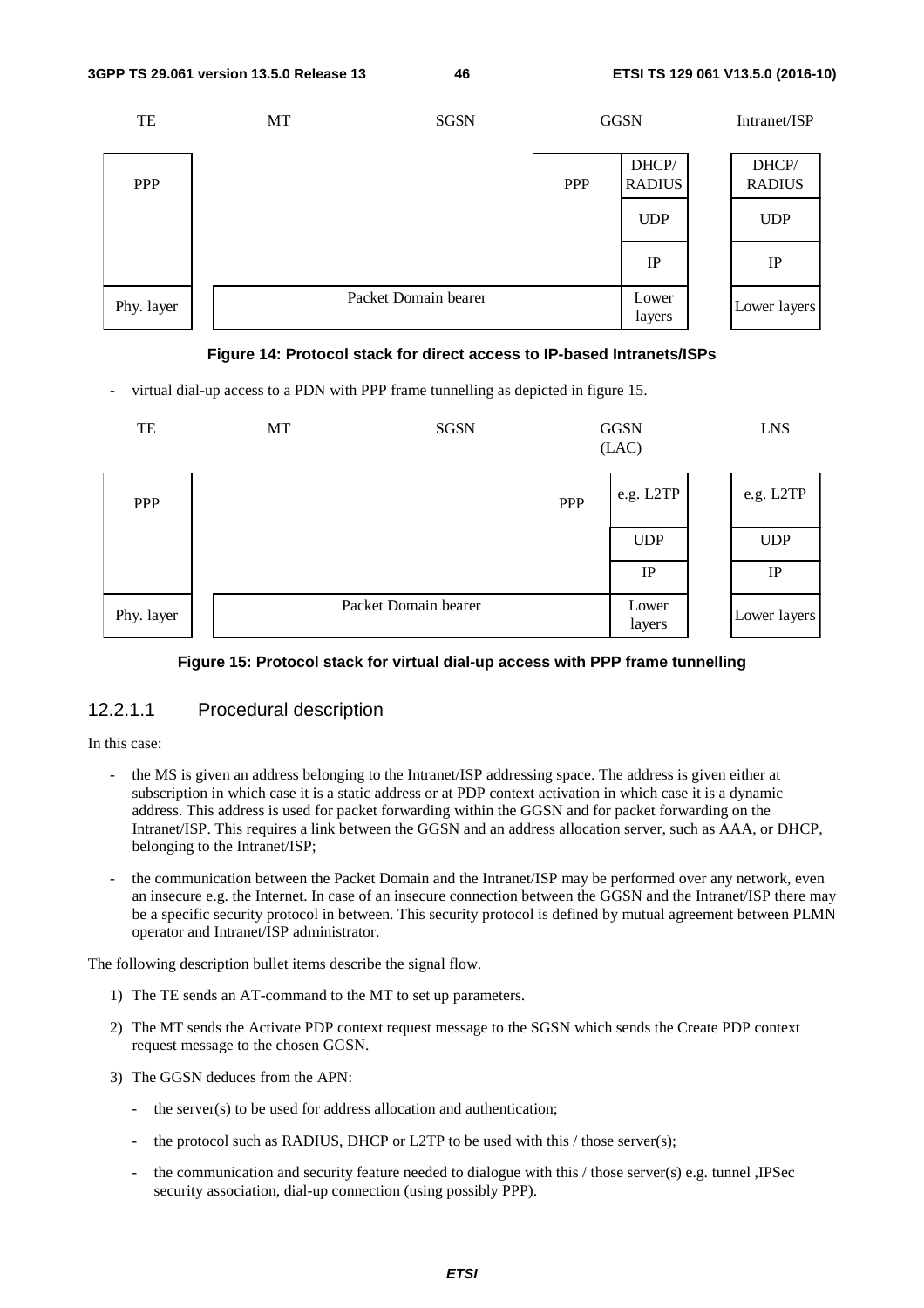



virtual dial-up access to a PDN with PPP frame tunnelling as depicted in figure 15.



#### **Figure 15: Protocol stack for virtual dial-up access with PPP frame tunnelling**

#### 12.2.1.1 Procedural description

#### In this case:

- the MS is given an address belonging to the Intranet/ISP addressing space. The address is given either at subscription in which case it is a static address or at PDP context activation in which case it is a dynamic address. This address is used for packet forwarding within the GGSN and for packet forwarding on the Intranet/ISP. This requires a link between the GGSN and an address allocation server, such as AAA, or DHCP, belonging to the Intranet/ISP;
- the communication between the Packet Domain and the Intranet/ISP may be performed over any network, even an insecure e.g. the Internet. In case of an insecure connection between the GGSN and the Intranet/ISP there may be a specific security protocol in between. This security protocol is defined by mutual agreement between PLMN operator and Intranet/ISP administrator.

The following description bullet items describe the signal flow.

- 1) The TE sends an AT-command to the MT to set up parameters.
- 2) The MT sends the Activate PDP context request message to the SGSN which sends the Create PDP context request message to the chosen GGSN.
- 3) The GGSN deduces from the APN:
	- the server(s) to be used for address allocation and authentication;
	- the protocol such as RADIUS, DHCP or L2TP to be used with this  $/$  those server(s);
	- the communication and security feature needed to dialogue with this / those server(s) e.g. tunnel ,IPSec security association, dial-up connection (using possibly PPP).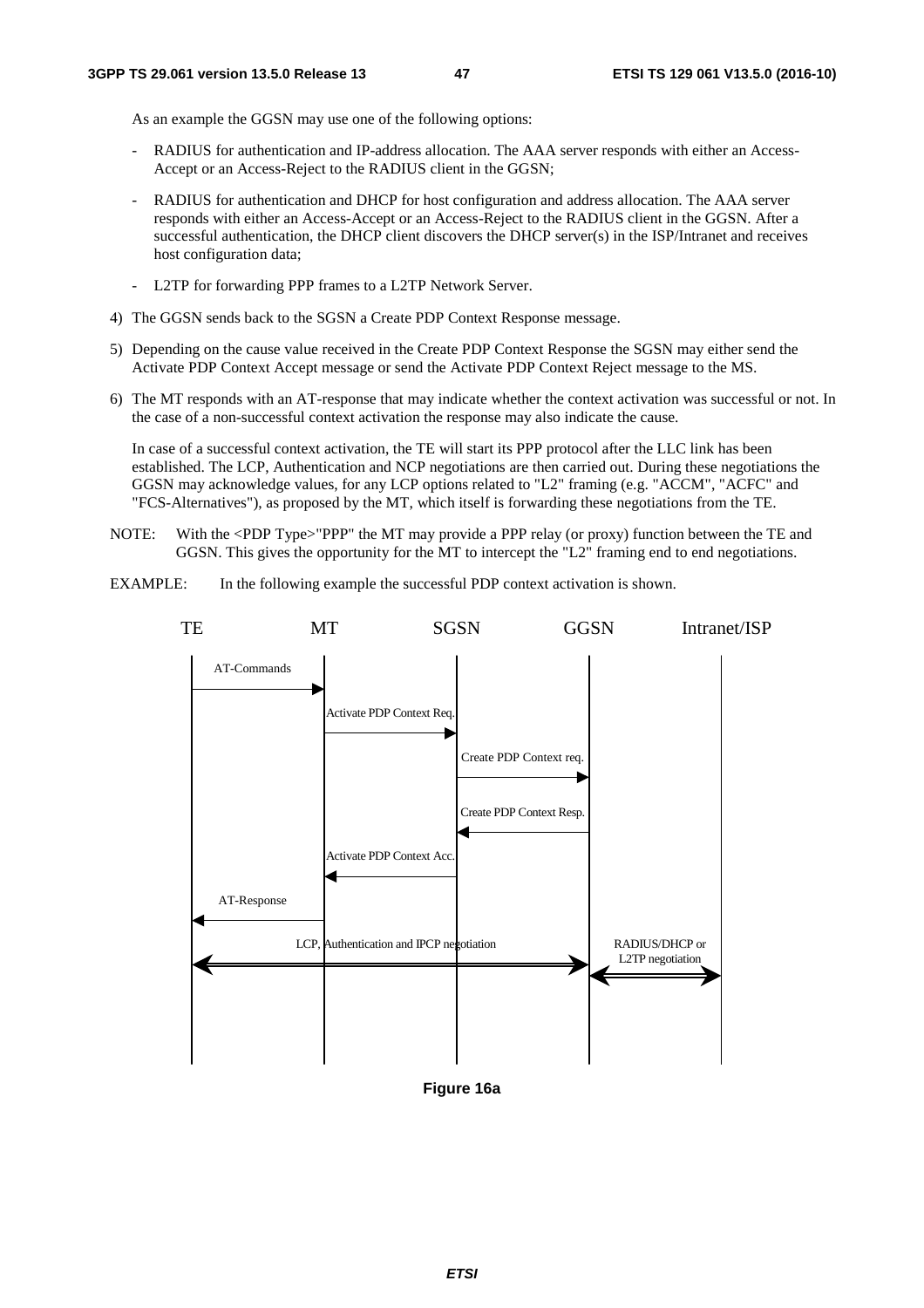As an example the GGSN may use one of the following options:

- RADIUS for authentication and IP-address allocation. The AAA server responds with either an Access-Accept or an Access-Reject to the RADIUS client in the GGSN;
- RADIUS for authentication and DHCP for host configuration and address allocation. The AAA server responds with either an Access-Accept or an Access-Reject to the RADIUS client in the GGSN. After a successful authentication, the DHCP client discovers the DHCP server(s) in the ISP/Intranet and receives host configuration data;
- L2TP for forwarding PPP frames to a L2TP Network Server.
- 4) The GGSN sends back to the SGSN a Create PDP Context Response message.
- 5) Depending on the cause value received in the Create PDP Context Response the SGSN may either send the Activate PDP Context Accept message or send the Activate PDP Context Reject message to the MS.
- 6) The MT responds with an AT-response that may indicate whether the context activation was successful or not. In the case of a non-successful context activation the response may also indicate the cause.

 In case of a successful context activation, the TE will start its PPP protocol after the LLC link has been established. The LCP, Authentication and NCP negotiations are then carried out. During these negotiations the GGSN may acknowledge values, for any LCP options related to "L2" framing (e.g. "ACCM", "ACFC" and "FCS-Alternatives"), as proposed by the MT, which itself is forwarding these negotiations from the TE.

- NOTE: With the <PDP Type>"PPP" the MT may provide a PPP relay (or proxy) function between the TE and GGSN. This gives the opportunity for the MT to intercept the "L2" framing end to end negotiations.
- EXAMPLE: In the following example the successful PDP context activation is shown.



**Figure 16a**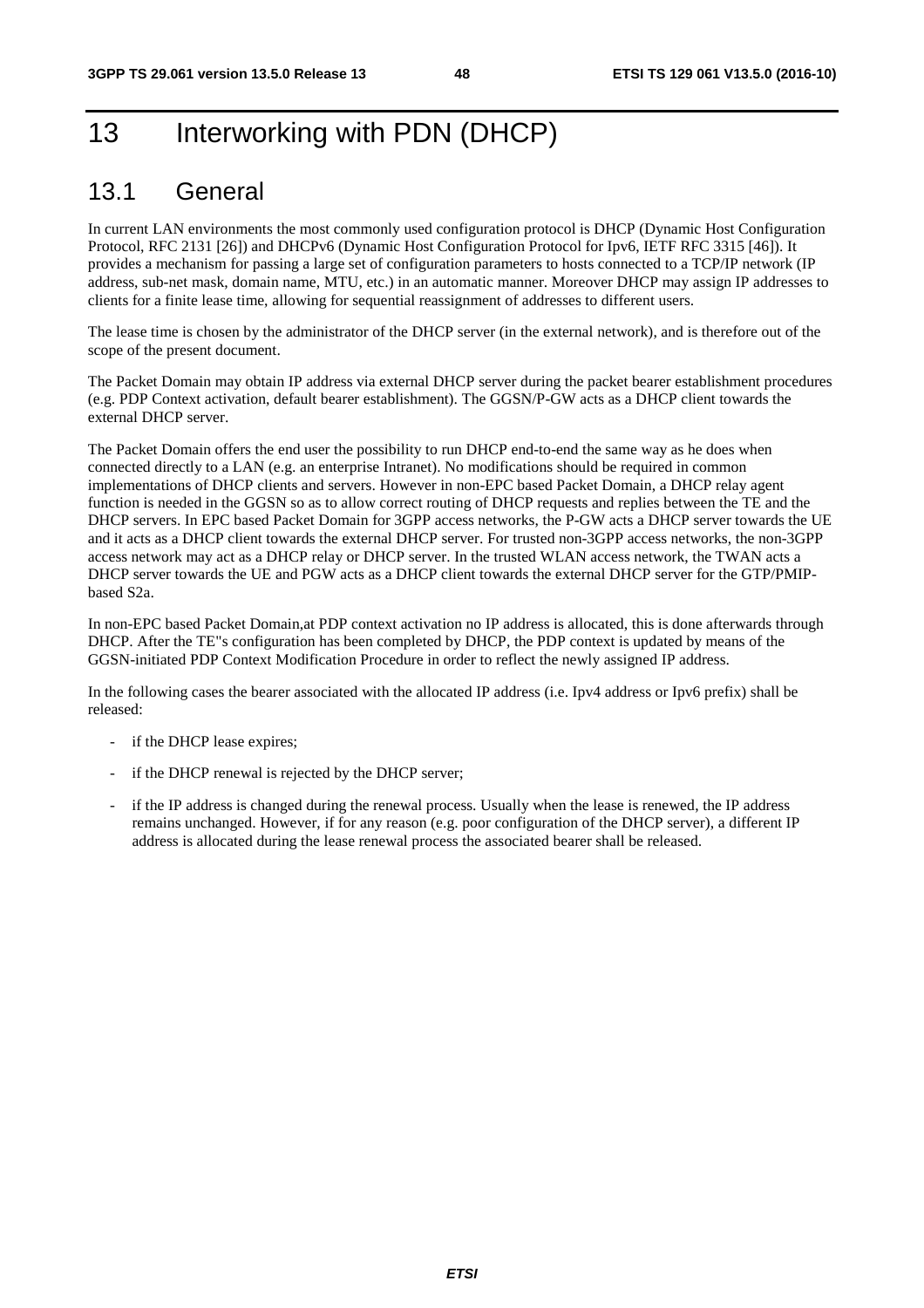# 13 Interworking with PDN (DHCP)

# 13.1 General

In current LAN environments the most commonly used configuration protocol is DHCP (Dynamic Host Configuration Protocol, RFC 2131 [26]) and DHCPv6 (Dynamic Host Configuration Protocol for Ipv6, IETF RFC 3315 [46]). It provides a mechanism for passing a large set of configuration parameters to hosts connected to a TCP/IP network (IP address, sub-net mask, domain name, MTU, etc.) in an automatic manner. Moreover DHCP may assign IP addresses to clients for a finite lease time, allowing for sequential reassignment of addresses to different users.

The lease time is chosen by the administrator of the DHCP server (in the external network), and is therefore out of the scope of the present document.

The Packet Domain may obtain IP address via external DHCP server during the packet bearer establishment procedures (e.g. PDP Context activation, default bearer establishment). The GGSN/P-GW acts as a DHCP client towards the external DHCP server.

The Packet Domain offers the end user the possibility to run DHCP end-to-end the same way as he does when connected directly to a LAN (e.g. an enterprise Intranet). No modifications should be required in common implementations of DHCP clients and servers. However in non-EPC based Packet Domain, a DHCP relay agent function is needed in the GGSN so as to allow correct routing of DHCP requests and replies between the TE and the DHCP servers. In EPC based Packet Domain for 3GPP access networks, the P-GW acts a DHCP server towards the UE and it acts as a DHCP client towards the external DHCP server. For trusted non-3GPP access networks, the non-3GPP access network may act as a DHCP relay or DHCP server. In the trusted WLAN access network, the TWAN acts a DHCP server towards the UE and PGW acts as a DHCP client towards the external DHCP server for the GTP/PMIPbased S2a.

In non-EPC based Packet Domain,at PDP context activation no IP address is allocated, this is done afterwards through DHCP. After the TE"s configuration has been completed by DHCP, the PDP context is updated by means of the GGSN-initiated PDP Context Modification Procedure in order to reflect the newly assigned IP address.

In the following cases the bearer associated with the allocated IP address (i.e. Ipv4 address or Ipv6 prefix) shall be released:

- if the DHCP lease expires;
- if the DHCP renewal is rejected by the DHCP server;
- if the IP address is changed during the renewal process. Usually when the lease is renewed, the IP address remains unchanged. However, if for any reason (e.g. poor configuration of the DHCP server), a different IP address is allocated during the lease renewal process the associated bearer shall be released.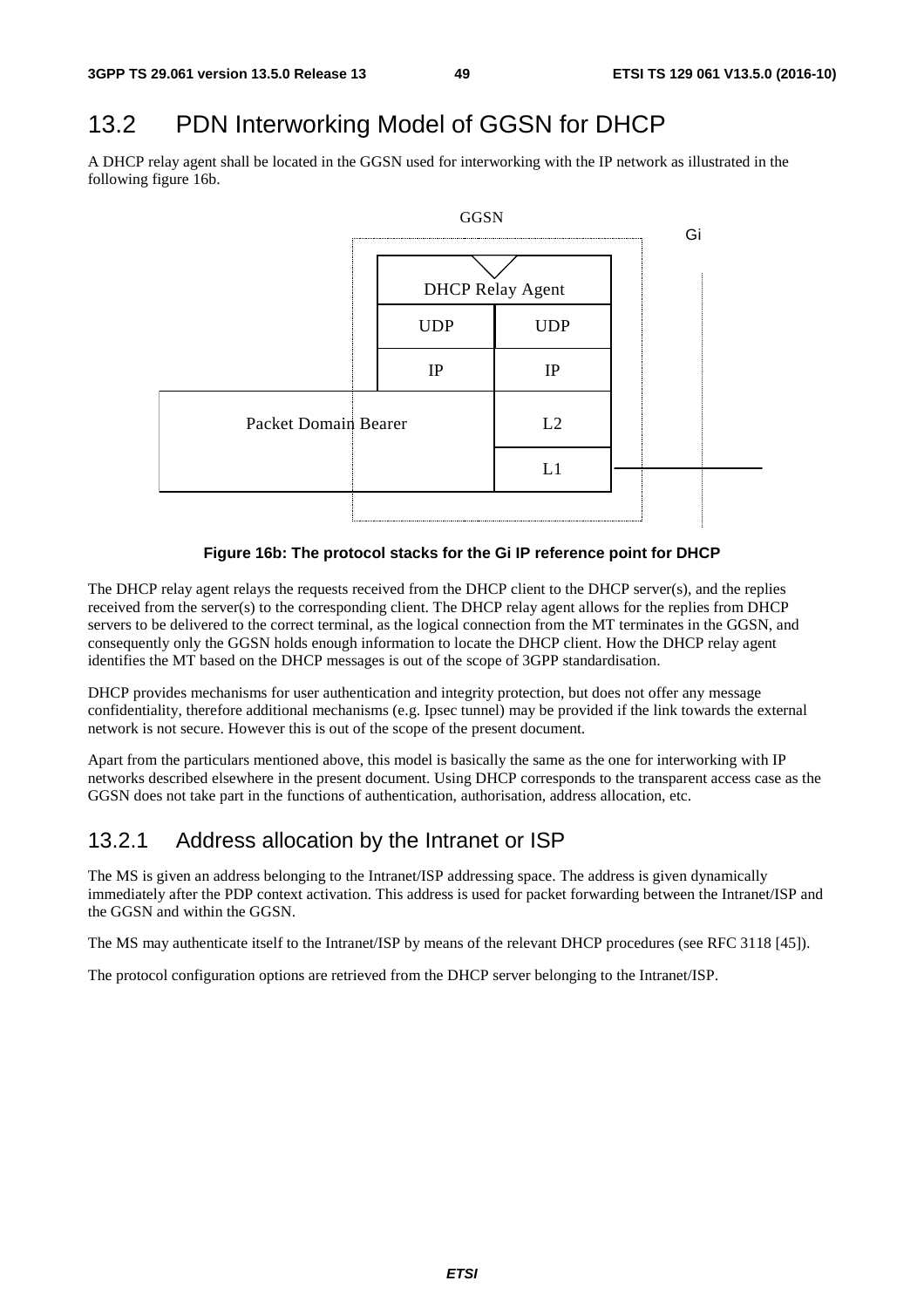# 13.2 PDN Interworking Model of GGSN for DHCP

A DHCP relay agent shall be located in the GGSN used for interworking with the IP network as illustrated in the following figure 16b.



**Figure 16b: The protocol stacks for the Gi IP reference point for DHCP** 

The DHCP relay agent relays the requests received from the DHCP client to the DHCP server(s), and the replies received from the server(s) to the corresponding client. The DHCP relay agent allows for the replies from DHCP servers to be delivered to the correct terminal, as the logical connection from the MT terminates in the GGSN, and consequently only the GGSN holds enough information to locate the DHCP client. How the DHCP relay agent identifies the MT based on the DHCP messages is out of the scope of 3GPP standardisation.

DHCP provides mechanisms for user authentication and integrity protection, but does not offer any message confidentiality, therefore additional mechanisms (e.g. Ipsec tunnel) may be provided if the link towards the external network is not secure. However this is out of the scope of the present document.

Apart from the particulars mentioned above, this model is basically the same as the one for interworking with IP networks described elsewhere in the present document. Using DHCP corresponds to the transparent access case as the GGSN does not take part in the functions of authentication, authorisation, address allocation, etc.

## 13.2.1 Address allocation by the Intranet or ISP

The MS is given an address belonging to the Intranet/ISP addressing space. The address is given dynamically immediately after the PDP context activation. This address is used for packet forwarding between the Intranet/ISP and the GGSN and within the GGSN.

The MS may authenticate itself to the Intranet/ISP by means of the relevant DHCP procedures (see RFC 3118 [45]).

The protocol configuration options are retrieved from the DHCP server belonging to the Intranet/ISP.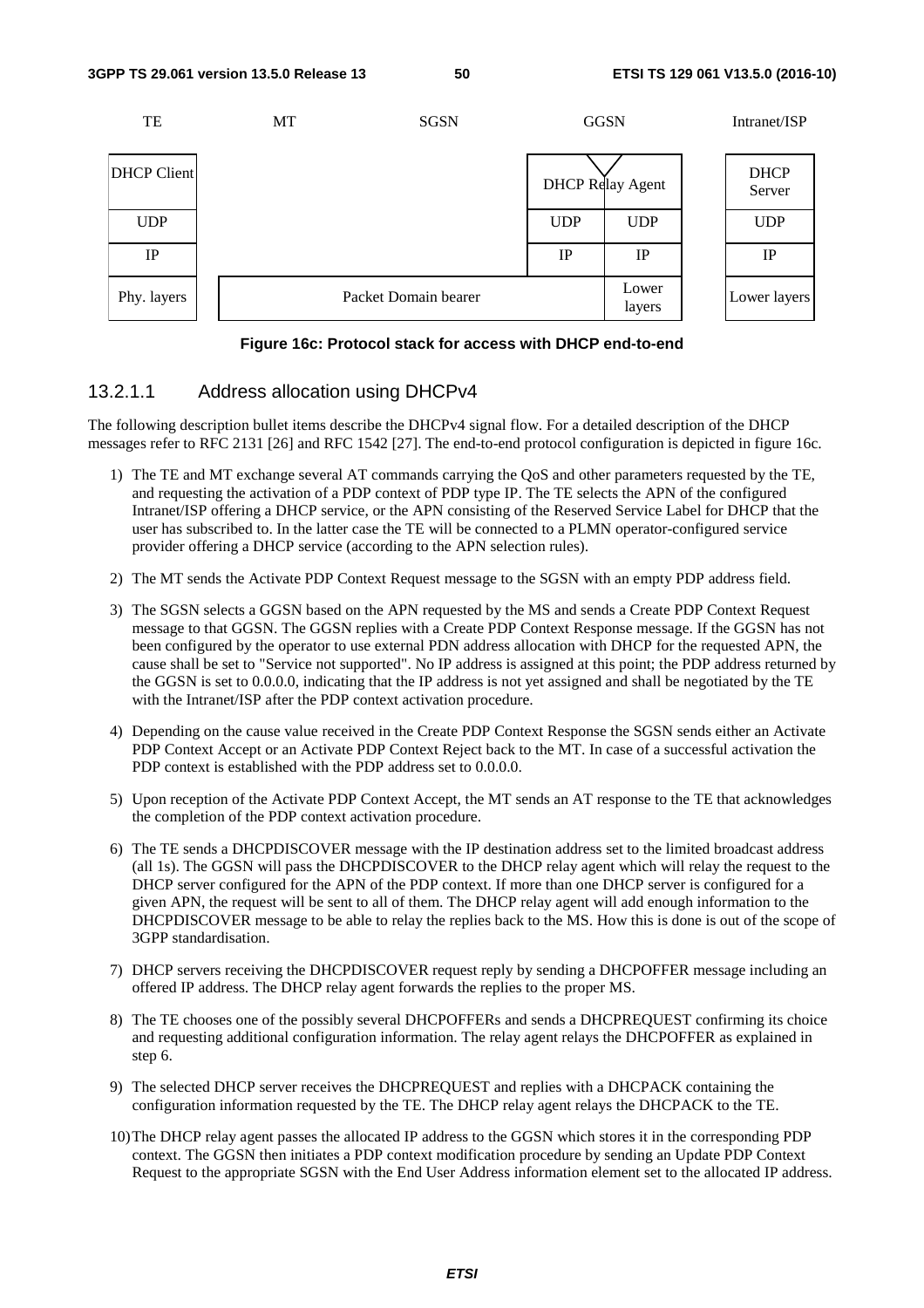

#### **Figure 16c: Protocol stack for access with DHCP end-to-end**

### 13.2.1.1 Address allocation using DHCPv4

The following description bullet items describe the DHCPv4 signal flow. For a detailed description of the DHCP messages refer to RFC 2131 [26] and RFC 1542 [27]. The end-to-end protocol configuration is depicted in figure 16c.

- 1) The TE and MT exchange several AT commands carrying the QoS and other parameters requested by the TE, and requesting the activation of a PDP context of PDP type IP. The TE selects the APN of the configured Intranet/ISP offering a DHCP service, or the APN consisting of the Reserved Service Label for DHCP that the user has subscribed to. In the latter case the TE will be connected to a PLMN operator-configured service provider offering a DHCP service (according to the APN selection rules).
- 2) The MT sends the Activate PDP Context Request message to the SGSN with an empty PDP address field.
- 3) The SGSN selects a GGSN based on the APN requested by the MS and sends a Create PDP Context Request message to that GGSN. The GGSN replies with a Create PDP Context Response message. If the GGSN has not been configured by the operator to use external PDN address allocation with DHCP for the requested APN, the cause shall be set to "Service not supported". No IP address is assigned at this point; the PDP address returned by the GGSN is set to 0.0.0.0, indicating that the IP address is not yet assigned and shall be negotiated by the TE with the Intranet/ISP after the PDP context activation procedure.
- 4) Depending on the cause value received in the Create PDP Context Response the SGSN sends either an Activate PDP Context Accept or an Activate PDP Context Reject back to the MT. In case of a successful activation the PDP context is established with the PDP address set to  $0.0.0.0$ .
- 5) Upon reception of the Activate PDP Context Accept, the MT sends an AT response to the TE that acknowledges the completion of the PDP context activation procedure.
- 6) The TE sends a DHCPDISCOVER message with the IP destination address set to the limited broadcast address (all 1s). The GGSN will pass the DHCPDISCOVER to the DHCP relay agent which will relay the request to the DHCP server configured for the APN of the PDP context. If more than one DHCP server is configured for a given APN, the request will be sent to all of them. The DHCP relay agent will add enough information to the DHCPDISCOVER message to be able to relay the replies back to the MS. How this is done is out of the scope of 3GPP standardisation.
- 7) DHCP servers receiving the DHCPDISCOVER request reply by sending a DHCPOFFER message including an offered IP address. The DHCP relay agent forwards the replies to the proper MS.
- 8) The TE chooses one of the possibly several DHCPOFFERs and sends a DHCPREQUEST confirming its choice and requesting additional configuration information. The relay agent relays the DHCPOFFER as explained in step 6.
- 9) The selected DHCP server receives the DHCPREQUEST and replies with a DHCPACK containing the configuration information requested by the TE. The DHCP relay agent relays the DHCPACK to the TE.
- 10) The DHCP relay agent passes the allocated IP address to the GGSN which stores it in the corresponding PDP context. The GGSN then initiates a PDP context modification procedure by sending an Update PDP Context Request to the appropriate SGSN with the End User Address information element set to the allocated IP address.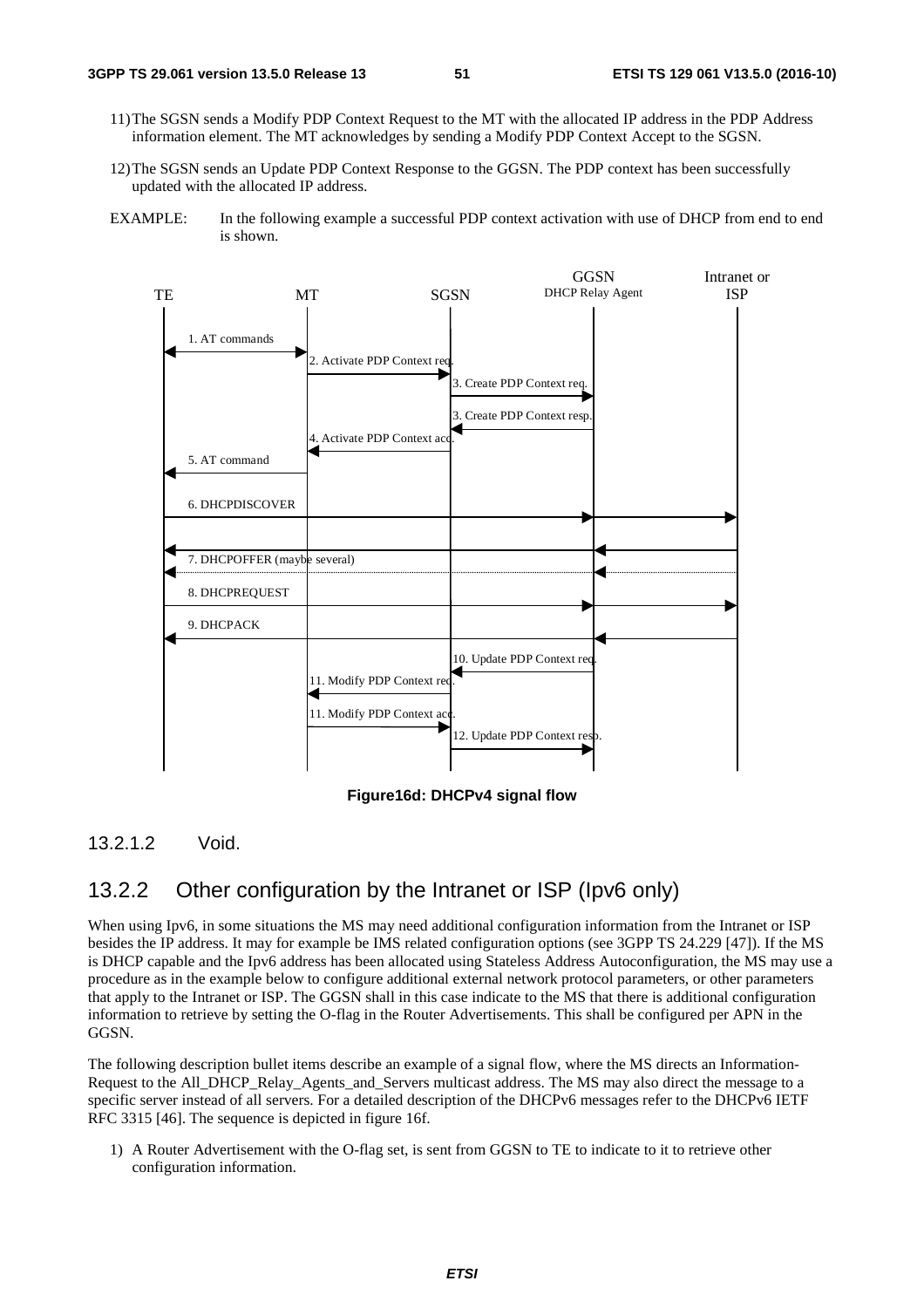- 11) The SGSN sends a Modify PDP Context Request to the MT with the allocated IP address in the PDP Address information element. The MT acknowledges by sending a Modify PDP Context Accept to the SGSN.
- 12) The SGSN sends an Update PDP Context Response to the GGSN. The PDP context has been successfully updated with the allocated IP address.
- EXAMPLE: In the following example a successful PDP context activation with use of DHCP from end to end is shown.



**Figure16d: DHCPv4 signal flow** 

### 13.2.1.2 Void.

### 13.2.2 Other configuration by the Intranet or ISP (Ipv6 only)

When using Ipv6, in some situations the MS may need additional configuration information from the Intranet or ISP besides the IP address. It may for example be IMS related configuration options (see 3GPP TS 24.229 [47]). If the MS is DHCP capable and the Ipv6 address has been allocated using Stateless Address Autoconfiguration, the MS may use a procedure as in the example below to configure additional external network protocol parameters, or other parameters that apply to the Intranet or ISP. The GGSN shall in this case indicate to the MS that there is additional configuration information to retrieve by setting the O-flag in the Router Advertisements. This shall be configured per APN in the GGSN.

The following description bullet items describe an example of a signal flow, where the MS directs an Information-Request to the All\_DHCP\_Relay\_Agents\_and\_Servers multicast address. The MS may also direct the message to a specific server instead of all servers. For a detailed description of the DHCPv6 messages refer to the DHCPv6 IETF RFC 3315 [46]. The sequence is depicted in figure 16f.

1) A Router Advertisement with the O-flag set, is sent from GGSN to TE to indicate to it to retrieve other configuration information.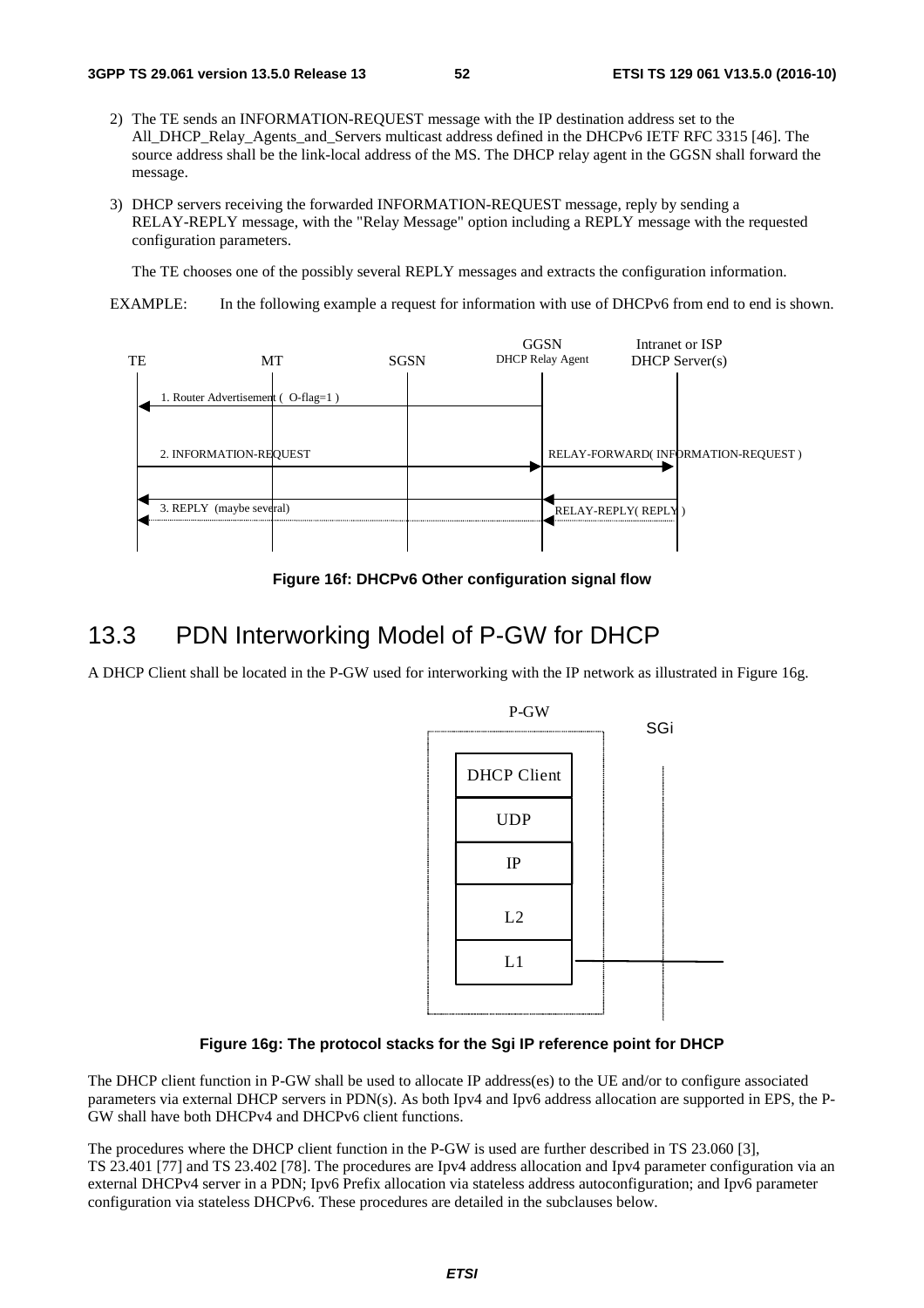- 2) The TE sends an INFORMATION-REQUEST message with the IP destination address set to the All\_DHCP\_Relay\_Agents\_and\_Servers multicast address defined in the DHCPv6 IETF RFC 3315 [46]. The source address shall be the link-local address of the MS. The DHCP relay agent in the GGSN shall forward the message.
- 3) DHCP servers receiving the forwarded INFORMATION-REQUEST message, reply by sending a RELAY-REPLY message, with the "Relay Message" option including a REPLY message with the requested configuration parameters.

The TE chooses one of the possibly several REPLY messages and extracts the configuration information.

EXAMPLE: In the following example a request for information with use of DHCPv6 from end to end is shown.



**Figure 16f: DHCPv6 Other configuration signal flow** 

# 13.3 PDN Interworking Model of P-GW for DHCP

A DHCP Client shall be located in the P-GW used for interworking with the IP network as illustrated in Figure 16g.



#### **Figure 16g: The protocol stacks for the Sgi IP reference point for DHCP**

The DHCP client function in P-GW shall be used to allocate IP address(es) to the UE and/or to configure associated parameters via external DHCP servers in PDN(s). As both Ipv4 and Ipv6 address allocation are supported in EPS, the P-GW shall have both DHCPv4 and DHCPv6 client functions.

The procedures where the DHCP client function in the P-GW is used are further described in TS 23.060 [3], TS 23.401 [77] and TS 23.402 [78]. The procedures are Ipv4 address allocation and Ipv4 parameter configuration via an external DHCPv4 server in a PDN; Ipv6 Prefix allocation via stateless address autoconfiguration; and Ipv6 parameter configuration via stateless DHCPv6. These procedures are detailed in the subclauses below.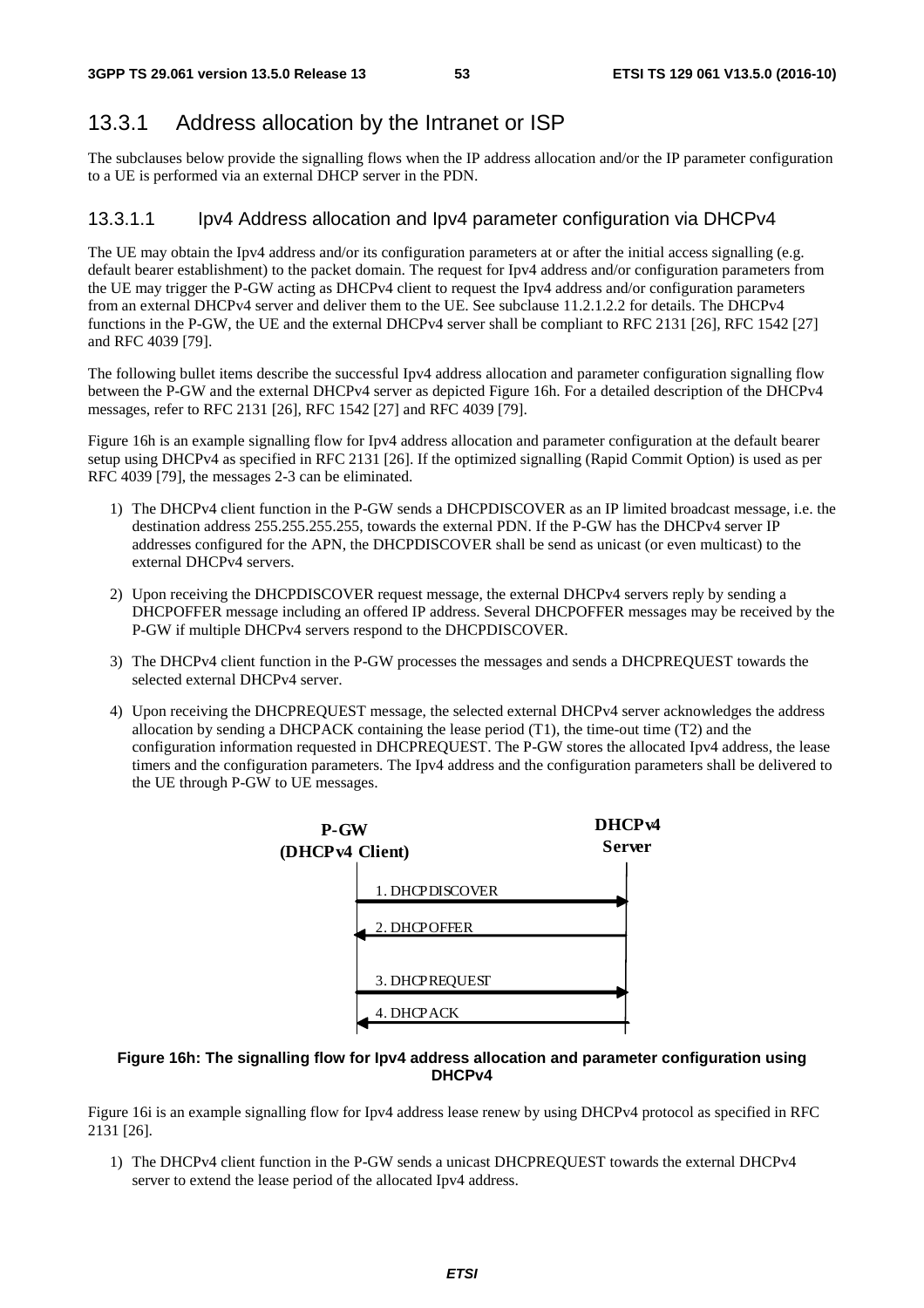### 13.3.1 Address allocation by the Intranet or ISP

The subclauses below provide the signalling flows when the IP address allocation and/or the IP parameter configuration to a UE is performed via an external DHCP server in the PDN.

#### 13.3.1.1 Ipv4 Address allocation and Ipv4 parameter configuration via DHCPv4

The UE may obtain the Ipv4 address and/or its configuration parameters at or after the initial access signalling (e.g. default bearer establishment) to the packet domain. The request for Ipv4 address and/or configuration parameters from the UE may trigger the P-GW acting as DHCPv4 client to request the Ipv4 address and/or configuration parameters from an external DHCPv4 server and deliver them to the UE. See subclause 11.2.1.2.2 for details. The DHCPv4 functions in the P-GW, the UE and the external DHCPv4 server shall be compliant to RFC 2131 [26], RFC 1542 [27] and RFC 4039 [79].

The following bullet items describe the successful Ipv4 address allocation and parameter configuration signalling flow between the P-GW and the external DHCPv4 server as depicted Figure 16h. For a detailed description of the DHCPv4 messages, refer to RFC 2131 [26], RFC 1542 [27] and RFC 4039 [79].

Figure 16h is an example signalling flow for Ipv4 address allocation and parameter configuration at the default bearer setup using DHCPv4 as specified in RFC 2131 [26]. If the optimized signalling (Rapid Commit Option) is used as per RFC 4039 [79], the messages 2-3 can be eliminated.

- 1) The DHCPv4 client function in the P-GW sends a DHCPDISCOVER as an IP limited broadcast message, i.e. the destination address 255.255.255.255, towards the external PDN. If the P-GW has the DHCPv4 server IP addresses configured for the APN, the DHCPDISCOVER shall be send as unicast (or even multicast) to the external DHCPv4 servers.
- 2) Upon receiving the DHCPDISCOVER request message, the external DHCPv4 servers reply by sending a DHCPOFFER message including an offered IP address. Several DHCPOFFER messages may be received by the P-GW if multiple DHCPv4 servers respond to the DHCPDISCOVER.
- 3) The DHCPv4 client function in the P-GW processes the messages and sends a DHCPREQUEST towards the selected external DHCPv4 server.
- 4) Upon receiving the DHCPREQUEST message, the selected external DHCPv4 server acknowledges the address allocation by sending a DHCPACK containing the lease period (T1), the time-out time (T2) and the configuration information requested in DHCPREQUEST. The P-GW stores the allocated Ipv4 address, the lease timers and the configuration parameters. The Ipv4 address and the configuration parameters shall be delivered to the UE through P-GW to UE messages.



#### **Figure 16h: The signalling flow for Ipv4 address allocation and parameter configuration using DHCPv4**

Figure 16i is an example signalling flow for Ipv4 address lease renew by using DHCPv4 protocol as specified in RFC 2131 [26].

1) The DHCPv4 client function in the P-GW sends a unicast DHCPREQUEST towards the external DHCPv4 server to extend the lease period of the allocated Ipv4 address.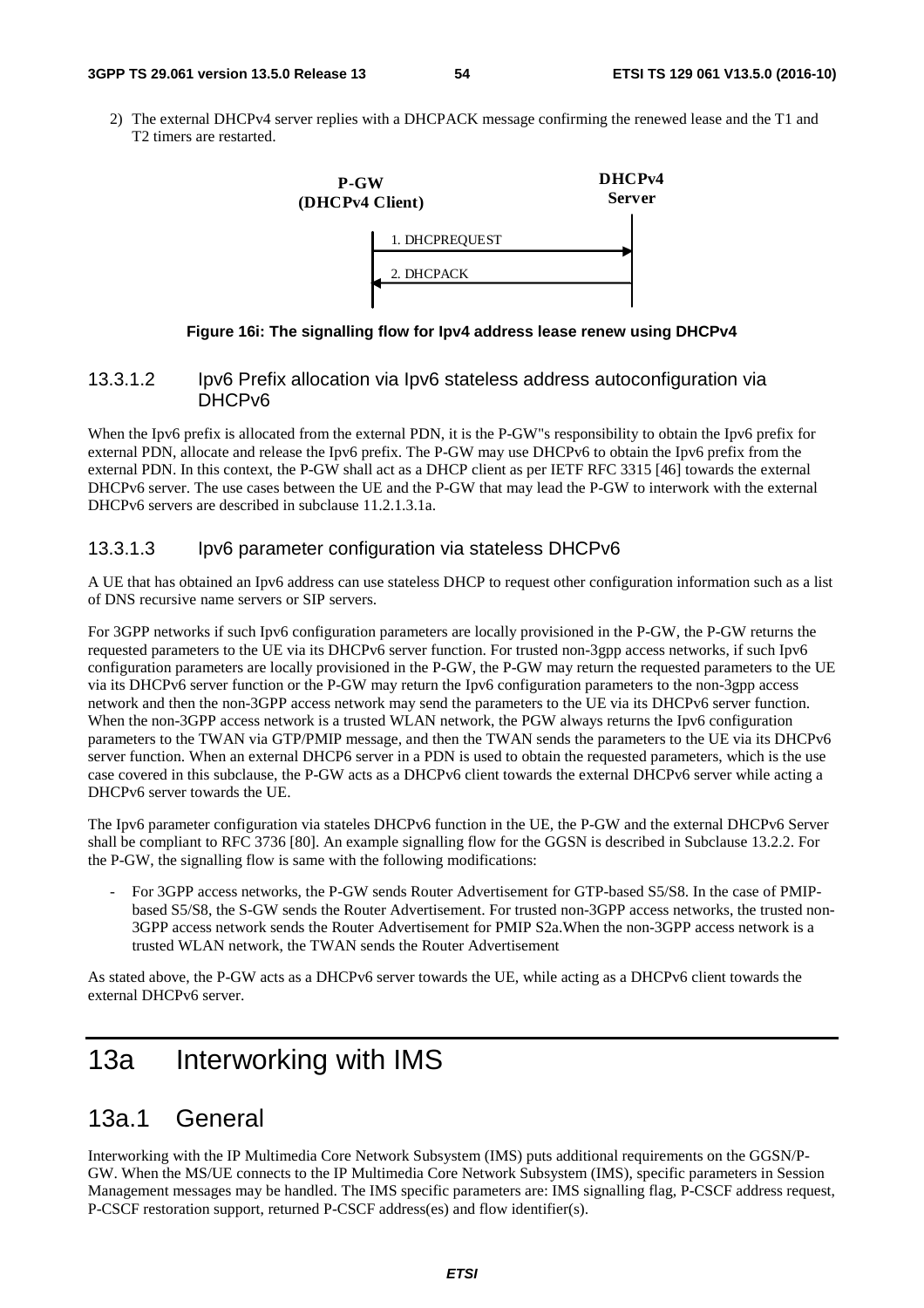#### **3GPP TS 29.061 version 13.5.0 Release 13 54 ETSI TS 129 061 V13.5.0 (2016-10)**

2) The external DHCPv4 server replies with a DHCPACK message confirming the renewed lease and the T1 and T2 timers are restarted.



#### **Figure 16i: The signalling flow for Ipv4 address lease renew using DHCPv4**

#### 13.3.1.2 Ipv6 Prefix allocation via Ipv6 stateless address autoconfiguration via DHCPv6

When the Ipv6 prefix is allocated from the external PDN, it is the P-GW"s responsibility to obtain the Ipv6 prefix for external PDN, allocate and release the Ipv6 prefix. The P-GW may use DHCPv6 to obtain the Ipv6 prefix from the external PDN. In this context, the P-GW shall act as a DHCP client as per IETF RFC 3315 [46] towards the external DHCPv6 server. The use cases between the UE and the P-GW that may lead the P-GW to interwork with the external DHCPv6 servers are described in subclause 11.2.1.3.1a.

#### 13.3.1.3 Ipv6 parameter configuration via stateless DHCPv6

A UE that has obtained an Ipv6 address can use stateless DHCP to request other configuration information such as a list of DNS recursive name servers or SIP servers.

For 3GPP networks if such Ipv6 configuration parameters are locally provisioned in the P-GW, the P-GW returns the requested parameters to the UE via its DHCPv6 server function. For trusted non-3gpp access networks, if such Ipv6 configuration parameters are locally provisioned in the P-GW, the P-GW may return the requested parameters to the UE via its DHCPv6 server function or the P-GW may return the Ipv6 configuration parameters to the non-3gpp access network and then the non-3GPP access network may send the parameters to the UE via its DHCPv6 server function. When the non-3GPP access network is a trusted WLAN network, the PGW always returns the Ipv6 configuration parameters to the TWAN via GTP/PMIP message, and then the TWAN sends the parameters to the UE via its DHCPv6 server function. When an external DHCP6 server in a PDN is used to obtain the requested parameters, which is the use case covered in this subclause, the P-GW acts as a DHCPv6 client towards the external DHCPv6 server while acting a DHCPv6 server towards the UE.

The Ipv6 parameter configuration via stateles DHCPv6 function in the UE, the P-GW and the external DHCPv6 Server shall be compliant to RFC 3736 [80]. An example signalling flow for the GGSN is described in Subclause 13.2.2. For the P-GW, the signalling flow is same with the following modifications:

- For 3GPP access networks, the P-GW sends Router Advertisement for GTP-based S5/S8. In the case of PMIPbased S5/S8, the S-GW sends the Router Advertisement. For trusted non-3GPP access networks, the trusted non-3GPP access network sends the Router Advertisement for PMIP S2a.When the non-3GPP access network is a trusted WLAN network, the TWAN sends the Router Advertisement

As stated above, the P-GW acts as a DHCPv6 server towards the UE, while acting as a DHCPv6 client towards the external DHCPv6 server.

# 13a Interworking with IMS

## 13a.1 General

Interworking with the IP Multimedia Core Network Subsystem (IMS) puts additional requirements on the GGSN/P-GW. When the MS/UE connects to the IP Multimedia Core Network Subsystem (IMS), specific parameters in Session Management messages may be handled. The IMS specific parameters are: IMS signalling flag, P-CSCF address request, P-CSCF restoration support, returned P-CSCF address(es) and flow identifier(s).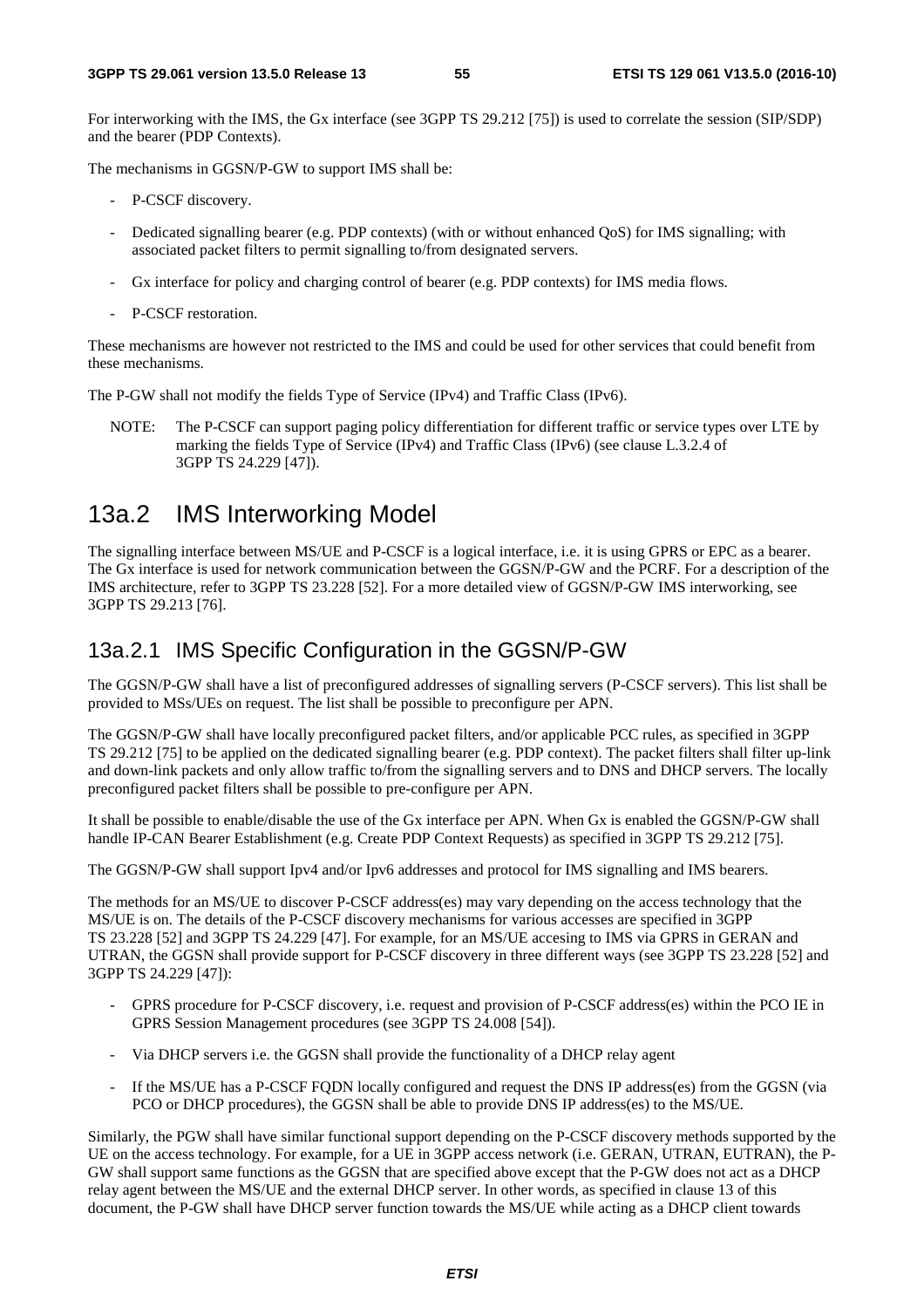For interworking with the IMS, the Gx interface (see 3GPP TS 29.212 [75]) is used to correlate the session (SIP/SDP) and the bearer (PDP Contexts).

The mechanisms in GGSN/P-GW to support IMS shall be:

- P-CSCF discovery.
- Dedicated signalling bearer (e.g. PDP contexts) (with or without enhanced OoS) for IMS signalling; with associated packet filters to permit signalling to/from designated servers.
- Gx interface for policy and charging control of bearer (e.g. PDP contexts) for IMS media flows.
- P-CSCF restoration.

These mechanisms are however not restricted to the IMS and could be used for other services that could benefit from these mechanisms.

The P-GW shall not modify the fields Type of Service (IPv4) and Traffic Class (IPv6).

NOTE: The P-CSCF can support paging policy differentiation for different traffic or service types over LTE by marking the fields Type of Service (IPv4) and Traffic Class (IPv6) (see clause L.3.2.4 of 3GPP TS 24.229 [47]).

# 13a.2 IMS Interworking Model

The signalling interface between MS/UE and P-CSCF is a logical interface, i.e. it is using GPRS or EPC as a bearer. The Gx interface is used for network communication between the GGSN/P-GW and the PCRF. For a description of the IMS architecture, refer to 3GPP TS 23.228 [52]. For a more detailed view of GGSN/P-GW IMS interworking, see 3GPP TS 29.213 [76].

### 13a.2.1 IMS Specific Configuration in the GGSN/P-GW

The GGSN/P-GW shall have a list of preconfigured addresses of signalling servers (P-CSCF servers). This list shall be provided to MSs/UEs on request. The list shall be possible to preconfigure per APN.

The GGSN/P-GW shall have locally preconfigured packet filters, and/or applicable PCC rules, as specified in 3GPP TS 29.212 [75] to be applied on the dedicated signalling bearer (e.g. PDP context). The packet filters shall filter up-link and down-link packets and only allow traffic to/from the signalling servers and to DNS and DHCP servers. The locally preconfigured packet filters shall be possible to pre-configure per APN.

It shall be possible to enable/disable the use of the Gx interface per APN. When Gx is enabled the GGSN/P-GW shall handle IP-CAN Bearer Establishment (e.g. Create PDP Context Requests) as specified in 3GPP TS 29.212 [75].

The GGSN/P-GW shall support Ipv4 and/or Ipv6 addresses and protocol for IMS signalling and IMS bearers.

The methods for an MS/UE to discover P-CSCF address(es) may vary depending on the access technology that the MS/UE is on. The details of the P-CSCF discovery mechanisms for various accesses are specified in 3GPP TS 23.228 [52] and 3GPP TS 24.229 [47]. For example, for an MS/UE accesing to IMS via GPRS in GERAN and UTRAN, the GGSN shall provide support for P-CSCF discovery in three different ways (see 3GPP TS 23.228 [52] and 3GPP TS 24.229 [47]):

- GPRS procedure for P-CSCF discovery, i.e. request and provision of P-CSCF address(es) within the PCO IE in GPRS Session Management procedures (see 3GPP TS 24.008 [54]).
- Via DHCP servers i.e. the GGSN shall provide the functionality of a DHCP relay agent
- If the MS/UE has a P-CSCF FQDN locally configured and request the DNS IP address(es) from the GGSN (via PCO or DHCP procedures), the GGSN shall be able to provide DNS IP address(es) to the MS/UE.

Similarly, the PGW shall have similar functional support depending on the P-CSCF discovery methods supported by the UE on the access technology. For example, for a UE in 3GPP access network (i.e. GERAN, UTRAN, EUTRAN), the P-GW shall support same functions as the GGSN that are specified above except that the P-GW does not act as a DHCP relay agent between the MS/UE and the external DHCP server. In other words, as specified in clause 13 of this document, the P-GW shall have DHCP server function towards the MS/UE while acting as a DHCP client towards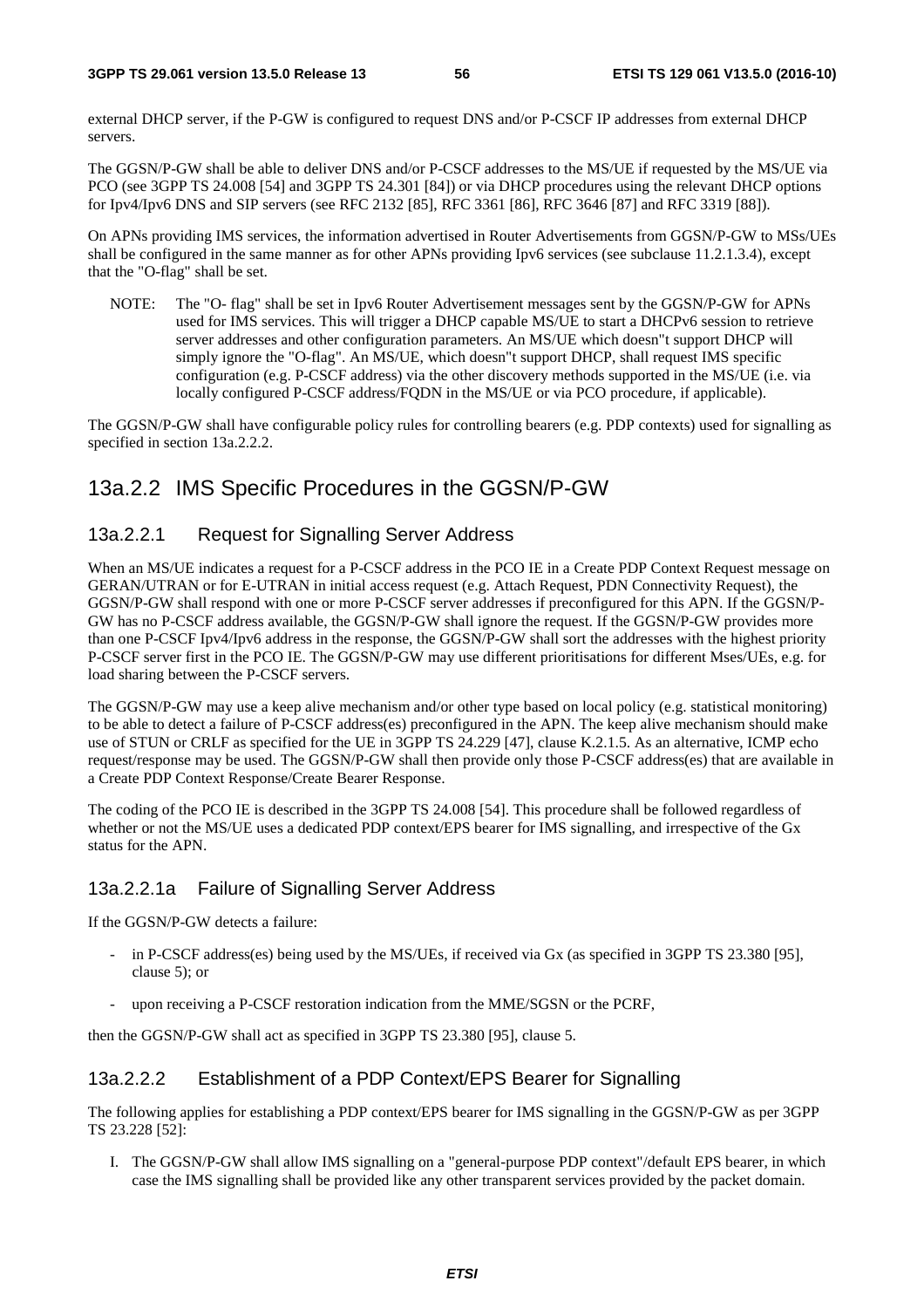external DHCP server, if the P-GW is configured to request DNS and/or P-CSCF IP addresses from external DHCP servers.

The GGSN/P-GW shall be able to deliver DNS and/or P-CSCF addresses to the MS/UE if requested by the MS/UE via PCO (see 3GPP TS 24.008 [54] and 3GPP TS 24.301 [84]) or via DHCP procedures using the relevant DHCP options for Ipv4/Ipv6 DNS and SIP servers (see RFC 2132 [85], RFC 3361 [86], RFC 3646 [87] and RFC 3319 [88]).

On APNs providing IMS services, the information advertised in Router Advertisements from GGSN/P-GW to MSs/UEs shall be configured in the same manner as for other APNs providing Ipv6 services (see subclause 11.2.1.3.4), except that the "O-flag" shall be set.

NOTE: The "O- flag" shall be set in Ipv6 Router Advertisement messages sent by the GGSN/P-GW for APNs used for IMS services. This will trigger a DHCP capable MS/UE to start a DHCPv6 session to retrieve server addresses and other configuration parameters. An MS/UE which doesn"t support DHCP will simply ignore the "O-flag". An MS/UE, which doesn"t support DHCP, shall request IMS specific configuration (e.g. P-CSCF address) via the other discovery methods supported in the MS/UE (i.e. via locally configured P-CSCF address/FQDN in the MS/UE or via PCO procedure, if applicable).

The GGSN/P-GW shall have configurable policy rules for controlling bearers (e.g. PDP contexts) used for signalling as specified in section 13a.2.2.2.

# 13a.2.2 IMS Specific Procedures in the GGSN/P-GW

### 13a.2.2.1 Request for Signalling Server Address

When an MS/UE indicates a request for a P-CSCF address in the PCO IE in a Create PDP Context Request message on GERAN/UTRAN or for E-UTRAN in initial access request (e.g. Attach Request, PDN Connectivity Request), the GGSN/P-GW shall respond with one or more P-CSCF server addresses if preconfigured for this APN. If the GGSN/P-GW has no P-CSCF address available, the GGSN/P-GW shall ignore the request. If the GGSN/P-GW provides more than one P-CSCF Ipv4/Ipv6 address in the response, the GGSN/P-GW shall sort the addresses with the highest priority P-CSCF server first in the PCO IE. The GGSN/P-GW may use different prioritisations for different Mses/UEs, e.g. for load sharing between the P-CSCF servers.

The GGSN/P-GW may use a keep alive mechanism and/or other type based on local policy (e.g. statistical monitoring) to be able to detect a failure of P-CSCF address(es) preconfigured in the APN. The keep alive mechanism should make use of STUN or CRLF as specified for the UE in 3GPP TS 24.229 [47], clause K.2.1.5. As an alternative, ICMP echo request/response may be used. The GGSN/P-GW shall then provide only those P-CSCF address(es) that are available in a Create PDP Context Response/Create Bearer Response.

The coding of the PCO IE is described in the 3GPP TS 24.008 [54]. This procedure shall be followed regardless of whether or not the MS/UE uses a dedicated PDP context/EPS bearer for IMS signalling, and irrespective of the Gx status for the APN.

### 13a.2.2.1a Failure of Signalling Server Address

If the GGSN/P-GW detects a failure:

- in P-CSCF address(es) being used by the MS/UEs, if received via Gx (as specified in 3GPP TS 23.380 [95], clause 5); or
- upon receiving a P-CSCF restoration indication from the MME/SGSN or the PCRF,

then the GGSN/P-GW shall act as specified in 3GPP TS 23.380 [95], clause 5.

### 13a.2.2.2 Establishment of a PDP Context/EPS Bearer for Signalling

The following applies for establishing a PDP context/EPS bearer for IMS signalling in the GGSN/P-GW as per 3GPP TS 23.228 [52]:

I. The GGSN/P-GW shall allow IMS signalling on a "general-purpose PDP context"/default EPS bearer, in which case the IMS signalling shall be provided like any other transparent services provided by the packet domain.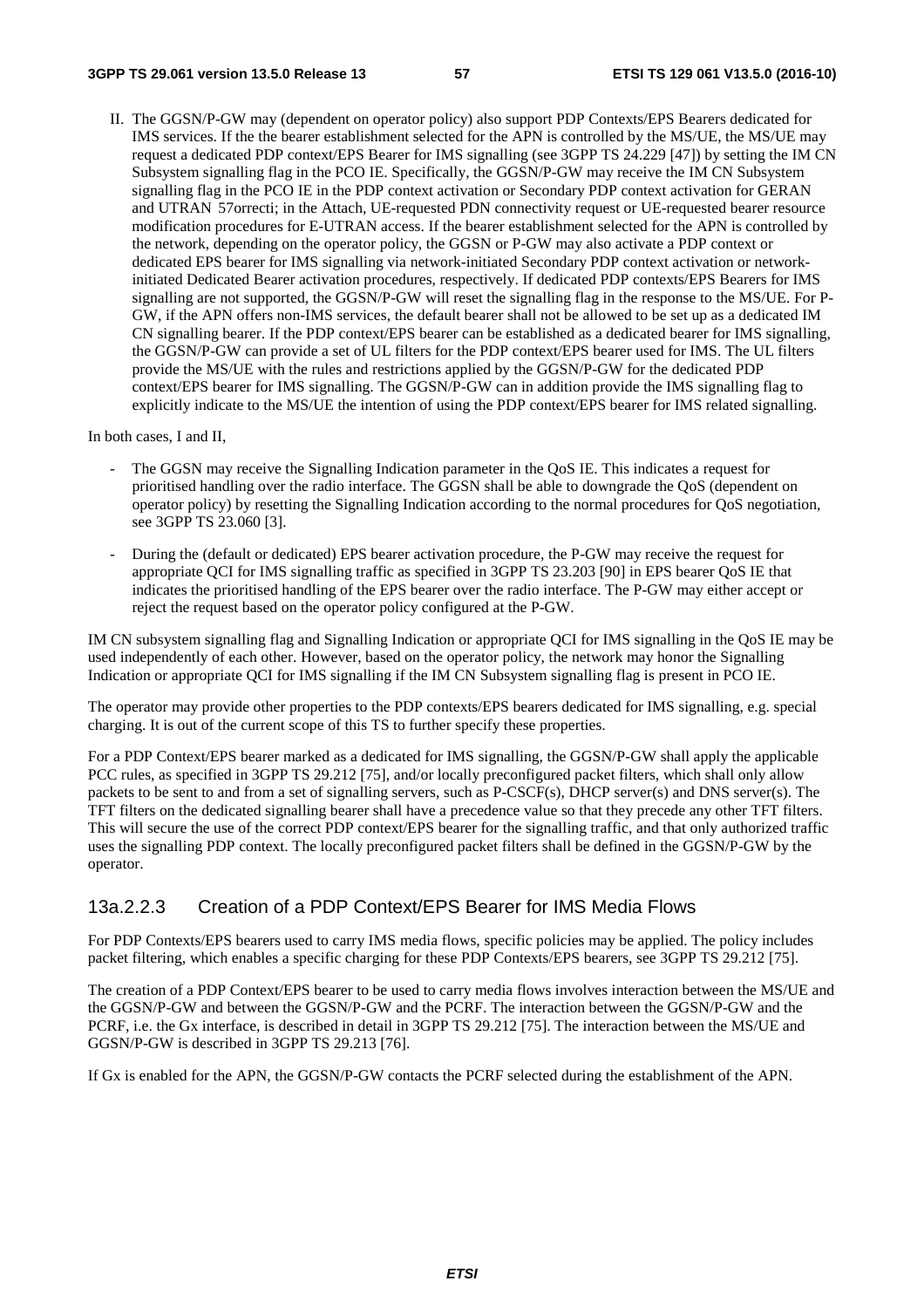II. The GGSN/P-GW may (dependent on operator policy) also support PDP Contexts/EPS Bearers dedicated for IMS services. If the the bearer establishment selected for the APN is controlled by the MS/UE, the MS/UE may request a dedicated PDP context/EPS Bearer for IMS signalling (see 3GPP TS 24.229 [47]) by setting the IM CN Subsystem signalling flag in the PCO IE. Specifically, the GGSN/P-GW may receive the IM CN Subsystem signalling flag in the PCO IE in the PDP context activation or Secondary PDP context activation for GERAN and UTRAN 57orrecti; in the Attach, UE-requested PDN connectivity request or UE-requested bearer resource modification procedures for E-UTRAN access. If the bearer establishment selected for the APN is controlled by the network, depending on the operator policy, the GGSN or P-GW may also activate a PDP context or dedicated EPS bearer for IMS signalling via network-initiated Secondary PDP context activation or networkinitiated Dedicated Bearer activation procedures, respectively. If dedicated PDP contexts/EPS Bearers for IMS signalling are not supported, the GGSN/P-GW will reset the signalling flag in the response to the MS/UE. For P-GW, if the APN offers non-IMS services, the default bearer shall not be allowed to be set up as a dedicated IM CN signalling bearer. If the PDP context/EPS bearer can be established as a dedicated bearer for IMS signalling, the GGSN/P-GW can provide a set of UL filters for the PDP context/EPS bearer used for IMS. The UL filters provide the MS/UE with the rules and restrictions applied by the GGSN/P-GW for the dedicated PDP context/EPS bearer for IMS signalling. The GGSN/P-GW can in addition provide the IMS signalling flag to explicitly indicate to the MS/UE the intention of using the PDP context/EPS bearer for IMS related signalling.

In both cases, I and II,

- The GGSN may receive the Signalling Indication parameter in the QoS IE. This indicates a request for prioritised handling over the radio interface. The GGSN shall be able to downgrade the QoS (dependent on operator policy) by resetting the Signalling Indication according to the normal procedures for QoS negotiation, see 3GPP TS 23.060 [3].
- During the (default or dedicated) EPS bearer activation procedure, the P-GW may receive the request for appropriate QCI for IMS signalling traffic as specified in 3GPP TS 23.203 [90] in EPS bearer QoS IE that indicates the prioritised handling of the EPS bearer over the radio interface. The P-GW may either accept or reject the request based on the operator policy configured at the P-GW.

IM CN subsystem signalling flag and Signalling Indication or appropriate QCI for IMS signalling in the QoS IE may be used independently of each other. However, based on the operator policy, the network may honor the Signalling Indication or appropriate QCI for IMS signalling if the IM CN Subsystem signalling flag is present in PCO IE.

The operator may provide other properties to the PDP contexts/EPS bearers dedicated for IMS signalling, e.g. special charging. It is out of the current scope of this TS to further specify these properties.

For a PDP Context/EPS bearer marked as a dedicated for IMS signalling, the GGSN/P-GW shall apply the applicable PCC rules, as specified in 3GPP TS 29.212 [75], and/or locally preconfigured packet filters, which shall only allow packets to be sent to and from a set of signalling servers, such as P-CSCF(s), DHCP server(s) and DNS server(s). The TFT filters on the dedicated signalling bearer shall have a precedence value so that they precede any other TFT filters. This will secure the use of the correct PDP context/EPS bearer for the signalling traffic, and that only authorized traffic uses the signalling PDP context. The locally preconfigured packet filters shall be defined in the GGSN/P-GW by the operator.

#### 13a.2.2.3 Creation of a PDP Context/EPS Bearer for IMS Media Flows

For PDP Contexts/EPS bearers used to carry IMS media flows, specific policies may be applied. The policy includes packet filtering, which enables a specific charging for these PDP Contexts/EPS bearers, see 3GPP TS 29.212 [75].

The creation of a PDP Context/EPS bearer to be used to carry media flows involves interaction between the MS/UE and the GGSN/P-GW and between the GGSN/P-GW and the PCRF. The interaction between the GGSN/P-GW and the PCRF, i.e. the Gx interface, is described in detail in 3GPP TS 29.212 [75]. The interaction between the MS/UE and GGSN/P-GW is described in 3GPP TS 29.213 [76].

If Gx is enabled for the APN, the GGSN/P-GW contacts the PCRF selected during the establishment of the APN.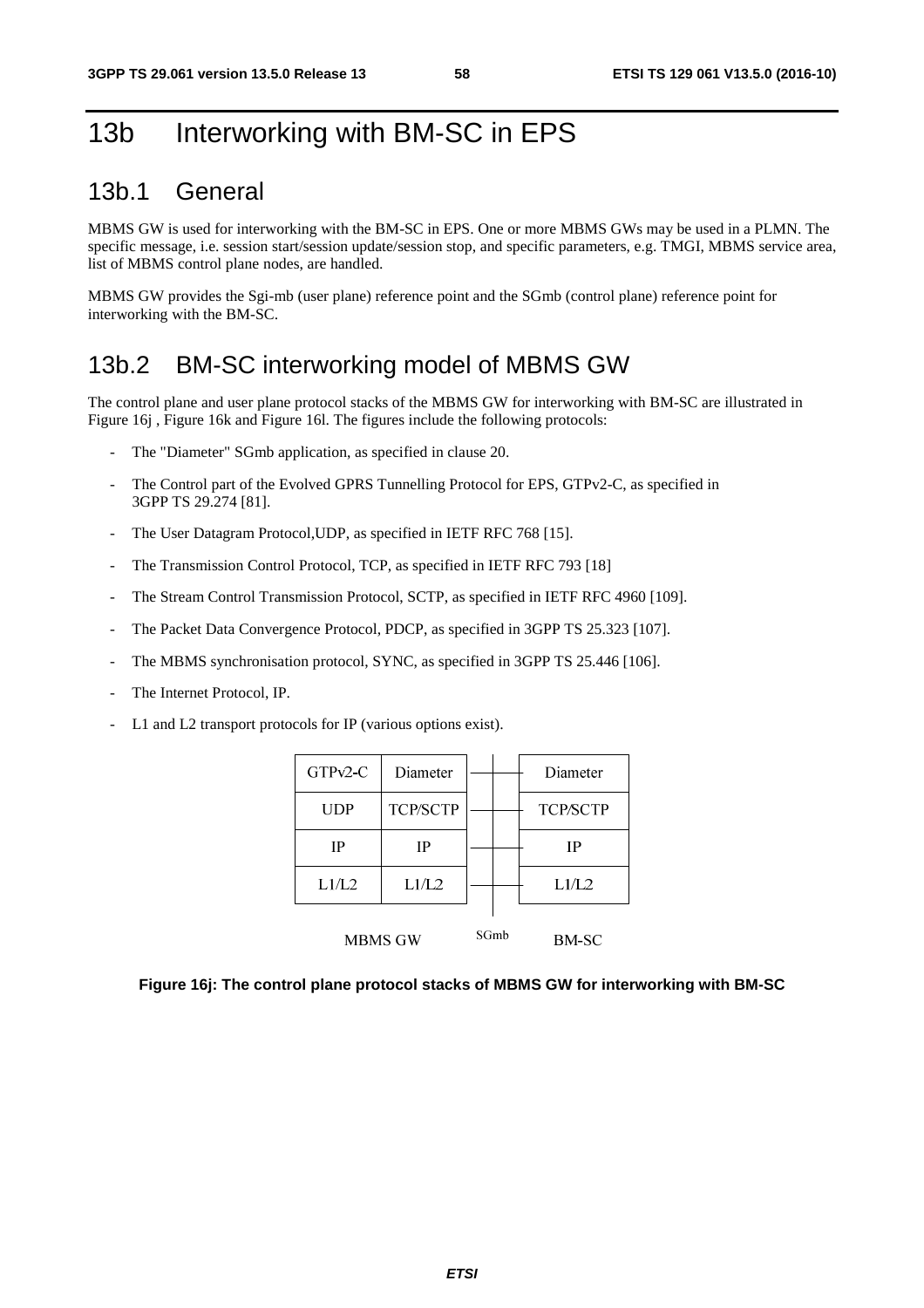# 13b Interworking with BM-SC in EPS

## 13b.1 General

MBMS GW is used for interworking with the BM-SC in EPS. One or more MBMS GWs may be used in a PLMN. The specific message, i.e. session start/session update/session stop, and specific parameters, e.g. TMGI, MBMS service area, list of MBMS control plane nodes, are handled.

MBMS GW provides the Sgi-mb (user plane) reference point and the SGmb (control plane) reference point for interworking with the BM-SC.

# 13b.2 BM-SC interworking model of MBMS GW

The control plane and user plane protocol stacks of the MBMS GW for interworking with BM-SC are illustrated in Figure 16j , Figure 16k and Figure 16l. The figures include the following protocols:

- The "Diameter" SGmb application, as specified in clause 20.
- The Control part of the Evolved GPRS Tunnelling Protocol for EPS, GTPv2-C, as specified in 3GPP TS 29.274 [81].
- The User Datagram Protocol, UDP, as specified in IETF RFC 768 [15].
- The Transmission Control Protocol, TCP, as specified in IETF RFC 793 [18]
- The Stream Control Transmission Protocol, SCTP, as specified in IETF RFC 4960 [109].
- The Packet Data Convergence Protocol, PDCP, as specified in 3GPP TS 25.323 [107].
- The MBMS synchronisation protocol, SYNC, as specified in 3GPP TS 25.446 [106].
- The Internet Protocol, IP.
- L1 and L2 transport protocols for IP (various options exist).

| $GTPv2-C$ | Diameter        |      | Diameter        |
|-----------|-----------------|------|-----------------|
| UDP       | <b>TCP/SCTP</b> |      | <b>TCP/SCTP</b> |
| IP        | IP              |      | IP              |
| L1/L2     | L1/L2           |      | L1/L2           |
| MBMS GW   |                 | SGmb | BM-SC           |

**Figure 16j: The control plane protocol stacks of MBMS GW for interworking with BM-SC**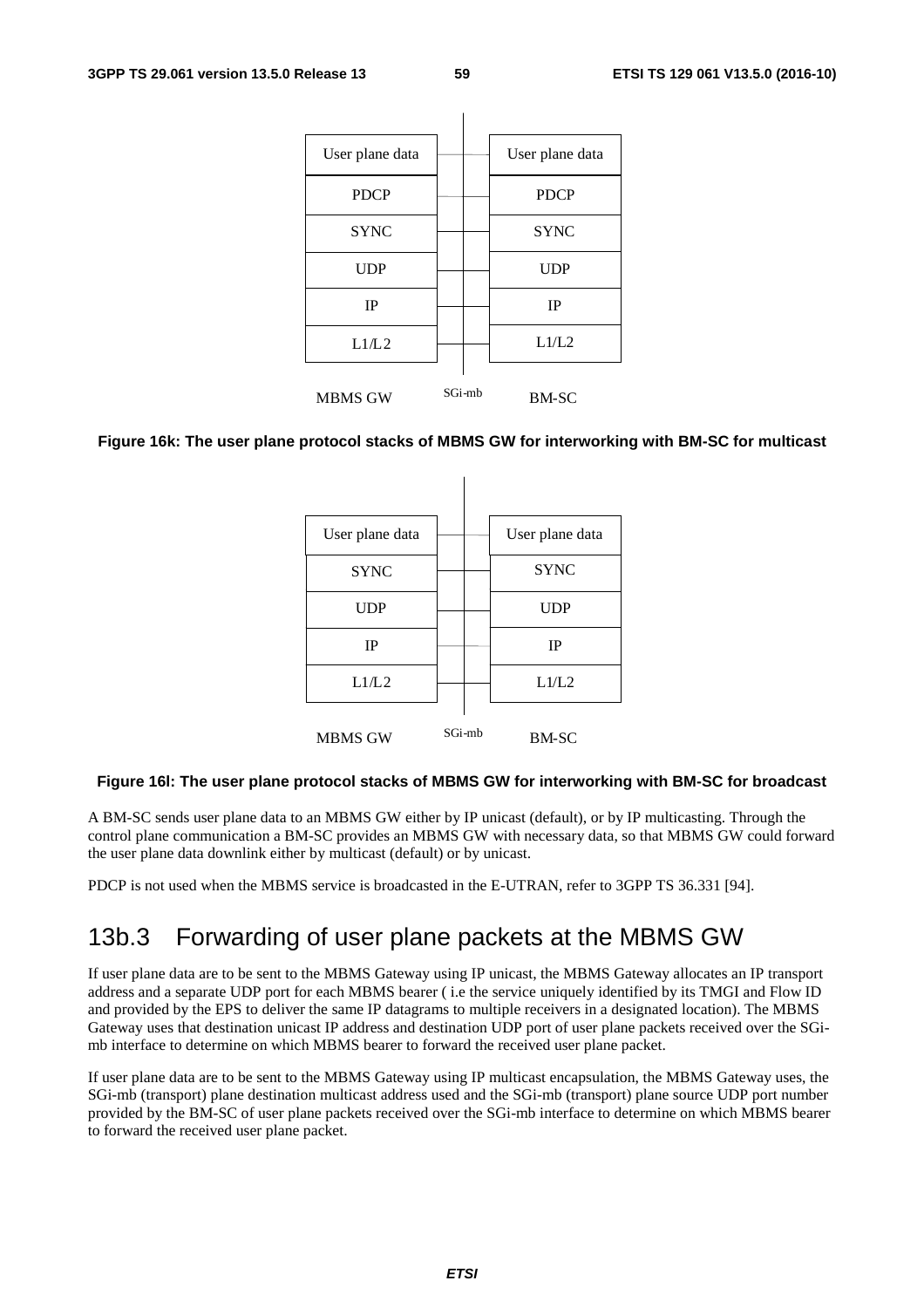| User plane data |        | User plane data |
|-----------------|--------|-----------------|
| <b>PDCP</b>     |        | <b>PDCP</b>     |
| <b>SYNC</b>     |        | <b>SYNC</b>     |
| <b>UDP</b>      |        | <b>UDP</b>      |
| <b>IP</b>       |        | <b>IP</b>       |
| L1/L2           |        | L1/L2           |
| <b>MBMS GW</b>  | SGi-mb | <b>BM-SC</b>    |

#### **Figure 16k: The user plane protocol stacks of MBMS GW for interworking with BM-SC for multicast**

| User plane data |        | User plane data |
|-----------------|--------|-----------------|
| <b>SYNC</b>     |        | <b>SYNC</b>     |
| <b>UDP</b>      |        | <b>UDP</b>      |
| <b>IP</b>       |        | <b>IP</b>       |
| L1/L2           |        | L1/L2           |
| <b>MBMS GW</b>  | SGi-mb | <b>BM-SC</b>    |

#### **Figure 16l: The user plane protocol stacks of MBMS GW for interworking with BM-SC for broadcast**

A BM-SC sends user plane data to an MBMS GW either by IP unicast (default), or by IP multicasting. Through the control plane communication a BM-SC provides an MBMS GW with necessary data, so that MBMS GW could forward the user plane data downlink either by multicast (default) or by unicast.

PDCP is not used when the MBMS service is broadcasted in the E-UTRAN, refer to 3GPP TS 36.331 [94].

# 13b.3 Forwarding of user plane packets at the MBMS GW

If user plane data are to be sent to the MBMS Gateway using IP unicast, the MBMS Gateway allocates an IP transport address and a separate UDP port for each MBMS bearer ( i.e the service uniquely identified by its TMGI and Flow ID and provided by the EPS to deliver the same IP datagrams to multiple receivers in a designated location). The MBMS Gateway uses that destination unicast IP address and destination UDP port of user plane packets received over the SGimb interface to determine on which MBMS bearer to forward the received user plane packet.

If user plane data are to be sent to the MBMS Gateway using IP multicast encapsulation, the MBMS Gateway uses, the SGi-mb (transport) plane destination multicast address used and the SGi-mb (transport) plane source UDP port number provided by the BM-SC of user plane packets received over the SGi-mb interface to determine on which MBMS bearer to forward the received user plane packet.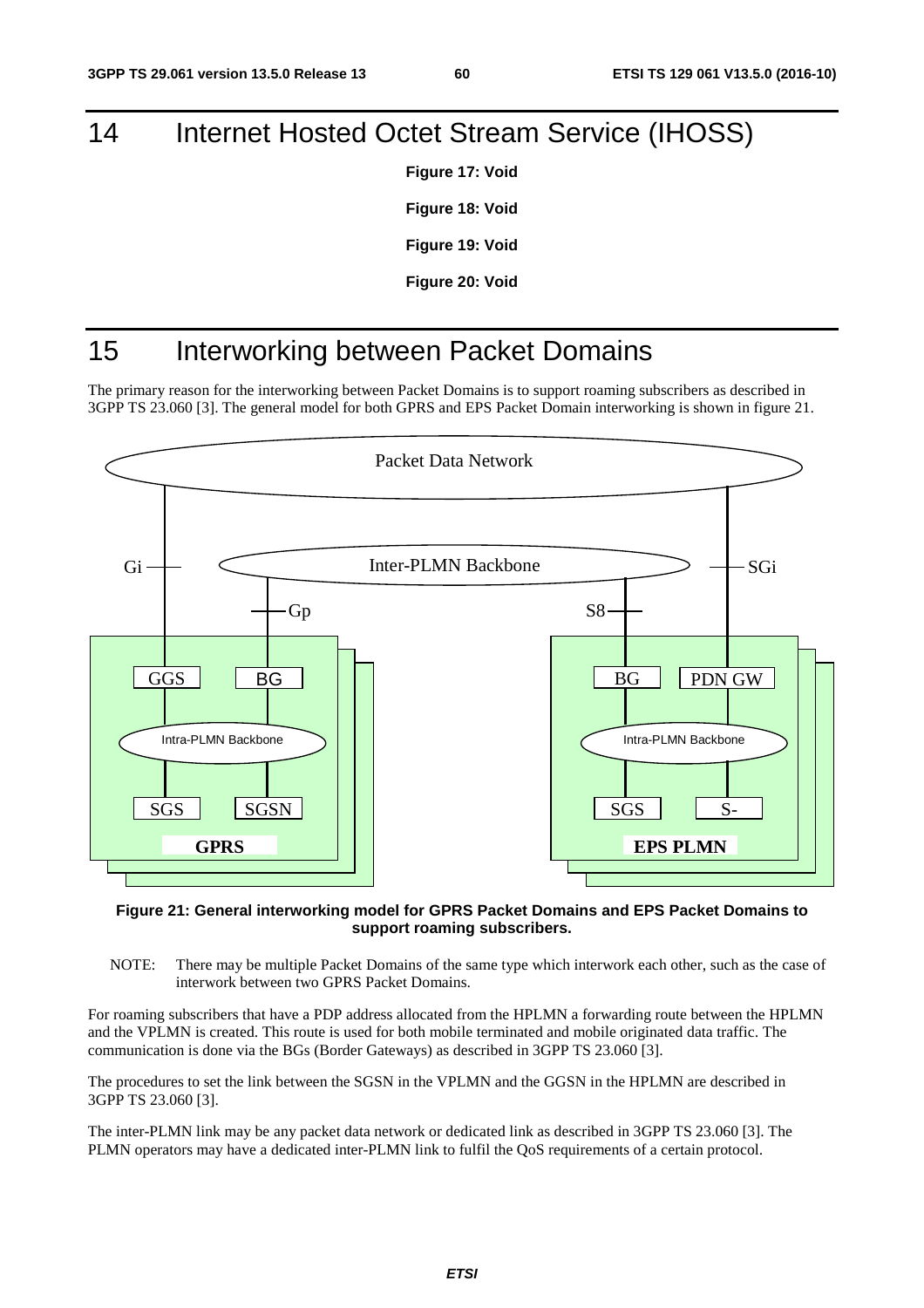# 14 Internet Hosted Octet Stream Service (IHOSS)

**Figure 17: Void** 

**Figure 18: Void** 

**Figure 19: Void** 

**Figure 20: Void** 

# 15 Interworking between Packet Domains

The primary reason for the interworking between Packet Domains is to support roaming subscribers as described in 3GPP TS 23.060 [3]. The general model for both GPRS and EPS Packet Domain interworking is shown in figure 21.



#### **Figure 21: General interworking model for GPRS Packet Domains and EPS Packet Domains to support roaming subscribers.**

NOTE: There may be multiple Packet Domains of the same type which interwork each other, such as the case of interwork between two GPRS Packet Domains.

For roaming subscribers that have a PDP address allocated from the HPLMN a forwarding route between the HPLMN and the VPLMN is created. This route is used for both mobile terminated and mobile originated data traffic. The communication is done via the BGs (Border Gateways) as described in 3GPP TS 23.060 [3].

The procedures to set the link between the SGSN in the VPLMN and the GGSN in the HPLMN are described in 3GPP TS 23.060 [3].

The inter-PLMN link may be any packet data network or dedicated link as described in 3GPP TS 23.060 [3]. The PLMN operators may have a dedicated inter-PLMN link to fulfil the QoS requirements of a certain protocol.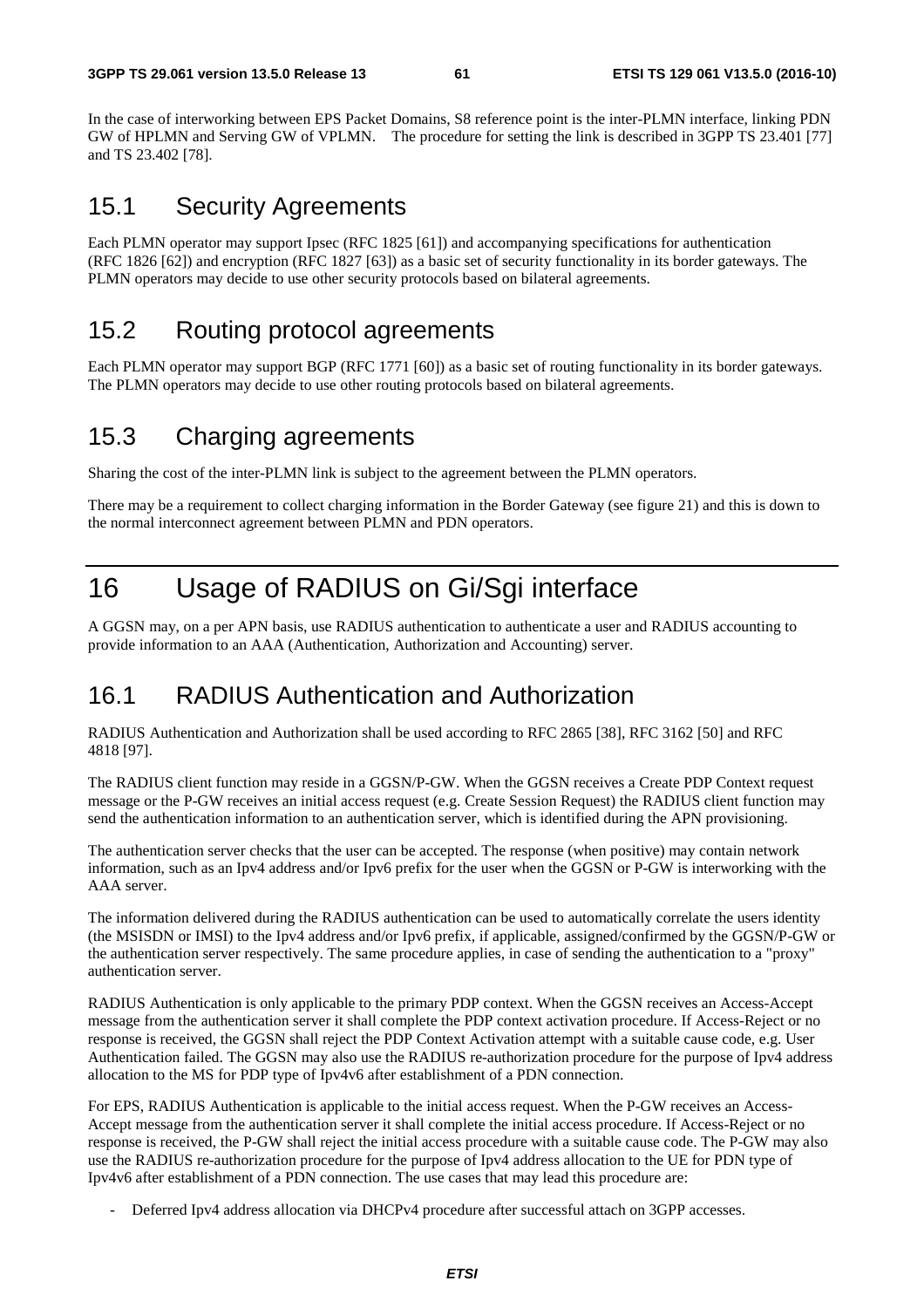In the case of interworking between EPS Packet Domains, S8 reference point is the inter-PLMN interface, linking PDN GW of HPLMN and Serving GW of VPLMN. The procedure for setting the link is described in 3GPP TS 23.401 [77] and TS 23.402 [78].

# 15.1 Security Agreements

Each PLMN operator may support Ipsec (RFC 1825 [61]) and accompanying specifications for authentication (RFC 1826 [62]) and encryption (RFC 1827 [63]) as a basic set of security functionality in its border gateways. The PLMN operators may decide to use other security protocols based on bilateral agreements.

# 15.2 Routing protocol agreements

Each PLMN operator may support BGP (RFC 1771 [60]) as a basic set of routing functionality in its border gateways. The PLMN operators may decide to use other routing protocols based on bilateral agreements.

# 15.3 Charging agreements

Sharing the cost of the inter-PLMN link is subject to the agreement between the PLMN operators.

There may be a requirement to collect charging information in the Border Gateway (see figure 21) and this is down to the normal interconnect agreement between PLMN and PDN operators.

# 16 Usage of RADIUS on Gi/Sgi interface

A GGSN may, on a per APN basis, use RADIUS authentication to authenticate a user and RADIUS accounting to provide information to an AAA (Authentication, Authorization and Accounting) server.

# 16.1 RADIUS Authentication and Authorization

RADIUS Authentication and Authorization shall be used according to RFC 2865 [38], RFC 3162 [50] and RFC 4818 [97].

The RADIUS client function may reside in a GGSN/P-GW. When the GGSN receives a Create PDP Context request message or the P-GW receives an initial access request (e.g. Create Session Request) the RADIUS client function may send the authentication information to an authentication server, which is identified during the APN provisioning.

The authentication server checks that the user can be accepted. The response (when positive) may contain network information, such as an Ipv4 address and/or Ipv6 prefix for the user when the GGSN or P-GW is interworking with the AAA server.

The information delivered during the RADIUS authentication can be used to automatically correlate the users identity (the MSISDN or IMSI) to the Ipv4 address and/or Ipv6 prefix, if applicable, assigned/confirmed by the GGSN/P-GW or the authentication server respectively. The same procedure applies, in case of sending the authentication to a "proxy" authentication server.

RADIUS Authentication is only applicable to the primary PDP context. When the GGSN receives an Access-Accept message from the authentication server it shall complete the PDP context activation procedure. If Access-Reject or no response is received, the GGSN shall reject the PDP Context Activation attempt with a suitable cause code, e.g. User Authentication failed. The GGSN may also use the RADIUS re-authorization procedure for the purpose of Ipv4 address allocation to the MS for PDP type of Ipv4v6 after establishment of a PDN connection.

For EPS, RADIUS Authentication is applicable to the initial access request. When the P-GW receives an Access-Accept message from the authentication server it shall complete the initial access procedure. If Access-Reject or no response is received, the P-GW shall reject the initial access procedure with a suitable cause code. The P-GW may also use the RADIUS re-authorization procedure for the purpose of Ipv4 address allocation to the UE for PDN type of Ipv4v6 after establishment of a PDN connection. The use cases that may lead this procedure are:

- Deferred Ipv4 address allocation via DHCPv4 procedure after successful attach on 3GPP accesses.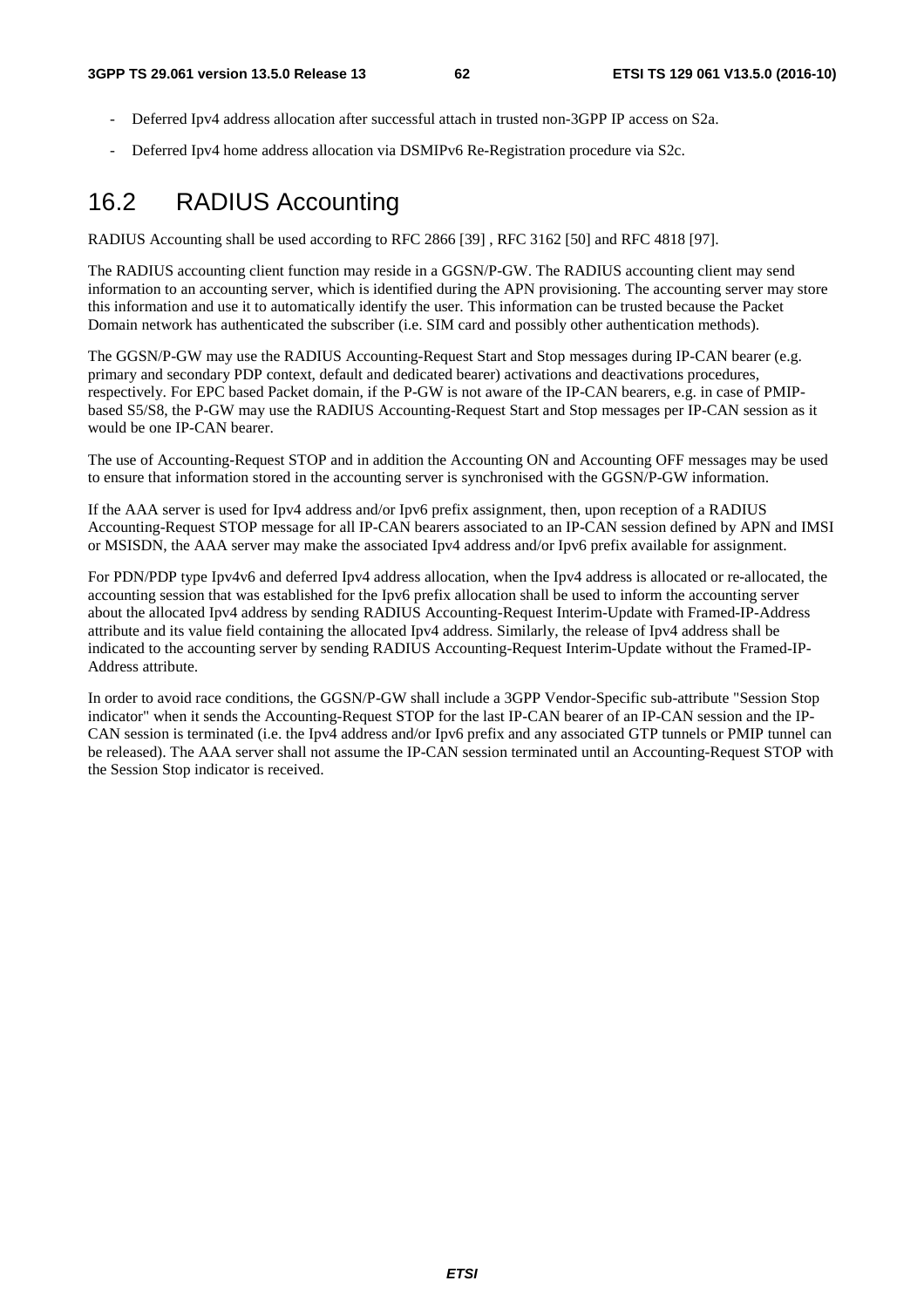- Deferred Ipv4 address allocation after successful attach in trusted non-3GPP IP access on S2a.
- Deferred Ipv4 home address allocation via DSMIPv6 Re-Registration procedure via S2c.

# 16.2 RADIUS Accounting

RADIUS Accounting shall be used according to RFC 2866 [39] , RFC 3162 [50] and RFC 4818 [97].

The RADIUS accounting client function may reside in a GGSN/P-GW. The RADIUS accounting client may send information to an accounting server, which is identified during the APN provisioning. The accounting server may store this information and use it to automatically identify the user. This information can be trusted because the Packet Domain network has authenticated the subscriber (i.e. SIM card and possibly other authentication methods).

The GGSN/P-GW may use the RADIUS Accounting-Request Start and Stop messages during IP-CAN bearer (e.g. primary and secondary PDP context, default and dedicated bearer) activations and deactivations procedures, respectively. For EPC based Packet domain, if the P-GW is not aware of the IP-CAN bearers, e.g. in case of PMIPbased S5/S8, the P-GW may use the RADIUS Accounting-Request Start and Stop messages per IP-CAN session as it would be one IP-CAN bearer.

The use of Accounting-Request STOP and in addition the Accounting ON and Accounting OFF messages may be used to ensure that information stored in the accounting server is synchronised with the GGSN/P-GW information.

If the AAA server is used for Ipv4 address and/or Ipv6 prefix assignment, then, upon reception of a RADIUS Accounting-Request STOP message for all IP-CAN bearers associated to an IP-CAN session defined by APN and IMSI or MSISDN, the AAA server may make the associated Ipv4 address and/or Ipv6 prefix available for assignment.

For PDN/PDP type Ipv4v6 and deferred Ipv4 address allocation, when the Ipv4 address is allocated or re-allocated, the accounting session that was established for the Ipv6 prefix allocation shall be used to inform the accounting server about the allocated Ipv4 address by sending RADIUS Accounting-Request Interim-Update with Framed-IP-Address attribute and its value field containing the allocated Ipv4 address. Similarly, the release of Ipv4 address shall be indicated to the accounting server by sending RADIUS Accounting-Request Interim-Update without the Framed-IP-Address attribute.

In order to avoid race conditions, the GGSN/P-GW shall include a 3GPP Vendor-Specific sub-attribute "Session Stop indicator" when it sends the Accounting-Request STOP for the last IP-CAN bearer of an IP-CAN session and the IP-CAN session is terminated (i.e. the Ipv4 address and/or Ipv6 prefix and any associated GTP tunnels or PMIP tunnel can be released). The AAA server shall not assume the IP-CAN session terminated until an Accounting-Request STOP with the Session Stop indicator is received.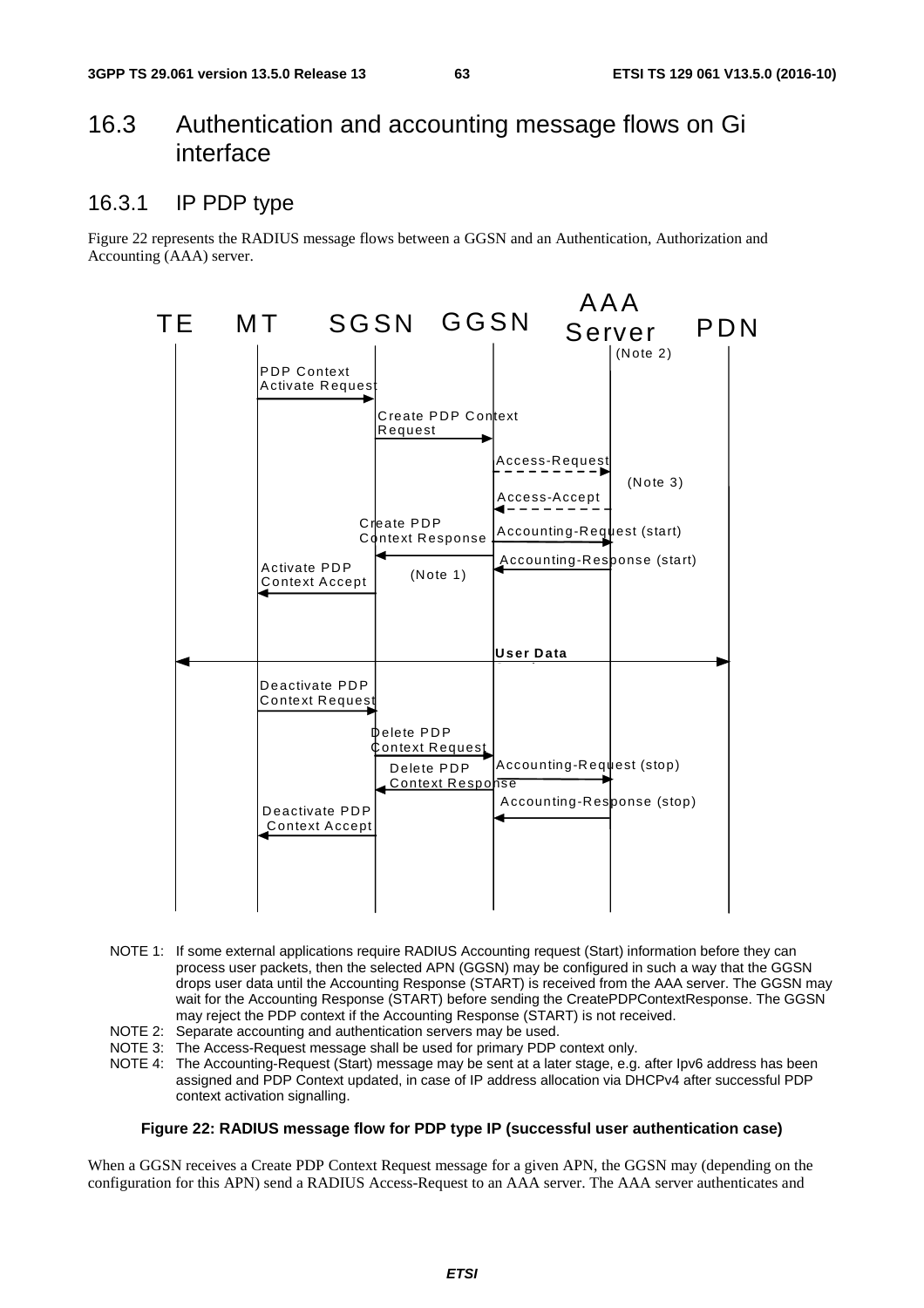## 16.3 Authentication and accounting message flows on Gi interface

### 16.3.1 IP PDP type

Figure 22 represents the RADIUS message flows between a GGSN and an Authentication, Authorization and Accounting (AAA) server.



- NOTE 1: If some external applications require RADIUS Accounting request (Start) information before they can process user packets, then the selected APN (GGSN) may be configured in such a way that the GGSN drops user data until the Accounting Response (START) is received from the AAA server. The GGSN may wait for the Accounting Response (START) before sending the CreatePDPContextResponse. The GGSN may reject the PDP context if the Accounting Response (START) is not received.
- NOTE 2: Separate accounting and authentication servers may be used.
- NOTE 3: The Access-Request message shall be used for primary PDP context only.
- NOTE 4: The Accounting-Request (Start) message may be sent at a later stage, e.g. after Ipv6 address has been assigned and PDP Context updated, in case of IP address allocation via DHCPv4 after successful PDP context activation signalling.

#### **Figure 22: RADIUS message flow for PDP type IP (successful user authentication case)**

When a GGSN receives a Create PDP Context Request message for a given APN, the GGSN may (depending on the configuration for this APN) send a RADIUS Access-Request to an AAA server. The AAA server authenticates and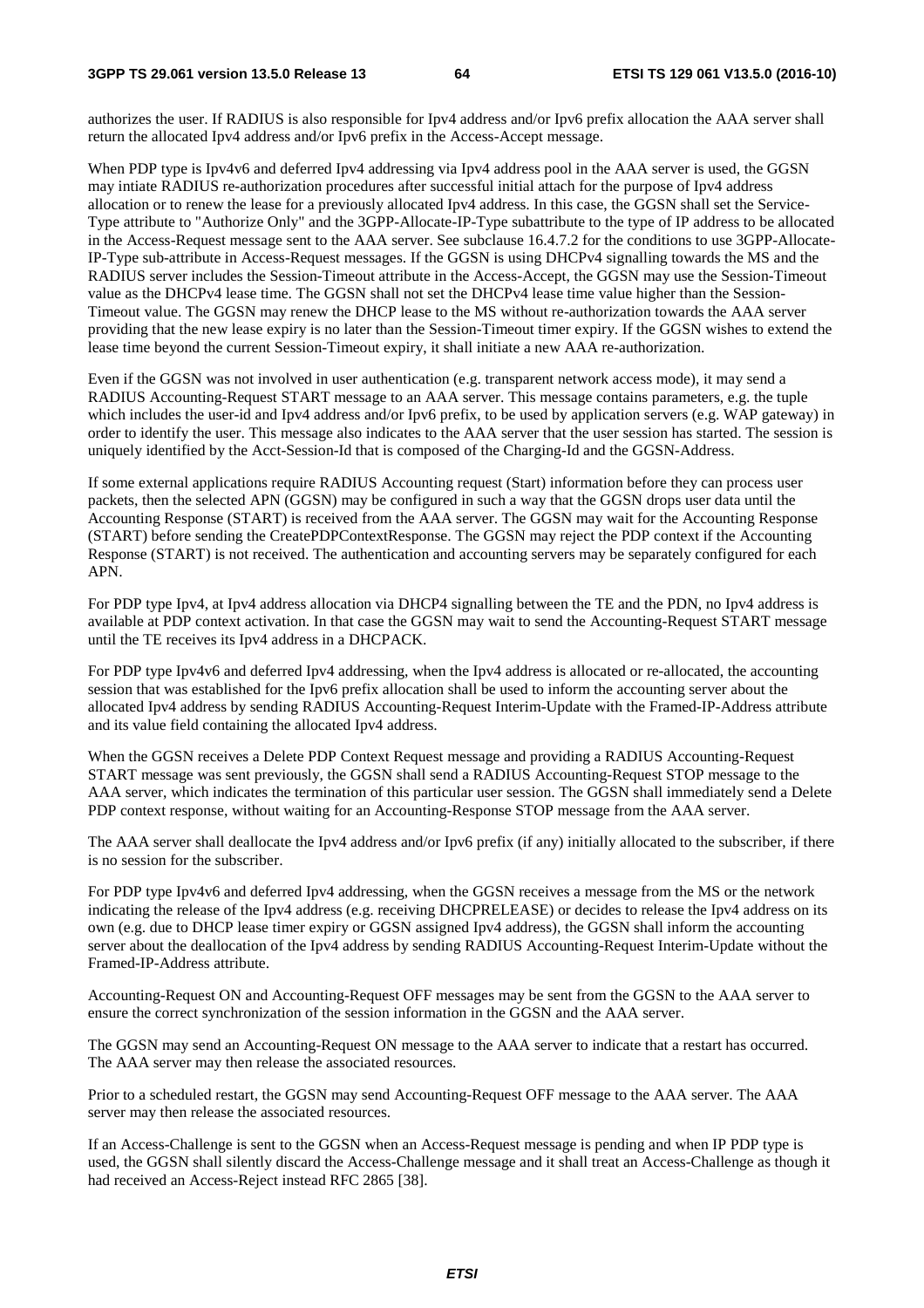authorizes the user. If RADIUS is also responsible for Ipv4 address and/or Ipv6 prefix allocation the AAA server shall return the allocated Ipv4 address and/or Ipv6 prefix in the Access-Accept message.

When PDP type is Ipv4v6 and deferred Ipv4 addressing via Ipv4 address pool in the AAA server is used, the GGSN may intiate RADIUS re-authorization procedures after successful initial attach for the purpose of Ipv4 address allocation or to renew the lease for a previously allocated Ipv4 address. In this case, the GGSN shall set the Service-Type attribute to "Authorize Only" and the 3GPP-Allocate-IP-Type subattribute to the type of IP address to be allocated in the Access-Request message sent to the AAA server. See subclause 16.4.7.2 for the conditions to use 3GPP-Allocate-IP-Type sub-attribute in Access-Request messages. If the GGSN is using DHCPv4 signalling towards the MS and the RADIUS server includes the Session-Timeout attribute in the Access-Accept, the GGSN may use the Session-Timeout value as the DHCPv4 lease time. The GGSN shall not set the DHCPv4 lease time value higher than the Session-Timeout value. The GGSN may renew the DHCP lease to the MS without re-authorization towards the AAA server providing that the new lease expiry is no later than the Session-Timeout timer expiry. If the GGSN wishes to extend the lease time beyond the current Session-Timeout expiry, it shall initiate a new AAA re-authorization.

Even if the GGSN was not involved in user authentication (e.g. transparent network access mode), it may send a RADIUS Accounting-Request START message to an AAA server. This message contains parameters, e.g. the tuple which includes the user-id and Ipv4 address and/or Ipv6 prefix, to be used by application servers (e.g. WAP gateway) in order to identify the user. This message also indicates to the AAA server that the user session has started. The session is uniquely identified by the Acct-Session-Id that is composed of the Charging-Id and the GGSN-Address.

If some external applications require RADIUS Accounting request (Start) information before they can process user packets, then the selected APN (GGSN) may be configured in such a way that the GGSN drops user data until the Accounting Response (START) is received from the AAA server. The GGSN may wait for the Accounting Response (START) before sending the CreatePDPContextResponse. The GGSN may reject the PDP context if the Accounting Response (START) is not received. The authentication and accounting servers may be separately configured for each APN.

For PDP type Ipv4, at Ipv4 address allocation via DHCP4 signalling between the TE and the PDN, no Ipv4 address is available at PDP context activation. In that case the GGSN may wait to send the Accounting-Request START message until the TE receives its Ipv4 address in a DHCPACK.

For PDP type Ipv4v6 and deferred Ipv4 addressing, when the Ipv4 address is allocated or re-allocated, the accounting session that was established for the Ipv6 prefix allocation shall be used to inform the accounting server about the allocated Ipv4 address by sending RADIUS Accounting-Request Interim-Update with the Framed-IP-Address attribute and its value field containing the allocated Ipv4 address.

When the GGSN receives a Delete PDP Context Request message and providing a RADIUS Accounting-Request START message was sent previously, the GGSN shall send a RADIUS Accounting-Request STOP message to the AAA server, which indicates the termination of this particular user session. The GGSN shall immediately send a Delete PDP context response, without waiting for an Accounting-Response STOP message from the AAA server.

The AAA server shall deallocate the Ipv4 address and/or Ipv6 prefix (if any) initially allocated to the subscriber, if there is no session for the subscriber.

For PDP type Ipv4v6 and deferred Ipv4 addressing, when the GGSN receives a message from the MS or the network indicating the release of the Ipv4 address (e.g. receiving DHCPRELEASE) or decides to release the Ipv4 address on its own (e.g. due to DHCP lease timer expiry or GGSN assigned Ipv4 address), the GGSN shall inform the accounting server about the deallocation of the Ipv4 address by sending RADIUS Accounting-Request Interim-Update without the Framed-IP-Address attribute.

Accounting-Request ON and Accounting-Request OFF messages may be sent from the GGSN to the AAA server to ensure the correct synchronization of the session information in the GGSN and the AAA server.

The GGSN may send an Accounting-Request ON message to the AAA server to indicate that a restart has occurred. The AAA server may then release the associated resources.

Prior to a scheduled restart, the GGSN may send Accounting-Request OFF message to the AAA server. The AAA server may then release the associated resources.

If an Access-Challenge is sent to the GGSN when an Access-Request message is pending and when IP PDP type is used, the GGSN shall silently discard the Access-Challenge message and it shall treat an Access-Challenge as though it had received an Access-Reject instead RFC 2865 [38].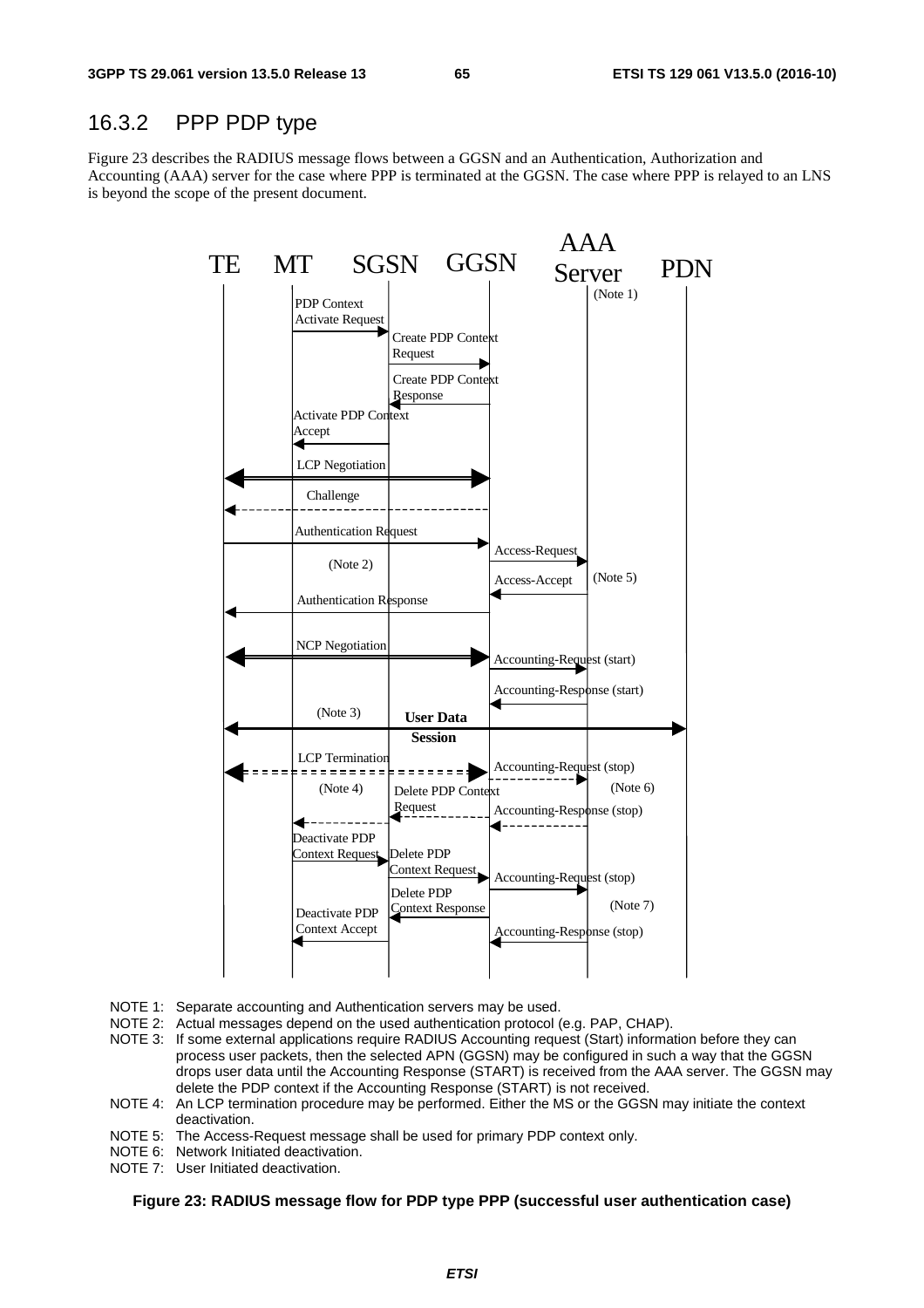### 16.3.2 PPP PDP type

Figure 23 describes the RADIUS message flows between a GGSN and an Authentication, Authorization and Accounting (AAA) server for the case where PPP is terminated at the GGSN. The case where PPP is relayed to an LNS is beyond the scope of the present document.



- NOTE 1: Separate accounting and Authentication servers may be used.
- NOTE 2: Actual messages depend on the used authentication protocol (e.g. PAP, CHAP).
- NOTE 3: If some external applications require RADIUS Accounting request (Start) information before they can process user packets, then the selected APN (GGSN) may be configured in such a way that the GGSN drops user data until the Accounting Response (START) is received from the AAA server. The GGSN may delete the PDP context if the Accounting Response (START) is not received.
- NOTE 4: An LCP termination procedure may be performed. Either the MS or the GGSN may initiate the context deactivation.
- NOTE 5: The Access-Request message shall be used for primary PDP context only.
- NOTE 6: Network Initiated deactivation.
- NOTE 7: User Initiated deactivation.

#### **Figure 23: RADIUS message flow for PDP type PPP (successful user authentication case)**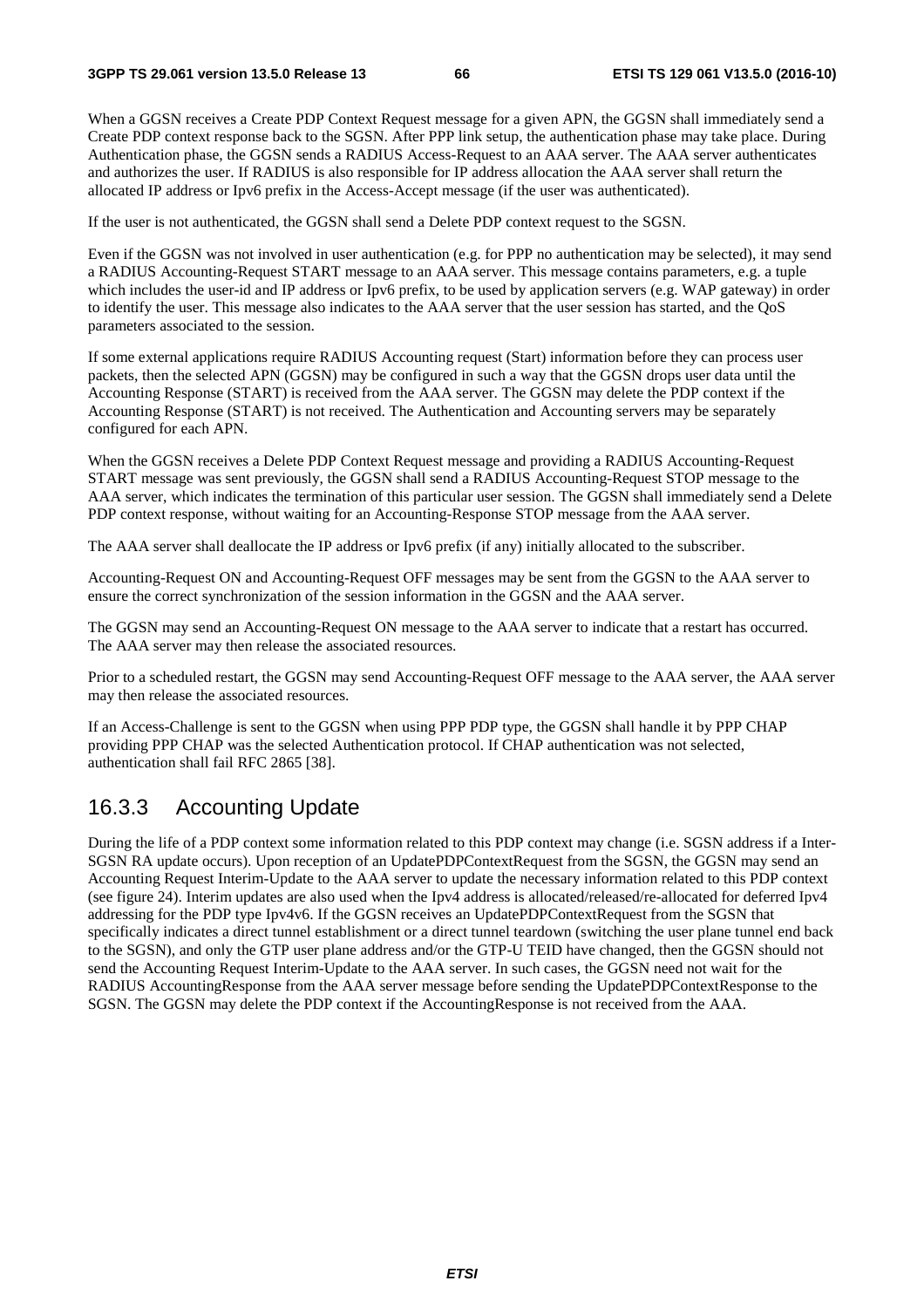When a GGSN receives a Create PDP Context Request message for a given APN, the GGSN shall immediately send a Create PDP context response back to the SGSN. After PPP link setup, the authentication phase may take place. During Authentication phase, the GGSN sends a RADIUS Access-Request to an AAA server. The AAA server authenticates and authorizes the user. If RADIUS is also responsible for IP address allocation the AAA server shall return the allocated IP address or Ipv6 prefix in the Access-Accept message (if the user was authenticated).

If the user is not authenticated, the GGSN shall send a Delete PDP context request to the SGSN.

Even if the GGSN was not involved in user authentication (e.g. for PPP no authentication may be selected), it may send a RADIUS Accounting-Request START message to an AAA server. This message contains parameters, e.g. a tuple which includes the user-id and IP address or Ipv6 prefix, to be used by application servers (e.g. WAP gateway) in order to identify the user. This message also indicates to the AAA server that the user session has started, and the QoS parameters associated to the session.

If some external applications require RADIUS Accounting request (Start) information before they can process user packets, then the selected APN (GGSN) may be configured in such a way that the GGSN drops user data until the Accounting Response (START) is received from the AAA server. The GGSN may delete the PDP context if the Accounting Response (START) is not received. The Authentication and Accounting servers may be separately configured for each APN.

When the GGSN receives a Delete PDP Context Request message and providing a RADIUS Accounting-Request START message was sent previously, the GGSN shall send a RADIUS Accounting-Request STOP message to the AAA server, which indicates the termination of this particular user session. The GGSN shall immediately send a Delete PDP context response, without waiting for an Accounting-Response STOP message from the AAA server.

The AAA server shall deallocate the IP address or Ipv6 prefix (if any) initially allocated to the subscriber.

Accounting-Request ON and Accounting-Request OFF messages may be sent from the GGSN to the AAA server to ensure the correct synchronization of the session information in the GGSN and the AAA server.

The GGSN may send an Accounting-Request ON message to the AAA server to indicate that a restart has occurred. The AAA server may then release the associated resources.

Prior to a scheduled restart, the GGSN may send Accounting-Request OFF message to the AAA server, the AAA server may then release the associated resources.

If an Access-Challenge is sent to the GGSN when using PPP PDP type, the GGSN shall handle it by PPP CHAP providing PPP CHAP was the selected Authentication protocol. If CHAP authentication was not selected, authentication shall fail RFC 2865 [38].

### 16.3.3 Accounting Update

During the life of a PDP context some information related to this PDP context may change (i.e. SGSN address if a Inter-SGSN RA update occurs). Upon reception of an UpdatePDPContextRequest from the SGSN, the GGSN may send an Accounting Request Interim-Update to the AAA server to update the necessary information related to this PDP context (see figure 24). Interim updates are also used when the Ipv4 address is allocated/released/re-allocated for deferred Ipv4 addressing for the PDP type Ipv4v6. If the GGSN receives an UpdatePDPContextRequest from the SGSN that specifically indicates a direct tunnel establishment or a direct tunnel teardown (switching the user plane tunnel end back to the SGSN), and only the GTP user plane address and/or the GTP-U TEID have changed, then the GGSN should not send the Accounting Request Interim-Update to the AAA server. In such cases, the GGSN need not wait for the RADIUS AccountingResponse from the AAA server message before sending the UpdatePDPContextResponse to the SGSN. The GGSN may delete the PDP context if the AccountingResponse is not received from the AAA.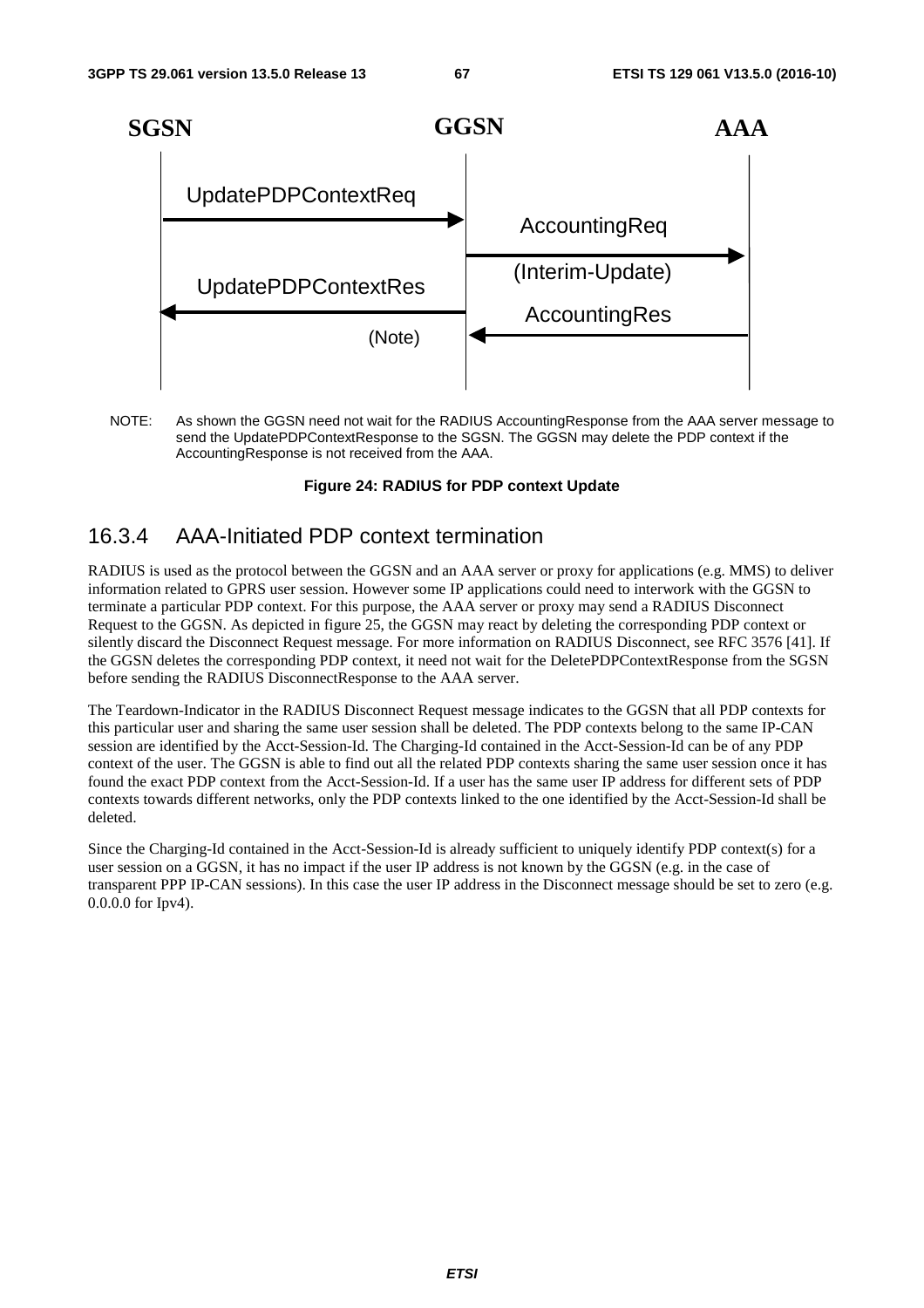

NOTE: As shown the GGSN need not wait for the RADIUS AccountingResponse from the AAA server message to send the UpdatePDPContextResponse to the SGSN. The GGSN may delete the PDP context if the AccountingResponse is not received from the AAA.

#### **Figure 24: RADIUS for PDP context Update**

### 16.3.4 AAA-Initiated PDP context termination

RADIUS is used as the protocol between the GGSN and an AAA server or proxy for applications (e.g. MMS) to deliver information related to GPRS user session. However some IP applications could need to interwork with the GGSN to terminate a particular PDP context. For this purpose, the AAA server or proxy may send a RADIUS Disconnect Request to the GGSN. As depicted in figure 25, the GGSN may react by deleting the corresponding PDP context or silently discard the Disconnect Request message. For more information on RADIUS Disconnect, see RFC 3576 [41]. If the GGSN deletes the corresponding PDP context, it need not wait for the DeletePDPContextResponse from the SGSN before sending the RADIUS DisconnectResponse to the AAA server.

The Teardown-Indicator in the RADIUS Disconnect Request message indicates to the GGSN that all PDP contexts for this particular user and sharing the same user session shall be deleted. The PDP contexts belong to the same IP-CAN session are identified by the Acct-Session-Id. The Charging-Id contained in the Acct-Session-Id can be of any PDP context of the user. The GGSN is able to find out all the related PDP contexts sharing the same user session once it has found the exact PDP context from the Acct-Session-Id. If a user has the same user IP address for different sets of PDP contexts towards different networks, only the PDP contexts linked to the one identified by the Acct-Session-Id shall be deleted.

Since the Charging-Id contained in the Acct-Session-Id is already sufficient to uniquely identify PDP context(s) for a user session on a GGSN, it has no impact if the user IP address is not known by the GGSN (e.g. in the case of transparent PPP IP-CAN sessions). In this case the user IP address in the Disconnect message should be set to zero (e.g. 0.0.0.0 for Ipv4).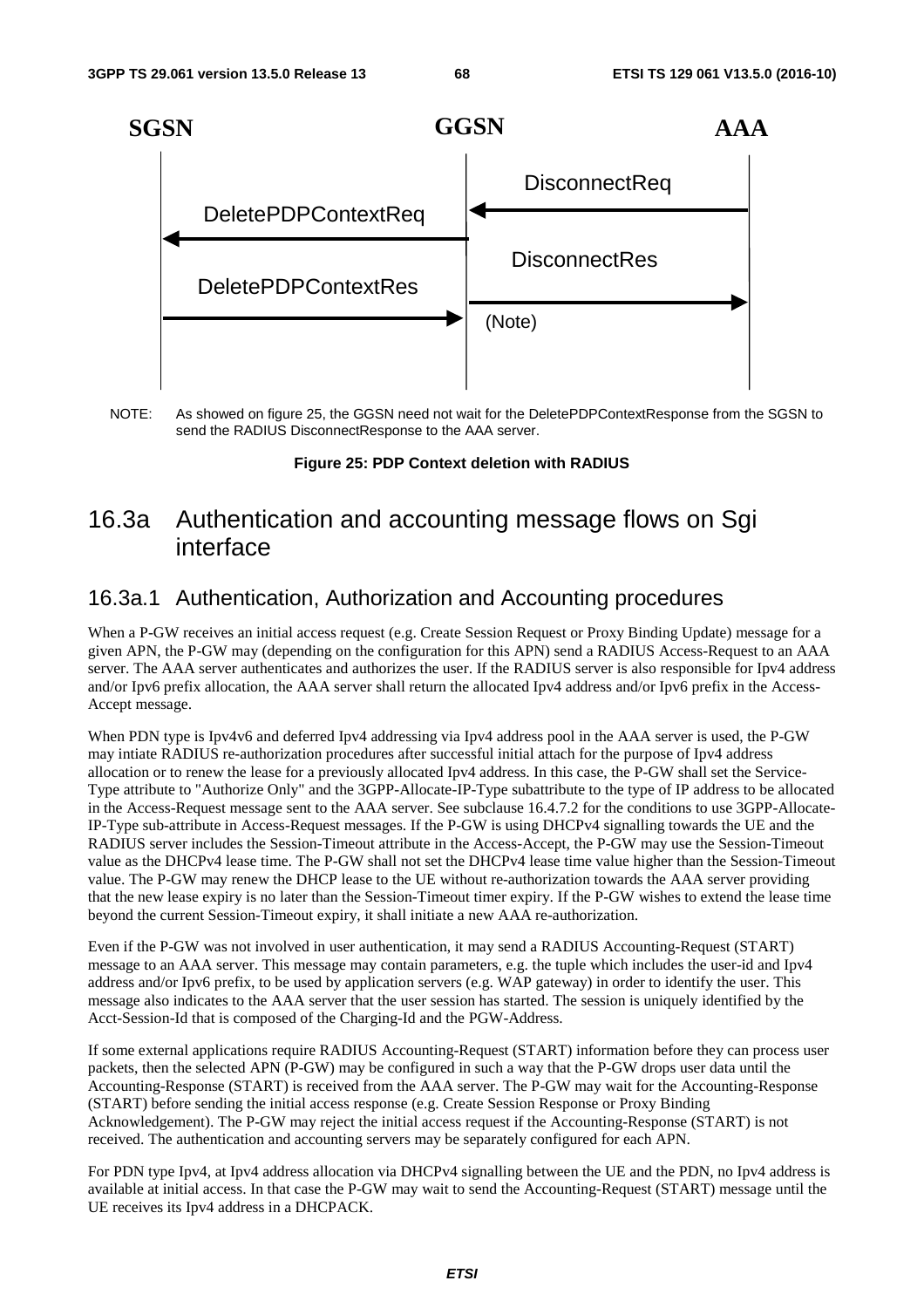

NOTE: As showed on figure 25, the GGSN need not wait for the DeletePDPContextResponse from the SGSN to send the RADIUS DisconnectResponse to the AAA server.

**Figure 25: PDP Context deletion with RADIUS** 

# 16.3a Authentication and accounting message flows on Sgi interface

# 16.3a.1 Authentication, Authorization and Accounting procedures

When a P-GW receives an initial access request (e.g. Create Session Request or Proxy Binding Update) message for a given APN, the P-GW may (depending on the configuration for this APN) send a RADIUS Access-Request to an AAA server. The AAA server authenticates and authorizes the user. If the RADIUS server is also responsible for Ipv4 address and/or Ipv6 prefix allocation, the AAA server shall return the allocated Ipv4 address and/or Ipv6 prefix in the Access-Accept message.

When PDN type is Ipv4v6 and deferred Ipv4 addressing via Ipv4 address pool in the AAA server is used, the P-GW may intiate RADIUS re-authorization procedures after successful initial attach for the purpose of Ipv4 address allocation or to renew the lease for a previously allocated Ipv4 address. In this case, the P-GW shall set the Service-Type attribute to "Authorize Only" and the 3GPP-Allocate-IP-Type subattribute to the type of IP address to be allocated in the Access-Request message sent to the AAA server. See subclause 16.4.7.2 for the conditions to use 3GPP-Allocate-IP-Type sub-attribute in Access-Request messages. If the P-GW is using DHCPv4 signalling towards the UE and the RADIUS server includes the Session-Timeout attribute in the Access-Accept, the P-GW may use the Session-Timeout value as the DHCPv4 lease time. The P-GW shall not set the DHCPv4 lease time value higher than the Session-Timeout value. The P-GW may renew the DHCP lease to the UE without re-authorization towards the AAA server providing that the new lease expiry is no later than the Session-Timeout timer expiry. If the P-GW wishes to extend the lease time beyond the current Session-Timeout expiry, it shall initiate a new AAA re-authorization.

Even if the P-GW was not involved in user authentication, it may send a RADIUS Accounting-Request (START) message to an AAA server. This message may contain parameters, e.g. the tuple which includes the user-id and Ipv4 address and/or Ipv6 prefix, to be used by application servers (e.g. WAP gateway) in order to identify the user. This message also indicates to the AAA server that the user session has started. The session is uniquely identified by the Acct-Session-Id that is composed of the Charging-Id and the PGW-Address.

If some external applications require RADIUS Accounting-Request (START) information before they can process user packets, then the selected APN (P-GW) may be configured in such a way that the P-GW drops user data until the Accounting-Response (START) is received from the AAA server. The P-GW may wait for the Accounting-Response (START) before sending the initial access response (e.g. Create Session Response or Proxy Binding Acknowledgement). The P-GW may reject the initial access request if the Accounting-Response (START) is not received. The authentication and accounting servers may be separately configured for each APN.

For PDN type Ipv4, at Ipv4 address allocation via DHCPv4 signalling between the UE and the PDN, no Ipv4 address is available at initial access. In that case the P-GW may wait to send the Accounting-Request (START) message until the UE receives its Ipv4 address in a DHCPACK.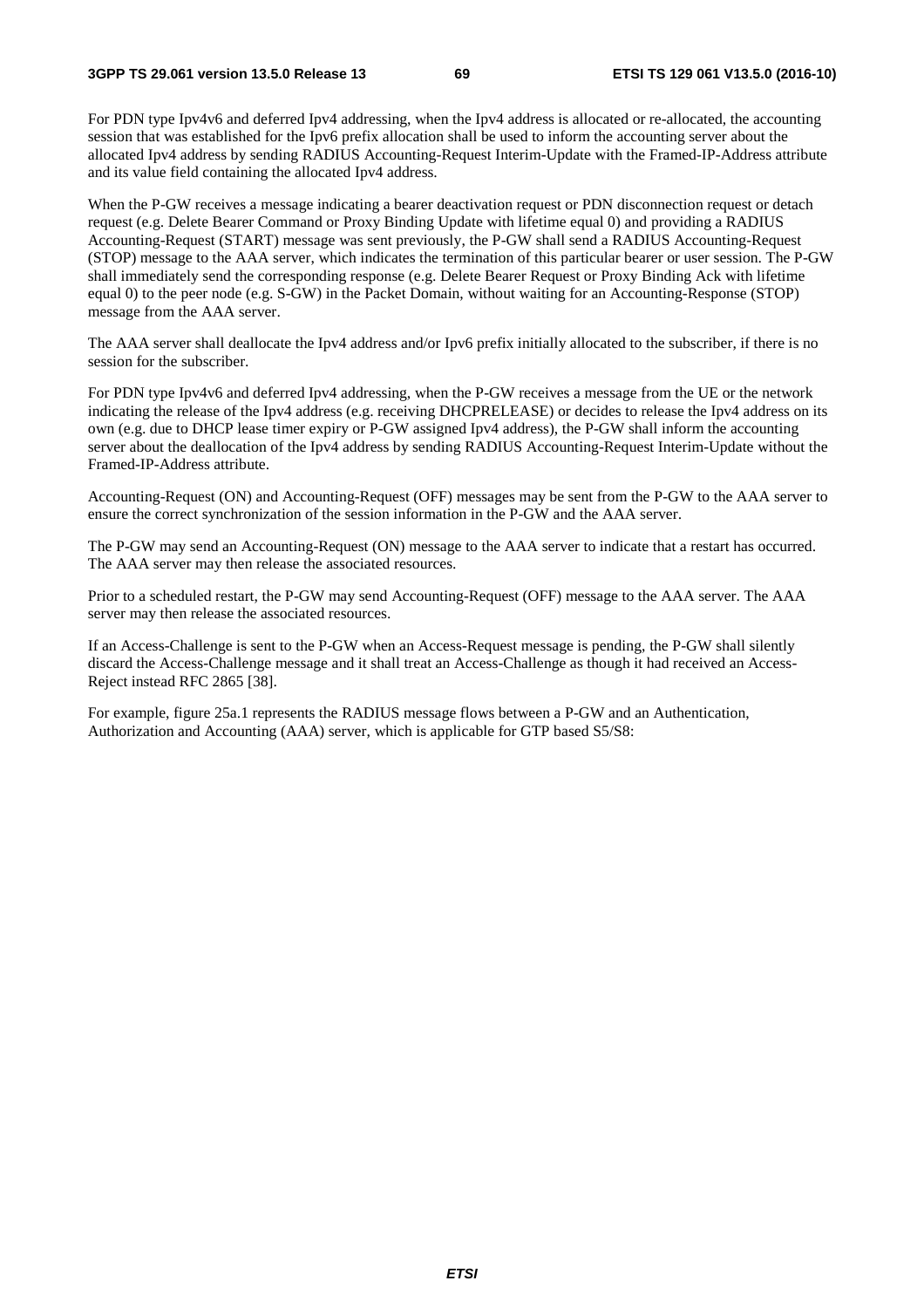For PDN type Ipv4v6 and deferred Ipv4 addressing, when the Ipv4 address is allocated or re-allocated, the accounting session that was established for the Ipv6 prefix allocation shall be used to inform the accounting server about the allocated Ipv4 address by sending RADIUS Accounting-Request Interim-Update with the Framed-IP-Address attribute and its value field containing the allocated Ipv4 address.

When the P-GW receives a message indicating a bearer deactivation request or PDN disconnection request or detach request (e.g. Delete Bearer Command or Proxy Binding Update with lifetime equal 0) and providing a RADIUS Accounting-Request (START) message was sent previously, the P-GW shall send a RADIUS Accounting-Request (STOP) message to the AAA server, which indicates the termination of this particular bearer or user session. The P-GW shall immediately send the corresponding response (e.g. Delete Bearer Request or Proxy Binding Ack with lifetime equal 0) to the peer node (e.g. S-GW) in the Packet Domain, without waiting for an Accounting-Response (STOP) message from the AAA server.

The AAA server shall deallocate the Ipv4 address and/or Ipv6 prefix initially allocated to the subscriber, if there is no session for the subscriber.

For PDN type Ipv4v6 and deferred Ipv4 addressing, when the P-GW receives a message from the UE or the network indicating the release of the Ipv4 address (e.g. receiving DHCPRELEASE) or decides to release the Ipv4 address on its own (e.g. due to DHCP lease timer expiry or P-GW assigned Ipv4 address), the P-GW shall inform the accounting server about the deallocation of the Ipv4 address by sending RADIUS Accounting-Request Interim-Update without the Framed-IP-Address attribute.

Accounting-Request (ON) and Accounting-Request (OFF) messages may be sent from the P-GW to the AAA server to ensure the correct synchronization of the session information in the P-GW and the AAA server.

The P-GW may send an Accounting-Request (ON) message to the AAA server to indicate that a restart has occurred. The AAA server may then release the associated resources.

Prior to a scheduled restart, the P-GW may send Accounting-Request (OFF) message to the AAA server. The AAA server may then release the associated resources.

If an Access-Challenge is sent to the P-GW when an Access-Request message is pending, the P-GW shall silently discard the Access-Challenge message and it shall treat an Access-Challenge as though it had received an Access-Reject instead RFC 2865 [38].

For example, figure 25a.1 represents the RADIUS message flows between a P-GW and an Authentication, Authorization and Accounting (AAA) server, which is applicable for GTP based S5/S8: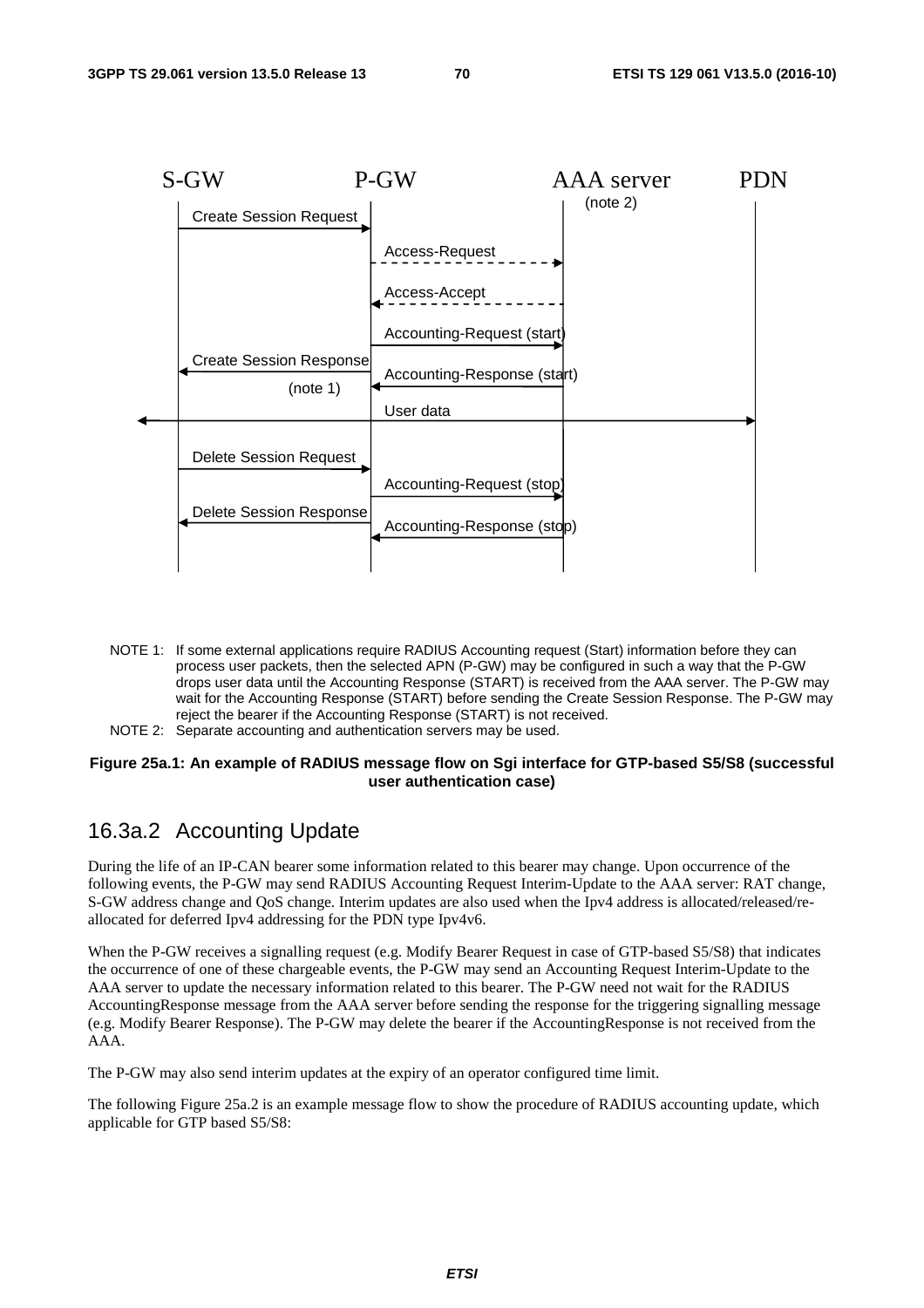

- NOTE 1: If some external applications require RADIUS Accounting request (Start) information before they can process user packets, then the selected APN (P-GW) may be configured in such a way that the P-GW drops user data until the Accounting Response (START) is received from the AAA server. The P-GW may wait for the Accounting Response (START) before sending the Create Session Response. The P-GW may reject the bearer if the Accounting Response (START) is not received.
- NOTE 2: Separate accounting and authentication servers may be used.

#### **Figure 25a.1: An example of RADIUS message flow on Sgi interface for GTP-based S5/S8 (successful user authentication case)**

### 16.3a.2 Accounting Update

During the life of an IP-CAN bearer some information related to this bearer may change. Upon occurrence of the following events, the P-GW may send RADIUS Accounting Request Interim-Update to the AAA server: RAT change, S-GW address change and QoS change. Interim updates are also used when the Ipv4 address is allocated/released/reallocated for deferred Ipv4 addressing for the PDN type Ipv4v6.

When the P-GW receives a signalling request (e.g. Modify Bearer Request in case of GTP-based S5/S8) that indicates the occurrence of one of these chargeable events, the P-GW may send an Accounting Request Interim-Update to the AAA server to update the necessary information related to this bearer. The P-GW need not wait for the RADIUS AccountingResponse message from the AAA server before sending the response for the triggering signalling message (e.g. Modify Bearer Response). The P-GW may delete the bearer if the AccountingResponse is not received from the AAA.

The P-GW may also send interim updates at the expiry of an operator configured time limit.

The following Figure 25a.2 is an example message flow to show the procedure of RADIUS accounting update, which applicable for GTP based S5/S8: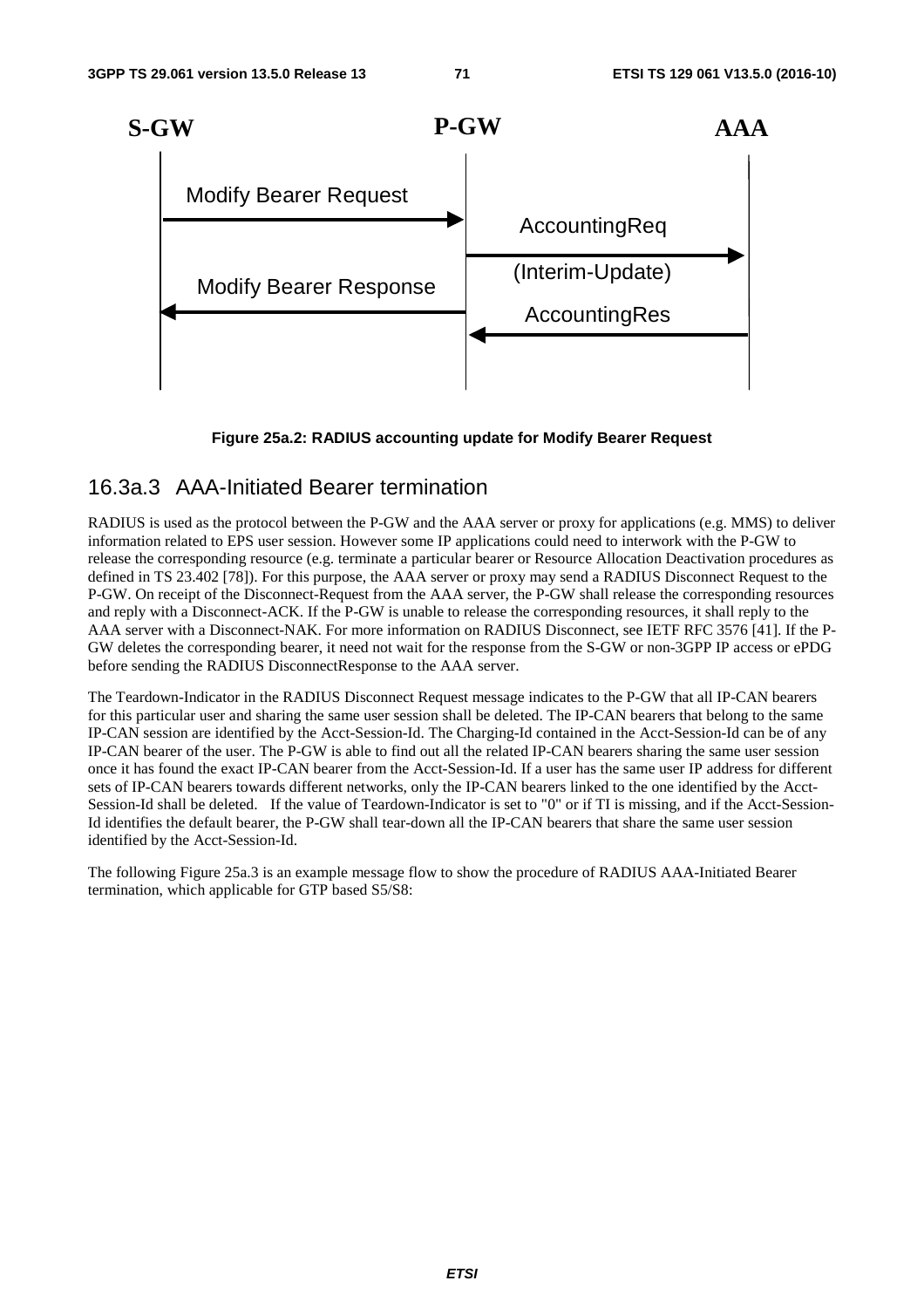

#### **Figure 25a.2: RADIUS accounting update for Modify Bearer Request**

### 16.3a.3 AAA-Initiated Bearer termination

RADIUS is used as the protocol between the P-GW and the AAA server or proxy for applications (e.g. MMS) to deliver information related to EPS user session. However some IP applications could need to interwork with the P-GW to release the corresponding resource (e.g. terminate a particular bearer or Resource Allocation Deactivation procedures as defined in TS 23.402 [78]). For this purpose, the AAA server or proxy may send a RADIUS Disconnect Request to the P-GW. On receipt of the Disconnect-Request from the AAA server, the P-GW shall release the corresponding resources and reply with a Disconnect-ACK. If the P-GW is unable to release the corresponding resources, it shall reply to the AAA server with a Disconnect-NAK. For more information on RADIUS Disconnect, see IETF RFC 3576 [41]. If the P-GW deletes the corresponding bearer, it need not wait for the response from the S-GW or non-3GPP IP access or ePDG before sending the RADIUS DisconnectResponse to the AAA server.

The Teardown-Indicator in the RADIUS Disconnect Request message indicates to the P-GW that all IP-CAN bearers for this particular user and sharing the same user session shall be deleted. The IP-CAN bearers that belong to the same IP-CAN session are identified by the Acct-Session-Id. The Charging-Id contained in the Acct-Session-Id can be of any IP-CAN bearer of the user. The P-GW is able to find out all the related IP-CAN bearers sharing the same user session once it has found the exact IP-CAN bearer from the Acct-Session-Id. If a user has the same user IP address for different sets of IP-CAN bearers towards different networks, only the IP-CAN bearers linked to the one identified by the Acct-Session-Id shall be deleted. If the value of Teardown-Indicator is set to "0" or if TI is missing, and if the Acct-Session-Id identifies the default bearer, the P-GW shall tear-down all the IP-CAN bearers that share the same user session identified by the Acct-Session-Id.

The following Figure 25a.3 is an example message flow to show the procedure of RADIUS AAA-Initiated Bearer termination, which applicable for GTP based S5/S8: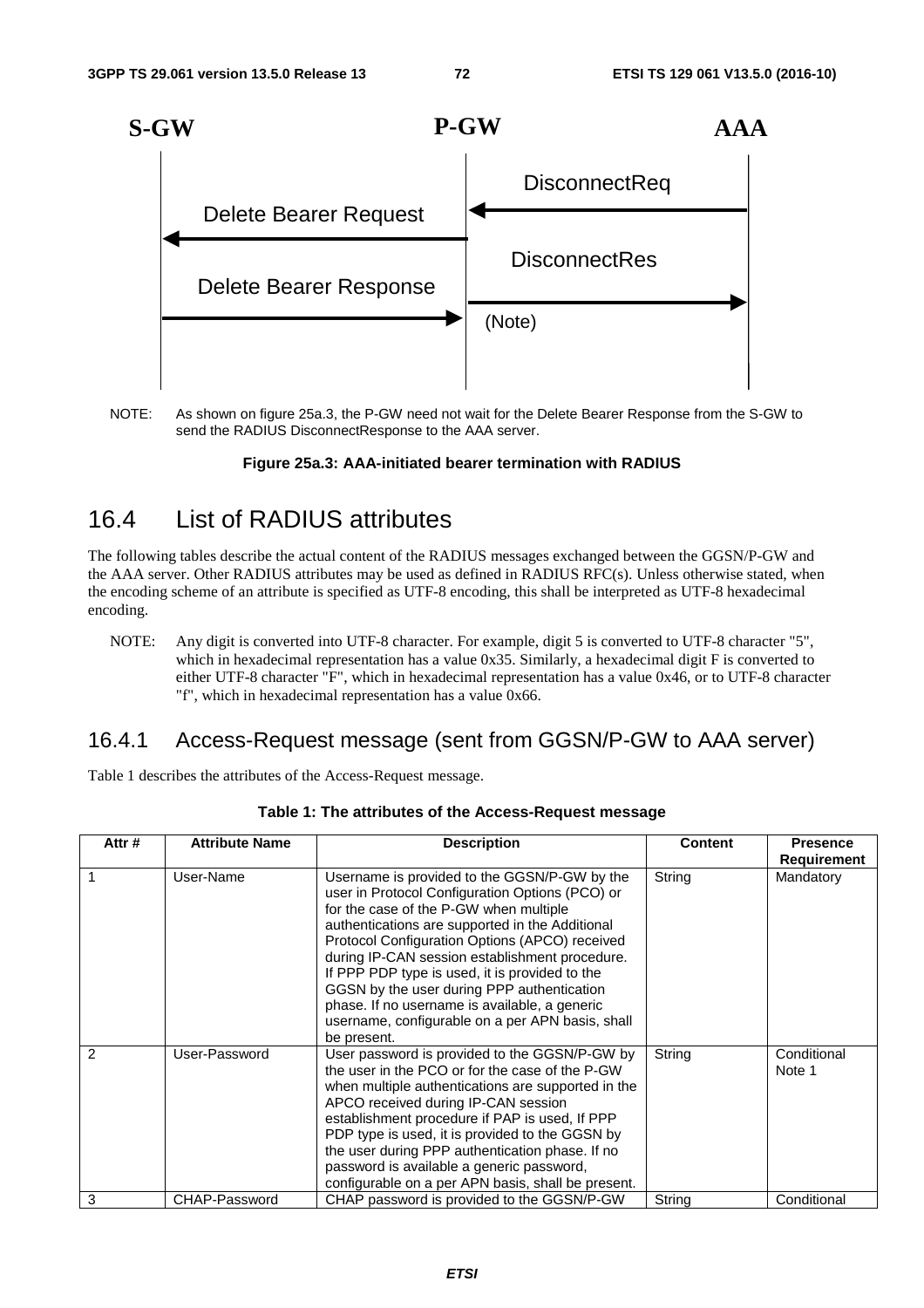

NOTE: As shown on figure 25a.3, the P-GW need not wait for the Delete Bearer Response from the S-GW to send the RADIUS DisconnectResponse to the AAA server.

#### **Figure 25a.3: AAA-initiated bearer termination with RADIUS**

# 16.4 List of RADIUS attributes

The following tables describe the actual content of the RADIUS messages exchanged between the GGSN/P-GW and the AAA server. Other RADIUS attributes may be used as defined in RADIUS RFC(s). Unless otherwise stated, when the encoding scheme of an attribute is specified as UTF-8 encoding, this shall be interpreted as UTF-8 hexadecimal encoding.

NOTE: Any digit is converted into UTF-8 character. For example, digit 5 is converted to UTF-8 character "5", which in hexadecimal representation has a value 0x35. Similarly, a hexadecimal digit F is converted to either UTF-8 character "F", which in hexadecimal representation has a value 0x46, or to UTF-8 character "f", which in hexadecimal representation has a value 0x66.

# 16.4.1 Access-Request message (sent from GGSN/P-GW to AAA server)

Table 1 describes the attributes of the Access-Request message.

| Attr#         | <b>Attribute Name</b> | <b>Description</b>                                                                                                                                                                                                                                                                                                                                                                                                                                                                                                   | <b>Content</b> | <b>Presence</b>       |
|---------------|-----------------------|----------------------------------------------------------------------------------------------------------------------------------------------------------------------------------------------------------------------------------------------------------------------------------------------------------------------------------------------------------------------------------------------------------------------------------------------------------------------------------------------------------------------|----------------|-----------------------|
|               |                       |                                                                                                                                                                                                                                                                                                                                                                                                                                                                                                                      |                | <b>Requirement</b>    |
|               | User-Name             | Username is provided to the GGSN/P-GW by the<br>user in Protocol Configuration Options (PCO) or<br>for the case of the P-GW when multiple<br>authentications are supported in the Additional<br>Protocol Configuration Options (APCO) received<br>during IP-CAN session establishment procedure.<br>If PPP PDP type is used, it is provided to the<br>GGSN by the user during PPP authentication<br>phase. If no username is available, a generic<br>username, configurable on a per APN basis, shall<br>be present. | String         | Mandatory             |
| $\mathcal{P}$ | User-Password         | User password is provided to the GGSN/P-GW by<br>the user in the PCO or for the case of the P-GW<br>when multiple authentications are supported in the<br>APCO received during IP-CAN session<br>establishment procedure if PAP is used. If PPP<br>PDP type is used, it is provided to the GGSN by<br>the user during PPP authentication phase. If no<br>password is available a generic password,<br>configurable on a per APN basis, shall be present.                                                             | String         | Conditional<br>Note 1 |
| 3             | CHAP-Password         | CHAP password is provided to the GGSN/P-GW                                                                                                                                                                                                                                                                                                                                                                                                                                                                           | String         | Conditional           |

#### **Table 1: The attributes of the Access-Request message**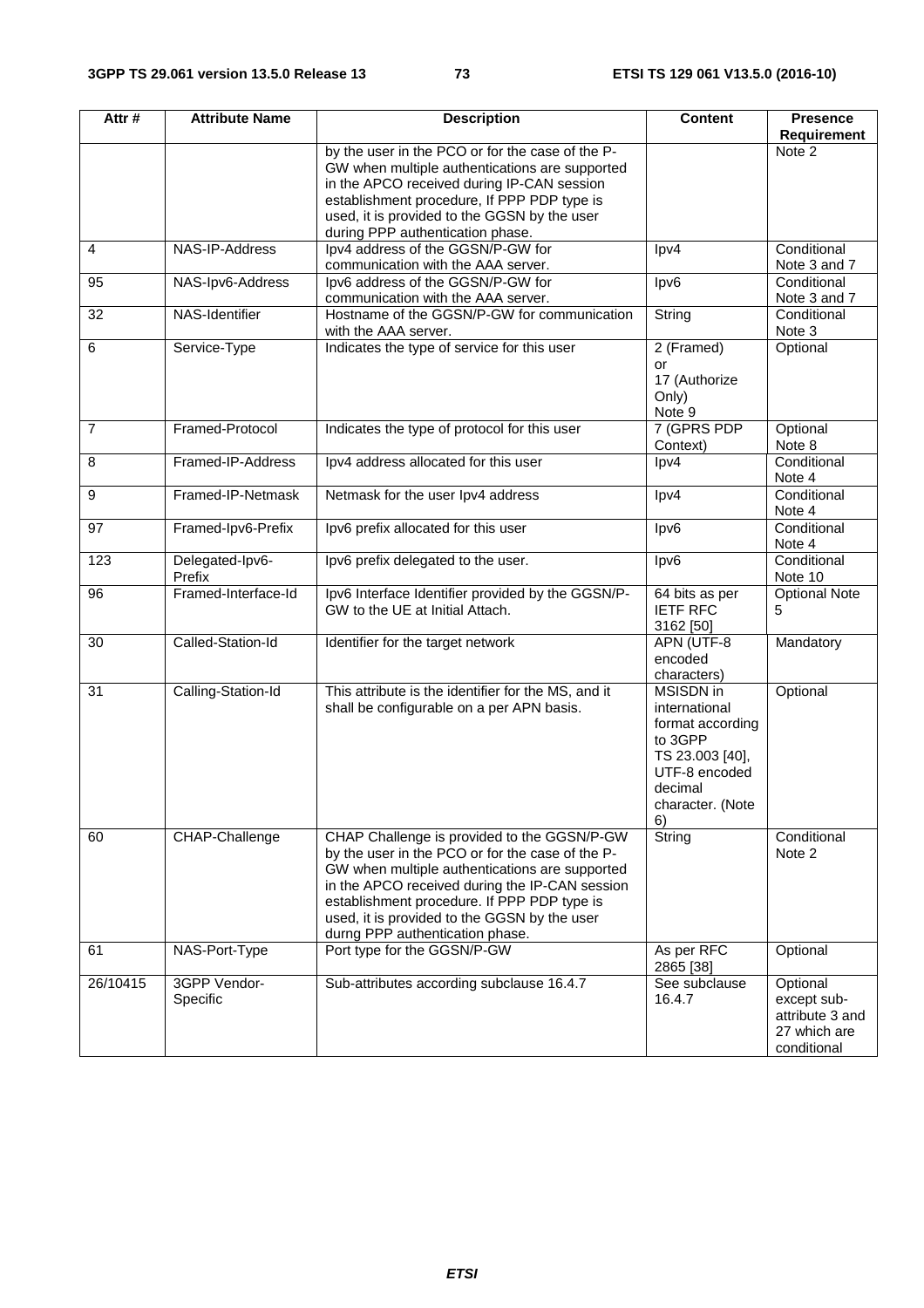| Attr#          | <b>Attribute Name</b>     | <b>Description</b>                                                                                                                                                                                                                                                                                                                    | <b>Content</b>                                                                                                                     | <b>Presence</b><br><b>Requirement</b>                                     |
|----------------|---------------------------|---------------------------------------------------------------------------------------------------------------------------------------------------------------------------------------------------------------------------------------------------------------------------------------------------------------------------------------|------------------------------------------------------------------------------------------------------------------------------------|---------------------------------------------------------------------------|
|                |                           | by the user in the PCO or for the case of the P-<br>GW when multiple authentications are supported<br>in the APCO received during IP-CAN session<br>establishment procedure, If PPP PDP type is<br>used, it is provided to the GGSN by the user<br>during PPP authentication phase.                                                   |                                                                                                                                    | Note 2                                                                    |
| $\overline{4}$ | NAS-IP-Address            | Ipv4 address of the GGSN/P-GW for<br>communication with the AAA server.                                                                                                                                                                                                                                                               | lpv4                                                                                                                               | Conditional<br>Note 3 and 7                                               |
| 95             | NAS-Ipv6-Address          | Ipv6 address of the GGSN/P-GW for<br>communication with the AAA server.                                                                                                                                                                                                                                                               | lpv6                                                                                                                               | Conditional<br>Note 3 and 7                                               |
| 32             | NAS-Identifier            | Hostname of the GGSN/P-GW for communication<br>with the AAA server.                                                                                                                                                                                                                                                                   | String                                                                                                                             | Conditional<br>Note 3                                                     |
| 6              | Service-Type              | Indicates the type of service for this user                                                                                                                                                                                                                                                                                           | 2 (Framed)<br>or<br>17 (Authorize<br>Only)<br>Note 9                                                                               | Optional                                                                  |
| $\overline{7}$ | Framed-Protocol           | Indicates the type of protocol for this user                                                                                                                                                                                                                                                                                          | 7 (GPRS PDP<br>Context)                                                                                                            | Optional<br>Note 8                                                        |
| 8              | Framed-IP-Address         | Ipv4 address allocated for this user                                                                                                                                                                                                                                                                                                  | lpv4                                                                                                                               | Conditional<br>Note 4                                                     |
| 9              | Framed-IP-Netmask         | Netmask for the user Ipv4 address                                                                                                                                                                                                                                                                                                     | lpv4                                                                                                                               | Conditional<br>Note 4                                                     |
| 97             | Framed-Ipv6-Prefix        | Ipv6 prefix allocated for this user                                                                                                                                                                                                                                                                                                   | lpv6                                                                                                                               | Conditional<br>Note 4                                                     |
| 123            | Delegated-Ipv6-<br>Prefix | Ipv6 prefix delegated to the user.                                                                                                                                                                                                                                                                                                    | lpv6                                                                                                                               | Conditional<br>Note 10                                                    |
| 96             | Framed-Interface-Id       | Ipv6 Interface Identifier provided by the GGSN/P-<br>GW to the UE at Initial Attach.                                                                                                                                                                                                                                                  | $64$ bits as per<br><b>IETF RFC</b><br>3162 [50]                                                                                   | <b>Optional Note</b><br>5                                                 |
| 30             | Called-Station-Id         | Identifier for the target network                                                                                                                                                                                                                                                                                                     | APN (UTF-8<br>encoded<br>characters)                                                                                               | Mandatory                                                                 |
| 31             | Calling-Station-Id        | This attribute is the identifier for the MS, and it<br>shall be configurable on a per APN basis.                                                                                                                                                                                                                                      | MSISDN in<br>international<br>format according<br>to 3GPP<br>TS 23.003 [40],<br>UTF-8 encoded<br>decimal<br>character. (Note<br>6) | Optional                                                                  |
| 60             | CHAP-Challenge            | CHAP Challenge is provided to the GGSN/P-GW<br>by the user in the PCO or for the case of the P-<br>GW when multiple authentications are supported<br>in the APCO received during the IP-CAN session<br>establishment procedure. If PPP PDP type is<br>used, it is provided to the GGSN by the user<br>durng PPP authentication phase. | String                                                                                                                             | Conditional<br>Note 2                                                     |
| 61             | NAS-Port-Type             | Port type for the GGSN/P-GW                                                                                                                                                                                                                                                                                                           | As per RFC<br>2865 [38]                                                                                                            | Optional                                                                  |
| 26/10415       | 3GPP Vendor-<br>Specific  | Sub-attributes according subclause 16.4.7                                                                                                                                                                                                                                                                                             | See subclause<br>16.4.7                                                                                                            | Optional<br>except sub-<br>attribute 3 and<br>27 which are<br>conditional |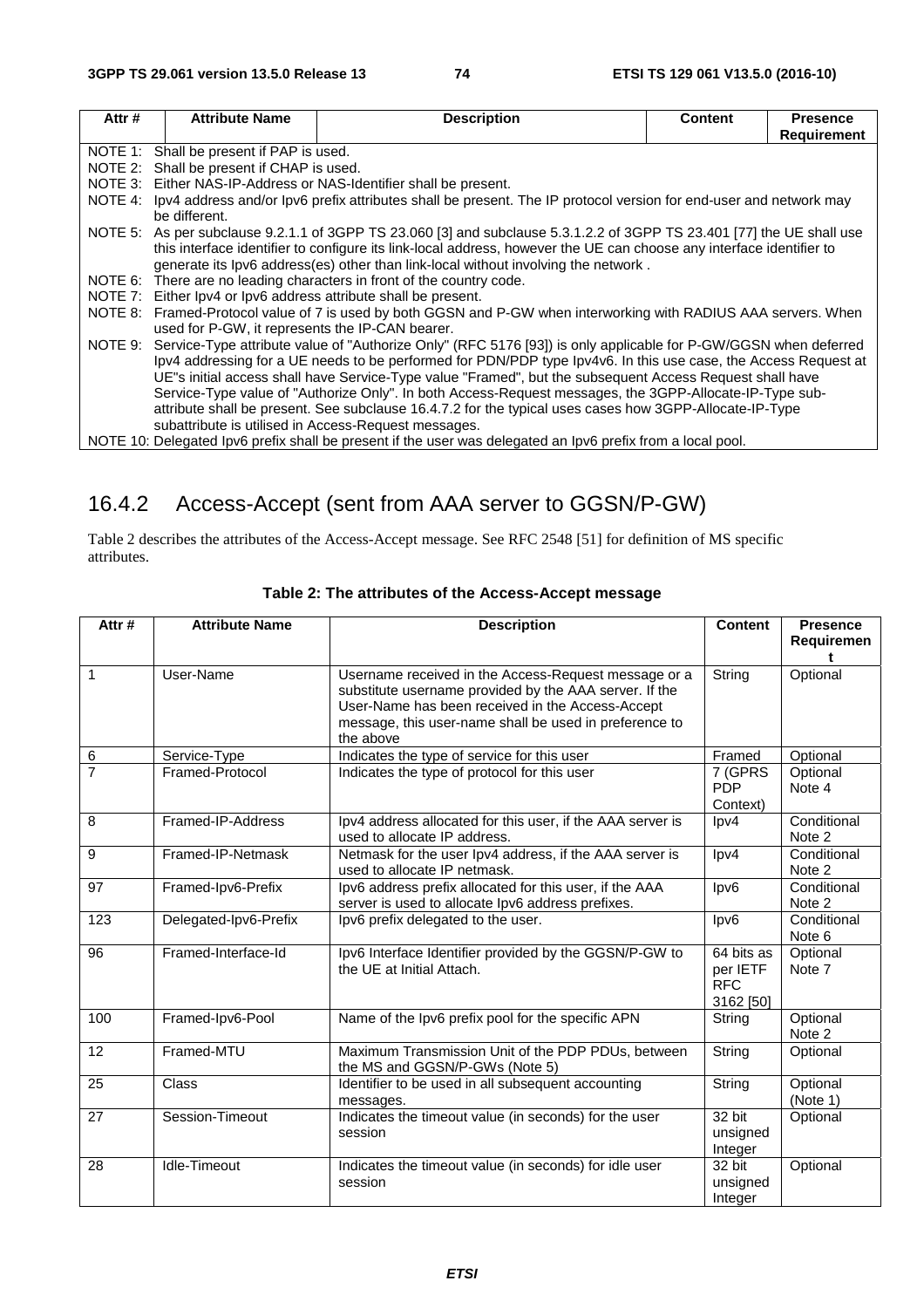| Attr#   | <b>Attribute Name</b>                                             | <b>Description</b>                                                                                                     | <b>Content</b> | <b>Presence</b>    |  |
|---------|-------------------------------------------------------------------|------------------------------------------------------------------------------------------------------------------------|----------------|--------------------|--|
|         |                                                                   |                                                                                                                        |                | <b>Requirement</b> |  |
|         | NOTE 1: Shall be present if PAP is used.                          |                                                                                                                        |                |                    |  |
|         | NOTE 2: Shall be present if CHAP is used.                         |                                                                                                                        |                |                    |  |
|         | NOTE 3: Either NAS-IP-Address or NAS-Identifier shall be present. |                                                                                                                        |                |                    |  |
| NOTE 4: |                                                                   | Ipv4 address and/or Ipv6 prefix attributes shall be present. The IP protocol version for end-user and network may      |                |                    |  |
|         | be different.                                                     |                                                                                                                        |                |                    |  |
|         |                                                                   | NOTE 5: As per subclause 9.2.1.1 of 3GPP TS 23.060 [3] and subclause 5.3.1.2.2 of 3GPP TS 23.401 [77] the UE shall use |                |                    |  |
|         |                                                                   | this interface identifier to configure its link-local address, however the UE can choose any interface identifier to   |                |                    |  |
|         |                                                                   | generate its lpv6 address(es) other than link-local without involving the network.                                     |                |                    |  |
|         |                                                                   | NOTE 6: There are no leading characters in front of the country code.                                                  |                |                    |  |
| NOTE 7: |                                                                   | Either lpv4 or lpv6 address attribute shall be present.                                                                |                |                    |  |
| NOTE 8: |                                                                   | Framed-Protocol value of 7 is used by both GGSN and P-GW when interworking with RADIUS AAA servers. When               |                |                    |  |
|         | used for P-GW, it represents the IP-CAN bearer.                   |                                                                                                                        |                |                    |  |
| NOTE 9: |                                                                   | Service-Type attribute value of "Authorize Only" (RFC 5176 [93]) is only applicable for P-GW/GGSN when deferred        |                |                    |  |
|         |                                                                   | Ipv4 addressing for a UE needs to be performed for PDN/PDP type Ipv4v6. In this use case, the Access Request at        |                |                    |  |
|         |                                                                   | UE"s initial access shall have Service-Type value "Framed", but the subsequent Access Request shall have               |                |                    |  |
|         |                                                                   | Service-Type value of "Authorize Only". In both Access-Request messages, the 3GPP-Allocate-IP-Type sub-                |                |                    |  |
|         |                                                                   | attribute shall be present. See subclause 16.4.7.2 for the typical uses cases how 3GPP-Allocate-IP-Type                |                |                    |  |
|         | subattribute is utilised in Access-Request messages.              |                                                                                                                        |                |                    |  |
|         |                                                                   | NOTE 10: Delegated Ipv6 prefix shall be present if the user was delegated an Ipv6 prefix from a local pool.            |                |                    |  |

# 16.4.2 Access-Accept (sent from AAA server to GGSN/P-GW)

Table 2 describes the attributes of the Access-Accept message. See RFC 2548 [51] for definition of MS specific attributes.

| Attr#          | <b>Attribute Name</b> | <b>Description</b>                                                                                                                                                                                                                        | <b>Content</b>                                    | <b>Presence</b><br>Requiremen |
|----------------|-----------------------|-------------------------------------------------------------------------------------------------------------------------------------------------------------------------------------------------------------------------------------------|---------------------------------------------------|-------------------------------|
| $\mathbf{1}$   | User-Name             | Username received in the Access-Request message or a<br>substitute username provided by the AAA server. If the<br>User-Name has been received in the Access-Accept<br>message, this user-name shall be used in preference to<br>the above | String                                            | Optional                      |
| 6              | Service-Type          | Indicates the type of service for this user                                                                                                                                                                                               | Framed                                            | Optional                      |
| $\overline{7}$ | Framed-Protocol       | Indicates the type of protocol for this user                                                                                                                                                                                              | 7 (GPRS<br><b>PDP</b><br>Context)                 | Optional<br>Note 4            |
| 8              | Framed-IP-Address     | Ipv4 address allocated for this user, if the AAA server is<br>used to allocate IP address.                                                                                                                                                | $\text{lpv4}$                                     | Conditional<br>Note 2         |
| 9              | Framed-IP-Netmask     | Netmask for the user Ipv4 address, if the AAA server is<br>used to allocate IP netmask.                                                                                                                                                   | lpv4                                              | Conditional<br>Note 2         |
| 97             | Framed-Ipv6-Prefix    | Ipv6 address prefix allocated for this user, if the AAA<br>server is used to allocate Ipv6 address prefixes.                                                                                                                              | lpv6                                              | Conditional<br>Note 2         |
| 123            | Delegated-Ipv6-Prefix | Ipv6 prefix delegated to the user.                                                                                                                                                                                                        | lpv6                                              | Conditional<br>Note 6         |
| 96             | Framed-Interface-Id   | Ipv6 Interface Identifier provided by the GGSN/P-GW to<br>the UE at Initial Attach.                                                                                                                                                       | 64 bits as<br>per IETF<br><b>RFC</b><br>3162 [50] | Optional<br>Note 7            |
| 100            | Framed-Ipv6-Pool      | Name of the Ipv6 prefix pool for the specific APN                                                                                                                                                                                         | String                                            | Optional<br>Note 2            |
| 12             | Framed-MTU            | Maximum Transmission Unit of the PDP PDUs, between<br>the MS and GGSN/P-GWs (Note 5)                                                                                                                                                      | String                                            | Optional                      |
| 25             | Class                 | Identifier to be used in all subsequent accounting<br>messages.                                                                                                                                                                           | String                                            | Optional<br>(Note 1)          |
| 27             | Session-Timeout       | Indicates the timeout value (in seconds) for the user<br>session                                                                                                                                                                          | 32 bit<br>unsigned<br>Integer                     | Optional                      |
| 28             | Idle-Timeout          | Indicates the timeout value (in seconds) for idle user<br>session                                                                                                                                                                         | 32 bit<br>unsigned<br>Integer                     | Optional                      |

### **Table 2: The attributes of the Access-Accept message**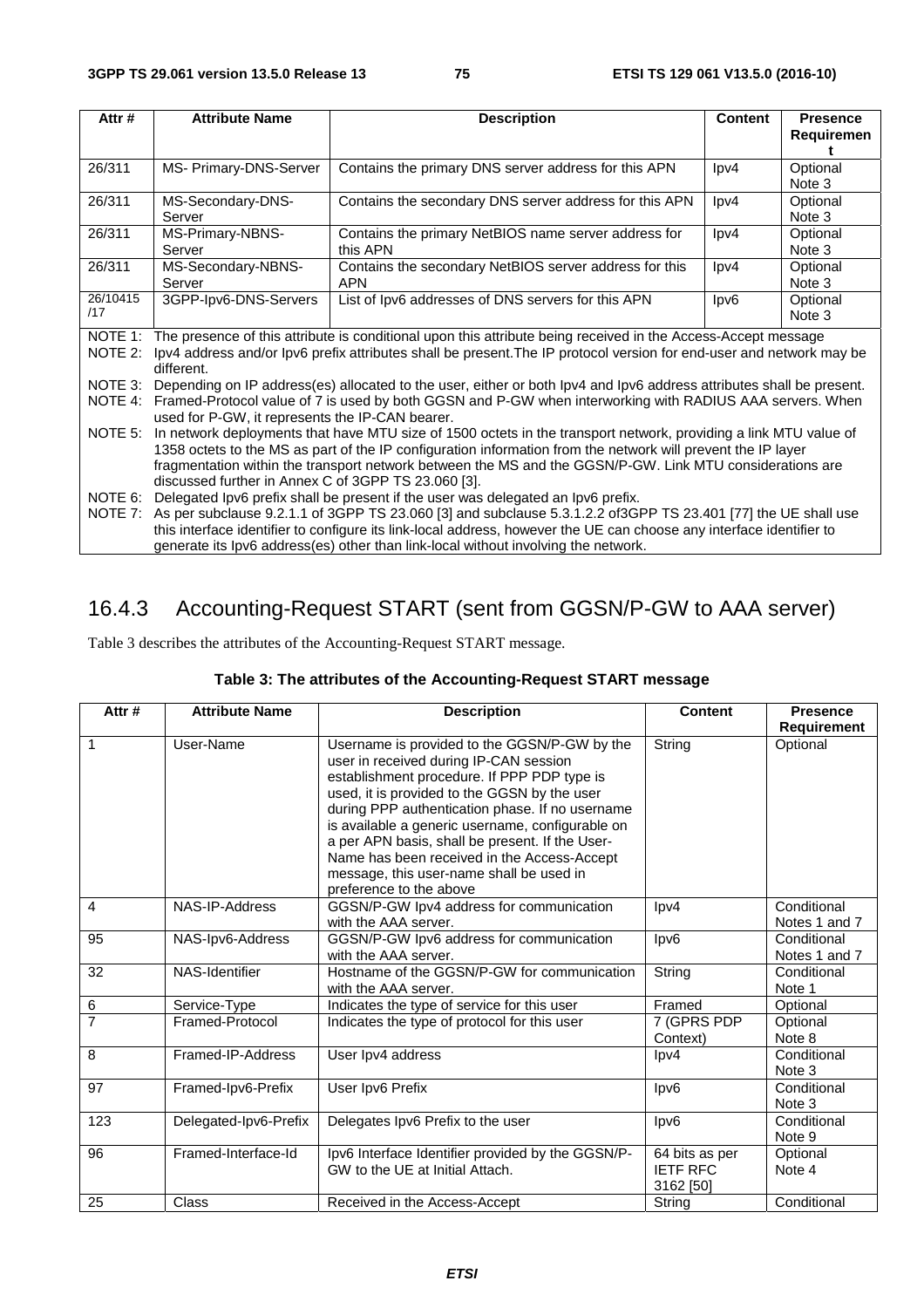| Attr#    | <b>Attribute Name</b>                                                            | <b>Description</b>                                                                                                   | <b>Content</b>  | <b>Presence</b> |  |
|----------|----------------------------------------------------------------------------------|----------------------------------------------------------------------------------------------------------------------|-----------------|-----------------|--|
|          |                                                                                  |                                                                                                                      |                 | Requiremen      |  |
| 26/311   | MS- Primary-DNS-Server                                                           | Contains the primary DNS server address for this APN                                                                 | $\text{lpv4}$   | Optional        |  |
|          |                                                                                  |                                                                                                                      |                 | Note 3          |  |
| 26/311   | MS-Secondary-DNS-                                                                | Contains the secondary DNS server address for this APN                                                               | $\text{lpv4}$   | Optional        |  |
|          | Server                                                                           |                                                                                                                      |                 | Note 3          |  |
| 26/311   | MS-Primary-NBNS-                                                                 | Contains the primary NetBIOS name server address for                                                                 | $\text{lpv4}$   | Optional        |  |
|          | Server                                                                           | this APN                                                                                                             |                 | Note 3          |  |
| 26/311   | MS-Secondary-NBNS-                                                               | Contains the secondary NetBIOS server address for this                                                               | $\text{lpv4}$   | Optional        |  |
|          | Server                                                                           | <b>APN</b>                                                                                                           |                 | Note 3          |  |
| 26/10415 | 3GPP-lpv6-DNS-Servers                                                            | List of Ipv6 addresses of DNS servers for this APN                                                                   | $\textsf{lpv6}$ | Optional        |  |
| /17      |                                                                                  |                                                                                                                      |                 | Note 3          |  |
| NOTE 1:  |                                                                                  | The presence of this attribute is conditional upon this attribute being received in the Access-Accept message        |                 |                 |  |
| NOTE 2:  |                                                                                  | lpv4 address and/or lpv6 prefix attributes shall be present. The IP protocol version for end-user and network may be |                 |                 |  |
|          | different.                                                                       |                                                                                                                      |                 |                 |  |
| NOTE 3:  |                                                                                  | Depending on IP address(es) allocated to the user, either or both lpv4 and lpv6 address attributes shall be present. |                 |                 |  |
| NOTE 4:  |                                                                                  | Framed-Protocol value of 7 is used by both GGSN and P-GW when interworking with RADIUS AAA servers. When             |                 |                 |  |
|          | used for P-GW, it represents the IP-CAN bearer.                                  |                                                                                                                      |                 |                 |  |
| NOTE 5:  |                                                                                  | In network deployments that have MTU size of 1500 octets in the transport network, providing a link MTU value of     |                 |                 |  |
|          |                                                                                  | 1358 octets to the MS as part of the IP configuration information from the network will prevent the IP layer         |                 |                 |  |
|          |                                                                                  | fragmentation within the transport network between the MS and the GGSN/P-GW. Link MTU considerations are             |                 |                 |  |
|          | discussed further in Annex C of 3GPP TS 23.060 [3].                              |                                                                                                                      |                 |                 |  |
| NOTE 6:  | Delegated Ipv6 prefix shall be present if the user was delegated an Ipv6 prefix. |                                                                                                                      |                 |                 |  |
| NOTE 7:  |                                                                                  | As per subclause 9.2.1.1 of 3GPP TS 23.060 [3] and subclause 5.3.1.2.2 of 3GPP TS 23.401 [77] the UE shall use       |                 |                 |  |
|          |                                                                                  | this interface identifier to configure its link-local address, however the UE can choose any interface identifier to |                 |                 |  |
|          |                                                                                  | generate its lpv6 address(es) other than link-local without involving the network.                                   |                 |                 |  |

# 16.4.3 Accounting-Request START (sent from GGSN/P-GW to AAA server)

Table 3 describes the attributes of the Accounting-Request START message.

# **Table 3: The attributes of the Accounting-Request START message**

| Attr#          | <b>Attribute Name</b> | <b>Description</b>                                                                                                                                                                                                                                                                                                                                                                                                                                                    | <b>Content</b>                                 | <b>Presence</b>              |
|----------------|-----------------------|-----------------------------------------------------------------------------------------------------------------------------------------------------------------------------------------------------------------------------------------------------------------------------------------------------------------------------------------------------------------------------------------------------------------------------------------------------------------------|------------------------------------------------|------------------------------|
|                |                       |                                                                                                                                                                                                                                                                                                                                                                                                                                                                       |                                                | Requirement                  |
| 1              | User-Name             | Username is provided to the GGSN/P-GW by the<br>user in received during IP-CAN session<br>establishment procedure. If PPP PDP type is<br>used, it is provided to the GGSN by the user<br>during PPP authentication phase. If no username<br>is available a generic username, configurable on<br>a per APN basis, shall be present. If the User-<br>Name has been received in the Access-Accept<br>message, this user-name shall be used in<br>preference to the above | String                                         | Optional                     |
| $\overline{4}$ | NAS-IP-Address        | GGSN/P-GW Ipv4 address for communication<br>with the AAA server.                                                                                                                                                                                                                                                                                                                                                                                                      | lpv4                                           | Conditional<br>Notes 1 and 7 |
| 95             | NAS-Ipv6-Address      | GGSN/P-GW Ipv6 address for communication<br>with the AAA server.                                                                                                                                                                                                                                                                                                                                                                                                      | lpv6                                           | Conditional<br>Notes 1 and 7 |
| 32             | NAS-Identifier        | Hostname of the GGSN/P-GW for communication<br>with the AAA server.                                                                                                                                                                                                                                                                                                                                                                                                   | String                                         | Conditional<br>Note 1        |
| 6              | Service-Type          | Indicates the type of service for this user                                                                                                                                                                                                                                                                                                                                                                                                                           | Framed                                         | Optional                     |
| $\overline{7}$ | Framed-Protocol       | Indicates the type of protocol for this user                                                                                                                                                                                                                                                                                                                                                                                                                          | 7 (GPRS PDP<br>Context)                        | Optional<br>Note 8           |
| 8              | Framed-IP-Address     | User Ipv4 address                                                                                                                                                                                                                                                                                                                                                                                                                                                     | $\text{lpv4}$                                  | Conditional<br>Note 3        |
| 97             | Framed-Ipv6-Prefix    | User Ipv6 Prefix                                                                                                                                                                                                                                                                                                                                                                                                                                                      | lpv <sub>6</sub>                               | Conditional<br>Note 3        |
| 123            | Delegated-Ipv6-Prefix | Delegates Ipv6 Prefix to the user                                                                                                                                                                                                                                                                                                                                                                                                                                     | lpv6                                           | Conditional<br>Note 9        |
| 96             | Framed-Interface-Id   | Ipv6 Interface Identifier provided by the GGSN/P-<br>GW to the UE at Initial Attach.                                                                                                                                                                                                                                                                                                                                                                                  | 64 bits as per<br><b>IETF RFC</b><br>3162 [50] | Optional<br>Note 4           |
| 25             | <b>Class</b>          | Received in the Access-Accept                                                                                                                                                                                                                                                                                                                                                                                                                                         | String                                         | Conditional                  |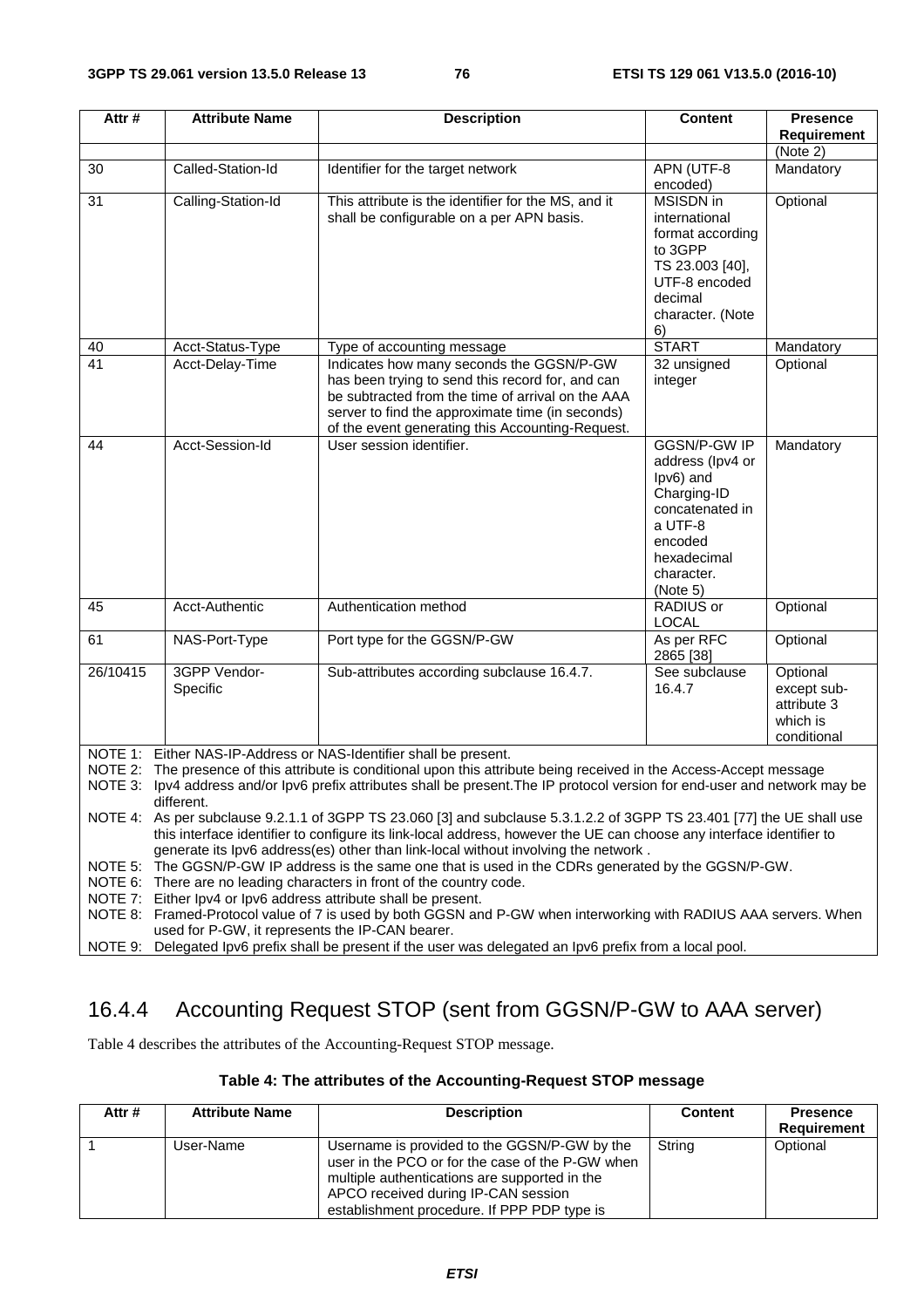| Attr#                                                                                                                                | <b>Attribute Name</b>                                                                                                        | <b>Description</b>                                                                                               | <b>Content</b>                   | <b>Presence</b> |  |  |
|--------------------------------------------------------------------------------------------------------------------------------------|------------------------------------------------------------------------------------------------------------------------------|------------------------------------------------------------------------------------------------------------------|----------------------------------|-----------------|--|--|
|                                                                                                                                      |                                                                                                                              |                                                                                                                  |                                  | Requirement     |  |  |
|                                                                                                                                      |                                                                                                                              |                                                                                                                  |                                  | (Note 2)        |  |  |
| 30                                                                                                                                   | Called-Station-Id                                                                                                            | Identifier for the target network                                                                                | APN (UTF-8                       | Mandatory       |  |  |
|                                                                                                                                      |                                                                                                                              |                                                                                                                  | encoded)                         |                 |  |  |
| 31                                                                                                                                   | Calling-Station-Id                                                                                                           | This attribute is the identifier for the MS, and it                                                              | <b>MSISDN</b> in                 | Optional        |  |  |
|                                                                                                                                      |                                                                                                                              | shall be configurable on a per APN basis.                                                                        | international                    |                 |  |  |
|                                                                                                                                      |                                                                                                                              |                                                                                                                  | format according                 |                 |  |  |
|                                                                                                                                      |                                                                                                                              |                                                                                                                  | to 3GPP                          |                 |  |  |
|                                                                                                                                      |                                                                                                                              |                                                                                                                  | TS 23.003 [40],<br>UTF-8 encoded |                 |  |  |
|                                                                                                                                      |                                                                                                                              |                                                                                                                  | decimal                          |                 |  |  |
|                                                                                                                                      |                                                                                                                              |                                                                                                                  | character. (Note                 |                 |  |  |
|                                                                                                                                      |                                                                                                                              |                                                                                                                  | 6)                               |                 |  |  |
| 40                                                                                                                                   | Acct-Status-Type                                                                                                             | Type of accounting message                                                                                       | <b>START</b>                     | Mandatory       |  |  |
| 41                                                                                                                                   | Acct-Delay-Time                                                                                                              | Indicates how many seconds the GGSN/P-GW                                                                         | 32 unsigned                      | Optional        |  |  |
|                                                                                                                                      |                                                                                                                              | has been trying to send this record for, and can                                                                 | integer                          |                 |  |  |
|                                                                                                                                      |                                                                                                                              | be subtracted from the time of arrival on the AAA                                                                |                                  |                 |  |  |
|                                                                                                                                      |                                                                                                                              | server to find the approximate time (in seconds)                                                                 |                                  |                 |  |  |
|                                                                                                                                      |                                                                                                                              | of the event generating this Accounting-Request.                                                                 |                                  |                 |  |  |
| 44                                                                                                                                   | Acct-Session-Id                                                                                                              | User session identifier.                                                                                         | <b>GGSN/P-GW IP</b>              | Mandatory       |  |  |
|                                                                                                                                      |                                                                                                                              |                                                                                                                  | address (Ipv4 or                 |                 |  |  |
|                                                                                                                                      |                                                                                                                              |                                                                                                                  | Ipv6) and                        |                 |  |  |
|                                                                                                                                      |                                                                                                                              |                                                                                                                  | Charging-ID<br>concatenated in   |                 |  |  |
|                                                                                                                                      |                                                                                                                              |                                                                                                                  | a UTF-8                          |                 |  |  |
|                                                                                                                                      |                                                                                                                              |                                                                                                                  | encoded                          |                 |  |  |
|                                                                                                                                      |                                                                                                                              |                                                                                                                  | hexadecimal                      |                 |  |  |
|                                                                                                                                      |                                                                                                                              |                                                                                                                  | character.                       |                 |  |  |
|                                                                                                                                      |                                                                                                                              |                                                                                                                  | (Note 5)                         |                 |  |  |
| 45                                                                                                                                   | Acct-Authentic                                                                                                               | Authentication method                                                                                            | <b>RADIUS</b> or                 | Optional        |  |  |
|                                                                                                                                      |                                                                                                                              |                                                                                                                  | <b>LOCAL</b>                     |                 |  |  |
| 61                                                                                                                                   | NAS-Port-Type                                                                                                                | Port type for the GGSN/P-GW                                                                                      | As per RFC<br>2865 [38]          | Optional        |  |  |
| 26/10415                                                                                                                             | 3GPP Vendor-                                                                                                                 | Sub-attributes according subclause 16.4.7.                                                                       | See subclause                    | Optional        |  |  |
|                                                                                                                                      | Specific                                                                                                                     |                                                                                                                  | 16.4.7                           | except sub-     |  |  |
|                                                                                                                                      |                                                                                                                              |                                                                                                                  |                                  | attribute 3     |  |  |
|                                                                                                                                      |                                                                                                                              |                                                                                                                  |                                  | which is        |  |  |
|                                                                                                                                      |                                                                                                                              |                                                                                                                  |                                  | conditional     |  |  |
|                                                                                                                                      |                                                                                                                              | NOTE 1: Either NAS-IP-Address or NAS-Identifier shall be present.                                                |                                  |                 |  |  |
| NOTE 2:                                                                                                                              |                                                                                                                              | The presence of this attribute is conditional upon this attribute being received in the Access-Accept message    |                                  |                 |  |  |
|                                                                                                                                      | NOTE 3: Ipv4 address and/or Ipv6 prefix attributes shall be present. The IP protocol version for end-user and network may be |                                                                                                                  |                                  |                 |  |  |
| different.<br>NOTE 4: As per subclause 9.2.1.1 of 3GPP TS 23.060 [3] and subclause 5.3.1.2.2 of 3GPP TS 23.401 [77] the UE shall use |                                                                                                                              |                                                                                                                  |                                  |                 |  |  |
| this interface identifier to configure its link-local address, however the UE can choose any interface identifier to                 |                                                                                                                              |                                                                                                                  |                                  |                 |  |  |
| generate its lpv6 address(es) other than link-local without involving the network.                                                   |                                                                                                                              |                                                                                                                  |                                  |                 |  |  |
|                                                                                                                                      |                                                                                                                              | NOTE 5: The GGSN/P-GW IP address is the same one that is used in the CDRs generated by the GGSN/P-GW.            |                                  |                 |  |  |
| NOTE 6:                                                                                                                              |                                                                                                                              | There are no leading characters in front of the country code.                                                    |                                  |                 |  |  |
|                                                                                                                                      |                                                                                                                              | NOTE 7: Either lpv4 or lpv6 address attribute shall be present.                                                  |                                  |                 |  |  |
|                                                                                                                                      |                                                                                                                              | NOTE 8: Framed-Protocol value of 7 is used by both GGSN and P-GW when interworking with RADIUS AAA servers. When |                                  |                 |  |  |
| used for P-GW, it represents the IP-CAN bearer.                                                                                      |                                                                                                                              |                                                                                                                  |                                  |                 |  |  |

NOTE 9: Delegated Ipv6 prefix shall be present if the user was delegated an Ipv6 prefix from a local pool.

# 16.4.4 Accounting Request STOP (sent from GGSN/P-GW to AAA server)

Table 4 describes the attributes of the Accounting-Request STOP message.

#### **Table 4: The attributes of the Accounting-Request STOP message**

| Attr# | <b>Attribute Name</b> | <b>Description</b>                                                                                                                                                                                                                      | <b>Content</b> | <b>Presence</b><br>Requirement |
|-------|-----------------------|-----------------------------------------------------------------------------------------------------------------------------------------------------------------------------------------------------------------------------------------|----------------|--------------------------------|
|       | User-Name             | Username is provided to the GGSN/P-GW by the<br>user in the PCO or for the case of the P-GW when<br>multiple authentications are supported in the<br>APCO received during IP-CAN session<br>establishment procedure. If PPP PDP type is | String         | Optional                       |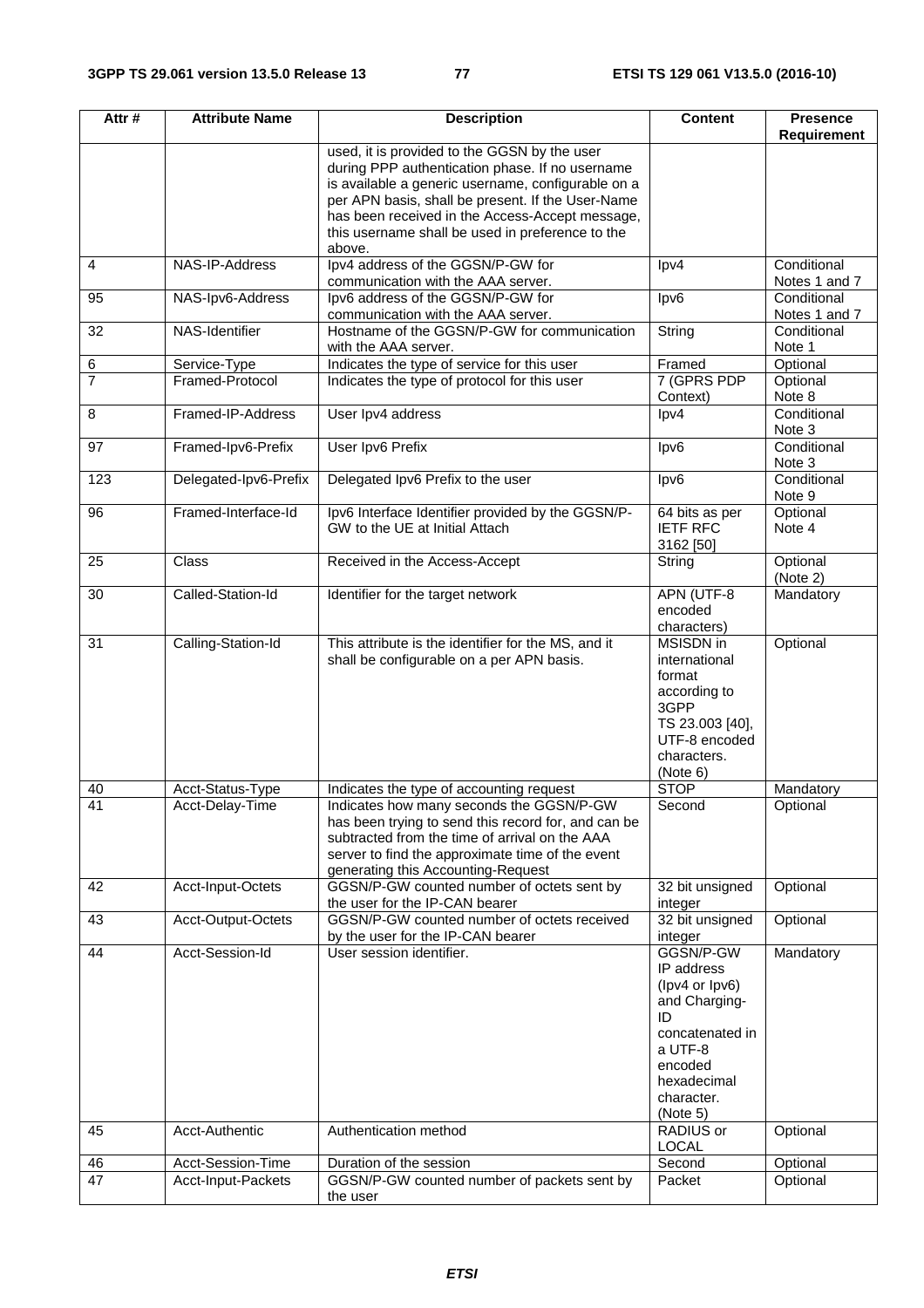| Attr#               | <b>Attribute Name</b>           | <b>Description</b>                                                                                    | <b>Content</b>           | <b>Presence</b>      |
|---------------------|---------------------------------|-------------------------------------------------------------------------------------------------------|--------------------------|----------------------|
|                     |                                 | used, it is provided to the GGSN by the user                                                          |                          | <b>Requirement</b>   |
|                     |                                 | during PPP authentication phase. If no username                                                       |                          |                      |
|                     |                                 | is available a generic username, configurable on a                                                    |                          |                      |
|                     |                                 | per APN basis, shall be present. If the User-Name                                                     |                          |                      |
|                     |                                 | has been received in the Access-Accept message,                                                       |                          |                      |
|                     |                                 | this username shall be used in preference to the                                                      |                          |                      |
|                     |                                 | above.                                                                                                |                          |                      |
| $\overline{4}$      | NAS-IP-Address                  | Ipv4 address of the GGSN/P-GW for                                                                     | $\text{lpv4}$            | Conditional          |
|                     |                                 | communication with the AAA server.                                                                    |                          | Notes 1 and 7        |
| 95                  | NAS-Ipv6-Address                | Ipv6 address of the GGSN/P-GW for                                                                     | lpv6                     | Conditional          |
|                     |                                 | communication with the AAA server.                                                                    |                          | Notes 1 and 7        |
| 32                  | NAS-Identifier                  | Hostname of the GGSN/P-GW for communication                                                           | String                   | Conditional          |
|                     |                                 | with the AAA server.                                                                                  |                          | Note 1               |
| 6<br>$\overline{7}$ | Service-Type<br>Framed-Protocol | Indicates the type of service for this user<br>Indicates the type of protocol for this user           | Framed<br>7 (GPRS PDP    | Optional<br>Optional |
|                     |                                 |                                                                                                       | Context)                 | Note 8               |
| 8                   | Framed-IP-Address               | User Ipv4 address                                                                                     | $\text{lpv4}$            | Conditional          |
|                     |                                 |                                                                                                       |                          | Note 3               |
| 97                  | Framed-Ipv6-Prefix              | User Ipv6 Prefix                                                                                      | lpv6                     | Conditional          |
|                     |                                 |                                                                                                       |                          | Note 3               |
| 123                 | Delegated-Ipv6-Prefix           | Delegated Ipv6 Prefix to the user                                                                     | lpv6                     | Conditional          |
|                     |                                 |                                                                                                       |                          | Note 9               |
| 96                  | Framed-Interface-Id             | Ipv6 Interface Identifier provided by the GGSN/P-                                                     | 64 bits as per           | Optional             |
|                     |                                 | GW to the UE at Initial Attach                                                                        | <b>IETF RFC</b>          | Note 4               |
|                     |                                 |                                                                                                       | 3162 [50]                |                      |
| 25                  | Class                           | Received in the Access-Accept                                                                         | String                   | Optional             |
|                     |                                 |                                                                                                       |                          | (Note 2)             |
| 30                  | Called-Station-Id               | Identifier for the target network                                                                     | APN (UTF-8               | Mandatory            |
|                     |                                 |                                                                                                       | encoded                  |                      |
| 31                  | Calling-Station-Id              | This attribute is the identifier for the MS, and it                                                   | characters)<br>MSISDN in | Optional             |
|                     |                                 | shall be configurable on a per APN basis.                                                             | international            |                      |
|                     |                                 |                                                                                                       | format                   |                      |
|                     |                                 |                                                                                                       | according to             |                      |
|                     |                                 |                                                                                                       | 3GPP                     |                      |
|                     |                                 |                                                                                                       | TS 23.003 [40],          |                      |
|                     |                                 |                                                                                                       | UTF-8 encoded            |                      |
|                     |                                 |                                                                                                       | characters.              |                      |
|                     |                                 |                                                                                                       | (Note 6)                 |                      |
| 40                  | Acct-Status-Type                | Indicates the type of accounting request                                                              | <b>STOP</b>              | Mandatory            |
| $\overline{41}$     | Acct-Delay-Time                 | Indicates how many seconds the GGSN/P-GW                                                              | Second                   | Optional             |
|                     |                                 | has been trying to send this record for, and can be<br>subtracted from the time of arrival on the AAA |                          |                      |
|                     |                                 | server to find the approximate time of the event                                                      |                          |                      |
|                     |                                 | generating this Accounting-Request                                                                    |                          |                      |
| 42                  | Acct-Input-Octets               | GGSN/P-GW counted number of octets sent by                                                            | 32 bit unsigned          | Optional             |
|                     |                                 | the user for the IP-CAN bearer                                                                        | integer                  |                      |
| 43                  | Acct-Output-Octets              | GGSN/P-GW counted number of octets received                                                           | 32 bit unsigned          | Optional             |
|                     |                                 | by the user for the IP-CAN bearer                                                                     | integer                  |                      |
| 44                  | Acct-Session-Id                 | User session identifier.                                                                              | GGSN/P-GW                | Mandatory            |
|                     |                                 |                                                                                                       | IP address               |                      |
|                     |                                 |                                                                                                       | (lpv4 or lpv6)           |                      |
|                     |                                 |                                                                                                       | and Charging-            |                      |
|                     |                                 |                                                                                                       | ID<br>concatenated in    |                      |
|                     |                                 |                                                                                                       | a UTF-8                  |                      |
|                     |                                 |                                                                                                       | encoded                  |                      |
|                     |                                 |                                                                                                       | hexadecimal              |                      |
|                     |                                 |                                                                                                       | character.               |                      |
|                     |                                 |                                                                                                       | (Note 5)                 |                      |
| 45                  | Acct-Authentic                  | Authentication method                                                                                 | RADIUS or                | Optional             |
|                     |                                 |                                                                                                       | <b>LOCAL</b>             |                      |
| 46                  | Acct-Session-Time               | Duration of the session                                                                               | Second                   | Optional             |
| 47                  | Acct-Input-Packets              | GGSN/P-GW counted number of packets sent by                                                           | Packet                   | Optional             |
|                     |                                 | the user                                                                                              |                          |                      |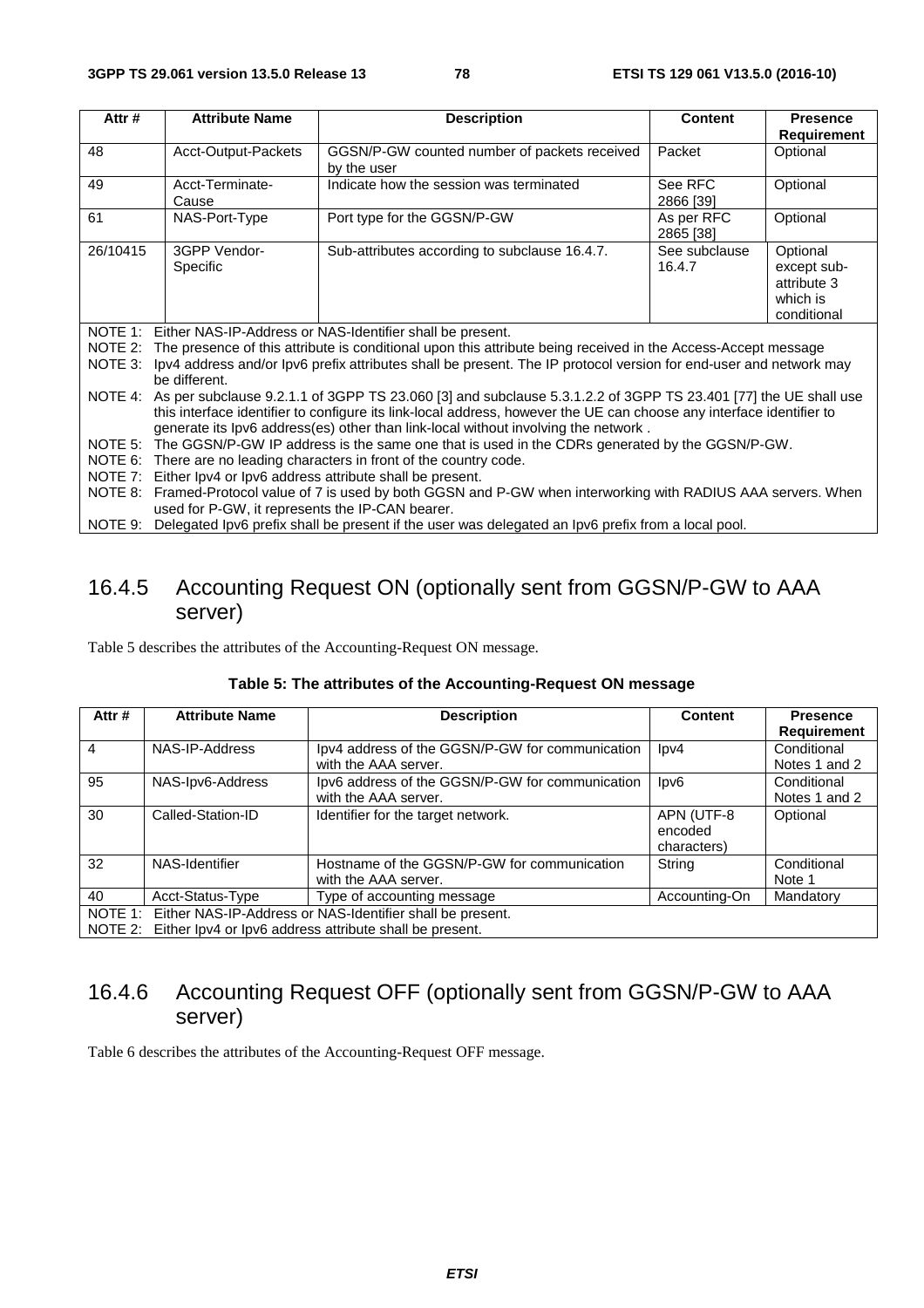| Attr#    | <b>Attribute Name</b>                                                                                                                                                                                                                                                                                                        | <b>Description</b>                                                                                                    | <b>Content</b>          | <b>Presence</b>                                                   |  |
|----------|------------------------------------------------------------------------------------------------------------------------------------------------------------------------------------------------------------------------------------------------------------------------------------------------------------------------------|-----------------------------------------------------------------------------------------------------------------------|-------------------------|-------------------------------------------------------------------|--|
| 48       | Acct-Output-Packets                                                                                                                                                                                                                                                                                                          | GGSN/P-GW counted number of packets received<br>by the user                                                           | Packet                  | <b>Requirement</b><br>Optional                                    |  |
| 49       | Acct-Terminate-<br>Cause                                                                                                                                                                                                                                                                                                     | Indicate how the session was terminated                                                                               | See RFC<br>2866 [39]    | Optional                                                          |  |
| 61       | NAS-Port-Type                                                                                                                                                                                                                                                                                                                | Port type for the GGSN/P-GW                                                                                           | As per RFC<br>2865 [38] | Optional                                                          |  |
| 26/10415 | 3GPP Vendor-<br>Specific                                                                                                                                                                                                                                                                                                     | Sub-attributes according to subclause 16.4.7.                                                                         | See subclause<br>16.4.7 | Optional<br>except sub-<br>attribute 3<br>which is<br>conditional |  |
|          |                                                                                                                                                                                                                                                                                                                              | NOTE 1: Either NAS-IP-Address or NAS-Identifier shall be present.                                                     |                         |                                                                   |  |
|          |                                                                                                                                                                                                                                                                                                                              | NOTE 2: The presence of this attribute is conditional upon this attribute being received in the Access-Accept message |                         |                                                                   |  |
| NOTE 3:  | be different.                                                                                                                                                                                                                                                                                                                | Ipv4 address and/or Ipv6 prefix attributes shall be present. The IP protocol version for end-user and network may     |                         |                                                                   |  |
| NOTE 4:  | As per subclause 9.2.1.1 of 3GPP TS 23.060 [3] and subclause 5.3.1.2.2 of 3GPP TS 23.401 [77] the UE shall use<br>this interface identifier to configure its link-local address, however the UE can choose any interface identifier to<br>generate its lpv6 address(es) other than link-local without involving the network. |                                                                                                                       |                         |                                                                   |  |
|          |                                                                                                                                                                                                                                                                                                                              | NOTE 5: The GGSN/P-GW IP address is the same one that is used in the CDRs generated by the GGSN/P-GW.                 |                         |                                                                   |  |
|          | NOTE 6: There are no leading characters in front of the country code.                                                                                                                                                                                                                                                        |                                                                                                                       |                         |                                                                   |  |
|          |                                                                                                                                                                                                                                                                                                                              | NOTE 7: Either Ipv4 or Ipv6 address attribute shall be present.                                                       |                         |                                                                   |  |
| NOTE 8:  | used for P-GW, it represents the IP-CAN bearer.                                                                                                                                                                                                                                                                              | Framed-Protocol value of 7 is used by both GGSN and P-GW when interworking with RADIUS AAA servers. When              |                         |                                                                   |  |

### NOTE 9: Delegated Ipv6 prefix shall be present if the user was delegated an Ipv6 prefix from a local pool.

# 16.4.5 Accounting Request ON (optionally sent from GGSN/P-GW to AAA server)

Table 5 describes the attributes of the Accounting-Request ON message.

| Attr# | <b>Attribute Name</b>                                             | <b>Description</b>                                              | Content         | <b>Presence</b>    |  |  |
|-------|-------------------------------------------------------------------|-----------------------------------------------------------------|-----------------|--------------------|--|--|
|       |                                                                   |                                                                 |                 | <b>Requirement</b> |  |  |
| 4     | NAS-IP-Address                                                    | Ipv4 address of the GGSN/P-GW for communication                 | $\text{lpv4}$   | Conditional        |  |  |
|       |                                                                   | with the AAA server.                                            |                 | Notes 1 and 2      |  |  |
| 95    | NAS-Ipv6-Address                                                  | Ipv6 address of the GGSN/P-GW for communication                 | $\textsf{lpv6}$ | Conditional        |  |  |
|       |                                                                   | with the AAA server.                                            |                 | Notes 1 and 2      |  |  |
| 30    | Called-Station-ID                                                 | Identifier for the target network.                              | APN (UTF-8      | Optional           |  |  |
|       |                                                                   |                                                                 | encoded         |                    |  |  |
|       |                                                                   |                                                                 | characters)     |                    |  |  |
| 32    | NAS-Identifier                                                    | Hostname of the GGSN/P-GW for communication                     | String          | Conditional        |  |  |
|       |                                                                   | with the AAA server.                                            |                 | Note 1             |  |  |
| 40    | Acct-Status-Type                                                  | Type of accounting message                                      | Accounting-On   | Mandatory          |  |  |
|       | NOTE 1: Either NAS-IP-Address or NAS-Identifier shall be present. |                                                                 |                 |                    |  |  |
|       |                                                                   | NOTE 2: Either lpv4 or lpv6 address attribute shall be present. |                 |                    |  |  |

#### **Table 5: The attributes of the Accounting-Request ON message**

# 16.4.6 Accounting Request OFF (optionally sent from GGSN/P-GW to AAA server)

Table 6 describes the attributes of the Accounting-Request OFF message.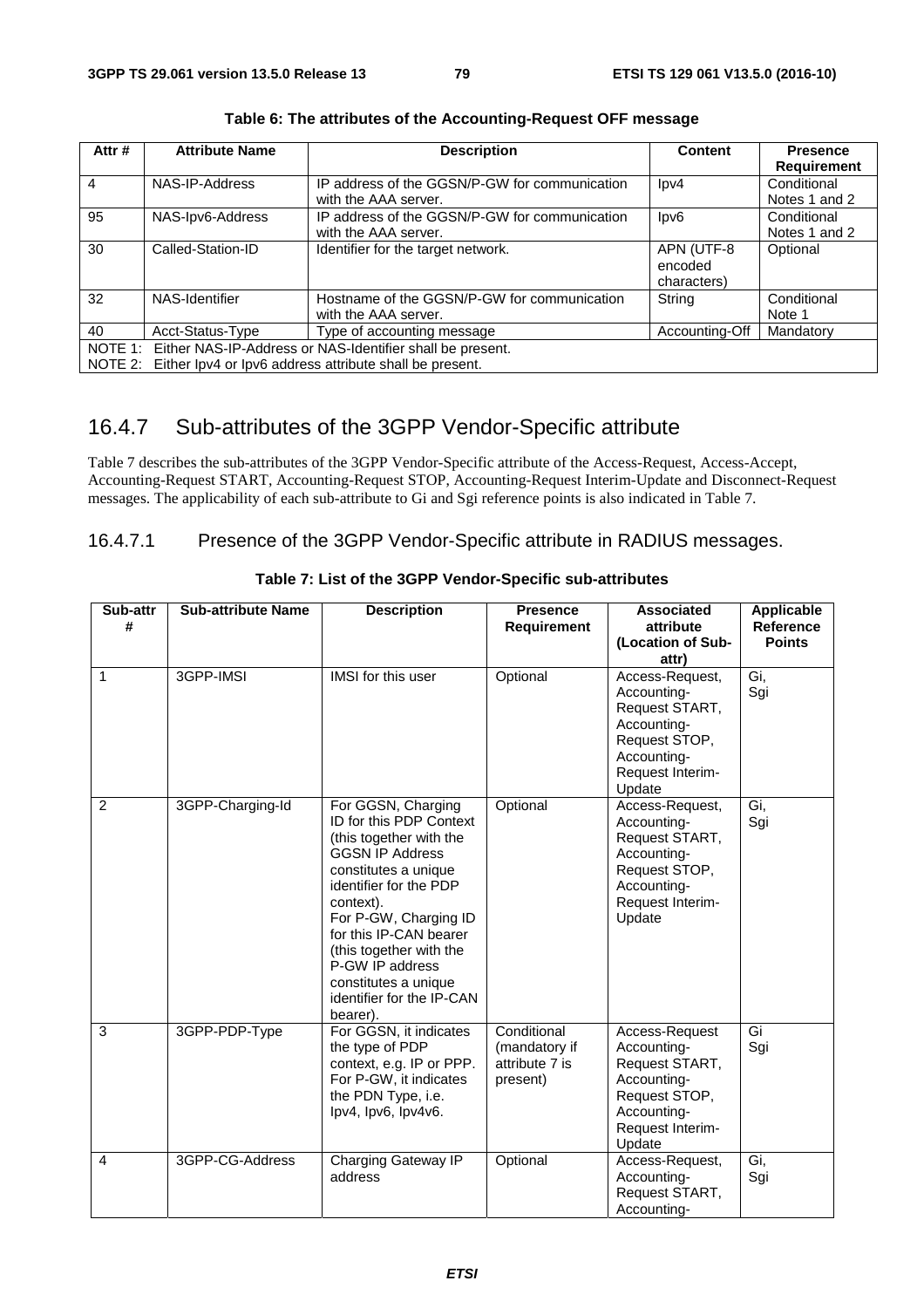| Attr# | <b>Attribute Name</b>                                             | <b>Description</b>                                              | Content         | <b>Presence</b>    |  |  |
|-------|-------------------------------------------------------------------|-----------------------------------------------------------------|-----------------|--------------------|--|--|
|       |                                                                   |                                                                 |                 | <b>Requirement</b> |  |  |
| 4     | NAS-IP-Address                                                    | IP address of the GGSN/P-GW for communication                   | $\text{lpv4}$   | Conditional        |  |  |
|       |                                                                   | with the AAA server.                                            |                 | Notes 1 and 2      |  |  |
| 95    | NAS-Ipv6-Address                                                  | IP address of the GGSN/P-GW for communication                   | $\textsf{lpv6}$ | Conditional        |  |  |
|       |                                                                   | with the AAA server.                                            |                 | Notes 1 and 2      |  |  |
| 30    | Called-Station-ID                                                 | Identifier for the target network.                              | APN (UTF-8      | Optional           |  |  |
|       |                                                                   |                                                                 | encoded         |                    |  |  |
|       |                                                                   |                                                                 | characters)     |                    |  |  |
| 32    | NAS-Identifier                                                    | Hostname of the GGSN/P-GW for communication                     | String          | Conditional        |  |  |
|       |                                                                   | with the AAA server.                                            |                 | Note 1             |  |  |
| 40    | Acct-Status-Type                                                  | Type of accounting message                                      | Accounting-Off  | Mandatory          |  |  |
|       | NOTE 1: Either NAS-IP-Address or NAS-Identifier shall be present. |                                                                 |                 |                    |  |  |
|       |                                                                   | NOTE 2: Either lpv4 or lpv6 address attribute shall be present. |                 |                    |  |  |

**Table 6: The attributes of the Accounting-Request OFF message** 

# 16.4.7 Sub-attributes of the 3GPP Vendor-Specific attribute

Table 7 describes the sub-attributes of the 3GPP Vendor-Specific attribute of the Access-Request, Access-Accept, Accounting-Request START, Accounting-Request STOP, Accounting-Request Interim-Update and Disconnect-Request messages. The applicability of each sub-attribute to Gi and Sgi reference points is also indicated in Table 7.

# 16.4.7.1 Presence of the 3GPP Vendor-Specific attribute in RADIUS messages.

| Sub-attr<br># | <b>Sub-attribute Name</b> | <b>Description</b>                                                                                                                                                                                                                                                                                                                  | <b>Presence</b><br><b>Requirement</b>                      | <b>Associated</b><br>attribute<br>(Location of Sub-                                                                           | Applicable<br><b>Reference</b><br><b>Points</b> |
|---------------|---------------------------|-------------------------------------------------------------------------------------------------------------------------------------------------------------------------------------------------------------------------------------------------------------------------------------------------------------------------------------|------------------------------------------------------------|-------------------------------------------------------------------------------------------------------------------------------|-------------------------------------------------|
| 1             | 3GPP-IMSI                 | IMSI for this user                                                                                                                                                                                                                                                                                                                  | Optional                                                   | attr)<br>Access-Request,                                                                                                      | Gi,                                             |
|               |                           |                                                                                                                                                                                                                                                                                                                                     |                                                            | Accounting-<br>Request START,<br>Accounting-<br>Request STOP,<br>Accounting-<br>Request Interim-<br>Update                    | Sgi                                             |
| 2             | 3GPP-Charging-Id          | For GGSN, Charging<br>ID for this PDP Context<br>(this together with the<br><b>GGSN IP Address</b><br>constitutes a unique<br>identifier for the PDP<br>context).<br>For P-GW, Charging ID<br>for this IP-CAN bearer<br>(this together with the<br>P-GW IP address<br>constitutes a unique<br>identifier for the IP-CAN<br>bearer). | Optional                                                   | Access-Request,<br>Accounting-<br>Request START,<br>Accounting-<br>Request STOP,<br>Accounting-<br>Request Interim-<br>Update | Gi,<br>Sgi                                      |
| 3             | 3GPP-PDP-Type             | For GGSN, it indicates<br>the type of PDP<br>context, e.g. IP or PPP.<br>For P-GW, it indicates<br>the PDN Type, i.e.<br>lpv4, lpv6, lpv4v6.                                                                                                                                                                                        | Conditional<br>(mandatory if<br>attribute 7 is<br>present) | Access-Request<br>Accounting-<br>Request START,<br>Accounting-<br>Request STOP,<br>Accounting-<br>Request Interim-<br>Update  | Gi<br>Sgi                                       |
| 4             | 3GPP-CG-Address           | Charging Gateway IP<br>address                                                                                                                                                                                                                                                                                                      | Optional                                                   | Access-Request,<br>Accounting-<br>Request START,<br>Accounting-                                                               | Gi.<br>Sgi                                      |

#### **Table 7: List of the 3GPP Vendor-Specific sub-attributes**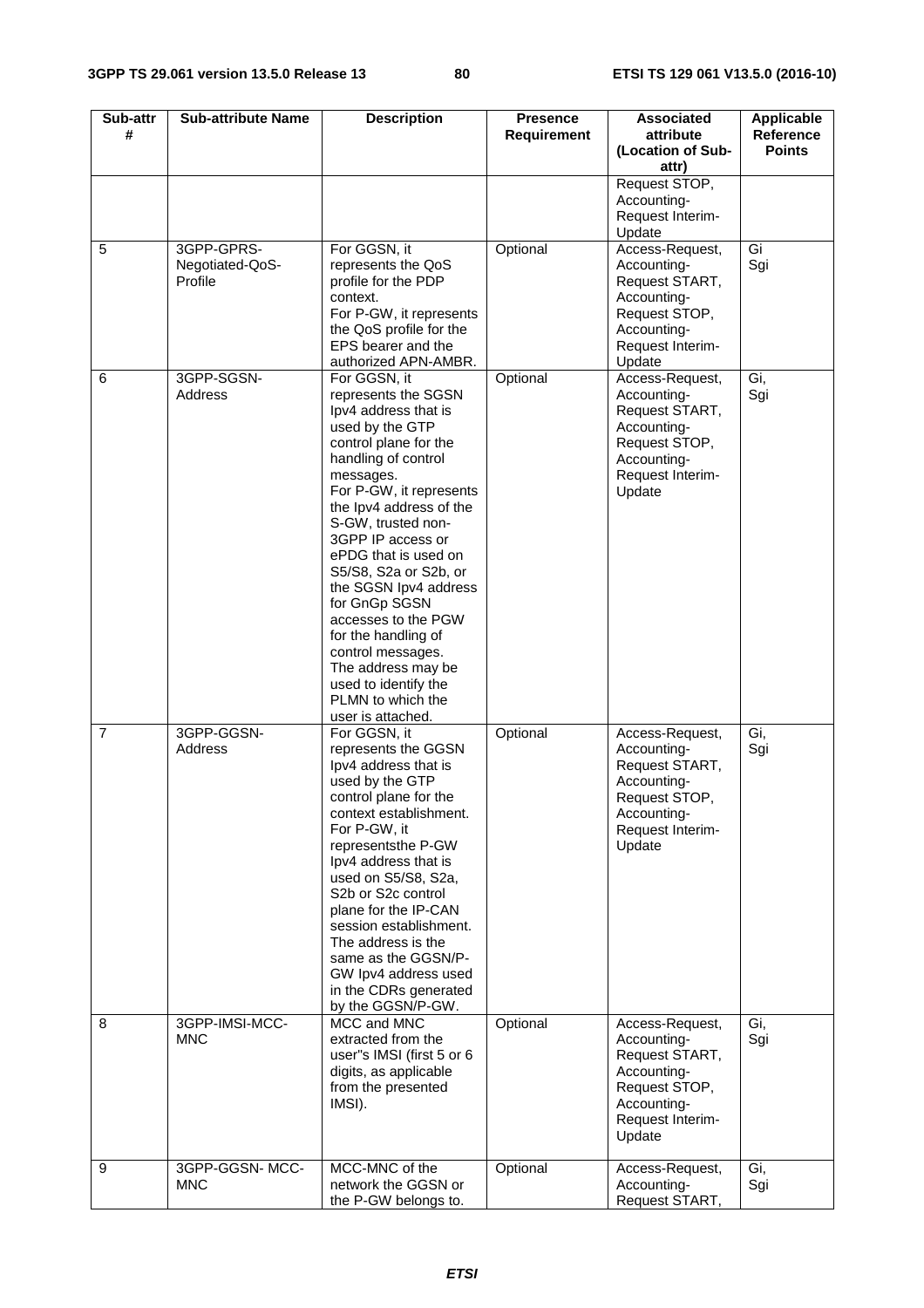| Sub-attr<br>#  | <b>Sub-attribute Name</b>                | <b>Description</b>                                                                                                                                                                                                                                                                                                                                                                                                                                                                                 | <b>Presence</b><br><b>Requirement</b> | <b>Associated</b><br>attribute<br>(Location of Sub-<br>attr)                                                                  | <b>Applicable</b><br>Reference<br><b>Points</b> |
|----------------|------------------------------------------|----------------------------------------------------------------------------------------------------------------------------------------------------------------------------------------------------------------------------------------------------------------------------------------------------------------------------------------------------------------------------------------------------------------------------------------------------------------------------------------------------|---------------------------------------|-------------------------------------------------------------------------------------------------------------------------------|-------------------------------------------------|
|                |                                          |                                                                                                                                                                                                                                                                                                                                                                                                                                                                                                    |                                       | Request STOP,<br>Accounting-<br>Request Interim-<br>Update                                                                    |                                                 |
| 5              | 3GPP-GPRS-<br>Negotiated-QoS-<br>Profile | For GGSN, it<br>represents the QoS<br>profile for the PDP<br>context.<br>For P-GW, it represents<br>the QoS profile for the<br>EPS bearer and the<br>authorized APN-AMBR.                                                                                                                                                                                                                                                                                                                          | Optional                              | Access-Request,<br>Accounting-<br>Request START,<br>Accounting-<br>Request STOP,<br>Accounting-<br>Request Interim-<br>Update | Gi<br>Sgi                                       |
| 6              | 3GPP-SGSN-<br>Address                    | For GGSN, it<br>represents the SGSN<br>Ipv4 address that is<br>used by the GTP<br>control plane for the<br>handling of control<br>messages.<br>For P-GW, it represents<br>the Ipv4 address of the<br>S-GW, trusted non-<br>3GPP IP access or<br>ePDG that is used on<br>S5/S8, S2a or S2b, or<br>the SGSN Ipv4 address<br>for GnGp SGSN<br>accesses to the PGW<br>for the handling of<br>control messages.<br>The address may be<br>used to identify the<br>PLMN to which the<br>user is attached. | Optional                              | Access-Request,<br>Accounting-<br>Request START,<br>Accounting-<br>Request STOP,<br>Accounting-<br>Request Interim-<br>Update | Gi,<br>Sgi                                      |
| $\overline{7}$ | 3GPP-GGSN-<br>Address                    | For GGSN, it<br>represents the GGSN<br>lpv4 address that is<br>used by the GTP<br>control plane for the<br>context establishment.<br>For P-GW, it<br>representsthe P-GW<br>Ipv4 address that is<br>used on S5/S8, S2a,<br>S <sub>2</sub> b or S <sub>2c</sub> control<br>plane for the IP-CAN<br>session establishment.<br>The address is the<br>same as the GGSN/P-<br>GW Ipv4 address used<br>in the CDRs generated<br>by the GGSN/P-GW.                                                         | Optional                              | Access-Request,<br>Accounting-<br>Request START,<br>Accounting-<br>Request STOP<br>Accounting-<br>Request Interim-<br>Update  | Gi,<br>Sgi                                      |
| 8              | 3GPP-IMSI-MCC-<br><b>MNC</b>             | MCC and MNC<br>extracted from the<br>user"s IMSI (first 5 or 6<br>digits, as applicable<br>from the presented<br>IMSI).                                                                                                                                                                                                                                                                                                                                                                            | Optional                              | Access-Request,<br>Accounting-<br>Request START,<br>Accounting-<br>Request STOP,<br>Accounting-<br>Request Interim-<br>Update | Gi,<br>Sgi                                      |
| 9              | 3GPP-GGSN-MCC-<br><b>MNC</b>             | MCC-MNC of the<br>network the GGSN or<br>the P-GW belongs to.                                                                                                                                                                                                                                                                                                                                                                                                                                      | Optional                              | Access-Request,<br>Accounting-<br>Request START,                                                                              | Gi,<br>Sgi                                      |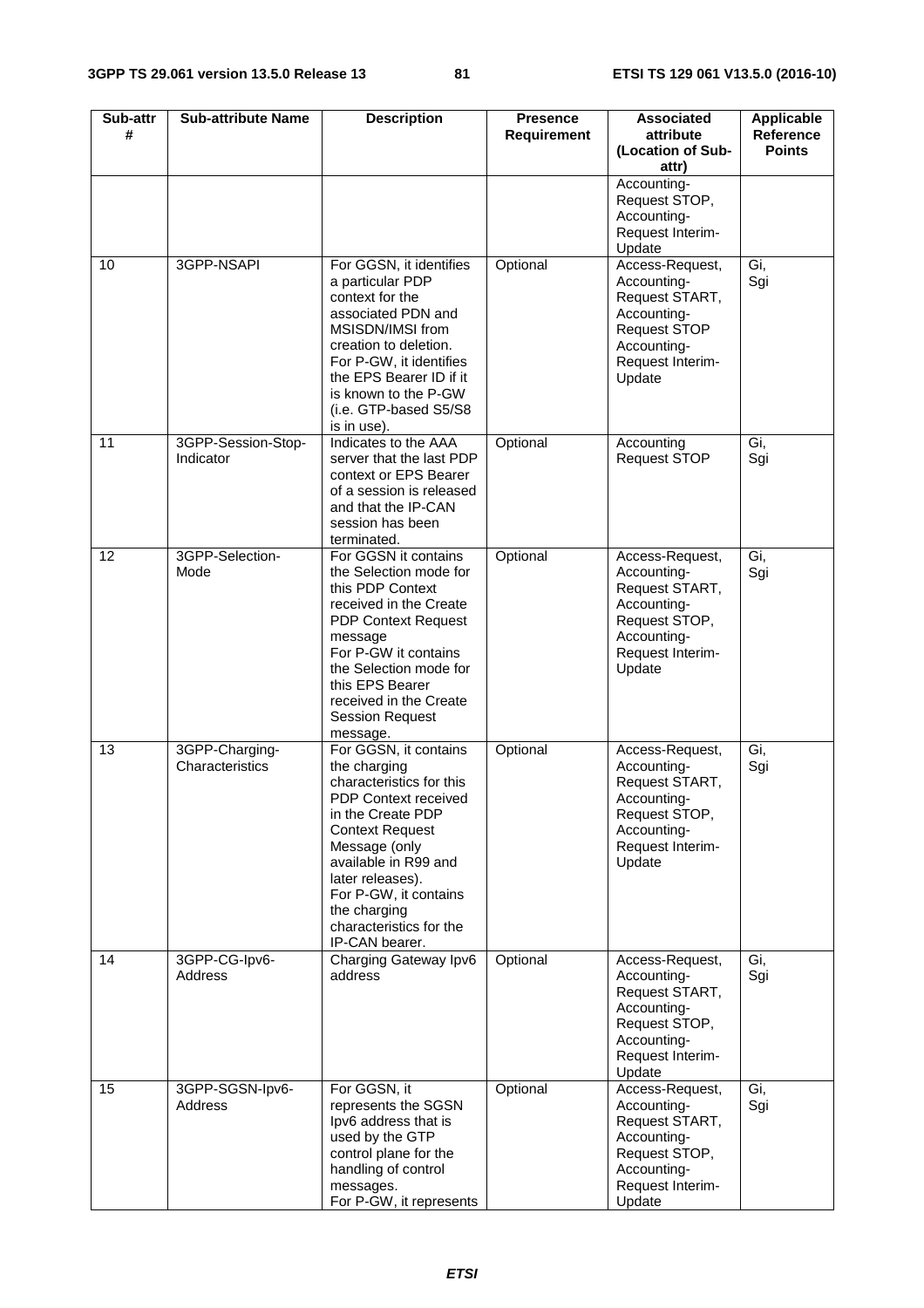| Sub-attr<br># | <b>Sub-attribute Name</b>         | <b>Description</b>                                                                                                                                                                                                                                                                                 | <b>Presence</b><br><b>Requirement</b> | <b>Associated</b><br>attribute                                                                                                      | <b>Applicable</b><br>Reference<br><b>Points</b> |
|---------------|-----------------------------------|----------------------------------------------------------------------------------------------------------------------------------------------------------------------------------------------------------------------------------------------------------------------------------------------------|---------------------------------------|-------------------------------------------------------------------------------------------------------------------------------------|-------------------------------------------------|
|               |                                   |                                                                                                                                                                                                                                                                                                    |                                       | (Location of Sub-<br>attr)                                                                                                          |                                                 |
|               |                                   |                                                                                                                                                                                                                                                                                                    |                                       | Accounting-<br>Request STOP,<br>Accounting-<br>Request Interim-<br>Update                                                           |                                                 |
| 10            | 3GPP-NSAPI                        | For GGSN, it identifies<br>a particular PDP<br>context for the<br>associated PDN and<br>MSISDN/IMSI from<br>creation to deletion.<br>For P-GW, it identifies<br>the EPS Bearer ID if it<br>is known to the P-GW<br>(i.e. GTP-based S5/S8<br>is in use).                                            | Optional                              | Access-Request,<br>Accounting-<br>Request START,<br>Accounting-<br><b>Request STOP</b><br>Accounting-<br>Request Interim-<br>Update | Gi,<br>Sgi                                      |
| 11            | 3GPP-Session-Stop-<br>Indicator   | Indicates to the AAA<br>server that the last PDP<br>context or EPS Bearer<br>of a session is released<br>and that the IP-CAN<br>session has been<br>terminated.                                                                                                                                    | Optional                              | Accounting<br><b>Request STOP</b>                                                                                                   | Gi,<br>Sgi                                      |
| 12            | 3GPP-Selection-<br>Mode           | For GGSN it contains<br>the Selection mode for<br>this PDP Context<br>received in the Create<br><b>PDP Context Request</b><br>message<br>For P-GW it contains<br>the Selection mode for<br>this EPS Bearer<br>received in the Create<br><b>Session Request</b><br>message.                         | Optional                              | Access-Request,<br>Accounting-<br>Request START,<br>Accounting-<br>Request STOP,<br>Accounting-<br>Request Interim-<br>Update       | Gi,<br>Sgi                                      |
| 13            | 3GPP-Charging-<br>Characteristics | For GGSN, it contains<br>the charging<br>characteristics for this<br><b>PDP Context received</b><br>in the Create PDP<br><b>Context Request</b><br>Message (only<br>available in R99 and<br>later releases).<br>For P-GW, it contains<br>the charging<br>characteristics for the<br>IP-CAN bearer. | Optional                              | Access-Request,<br>Accounting-<br>Request START,<br>Accountina-<br>Request STOP,<br>Accounting-<br>Request Interim-<br>Update       | Gi,<br>Sgi                                      |
| 14            | 3GPP-CG-lpv6-<br>Address          | Charging Gateway Ipv6<br>address                                                                                                                                                                                                                                                                   | Optional                              | Access-Request,<br>Accounting-<br>Request START,<br>Accounting-<br>Request STOP,<br>Accounting-<br>Request Interim-<br>Update       | Gi,<br>Sgi                                      |
| 15            | 3GPP-SGSN-lpv6-<br>Address        | For GGSN, it<br>represents the SGSN<br>lpv6 address that is<br>used by the GTP<br>control plane for the<br>handling of control<br>messages.<br>For P-GW, it represents                                                                                                                             | Optional                              | Access-Request,<br>Accounting-<br>Request START,<br>Accounting-<br>Request STOP,<br>Accounting-<br>Request Interim-<br>Update       | Gi,<br>Sgi                                      |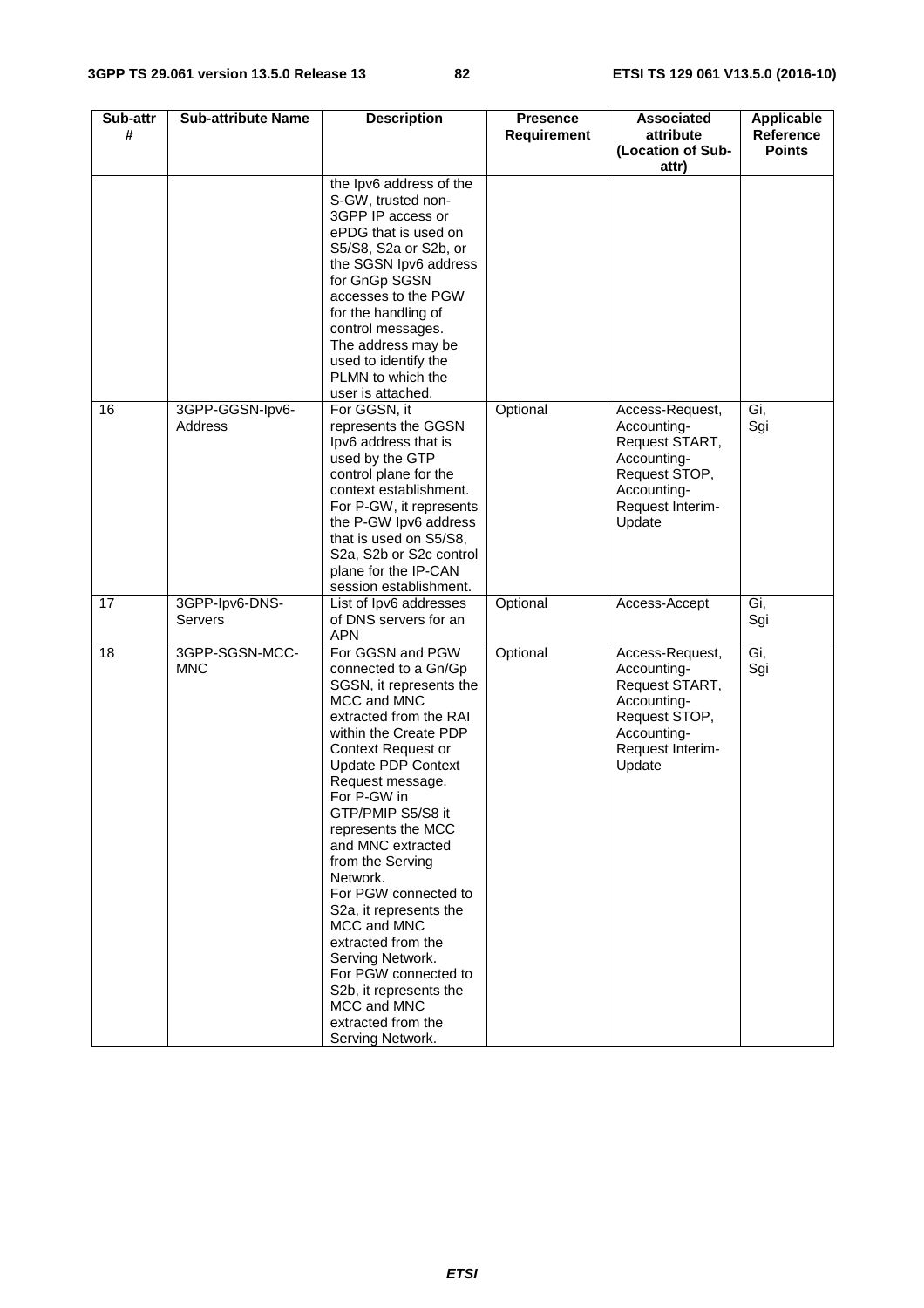| Sub-attr<br># | <b>Sub-attribute Name</b>    | <b>Description</b>                                                                                                                                                                                                                                                                                                                                                                                                                                                                                                                                      | <b>Presence</b><br><b>Requirement</b> | <b>Associated</b><br>attribute                                                                                                | <b>Applicable</b><br>Reference |
|---------------|------------------------------|---------------------------------------------------------------------------------------------------------------------------------------------------------------------------------------------------------------------------------------------------------------------------------------------------------------------------------------------------------------------------------------------------------------------------------------------------------------------------------------------------------------------------------------------------------|---------------------------------------|-------------------------------------------------------------------------------------------------------------------------------|--------------------------------|
|               |                              |                                                                                                                                                                                                                                                                                                                                                                                                                                                                                                                                                         |                                       | (Location of Sub-<br>attr)                                                                                                    | <b>Points</b>                  |
|               |                              | the Ipv6 address of the<br>S-GW, trusted non-<br>3GPP IP access or<br>ePDG that is used on<br>S5/S8, S2a or S2b, or<br>the SGSN lpv6 address<br>for GnGp SGSN<br>accesses to the PGW<br>for the handling of<br>control messages.<br>The address may be<br>used to identify the<br>PLMN to which the<br>user is attached.                                                                                                                                                                                                                                |                                       |                                                                                                                               |                                |
| 16            | 3GPP-GGSN-lpv6-<br>Address   | For GGSN, it<br>represents the GGSN<br>lpv6 address that is<br>used by the GTP<br>control plane for the<br>context establishment.<br>For P-GW, it represents<br>the P-GW Ipv6 address<br>that is used on S5/S8,<br>S2a, S2b or S2c control<br>plane for the IP-CAN<br>session establishment.                                                                                                                                                                                                                                                            | Optional                              | Access-Request,<br>Accounting-<br>Request START,<br>Accounting-<br>Request STOP,<br>Accounting-<br>Request Interim-<br>Update | Gi,<br>Sgi                     |
| 17            | 3GPP-lpv6-DNS-<br>Servers    | List of Ipv6 addresses<br>of DNS servers for an<br><b>APN</b>                                                                                                                                                                                                                                                                                                                                                                                                                                                                                           | Optional                              | Access-Accept                                                                                                                 | Gi,<br>Sgi                     |
| 18            | 3GPP-SGSN-MCC-<br><b>MNC</b> | For GGSN and PGW<br>connected to a Gn/Gp<br>SGSN, it represents the<br>MCC and MNC<br>extracted from the RAI<br>within the Create PDP<br>Context Request or<br>Update PDP Context<br>Request message.<br>For P-GW in<br>GTP/PMIP S5/S8 it<br>represents the MCC<br>and MNC extracted<br>from the Serving<br>Network.<br>For PGW connected to<br>S <sub>2</sub> a, it represents the<br>MCC and MNC<br>extracted from the<br>Serving Network.<br>For PGW connected to<br>S2b, it represents the<br>MCC and MNC<br>extracted from the<br>Serving Network. | Optional                              | Access-Request,<br>Accounting-<br>Request START,<br>Accounting-<br>Request STOP,<br>Accounting-<br>Request Interim-<br>Update | Gi,<br>Sgi                     |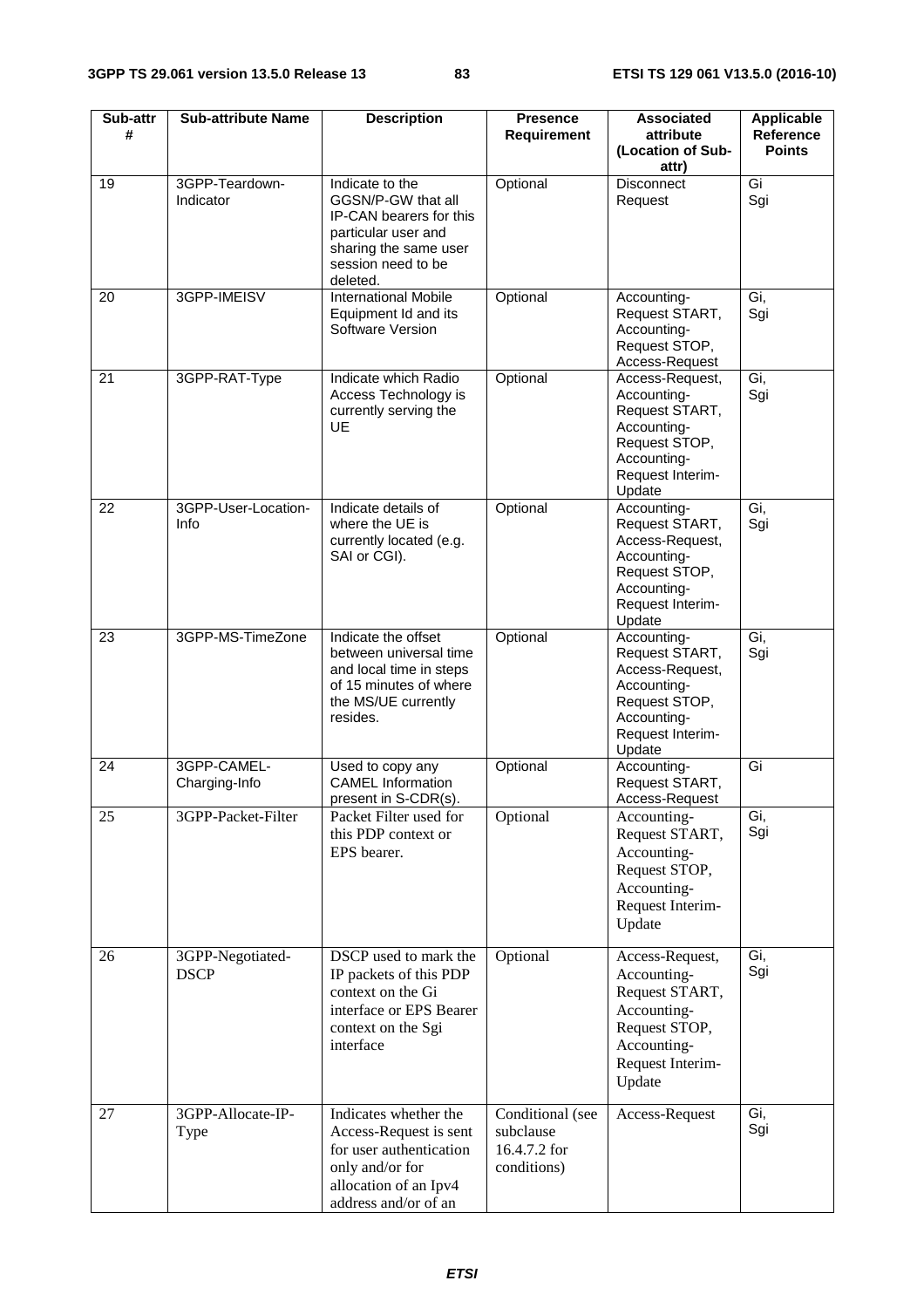| Sub-attr<br># | <b>Sub-attribute Name</b>       | <b>Description</b>                                                                                                                                 | <b>Presence</b><br><b>Requirement</b>                        | <b>Associated</b><br>attribute<br>(Location of Sub-<br>attr)                                                                  | <b>Applicable</b><br>Reference<br><b>Points</b> |
|---------------|---------------------------------|----------------------------------------------------------------------------------------------------------------------------------------------------|--------------------------------------------------------------|-------------------------------------------------------------------------------------------------------------------------------|-------------------------------------------------|
| 19            | 3GPP-Teardown-<br>Indicator     | Indicate to the<br>GGSN/P-GW that all<br>IP-CAN bearers for this<br>particular user and<br>sharing the same user<br>session need to be<br>deleted. | Optional                                                     | <b>Disconnect</b><br>Request                                                                                                  | Gi<br>Sgi                                       |
| 20            | 3GPP-IMEISV                     | <b>International Mobile</b><br>Equipment Id and its<br>Software Version                                                                            | Optional                                                     | Accounting-<br>Request START,<br>Accounting-<br>Request STOP,<br>Access-Request                                               | Gi,<br>Sgi                                      |
| 21            | 3GPP-RAT-Type                   | Indicate which Radio<br>Access Technology is<br>currently serving the<br><b>UE</b>                                                                 | Optional                                                     | Access-Request,<br>Accounting-<br>Request START,<br>Accounting-<br>Request STOP,<br>Accounting-<br>Request Interim-<br>Update | Gi,<br>Sgi                                      |
| 22            | 3GPP-User-Location-<br>Info     | Indicate details of<br>where the UE is<br>currently located (e.g.<br>SAI or CGI).                                                                  | Optional                                                     | Accounting-<br>Request START,<br>Access-Request,<br>Accounting-<br>Request STOP,<br>Accounting-<br>Request Interim-<br>Update | Gi,<br>Sgi                                      |
| 23            | 3GPP-MS-TimeZone                | Indicate the offset<br>between universal time<br>and local time in steps<br>of 15 minutes of where<br>the MS/UE currently<br>resides.              | Optional                                                     | Accounting-<br>Request START,<br>Access-Request,<br>Accounting-<br>Request STOP,<br>Accounting-<br>Request Interim-<br>Update | Gi,<br>Sgi                                      |
| 24            | 3GPP-CAMEL-<br>Charging-Info    | Used to copy any<br><b>CAMEL Information</b><br>present in S-CDR(s).                                                                               | Optional                                                     | Accounting-<br>Request START,<br>Access-Request                                                                               | Gi                                              |
| 25            | 3GPP-Packet-Filter              | Packet Filter used for<br>this PDP context or<br>EPS bearer.                                                                                       | Optional                                                     | Accounting-<br>Request START,<br>Accounting-<br>Request STOP,<br>Accounting-<br>Request Interim-<br>Update                    | Gi,<br>Sgi                                      |
| 26            | 3GPP-Negotiated-<br><b>DSCP</b> | DSCP used to mark the<br>IP packets of this PDP<br>context on the Gi<br>interface or EPS Bearer<br>context on the Sgi<br>interface                 | Optional                                                     | Access-Request,<br>Accounting-<br>Request START,<br>Accounting-<br>Request STOP,<br>Accounting-<br>Request Interim-<br>Update | Gi,<br>Sgi                                      |
| 27            | 3GPP-Allocate-IP-<br>Type       | Indicates whether the<br>Access-Request is sent<br>for user authentication<br>only and/or for<br>allocation of an Ipv4<br>address and/or of an     | Conditional (see<br>subclause<br>16.4.7.2 for<br>conditions) | Access-Request                                                                                                                | Gi,<br>Sgi                                      |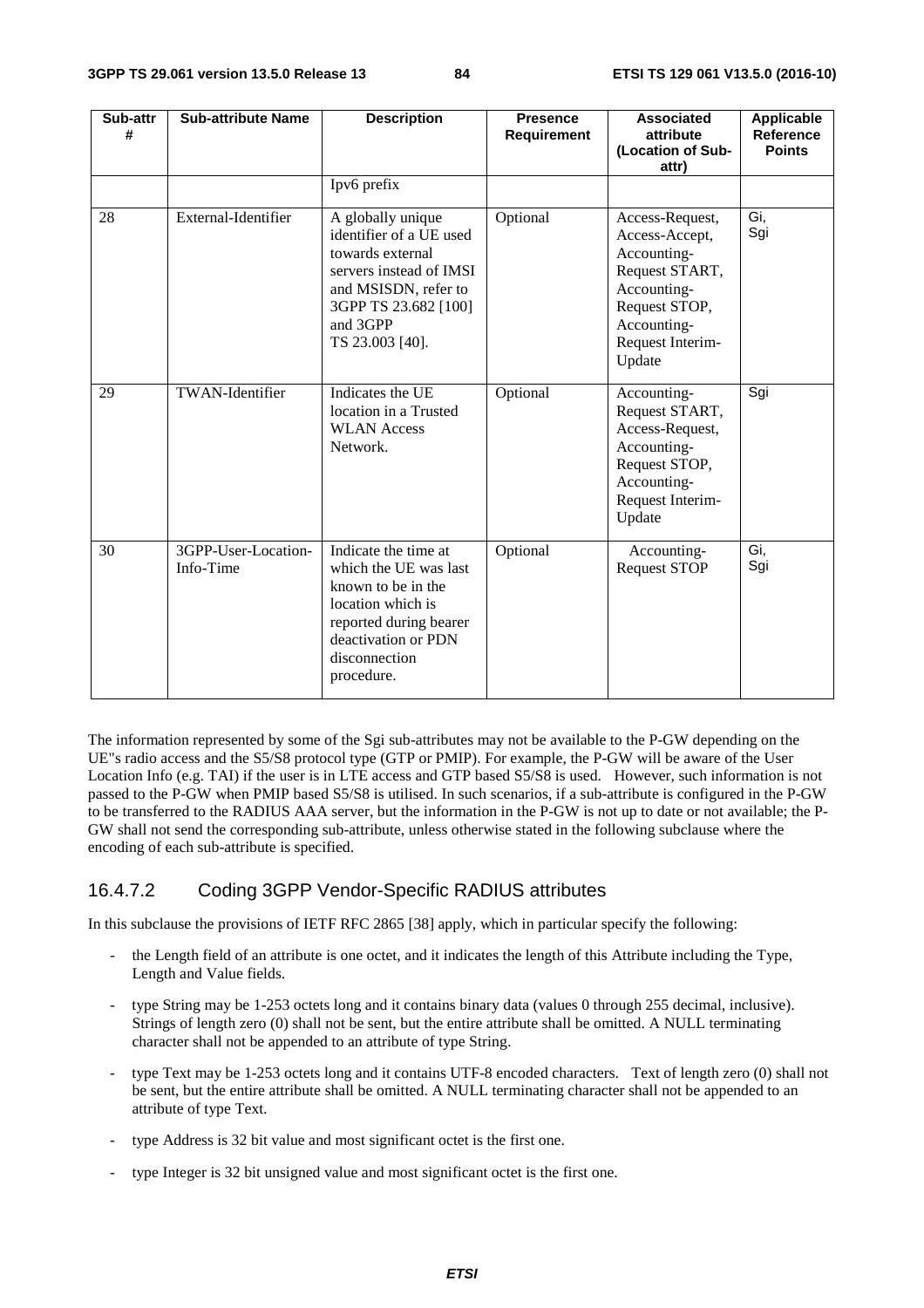| Sub-attr<br># | <b>Sub-attribute Name</b>        | <b>Description</b>                                                                                                                                                         | <b>Presence</b><br><b>Requirement</b> | <b>Associated</b><br>attribute<br>(Location of Sub-<br>attr)                                                                                    | <b>Applicable</b><br>Reference<br><b>Points</b> |
|---------------|----------------------------------|----------------------------------------------------------------------------------------------------------------------------------------------------------------------------|---------------------------------------|-------------------------------------------------------------------------------------------------------------------------------------------------|-------------------------------------------------|
|               |                                  | Ipv6 prefix                                                                                                                                                                |                                       |                                                                                                                                                 |                                                 |
| 28            | External-Identifier              | A globally unique<br>identifier of a UE used<br>towards external<br>servers instead of IMSI<br>and MSISDN, refer to<br>3GPP TS 23.682 [100]<br>and 3GPP<br>TS 23.003 [40]. | Optional                              | Access-Request,<br>Access-Accept,<br>Accounting-<br>Request START,<br>Accounting-<br>Request STOP,<br>Accounting-<br>Request Interim-<br>Update | Gi,<br>Sgi                                      |
| 29            | <b>TWAN-Identifier</b>           | Indicates the UE<br>location in a Trusted<br><b>WLAN Access</b><br>Network.                                                                                                | Optional                              | Accounting-<br>Request START,<br>Access-Request,<br>Accounting-<br>Request STOP,<br>Accounting-<br>Request Interim-<br>Update                   | Sgi                                             |
| 30            | 3GPP-User-Location-<br>Info-Time | Indicate the time at<br>which the UE was last<br>known to be in the<br>location which is<br>reported during bearer<br>deactivation or PDN<br>disconnection<br>procedure.   | Optional                              | Accounting-<br><b>Request STOP</b>                                                                                                              | Gi,<br>Sgi                                      |

The information represented by some of the Sgi sub-attributes may not be available to the P-GW depending on the UE"s radio access and the S5/S8 protocol type (GTP or PMIP). For example, the P-GW will be aware of the User Location Info (e.g. TAI) if the user is in LTE access and GTP based S5/S8 is used. However, such information is not passed to the P-GW when PMIP based S5/S8 is utilised. In such scenarios, if a sub-attribute is configured in the P-GW to be transferred to the RADIUS AAA server, but the information in the P-GW is not up to date or not available; the P-GW shall not send the corresponding sub-attribute, unless otherwise stated in the following subclause where the encoding of each sub-attribute is specified.

# 16.4.7.2 Coding 3GPP Vendor-Specific RADIUS attributes

In this subclause the provisions of IETF RFC 2865 [38] apply, which in particular specify the following:

- the Length field of an attribute is one octet, and it indicates the length of this Attribute including the Type, Length and Value fields.
- type String may be 1-253 octets long and it contains binary data (values 0 through 255 decimal, inclusive). Strings of length zero (0) shall not be sent, but the entire attribute shall be omitted. A NULL terminating character shall not be appended to an attribute of type String.
- type Text may be 1-253 octets long and it contains UTF-8 encoded characters. Text of length zero (0) shall not be sent, but the entire attribute shall be omitted. A NULL terminating character shall not be appended to an attribute of type Text.
- type Address is 32 bit value and most significant octet is the first one.
- type Integer is 32 bit unsigned value and most significant octet is the first one.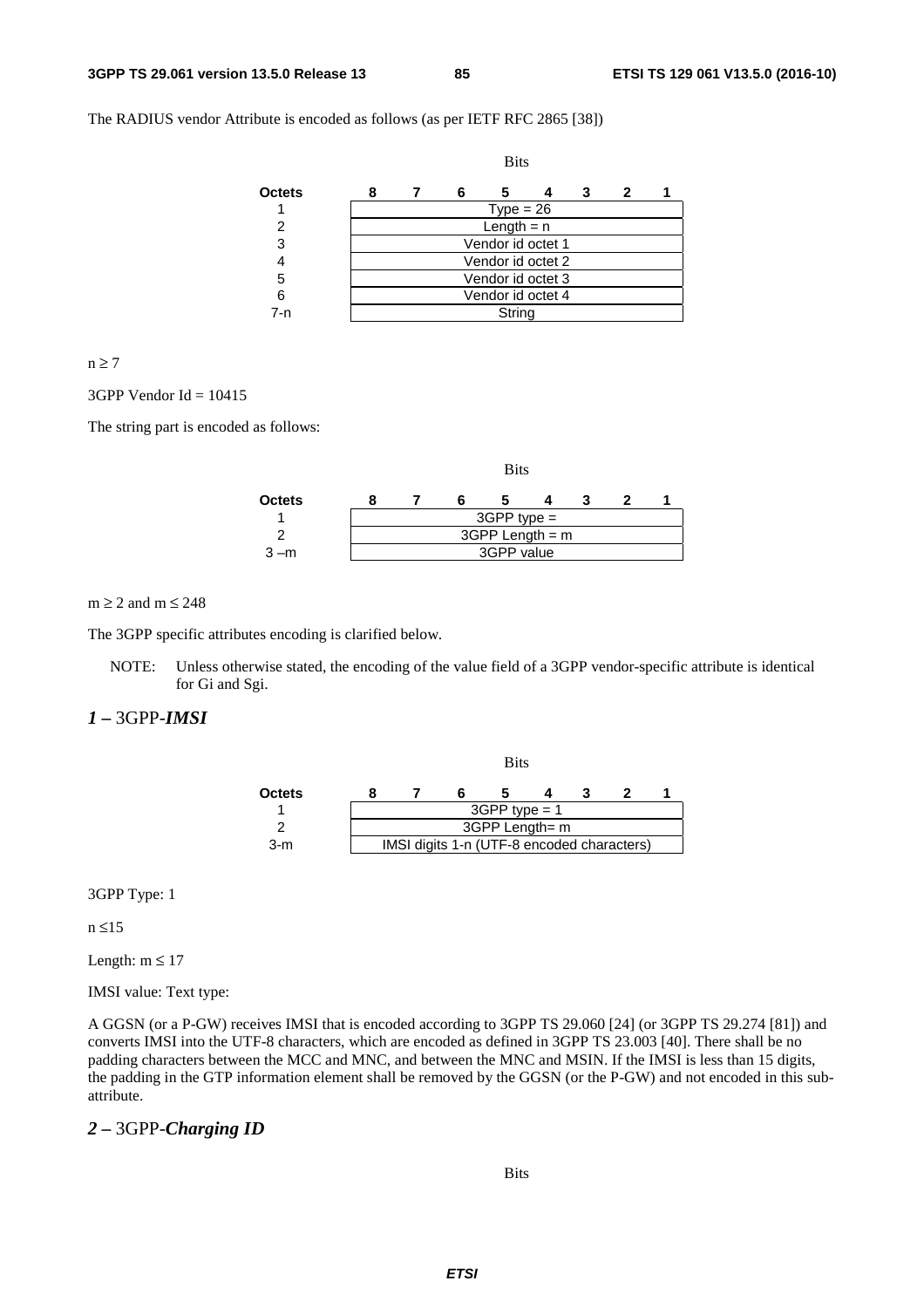The RADIUS vendor Attribute is encoded as follows (as per IETF RFC 2865 [38])

|               | <b>Bits</b>       |  |   |                   |  |   |   |  |  |  |
|---------------|-------------------|--|---|-------------------|--|---|---|--|--|--|
| <b>Octets</b> | 8                 |  | 6 | 5                 |  | 3 | 2 |  |  |  |
|               | $Type = 26$       |  |   |                   |  |   |   |  |  |  |
| 2             | Length $= n$      |  |   |                   |  |   |   |  |  |  |
| 3             | Vendor id octet 1 |  |   |                   |  |   |   |  |  |  |
|               |                   |  |   | Vendor id octet 2 |  |   |   |  |  |  |
| 5             | Vendor id octet 3 |  |   |                   |  |   |   |  |  |  |
| 6             | Vendor id octet 4 |  |   |                   |  |   |   |  |  |  |
| 7-n           |                   |  |   | String            |  |   |   |  |  |  |

#### $n \geq 7$

#### $3GPP$  Vendor Id = 10415

The string part is encoded as follows:

|         | <b>Bits</b> |                   |  |  |  |  |  |  |  |  |
|---------|-------------|-------------------|--|--|--|--|--|--|--|--|
| Octets  |             |                   |  |  |  |  |  |  |  |  |
|         |             | $3GPP$ type =     |  |  |  |  |  |  |  |  |
|         |             | $3GPP$ Length = m |  |  |  |  |  |  |  |  |
| $3 - m$ |             | 3GPP value        |  |  |  |  |  |  |  |  |

 $m \ge 2$  and  $m \le 248$ 

The 3GPP specific attributes encoding is clarified below.

NOTE: Unless otherwise stated, the encoding of the value field of a 3GPP vendor-specific attribute is identical for Gi and Sgi.

#### *1 –* 3GPP-*IMSI*

|        | <b>Bits</b> |                 |                                            |                |  |  |  |  |  |
|--------|-------------|-----------------|--------------------------------------------|----------------|--|--|--|--|--|
| Octets |             |                 |                                            |                |  |  |  |  |  |
|        |             | $3GPP$ type = 1 |                                            |                |  |  |  |  |  |
|        |             |                 |                                            | 3GPP Length= m |  |  |  |  |  |
| $3-m$  |             |                 | IMSI digits 1-n (UTF-8 encoded characters) |                |  |  |  |  |  |

3GPP Type: 1

n ≤15

Length:  $m \leq 17$ 

IMSI value: Text type:

A GGSN (or a P-GW) receives IMSI that is encoded according to 3GPP TS 29.060 [24] (or 3GPP TS 29.274 [81]) and converts IMSI into the UTF-8 characters, which are encoded as defined in 3GPP TS 23.003 [40]. There shall be no padding characters between the MCC and MNC, and between the MNC and MSIN. If the IMSI is less than 15 digits, the padding in the GTP information element shall be removed by the GGSN (or the P-GW) and not encoded in this subattribute.

#### *2 –* 3GPP-*Charging ID*

#### Bits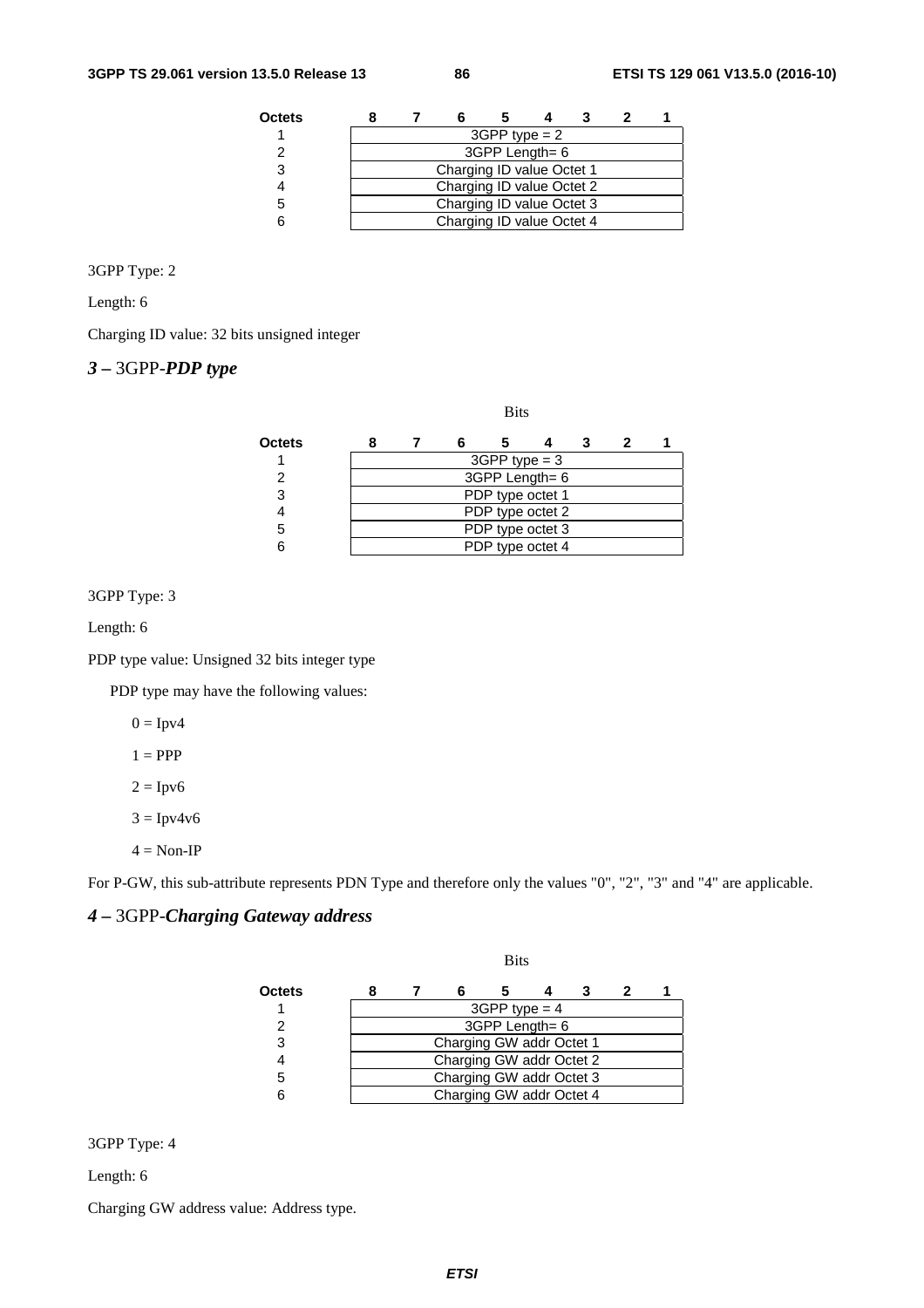| Octets |                           |                           |  |  |  |  |  |  |  |  |
|--------|---------------------------|---------------------------|--|--|--|--|--|--|--|--|
|        | $3GPP$ type = 2           |                           |  |  |  |  |  |  |  |  |
|        | 3GPP Length= 6            |                           |  |  |  |  |  |  |  |  |
| З      | Charging ID value Octet 1 |                           |  |  |  |  |  |  |  |  |
|        | Charging ID value Octet 2 |                           |  |  |  |  |  |  |  |  |
|        | Charging ID value Octet 3 |                           |  |  |  |  |  |  |  |  |
|        |                           | Charging ID value Octet 4 |  |  |  |  |  |  |  |  |

#### 3GPP Type: 2

Length: 6

Charging ID value: 32 bits unsigned integer

# *3 –* 3GPP-*PDP type*

#### Bits

| Octets |                  |  |                  |  |  |  |  |  |  |  |
|--------|------------------|--|------------------|--|--|--|--|--|--|--|
|        | $3GPP$ type = 3  |  |                  |  |  |  |  |  |  |  |
|        | 3GPP Length= 6   |  |                  |  |  |  |  |  |  |  |
|        | PDP type octet 1 |  |                  |  |  |  |  |  |  |  |
|        |                  |  | PDP type octet 2 |  |  |  |  |  |  |  |
|        | PDP type octet 3 |  |                  |  |  |  |  |  |  |  |
|        |                  |  | PDP type octet 4 |  |  |  |  |  |  |  |

#### 3GPP Type: 3

Length: 6

PDP type value: Unsigned 32 bits integer type

PDP type may have the following values:

 $0 = Ipv4$ 

 $1 = PPP$ 

 $2 = \text{Ipv6}$ 

 $3 = \text{Ipv4v6}$ 

 $4 = \text{Non-IP}$ 

For P-GW, this sub-attribute represents PDN Type and therefore only the values "0", "2", "3" and "4" are applicable.

# *4 –* 3GPP-*Charging Gateway address*

|               | <b>Bits</b> |                          |                          |  |  |  |  |  |  |  |
|---------------|-------------|--------------------------|--------------------------|--|--|--|--|--|--|--|
| <b>Octets</b> |             |                          |                          |  |  |  |  |  |  |  |
|               |             | $3GPP$ type = 4          |                          |  |  |  |  |  |  |  |
| 2             |             | 3GPP Length= 6           |                          |  |  |  |  |  |  |  |
| 3             |             |                          | Charging GW addr Octet 1 |  |  |  |  |  |  |  |
|               |             |                          | Charging GW addr Octet 2 |  |  |  |  |  |  |  |
| 5             |             | Charging GW addr Octet 3 |                          |  |  |  |  |  |  |  |
|               |             |                          | Charging GW addr Octet 4 |  |  |  |  |  |  |  |

3GPP Type: 4

Length: 6

Charging GW address value: Address type.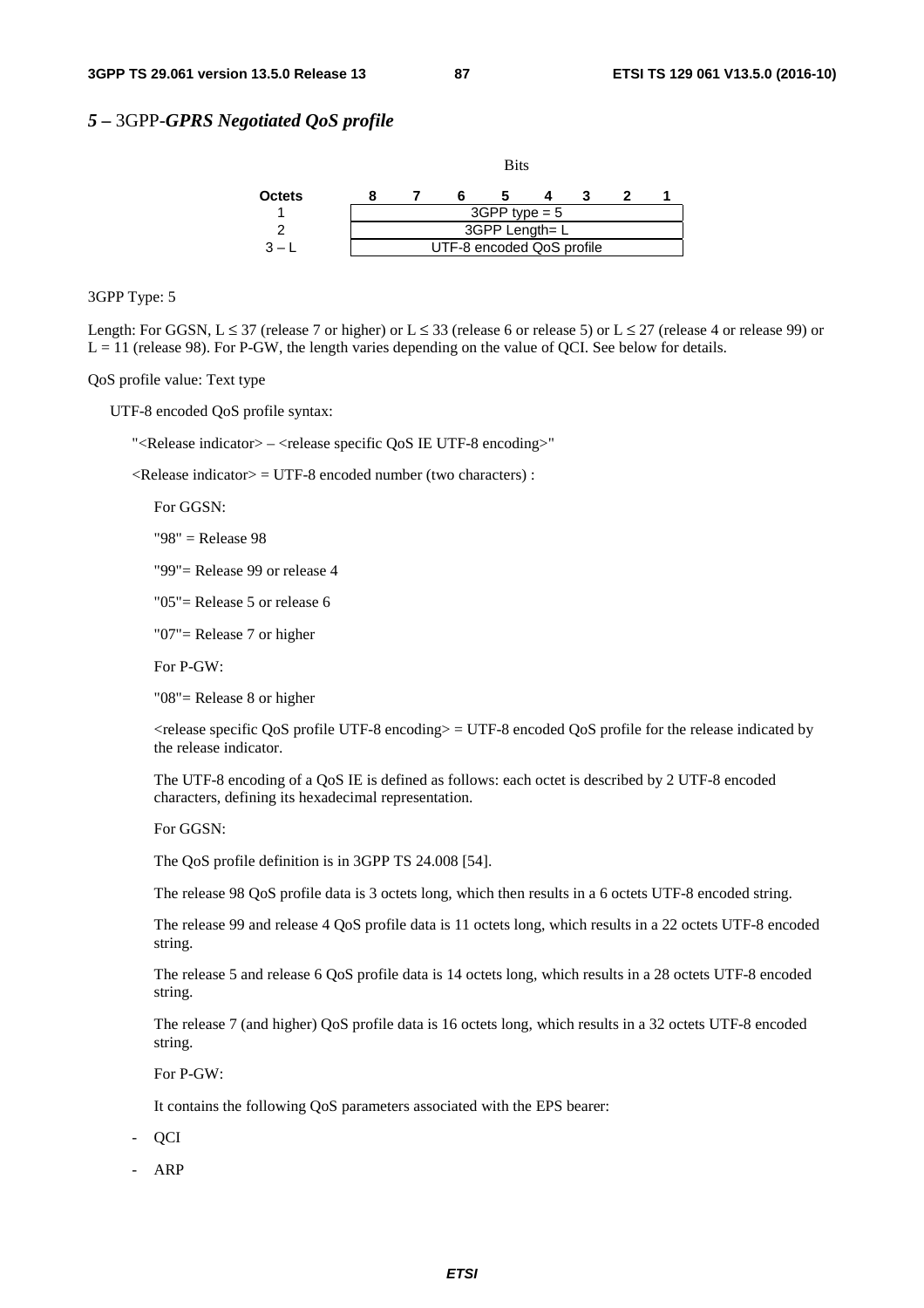#### *5 –* 3GPP-*GPRS Negotiated QoS profile*



3GPP Type: 5

Length: For GGSN,  $L \le 37$  (release 7 or higher) or  $L \le 33$  (release 6 or release 5) or  $L \le 27$  (release 4 or release 99) or  $L = 11$  (release 98). For P-GW, the length varies depending on the value of QCI. See below for details.

QoS profile value: Text type

UTF-8 encoded QoS profile syntax:

"<Release indicator> – <release specific QoS IE UTF-8 encoding>"

 $\langle$ Release indicator $\rangle$  = UTF-8 encoded number (two characters) :

For GGSN:

"98" = Release 98

"99"= Release 99 or release 4

"05"= Release 5 or release 6

"07"= Release 7 or higher

For P-GW:

"08"= Release 8 or higher

 <release specific QoS profile UTF-8 encoding> = UTF-8 encoded QoS profile for the release indicated by the release indicator.

 The UTF-8 encoding of a QoS IE is defined as follows: each octet is described by 2 UTF-8 encoded characters, defining its hexadecimal representation.

For GGSN:

The QoS profile definition is in 3GPP TS 24.008 [54].

The release 98 QoS profile data is 3 octets long, which then results in a 6 octets UTF-8 encoded string.

 The release 99 and release 4 QoS profile data is 11 octets long, which results in a 22 octets UTF-8 encoded string.

 The release 5 and release 6 QoS profile data is 14 octets long, which results in a 28 octets UTF-8 encoded string.

 The release 7 (and higher) QoS profile data is 16 octets long, which results in a 32 octets UTF-8 encoded string.

For P-GW:

It contains the following QoS parameters associated with the EPS bearer:

- QCI

- ARP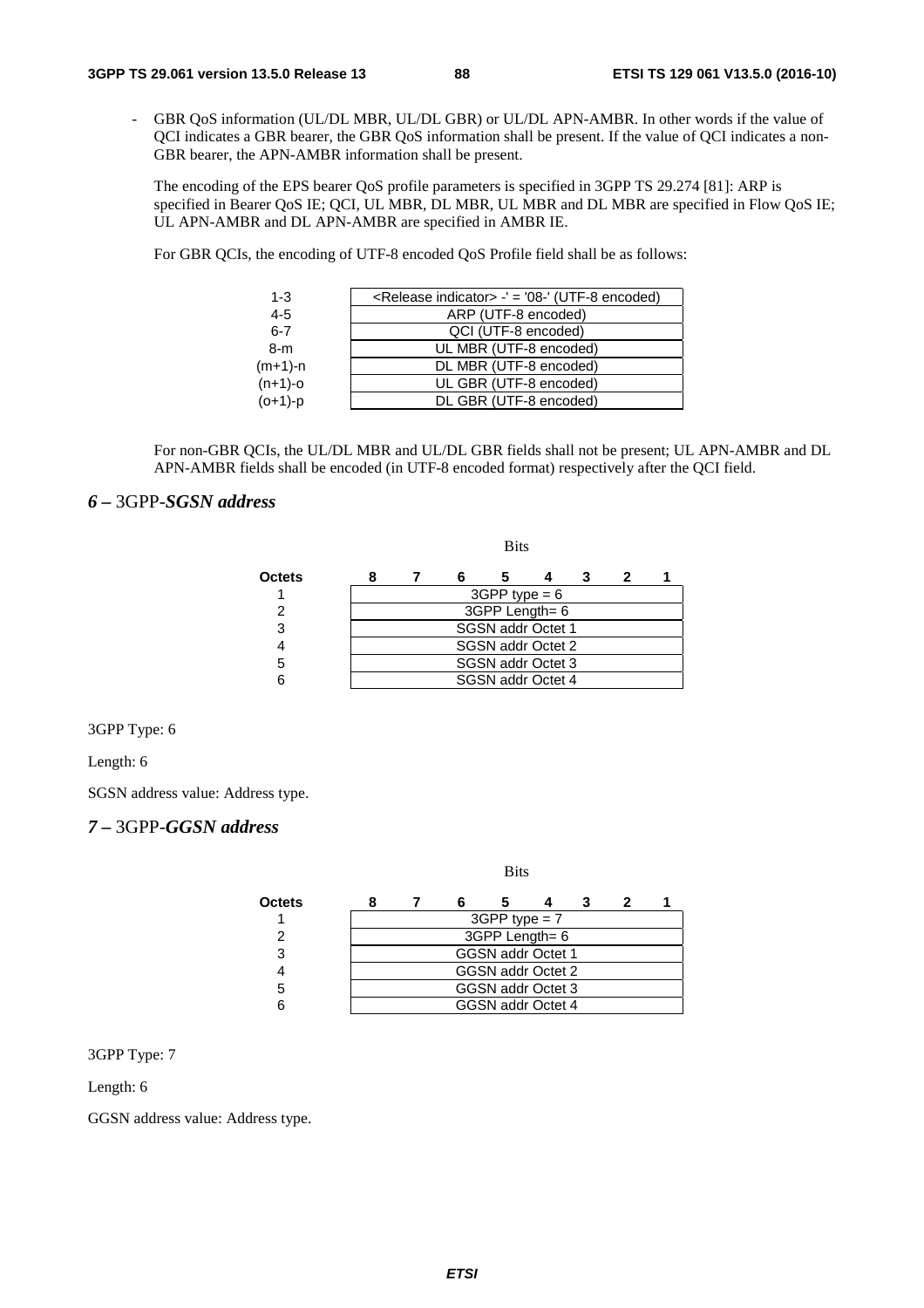GBR QoS information (UL/DL MBR, UL/DL GBR) or UL/DL APN-AMBR. In other words if the value of QCI indicates a GBR bearer, the GBR QoS information shall be present. If the value of QCI indicates a non-GBR bearer, the APN-AMBR information shall be present.

 The encoding of the EPS bearer QoS profile parameters is specified in 3GPP TS 29.274 [81]: ARP is specified in Bearer OoS IE; OCI, UL MBR, DL MBR, UL MBR and DL MBR are specified in Flow OoS IE; UL APN-AMBR and DL APN-AMBR are specified in AMBR IE.

For GBR QCIs, the encoding of UTF-8 encoded QoS Profile field shall be as follows:

**Bits** 

| $1 - 3$    | <release indicator=""> -' = '08-' (UTF-8 encoded)</release> |
|------------|-------------------------------------------------------------|
| $4 - 5$    | ARP (UTF-8 encoded)                                         |
| $6 - 7$    | QCI (UTF-8 encoded)                                         |
| $8-m$      | UL MBR (UTF-8 encoded)                                      |
| (m+1)-n    | DL MBR (UTF-8 encoded)                                      |
| $(n+1)-o$  | UL GBR (UTF-8 encoded)                                      |
| $(0+1)$ -p | DL GBR (UTF-8 encoded)                                      |
|            |                                                             |

 For non-GBR QCIs, the UL/DL MBR and UL/DL GBR fields shall not be present; UL APN-AMBR and DL APN-AMBR fields shall be encoded (in UTF-8 encoded format) respectively after the QCI field.

### *6 –* 3GPP-*SGSN address*

| Octets |  |                   |  |  |
|--------|--|-------------------|--|--|
|        |  | $3GPP$ type = 6   |  |  |
|        |  | 3GPP Length= 6    |  |  |
| 3      |  | SGSN addr Octet 1 |  |  |
|        |  | SGSN addr Octet 2 |  |  |
|        |  | SGSN addr Octet 3 |  |  |
|        |  | SGSN addr Octet 4 |  |  |

3GPP Type: 6

Length: 6

SGSN address value: Address type.

### *7 –* 3GPP-*GGSN address*

Bits

| Octets |  |                          |  |  |
|--------|--|--------------------------|--|--|
|        |  | $3GPP$ type = 7          |  |  |
|        |  | 3GPP Length= 6           |  |  |
| 3      |  | <b>GGSN addr Octet 1</b> |  |  |
|        |  | GGSN addr Octet 2        |  |  |
| 5      |  | GGSN addr Octet 3        |  |  |
|        |  | GGSN addr Octet 4        |  |  |

3GPP Type: 7

Length: 6

GGSN address value: Address type.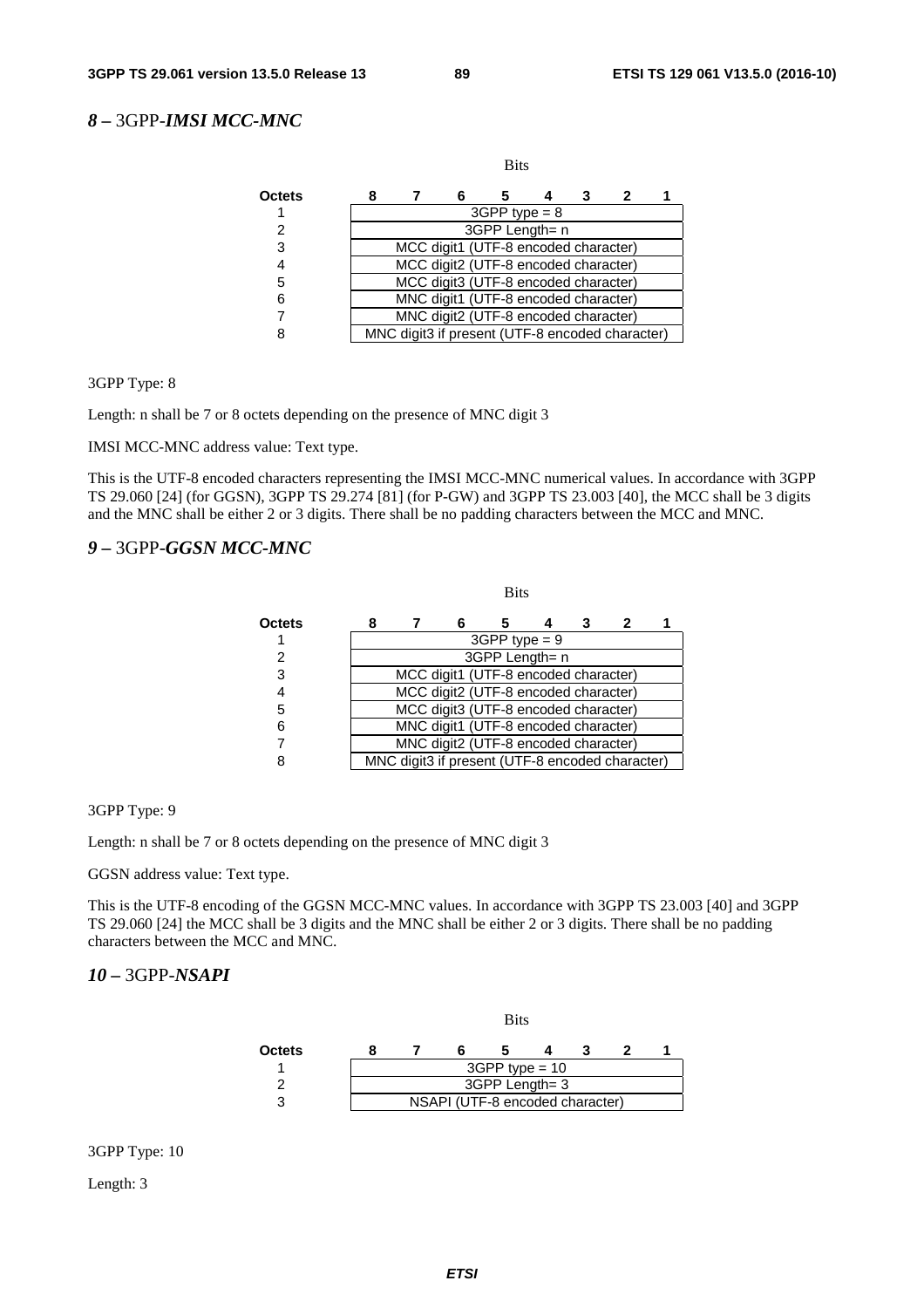# *8 –* 3GPP-*IMSI MCC-MNC*

|        |                                                 |   | <b>Bits</b>     |   |  |
|--------|-------------------------------------------------|---|-----------------|---|--|
| Octets |                                                 | 6 |                 | 3 |  |
|        |                                                 |   | $3GPP$ type = 8 |   |  |
| 2      |                                                 |   | 3GPP Length= n  |   |  |
| 3      | MCC digit1 (UTF-8 encoded character)            |   |                 |   |  |
| 4      | MCC digit2 (UTF-8 encoded character)            |   |                 |   |  |
| 5      | MCC digit3 (UTF-8 encoded character)            |   |                 |   |  |
| 6      | MNC digit1 (UTF-8 encoded character)            |   |                 |   |  |
|        | MNC digit2 (UTF-8 encoded character)            |   |                 |   |  |
| ጸ      | MNC digit3 if present (UTF-8 encoded character) |   |                 |   |  |

3GPP Type: 8

Length: n shall be 7 or 8 octets depending on the presence of MNC digit 3

IMSI MCC-MNC address value: Text type.

This is the UTF-8 encoded characters representing the IMSI MCC-MNC numerical values. In accordance with 3GPP TS 29.060 [24] (for GGSN), 3GPP TS 29.274 [81] (for P-GW) and 3GPP TS 23.003 [40], the MCC shall be 3 digits and the MNC shall be either 2 or 3 digits. There shall be no padding characters between the MCC and MNC.

### *9 –* 3GPP-*GGSN MCC-MNC*

|        |                                                 |                                      | <b>Bits</b>     |   |   |  |
|--------|-------------------------------------------------|--------------------------------------|-----------------|---|---|--|
| Octets |                                                 | 6                                    |                 | 3 | 2 |  |
|        |                                                 |                                      | $3GPP$ type = 9 |   |   |  |
| 2      |                                                 |                                      | 3GPP Length= n  |   |   |  |
| 3      |                                                 | MCC digit1 (UTF-8 encoded character) |                 |   |   |  |
| 4      |                                                 | MCC digit2 (UTF-8 encoded character) |                 |   |   |  |
| 5      |                                                 | MCC digit3 (UTF-8 encoded character) |                 |   |   |  |
| 6      |                                                 | MNC digit1 (UTF-8 encoded character) |                 |   |   |  |
|        |                                                 | MNC digit2 (UTF-8 encoded character) |                 |   |   |  |
| ጸ      | MNC digit3 if present (UTF-8 encoded character) |                                      |                 |   |   |  |

#### 3GPP Type: 9

Length: n shall be 7 or 8 octets depending on the presence of MNC digit 3

GGSN address value: Text type.

This is the UTF-8 encoding of the GGSN MCC-MNC values. In accordance with 3GPP TS 23.003 [40] and 3GPP TS 29.060 [24] the MCC shall be 3 digits and the MNC shall be either 2 or 3 digits. There shall be no padding characters between the MCC and MNC.

#### *10 –* 3GPP-*NSAPI*

|        |  |                                 | <b>Bits</b>      |  |  |
|--------|--|---------------------------------|------------------|--|--|
| Octets |  |                                 |                  |  |  |
|        |  |                                 | $3GPP$ type = 10 |  |  |
|        |  |                                 | 3GPP Length= 3   |  |  |
|        |  | NSAPI (UTF-8 encoded character) |                  |  |  |

3GPP Type: 10

Length: 3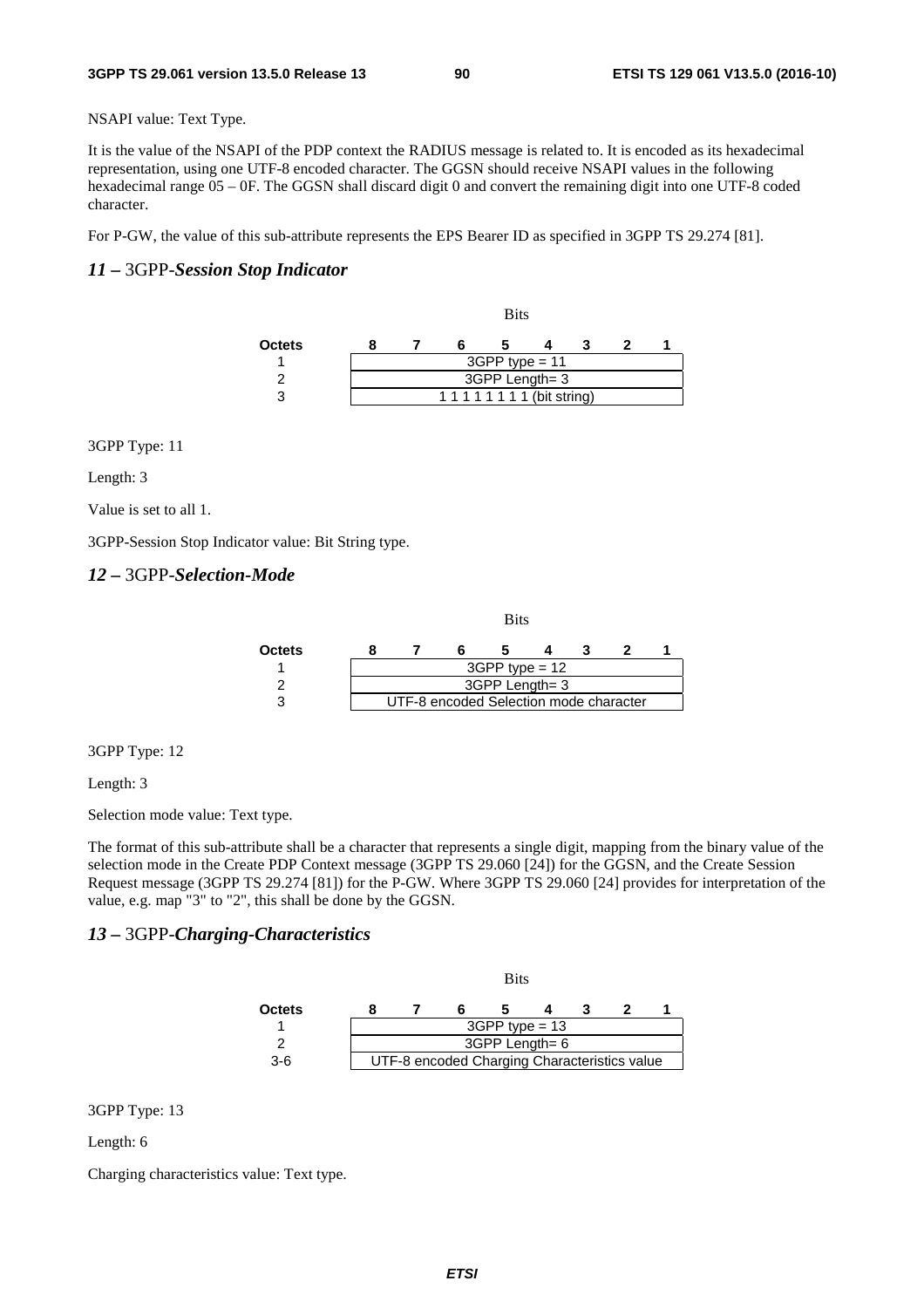NSAPI value: Text Type.

It is the value of the NSAPI of the PDP context the RADIUS message is related to. It is encoded as its hexadecimal representation, using one UTF-8 encoded character. The GGSN should receive NSAPI values in the following hexadecimal range 05 – 0F. The GGSN shall discard digit 0 and convert the remaining digit into one UTF-8 coded character.

For P-GW, the value of this sub-attribute represents the EPS Bearer ID as specified in 3GPP TS 29.274 [81].

### *11 –* 3GPP-*Session Stop Indicator*

|               |  |                              | <b>Bits</b>      |  |  |
|---------------|--|------------------------------|------------------|--|--|
| <b>Octets</b> |  |                              |                  |  |  |
|               |  |                              | $3GPP$ type = 11 |  |  |
|               |  |                              | 3GPP Length= 3   |  |  |
| 3             |  | 1 1 1 1 1 1 1 1 (bit string) |                  |  |  |

3GPP Type: 11

Length: 3

Value is set to all 1.

3GPP-Session Stop Indicator value: Bit String type.

#### *12 –* 3GPP-*Selection-Mode*

|               |  |                                        | <b>Bits</b>      |  |  |
|---------------|--|----------------------------------------|------------------|--|--|
| <b>Octets</b> |  |                                        |                  |  |  |
|               |  |                                        | $3GPP$ type = 12 |  |  |
|               |  |                                        | 3GPP Length= 3   |  |  |
|               |  | UTF-8 encoded Selection mode character |                  |  |  |

3GPP Type: 12

Length: 3

Selection mode value: Text type.

The format of this sub-attribute shall be a character that represents a single digit, mapping from the binary value of the selection mode in the Create PDP Context message (3GPP TS 29.060 [24]) for the GGSN, and the Create Session Request message (3GPP TS 29.274 [81]) for the P-GW. Where 3GPP TS 29.060 [24] provides for interpretation of the value, e.g. map "3" to "2", this shall be done by the GGSN.

#### *13 –* 3GPP-*Charging-Characteristics*

|               |                                              | <b>Bits</b>      |  |  |
|---------------|----------------------------------------------|------------------|--|--|
| <b>Octets</b> |                                              |                  |  |  |
|               |                                              | $3GPP$ type = 13 |  |  |
|               |                                              | 3GPP Length= 6   |  |  |
| $3-6$         | UTF-8 encoded Charging Characteristics value |                  |  |  |

3GPP Type: 13

Length: 6

Charging characteristics value: Text type.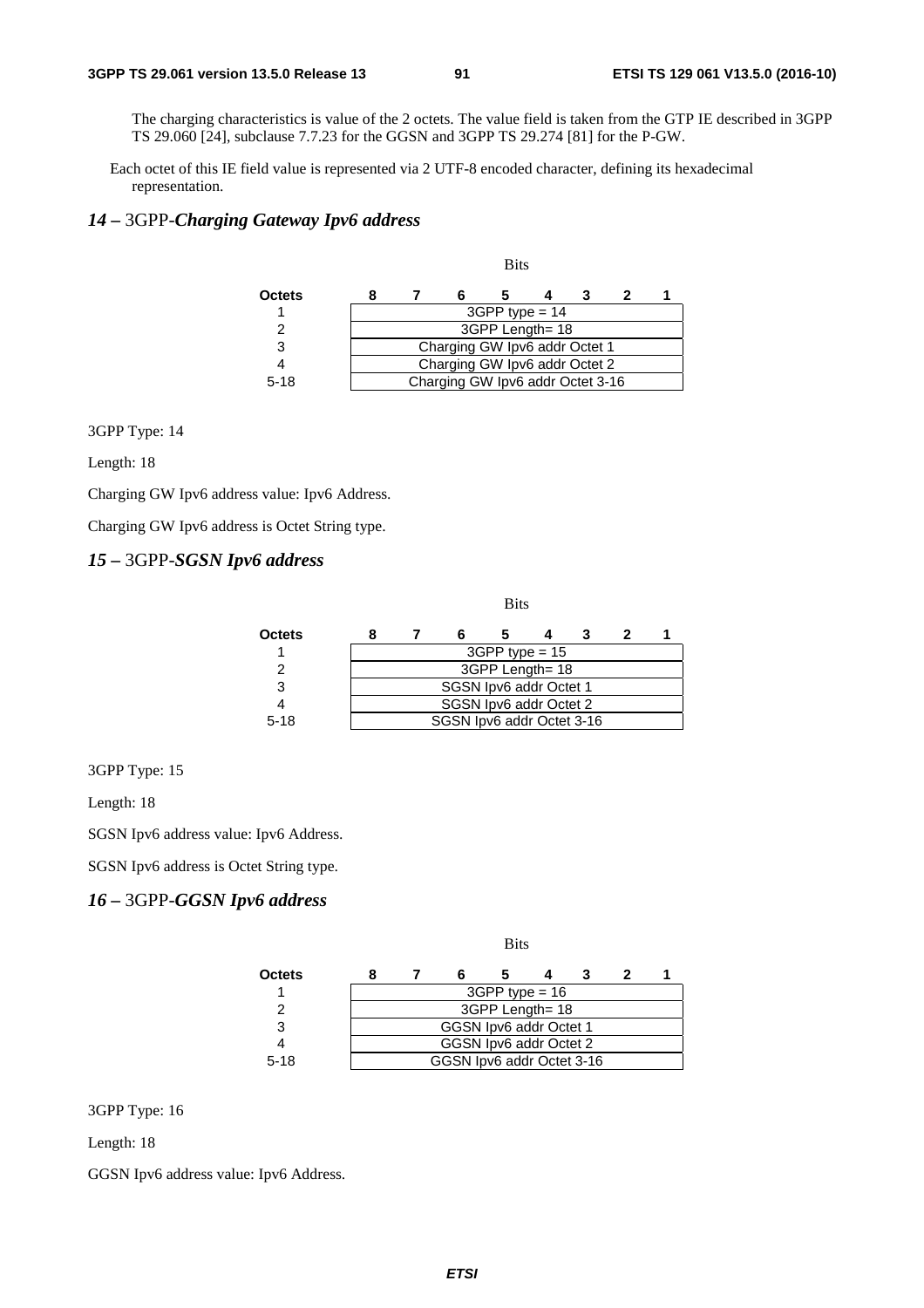The charging characteristics is value of the 2 octets. The value field is taken from the GTP IE described in 3GPP TS 29.060 [24], subclause 7.7.23 for the GGSN and 3GPP TS 29.274 [81] for the P-GW.

Each octet of this IE field value is represented via 2 UTF-8 encoded character, defining its hexadecimal representation.

### *14 –* 3GPP-*Charging Gateway Ipv6 address*

| Octets   |  |                                  |                  |  |  |
|----------|--|----------------------------------|------------------|--|--|
|          |  |                                  | $3GPP$ type = 14 |  |  |
|          |  |                                  | 3GPP Length= 18  |  |  |
| 3        |  | Charging GW Ipv6 addr Octet 1    |                  |  |  |
|          |  | Charging GW Ipv6 addr Octet 2    |                  |  |  |
| $5 - 18$ |  | Charging GW Ipv6 addr Octet 3-16 |                  |  |  |

Bits

3GPP Type: 14

Length: 18

Charging GW Ipv6 address value: Ipv6 Address.

Charging GW Ipv6 address is Octet String type.

### *15 –* 3GPP-*SGSN Ipv6 address*

|          |  |                           | <b>Bits</b>            |  |  |
|----------|--|---------------------------|------------------------|--|--|
| Octets   |  |                           |                        |  |  |
|          |  |                           | $3GPP$ type = 15       |  |  |
|          |  |                           | 3GPP Length= 18        |  |  |
| 3        |  |                           | SGSN Ipv6 addr Octet 1 |  |  |
|          |  |                           | SGSN Ipv6 addr Octet 2 |  |  |
| $5 - 18$ |  | SGSN Ipv6 addr Octet 3-16 |                        |  |  |

3GPP Type: 15

Length: 18

SGSN Ipv6 address value: Ipv6 Address.

SGSN Ipv6 address is Octet String type.

### *16 –* 3GPP-*GGSN Ipv6 address*

|               |  |                           | <b>Bits</b>      |  |  |
|---------------|--|---------------------------|------------------|--|--|
| <b>Octets</b> |  |                           |                  |  |  |
|               |  |                           | $3GPP$ type = 16 |  |  |
| 2             |  |                           | 3GPP Length= 18  |  |  |
| 3             |  | GGSN Ipv6 addr Octet 1    |                  |  |  |
|               |  | GGSN Ipv6 addr Octet 2    |                  |  |  |
| $5 - 18$      |  | GGSN Ipv6 addr Octet 3-16 |                  |  |  |

3GPP Type: 16

Length: 18

GGSN Ipv6 address value: Ipv6 Address.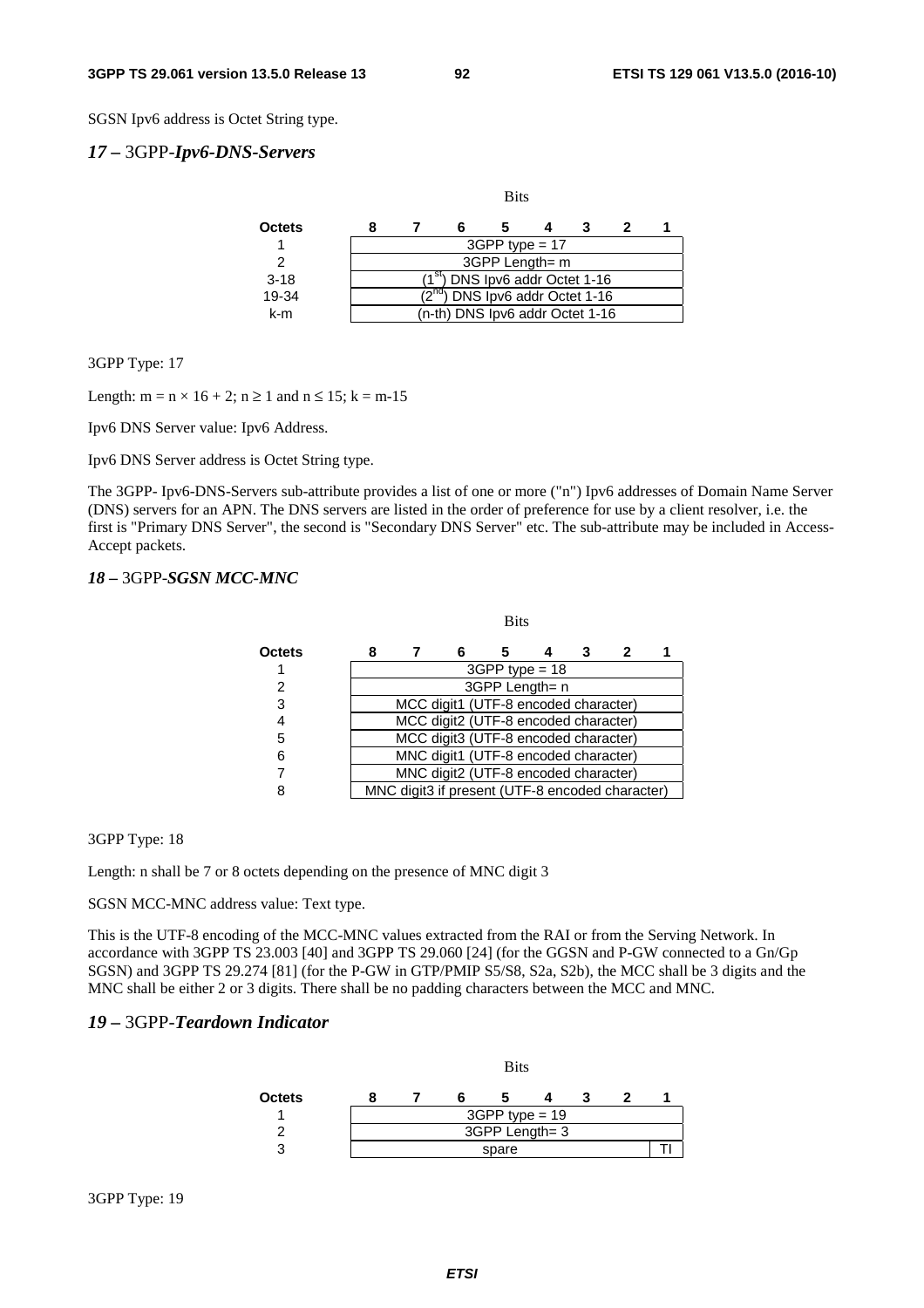SGSN Ipv6 address is Octet String type.

#### *17 –* 3GPP-*Ipv6-DNS-Servers*

|          |  |                                     | <b>Bits</b>      |  |  |
|----------|--|-------------------------------------|------------------|--|--|
| Octets   |  |                                     |                  |  |  |
|          |  |                                     | $3GPP$ type = 17 |  |  |
|          |  |                                     | 3GPP Length= m   |  |  |
| $3 - 18$ |  | $(1st)$ DNS Ipv6 addr Octet 1-16    |                  |  |  |
| 19-34    |  | $(2^{nd})$ DNS Ipv6 addr Octet 1-16 |                  |  |  |
| k-m      |  | (n-th) DNS Ipv6 addr Octet 1-16     |                  |  |  |

3GPP Type: 17

Length:  $m = n \times 16 + 2$ ;  $n \ge 1$  and  $n \le 15$ ;  $k = m-15$ 

Ipv6 DNS Server value: Ipv6 Address.

Ipv6 DNS Server address is Octet String type.

The 3GPP- Ipv6-DNS-Servers sub-attribute provides a list of one or more ("n") Ipv6 addresses of Domain Name Server (DNS) servers for an APN. The DNS servers are listed in the order of preference for use by a client resolver, i.e. the first is "Primary DNS Server", the second is "Secondary DNS Server" etc. The sub-attribute may be included in Access-Accept packets.

### *18 –* 3GPP-*SGSN MCC-MNC*

|        |   |                                                 |                                      | <b>Bits</b>      |   |   |  |
|--------|---|-------------------------------------------------|--------------------------------------|------------------|---|---|--|
| Octets | 8 |                                                 | 6                                    |                  | 3 | 2 |  |
|        |   |                                                 |                                      | $3GPP$ type = 18 |   |   |  |
| 2      |   |                                                 |                                      | 3GPP Length= n   |   |   |  |
| 3      |   |                                                 | MCC digit1 (UTF-8 encoded character) |                  |   |   |  |
| 4      |   |                                                 | MCC digit2 (UTF-8 encoded character) |                  |   |   |  |
| 5      |   |                                                 | MCC digit3 (UTF-8 encoded character) |                  |   |   |  |
| 6      |   |                                                 | MNC digit1 (UTF-8 encoded character) |                  |   |   |  |
|        |   |                                                 | MNC digit2 (UTF-8 encoded character) |                  |   |   |  |
| ጸ      |   | MNC digit3 if present (UTF-8 encoded character) |                                      |                  |   |   |  |

#### 3GPP Type: 18

Length: n shall be 7 or 8 octets depending on the presence of MNC digit 3

SGSN MCC-MNC address value: Text type.

This is the UTF-8 encoding of the MCC-MNC values extracted from the RAI or from the Serving Network. In accordance with 3GPP TS 23.003 [40] and 3GPP TS 29.060 [24] (for the GGSN and P-GW connected to a Gn/Gp SGSN) and 3GPP TS 29.274 [81] (for the P-GW in GTP/PMIP S5/S8, S2a, S2b), the MCC shall be 3 digits and the MNC shall be either 2 or 3 digits. There shall be no padding characters between the MCC and MNC.

### *19 –* 3GPP-*Teardown Indicator*

|        |       |  | <b>Bits</b>      |  |  |  |  |
|--------|-------|--|------------------|--|--|--|--|
| Octets |       |  |                  |  |  |  |  |
|        |       |  | $3GPP$ type = 19 |  |  |  |  |
|        |       |  | 3GPP Length= 3   |  |  |  |  |
| າ      | spare |  |                  |  |  |  |  |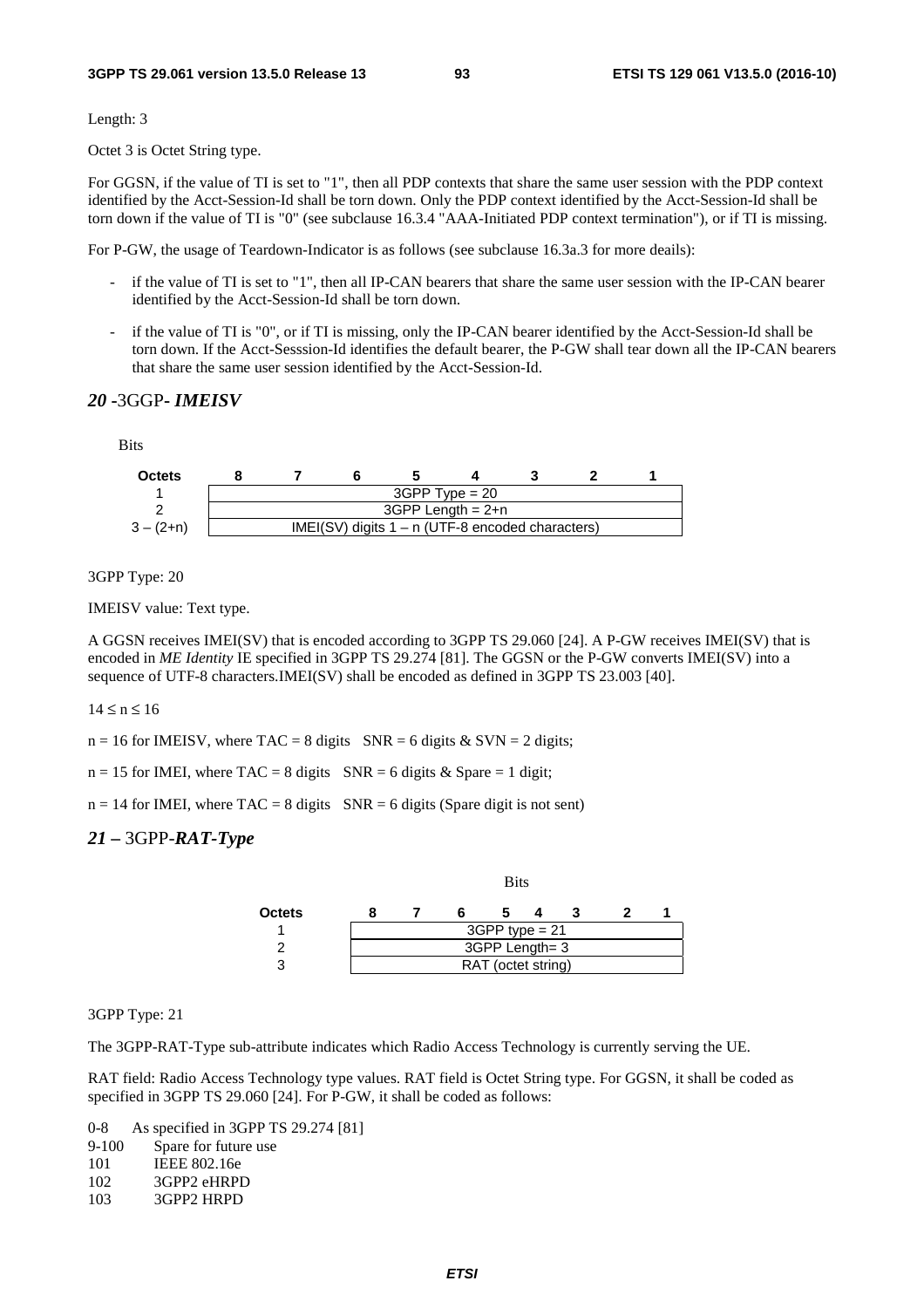Length: 3

Octet 3 is Octet String type.

For GGSN, if the value of TI is set to "1", then all PDP contexts that share the same user session with the PDP context identified by the Acct-Session-Id shall be torn down. Only the PDP context identified by the Acct-Session-Id shall be torn down if the value of TI is "0" (see subclause 16.3.4 "AAA-Initiated PDP context termination"), or if TI is missing.

For P-GW, the usage of Teardown-Indicator is as follows (see subclause 16.3a.3 for more deails):

- if the value of TI is set to "1", then all IP-CAN bearers that share the same user session with the IP-CAN bearer identified by the Acct-Session-Id shall be torn down.
- if the value of TI is "0", or if TI is missing, only the IP-CAN bearer identified by the Acct-Session-Id shall be torn down. If the Acct-Sesssion-Id identifies the default bearer, the P-GW shall tear down all the IP-CAN bearers that share the same user session identified by the Acct-Session-Id.

#### *20* **-**3GGP**-** *IMEISV*

**Bits** 



3GPP Type: 20

IMEISV value: Text type.

A GGSN receives IMEI(SV) that is encoded according to 3GPP TS 29.060 [24]. A P-GW receives IMEI(SV) that is encoded in *ME Identity* IE specified in 3GPP TS 29.274 [81]. The GGSN or the P-GW converts IMEI(SV) into a sequence of UTF-8 characters.IMEI(SV) shall be encoded as defined in 3GPP TS 23.003 [40].

 $14 \le n \le 16$ 

 $n = 16$  for IMEISV, where TAC = 8 digits SNR = 6 digits & SVN = 2 digits;

 $n = 15$  for IMEI, where TAC = 8 digits SNR = 6 digits & Spare = 1 digit;

 $n = 14$  for IMEI, where  $TAC = 8$  digits  $SNR = 6$  digits (Spare digit is not sent)

#### *21 –* 3GPP-*RAT-Type*



#### 3GPP Type: 21

The 3GPP-RAT-Type sub-attribute indicates which Radio Access Technology is currently serving the UE.

RAT field: Radio Access Technology type values. RAT field is Octet String type. For GGSN, it shall be coded as specified in 3GPP TS 29.060 [24]. For P-GW, it shall be coded as follows:

0-8 As specified in 3GPP TS 29.274 [81] 9-100 Spare for future use 101 IEEE 802.16e

- 102 3GPP2 eHRPD<br>103 3GPP2 HRPD
- 3GPP2 HRPD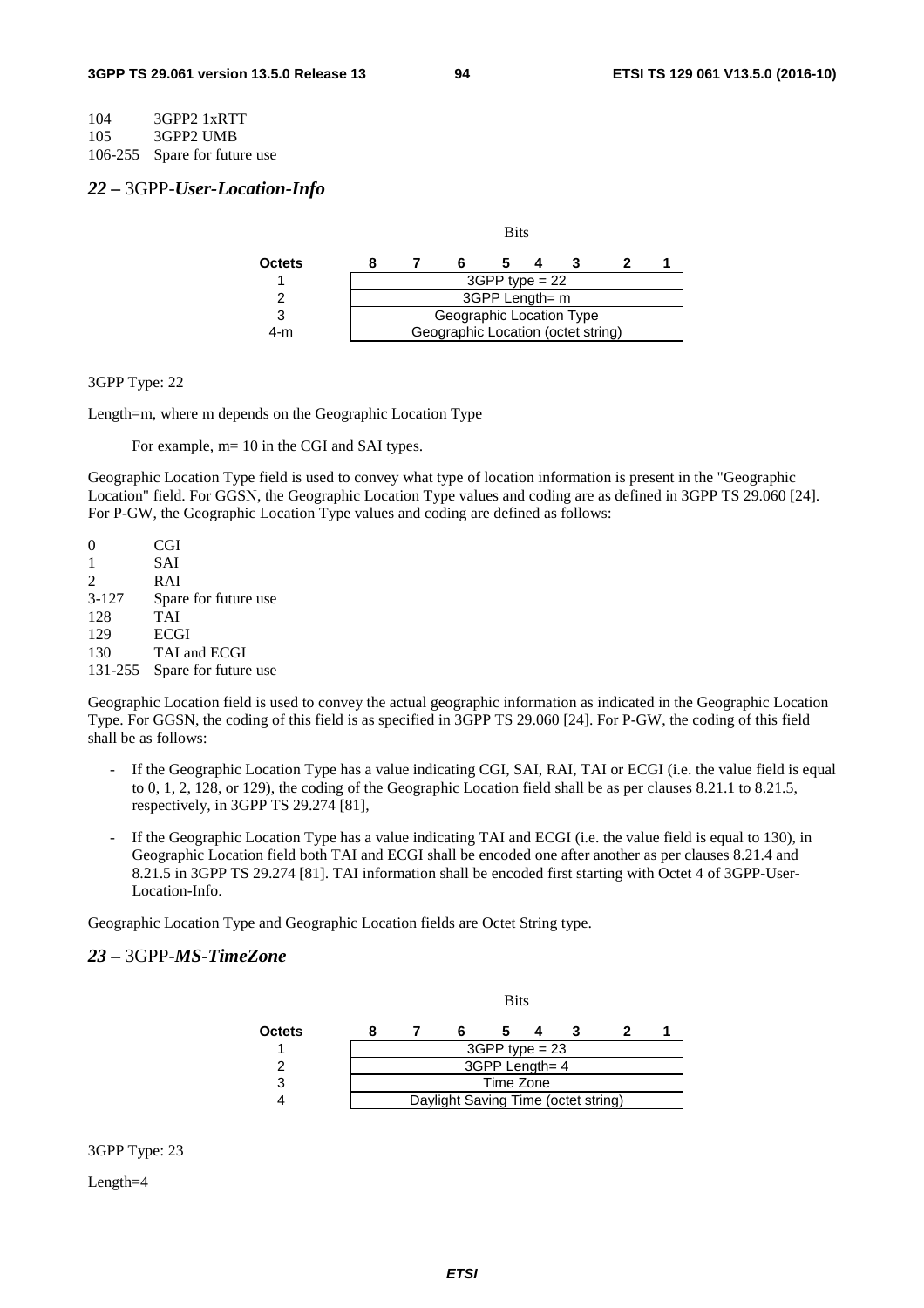104 3GPP2 1xRTT

105 3GPP2 UMB

106-255 Spare for future use

#### *22 –* 3GPP-*User-Location-Info*

|               |  |                                    | <b>Bits</b>      |  |  |
|---------------|--|------------------------------------|------------------|--|--|
| <b>Octets</b> |  |                                    |                  |  |  |
|               |  |                                    | $3GPP$ type = 22 |  |  |
|               |  |                                    | 3GPP Length= m   |  |  |
| 3             |  | Geographic Location Type           |                  |  |  |
| 4-m           |  | Geographic Location (octet string) |                  |  |  |

#### 3GPP Type: 22

Length=m, where m depends on the Geographic Location Type

For example,  $m=10$  in the CGI and SAI types.

Geographic Location Type field is used to convey what type of location information is present in the "Geographic Location" field. For GGSN, the Geographic Location Type values and coding are as defined in 3GPP TS 29.060 [24]. For P-GW, the Geographic Location Type values and coding are defined as follows:

0 CGI 1 SAI 2 RAI 3-127 Spare for future use 128 TAI 129 ECGI 130 TAI and ECGI 131-255 Spare for future use

Geographic Location field is used to convey the actual geographic information as indicated in the Geographic Location Type. For GGSN, the coding of this field is as specified in 3GPP TS 29.060 [24]. For P-GW, the coding of this field shall be as follows:

- If the Geographic Location Type has a value indicating CGI, SAI, RAI, TAI or ECGI (i.e. the value field is equal to 0, 1, 2, 128, or 129), the coding of the Geographic Location field shall be as per clauses 8.21.1 to 8.21.5, respectively, in 3GPP TS 29.274 [81],
- If the Geographic Location Type has a value indicating TAI and ECGI (i.e. the value field is equal to 130), in Geographic Location field both TAI and ECGI shall be encoded one after another as per clauses 8.21.4 and 8.21.5 in 3GPP TS 29.274 [81]. TAI information shall be encoded first starting with Octet 4 of 3GPP-User-Location-Info.

Geographic Location Type and Geographic Location fields are Octet String type.

### *23 –* 3GPP-*MS-TimeZone*

|        |  |                                     | <b>Bits</b>      |  |  |
|--------|--|-------------------------------------|------------------|--|--|
| Octets |  |                                     |                  |  |  |
|        |  |                                     | $3GPP$ type = 23 |  |  |
|        |  |                                     | 3GPP Length= 4   |  |  |
| 3      |  |                                     | Time Zone        |  |  |
|        |  | Daylight Saving Time (octet string) |                  |  |  |

3GPP Type: 23

Length=4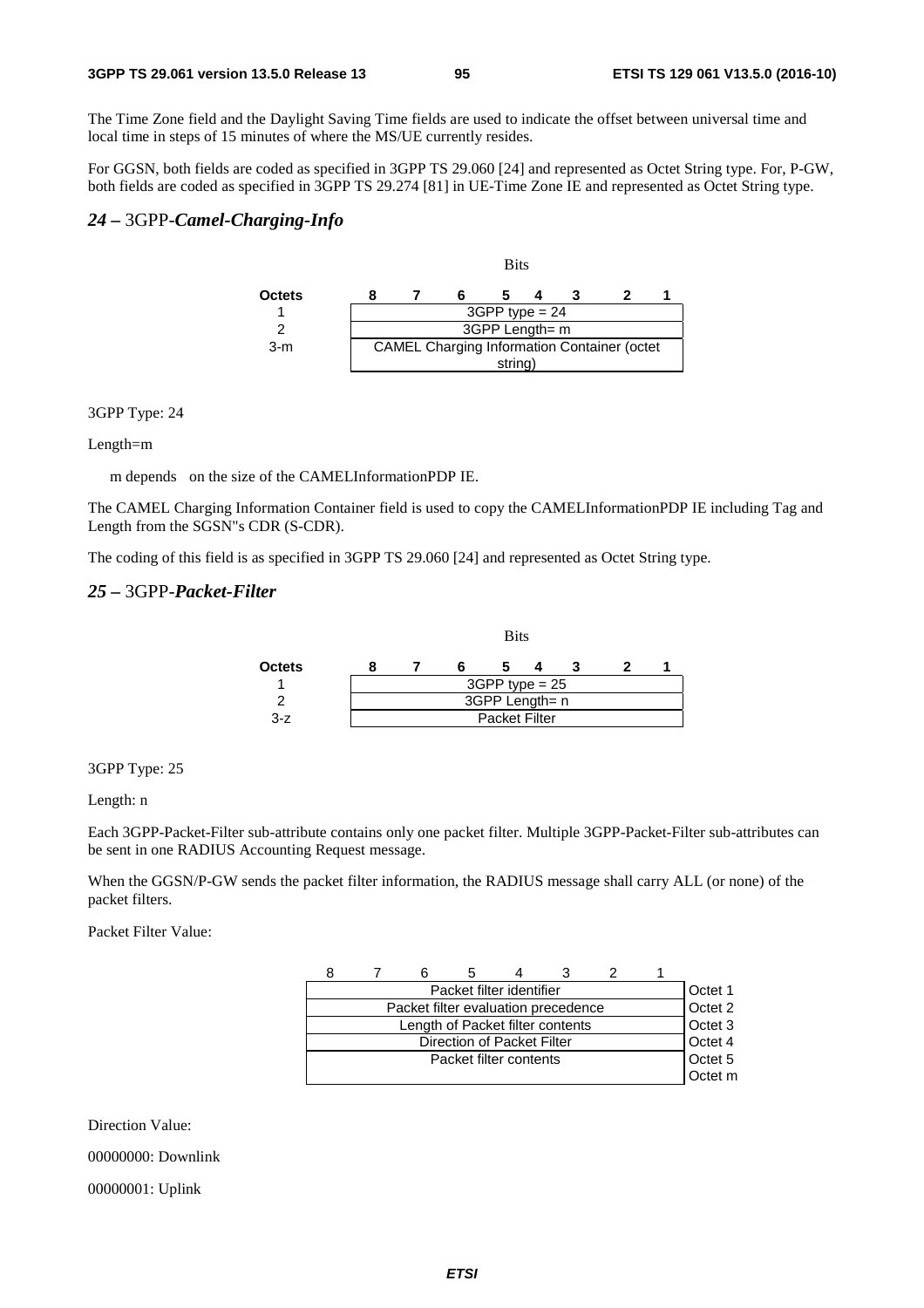The Time Zone field and the Daylight Saving Time fields are used to indicate the offset between universal time and local time in steps of 15 minutes of where the MS/UE currently resides.

For GGSN, both fields are coded as specified in 3GPP TS 29.060 [24] and represented as Octet String type. For, P-GW, both fields are coded as specified in 3GPP TS 29.274 [81] in UE-Time Zone IE and represented as Octet String type.

### *24 –* 3GPP-*Camel-Charging-Info*



#### 3GPP Type: 24

#### Length=m

m depends on the size of the CAMELInformationPDP IE.

The CAMEL Charging Information Container field is used to copy the CAMELInformationPDP IE including Tag and Length from the SGSN"s CDR (S-CDR).

The coding of this field is as specified in 3GPP TS 29.060 [24] and represented as Octet String type.

#### *25 –* 3GPP-*Packet-Filter*

|               |  | <b>Bits</b>          |  |  |
|---------------|--|----------------------|--|--|
| <b>Octets</b> |  |                      |  |  |
|               |  | $3GPP$ type = 25     |  |  |
|               |  | 3GPP Length= n       |  |  |
| $3-z$         |  | <b>Packet Filter</b> |  |  |

#### 3GPP Type: 25

Length: n

Each 3GPP-Packet-Filter sub-attribute contains only one packet filter. Multiple 3GPP-Packet-Filter sub-attributes can be sent in one RADIUS Accounting Request message.

When the GGSN/P-GW sends the packet filter information, the RADIUS message shall carry ALL (or none) of the packet filters.

Packet Filter Value:

|  |  | Packet filter identifier            |  | Octet 1            |
|--|--|-------------------------------------|--|--------------------|
|  |  | Packet filter evaluation precedence |  | Octet 2            |
|  |  | Length of Packet filter contents    |  | Octet <sub>3</sub> |
|  |  | Direction of Packet Filter          |  | Octet 4            |
|  |  | Packet filter contents              |  | Octet 5            |
|  |  |                                     |  | Octet m            |

Direction Value: 00000000: Downlink 00000001: Uplink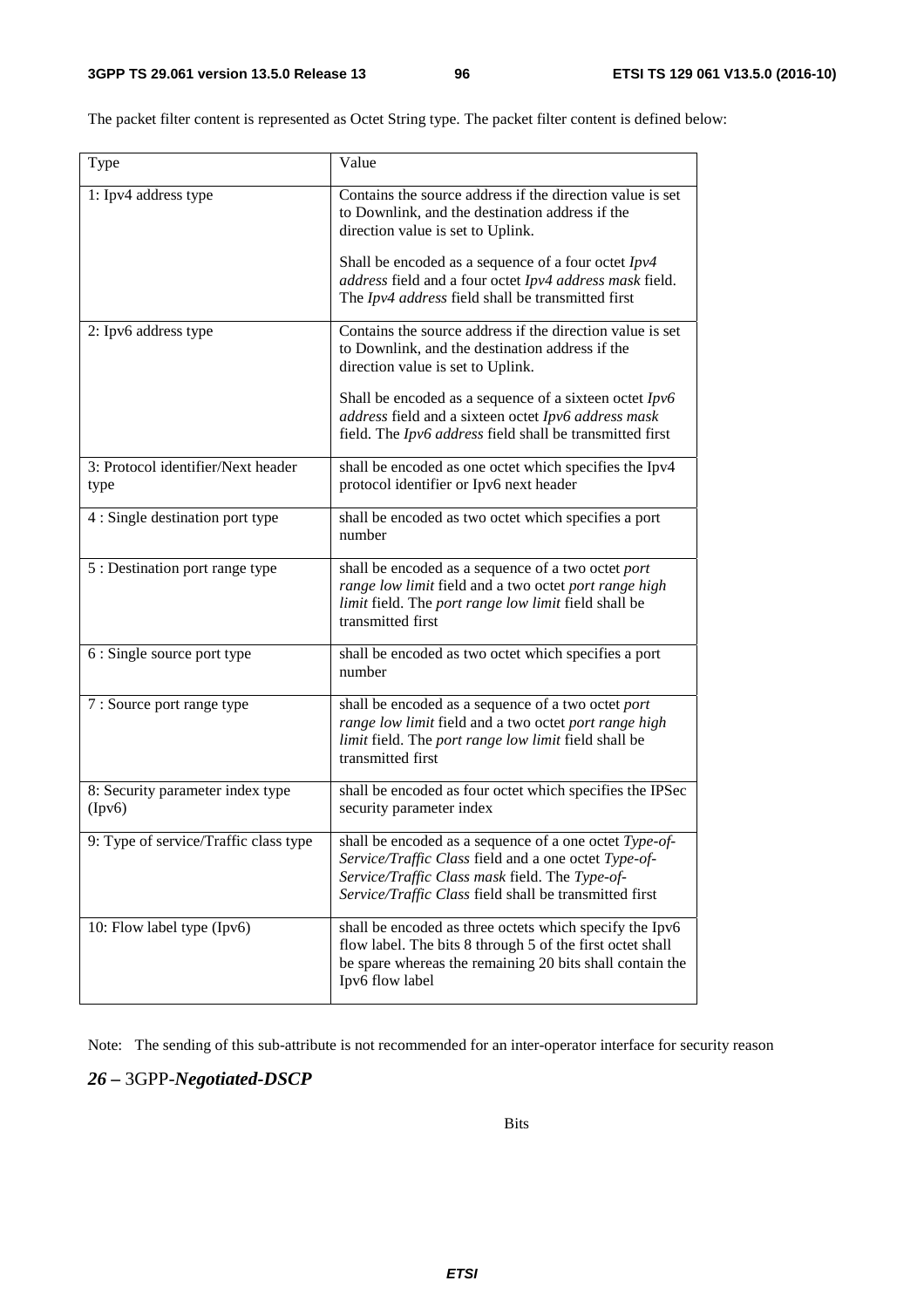The packet filter content is represented as Octet String type. The packet filter content is defined below:

| Type                                       | Value                                                                                                                                                                                                                      |
|--------------------------------------------|----------------------------------------------------------------------------------------------------------------------------------------------------------------------------------------------------------------------------|
| 1: Ipv4 address type                       | Contains the source address if the direction value is set<br>to Downlink, and the destination address if the<br>direction value is set to Uplink.                                                                          |
|                                            | Shall be encoded as a sequence of a four octet $Ipv4$<br>address field and a four octet Ipv4 address mask field.<br>The Ipv4 address field shall be transmitted first                                                      |
| 2: Ipv6 address type                       | Contains the source address if the direction value is set<br>to Downlink, and the destination address if the<br>direction value is set to Uplink.                                                                          |
|                                            | Shall be encoded as a sequence of a sixteen octet $Ipv6$<br>address field and a sixteen octet Ipv6 address mask<br>field. The Ipv6 address field shall be transmitted first                                                |
| 3: Protocol identifier/Next header<br>type | shall be encoded as one octet which specifies the Ipv4<br>protocol identifier or Ipv6 next header                                                                                                                          |
| 4 : Single destination port type           | shall be encoded as two octet which specifies a port<br>number                                                                                                                                                             |
| 5 : Destination port range type            | shall be encoded as a sequence of a two octet port<br>range low limit field and a two octet port range high<br>limit field. The port range low limit field shall be<br>transmitted first                                   |
| 6 : Single source port type                | shall be encoded as two octet which specifies a port<br>number                                                                                                                                                             |
| 7 : Source port range type                 | shall be encoded as a sequence of a two octet port<br>range low limit field and a two octet port range high<br>limit field. The port range low limit field shall be<br>transmitted first                                   |
| 8: Security parameter index type<br>(Ipv6) | shall be encoded as four octet which specifies the IPSec<br>security parameter index                                                                                                                                       |
| 9: Type of service/Traffic class type      | shall be encoded as a sequence of a one octet Type-of-<br>Service/Traffic Class field and a one octet Type-of-<br>Service/Traffic Class mask field. The Type-of-<br>Service/Traffic Class field shall be transmitted first |
| 10: Flow label type (Ipv6)                 | shall be encoded as three octets which specify the Ipv6<br>flow label. The bits 8 through 5 of the first octet shall<br>be spare whereas the remaining 20 bits shall contain the<br>Ipv6 flow label                        |

Note: The sending of this sub-attribute is not recommended for an inter-operator interface for security reason

# *26 –* 3GPP-*Negotiated-DSCP*

Bits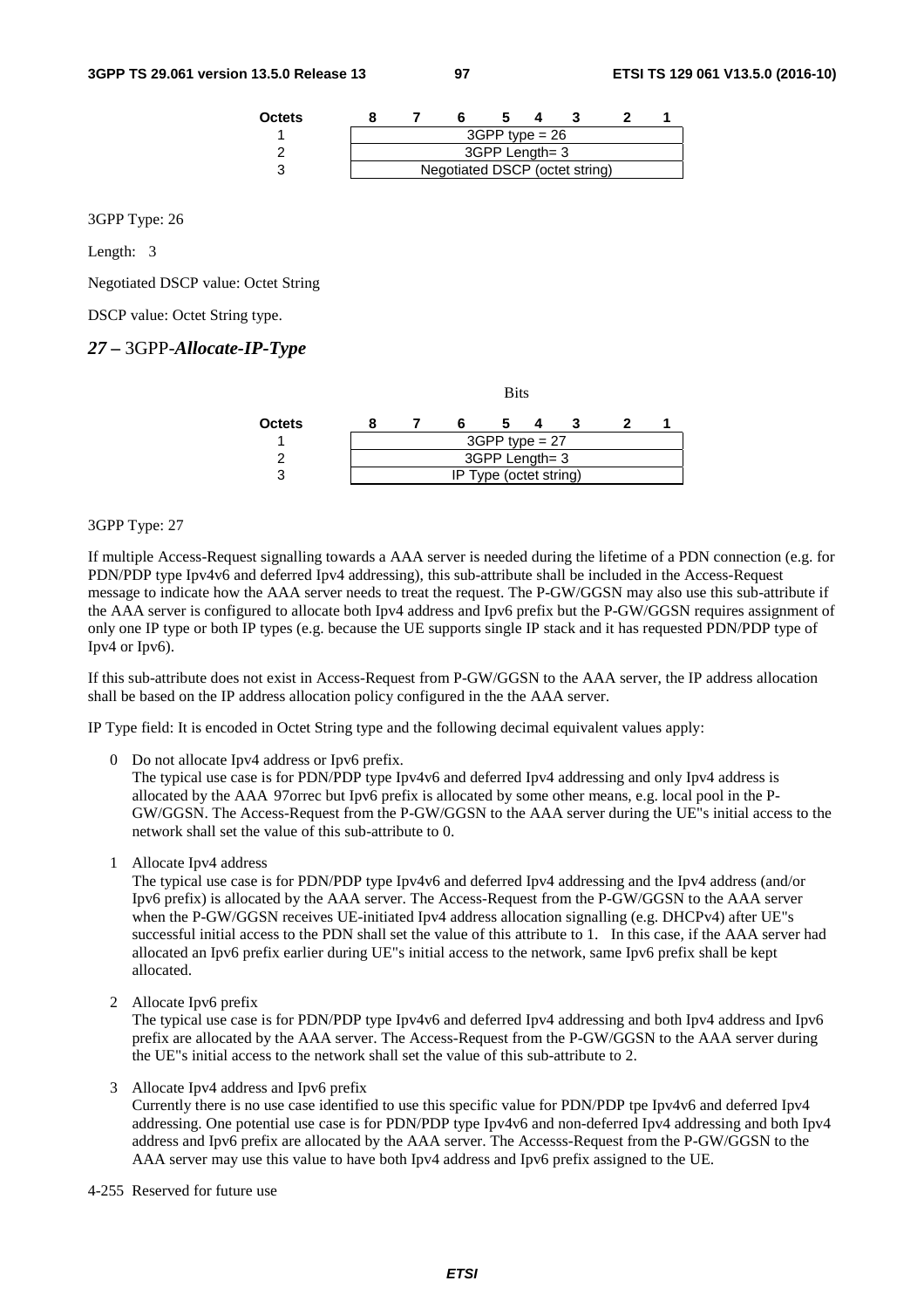| <b>Octets</b> |  |                                |                  |  |  |
|---------------|--|--------------------------------|------------------|--|--|
|               |  |                                | $3GPP$ type = 26 |  |  |
|               |  |                                | 3GPP Length= 3   |  |  |
|               |  | Negotiated DSCP (octet string) |                  |  |  |

3GPP Type: 26

Length: 3

Negotiated DSCP value: Octet String

DSCP value: Octet String type.

### *27 –* 3GPP-*Allocate-IP-Type*

|        |                        |  | <b>Bits</b>      |  |  |  |  |  |
|--------|------------------------|--|------------------|--|--|--|--|--|
| Octets |                        |  |                  |  |  |  |  |  |
|        |                        |  | $3GPP$ type = 27 |  |  |  |  |  |
|        |                        |  | 3GPP Length= 3   |  |  |  |  |  |
|        | IP Type (octet string) |  |                  |  |  |  |  |  |

#### 3GPP Type: 27

If multiple Access-Request signalling towards a AAA server is needed during the lifetime of a PDN connection (e.g. for PDN/PDP type Ipv4v6 and deferred Ipv4 addressing), this sub-attribute shall be included in the Access-Request message to indicate how the AAA server needs to treat the request. The P-GW/GGSN may also use this sub-attribute if the AAA server is configured to allocate both Ipv4 address and Ipv6 prefix but the P-GW/GGSN requires assignment of only one IP type or both IP types (e.g. because the UE supports single IP stack and it has requested PDN/PDP type of Ipv4 or Ipv6).

If this sub-attribute does not exist in Access-Request from P-GW/GGSN to the AAA server, the IP address allocation shall be based on the IP address allocation policy configured in the the AAA server.

IP Type field: It is encoded in Octet String type and the following decimal equivalent values apply:

0 Do not allocate Ipv4 address or Ipv6 prefix.

The typical use case is for PDN/PDP type Ipv4v6 and deferred Ipv4 addressing and only Ipv4 address is allocated by the AAA 97orrec but Ipv6 prefix is allocated by some other means, e.g. local pool in the P-GW/GGSN. The Access-Request from the P-GW/GGSN to the AAA server during the UE"s initial access to the network shall set the value of this sub-attribute to 0.

1 Allocate Ipv4 address

The typical use case is for PDN/PDP type Ipv4v6 and deferred Ipv4 addressing and the Ipv4 address (and/or Ipv6 prefix) is allocated by the AAA server. The Access-Request from the P-GW/GGSN to the AAA server when the P-GW/GGSN receives UE-initiated Ipv4 address allocation signalling (e.g. DHCPv4) after UE"s successful initial access to the PDN shall set the value of this attribute to 1. In this case, if the AAA server had allocated an Ipv6 prefix earlier during UE"s initial access to the network, same Ipv6 prefix shall be kept allocated.

2 Allocate Ipv6 prefix

The typical use case is for PDN/PDP type Ipv4v6 and deferred Ipv4 addressing and both Ipv4 address and Ipv6 prefix are allocated by the AAA server. The Access-Request from the P-GW/GGSN to the AAA server during the UE"s initial access to the network shall set the value of this sub-attribute to 2.

3 Allocate Ipv4 address and Ipv6 prefix

Currently there is no use case identified to use this specific value for PDN/PDP tpe Ipv4v6 and deferred Ipv4 addressing. One potential use case is for PDN/PDP type Ipv4v6 and non-deferred Ipv4 addressing and both Ipv4 address and Ipv6 prefix are allocated by the AAA server. The Accesss-Request from the P-GW/GGSN to the AAA server may use this value to have both Ipv4 address and Ipv6 prefix assigned to the UE.

4-255 Reserved for future use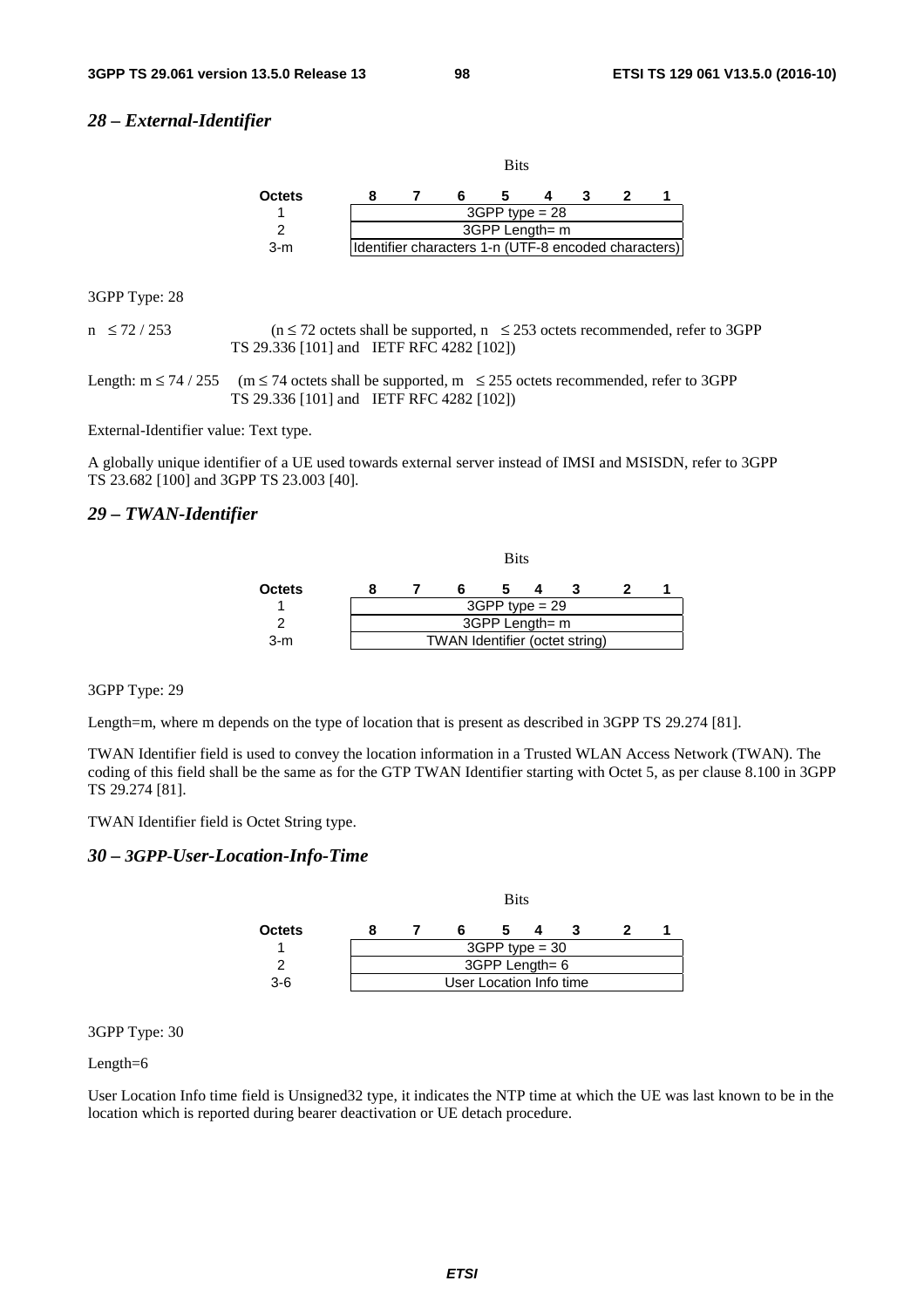#### *28 – External-Identifier*

|               |                                                      |  | <b>Bits</b>    |  |  |  |  |  |
|---------------|------------------------------------------------------|--|----------------|--|--|--|--|--|
| <b>Octets</b> |                                                      |  |                |  |  |  |  |  |
|               | $3GPP$ type = 28                                     |  |                |  |  |  |  |  |
|               |                                                      |  | 3GPP Length= m |  |  |  |  |  |
| $3-m$         | Identifier characters 1-n (UTF-8 encoded characters) |  |                |  |  |  |  |  |

3GPP Type: 28

 $n \le 72 / 253$  ( $n \le 72$  octets shall be supported,  $n \le 253$  octets recommended, refer to 3GPP TS 29.336 [101] and IETF RFC 4282 [102])

Length:  $m \le 74 / 255$  ( $m \le 74$  octets shall be supported,  $m \le 255$  octets recommended, refer to 3GPP TS 29.336 [101] and IETF RFC 4282 [102])

External-Identifier value: Text type.

A globally unique identifier of a UE used towards external server instead of IMSI and MSISDN, refer to 3GPP TS 23.682 [100] and 3GPP TS 23.003 [40].

#### *29 – TWAN-Identifier*



#### 3GPP Type: 29

Length=m, where m depends on the type of location that is present as described in 3GPP TS 29.274 [81].

TWAN Identifier field is used to convey the location information in a Trusted WLAN Access Network (TWAN). The coding of this field shall be the same as for the GTP TWAN Identifier starting with Octet 5, as per clause 8.100 in 3GPP TS 29.274 [81].

TWAN Identifier field is Octet String type.

#### *30 – 3GPP*-*User-Location-Info-Time*



3GPP Type: 30

Length=6

User Location Info time field is Unsigned32 type, it indicates the NTP time at which the UE was last known to be in the location which is reported during bearer deactivation or UE detach procedure.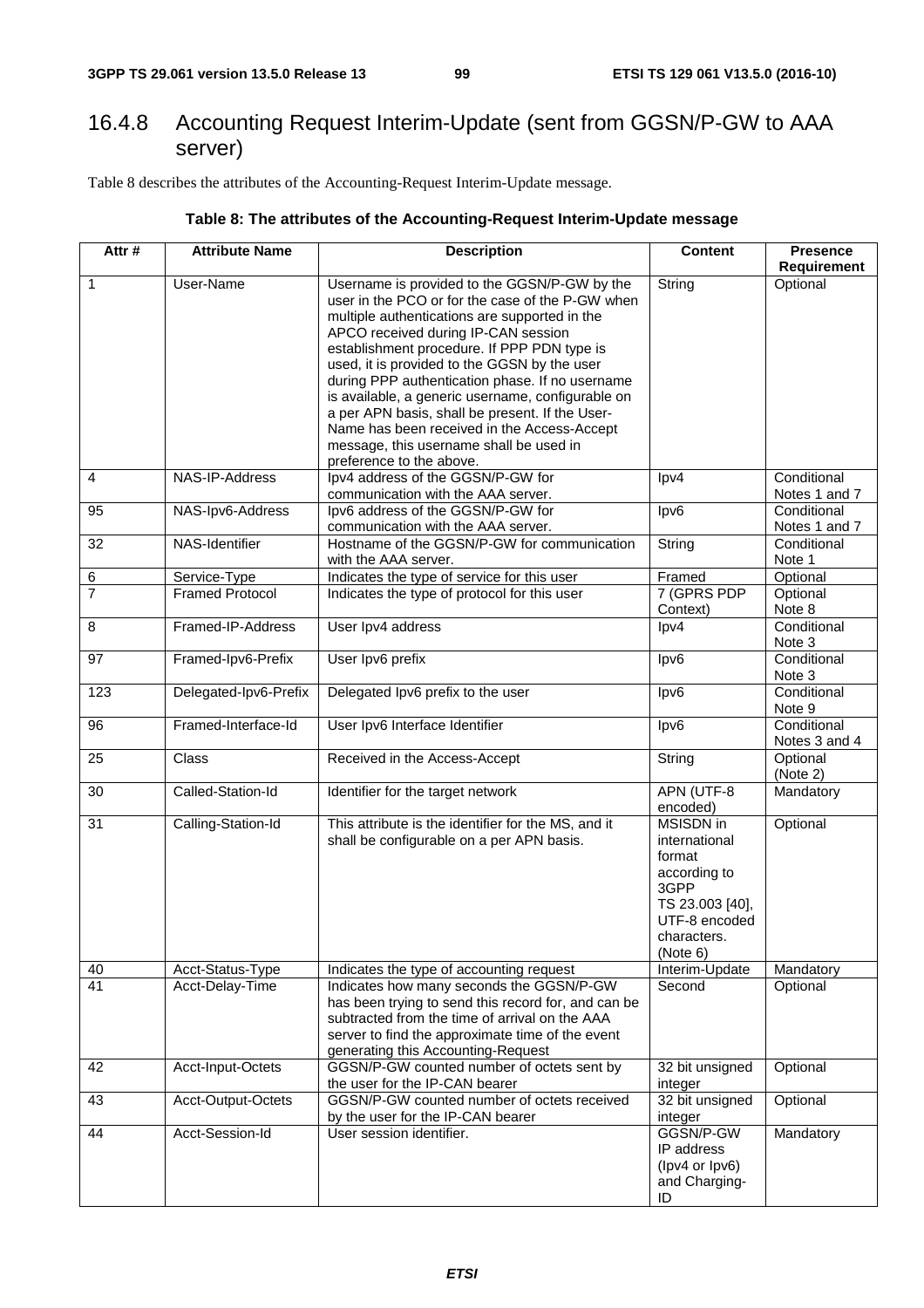# 16.4.8 Accounting Request Interim-Update (sent from GGSN/P-GW to AAA server)

Table 8 describes the attributes of the Accounting-Request Interim-Update message.

### **Table 8: The attributes of the Accounting-Request Interim-Update message**

| Attr#          | <b>Attribute Name</b>  | <b>Description</b>                                                                                                                                                                                                                                                                                                                                                                                                                                                                                                                                                       | <b>Content</b>                                                                                                                     | <b>Presence</b><br>Requirement |
|----------------|------------------------|--------------------------------------------------------------------------------------------------------------------------------------------------------------------------------------------------------------------------------------------------------------------------------------------------------------------------------------------------------------------------------------------------------------------------------------------------------------------------------------------------------------------------------------------------------------------------|------------------------------------------------------------------------------------------------------------------------------------|--------------------------------|
| $\overline{1}$ | User-Name              | Username is provided to the GGSN/P-GW by the<br>user in the PCO or for the case of the P-GW when<br>multiple authentications are supported in the<br>APCO received during IP-CAN session<br>establishment procedure. If PPP PDN type is<br>used, it is provided to the GGSN by the user<br>during PPP authentication phase. If no username<br>is available, a generic username, configurable on<br>a per APN basis, shall be present. If the User-<br>Name has been received in the Access-Accept<br>message, this username shall be used in<br>preference to the above. | String                                                                                                                             | Optional                       |
| $\overline{4}$ | NAS-IP-Address         | Ipv4 address of the GGSN/P-GW for<br>communication with the AAA server.                                                                                                                                                                                                                                                                                                                                                                                                                                                                                                  | lpv4                                                                                                                               | Conditional<br>Notes 1 and 7   |
| 95             | NAS-Ipv6-Address       | Ipv6 address of the GGSN/P-GW for<br>communication with the AAA server.                                                                                                                                                                                                                                                                                                                                                                                                                                                                                                  | lpv6                                                                                                                               | Conditional<br>Notes 1 and 7   |
| 32             | NAS-Identifier         | Hostname of the GGSN/P-GW for communication<br>with the AAA server.                                                                                                                                                                                                                                                                                                                                                                                                                                                                                                      | String                                                                                                                             | Conditional<br>Note 1          |
| $\,6\,$        | Service-Type           | Indicates the type of service for this user                                                                                                                                                                                                                                                                                                                                                                                                                                                                                                                              | Framed                                                                                                                             | Optional                       |
| $\overline{7}$ | <b>Framed Protocol</b> | Indicates the type of protocol for this user                                                                                                                                                                                                                                                                                                                                                                                                                                                                                                                             | 7 (GPRS PDP<br>Context)                                                                                                            | Optional<br>Note 8             |
| $\, 8$         | Framed-IP-Address      | User Ipv4 address                                                                                                                                                                                                                                                                                                                                                                                                                                                                                                                                                        | $\text{lpv4}$                                                                                                                      | Conditional<br>Note 3          |
| 97             | Framed-Ipv6-Prefix     | User Ipv6 prefix                                                                                                                                                                                                                                                                                                                                                                                                                                                                                                                                                         | lpv6                                                                                                                               | Conditional<br>Note 3          |
| 123            | Delegated-Ipv6-Prefix  | Delegated Ipv6 prefix to the user                                                                                                                                                                                                                                                                                                                                                                                                                                                                                                                                        | $\textsf{lpv6}$                                                                                                                    | Conditional<br>Note 9          |
| 96             | Framed-Interface-Id    | User Ipv6 Interface Identifier                                                                                                                                                                                                                                                                                                                                                                                                                                                                                                                                           | lpv6                                                                                                                               | Conditional<br>Notes 3 and 4   |
| 25             | Class                  | Received in the Access-Accept                                                                                                                                                                                                                                                                                                                                                                                                                                                                                                                                            | String                                                                                                                             | Optional<br>(Note 2)           |
| 30             | Called-Station-Id      | Identifier for the target network                                                                                                                                                                                                                                                                                                                                                                                                                                                                                                                                        | APN (UTF-8<br>encoded)                                                                                                             | Mandatory                      |
| 31             | Calling-Station-Id     | This attribute is the identifier for the MS, and it<br>shall be configurable on a per APN basis.                                                                                                                                                                                                                                                                                                                                                                                                                                                                         | <b>MSISDN</b> in<br>international<br>format<br>according to<br>3GPP<br>TS 23.003 [40],<br>UTF-8 encoded<br>characters.<br>(Note 6) | Optional                       |
| 40             | Acct-Status-Type       | Indicates the type of accounting request                                                                                                                                                                                                                                                                                                                                                                                                                                                                                                                                 | Interim-Update                                                                                                                     | Mandatory                      |
| 41             | Acct-Delay-Time        | Indicates how many seconds the GGSN/P-GW<br>has been trying to send this record for, and can be<br>subtracted from the time of arrival on the AAA<br>server to find the approximate time of the event<br>generating this Accounting-Request                                                                                                                                                                                                                                                                                                                              | Second                                                                                                                             | Optional                       |
| 42             | Acct-Input-Octets      | GGSN/P-GW counted number of octets sent by<br>the user for the IP-CAN bearer                                                                                                                                                                                                                                                                                                                                                                                                                                                                                             | 32 bit unsigned<br>integer                                                                                                         | Optional                       |
| 43             | Acct-Output-Octets     | GGSN/P-GW counted number of octets received<br>by the user for the IP-CAN bearer                                                                                                                                                                                                                                                                                                                                                                                                                                                                                         | 32 bit unsigned<br>integer                                                                                                         | Optional                       |
| 44             | Acct-Session-Id        | User session identifier.                                                                                                                                                                                                                                                                                                                                                                                                                                                                                                                                                 | GGSN/P-GW<br>IP address<br>(lpv4 or lpv6)<br>and Charging-<br>ID                                                                   | Mandatory                      |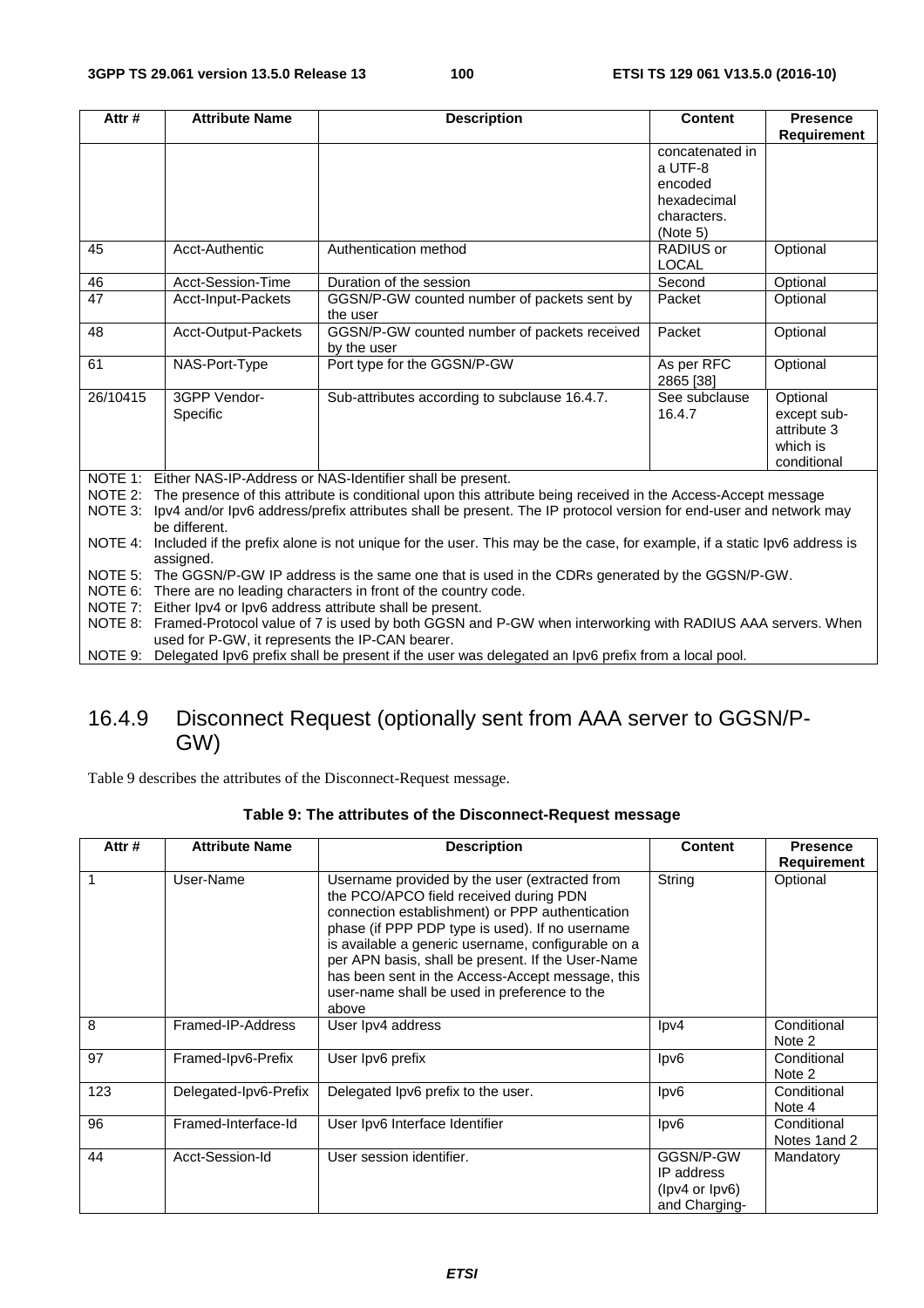| Attr#                                                                                                                              | <b>Attribute Name</b>                                                                                                   | <b>Description</b>                                                                                            | <b>Content</b>          | <b>Presence</b>         |  |  |  |  |
|------------------------------------------------------------------------------------------------------------------------------------|-------------------------------------------------------------------------------------------------------------------------|---------------------------------------------------------------------------------------------------------------|-------------------------|-------------------------|--|--|--|--|
|                                                                                                                                    |                                                                                                                         |                                                                                                               |                         | <b>Requirement</b>      |  |  |  |  |
|                                                                                                                                    |                                                                                                                         |                                                                                                               | concatenated in         |                         |  |  |  |  |
|                                                                                                                                    |                                                                                                                         |                                                                                                               | a UTF-8                 |                         |  |  |  |  |
|                                                                                                                                    |                                                                                                                         |                                                                                                               | encoded                 |                         |  |  |  |  |
|                                                                                                                                    |                                                                                                                         |                                                                                                               | hexadecimal             |                         |  |  |  |  |
|                                                                                                                                    |                                                                                                                         |                                                                                                               | characters.             |                         |  |  |  |  |
|                                                                                                                                    |                                                                                                                         |                                                                                                               | (Note 5)                |                         |  |  |  |  |
| 45                                                                                                                                 | Acct-Authentic                                                                                                          | Authentication method                                                                                         | RADIUS or               | Optional                |  |  |  |  |
|                                                                                                                                    |                                                                                                                         |                                                                                                               | <b>LOCAL</b>            |                         |  |  |  |  |
| 46                                                                                                                                 | Acct-Session-Time                                                                                                       | Duration of the session                                                                                       | Second                  | Optional                |  |  |  |  |
| 47                                                                                                                                 | Acct-Input-Packets                                                                                                      | GGSN/P-GW counted number of packets sent by<br>the user                                                       | Packet                  | Optional                |  |  |  |  |
| 48                                                                                                                                 | Acct-Output-Packets                                                                                                     | GGSN/P-GW counted number of packets received                                                                  | Packet                  | Optional                |  |  |  |  |
|                                                                                                                                    |                                                                                                                         | by the user                                                                                                   |                         |                         |  |  |  |  |
| 61                                                                                                                                 | NAS-Port-Type                                                                                                           | Port type for the GGSN/P-GW                                                                                   | As per RFC<br>2865 [38] | Optional                |  |  |  |  |
| 26/10415                                                                                                                           | 3GPP Vendor-                                                                                                            | Sub-attributes according to subclause 16.4.7.                                                                 | See subclause           | Optional                |  |  |  |  |
|                                                                                                                                    | Specific                                                                                                                |                                                                                                               | 16.4.7                  | except sub-             |  |  |  |  |
|                                                                                                                                    |                                                                                                                         |                                                                                                               |                         | attribute 3<br>which is |  |  |  |  |
|                                                                                                                                    |                                                                                                                         |                                                                                                               |                         | conditional             |  |  |  |  |
| NOTE 1:                                                                                                                            |                                                                                                                         | Either NAS-IP-Address or NAS-Identifier shall be present.                                                     |                         |                         |  |  |  |  |
| NOTE 2:                                                                                                                            |                                                                                                                         | The presence of this attribute is conditional upon this attribute being received in the Access-Accept message |                         |                         |  |  |  |  |
| NOTE 3:                                                                                                                            |                                                                                                                         |                                                                                                               |                         |                         |  |  |  |  |
| Ipv4 and/or Ipv6 address/prefix attributes shall be present. The IP protocol version for end-user and network may<br>be different. |                                                                                                                         |                                                                                                               |                         |                         |  |  |  |  |
| NOTE 4:                                                                                                                            | Included if the prefix alone is not unique for the user. This may be the case, for example, if a static lpv6 address is |                                                                                                               |                         |                         |  |  |  |  |
|                                                                                                                                    | assigned.                                                                                                               |                                                                                                               |                         |                         |  |  |  |  |
|                                                                                                                                    | NOTE 5: The GGSN/P-GW IP address is the same one that is used in the CDRs generated by the GGSN/P-GW.                   |                                                                                                               |                         |                         |  |  |  |  |
|                                                                                                                                    | NOTE 6: There are no leading characters in front of the country code.                                                   |                                                                                                               |                         |                         |  |  |  |  |
| NOTE 7:                                                                                                                            | Either Ipv4 or Ipv6 address attribute shall be present.                                                                 |                                                                                                               |                         |                         |  |  |  |  |
| NOTE 8:                                                                                                                            | Framed-Protocol value of 7 is used by both GGSN and P-GW when interworking with RADIUS AAA servers. When                |                                                                                                               |                         |                         |  |  |  |  |
|                                                                                                                                    | used for P-GW, it represents the IP-CAN bearer.                                                                         |                                                                                                               |                         |                         |  |  |  |  |

NOTE 9: Delegated Ipv6 prefix shall be present if the user was delegated an Ipv6 prefix from a local pool.

# 16.4.9 Disconnect Request (optionally sent from AAA server to GGSN/P-GW)

Table 9 describes the attributes of the Disconnect-Request message.

### **Table 9: The attributes of the Disconnect-Request message**

| Attr# | <b>Attribute Name</b> | <b>Description</b>                                                                                                                                                                                                                                                                                                                                                                                                    | <b>Content</b>                                             | <b>Presence</b><br>Requirement |
|-------|-----------------------|-----------------------------------------------------------------------------------------------------------------------------------------------------------------------------------------------------------------------------------------------------------------------------------------------------------------------------------------------------------------------------------------------------------------------|------------------------------------------------------------|--------------------------------|
|       | User-Name             | Username provided by the user (extracted from<br>the PCO/APCO field received during PDN<br>connection establishment) or PPP authentication<br>phase (if PPP PDP type is used). If no username<br>is available a generic username, configurable on a<br>per APN basis, shall be present. If the User-Name<br>has been sent in the Access-Accept message, this<br>user-name shall be used in preference to the<br>above | String                                                     | Optional                       |
| 8     | Framed-IP-Address     | User Ipv4 address                                                                                                                                                                                                                                                                                                                                                                                                     | $\text{lpv4}$                                              | Conditional<br>Note 2          |
| 97    | Framed-Ipv6-Prefix    | User Ipv6 prefix                                                                                                                                                                                                                                                                                                                                                                                                      | $\textsf{lpv6}$                                            | Conditional<br>Note 2          |
| 123   | Delegated-Ipv6-Prefix | Delegated Ipv6 prefix to the user.                                                                                                                                                                                                                                                                                                                                                                                    | $\textsf{lpv6}$                                            | Conditional<br>Note 4          |
| 96    | Framed-Interface-Id   | User Ipv6 Interface Identifier                                                                                                                                                                                                                                                                                                                                                                                        | $\textsf{lpv6}$                                            | Conditional<br>Notes 1 and 2   |
| 44    | Acct-Session-Id       | User session identifier.                                                                                                                                                                                                                                                                                                                                                                                              | GGSN/P-GW<br>IP address<br>(hpv4 or lpv6)<br>and Charging- | Mandatory                      |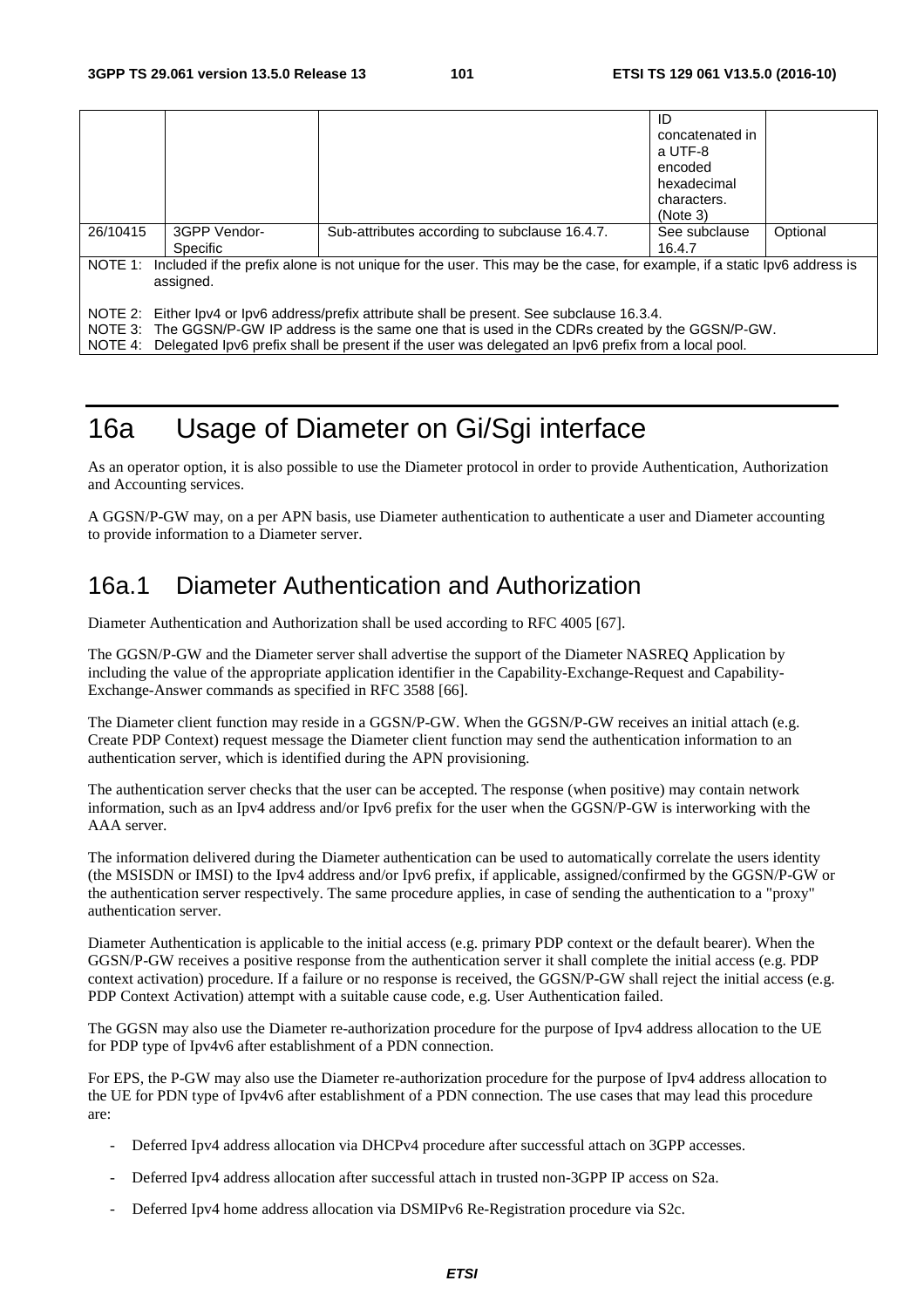|                                                                                                                                    |                                                                                                     |                                               | ID              |          |  |  |  |
|------------------------------------------------------------------------------------------------------------------------------------|-----------------------------------------------------------------------------------------------------|-----------------------------------------------|-----------------|----------|--|--|--|
|                                                                                                                                    |                                                                                                     |                                               | concatenated in |          |  |  |  |
|                                                                                                                                    |                                                                                                     |                                               | a UTF-8         |          |  |  |  |
|                                                                                                                                    |                                                                                                     |                                               | encoded         |          |  |  |  |
|                                                                                                                                    |                                                                                                     |                                               | hexadecimal     |          |  |  |  |
|                                                                                                                                    |                                                                                                     |                                               | characters.     |          |  |  |  |
|                                                                                                                                    |                                                                                                     |                                               | (Note 3)        |          |  |  |  |
| 26/10415                                                                                                                           | 3GPP Vendor-                                                                                        | Sub-attributes according to subclause 16.4.7. | See subclause   | Optional |  |  |  |
|                                                                                                                                    | Specific                                                                                            |                                               | 16.4.7          |          |  |  |  |
| Included if the prefix alone is not unique for the user. This may be the case, for example, if a static lpv6 address is<br>NOTE 1: |                                                                                                     |                                               |                 |          |  |  |  |
| assigned.                                                                                                                          |                                                                                                     |                                               |                 |          |  |  |  |
|                                                                                                                                    |                                                                                                     |                                               |                 |          |  |  |  |
| NOTE 2: Either lpv4 or lpv6 address/prefix attribute shall be present. See subclause 16.3.4.                                       |                                                                                                     |                                               |                 |          |  |  |  |
|                                                                                                                                    | NOTE 3: The GGSN/P-GW IP address is the same one that is used in the CDRs created by the GGSN/P-GW. |                                               |                 |          |  |  |  |
| Delegated Ipv6 prefix shall be present if the user was delegated an Ipv6 prefix from a local pool.<br>NOTE 4:                      |                                                                                                     |                                               |                 |          |  |  |  |

# 16a Usage of Diameter on Gi/Sgi interface

As an operator option, it is also possible to use the Diameter protocol in order to provide Authentication, Authorization and Accounting services.

A GGSN/P-GW may, on a per APN basis, use Diameter authentication to authenticate a user and Diameter accounting to provide information to a Diameter server.

# 16a.1 Diameter Authentication and Authorization

Diameter Authentication and Authorization shall be used according to RFC 4005 [67].

The GGSN/P-GW and the Diameter server shall advertise the support of the Diameter NASREQ Application by including the value of the appropriate application identifier in the Capability-Exchange-Request and Capability-Exchange-Answer commands as specified in RFC 3588 [66].

The Diameter client function may reside in a GGSN/P-GW. When the GGSN/P-GW receives an initial attach (e.g. Create PDP Context) request message the Diameter client function may send the authentication information to an authentication server, which is identified during the APN provisioning.

The authentication server checks that the user can be accepted. The response (when positive) may contain network information, such as an Ipv4 address and/or Ipv6 prefix for the user when the GGSN/P-GW is interworking with the AAA server.

The information delivered during the Diameter authentication can be used to automatically correlate the users identity (the MSISDN or IMSI) to the Ipv4 address and/or Ipv6 prefix, if applicable, assigned/confirmed by the GGSN/P-GW or the authentication server respectively. The same procedure applies, in case of sending the authentication to a "proxy" authentication server.

Diameter Authentication is applicable to the initial access (e.g. primary PDP context or the default bearer). When the GGSN/P-GW receives a positive response from the authentication server it shall complete the initial access (e.g. PDP context activation) procedure. If a failure or no response is received, the GGSN/P-GW shall reject the initial access (e.g. PDP Context Activation) attempt with a suitable cause code, e.g. User Authentication failed.

The GGSN may also use the Diameter re-authorization procedure for the purpose of Ipv4 address allocation to the UE for PDP type of Ipv4v6 after establishment of a PDN connection.

For EPS, the P-GW may also use the Diameter re-authorization procedure for the purpose of Ipv4 address allocation to the UE for PDN type of Ipv4v6 after establishment of a PDN connection. The use cases that may lead this procedure are:

- Deferred Ipv4 address allocation via DHCPv4 procedure after successful attach on 3GPP accesses.
- Deferred Ipv4 address allocation after successful attach in trusted non-3GPP IP access on S2a.
- Deferred Ipv4 home address allocation via DSMIPv6 Re-Registration procedure via S2c.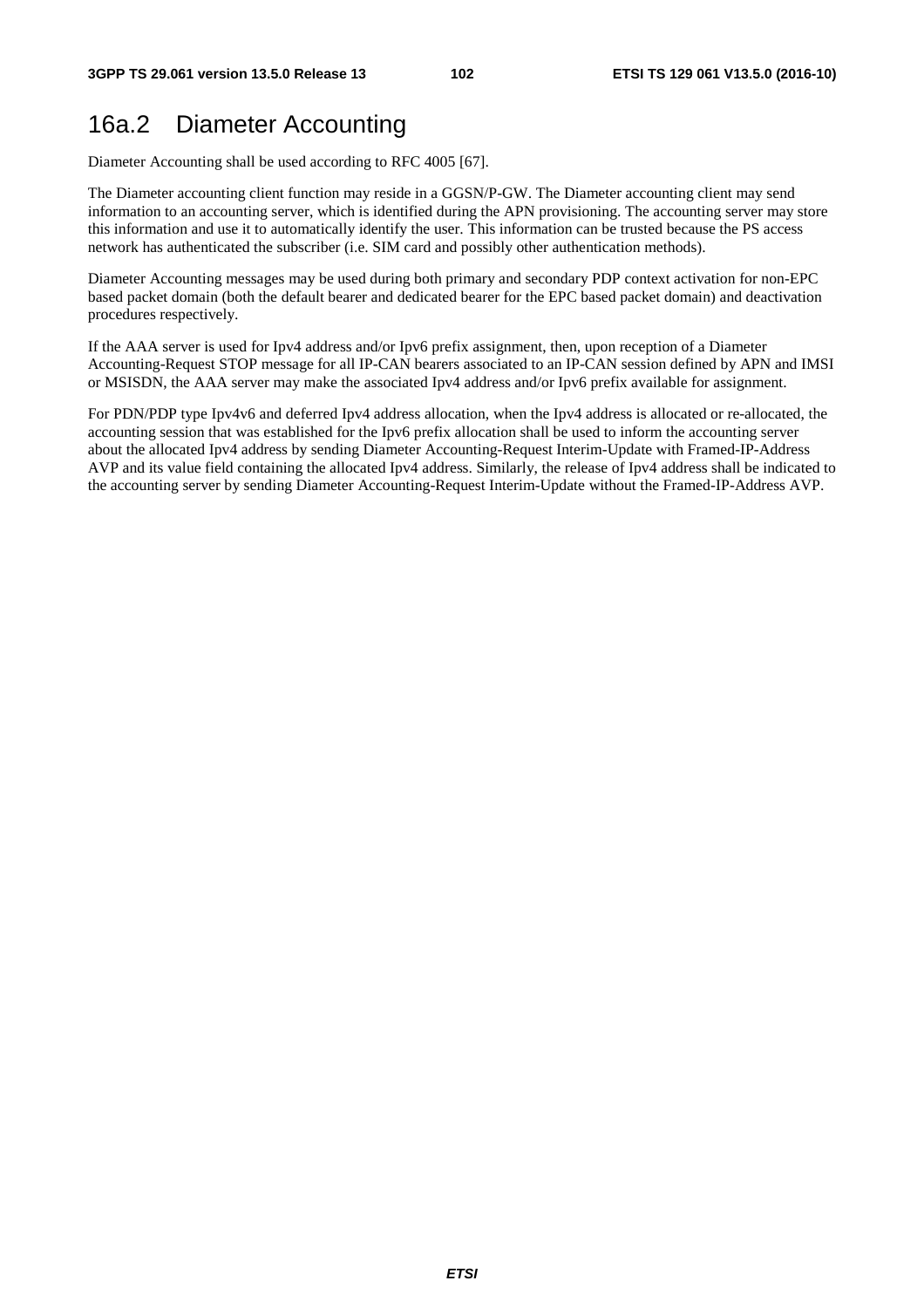# 16a.2 Diameter Accounting

Diameter Accounting shall be used according to RFC 4005 [67].

The Diameter accounting client function may reside in a GGSN/P-GW. The Diameter accounting client may send information to an accounting server, which is identified during the APN provisioning. The accounting server may store this information and use it to automatically identify the user. This information can be trusted because the PS access network has authenticated the subscriber (i.e. SIM card and possibly other authentication methods).

Diameter Accounting messages may be used during both primary and secondary PDP context activation for non-EPC based packet domain (both the default bearer and dedicated bearer for the EPC based packet domain) and deactivation procedures respectively.

If the AAA server is used for Ipv4 address and/or Ipv6 prefix assignment, then, upon reception of a Diameter Accounting-Request STOP message for all IP-CAN bearers associated to an IP-CAN session defined by APN and IMSI or MSISDN, the AAA server may make the associated Ipv4 address and/or Ipv6 prefix available for assignment.

For PDN/PDP type Ipv4v6 and deferred Ipv4 address allocation, when the Ipv4 address is allocated or re-allocated, the accounting session that was established for the Ipv6 prefix allocation shall be used to inform the accounting server about the allocated Ipv4 address by sending Diameter Accounting-Request Interim-Update with Framed-IP-Address AVP and its value field containing the allocated Ipv4 address. Similarly, the release of Ipv4 address shall be indicated to the accounting server by sending Diameter Accounting-Request Interim-Update without the Framed-IP-Address AVP.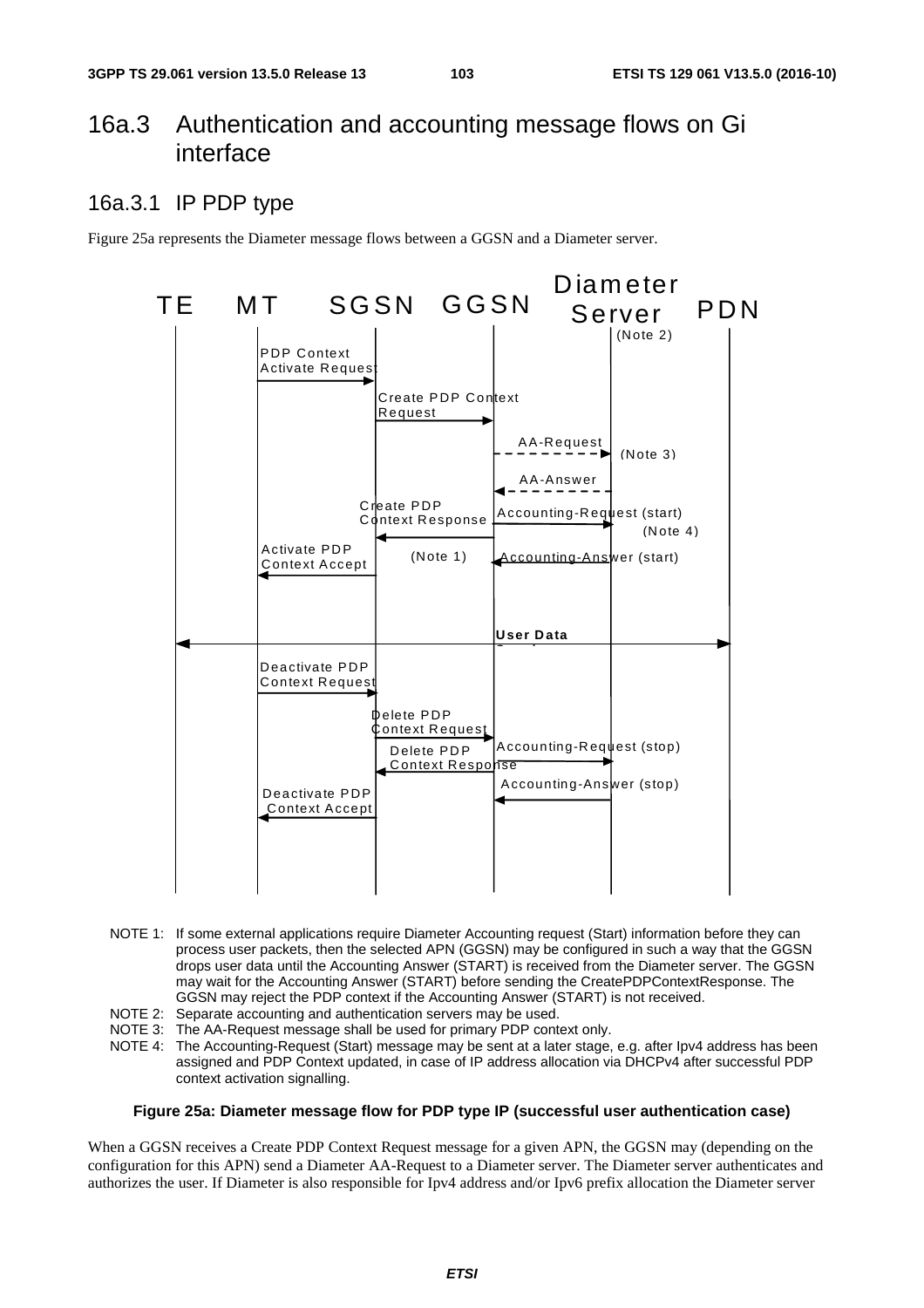# 16a.3 Authentication and accounting message flows on Gi interface

# 16a.3.1 IP PDP type

Figure 25a represents the Diameter message flows between a GGSN and a Diameter server.



- NOTE 1: If some external applications require Diameter Accounting request (Start) information before they can process user packets, then the selected APN (GGSN) may be configured in such a way that the GGSN drops user data until the Accounting Answer (START) is received from the Diameter server. The GGSN may wait for the Accounting Answer (START) before sending the CreatePDPContextResponse. The GGSN may reject the PDP context if the Accounting Answer (START) is not received.
- NOTE 2: Separate accounting and authentication servers may be used.
- NOTE 3: The AA-Request message shall be used for primary PDP context only.
- NOTE 4: The Accounting-Request (Start) message may be sent at a later stage, e.g. after Ipv4 address has been assigned and PDP Context updated, in case of IP address allocation via DHCPv4 after successful PDP context activation signalling.

#### **Figure 25a: Diameter message flow for PDP type IP (successful user authentication case)**

When a GGSN receives a Create PDP Context Request message for a given APN, the GGSN may (depending on the configuration for this APN) send a Diameter AA-Request to a Diameter server. The Diameter server authenticates and authorizes the user. If Diameter is also responsible for Ipv4 address and/or Ipv6 prefix allocation the Diameter server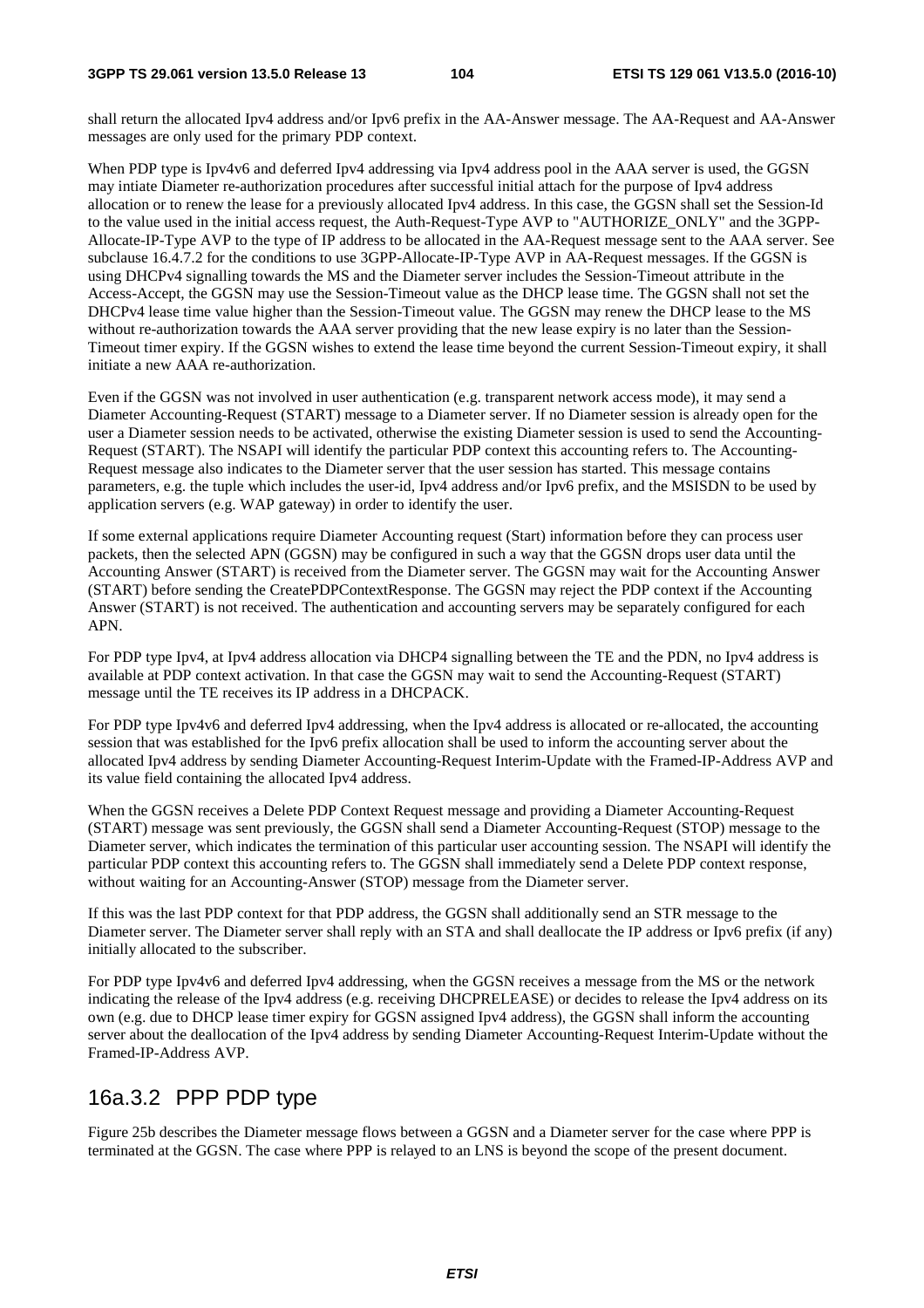shall return the allocated Ipv4 address and/or Ipv6 prefix in the AA-Answer message. The AA-Request and AA-Answer messages are only used for the primary PDP context.

When PDP type is Ipv4v6 and deferred Ipv4 addressing via Ipv4 address pool in the AAA server is used, the GGSN may intiate Diameter re-authorization procedures after successful initial attach for the purpose of Ipv4 address allocation or to renew the lease for a previously allocated Ipv4 address. In this case, the GGSN shall set the Session-Id to the value used in the initial access request, the Auth-Request-Type AVP to "AUTHORIZE\_ONLY" and the 3GPP-Allocate-IP-Type AVP to the type of IP address to be allocated in the AA-Request message sent to the AAA server. See subclause 16.4.7.2 for the conditions to use 3GPP-Allocate-IP-Type AVP in AA-Request messages. If the GGSN is using DHCPv4 signalling towards the MS and the Diameter server includes the Session-Timeout attribute in the Access-Accept, the GGSN may use the Session-Timeout value as the DHCP lease time. The GGSN shall not set the DHCPv4 lease time value higher than the Session-Timeout value. The GGSN may renew the DHCP lease to the MS without re-authorization towards the AAA server providing that the new lease expiry is no later than the Session-Timeout timer expiry. If the GGSN wishes to extend the lease time beyond the current Session-Timeout expiry, it shall initiate a new AAA re-authorization.

Even if the GGSN was not involved in user authentication (e.g. transparent network access mode), it may send a Diameter Accounting-Request (START) message to a Diameter server. If no Diameter session is already open for the user a Diameter session needs to be activated, otherwise the existing Diameter session is used to send the Accounting-Request (START). The NSAPI will identify the particular PDP context this accounting refers to. The Accounting-Request message also indicates to the Diameter server that the user session has started. This message contains parameters, e.g. the tuple which includes the user-id, Ipv4 address and/or Ipv6 prefix, and the MSISDN to be used by application servers (e.g. WAP gateway) in order to identify the user.

If some external applications require Diameter Accounting request (Start) information before they can process user packets, then the selected APN (GGSN) may be configured in such a way that the GGSN drops user data until the Accounting Answer (START) is received from the Diameter server. The GGSN may wait for the Accounting Answer (START) before sending the CreatePDPContextResponse. The GGSN may reject the PDP context if the Accounting Answer (START) is not received. The authentication and accounting servers may be separately configured for each APN.

For PDP type Ipv4, at Ipv4 address allocation via DHCP4 signalling between the TE and the PDN, no Ipv4 address is available at PDP context activation. In that case the GGSN may wait to send the Accounting-Request (START) message until the TE receives its IP address in a DHCPACK.

For PDP type Ipv4v6 and deferred Ipv4 addressing, when the Ipv4 address is allocated or re-allocated, the accounting session that was established for the Ipv6 prefix allocation shall be used to inform the accounting server about the allocated Ipv4 address by sending Diameter Accounting-Request Interim-Update with the Framed-IP-Address AVP and its value field containing the allocated Ipv4 address.

When the GGSN receives a Delete PDP Context Request message and providing a Diameter Accounting-Request (START) message was sent previously, the GGSN shall send a Diameter Accounting-Request (STOP) message to the Diameter server, which indicates the termination of this particular user accounting session. The NSAPI will identify the particular PDP context this accounting refers to. The GGSN shall immediately send a Delete PDP context response, without waiting for an Accounting-Answer (STOP) message from the Diameter server.

If this was the last PDP context for that PDP address, the GGSN shall additionally send an STR message to the Diameter server. The Diameter server shall reply with an STA and shall deallocate the IP address or Ipv6 prefix (if any) initially allocated to the subscriber.

For PDP type Ipv4v6 and deferred Ipv4 addressing, when the GGSN receives a message from the MS or the network indicating the release of the Ipv4 address (e.g. receiving DHCPRELEASE) or decides to release the Ipv4 address on its own (e.g. due to DHCP lease timer expiry for GGSN assigned Ipv4 address), the GGSN shall inform the accounting server about the deallocation of the Ipv4 address by sending Diameter Accounting-Request Interim-Update without the Framed-IP-Address AVP.

# 16a.3.2 PPP PDP type

Figure 25b describes the Diameter message flows between a GGSN and a Diameter server for the case where PPP is terminated at the GGSN. The case where PPP is relayed to an LNS is beyond the scope of the present document.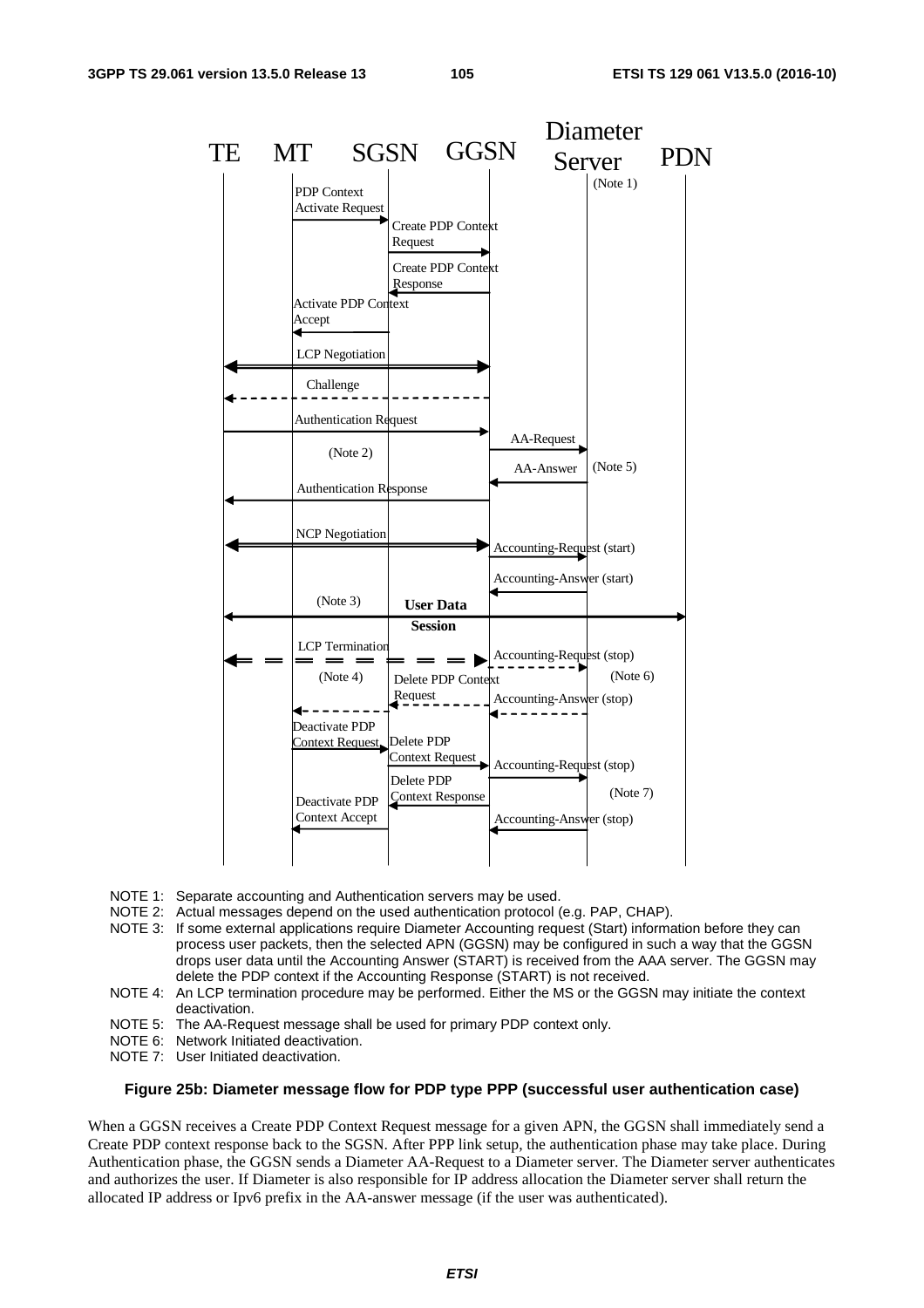

- NOTE 1: Separate accounting and Authentication servers may be used.
- NOTE 2: Actual messages depend on the used authentication protocol (e.g. PAP, CHAP).
- NOTE 3: If some external applications require Diameter Accounting request (Start) information before they can process user packets, then the selected APN (GGSN) may be configured in such a way that the GGSN drops user data until the Accounting Answer (START) is received from the AAA server. The GGSN may delete the PDP context if the Accounting Response (START) is not received.
- NOTE 4: An LCP termination procedure may be performed. Either the MS or the GGSN may initiate the context deactivation.
- NOTE 5: The AA-Request message shall be used for primary PDP context only.
- NOTE 6: Network Initiated deactivation.
- NOTE 7: User Initiated deactivation.

#### **Figure 25b: Diameter message flow for PDP type PPP (successful user authentication case)**

When a GGSN receives a Create PDP Context Request message for a given APN, the GGSN shall immediately send a Create PDP context response back to the SGSN. After PPP link setup, the authentication phase may take place. During Authentication phase, the GGSN sends a Diameter AA-Request to a Diameter server. The Diameter server authenticates and authorizes the user. If Diameter is also responsible for IP address allocation the Diameter server shall return the allocated IP address or Ipv6 prefix in the AA-answer message (if the user was authenticated).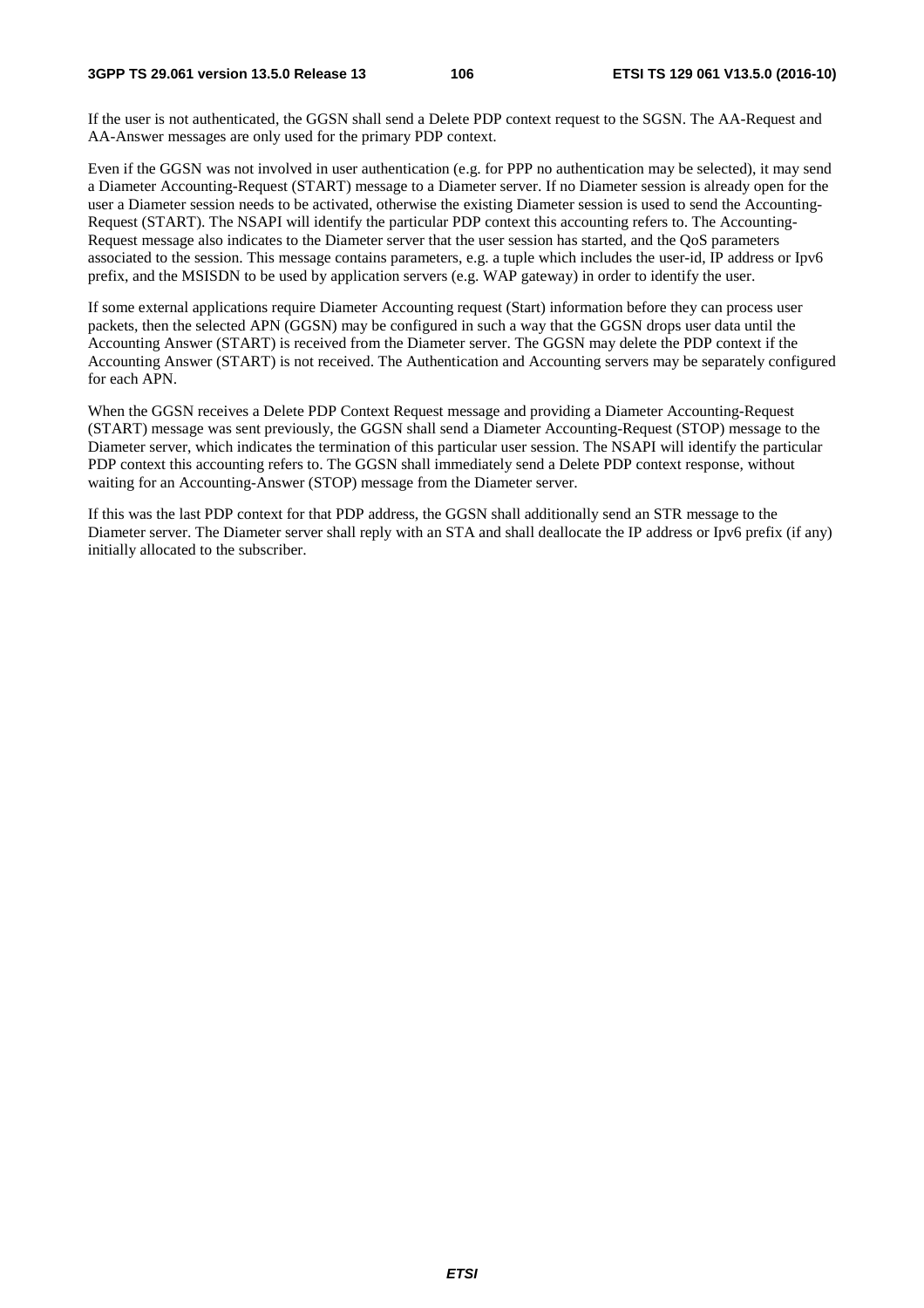#### **3GPP TS 29.061 version 13.5.0 Release 13 106 ETSI TS 129 061 V13.5.0 (2016-10)**

If the user is not authenticated, the GGSN shall send a Delete PDP context request to the SGSN. The AA-Request and AA-Answer messages are only used for the primary PDP context.

Even if the GGSN was not involved in user authentication (e.g. for PPP no authentication may be selected), it may send a Diameter Accounting-Request (START) message to a Diameter server. If no Diameter session is already open for the user a Diameter session needs to be activated, otherwise the existing Diameter session is used to send the Accounting-Request (START). The NSAPI will identify the particular PDP context this accounting refers to. The Accounting-Request message also indicates to the Diameter server that the user session has started, and the QoS parameters associated to the session. This message contains parameters, e.g. a tuple which includes the user-id, IP address or Ipv6 prefix, and the MSISDN to be used by application servers (e.g. WAP gateway) in order to identify the user.

If some external applications require Diameter Accounting request (Start) information before they can process user packets, then the selected APN (GGSN) may be configured in such a way that the GGSN drops user data until the Accounting Answer (START) is received from the Diameter server. The GGSN may delete the PDP context if the Accounting Answer (START) is not received. The Authentication and Accounting servers may be separately configured for each APN.

When the GGSN receives a Delete PDP Context Request message and providing a Diameter Accounting-Request (START) message was sent previously, the GGSN shall send a Diameter Accounting-Request (STOP) message to the Diameter server, which indicates the termination of this particular user session. The NSAPI will identify the particular PDP context this accounting refers to. The GGSN shall immediately send a Delete PDP context response, without waiting for an Accounting-Answer (STOP) message from the Diameter server.

If this was the last PDP context for that PDP address, the GGSN shall additionally send an STR message to the Diameter server. The Diameter server shall reply with an STA and shall deallocate the IP address or Ipv6 prefix (if any) initially allocated to the subscriber.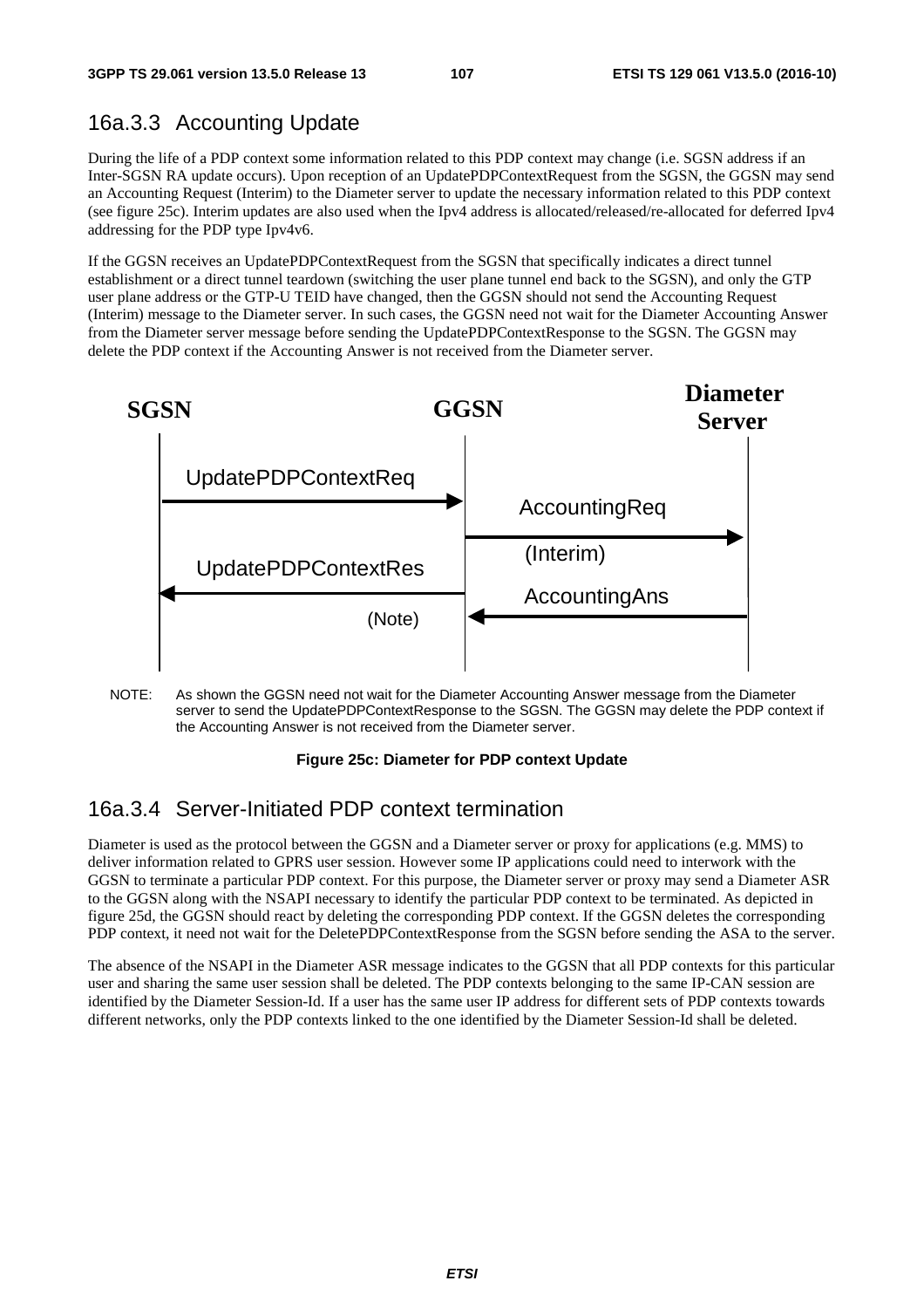# 16a.3.3 Accounting Update

During the life of a PDP context some information related to this PDP context may change (i.e. SGSN address if an Inter-SGSN RA update occurs). Upon reception of an UpdatePDPContextRequest from the SGSN, the GGSN may send an Accounting Request (Interim) to the Diameter server to update the necessary information related to this PDP context (see figure 25c). Interim updates are also used when the Ipv4 address is allocated/released/re-allocated for deferred Ipv4 addressing for the PDP type Ipv4v6.

If the GGSN receives an UpdatePDPContextRequest from the SGSN that specifically indicates a direct tunnel establishment or a direct tunnel teardown (switching the user plane tunnel end back to the SGSN), and only the GTP user plane address or the GTP-U TEID have changed, then the GGSN should not send the Accounting Request (Interim) message to the Diameter server. In such cases, the GGSN need not wait for the Diameter Accounting Answer from the Diameter server message before sending the UpdatePDPContextResponse to the SGSN. The GGSN may delete the PDP context if the Accounting Answer is not received from the Diameter server.



NOTE: As shown the GGSN need not wait for the Diameter Accounting Answer message from the Diameter server to send the UpdatePDPContextResponse to the SGSN. The GGSN may delete the PDP context if the Accounting Answer is not received from the Diameter server.

#### **Figure 25c: Diameter for PDP context Update**

# 16a.3.4 Server-Initiated PDP context termination

Diameter is used as the protocol between the GGSN and a Diameter server or proxy for applications (e.g. MMS) to deliver information related to GPRS user session. However some IP applications could need to interwork with the GGSN to terminate a particular PDP context. For this purpose, the Diameter server or proxy may send a Diameter ASR to the GGSN along with the NSAPI necessary to identify the particular PDP context to be terminated. As depicted in figure 25d, the GGSN should react by deleting the corresponding PDP context. If the GGSN deletes the corresponding PDP context, it need not wait for the DeletePDPContextResponse from the SGSN before sending the ASA to the server.

The absence of the NSAPI in the Diameter ASR message indicates to the GGSN that all PDP contexts for this particular user and sharing the same user session shall be deleted. The PDP contexts belonging to the same IP-CAN session are identified by the Diameter Session-Id. If a user has the same user IP address for different sets of PDP contexts towards different networks, only the PDP contexts linked to the one identified by the Diameter Session-Id shall be deleted.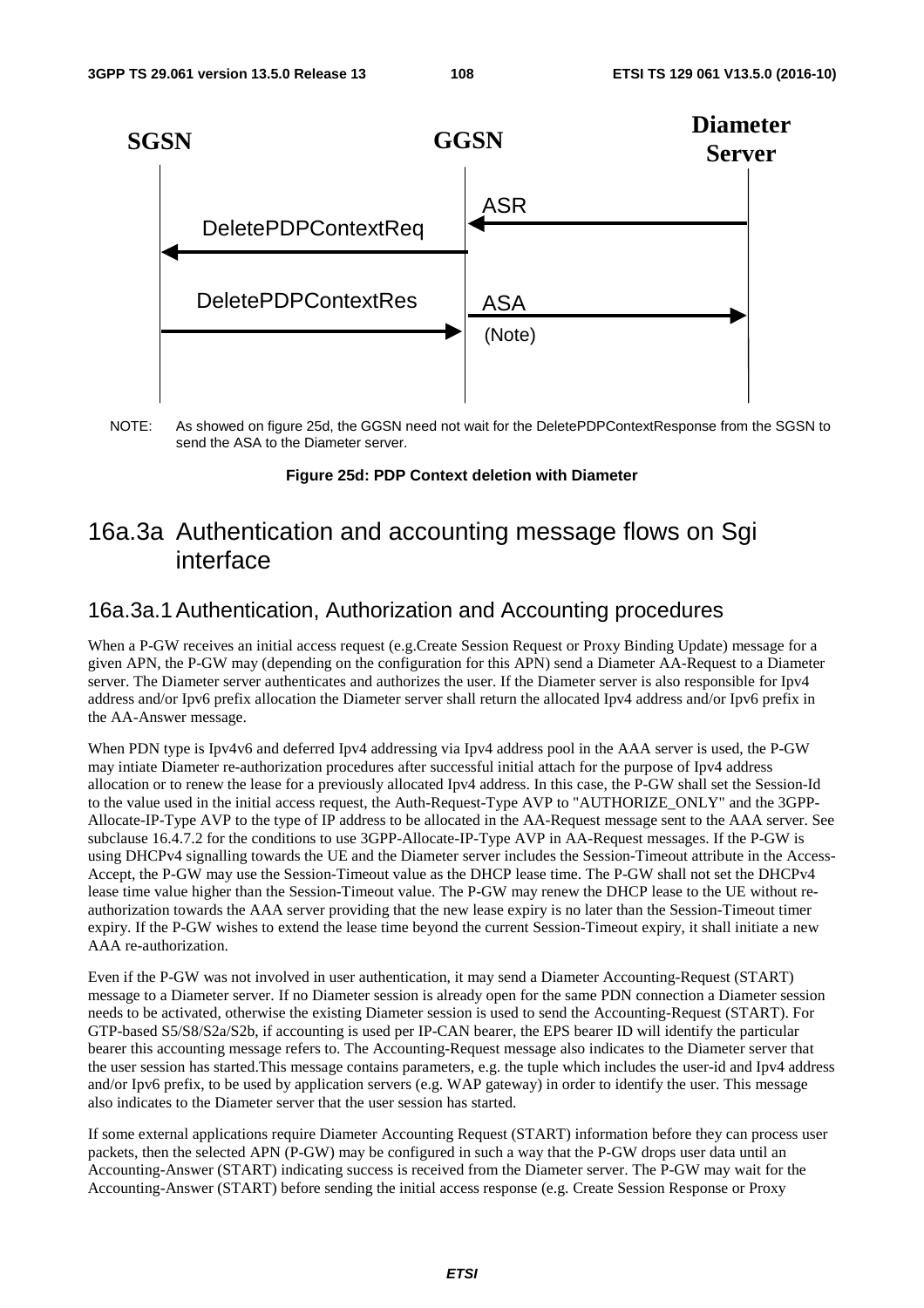

NOTE: As showed on figure 25d, the GGSN need not wait for the DeletePDPContextResponse from the SGSN to send the ASA to the Diameter server.

#### **Figure 25d: PDP Context deletion with Diameter**

# 16a.3a Authentication and accounting message flows on Sgi interface

#### 16a.3a.1 Authentication, Authorization and Accounting procedures

When a P-GW receives an initial access request (e.g.Create Session Request or Proxy Binding Update) message for a given APN, the P-GW may (depending on the configuration for this APN) send a Diameter AA-Request to a Diameter server. The Diameter server authenticates and authorizes the user. If the Diameter server is also responsible for Ipv4 address and/or Ipv6 prefix allocation the Diameter server shall return the allocated Ipv4 address and/or Ipv6 prefix in the AA-Answer message.

When PDN type is Ipv4v6 and deferred Ipv4 addressing via Ipv4 address pool in the AAA server is used, the P-GW may intiate Diameter re-authorization procedures after successful initial attach for the purpose of Ipv4 address allocation or to renew the lease for a previously allocated Ipv4 address. In this case, the P-GW shall set the Session-Id to the value used in the initial access request, the Auth-Request-Type AVP to "AUTHORIZE\_ONLY" and the 3GPP-Allocate-IP-Type AVP to the type of IP address to be allocated in the AA-Request message sent to the AAA server. See subclause 16.4.7.2 for the conditions to use 3GPP-Allocate-IP-Type AVP in AA-Request messages. If the P-GW is using DHCPv4 signalling towards the UE and the Diameter server includes the Session-Timeout attribute in the Access-Accept, the P-GW may use the Session-Timeout value as the DHCP lease time. The P-GW shall not set the DHCPv4 lease time value higher than the Session-Timeout value. The P-GW may renew the DHCP lease to the UE without reauthorization towards the AAA server providing that the new lease expiry is no later than the Session-Timeout timer expiry. If the P-GW wishes to extend the lease time beyond the current Session-Timeout expiry, it shall initiate a new AAA re-authorization.

Even if the P-GW was not involved in user authentication, it may send a Diameter Accounting-Request (START) message to a Diameter server. If no Diameter session is already open for the same PDN connection a Diameter session needs to be activated, otherwise the existing Diameter session is used to send the Accounting-Request (START). For GTP-based S5/S8/S2a/S2b, if accounting is used per IP-CAN bearer, the EPS bearer ID will identify the particular bearer this accounting message refers to. The Accounting-Request message also indicates to the Diameter server that the user session has started.This message contains parameters, e.g. the tuple which includes the user-id and Ipv4 address and/or Ipv6 prefix, to be used by application servers (e.g. WAP gateway) in order to identify the user. This message also indicates to the Diameter server that the user session has started.

If some external applications require Diameter Accounting Request (START) information before they can process user packets, then the selected APN (P-GW) may be configured in such a way that the P-GW drops user data until an Accounting-Answer (START) indicating success is received from the Diameter server. The P-GW may wait for the Accounting-Answer (START) before sending the initial access response (e.g. Create Session Response or Proxy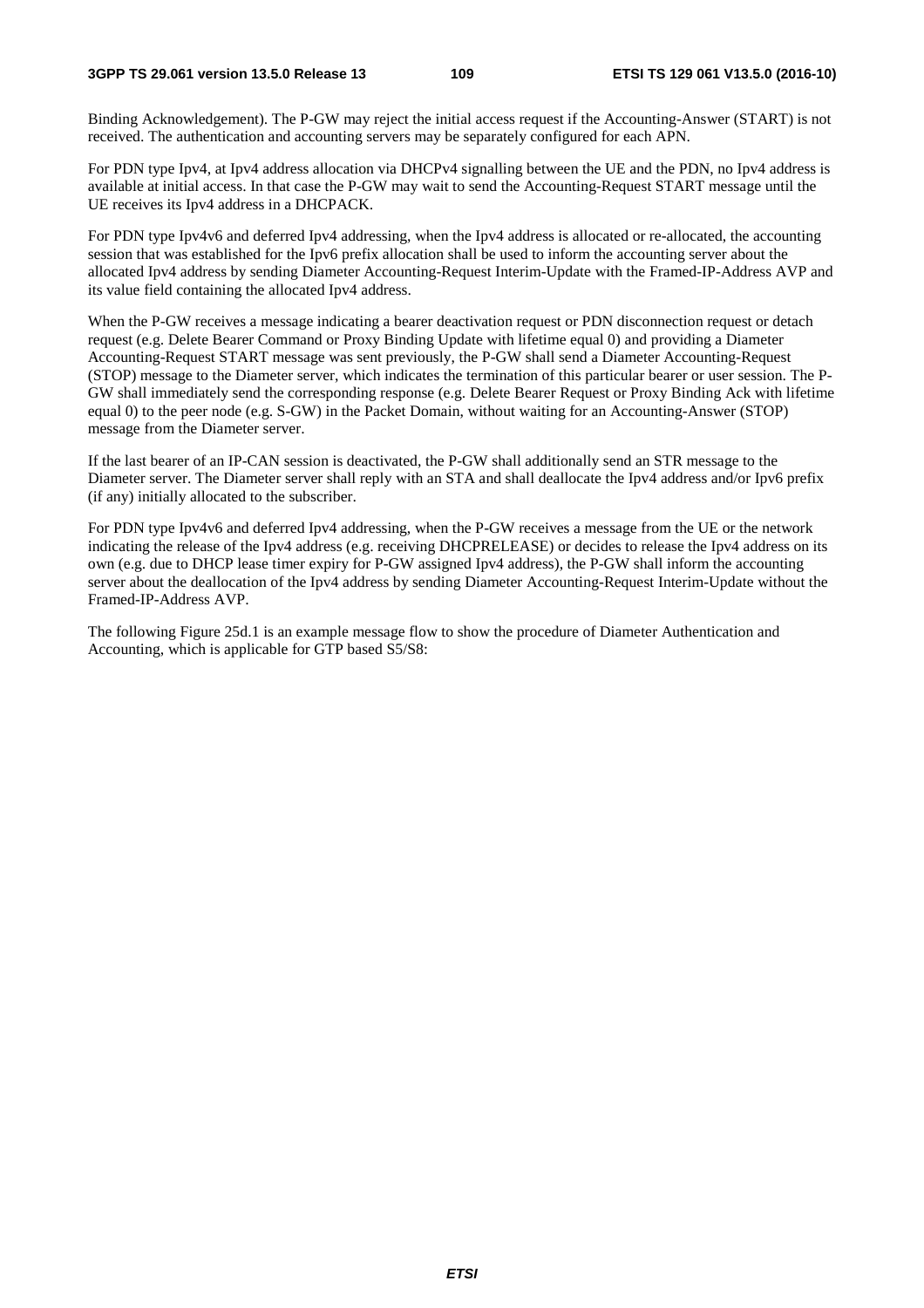Binding Acknowledgement). The P-GW may reject the initial access request if the Accounting-Answer (START) is not received. The authentication and accounting servers may be separately configured for each APN.

For PDN type Ipv4, at Ipv4 address allocation via DHCPv4 signalling between the UE and the PDN, no Ipv4 address is available at initial access. In that case the P-GW may wait to send the Accounting-Request START message until the UE receives its Ipv4 address in a DHCPACK.

For PDN type Ipv4v6 and deferred Ipv4 addressing, when the Ipv4 address is allocated or re-allocated, the accounting session that was established for the Ipv6 prefix allocation shall be used to inform the accounting server about the allocated Ipv4 address by sending Diameter Accounting-Request Interim-Update with the Framed-IP-Address AVP and its value field containing the allocated Ipv4 address.

When the P-GW receives a message indicating a bearer deactivation request or PDN disconnection request or detach request (e.g. Delete Bearer Command or Proxy Binding Update with lifetime equal 0) and providing a Diameter Accounting-Request START message was sent previously, the P-GW shall send a Diameter Accounting-Request (STOP) message to the Diameter server, which indicates the termination of this particular bearer or user session. The P-GW shall immediately send the corresponding response (e.g. Delete Bearer Request or Proxy Binding Ack with lifetime equal 0) to the peer node (e.g. S-GW) in the Packet Domain, without waiting for an Accounting-Answer (STOP) message from the Diameter server.

If the last bearer of an IP-CAN session is deactivated, the P-GW shall additionally send an STR message to the Diameter server. The Diameter server shall reply with an STA and shall deallocate the Ipv4 address and/or Ipv6 prefix (if any) initially allocated to the subscriber.

For PDN type Ipv4v6 and deferred Ipv4 addressing, when the P-GW receives a message from the UE or the network indicating the release of the Ipv4 address (e.g. receiving DHCPRELEASE) or decides to release the Ipv4 address on its own (e.g. due to DHCP lease timer expiry for P-GW assigned Ipv4 address), the P-GW shall inform the accounting server about the deallocation of the Ipv4 address by sending Diameter Accounting-Request Interim-Update without the Framed-IP-Address AVP.

The following Figure 25d.1 is an example message flow to show the procedure of Diameter Authentication and Accounting, which is applicable for GTP based S5/S8: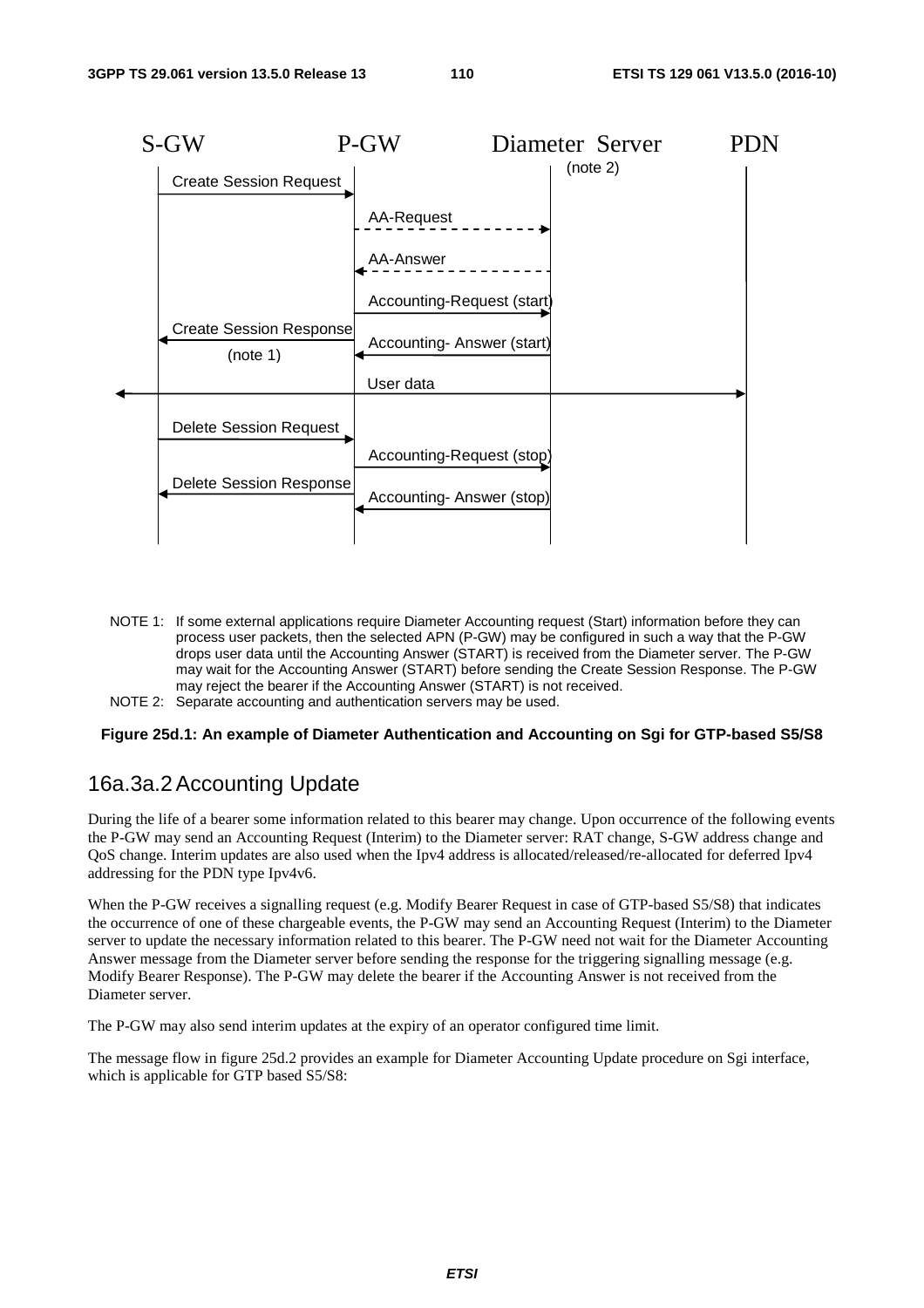

- NOTE 1: If some external applications require Diameter Accounting request (Start) information before they can process user packets, then the selected APN (P-GW) may be configured in such a way that the P-GW drops user data until the Accounting Answer (START) is received from the Diameter server. The P-GW may wait for the Accounting Answer (START) before sending the Create Session Response. The P-GW may reject the bearer if the Accounting Answer (START) is not received.
- NOTE 2: Separate accounting and authentication servers may be used.

#### **Figure 25d.1: An example of Diameter Authentication and Accounting on Sgi for GTP-based S5/S8**

#### 16a.3a.2 Accounting Update

During the life of a bearer some information related to this bearer may change. Upon occurrence of the following events the P-GW may send an Accounting Request (Interim) to the Diameter server: RAT change, S-GW address change and QoS change. Interim updates are also used when the Ipv4 address is allocated/released/re-allocated for deferred Ipv4 addressing for the PDN type Ipv4v6.

When the P-GW receives a signalling request (e.g. Modify Bearer Request in case of GTP-based S5/S8) that indicates the occurrence of one of these chargeable events, the P-GW may send an Accounting Request (Interim) to the Diameter server to update the necessary information related to this bearer. The P-GW need not wait for the Diameter Accounting Answer message from the Diameter server before sending the response for the triggering signalling message (e.g. Modify Bearer Response). The P-GW may delete the bearer if the Accounting Answer is not received from the Diameter server.

The P-GW may also send interim updates at the expiry of an operator configured time limit.

The message flow in figure 25d.2 provides an example for Diameter Accounting Update procedure on Sgi interface, which is applicable for GTP based S5/S8: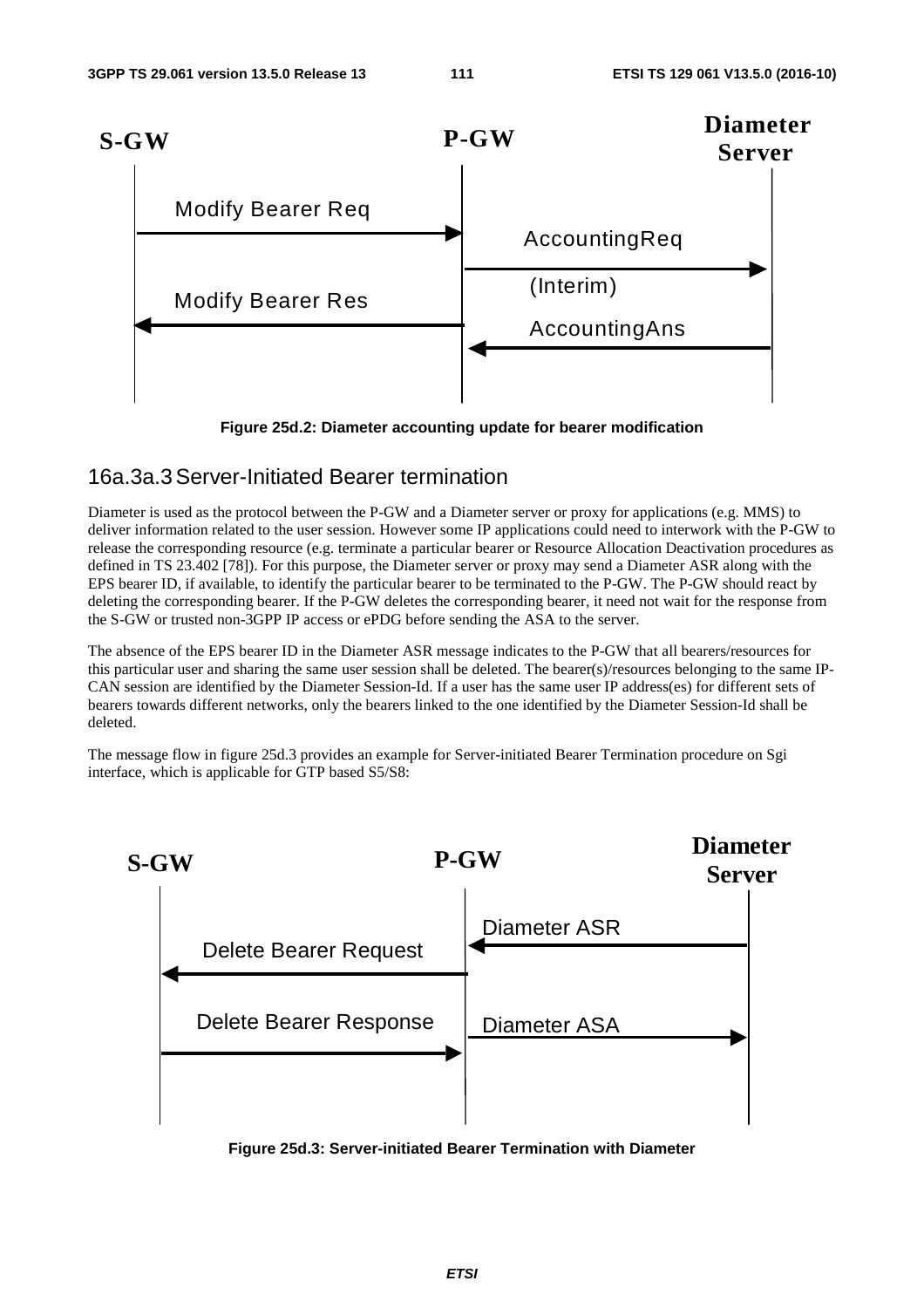

**Figure 25d.2: Diameter accounting update for bearer modification** 

#### 16a.3a.3 Server-Initiated Bearer termination

Diameter is used as the protocol between the P-GW and a Diameter server or proxy for applications (e.g. MMS) to deliver information related to the user session. However some IP applications could need to interwork with the P-GW to release the corresponding resource (e.g. terminate a particular bearer or Resource Allocation Deactivation procedures as defined in TS 23.402 [78]). For this purpose, the Diameter server or proxy may send a Diameter ASR along with the EPS bearer ID, if available, to identify the particular bearer to be terminated to the P-GW. The P-GW should react by deleting the corresponding bearer. If the P-GW deletes the corresponding bearer, it need not wait for the response from the S-GW or trusted non-3GPP IP access or ePDG before sending the ASA to the server.

The absence of the EPS bearer ID in the Diameter ASR message indicates to the P-GW that all bearers/resources for this particular user and sharing the same user session shall be deleted. The bearer(s)/resources belonging to the same IP-CAN session are identified by the Diameter Session-Id. If a user has the same user IP address(es) for different sets of bearers towards different networks, only the bearers linked to the one identified by the Diameter Session-Id shall be deleted.

The message flow in figure 25d.3 provides an example for Server-initiated Bearer Termination procedure on Sgi interface, which is applicable for GTP based S5/S8:



**Figure 25d.3: Server-initiated Bearer Termination with Diameter**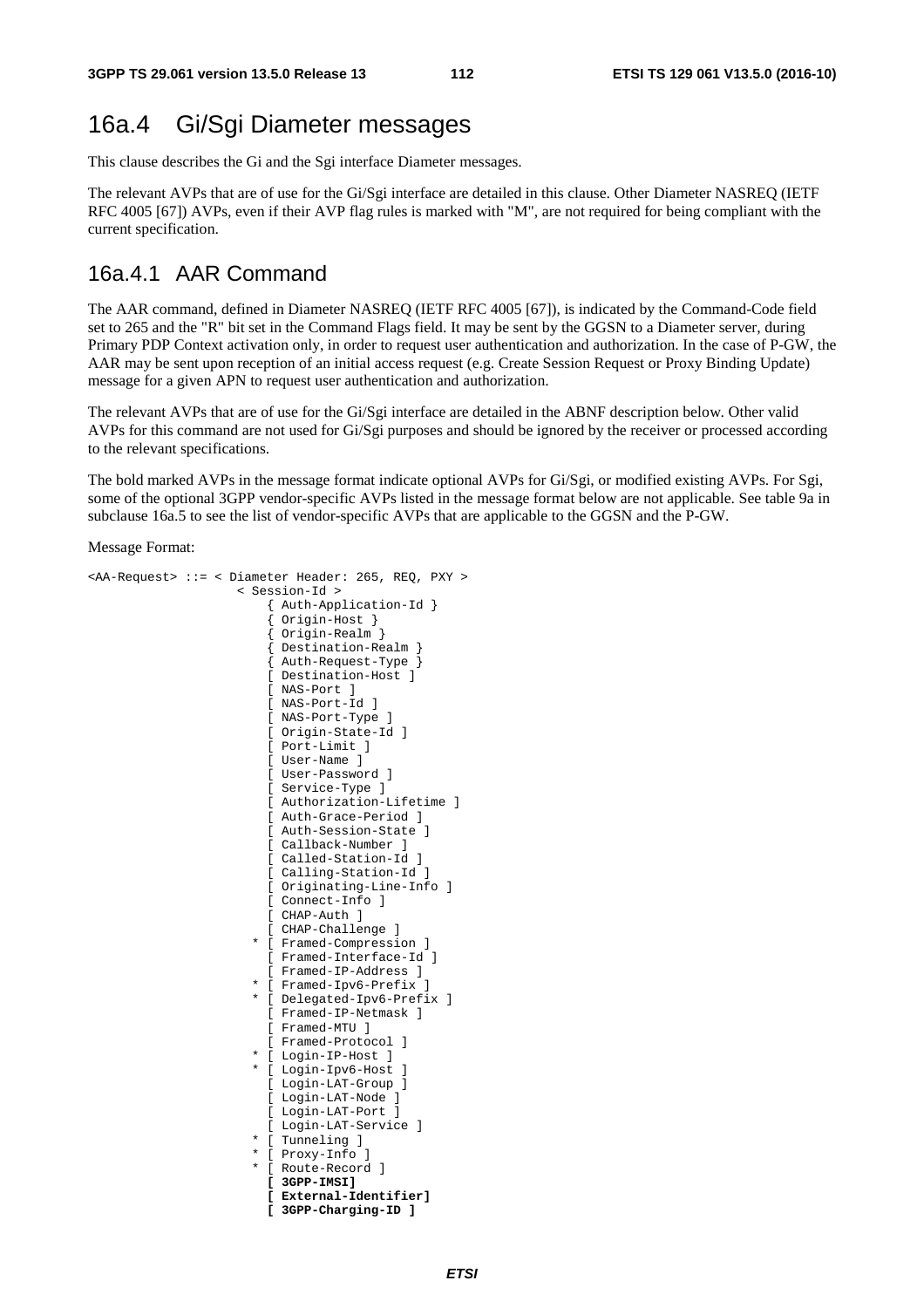# 16a.4 Gi/Sgi Diameter messages

This clause describes the Gi and the Sgi interface Diameter messages.

The relevant AVPs that are of use for the Gi/Sgi interface are detailed in this clause. Other Diameter NASREQ (IETF RFC 4005 [67]) AVPs, even if their AVP flag rules is marked with "M", are not required for being compliant with the current specification.

## 16a.4.1 AAR Command

The AAR command, defined in Diameter NASREQ (IETF RFC 4005 [67]), is indicated by the Command-Code field set to 265 and the "R" bit set in the Command Flags field. It may be sent by the GGSN to a Diameter server, during Primary PDP Context activation only, in order to request user authentication and authorization. In the case of P-GW, the AAR may be sent upon reception of an initial access request (e.g. Create Session Request or Proxy Binding Update) message for a given APN to request user authentication and authorization.

The relevant AVPs that are of use for the Gi/Sgi interface are detailed in the ABNF description below. Other valid AVPs for this command are not used for Gi/Sgi purposes and should be ignored by the receiver or processed according to the relevant specifications.

The bold marked AVPs in the message format indicate optional AVPs for Gi/Sgi, or modified existing AVPs. For Sgi, some of the optional 3GPP vendor-specific AVPs listed in the message format below are not applicable. See table 9a in subclause 16a.5 to see the list of vendor-specific AVPs that are applicable to the GGSN and the P-GW.

```
<AA-Request> ::= < Diameter Header: 265, REQ, PXY > 
                       < Session-Id > 
                            { Auth-Application-Id } 
                            { Origin-Host } 
                            { Origin-Realm } 
                            { Destination-Realm } 
                            { Auth-Request-Type } 
                            [ Destination-Host ] 
                            [ NAS-Port ] 
                            [ NAS-Port-Id ] 
                            [ NAS-Port-Type ] 
                            [ Origin-State-Id ] 
                            [ Port-Limit ] 
                           [ User-Name ] 
                            [ User-Password ] 
                            [ Service-Type ] 
                           [ Authorization-Lifetime ] 
                            [ Auth-Grace-Period ] 
                            [ Auth-Session-State ] 
                            [ Callback-Number ] 
                           [ Called-Station-Id ] 
                            [ Calling-Station-Id ] 
                            [ Originating-Line-Info ] 
                            [ Connect-Info ] 
                            [ CHAP-Auth ] 
                           [ CHAP-Challenge ] 
                          * [ Framed-Compression ] 
                            [ Framed-Interface-Id ] 
                            [ Framed-IP-Address ] 
                          * [ Framed-Ipv6-Prefix ] 
                          * [ Delegated-Ipv6-Prefix ] 
                            [ Framed-IP-Netmask ] 
                            [ Framed-MTU ] 
                           [ Framed-Protocol ] 
                          * [ Login-IP-Host ] 
                          [ Login-Ipv6-Host ]
                            [ Login-LAT-Group ] 
                            [ Login-LAT-Node ] 
                           [ Login-LAT-Port ] 
                           [ Login-LAT-Service ] 
                          * [ Tunneling ] 
                          * [ Proxy-Info ] 
                         * [ Route-Record ] 
                           [ 3GPP-IMSI] 
                           [ External-Identifier] 
                           [ 3GPP-Charging-ID ]
```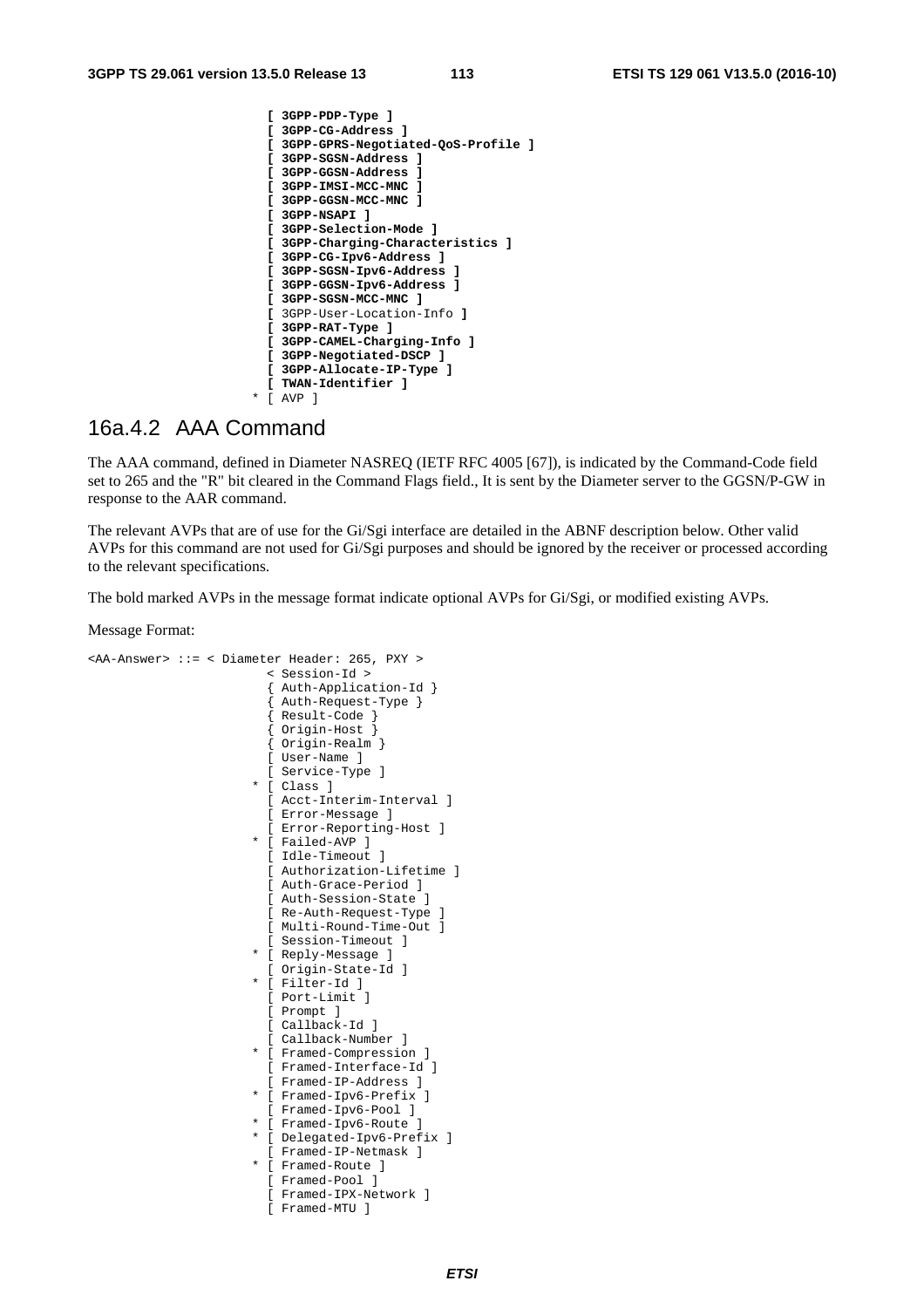```
 [ 3GPP-PDP-Type ] 
 [ 3GPP-CG-Address ] 
 [ 3GPP-GPRS-Negotiated-QoS-Profile ] 
 [ 3GPP-SGSN-Address ] 
 [ 3GPP-GGSN-Address ] 
 [ 3GPP-IMSI-MCC-MNC ] 
 [ 3GPP-GGSN-MCC-MNC ] 
 [ 3GPP-NSAPI ] 
 [ 3GPP-Selection-Mode ] 
 [ 3GPP-Charging-Characteristics ] 
 [ 3GPP-CG-Ipv6-Address ] 
 [ 3GPP-SGSN-Ipv6-Address ] 
 [ 3GPP-GGSN-Ipv6-Address ] 
 [ 3GPP-SGSN-MCC-MNC ] 
 [ 3GPP-User-Location-Info ] 
  [ 3GPP-RAT-Type ] 
 [ 3GPP-CAMEL-Charging-Info ] 
 [ 3GPP-Negotiated-DSCP ] 
 [ 3GPP-Allocate-IP-Type ] 
 [ TWAN-Identifier ] 
* [ AVP ]
```
## 16a.4.2 AAA Command

The AAA command, defined in Diameter NASREQ (IETF RFC 4005 [67]), is indicated by the Command-Code field set to 265 and the "R" bit cleared in the Command Flags field., It is sent by the Diameter server to the GGSN/P-GW in response to the AAR command.

The relevant AVPs that are of use for the Gi/Sgi interface are detailed in the ABNF description below. Other valid AVPs for this command are not used for Gi/Sgi purposes and should be ignored by the receiver or processed according to the relevant specifications.

The bold marked AVPs in the message format indicate optional AVPs for Gi/Sgi, or modified existing AVPs.

```
<AA-Answer> ::= < Diameter Header: 265, PXY > 
                           < Session-Id > 
                            { Auth-Application-Id } 
                            { Auth-Request-Type } 
                            { Result-Code } 
                             { Origin-Host } 
                            { Origin-Realm } 
                            [ User-Name ] 
                           [ Service-Type ] 
                          * [ Class ] 
                           [ Acct-Interim-Interval ] 
                           [ Error-Message ] 
                           [ Error-Reporting-Host ] 
                          * [ Failed-AVP ] 
                           [ Idle-Timeout ] 
                            [ Authorization-Lifetime ] 
                           [ Auth-Grace-Period ] 
                           [ Auth-Session-State ] 
                           [ Re-Auth-Request-Type ] 
                           [ Multi-Round-Time-Out ] 
                            [ Session-Timeout ] 
                         * [ Reply-Message ] 
                           [ Origin-State-Id ] 
                          * [ Filter-Id ] 
                           [ Port-Limit ] 
                           [ Prompt ] 
                           [ Callback-Id ] 
                           [ Callback-Number ] 
                          * [ Framed-Compression ] 
                           [ Framed-Interface-Id ] 
                           [ Framed-IP-Address ] 
                          * [ Framed-Ipv6-Prefix ] 
                           [ Framed-Ipv6-Pool ] 
                          * [ Framed-Ipv6-Route ] 
                         * [ Delegated-Ipv6-Prefix ] 
                           [ Framed-IP-Netmask ] 
                          * [ Framed-Route ] 
                           [ Framed-Pool ] 
                            [ Framed-IPX-Network ] 
                            [ Framed-MTU ]
```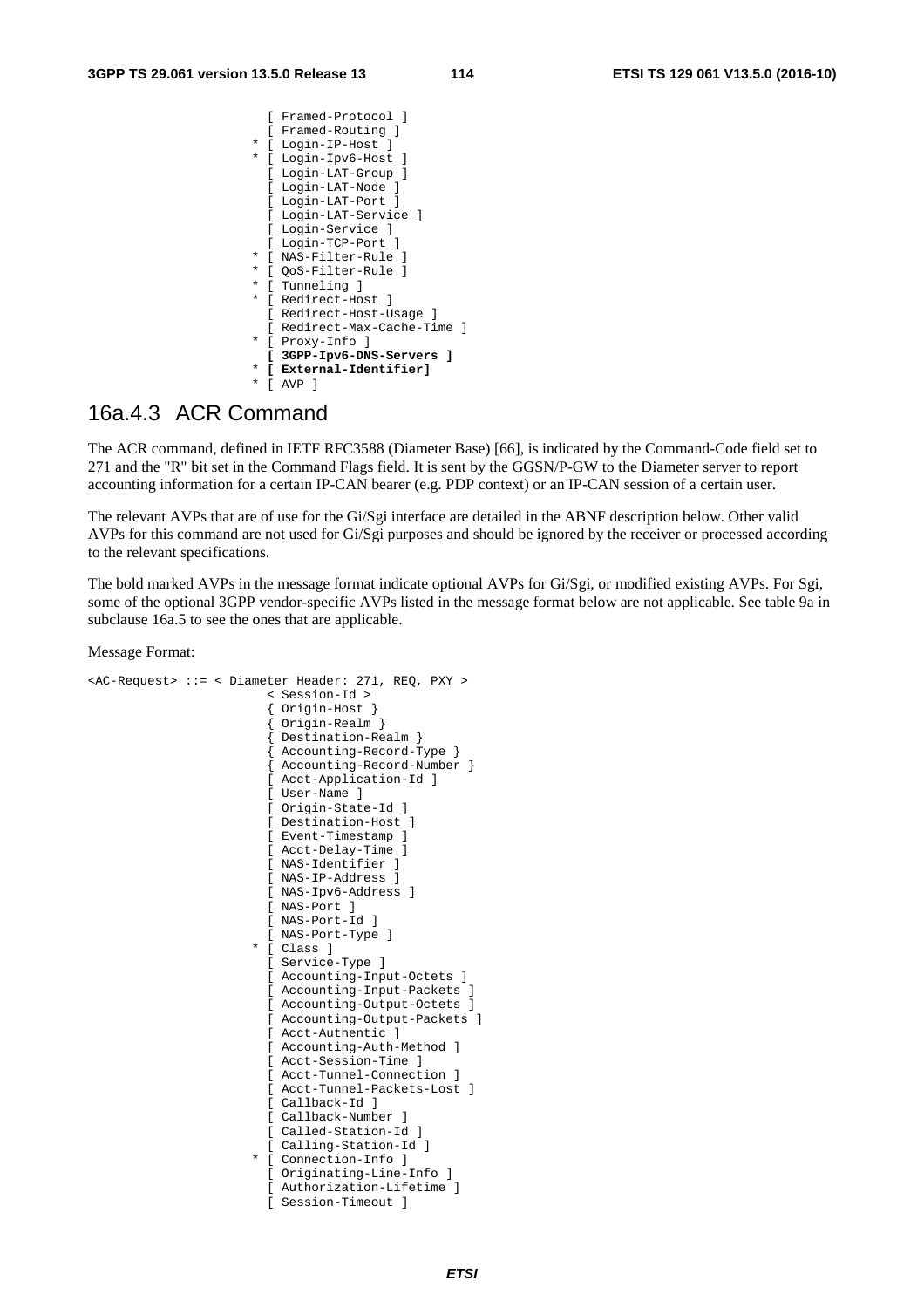|        | Framed-Protocol 1         |
|--------|---------------------------|
|        | Framed-Routing ]          |
| *      | [ Login-IP-Host ]         |
| *      | [ Login-Ipv6-Host ]       |
|        | Login-LAT-Group ]         |
|        | [ Login-LAT-Node ]        |
|        | [ Login-LAT-Port ]        |
|        | Login-LAT-Service ]       |
|        | Login-Service ]           |
|        | [ Login-TCP-Port ]        |
| *      | [ NAS-Filter-Rule ]       |
| $\ast$ | [ OoS-Filter-Rule ]       |
| *      | [ Tunneling ]             |
| *      |                           |
|        | [ Redirect-Host ]         |
|        | Redirect-Host-Usage ]     |
|        | Redirect-Max-Cache-Time 1 |
| *      | Proxy-Info ]              |
|        | 3GPP-Ipv6-DNS-Servers ]   |
| *      | External-Identifierl      |
| *      | AVP                       |

#### 16a.4.3 ACR Command

The ACR command, defined in IETF RFC3588 (Diameter Base) [66], is indicated by the Command-Code field set to 271 and the "R" bit set in the Command Flags field. It is sent by the GGSN/P-GW to the Diameter server to report accounting information for a certain IP-CAN bearer (e.g. PDP context) or an IP-CAN session of a certain user.

The relevant AVPs that are of use for the Gi/Sgi interface are detailed in the ABNF description below. Other valid AVPs for this command are not used for Gi/Sgi purposes and should be ignored by the receiver or processed according to the relevant specifications.

The bold marked AVPs in the message format indicate optional AVPs for Gi/Sgi, or modified existing AVPs. For Sgi, some of the optional 3GPP vendor-specific AVPs listed in the message format below are not applicable. See table 9a in subclause 16a.5 to see the ones that are applicable.

Message Format:

```
<AC-Request> ::= < Diameter Header: 271, REQ, PXY > 
                           < Session-Id > 
                           { Origin-Host } 
                           { Origin-Realm } 
                            { Destination-Realm } 
                            { Accounting-Record-Type } 
                           { Accounting-Record-Number } 
                           [ Acct-Application-Id ] 
                           [ User-Name ] 
                           [ Origin-State-Id ] 
                           [ Destination-Host ] 
                           [ Event-Timestamp ] 
                           [ Acct-Delay-Time ] 
                          [ NAS-Identifier ]
                           [ NAS-IP-Address ] 
                           [ NAS-Ipv6-Address ] 
                           [ NAS-Port ] 
                           [ NAS-Port-Id ] 
                           [ NAS-Port-Type ] 
                         * [ Class ] 
                           [ Service-Type ] 
                           [ Accounting-Input-Octets ] 
                           [ Accounting-Input-Packets ] 
                           [ Accounting-Output-Octets ] 
                           [ Accounting-Output-Packets ] 
                          [ Acct-Authentic ]
                           [ Accounting-Auth-Method ] 
                           [ Acct-Session-Time ] 
                           [ Acct-Tunnel-Connection ] 
                           [ Acct-Tunnel-Packets-Lost ] 
                           [ Callback-Id ] 
                           [ Callback-Number ] 
                           [ Called-Station-Id ] 
                           [ Calling-Station-Id ] 
                         * [ Connection-Info ] 
                           [ Originating-Line-Info ] 
                           [ Authorization-Lifetime ]
```
[ Session-Timeout ]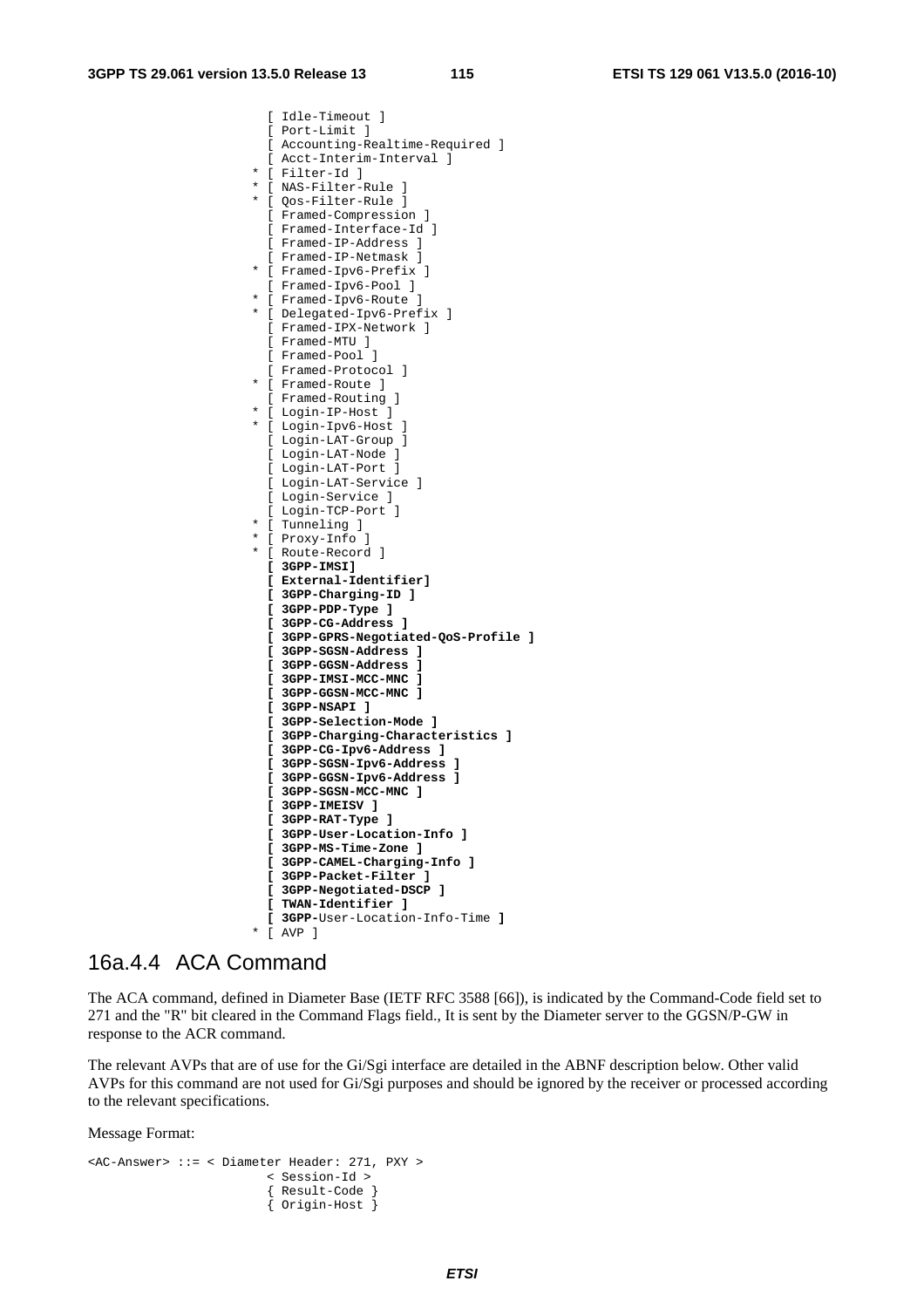[ Idle-Timeout ] [ Port-Limit ] [ Accounting-Realtime-Required ] [ Acct-Interim-Interval ] \* [ Filter-Id ] \* [ NAS-Filter-Rule ] \* [ Qos-Filter-Rule ] [ Framed-Compression ] [ Framed-Interface-Id ] [ Framed-IP-Address ] [ Framed-IP-Netmask ] \* [ Framed-Ipv6-Prefix ] [ Framed-Ipv6-Pool ] \* [ Framed-Ipv6-Route ] \* [ Delegated-Ipv6-Prefix ] [ Framed-IPX-Network ] [ Framed-MTU ] [ Framed-Pool ] [ Framed-Protocol ] \* [ Framed-Route ] [ Framed-Routing ] \* [ Login-IP-Host ] \* [ Login-Ipv6-Host ] [ Login-LAT-Group ] [ Login-LAT-Node ] [ Login-LAT-Port ] [ Login-LAT-Service ] [ Login-Service ] [ Login-TCP-Port ] \* [ Tunneling ] \* [ Proxy-Info ] \* [ Route-Record ]  **[ 3GPP-IMSI] [ External-Identifier] [ 3GPP-Charging-ID ] [ 3GPP-PDP-Type ] [ 3GPP-CG-Address ] [ 3GPP-GPRS-Negotiated-QoS-Profile ] [ 3GPP-SGSN-Address ] [ 3GPP-GGSN-Address ] [ 3GPP-IMSI-MCC-MNC ] [ 3GPP-GGSN-MCC-MNC ] [ 3GPP-NSAPI ] [ 3GPP-Selection-Mode ] [ 3GPP-Charging-Characteristics ] [ 3GPP-CG-Ipv6-Address ] [ 3GPP-SGSN-Ipv6-Address ] [ 3GPP-GGSN-Ipv6-Address ] [ 3GPP-SGSN-MCC-MNC ] [ 3GPP-IMEISV ] [ 3GPP-RAT-Type ] [ 3GPP-User-Location-Info ] [ 3GPP-MS-Time-Zone ] [ 3GPP-CAMEL-Charging-Info ] [ 3GPP-Packet-Filter ] [ 3GPP-Negotiated-DSCP ] [ TWAN-Identifier ] [ 3GPP-**User-Location-Info-Time **]**  \* [ AVP ]

#### 16a.4.4 ACA Command

The ACA command, defined in Diameter Base (IETF RFC 3588 [66]), is indicated by the Command-Code field set to 271 and the "R" bit cleared in the Command Flags field., It is sent by the Diameter server to the GGSN/P-GW in response to the ACR command.

The relevant AVPs that are of use for the Gi/Sgi interface are detailed in the ABNF description below. Other valid AVPs for this command are not used for Gi/Sgi purposes and should be ignored by the receiver or processed according to the relevant specifications.

```
<AC-Answer> ::= < Diameter Header: 271, PXY > 
                           < Session-Id > 
                           { Result-Code } 
                           { Origin-Host }
```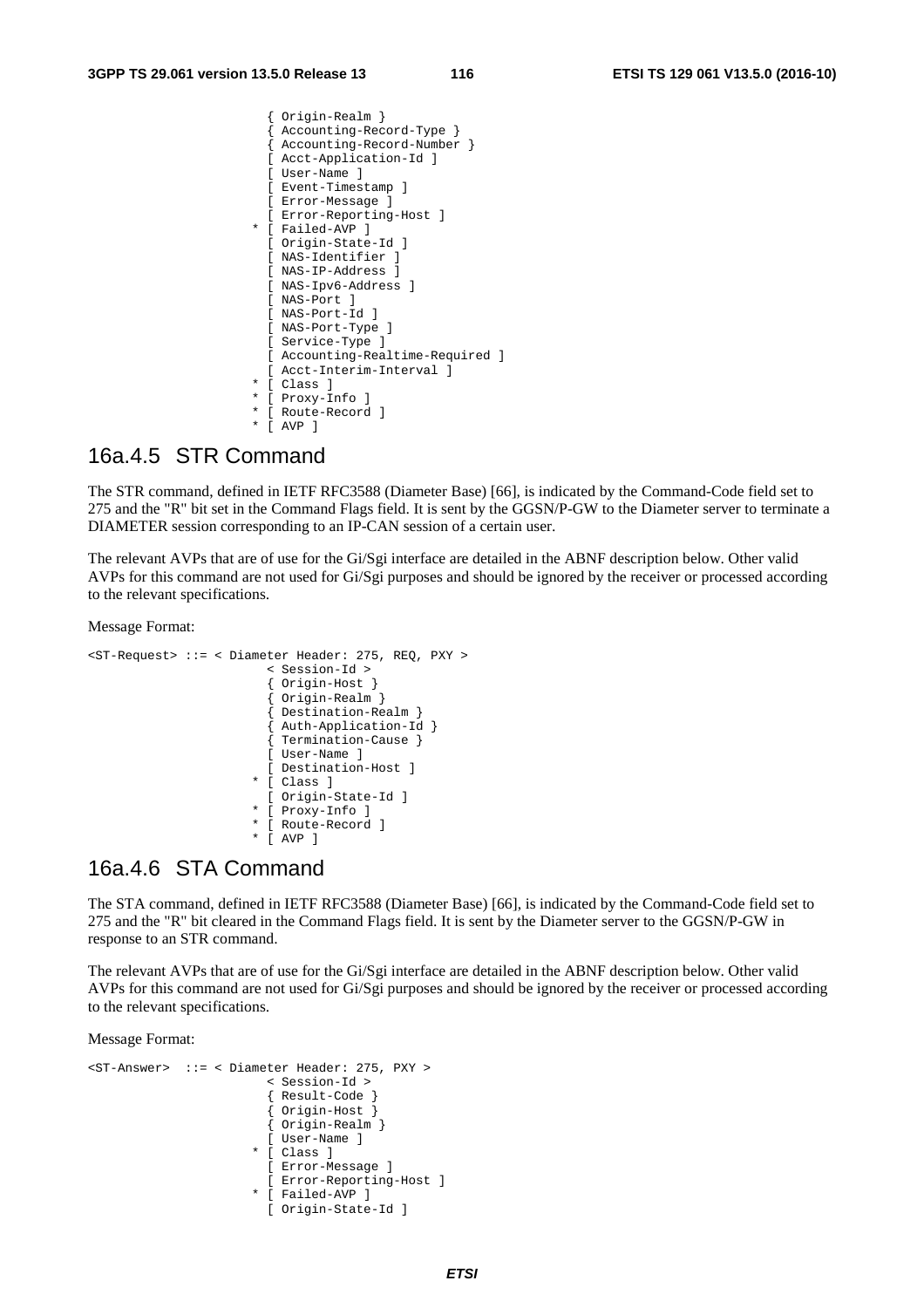```
 { Origin-Realm } 
   { Accounting-Record-Type } 
   { Accounting-Record-Number } 
  [ Acct-Application-Id ] 
  [ User-Name ] 
 [ Event-Timestamp
  [ Error-Message ] 
  [ Error-Reporting-Host ] 
 * [ Failed-AVP ] 
  [ Origin-State-Id ] 
  [ NAS-Identifier ] 
  [ NAS-IP-Address ] 
  [ NAS-Ipv6-Address ] 
  [ NAS-Port ] 
  [ NAS-Port-Id ] 
  [ NAS-Port-Type ] 
  [ Service-Type ] 
   [ Accounting-Realtime-Required ] 
  [ Acct-Interim-Interval ] 
 * [ Class ] 
 * [ Proxy-Info ] 
 * [ Route-Record ] 
 * [ AVP ]
```
#### 16a.4.5 STR Command

The STR command, defined in IETF RFC3588 (Diameter Base) [66], is indicated by the Command-Code field set to 275 and the "R" bit set in the Command Flags field. It is sent by the GGSN/P-GW to the Diameter server to terminate a DIAMETER session corresponding to an IP-CAN session of a certain user.

The relevant AVPs that are of use for the Gi/Sgi interface are detailed in the ABNF description below. Other valid AVPs for this command are not used for Gi/Sgi purposes and should be ignored by the receiver or processed according to the relevant specifications.

Message Format:

```
<ST-Request> ::= < Diameter Header: 275, REQ, PXY > 
                            < Session-Id > 
                            { Origin-Host } 
                              { Origin-Realm } 
                            { Destination-Realm } 
                            { Auth-Application-Id } 
                            { Termination-Cause } 
                            [ User-Name ] 
                            [ Destination-Host ] 
                          * [ Class ] 
                            [ Origin-State-Id ] 
                          * [ Proxy-Info ] 
                          * [ Route-Record ] 
                          * [ AVP ]
```
#### 16a.4.6 STA Command

The STA command, defined in IETF RFC3588 (Diameter Base) [66], is indicated by the Command-Code field set to 275 and the "R" bit cleared in the Command Flags field. It is sent by the Diameter server to the GGSN/P-GW in response to an STR command.

The relevant AVPs that are of use for the Gi/Sgi interface are detailed in the ABNF description below. Other valid AVPs for this command are not used for Gi/Sgi purposes and should be ignored by the receiver or processed according to the relevant specifications.

```
<ST-Answer> ::= < Diameter Header: 275, PXY > 
                           < Session-Id > 
                            { Result-Code } 
                            { Origin-Host } 
                            { Origin-Realm } 
                            [ User-Name ] 
                          * [ Class ] 
                           [ Error-Message ] 
                           [ Error-Reporting-Host ] 
                          * [ Failed-AVP ] 
                            [ Origin-State-Id ]
```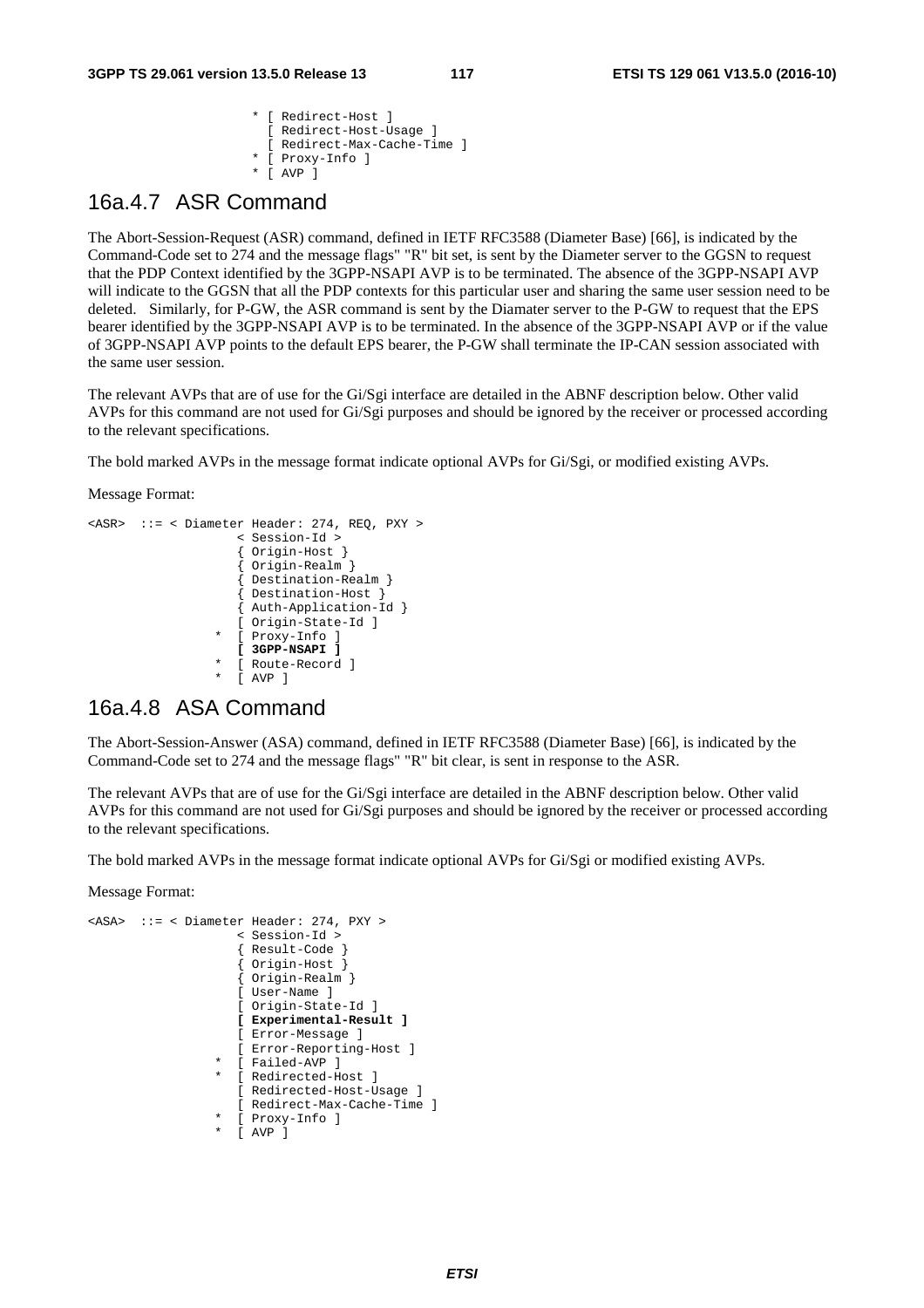\* [ Redirect-Host ] [ Redirect-Host-Usage ] [ Redirect-Max-Cache-Time ] [ Proxy-Info ] \* [ AVP ]

#### 16a.4.7 ASR Command

The Abort-Session-Request (ASR) command, defined in IETF RFC3588 (Diameter Base) [66], is indicated by the Command-Code set to 274 and the message flags" "R" bit set, is sent by the Diameter server to the GGSN to request that the PDP Context identified by the 3GPP-NSAPI AVP is to be terminated. The absence of the 3GPP-NSAPI AVP will indicate to the GGSN that all the PDP contexts for this particular user and sharing the same user session need to be deleted. Similarly, for P-GW, the ASR command is sent by the Diamater server to the P-GW to request that the EPS bearer identified by the 3GPP-NSAPI AVP is to be terminated. In the absence of the 3GPP-NSAPI AVP or if the value of 3GPP-NSAPI AVP points to the default EPS bearer, the P-GW shall terminate the IP-CAN session associated with the same user session.

The relevant AVPs that are of use for the Gi/Sgi interface are detailed in the ABNF description below. Other valid AVPs for this command are not used for Gi/Sgi purposes and should be ignored by the receiver or processed according to the relevant specifications.

The bold marked AVPs in the message format indicate optional AVPs for Gi/Sgi, or modified existing AVPs.

Message Format:

```
<ASR> ::= < Diameter Header: 274, REQ, PXY > 
                      < Session-Id > 
                       { Origin-Host } 
                        { Origin-Realm } 
                       { Destination-Realm } 
                       { Destination-Host } 
                       { Auth-Application-Id } 
                       [ Origin-State-Id ] 
                     [ Proxy-Info ]
                       [ 3GPP-NSAPI ] 
                     [ Route-Record ]
                     [ AYP ]
```
## 16a.4.8 ASA Command

The Abort-Session-Answer (ASA) command, defined in IETF RFC3588 (Diameter Base) [66], is indicated by the Command-Code set to 274 and the message flags" "R" bit clear, is sent in response to the ASR.

The relevant AVPs that are of use for the Gi/Sgi interface are detailed in the ABNF description below. Other valid AVPs for this command are not used for Gi/Sgi purposes and should be ignored by the receiver or processed according to the relevant specifications.

The bold marked AVPs in the message format indicate optional AVPs for Gi/Sgi or modified existing AVPs.

```
<ASA> ::= < Diameter Header: 274, PXY > 
                    < Session-Id > 
                     { Result-Code } 
                     { Origin-Host } 
                     { Origin-Realm } 
                    [ User-Name ] 
                    [ Origin-State-Id ] 
                    [ Experimental-Result ] 
                    [ Error-Message ] 
                    [ Error-Reporting-Host ] 
                   [ Failed-AVP ]
                  * [ Redirected-Host ] 
                    [ Redirected-Host-Usage ] 
                    [ Redirect-Max-Cache-Time ] 
 * [ Proxy-Info ] 
 * [ AVP ]
```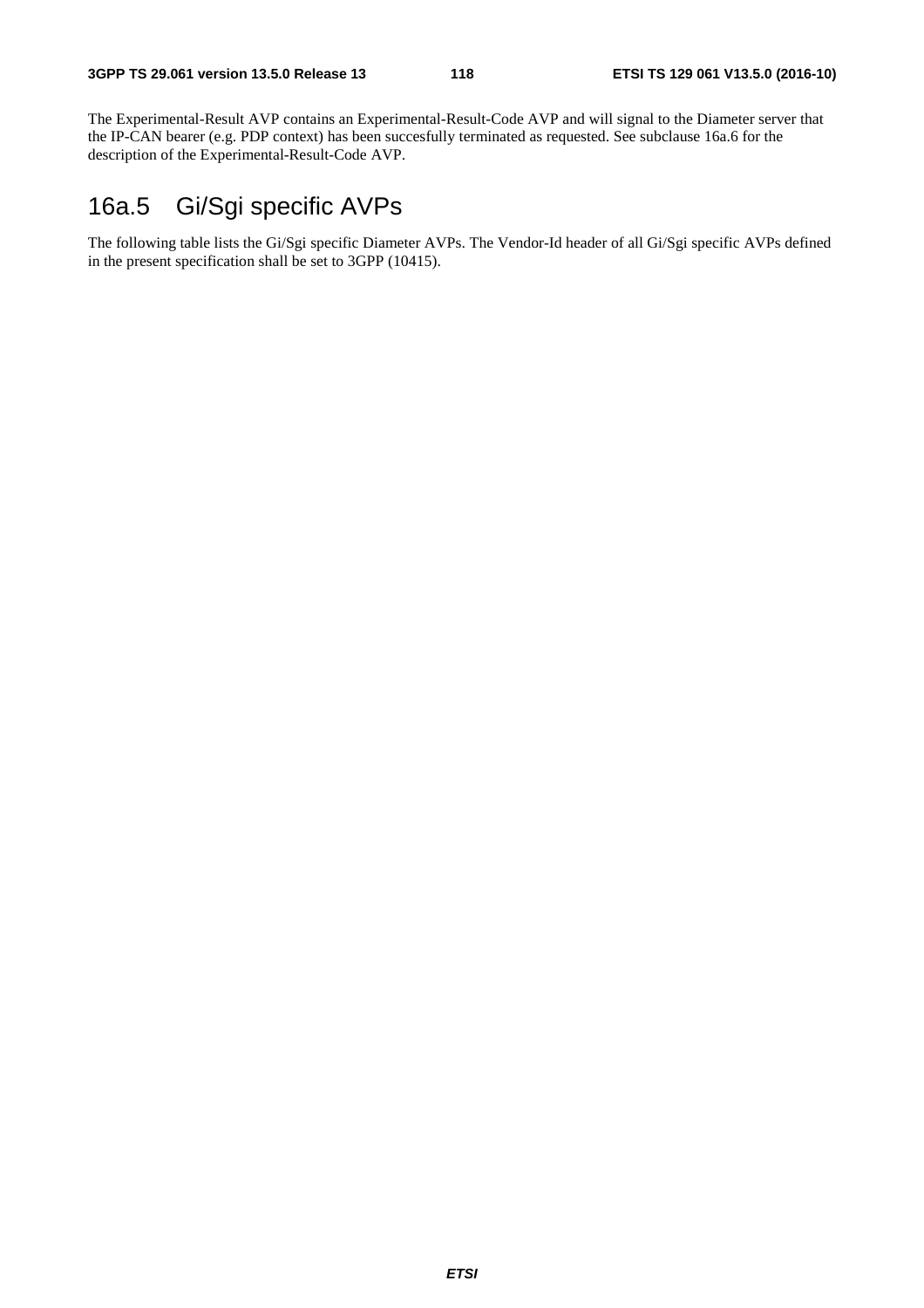The Experimental-Result AVP contains an Experimental-Result-Code AVP and will signal to the Diameter server that the IP-CAN bearer (e.g. PDP context) has been succesfully terminated as requested. See subclause 16a.6 for the description of the Experimental-Result-Code AVP.

# 16a.5 Gi/Sgi specific AVPs

The following table lists the Gi/Sgi specific Diameter AVPs. The Vendor-Id header of all Gi/Sgi specific AVPs defined in the present specification shall be set to 3GPP (10415).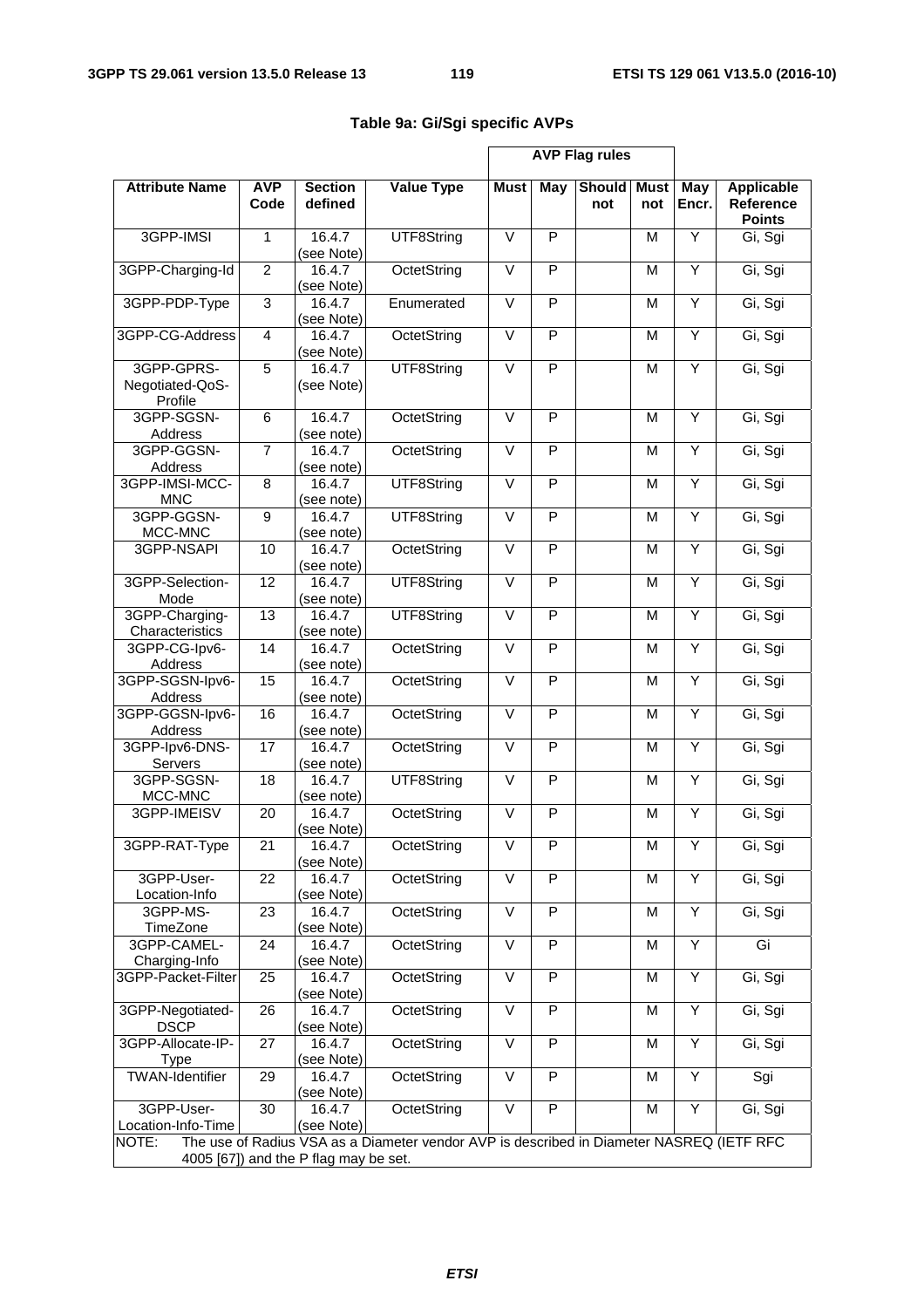|                                          | <b>AVP Flag rules</b> |                                       |                                                                                          |                   |                         |                      |                    |              |                                                        |  |
|------------------------------------------|-----------------------|---------------------------------------|------------------------------------------------------------------------------------------|-------------------|-------------------------|----------------------|--------------------|--------------|--------------------------------------------------------|--|
| <b>Attribute Name</b>                    | <b>AVP</b><br>Code    | <b>Section</b><br>defined             | <b>Value Type</b>                                                                        | <b>Must</b>       | May                     | <b>Should</b><br>not | <b>Must</b><br>not | May<br>Encr. | <b>Applicable</b><br><b>Reference</b><br><b>Points</b> |  |
| 3GPP-IMSI                                | 1                     | 16.4.7<br>(see Note)                  | $\vee$<br>P<br>Y<br>UTF8String<br>M                                                      |                   | Gi, Sgi                 |                      |                    |              |                                                        |  |
| 3GPP-Charging-Id                         | $\overline{2}$        | 16.4.7<br>(see Note)                  | OctetString                                                                              | $\vee$            | P                       |                      | M                  | Ÿ            | Gi, Sgi                                                |  |
| 3GPP-PDP-Type                            | $\overline{3}$        | 16.4.7<br>(see Note)                  | Enumerated                                                                               | $\vee$            | P                       |                      | M                  | Y            | Gi, Sgi                                                |  |
| 3GPP-CG-Address                          | $\overline{4}$        | 16.4.7<br>(see Note)                  | OctetString                                                                              | $\overline{\vee}$ | $\overline{P}$          |                      | M                  | Ÿ            | Gi, Sgi                                                |  |
| 3GPP-GPRS-<br>Negotiated-QoS-<br>Profile | $\overline{5}$        | 16.4.7<br>(see Note)                  | UTF8String                                                                               | $\vee$            | P                       |                      | M                  | Y            | Gi, Sgi                                                |  |
| 3GPP-SGSN-<br>Address                    | 6                     | 16.4.7<br>(see note)                  | OctetString                                                                              | $\overline{\vee}$ | $\overline{P}$          |                      | M                  | Ÿ            | Gi, Sgi                                                |  |
| 3GPP-GGSN-<br>Address                    | $\overline{7}$        | 16.4.7<br>(see note)                  | OctetString                                                                              | $\overline{\vee}$ | P                       |                      | M                  | Y            | Gi, Sgi                                                |  |
| 3GPP-IMSI-MCC-<br><b>MNC</b>             | 8                     | 16.4.7<br>(see note)                  | UTF8String                                                                               | $\vee$            | $\overline{\mathsf{P}}$ |                      | M                  | Y            | Gi, Sgi                                                |  |
| 3GPP-GGSN-<br>MCC-MNC                    | $\overline{9}$        | 16.4.7<br>(see note)                  | UTF8String                                                                               | $\vee$            | P                       |                      | M                  | Y            | Gi, Sgi                                                |  |
| 3GPP-NSAPI                               | 10                    | 16.4.7<br>(see note)                  | OctetString                                                                              | $\vee$            | $\overline{P}$          |                      | M                  | Ÿ            | Gi, Sgi                                                |  |
| 3GPP-Selection-<br>Mode                  | 12                    | 16.4.7<br>(see note)                  | UTF8String                                                                               | $\vee$            | P                       |                      | M                  | Y            | Gi, Sgi                                                |  |
| 3GPP-Charging-<br>Characteristics        | $\overline{13}$       | 16.4.7<br>(see note)                  | UTF8String                                                                               | $\overline{\vee}$ | $\overline{P}$          |                      | M                  | Ÿ            | Gi, Sgi                                                |  |
| 3GPP-CG-Ipv6-<br>Address                 | 14                    | 16.4.7<br>(see note)                  | OctetString                                                                              | $\vee$            | P                       |                      | M                  | Y            | Gi, Sgi                                                |  |
| 3GPP-SGSN-lpv6-<br>Address               | 15                    | 16.4.7<br>(see note)                  | OctetString                                                                              | $\overline{\vee}$ | $\overline{P}$          |                      | M                  | Ÿ            | Gi, Sgi                                                |  |
| 3GPP-GGSN-lpv6-<br>Address               | 16                    | 16.4.7<br>(see note)                  | OctetString                                                                              | $\vee$            | P                       |                      | M                  | Y            | Gi, Sgi                                                |  |
| 3GPP-lpv6-DNS-<br>Servers                | 17                    | 16.4.7<br>(see note)                  | OctetString                                                                              | $\overline{\vee}$ | P                       |                      | M                  | Y            | Gi, Sgi                                                |  |
| 3GPP-SGSN-<br>MCC-MNC                    | $\overline{18}$       | 16.4.7<br>(see note)                  | UTF8String                                                                               | $\overline{\vee}$ | P                       |                      | M                  | Y            | Gi, Sgi                                                |  |
| 3GPP-IMEISV                              | 20                    | 16.4.7<br>(see Note)                  | OctetString                                                                              | $\overline{\vee}$ | P                       |                      | M                  | Υ            | Gi, Sgi                                                |  |
| 3GPP-RAT-Type                            | 21                    | 16.4.7<br>(see Note)                  | OctetString                                                                              | $\vee$            | P                       |                      | M                  | Y            | Gi, Sgi                                                |  |
| 3GPP-User-<br>Location-Info              | 22                    | 16.4.7<br>(see Note)                  | OctetString                                                                              | V                 | P                       |                      | M                  | Υ            | Gi, Sgi                                                |  |
| 3GPP-MS-<br>TimeZone                     | 23                    | 16.4.7<br>(see Note)                  | OctetString                                                                              | $\overline{\vee}$ | $\overline{P}$          |                      | M                  | Y            | Gi, Sgi                                                |  |
| 3GPP-CAMEL-<br>Charging-Info             | 24                    | 16.4.7<br>(see Note)                  | OctetString                                                                              | V                 | P                       |                      | M                  | Υ            | Gi                                                     |  |
| 3GPP-Packet-Filter                       | 25                    | 16.4.7<br>(see Note)                  | OctetString                                                                              | $\overline{\vee}$ | P                       |                      | M                  | Υ            | Gi, Sgi                                                |  |
| 3GPP-Negotiated-                         | 26                    | 16.4.7                                | OctetString                                                                              | $\vee$            | P                       |                      | M                  | Υ            | Gi, Sgi                                                |  |
| <b>DSCP</b><br>3GPP-Allocate-IP-         | 27                    | (see Note)<br>16.4.7                  | OctetString                                                                              | $\overline{\vee}$ | $\overline{P}$          |                      | M                  | Y            | Gi, Sgi                                                |  |
| <b>Type</b><br><b>TWAN-Identifier</b>    | 29                    | (see Note)<br>16.4.7                  | OctetString                                                                              | $\vee$            | P                       |                      | M                  | Υ            | Sgi                                                    |  |
| 3GPP-User-                               | 30                    | (see Note)<br>16.4.7                  | OctetString                                                                              | $\overline{\vee}$ | P                       |                      | M                  | Y            | Gi, Sgi                                                |  |
| Location-Info-Time<br>NOTE:              |                       | (see Note)                            | The use of Radius VSA as a Diameter vendor AVP is described in Diameter NASREQ (IETF RFC |                   |                         |                      |                    |              |                                                        |  |
|                                          |                       | 4005 [67]) and the P flag may be set. |                                                                                          |                   |                         |                      |                    |              |                                                        |  |

#### **Table 9a: Gi/Sgi specific AVPs**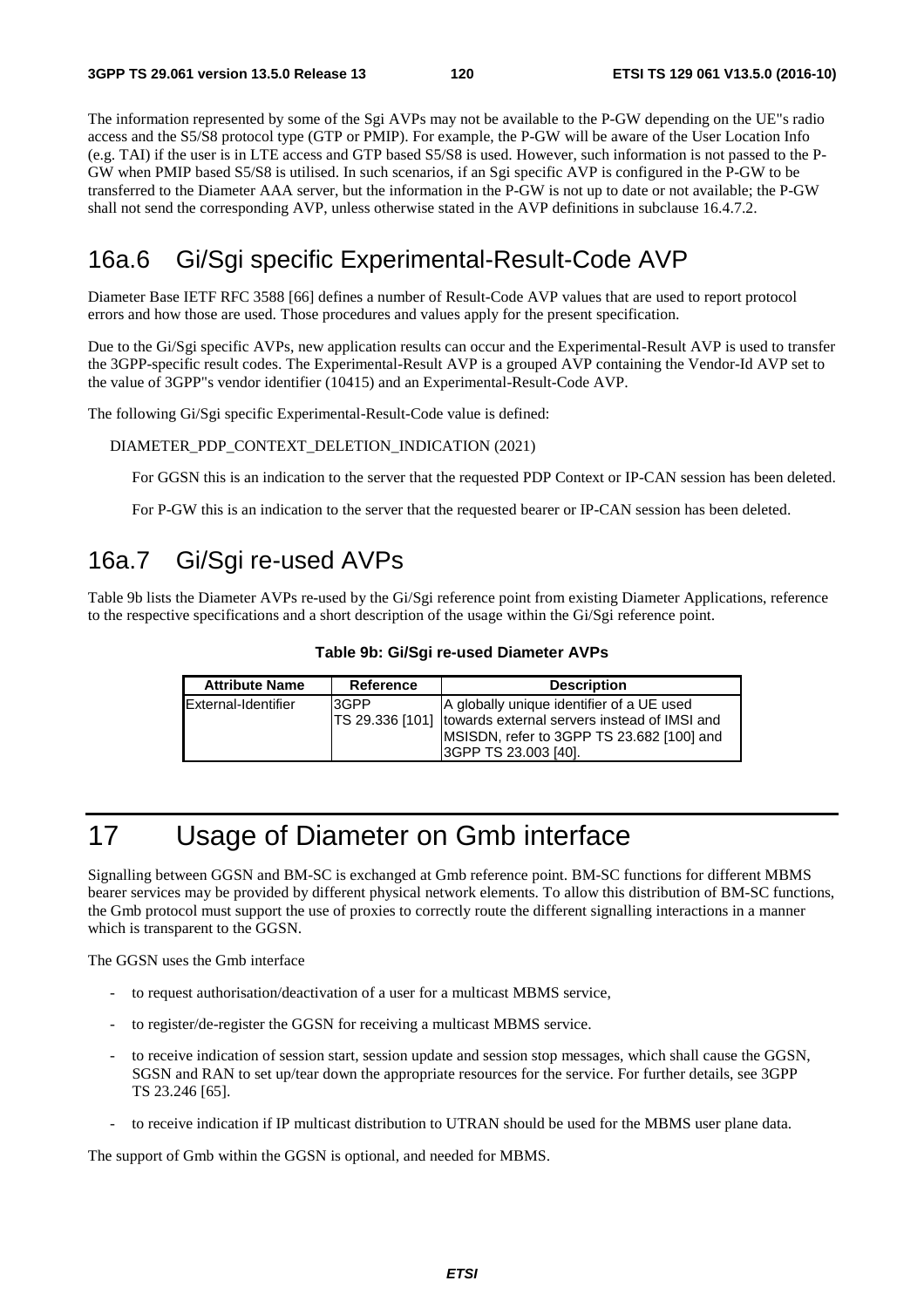The information represented by some of the Sgi AVPs may not be available to the P-GW depending on the UE"s radio access and the S5/S8 protocol type (GTP or PMIP). For example, the P-GW will be aware of the User Location Info (e.g. TAI) if the user is in LTE access and GTP based S5/S8 is used. However, such information is not passed to the P-GW when PMIP based S5/S8 is utilised. In such scenarios, if an Sgi specific AVP is configured in the P-GW to be transferred to the Diameter AAA server, but the information in the P-GW is not up to date or not available; the P-GW shall not send the corresponding AVP, unless otherwise stated in the AVP definitions in subclause 16.4.7.2.

# 16a.6 Gi/Sgi specific Experimental-Result-Code AVP

Diameter Base IETF RFC 3588 [66] defines a number of Result-Code AVP values that are used to report protocol errors and how those are used. Those procedures and values apply for the present specification.

Due to the Gi/Sgi specific AVPs, new application results can occur and the Experimental-Result AVP is used to transfer the 3GPP-specific result codes. The Experimental-Result AVP is a grouped AVP containing the Vendor-Id AVP set to the value of 3GPP"s vendor identifier (10415) and an Experimental-Result-Code AVP.

The following Gi/Sgi specific Experimental-Result-Code value is defined:

DIAMETER\_PDP\_CONTEXT\_DELETION\_INDICATION (2021)

For GGSN this is an indication to the server that the requested PDP Context or IP-CAN session has been deleted.

For P-GW this is an indication to the server that the requested bearer or IP-CAN session has been deleted.

# 16a.7 Gi/Sgi re-used AVPs

Table 9b lists the Diameter AVPs re-used by the Gi/Sgi reference point from existing Diameter Applications, reference to the respective specifications and a short description of the usage within the Gi/Sgi reference point.

#### **Table 9b: Gi/Sgi re-used Diameter AVPs**

| <b>Attribute Name</b> | Reference | <b>Description</b>                                                                                                                                                              |
|-----------------------|-----------|---------------------------------------------------------------------------------------------------------------------------------------------------------------------------------|
| External-Identifier   | 3GPP      | A globally unique identifier of a UE used<br>TS 29.336 [101] towards external servers instead of IMSI and<br>MSISDN, refer to 3GPP TS 23.682 [100] and<br>13GPP TS 23.003 [40]. |

# 17 Usage of Diameter on Gmb interface

Signalling between GGSN and BM-SC is exchanged at Gmb reference point. BM-SC functions for different MBMS bearer services may be provided by different physical network elements. To allow this distribution of BM-SC functions, the Gmb protocol must support the use of proxies to correctly route the different signalling interactions in a manner which is transparent to the GGSN.

The GGSN uses the Gmb interface

- to request authorisation/deactivation of a user for a multicast MBMS service,
- to register/de-register the GGSN for receiving a multicast MBMS service.
- to receive indication of session start, session update and session stop messages, which shall cause the GGSN, SGSN and RAN to set up/tear down the appropriate resources for the service. For further details, see 3GPP TS 23.246 [65].
- to receive indication if IP multicast distribution to UTRAN should be used for the MBMS user plane data.

The support of Gmb within the GGSN is optional, and needed for MBMS.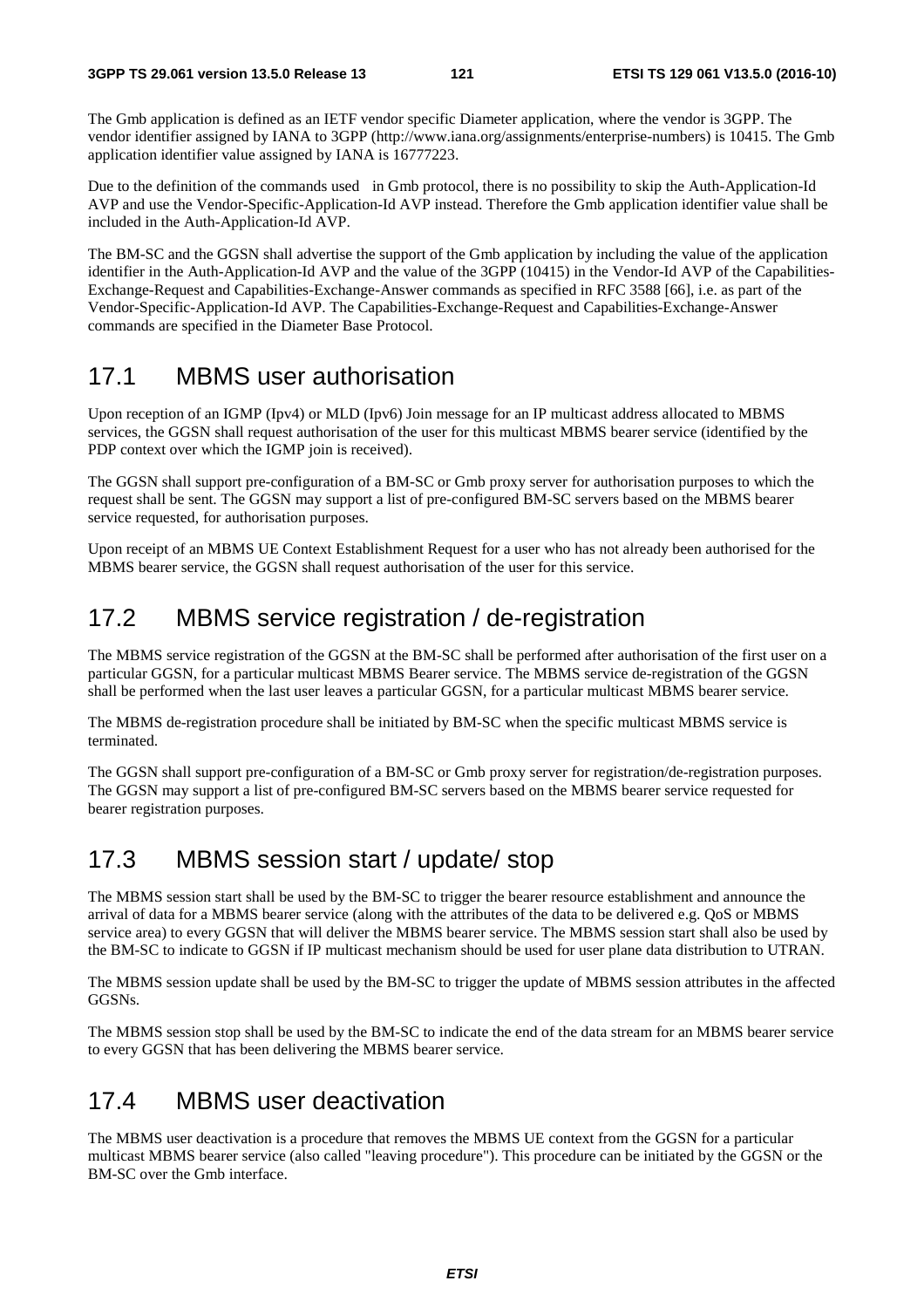The Gmb application is defined as an IETF vendor specific Diameter application, where the vendor is 3GPP. The vendor identifier assigned by IANA to 3GPP (http://www.iana.org/assignments/enterprise-numbers) is 10415. The Gmb application identifier value assigned by IANA is 16777223.

Due to the definition of the commands used in Gmb protocol, there is no possibility to skip the Auth-Application-Id AVP and use the Vendor-Specific-Application-Id AVP instead. Therefore the Gmb application identifier value shall be included in the Auth-Application-Id AVP.

The BM-SC and the GGSN shall advertise the support of the Gmb application by including the value of the application identifier in the Auth-Application-Id AVP and the value of the 3GPP (10415) in the Vendor-Id AVP of the Capabilities-Exchange-Request and Capabilities-Exchange-Answer commands as specified in RFC 3588 [66], i.e. as part of the Vendor-Specific-Application-Id AVP. The Capabilities-Exchange-Request and Capabilities-Exchange-Answer commands are specified in the Diameter Base Protocol.

# 17.1 MBMS user authorisation

Upon reception of an IGMP (Ipv4) or MLD (Ipv6) Join message for an IP multicast address allocated to MBMS services, the GGSN shall request authorisation of the user for this multicast MBMS bearer service (identified by the PDP context over which the IGMP join is received).

The GGSN shall support pre-configuration of a BM-SC or Gmb proxy server for authorisation purposes to which the request shall be sent. The GGSN may support a list of pre-configured BM-SC servers based on the MBMS bearer service requested, for authorisation purposes.

Upon receipt of an MBMS UE Context Establishment Request for a user who has not already been authorised for the MBMS bearer service, the GGSN shall request authorisation of the user for this service.

# 17.2 MBMS service registration / de-registration

The MBMS service registration of the GGSN at the BM-SC shall be performed after authorisation of the first user on a particular GGSN, for a particular multicast MBMS Bearer service. The MBMS service de-registration of the GGSN shall be performed when the last user leaves a particular GGSN, for a particular multicast MBMS bearer service.

The MBMS de-registration procedure shall be initiated by BM-SC when the specific multicast MBMS service is terminated.

The GGSN shall support pre-configuration of a BM-SC or Gmb proxy server for registration/de-registration purposes. The GGSN may support a list of pre-configured BM-SC servers based on the MBMS bearer service requested for bearer registration purposes.

# 17.3 MBMS session start / update/ stop

The MBMS session start shall be used by the BM-SC to trigger the bearer resource establishment and announce the arrival of data for a MBMS bearer service (along with the attributes of the data to be delivered e.g. QoS or MBMS service area) to every GGSN that will deliver the MBMS bearer service. The MBMS session start shall also be used by the BM-SC to indicate to GGSN if IP multicast mechanism should be used for user plane data distribution to UTRAN.

The MBMS session update shall be used by the BM-SC to trigger the update of MBMS session attributes in the affected GGSNs.

The MBMS session stop shall be used by the BM-SC to indicate the end of the data stream for an MBMS bearer service to every GGSN that has been delivering the MBMS bearer service.

# 17.4 MBMS user deactivation

The MBMS user deactivation is a procedure that removes the MBMS UE context from the GGSN for a particular multicast MBMS bearer service (also called "leaving procedure"). This procedure can be initiated by the GGSN or the BM-SC over the Gmb interface.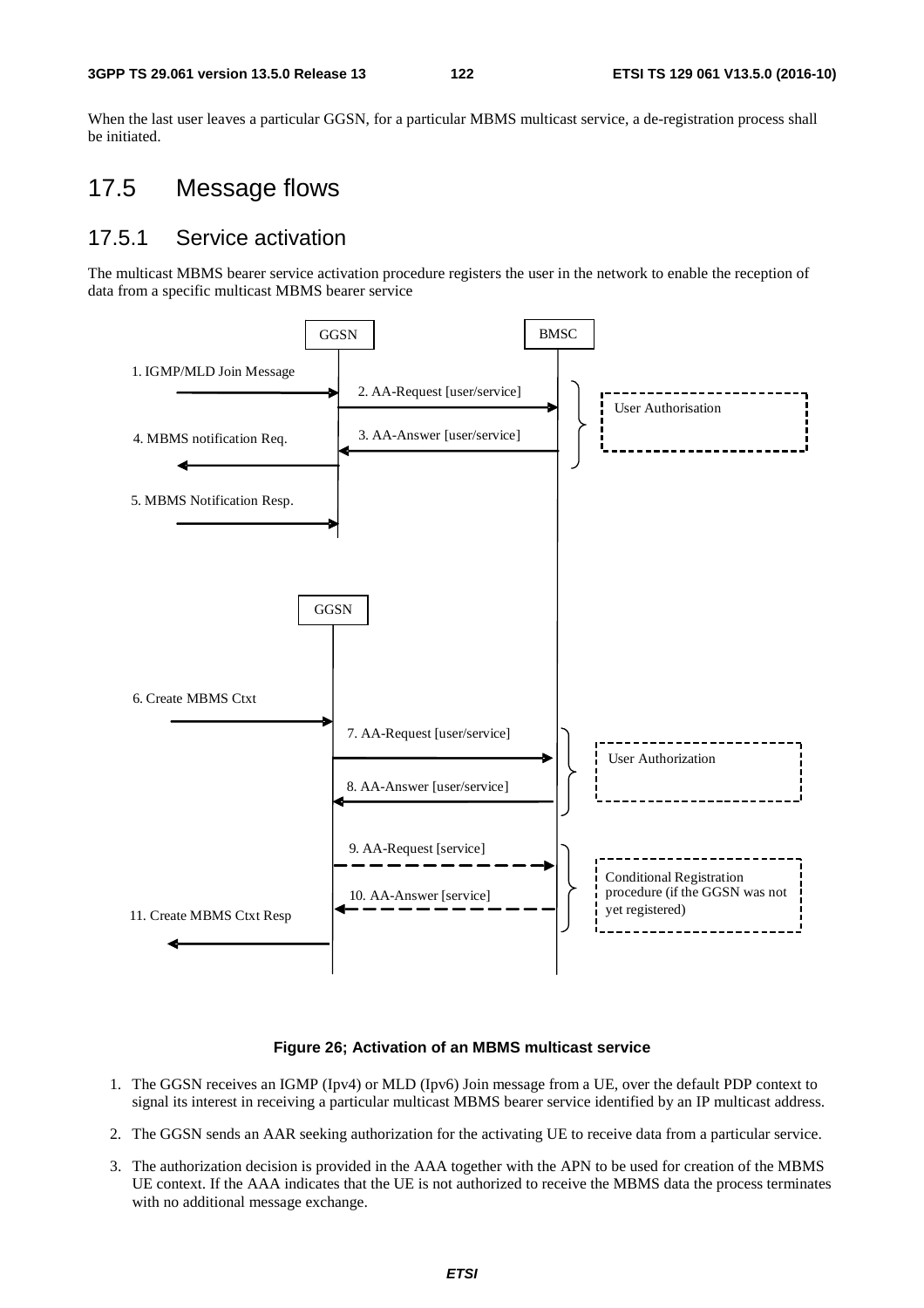When the last user leaves a particular GGSN, for a particular MBMS multicast service, a de-registration process shall be initiated.

# 17.5 Message flows

#### 17.5.1 Service activation

The multicast MBMS bearer service activation procedure registers the user in the network to enable the reception of data from a specific multicast MBMS bearer service



#### **Figure 26; Activation of an MBMS multicast service**

- 1. The GGSN receives an IGMP (Ipv4) or MLD (Ipv6) Join message from a UE, over the default PDP context to signal its interest in receiving a particular multicast MBMS bearer service identified by an IP multicast address.
- 2. The GGSN sends an AAR seeking authorization for the activating UE to receive data from a particular service.
- 3. The authorization decision is provided in the AAA together with the APN to be used for creation of the MBMS UE context. If the AAA indicates that the UE is not authorized to receive the MBMS data the process terminates with no additional message exchange.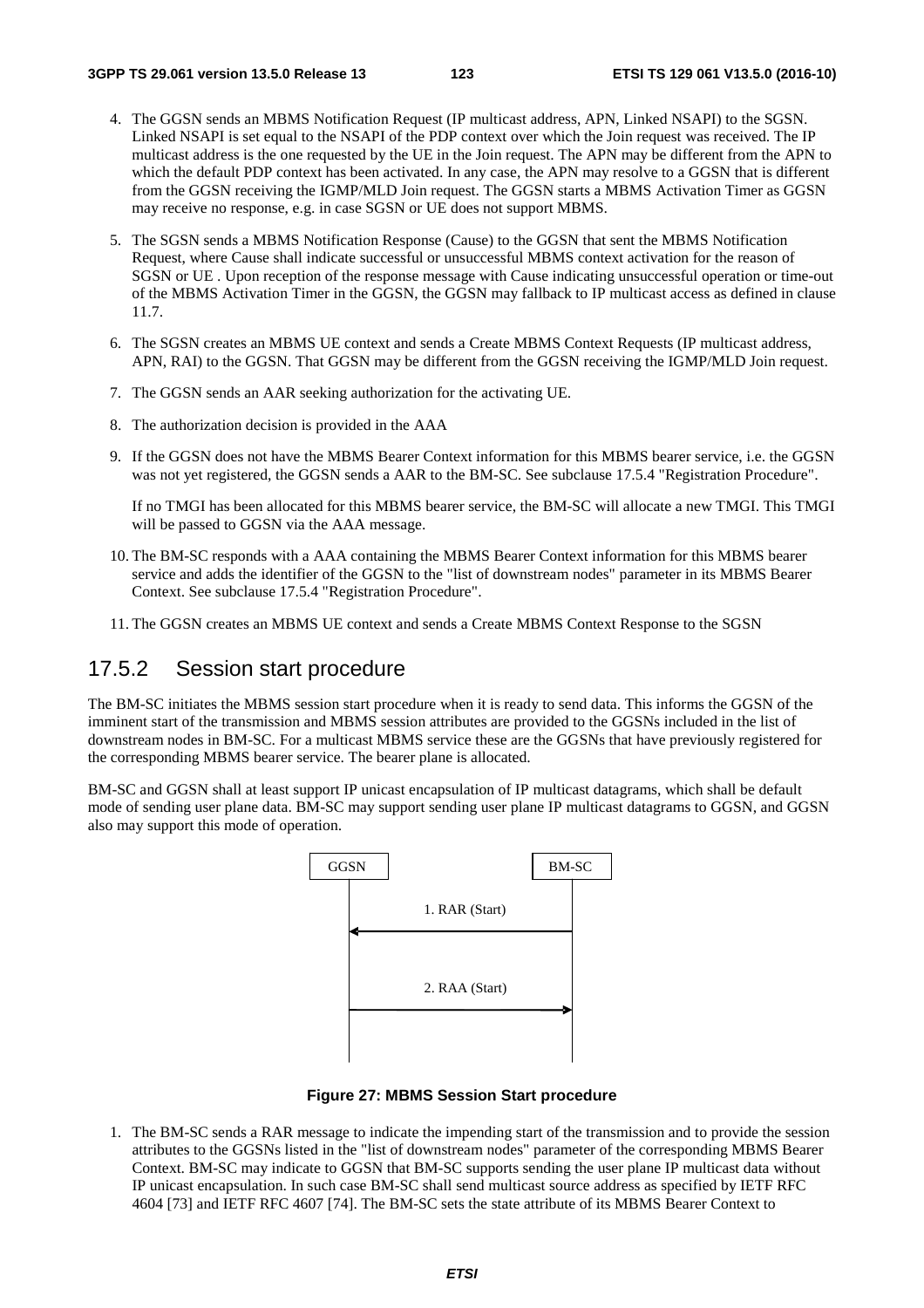- 4. The GGSN sends an MBMS Notification Request (IP multicast address, APN, Linked NSAPI) to the SGSN. Linked NSAPI is set equal to the NSAPI of the PDP context over which the Join request was received. The IP multicast address is the one requested by the UE in the Join request. The APN may be different from the APN to which the default PDP context has been activated. In any case, the APN may resolve to a GGSN that is different from the GGSN receiving the IGMP/MLD Join request. The GGSN starts a MBMS Activation Timer as GGSN may receive no response, e.g. in case SGSN or UE does not support MBMS.
- 5. The SGSN sends a MBMS Notification Response (Cause) to the GGSN that sent the MBMS Notification Request, where Cause shall indicate successful or unsuccessful MBMS context activation for the reason of SGSN or UE . Upon reception of the response message with Cause indicating unsuccessful operation or time-out of the MBMS Activation Timer in the GGSN, the GGSN may fallback to IP multicast access as defined in clause 11.7.
- 6. The SGSN creates an MBMS UE context and sends a Create MBMS Context Requests (IP multicast address, APN, RAI) to the GGSN. That GGSN may be different from the GGSN receiving the IGMP/MLD Join request.
- 7. The GGSN sends an AAR seeking authorization for the activating UE.
- 8. The authorization decision is provided in the AAA
- 9. If the GGSN does not have the MBMS Bearer Context information for this MBMS bearer service, i.e. the GGSN was not yet registered, the GGSN sends a AAR to the BM-SC. See subclause 17.5.4 "Registration Procedure".

 If no TMGI has been allocated for this MBMS bearer service, the BM-SC will allocate a new TMGI. This TMGI will be passed to GGSN via the AAA message.

- 10. The BM-SC responds with a AAA containing the MBMS Bearer Context information for this MBMS bearer service and adds the identifier of the GGSN to the "list of downstream nodes" parameter in its MBMS Bearer Context. See subclause 17.5.4 "Registration Procedure".
- 11. The GGSN creates an MBMS UE context and sends a Create MBMS Context Response to the SGSN

#### 17.5.2 Session start procedure

The BM-SC initiates the MBMS session start procedure when it is ready to send data. This informs the GGSN of the imminent start of the transmission and MBMS session attributes are provided to the GGSNs included in the list of downstream nodes in BM-SC. For a multicast MBMS service these are the GGSNs that have previously registered for the corresponding MBMS bearer service. The bearer plane is allocated.

BM-SC and GGSN shall at least support IP unicast encapsulation of IP multicast datagrams, which shall be default mode of sending user plane data. BM-SC may support sending user plane IP multicast datagrams to GGSN, and GGSN also may support this mode of operation.



**Figure 27: MBMS Session Start procedure** 

1. The BM-SC sends a RAR message to indicate the impending start of the transmission and to provide the session attributes to the GGSNs listed in the "list of downstream nodes" parameter of the corresponding MBMS Bearer Context. BM-SC may indicate to GGSN that BM-SC supports sending the user plane IP multicast data without IP unicast encapsulation. In such case BM-SC shall send multicast source address as specified by IETF RFC 4604 [73] and IETF RFC 4607 [74]. The BM-SC sets the state attribute of its MBMS Bearer Context to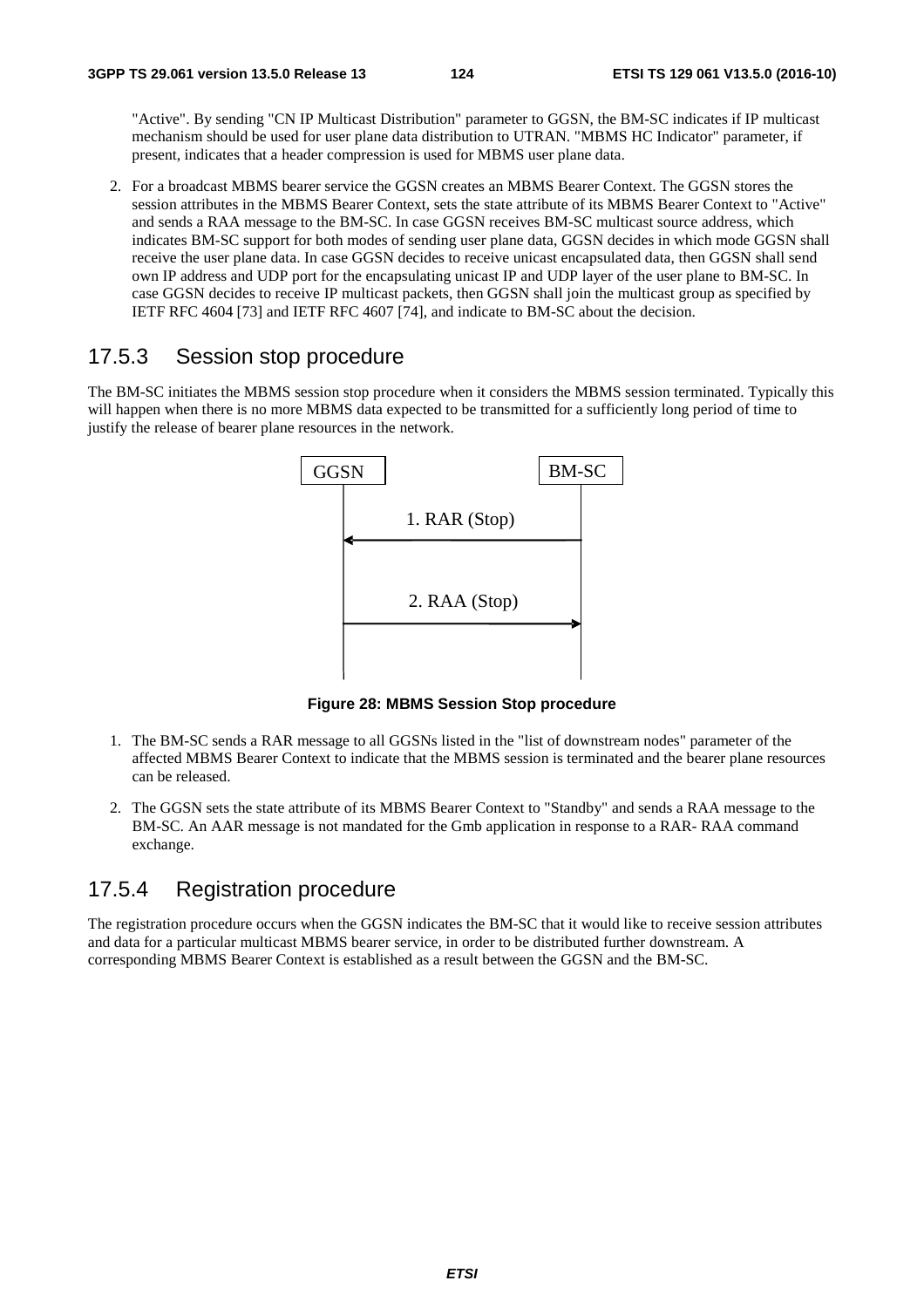"Active". By sending "CN IP Multicast Distribution" parameter to GGSN, the BM-SC indicates if IP multicast mechanism should be used for user plane data distribution to UTRAN. "MBMS HC Indicator" parameter, if present, indicates that a header compression is used for MBMS user plane data.

2. For a broadcast MBMS bearer service the GGSN creates an MBMS Bearer Context. The GGSN stores the session attributes in the MBMS Bearer Context, sets the state attribute of its MBMS Bearer Context to "Active" and sends a RAA message to the BM-SC. In case GGSN receives BM-SC multicast source address, which indicates BM-SC support for both modes of sending user plane data, GGSN decides in which mode GGSN shall receive the user plane data. In case GGSN decides to receive unicast encapsulated data, then GGSN shall send own IP address and UDP port for the encapsulating unicast IP and UDP layer of the user plane to BM-SC. In case GGSN decides to receive IP multicast packets, then GGSN shall join the multicast group as specified by IETF RFC 4604 [73] and IETF RFC 4607 [74], and indicate to BM-SC about the decision.

#### 17.5.3 Session stop procedure

The BM-SC initiates the MBMS session stop procedure when it considers the MBMS session terminated. Typically this will happen when there is no more MBMS data expected to be transmitted for a sufficiently long period of time to justify the release of bearer plane resources in the network.



**Figure 28: MBMS Session Stop procedure** 

- 1. The BM-SC sends a RAR message to all GGSNs listed in the "list of downstream nodes" parameter of the affected MBMS Bearer Context to indicate that the MBMS session is terminated and the bearer plane resources can be released.
- 2. The GGSN sets the state attribute of its MBMS Bearer Context to "Standby" and sends a RAA message to the BM-SC. An AAR message is not mandated for the Gmb application in response to a RAR- RAA command exchange.

#### 17.5.4 Registration procedure

The registration procedure occurs when the GGSN indicates the BM-SC that it would like to receive session attributes and data for a particular multicast MBMS bearer service, in order to be distributed further downstream. A corresponding MBMS Bearer Context is established as a result between the GGSN and the BM-SC.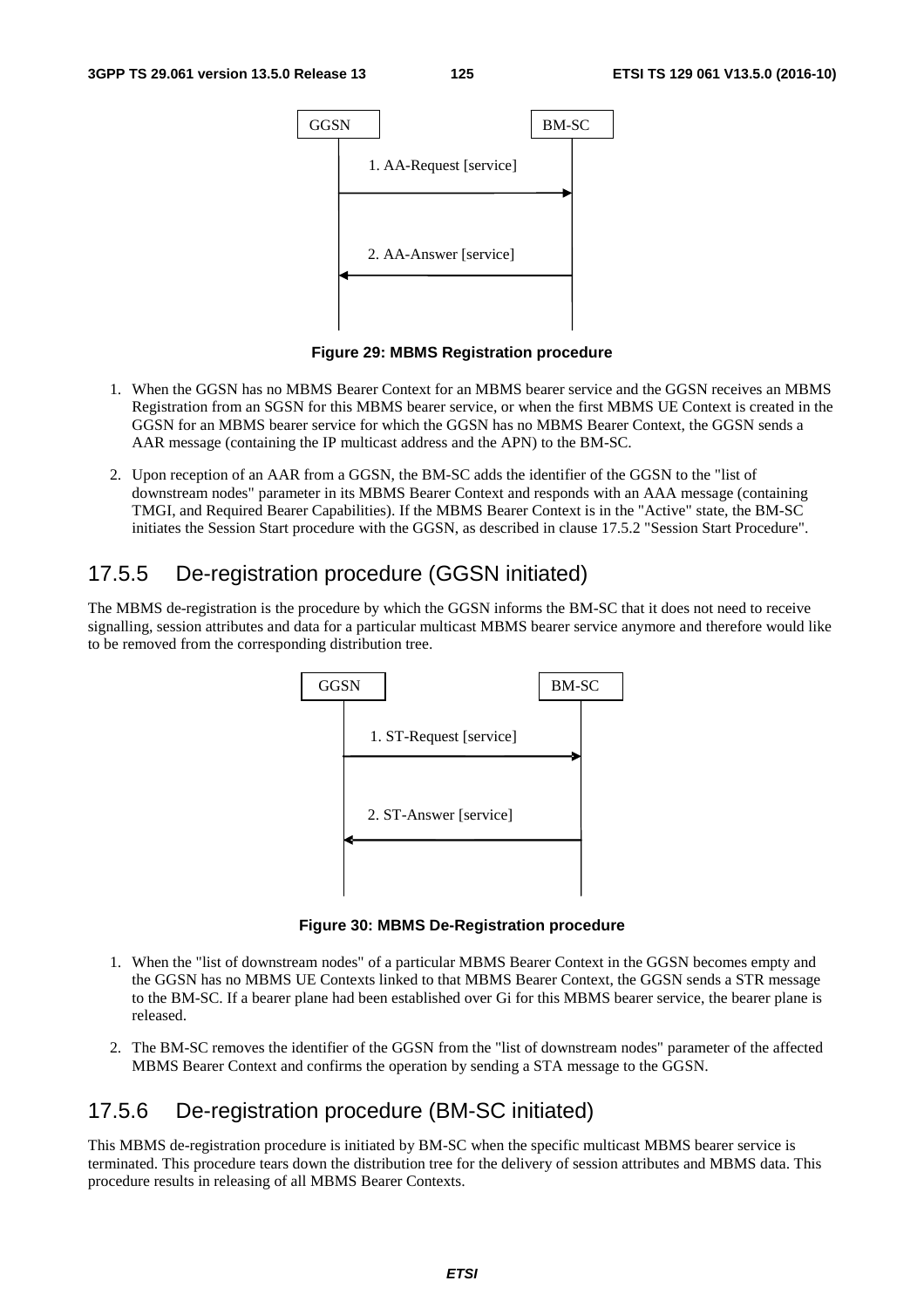

**Figure 29: MBMS Registration procedure** 

- 1. When the GGSN has no MBMS Bearer Context for an MBMS bearer service and the GGSN receives an MBMS Registration from an SGSN for this MBMS bearer service, or when the first MBMS UE Context is created in the GGSN for an MBMS bearer service for which the GGSN has no MBMS Bearer Context, the GGSN sends a AAR message (containing the IP multicast address and the APN) to the BM-SC.
- 2. Upon reception of an AAR from a GGSN, the BM-SC adds the identifier of the GGSN to the "list of downstream nodes" parameter in its MBMS Bearer Context and responds with an AAA message (containing TMGI, and Required Bearer Capabilities). If the MBMS Bearer Context is in the "Active" state, the BM-SC initiates the Session Start procedure with the GGSN, as described in clause 17.5.2 "Session Start Procedure".

#### 17.5.5 De-registration procedure (GGSN initiated)

The MBMS de-registration is the procedure by which the GGSN informs the BM-SC that it does not need to receive signalling, session attributes and data for a particular multicast MBMS bearer service anymore and therefore would like to be removed from the corresponding distribution tree.



**Figure 30: MBMS De-Registration procedure** 

- 1. When the "list of downstream nodes" of a particular MBMS Bearer Context in the GGSN becomes empty and the GGSN has no MBMS UE Contexts linked to that MBMS Bearer Context, the GGSN sends a STR message to the BM-SC. If a bearer plane had been established over Gi for this MBMS bearer service, the bearer plane is released.
- 2. The BM-SC removes the identifier of the GGSN from the "list of downstream nodes" parameter of the affected MBMS Bearer Context and confirms the operation by sending a STA message to the GGSN.

## 17.5.6 De-registration procedure (BM-SC initiated)

This MBMS de-registration procedure is initiated by BM-SC when the specific multicast MBMS bearer service is terminated. This procedure tears down the distribution tree for the delivery of session attributes and MBMS data. This procedure results in releasing of all MBMS Bearer Contexts.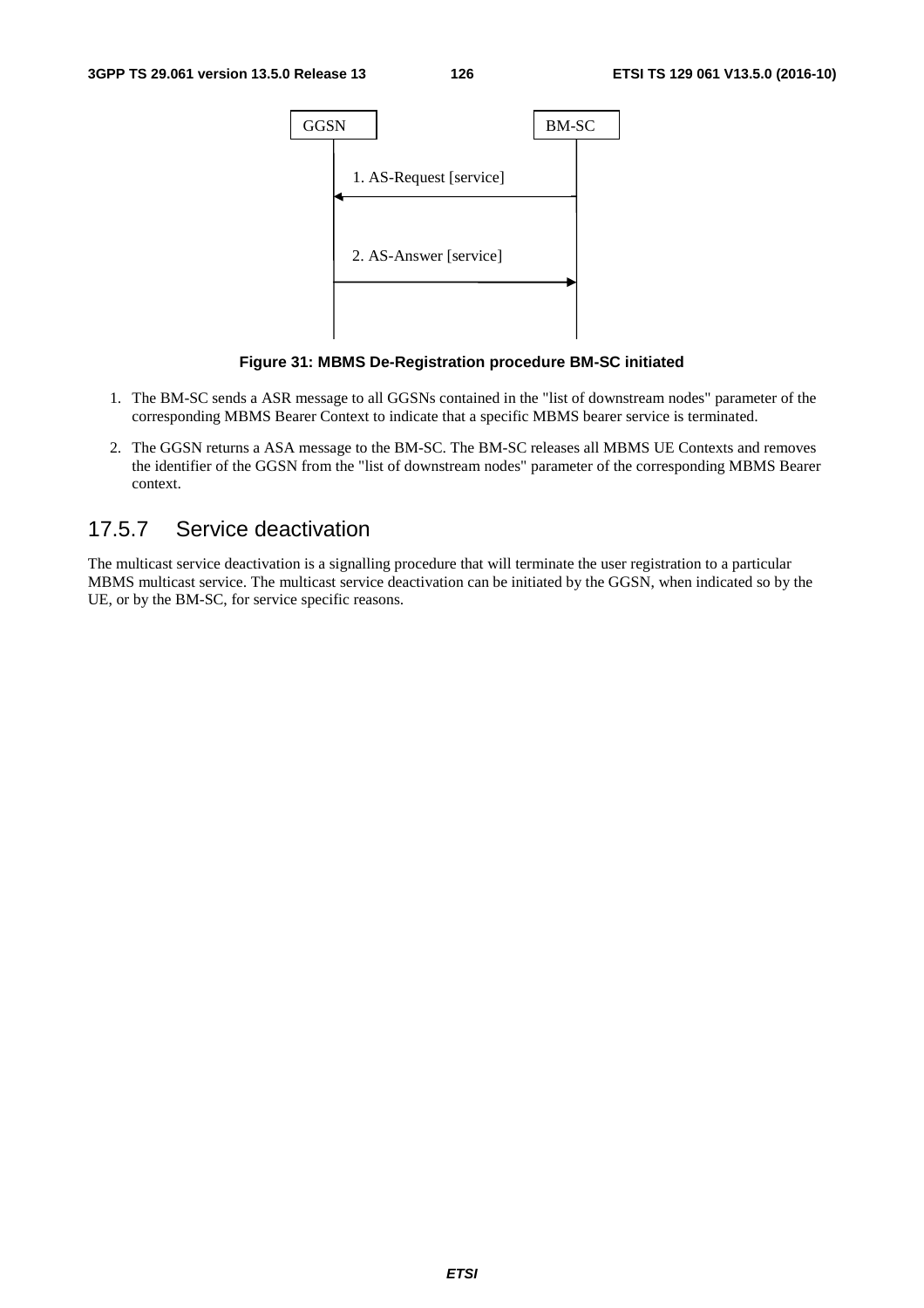

**Figure 31: MBMS De-Registration procedure BM-SC initiated** 

- 1. The BM-SC sends a ASR message to all GGSNs contained in the "list of downstream nodes" parameter of the corresponding MBMS Bearer Context to indicate that a specific MBMS bearer service is terminated.
- 2. The GGSN returns a ASA message to the BM-SC. The BM-SC releases all MBMS UE Contexts and removes the identifier of the GGSN from the "list of downstream nodes" parameter of the corresponding MBMS Bearer context.

#### 17.5.7 Service deactivation

The multicast service deactivation is a signalling procedure that will terminate the user registration to a particular MBMS multicast service. The multicast service deactivation can be initiated by the GGSN, when indicated so by the UE, or by the BM-SC, for service specific reasons.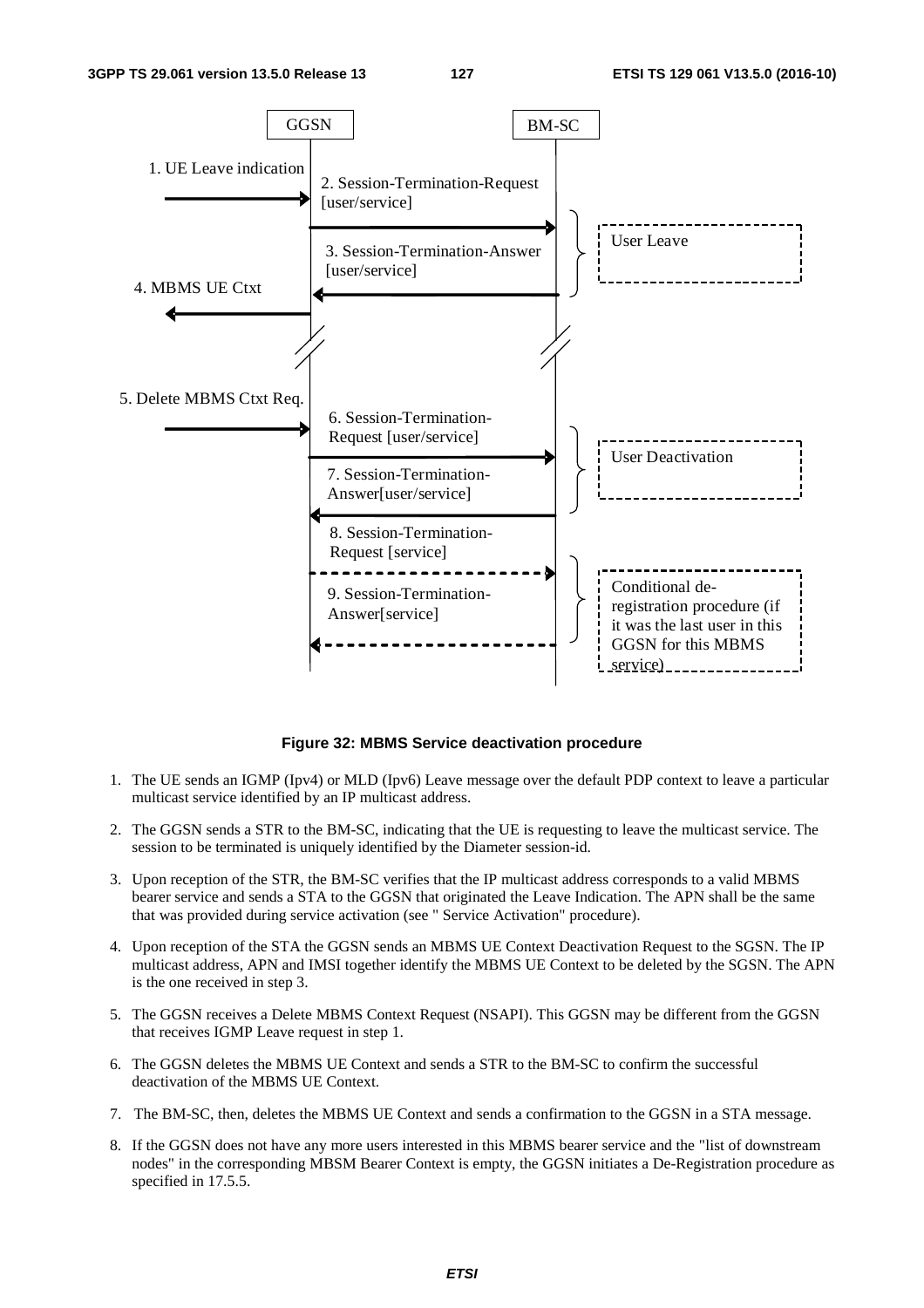

**Figure 32: MBMS Service deactivation procedure** 

- 1. The UE sends an IGMP (Ipv4) or MLD (Ipv6) Leave message over the default PDP context to leave a particular multicast service identified by an IP multicast address.
- 2. The GGSN sends a STR to the BM-SC, indicating that the UE is requesting to leave the multicast service. The session to be terminated is uniquely identified by the Diameter session-id.
- 3. Upon reception of the STR, the BM-SC verifies that the IP multicast address corresponds to a valid MBMS bearer service and sends a STA to the GGSN that originated the Leave Indication. The APN shall be the same that was provided during service activation (see " Service Activation" procedure).
- 4. Upon reception of the STA the GGSN sends an MBMS UE Context Deactivation Request to the SGSN. The IP multicast address, APN and IMSI together identify the MBMS UE Context to be deleted by the SGSN. The APN is the one received in step 3.
- 5. The GGSN receives a Delete MBMS Context Request (NSAPI). This GGSN may be different from the GGSN that receives IGMP Leave request in step 1.
- 6. The GGSN deletes the MBMS UE Context and sends a STR to the BM-SC to confirm the successful deactivation of the MBMS UE Context.
- 7. The BM-SC, then, deletes the MBMS UE Context and sends a confirmation to the GGSN in a STA message.
- 8. If the GGSN does not have any more users interested in this MBMS bearer service and the "list of downstream nodes" in the corresponding MBSM Bearer Context is empty, the GGSN initiates a De-Registration procedure as specified in 17.5.5.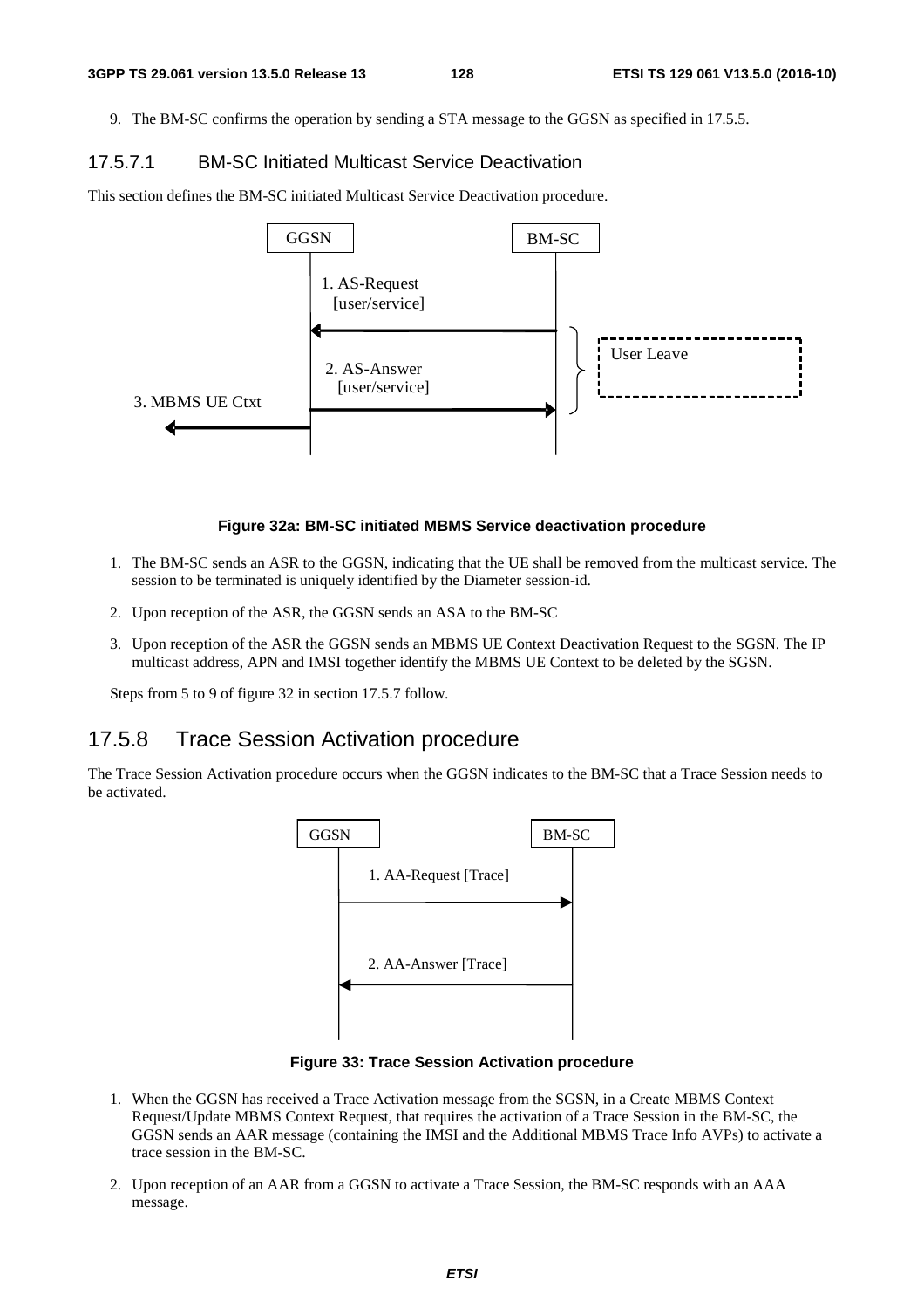9. The BM-SC confirms the operation by sending a STA message to the GGSN as specified in 17.5.5.

#### 17.5.7.1 BM-SC Initiated Multicast Service Deactivation

This section defines the BM-SC initiated Multicast Service Deactivation procedure.



#### **Figure 32a: BM-SC initiated MBMS Service deactivation procedure**

- 1. The BM-SC sends an ASR to the GGSN, indicating that the UE shall be removed from the multicast service. The session to be terminated is uniquely identified by the Diameter session-id.
- 2. Upon reception of the ASR, the GGSN sends an ASA to the BM-SC
- 3. Upon reception of the ASR the GGSN sends an MBMS UE Context Deactivation Request to the SGSN. The IP multicast address, APN and IMSI together identify the MBMS UE Context to be deleted by the SGSN.

Steps from 5 to 9 of figure 32 in section 17.5.7 follow.

#### 17.5.8 Trace Session Activation procedure

The Trace Session Activation procedure occurs when the GGSN indicates to the BM-SC that a Trace Session needs to be activated.



**Figure 33: Trace Session Activation procedure** 

- 1. When the GGSN has received a Trace Activation message from the SGSN, in a Create MBMS Context Request/Update MBMS Context Request, that requires the activation of a Trace Session in the BM-SC, the GGSN sends an AAR message (containing the IMSI and the Additional MBMS Trace Info AVPs) to activate a trace session in the BM-SC.
- 2. Upon reception of an AAR from a GGSN to activate a Trace Session, the BM-SC responds with an AAA message.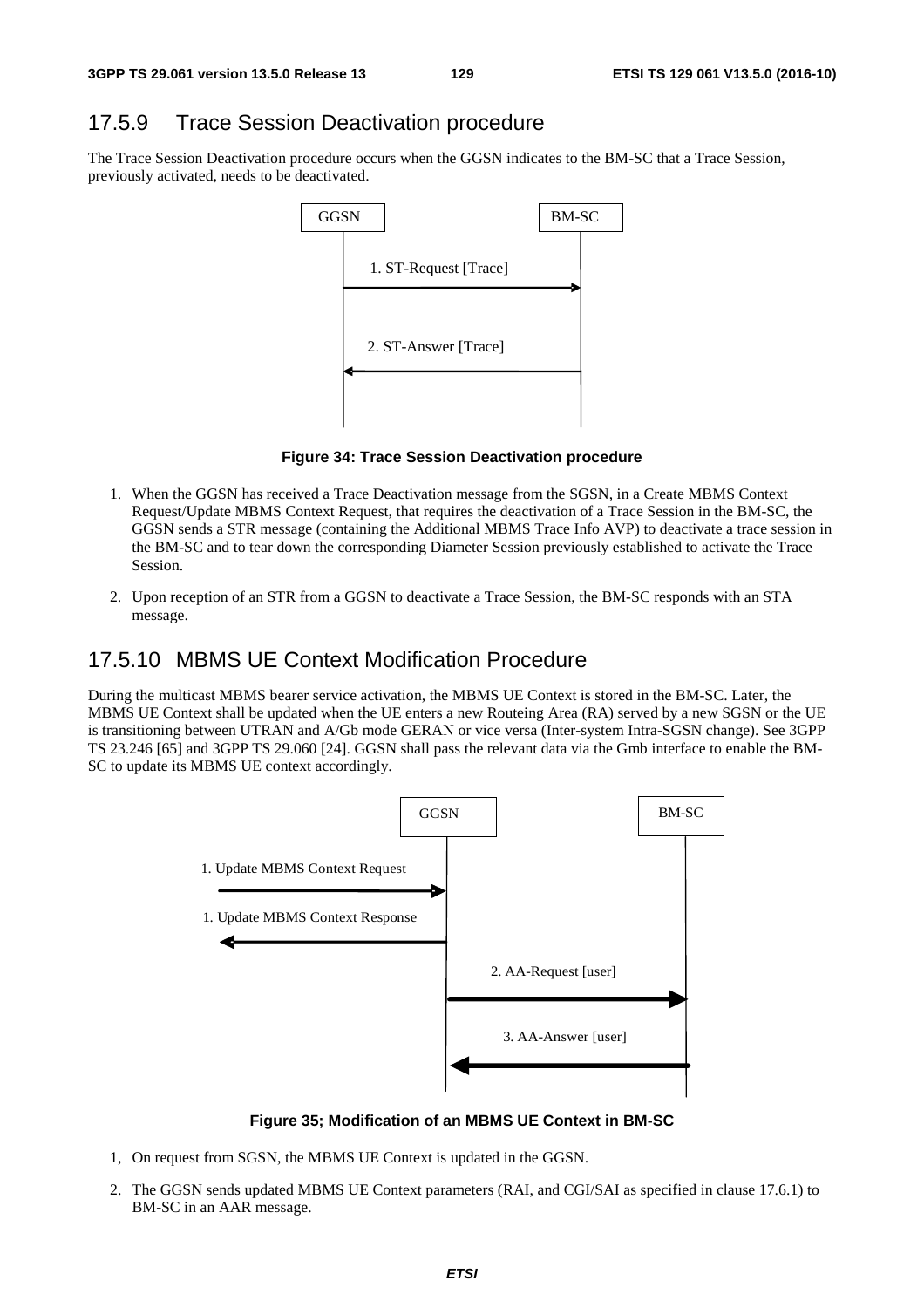# 17.5.9 Trace Session Deactivation procedure

The Trace Session Deactivation procedure occurs when the GGSN indicates to the BM-SC that a Trace Session, previously activated, needs to be deactivated.



**Figure 34: Trace Session Deactivation procedure** 

- 1. When the GGSN has received a Trace Deactivation message from the SGSN, in a Create MBMS Context Request/Update MBMS Context Request, that requires the deactivation of a Trace Session in the BM-SC, the GGSN sends a STR message (containing the Additional MBMS Trace Info AVP) to deactivate a trace session in the BM-SC and to tear down the corresponding Diameter Session previously established to activate the Trace Session.
- 2. Upon reception of an STR from a GGSN to deactivate a Trace Session, the BM-SC responds with an STA message.

## 17.5.10 MBMS UE Context Modification Procedure

During the multicast MBMS bearer service activation, the MBMS UE Context is stored in the BM-SC. Later, the MBMS UE Context shall be updated when the UE enters a new Routeing Area (RA) served by a new SGSN or the UE is transitioning between UTRAN and A/Gb mode GERAN or vice versa (Inter-system Intra-SGSN change). See 3GPP TS 23.246 [65] and 3GPP TS 29.060 [24]. GGSN shall pass the relevant data via the Gmb interface to enable the BM-SC to update its MBMS UE context accordingly.



**Figure 35; Modification of an MBMS UE Context in BM-SC** 

- 1, On request from SGSN, the MBMS UE Context is updated in the GGSN.
- 2. The GGSN sends updated MBMS UE Context parameters (RAI, and CGI/SAI as specified in clause 17.6.1) to BM-SC in an AAR message.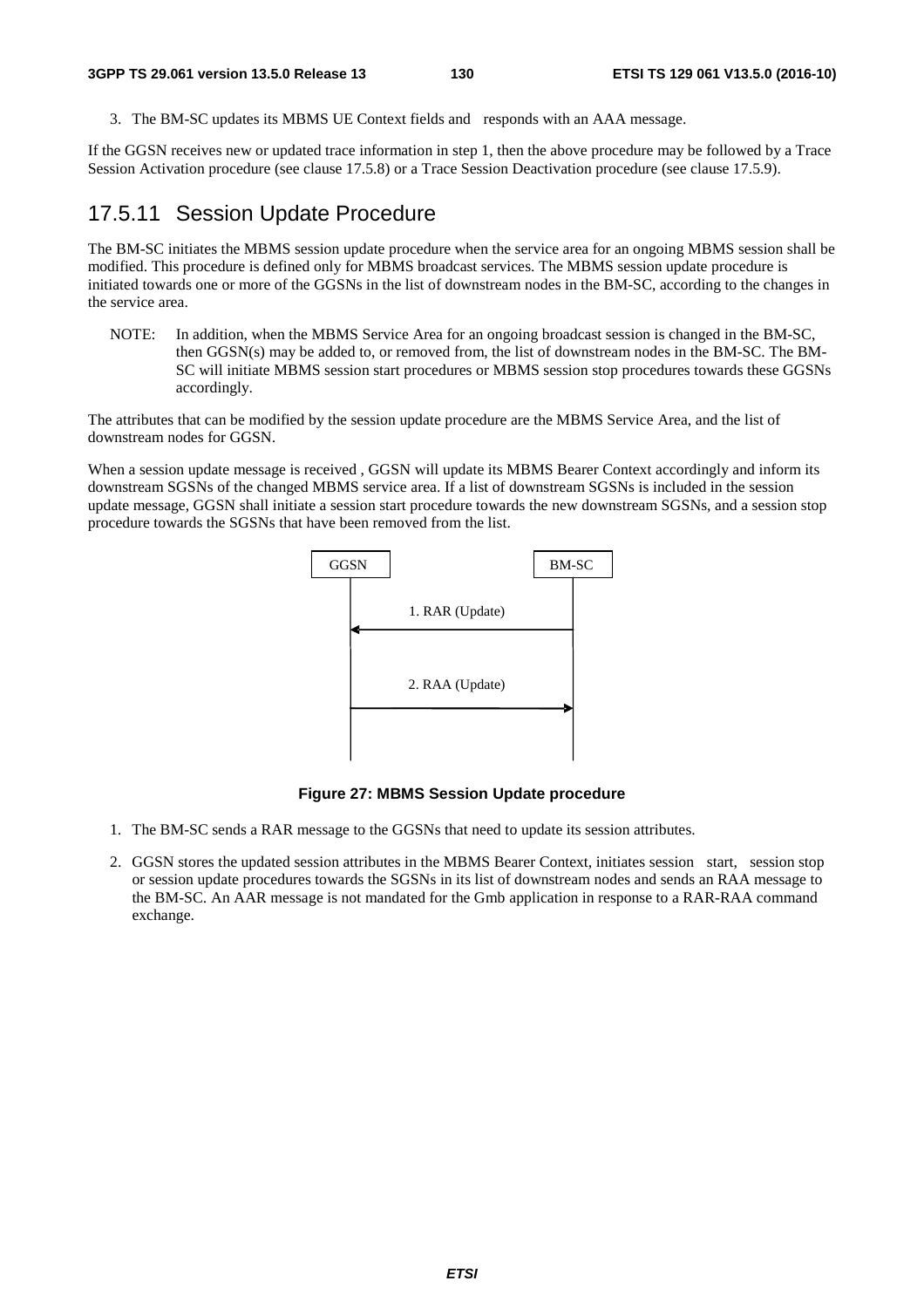3. The BM-SC updates its MBMS UE Context fields and responds with an AAA message.

If the GGSN receives new or updated trace information in step 1, then the above procedure may be followed by a Trace Session Activation procedure (see clause 17.5.8) or a Trace Session Deactivation procedure (see clause 17.5.9).

#### 17.5.11 Session Update Procedure

The BM-SC initiates the MBMS session update procedure when the service area for an ongoing MBMS session shall be modified. This procedure is defined only for MBMS broadcast services. The MBMS session update procedure is initiated towards one or more of the GGSNs in the list of downstream nodes in the BM-SC, according to the changes in the service area.

NOTE: In addition, when the MBMS Service Area for an ongoing broadcast session is changed in the BM-SC, then GGSN(s) may be added to, or removed from, the list of downstream nodes in the BM-SC. The BM-SC will initiate MBMS session start procedures or MBMS session stop procedures towards these GGSNs accordingly.

The attributes that can be modified by the session update procedure are the MBMS Service Area, and the list of downstream nodes for GGSN.

When a session update message is received, GGSN will update its MBMS Bearer Context accordingly and inform its downstream SGSNs of the changed MBMS service area. If a list of downstream SGSNs is included in the session update message, GGSN shall initiate a session start procedure towards the new downstream SGSNs, and a session stop procedure towards the SGSNs that have been removed from the list.



**Figure 27: MBMS Session Update procedure** 

- 1. The BM-SC sends a RAR message to the GGSNs that need to update its session attributes.
- 2. GGSN stores the updated session attributes in the MBMS Bearer Context, initiates session start, session stop or session update procedures towards the SGSNs in its list of downstream nodes and sends an RAA message to the BM-SC. An AAR message is not mandated for the Gmb application in response to a RAR-RAA command exchange.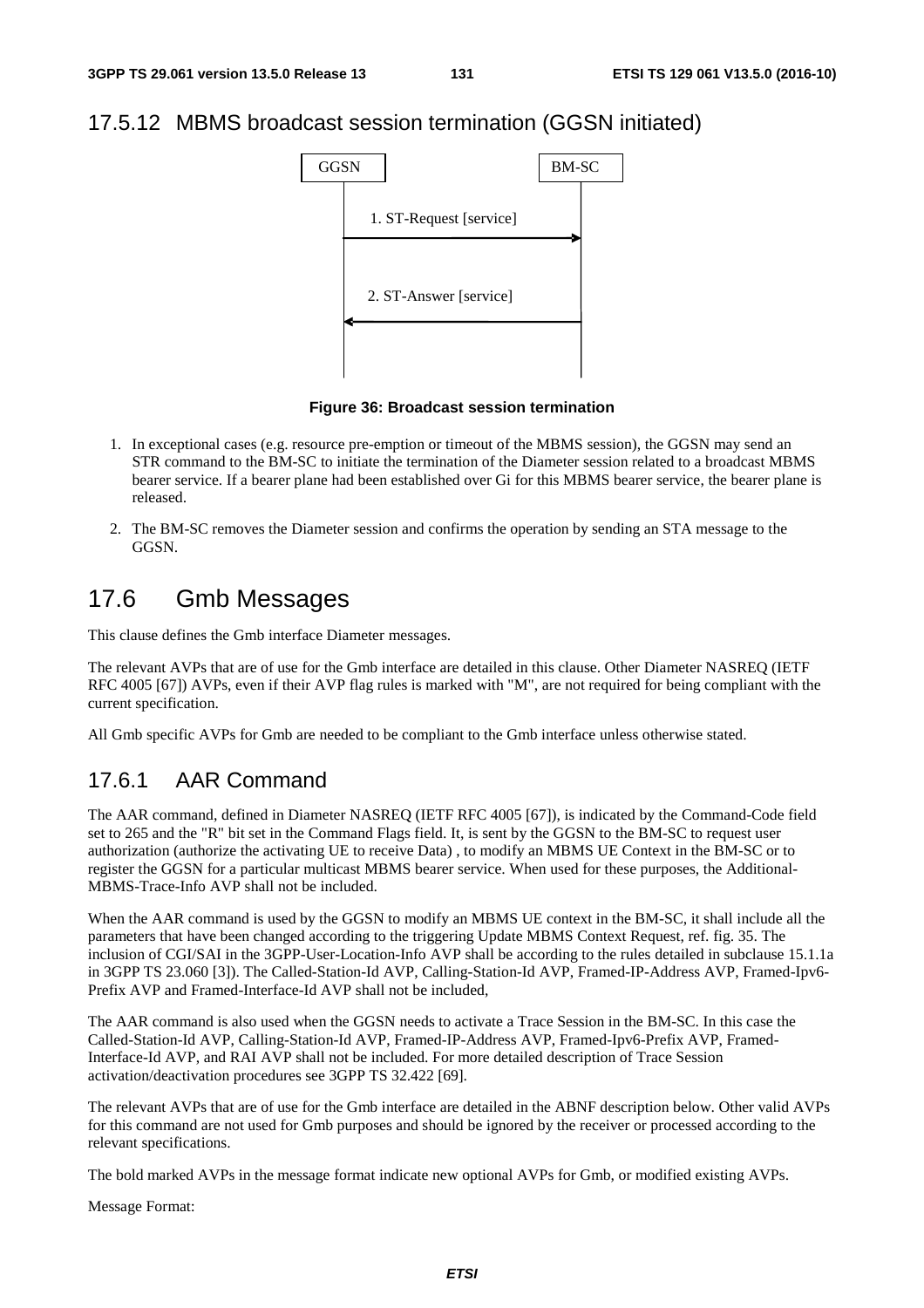## 17.5.12 MBMS broadcast session termination (GGSN initiated)



**Figure 36: Broadcast session termination** 

- 1. In exceptional cases (e.g. resource pre-emption or timeout of the MBMS session), the GGSN may send an STR command to the BM-SC to initiate the termination of the Diameter session related to a broadcast MBMS bearer service. If a bearer plane had been established over Gi for this MBMS bearer service, the bearer plane is released.
- 2. The BM-SC removes the Diameter session and confirms the operation by sending an STA message to the GGSN.

# 17.6 Gmb Messages

This clause defines the Gmb interface Diameter messages.

The relevant AVPs that are of use for the Gmb interface are detailed in this clause. Other Diameter NASREQ (IETF RFC 4005 [67]) AVPs, even if their AVP flag rules is marked with "M", are not required for being compliant with the current specification.

All Gmb specific AVPs for Gmb are needed to be compliant to the Gmb interface unless otherwise stated.

## 17.6.1 AAR Command

The AAR command, defined in Diameter NASREQ (IETF RFC 4005 [67]), is indicated by the Command-Code field set to 265 and the "R" bit set in the Command Flags field. It, is sent by the GGSN to the BM-SC to request user authorization (authorize the activating UE to receive Data) , to modify an MBMS UE Context in the BM-SC or to register the GGSN for a particular multicast MBMS bearer service. When used for these purposes, the Additional-MBMS-Trace-Info AVP shall not be included.

When the AAR command is used by the GGSN to modify an MBMS UE context in the BM-SC, it shall include all the parameters that have been changed according to the triggering Update MBMS Context Request, ref. fig. 35. The inclusion of CGI/SAI in the 3GPP-User-Location-Info AVP shall be according to the rules detailed in subclause 15.1.1a in 3GPP TS 23.060 [3]). The Called-Station-Id AVP, Calling-Station-Id AVP, Framed-IP-Address AVP, Framed-Ipv6- Prefix AVP and Framed-Interface-Id AVP shall not be included,

The AAR command is also used when the GGSN needs to activate a Trace Session in the BM-SC. In this case the Called-Station-Id AVP, Calling-Station-Id AVP, Framed-IP-Address AVP, Framed-Ipv6-Prefix AVP, Framed-Interface-Id AVP, and RAI AVP shall not be included. For more detailed description of Trace Session activation/deactivation procedures see 3GPP TS 32.422 [69].

The relevant AVPs that are of use for the Gmb interface are detailed in the ABNF description below. Other valid AVPs for this command are not used for Gmb purposes and should be ignored by the receiver or processed according to the relevant specifications.

The bold marked AVPs in the message format indicate new optional AVPs for Gmb, or modified existing AVPs.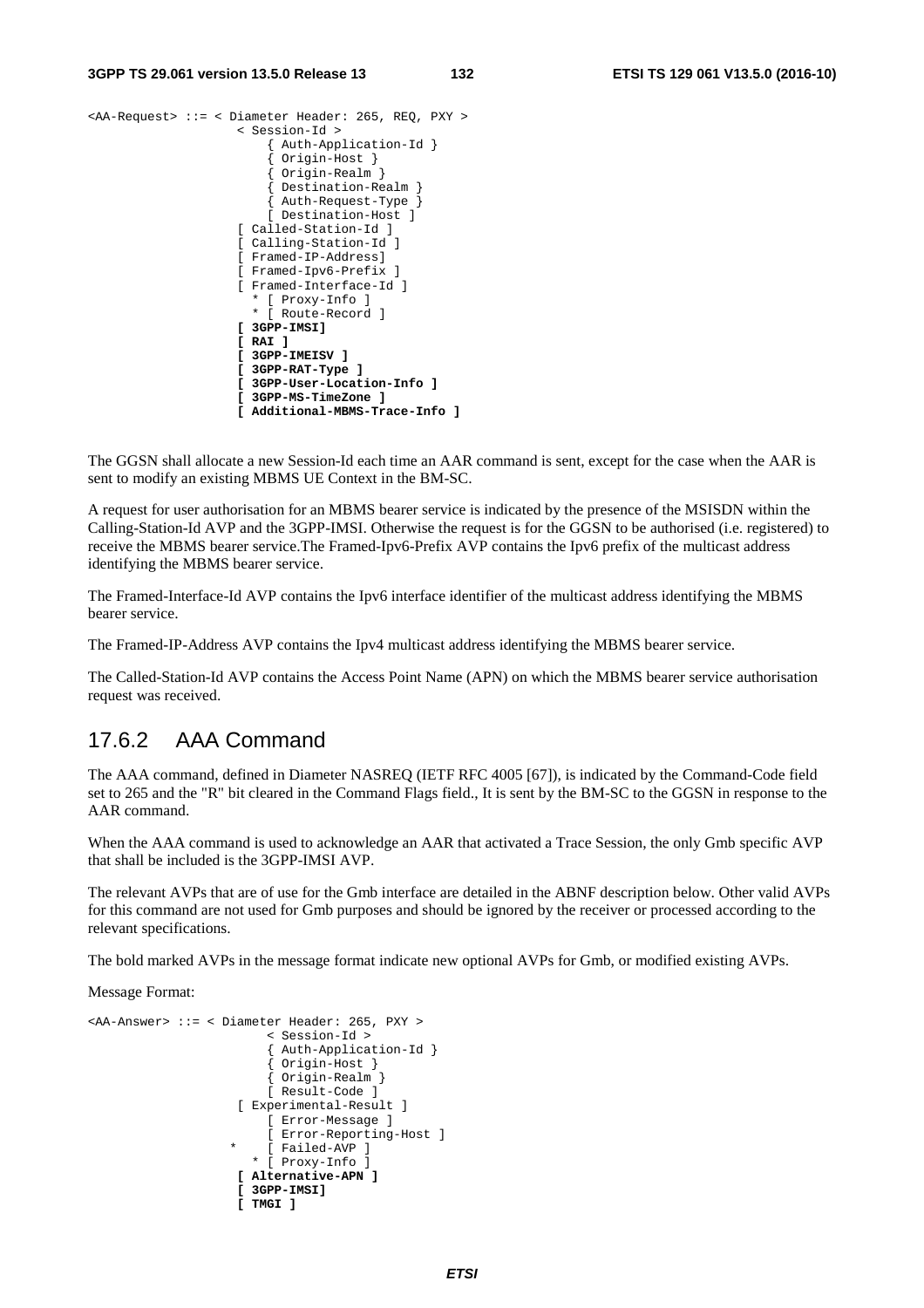#### **3GPP TS 29.061 version 13.5.0 Release 13 132 ETSI TS 129 061 V13.5.0 (2016-10)**

```
<AA-Request> ::= < Diameter Header: 265, REQ, PXY > 
                       < Session-Id > 
                            { Auth-Application-Id } 
                            { Origin-Host } 
                             { Origin-Realm } 
                            { Destination-Realm } 
                            { Auth-Request-Type } 
                           [ Destination-Host ] 
                       [ Called-Station-Id ] 
                       [ Calling-Station-Id ] 
                       [ Framed-IP-Address] 
                       [ Framed-Ipv6-Prefix ] 
                       [ Framed-Interface-Id ] 
                         * [ Proxy-Info ] 
                         * [ Route-Record ] 
                       [ 3GPP-IMSI] 
                       [ RAI ] 
                       [ 3GPP-IMEISV ] 
                       [ 3GPP-RAT-Type ] 
                       [ 3GPP-User-Location-Info ] 
                       [ 3GPP-MS-TimeZone ] 
                       [ Additional-MBMS-Trace-Info ]
```
The GGSN shall allocate a new Session-Id each time an AAR command is sent, except for the case when the AAR is sent to modify an existing MBMS UE Context in the BM-SC.

A request for user authorisation for an MBMS bearer service is indicated by the presence of the MSISDN within the Calling-Station-Id AVP and the 3GPP-IMSI. Otherwise the request is for the GGSN to be authorised (i.e. registered) to receive the MBMS bearer service.The Framed-Ipv6-Prefix AVP contains the Ipv6 prefix of the multicast address identifying the MBMS bearer service.

The Framed-Interface-Id AVP contains the Ipv6 interface identifier of the multicast address identifying the MBMS bearer service.

The Framed-IP-Address AVP contains the Ipv4 multicast address identifying the MBMS bearer service.

The Called-Station-Id AVP contains the Access Point Name (APN) on which the MBMS bearer service authorisation request was received.

#### 17.6.2 AAA Command

The AAA command, defined in Diameter NASREQ (IETF RFC 4005 [67]), is indicated by the Command-Code field set to 265 and the "R" bit cleared in the Command Flags field., It is sent by the BM-SC to the GGSN in response to the AAR command.

When the AAA command is used to acknowledge an AAR that activated a Trace Session, the only Gmb specific AVP that shall be included is the 3GPP-IMSI AVP.

The relevant AVPs that are of use for the Gmb interface are detailed in the ABNF description below. Other valid AVPs for this command are not used for Gmb purposes and should be ignored by the receiver or processed according to the relevant specifications.

The bold marked AVPs in the message format indicate new optional AVPs for Gmb, or modified existing AVPs.

```
<AA-Answer> ::= < Diameter Header: 265, PXY > 
                            < Session-Id > 
                            { Auth-Application-Id } 
                            { Origin-Host } 
                            { Origin-Realm } 
                           [ Result-Code ] 
                       [ Experimental-Result ] 
                           [ Error-Message ] 
                           [ Error-Reporting-Host ] 
                          [ Failed-AVP ]
                         * [ Proxy-Info ] 
                       [ Alternative-APN ] 
                       [ 3GPP-IMSI] 
                       [ TMGI ]
```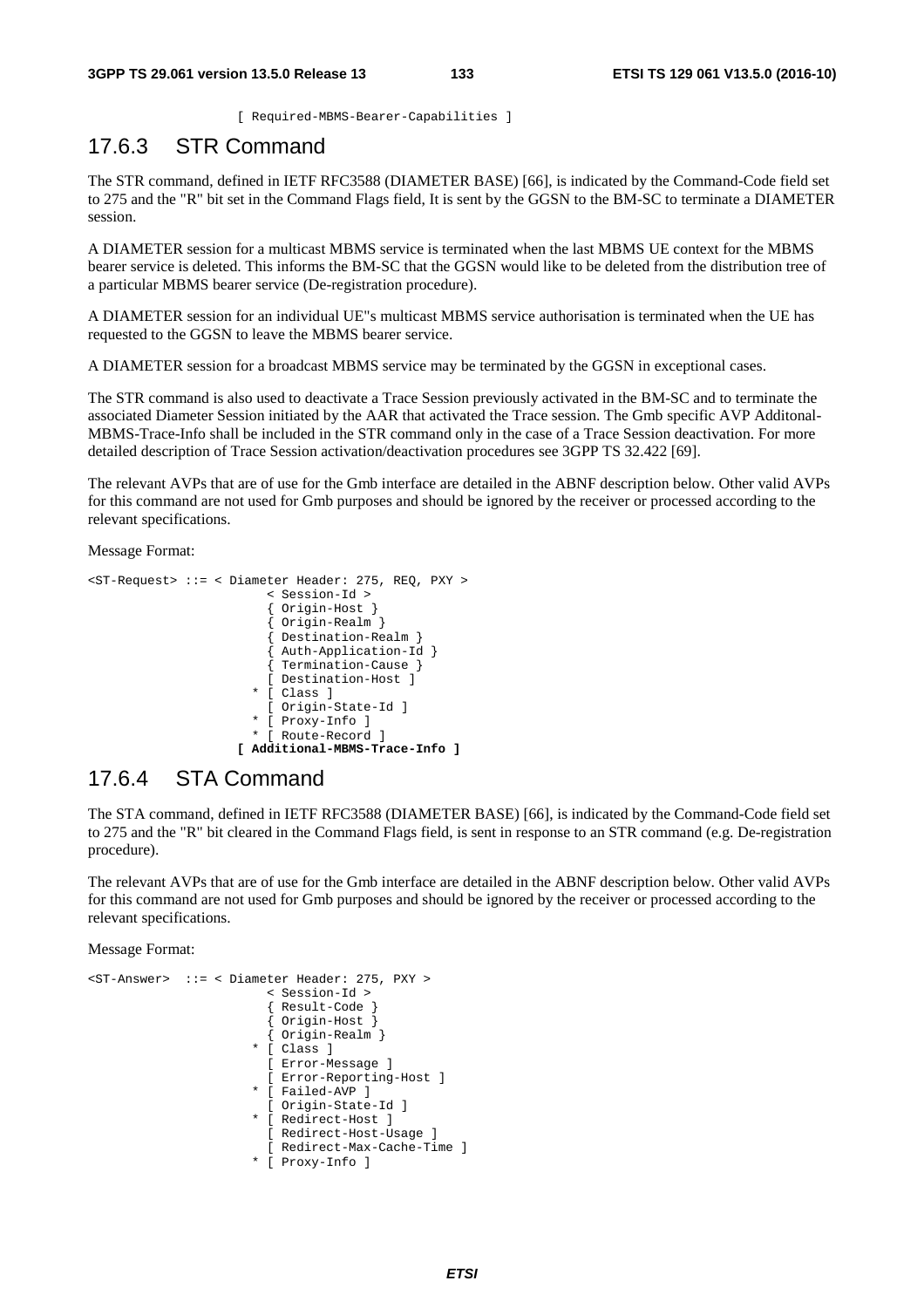[ Required-MBMS-Bearer-Capabilities ]

## 17.6.3 STR Command

The STR command, defined in IETF RFC3588 (DIAMETER BASE) [66], is indicated by the Command-Code field set to 275 and the "R" bit set in the Command Flags field, It is sent by the GGSN to the BM-SC to terminate a DIAMETER session.

A DIAMETER session for a multicast MBMS service is terminated when the last MBMS UE context for the MBMS bearer service is deleted. This informs the BM-SC that the GGSN would like to be deleted from the distribution tree of a particular MBMS bearer service (De-registration procedure).

A DIAMETER session for an individual UE"s multicast MBMS service authorisation is terminated when the UE has requested to the GGSN to leave the MBMS bearer service.

A DIAMETER session for a broadcast MBMS service may be terminated by the GGSN in exceptional cases.

The STR command is also used to deactivate a Trace Session previously activated in the BM-SC and to terminate the associated Diameter Session initiated by the AAR that activated the Trace session. The Gmb specific AVP Additonal-MBMS-Trace-Info shall be included in the STR command only in the case of a Trace Session deactivation. For more detailed description of Trace Session activation/deactivation procedures see 3GPP TS 32.422 [69].

The relevant AVPs that are of use for the Gmb interface are detailed in the ABNF description below. Other valid AVPs for this command are not used for Gmb purposes and should be ignored by the receiver or processed according to the relevant specifications.

Message Format:

```
<ST-Request> ::= < Diameter Header: 275, REQ, PXY > 
                           < Session-Id > 
                            { Origin-Host } 
                            { Origin-Realm } 
                           Destination-Realm }
                            { Auth-Application-Id } 
                            { Termination-Cause } 
                           [ Destination-Host ] 
                         * [ Class ] 
                           [ Origin-State-Id ] 
                         * [ Proxy-Info ] 
                         * [ Route-Record ] 
                       [ Additional-MBMS-Trace-Info ]
```
## 17.6.4 STA Command

The STA command, defined in IETF RFC3588 (DIAMETER BASE) [66], is indicated by the Command-Code field set to 275 and the "R" bit cleared in the Command Flags field, is sent in response to an STR command (e.g. De-registration procedure).

The relevant AVPs that are of use for the Gmb interface are detailed in the ABNF description below. Other valid AVPs for this command are not used for Gmb purposes and should be ignored by the receiver or processed according to the relevant specifications.

```
<ST-Answer> ::= < Diameter Header: 275, PXY > 
                            < Session-Id > 
                            { Result-Code } 
                             { Origin-Host } 
                            { Origin-Realm } 
                          * [ Class ] 
                            [ Error-Message ] 
                           [ Error-Reporting-Host ] 
                          * [ Failed-AVP ] 
                            [ Origin-State-Id ] 
                          * [ Redirect-Host ] 
                           [ Redirect-Host-Usage ] 
                           [ Redirect-Max-Cache-Time ] 
                          * [ Proxy-Info ]
```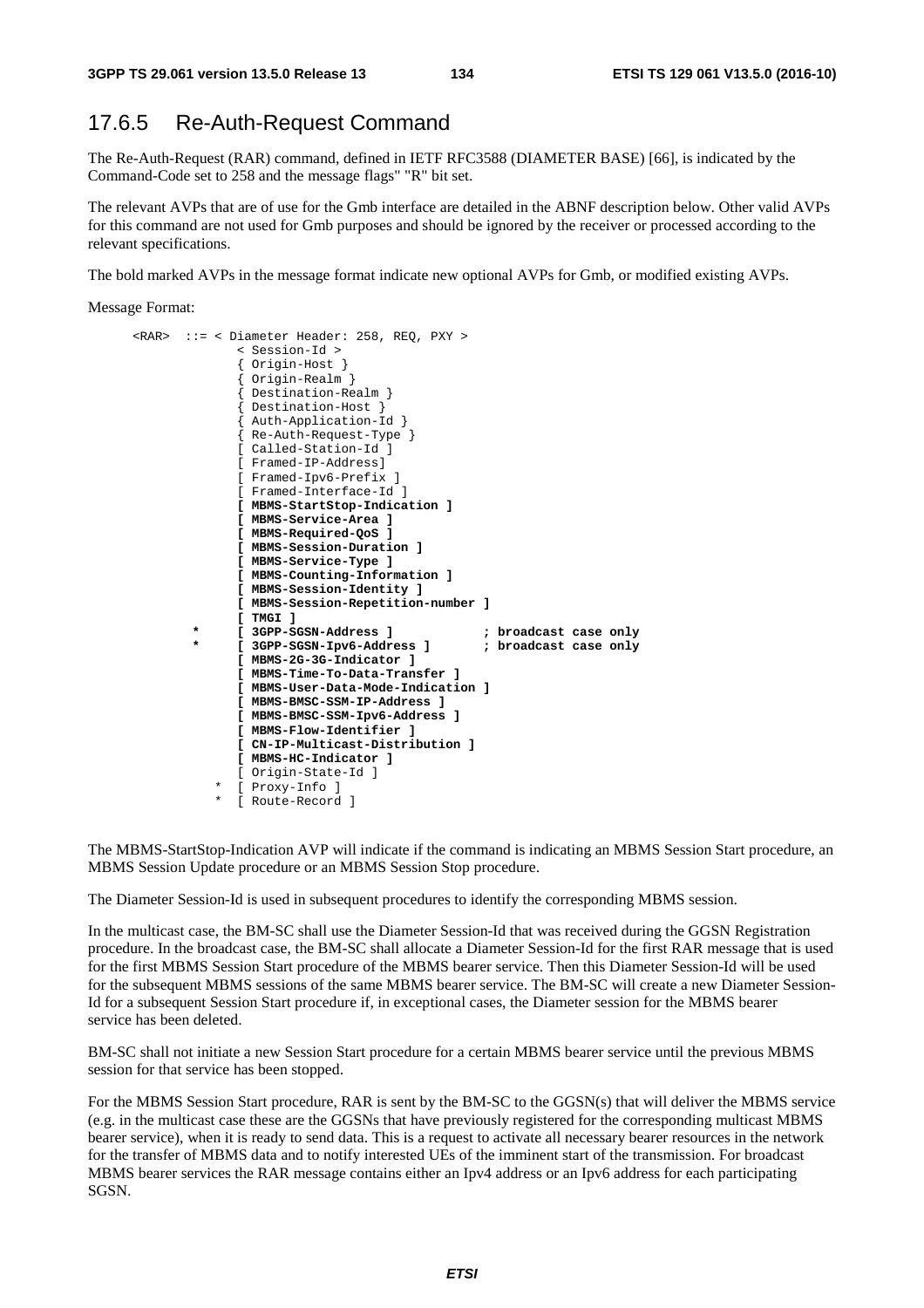#### 17.6.5 Re-Auth-Request Command

The Re-Auth-Request (RAR) command, defined in IETF RFC3588 (DIAMETER BASE) [66], is indicated by the Command-Code set to 258 and the message flags" "R" bit set.

The relevant AVPs that are of use for the Gmb interface are detailed in the ABNF description below. Other valid AVPs for this command are not used for Gmb purposes and should be ignored by the receiver or processed according to the relevant specifications.

The bold marked AVPs in the message format indicate new optional AVPs for Gmb, or modified existing AVPs.

Message Format:

```
 <RAR> ::= < Diameter Header: 258, REQ, PXY > 
               < Session-Id > 
                { Origin-Host } 
                { Origin-Realm } 
                Destination-Realm }
                { Destination-Host } 
                { Auth-Application-Id } 
                { Re-Auth-Request-Type } 
                [ Called-Station-Id ] 
                [ Framed-IP-Address] 
                [ Framed-Ipv6-Prefix ] 
                [ Framed-Interface-Id ] 
                [ MBMS-StartStop-Indication ] 
                [ MBMS-Service-Area ] 
                [ MBMS-Required-QoS ] 
                [ MBMS-Session-Duration ] 
                [ MBMS-Service-Type ] 
                [ MBMS-Counting-Information ] 
                [ MBMS-Session-Identity ] 
                [ MBMS-Session-Repetition-number ] 
                [ TMGI ] 
                                                  ; broadcast case only
               [ 3GPP-SGSN-Ipv6-Address ] \qquad ; broadcast case only
                [ MBMS-2G-3G-Indicator ] 
                [ MBMS-Time-To-Data-Transfer ] 
                [ MBMS-User-Data-Mode-Indication ] 
                [ MBMS-BMSC-SSM-IP-Address ] 
                [ MBMS-BMSC-SSM-Ipv6-Address ] 
                [ MBMS-Flow-Identifier ] 
                [ CN-IP-Multicast-Distribution ] 
                [ MBMS-HC-Indicator ]
                [ Origin-State-Id ] 
              [ Proxy-Info ]
            * [ Route-Record ]
```
The MBMS-StartStop-Indication AVP will indicate if the command is indicating an MBMS Session Start procedure, an MBMS Session Update procedure or an MBMS Session Stop procedure.

The Diameter Session-Id is used in subsequent procedures to identify the corresponding MBMS session.

In the multicast case, the BM-SC shall use the Diameter Session-Id that was received during the GGSN Registration procedure. In the broadcast case, the BM-SC shall allocate a Diameter Session-Id for the first RAR message that is used for the first MBMS Session Start procedure of the MBMS bearer service. Then this Diameter Session-Id will be used for the subsequent MBMS sessions of the same MBMS bearer service. The BM-SC will create a new Diameter Session-Id for a subsequent Session Start procedure if, in exceptional cases, the Diameter session for the MBMS bearer service has been deleted.

BM-SC shall not initiate a new Session Start procedure for a certain MBMS bearer service until the previous MBMS session for that service has been stopped.

For the MBMS Session Start procedure, RAR is sent by the BM-SC to the GGSN(s) that will deliver the MBMS service (e.g. in the multicast case these are the GGSNs that have previously registered for the corresponding multicast MBMS bearer service), when it is ready to send data. This is a request to activate all necessary bearer resources in the network for the transfer of MBMS data and to notify interested UEs of the imminent start of the transmission. For broadcast MBMS bearer services the RAR message contains either an Ipv4 address or an Ipv6 address for each participating SGSN.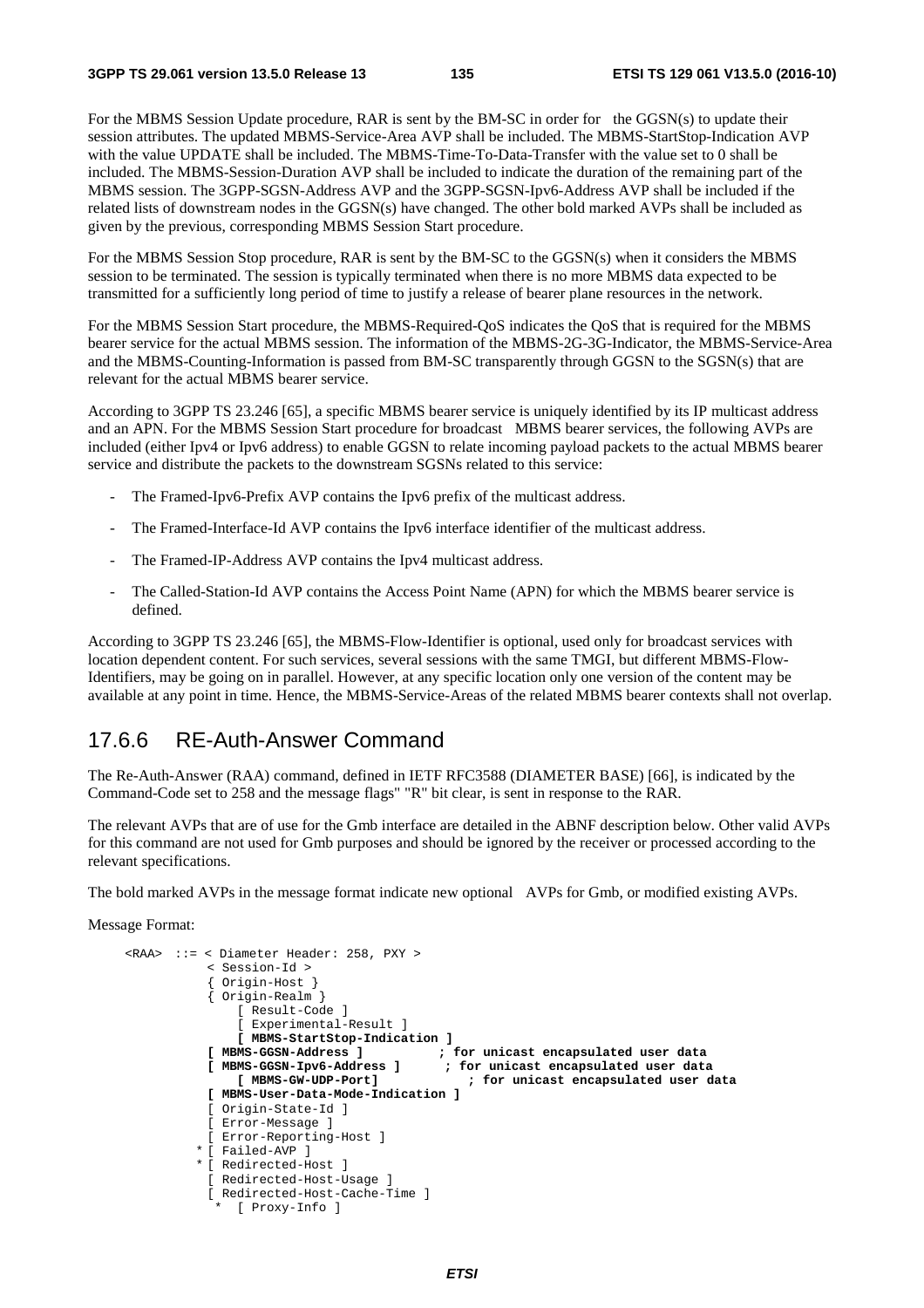For the MBMS Session Update procedure, RAR is sent by the BM-SC in order for the GGSN(s) to update their session attributes. The updated MBMS-Service-Area AVP shall be included. The MBMS-StartStop-Indication AVP with the value UPDATE shall be included. The MBMS-Time-To-Data-Transfer with the value set to 0 shall be included. The MBMS-Session-Duration AVP shall be included to indicate the duration of the remaining part of the MBMS session. The 3GPP-SGSN-Address AVP and the 3GPP-SGSN-Ipv6-Address AVP shall be included if the related lists of downstream nodes in the GGSN(s) have changed. The other bold marked AVPs shall be included as given by the previous, corresponding MBMS Session Start procedure.

For the MBMS Session Stop procedure, RAR is sent by the BM-SC to the GGSN(s) when it considers the MBMS session to be terminated. The session is typically terminated when there is no more MBMS data expected to be transmitted for a sufficiently long period of time to justify a release of bearer plane resources in the network.

For the MBMS Session Start procedure, the MBMS-Required-QoS indicates the QoS that is required for the MBMS bearer service for the actual MBMS session. The information of the MBMS-2G-3G-Indicator, the MBMS-Service-Area and the MBMS-Counting-Information is passed from BM-SC transparently through GGSN to the SGSN(s) that are relevant for the actual MBMS bearer service.

According to 3GPP TS 23.246 [65], a specific MBMS bearer service is uniquely identified by its IP multicast address and an APN. For the MBMS Session Start procedure for broadcast MBMS bearer services, the following AVPs are included (either Ipv4 or Ipv6 address) to enable GGSN to relate incoming payload packets to the actual MBMS bearer service and distribute the packets to the downstream SGSNs related to this service:

- The Framed-Ipv6-Prefix AVP contains the Ipv6 prefix of the multicast address.
- The Framed-Interface-Id AVP contains the Ipv6 interface identifier of the multicast address.
- The Framed-IP-Address AVP contains the Ipv4 multicast address.
- The Called-Station-Id AVP contains the Access Point Name (APN) for which the MBMS bearer service is defined.

According to 3GPP TS 23.246 [65], the MBMS-Flow-Identifier is optional, used only for broadcast services with location dependent content. For such services, several sessions with the same TMGI, but different MBMS-Flow-Identifiers, may be going on in parallel. However, at any specific location only one version of the content may be available at any point in time. Hence, the MBMS-Service-Areas of the related MBMS bearer contexts shall not overlap.

#### 17.6.6 RE-Auth-Answer Command

The Re-Auth-Answer (RAA) command, defined in IETF RFC3588 (DIAMETER BASE) [66], is indicated by the Command-Code set to 258 and the message flags" "R" bit clear, is sent in response to the RAR.

The relevant AVPs that are of use for the Gmb interface are detailed in the ABNF description below. Other valid AVPs for this command are not used for Gmb purposes and should be ignored by the receiver or processed according to the relevant specifications.

The bold marked AVPs in the message format indicate new optional AVPs for Gmb, or modified existing AVPs.

```
 <RAA> ::= < Diameter Header: 258, PXY > 
            < Session-Id > 
            { Origin-Host } 
            { Origin-Realm } 
                [ Result-Code ] 
                [ Experimental-Result ] 
                [ MBMS-StartStop-Indication ] 
            [ MBMS-GGSN-Address ] ; for unicast encapsulated user data 
            [ MBMS-GGSN-Ipv6-Address ] ; for unicast encapsulated user data 
                [ MBMS-GW-UDP-Port] ; for unicast encapsulated user data 
            [ MBMS-User-Data-Mode-Indication ] 
            [ Origin-State-Id ] 
            [ Error-Message ] 
            [ Error-Reporting-Host ] 
           * [ Failed-AVP ] 
          * [ Redirected-Host ] 
            [ Redirected-Host-Usage ] 
            [ Redirected-Host-Cache-Time ] 
             * [ Proxy-Info ]
```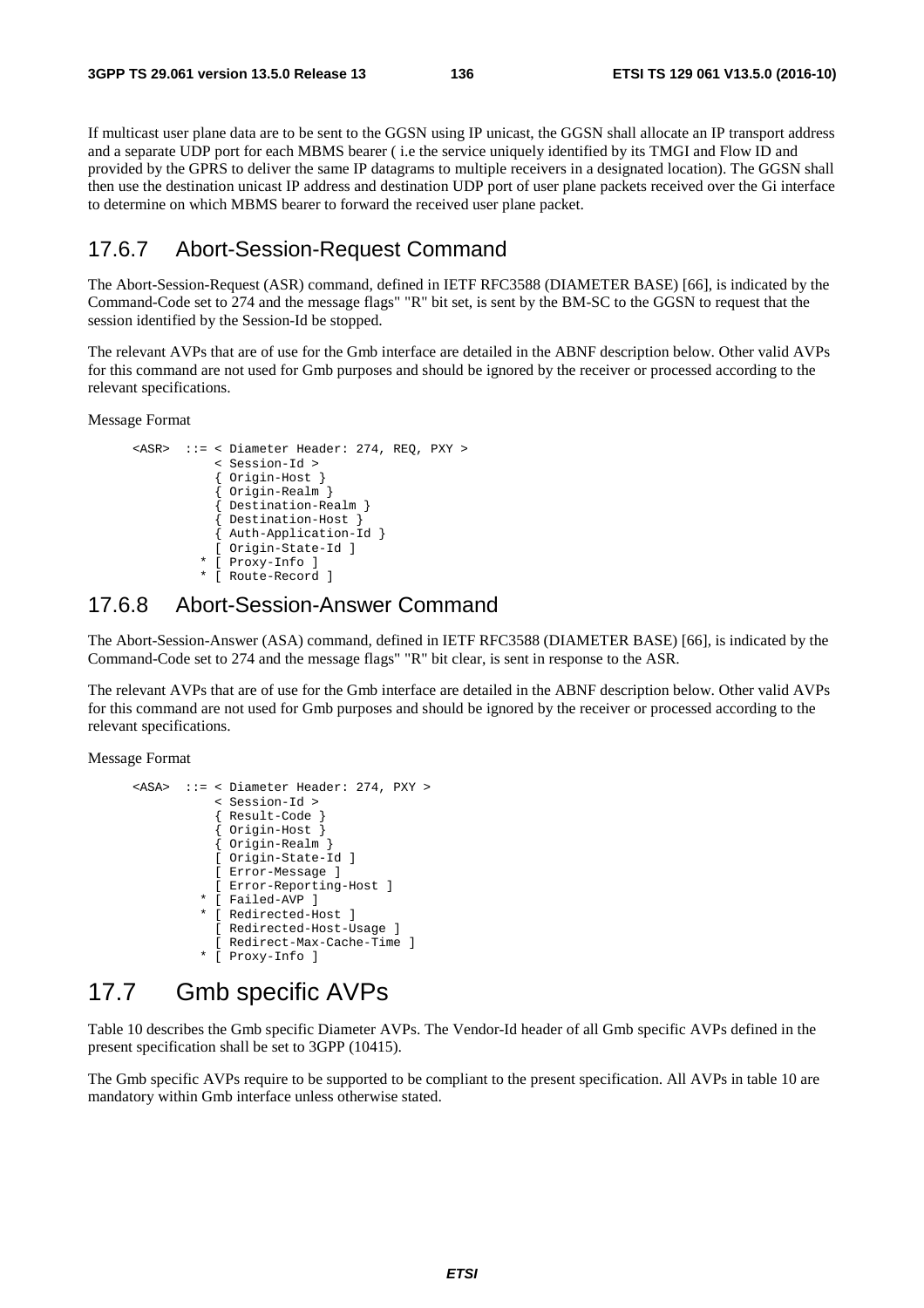If multicast user plane data are to be sent to the GGSN using IP unicast, the GGSN shall allocate an IP transport address and a separate UDP port for each MBMS bearer ( i.e the service uniquely identified by its TMGI and Flow ID and provided by the GPRS to deliver the same IP datagrams to multiple receivers in a designated location). The GGSN shall then use the destination unicast IP address and destination UDP port of user plane packets received over the Gi interface to determine on which MBMS bearer to forward the received user plane packet.

#### 17.6.7 Abort-Session-Request Command

The Abort-Session-Request (ASR) command, defined in IETF RFC3588 (DIAMETER BASE) [66], is indicated by the Command-Code set to 274 and the message flags" "R" bit set, is sent by the BM-SC to the GGSN to request that the session identified by the Session-Id be stopped.

The relevant AVPs that are of use for the Gmb interface are detailed in the ABNF description below. Other valid AVPs for this command are not used for Gmb purposes and should be ignored by the receiver or processed according to the relevant specifications.

Message Format

```
 <ASR> ::= < Diameter Header: 274, REQ, PXY > 
             < Session-Id > 
             { Origin-Host } 
             { Origin-Realm } 
             Destination-Realm }
             { Destination-Host } 
             { Auth-Application-Id } 
             [ Origin-State-Id ] 
           * [ Proxy-Info ] 
           * [ Route-Record ]
```
#### 17.6.8 Abort-Session-Answer Command

The Abort-Session-Answer (ASA) command, defined in IETF RFC3588 (DIAMETER BASE) [66], is indicated by the Command-Code set to 274 and the message flags" "R" bit clear, is sent in response to the ASR.

The relevant AVPs that are of use for the Gmb interface are detailed in the ABNF description below. Other valid AVPs for this command are not used for Gmb purposes and should be ignored by the receiver or processed according to the relevant specifications.

Message Format

```
 <ASA> ::= < Diameter Header: 274, PXY > 
                 < Session-Id > 
                 { Result-Code } 
 { Origin-Host } 
 { Origin-Realm } 
                 [ Origin-State-Id ] 
                 [ Error-Message ] 
                 [ Error-Reporting-Host ] 
               * [ Failed-AVP ] 
               * [ Redirected-Host ] 
                 [ Redirected-Host-Usage ] 
                 [ Redirect-Max-Cache-Time ] 
               * [ Proxy-Info ]
```
# 17.7 Gmb specific AVPs

Table 10 describes the Gmb specific Diameter AVPs. The Vendor-Id header of all Gmb specific AVPs defined in the present specification shall be set to 3GPP (10415).

The Gmb specific AVPs require to be supported to be compliant to the present specification. All AVPs in table 10 are mandatory within Gmb interface unless otherwise stated.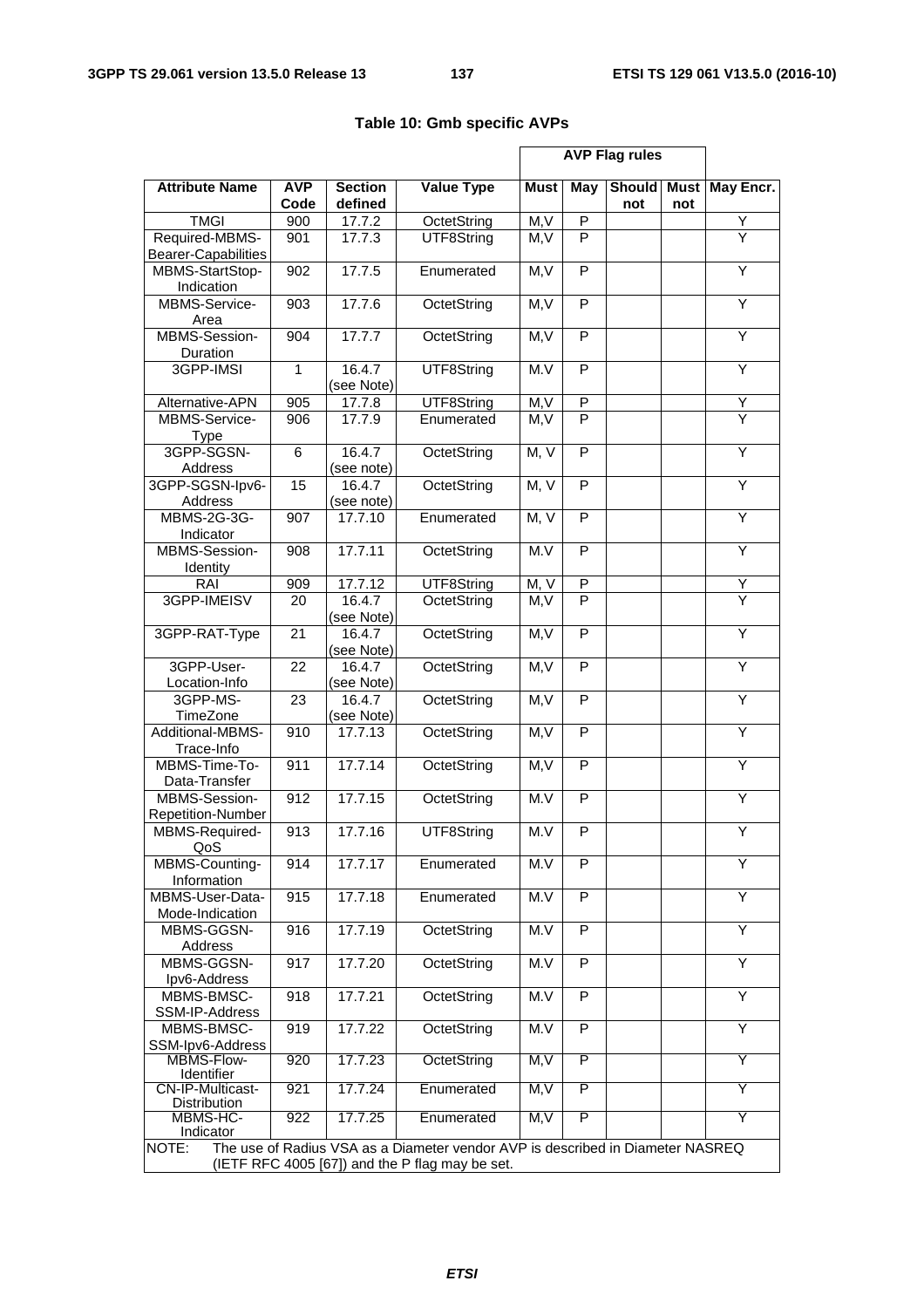|                                              |                    |                           |                                                                                                                                   | <b>AVP Flag rules</b> |              |                      |                    |                         |
|----------------------------------------------|--------------------|---------------------------|-----------------------------------------------------------------------------------------------------------------------------------|-----------------------|--------------|----------------------|--------------------|-------------------------|
| <b>Attribute Name</b>                        | <b>AVP</b><br>Code | <b>Section</b><br>defined | <b>Value Type</b>                                                                                                                 | <b>Must</b>           | May          | <b>Should</b><br>not | <b>Must</b><br>not | May Encr.               |
| <b>TMGI</b>                                  | 900                | 17.7.2                    | OctetString                                                                                                                       | M, V                  | $\mathsf{P}$ |                      |                    | Υ                       |
| Required-MBMS-<br><b>Bearer-Capabilities</b> | 901                | 17.7.3                    | UTF8String                                                                                                                        | M.V                   | P            |                      |                    | $\overline{Y}$          |
| MBMS-StartStop-<br>Indication                | 902                | 17.7.5                    | Enumerated                                                                                                                        | M, V                  | P            |                      |                    | Y                       |
| MBMS-Service-<br>Area                        | 903                | 17.7.6                    | OctetString                                                                                                                       | M, V                  | P            |                      |                    | Y                       |
| MBMS-Session-<br>Duration                    | 904                | 17.7.7                    | OctetString                                                                                                                       | M, V                  | P            |                      |                    | Υ                       |
| 3GPP-IMSI                                    | $\mathbf{1}$       | 16.4.7<br>(see Note)      | UTF8String                                                                                                                        | M.V                   | P            |                      |                    | Y                       |
| Alternative-APN                              | 905                | 17.7.8                    | UTF8String                                                                                                                        | M, V                  | ${\sf P}$    |                      |                    | Y                       |
| MBMS-Service-<br><b>Type</b>                 | 906                | 17.7.9                    | Enumerated                                                                                                                        | M, V                  | P            |                      |                    | $\overline{\mathsf{Y}}$ |
| 3GPP-SGSN-<br>Address                        | $\overline{6}$     | 16.4.7<br>(see note)      | OctetString                                                                                                                       | M, V                  | P            |                      |                    | $\overline{Y}$          |
| 3GPP-SGSN-lpv6-<br>Address                   | 15                 | 16.4.7<br>(see note)      | OctetString                                                                                                                       | M, V                  | P            |                      |                    | Υ                       |
| <b>MBMS-2G-3G-</b><br>Indicator              | 907                | 17.7.10                   | Enumerated                                                                                                                        | M, V                  | P            |                      |                    | Y                       |
| MBMS-Session-<br>Identity                    | 908                | 17.7.11                   | OctetString                                                                                                                       | M.V                   | P            |                      |                    | Y                       |
| RAI                                          | 909                | 17.7.12                   | UTF8String                                                                                                                        | M, V                  | ${\sf P}$    |                      |                    | Y                       |
| 3GPP-IMEISV                                  | 20                 | 16.4.7<br>(see Note)      | OctetString                                                                                                                       | M.V                   | P            |                      |                    | $\overline{Y}$          |
| 3GPP-RAT-Type                                | 21                 | 16.4.7<br>(see Note)      | OctetString                                                                                                                       | M, V                  | $\mathsf{P}$ |                      |                    | Y                       |
| 3GPP-User-<br>Location-Info                  | $\overline{22}$    | 16.4.7<br>(see Note)      | OctetString                                                                                                                       | M, V                  | P            |                      |                    | Ÿ                       |
| 3GPP-MS-<br>TimeZone                         | 23                 | 16.4.7<br>(see Note)      | OctetString                                                                                                                       | M, V                  | P            |                      |                    | Υ                       |
| Additional-MBMS-<br>Trace-Info               | 910                | 17.7.13                   | OctetString                                                                                                                       | M, V                  | P            |                      |                    | Υ                       |
| MBMS-Time-To-<br>Data-Transfer               | 911                | 17.7.14                   | OctetString                                                                                                                       | M, V                  | P            |                      |                    | Υ                       |
| MBMS-Session-<br><b>Repetition-Number</b>    | 912                | 17.7.15                   | OctetString                                                                                                                       | M.V                   | P            |                      |                    | Y                       |
| MBMS-Required-<br>QoS                        | 913                | 17.7.16                   | UTF8String                                                                                                                        | M.V                   | P            |                      |                    | Υ                       |
| MBMS-Counting-<br>Information                | 914                | 17.7.17                   | Enumerated                                                                                                                        | M.V                   | P            |                      |                    | Y                       |
| MBMS-User-Data-<br>Mode-Indication           | 915                | 17.7.18                   | Enumerated                                                                                                                        | M.V                   | P            |                      |                    | Y                       |
| MBMS-GGSN-<br>Address                        | 916                | 17.7.19                   | OctetString                                                                                                                       | M.V                   | P            |                      |                    | Y                       |
| MBMS-GGSN-<br>Ipv6-Address                   | 917                | 17.7.20                   | OctetString                                                                                                                       | M.V                   | P            |                      |                    | Y                       |
| MBMS-BMSC-<br>SSM-IP-Address                 | 918                | 17.7.21                   | OctetString                                                                                                                       | M.V                   | P            |                      |                    | $\overline{Y}$          |
| MBMS-BMSC-<br>SSM-Ipv6-Address               | 919                | 17.7.22                   | OctetString                                                                                                                       | M.V                   | P            |                      |                    | Y                       |
| MBMS-Flow-<br>Identifier                     | 920                | 17.7.23                   | OctetString                                                                                                                       | M, V                  | P            |                      |                    | Y                       |
| <b>CN-IP-Multicast-</b><br>Distribution      | 921                | 17.7.24                   | Enumerated                                                                                                                        | M, V                  | P            |                      |                    | Y                       |
| MBMS-HC-<br>Indicator                        | 922                | 17.7.25                   | Enumerated                                                                                                                        | M, V                  | P            |                      |                    | Y                       |
| NOTE:                                        |                    |                           | The use of Radius VSA as a Diameter vendor AVP is described in Diameter NASREQ<br>(IETF RFC 4005 [67]) and the P flag may be set. |                       |              |                      |                    |                         |

#### **Table 10: Gmb specific AVPs**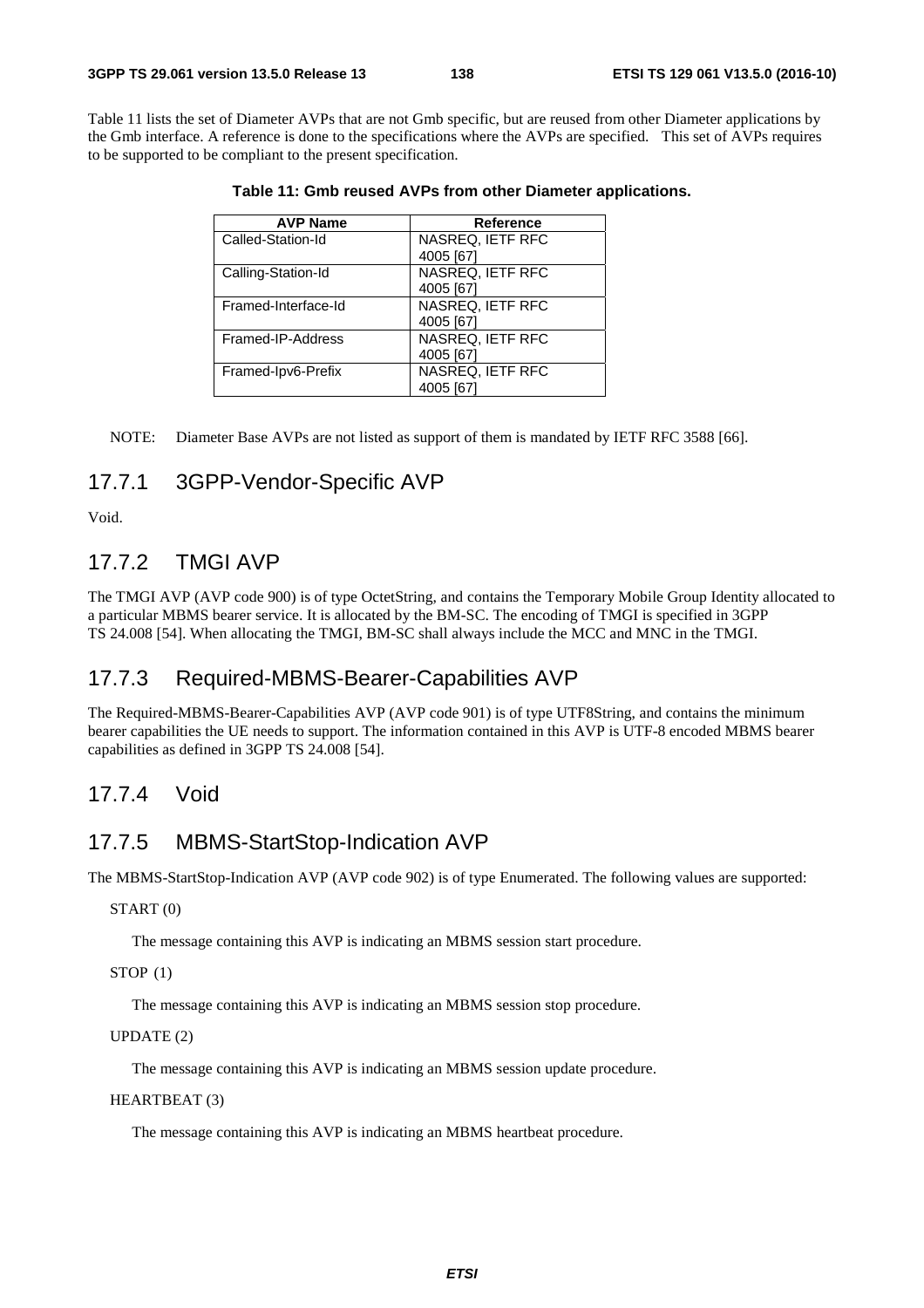Table 11 lists the set of Diameter AVPs that are not Gmb specific, but are reused from other Diameter applications by the Gmb interface. A reference is done to the specifications where the AVPs are specified. This set of AVPs requires to be supported to be compliant to the present specification.

| <b>AVP Name</b>     | <b>Reference</b>        |
|---------------------|-------------------------|
| Called-Station-Id   | NASREQ, IETF RFC        |
|                     | 4005 [67]               |
| Calling-Station-Id  | <b>NASREQ, IETF RFC</b> |
|                     | 4005 [67]               |
| Framed-Interface-Id | NASREQ, IETF RFC        |
|                     | 4005 [67]               |
| Framed-IP-Address   | NASREQ, IETF RFC        |
|                     | 4005 [67]               |
| Framed-Ipv6-Prefix  | NASREQ, IETF RFC        |
|                     | 4005 [67]               |

**Table 11: Gmb reused AVPs from other Diameter applications.** 

NOTE: Diameter Base AVPs are not listed as support of them is mandated by IETF RFC 3588 [66].

#### 17.7.1 3GPP-Vendor-Specific AVP

Void.

## 17.7.2 TMGI AVP

The TMGI AVP (AVP code 900) is of type OctetString, and contains the Temporary Mobile Group Identity allocated to a particular MBMS bearer service. It is allocated by the BM-SC. The encoding of TMGI is specified in 3GPP TS 24.008 [54]. When allocating the TMGI, BM-SC shall always include the MCC and MNC in the TMGI.

#### 17.7.3 Required-MBMS-Bearer-Capabilities AVP

The Required-MBMS-Bearer-Capabilities AVP (AVP code 901) is of type UTF8String, and contains the minimum bearer capabilities the UE needs to support. The information contained in this AVP is UTF-8 encoded MBMS bearer capabilities as defined in 3GPP TS 24.008 [54].

#### 17.7.4 Void

## 17.7.5 MBMS-StartStop-Indication AVP

The MBMS-StartStop-Indication AVP (AVP code 902) is of type Enumerated. The following values are supported:

START (0)

The message containing this AVP is indicating an MBMS session start procedure.

STOP (1)

The message containing this AVP is indicating an MBMS session stop procedure.

#### UPDATE (2)

The message containing this AVP is indicating an MBMS session update procedure.

HEARTBEAT (3)

The message containing this AVP is indicating an MBMS heartbeat procedure.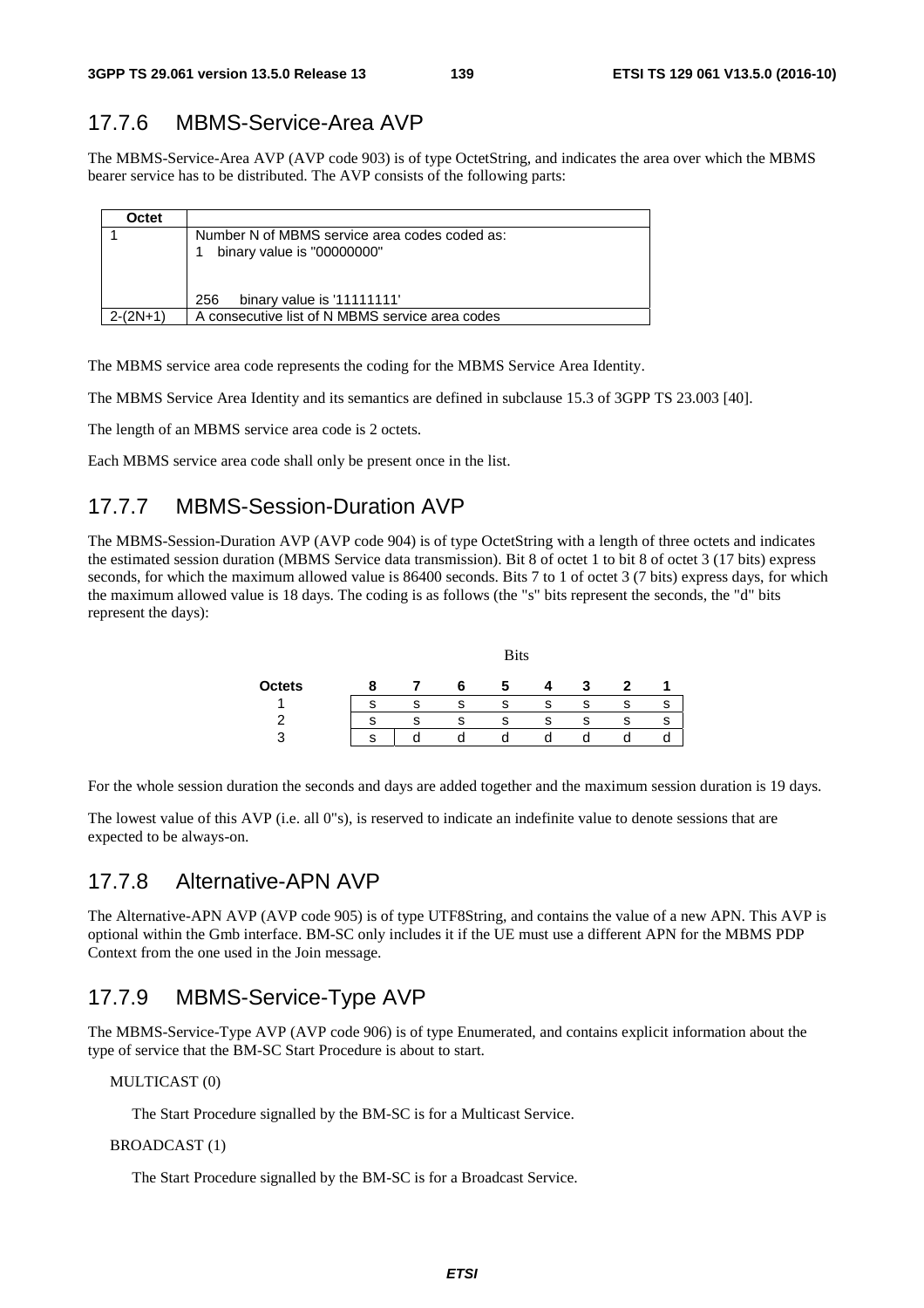## 17.7.6 MBMS-Service-Area AVP

The MBMS-Service-Area AVP (AVP code 903) is of type OctetString, and indicates the area over which the MBMS bearer service has to be distributed. The AVP consists of the following parts:

| Octet      |                                                                             |
|------------|-----------------------------------------------------------------------------|
|            | Number N of MBMS service area codes coded as:<br>binary value is "00000000" |
|            | binary value is '11111111'<br>256                                           |
| $2-(2N+1)$ | A consecutive list of N MBMS service area codes                             |

The MBMS service area code represents the coding for the MBMS Service Area Identity.

The MBMS Service Area Identity and its semantics are defined in subclause 15.3 of 3GPP TS 23.003 [40].

The length of an MBMS service area code is 2 octets.

Each MBMS service area code shall only be present once in the list.

## 17.7.7 MBMS-Session-Duration AVP

The MBMS-Session-Duration AVP (AVP code 904) is of type OctetString with a length of three octets and indicates the estimated session duration (MBMS Service data transmission). Bit 8 of octet 1 to bit 8 of octet 3 (17 bits) express seconds, for which the maximum allowed value is 86400 seconds. Bits 7 to 1 of octet 3 (7 bits) express days, for which the maximum allowed value is 18 days. The coding is as follows (the "s" bits represent the seconds, the "d" bits represent the days):

|               |  | <b>Bits</b> |    |   |   |   |
|---------------|--|-------------|----|---|---|---|
| <b>Octets</b> |  |             |    | 7 |   |   |
|               |  |             | s  |   |   |   |
|               |  |             | э. | Ð | e | o |
| ാ             |  |             |    |   |   |   |

For the whole session duration the seconds and days are added together and the maximum session duration is 19 days.

The lowest value of this AVP (i.e. all 0"s), is reserved to indicate an indefinite value to denote sessions that are expected to be always-on.

#### 17.7.8 Alternative-APN AVP

The Alternative-APN AVP (AVP code 905) is of type UTF8String, and contains the value of a new APN. This AVP is optional within the Gmb interface. BM-SC only includes it if the UE must use a different APN for the MBMS PDP Context from the one used in the Join message.

## 17.7.9 MBMS-Service-Type AVP

The MBMS-Service-Type AVP (AVP code 906) is of type Enumerated, and contains explicit information about the type of service that the BM-SC Start Procedure is about to start.

MULTICAST (0)

The Start Procedure signalled by the BM-SC is for a Multicast Service.

#### BROADCAST (1)

The Start Procedure signalled by the BM-SC is for a Broadcast Service.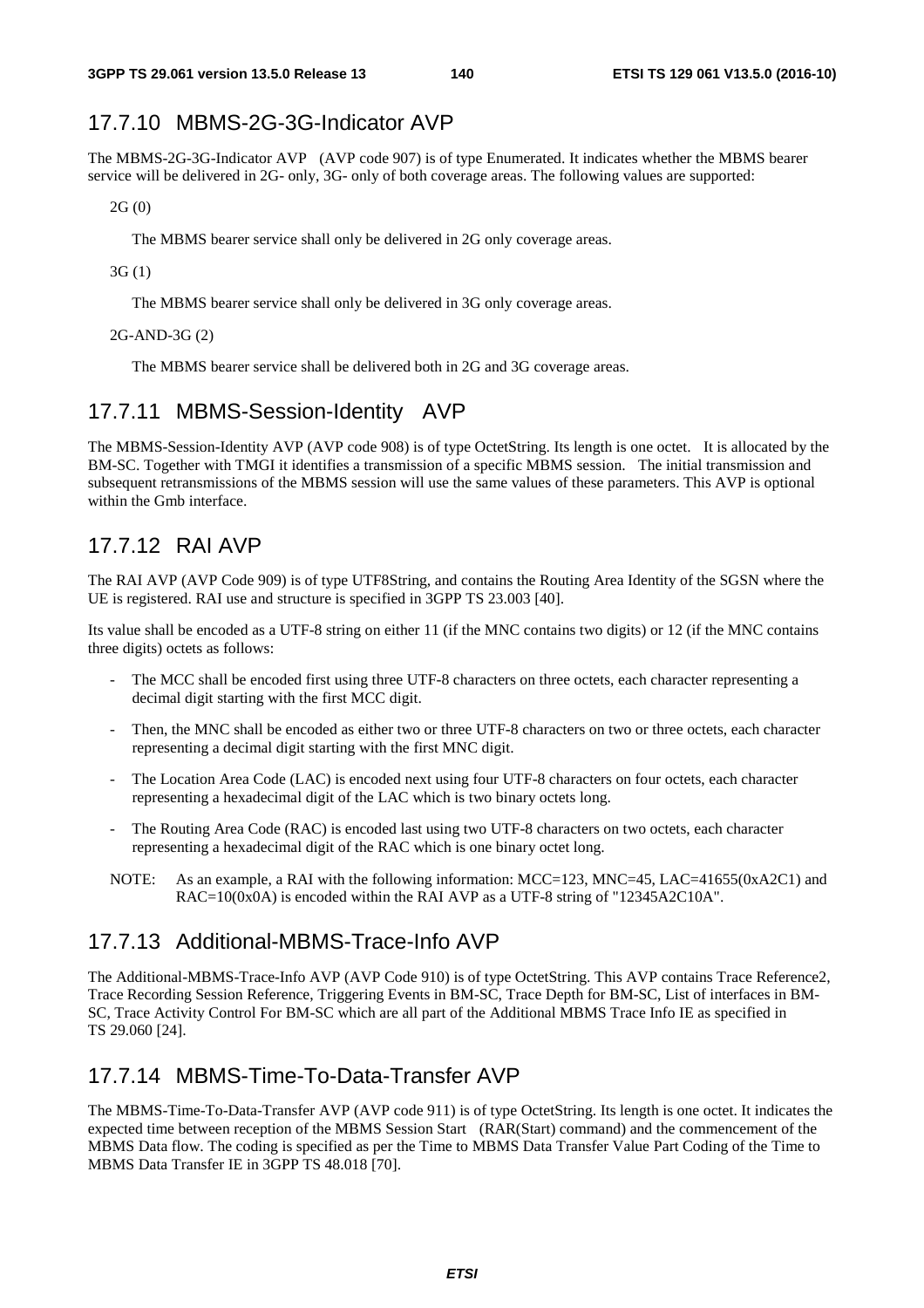## 17.7.10 MBMS-2G-3G-Indicator AVP

The MBMS-2G-3G-Indicator AVP (AVP code 907) is of type Enumerated. It indicates whether the MBMS bearer service will be delivered in 2G- only, 3G- only of both coverage areas. The following values are supported:

2G (0)

The MBMS bearer service shall only be delivered in 2G only coverage areas.

3G (1)

The MBMS bearer service shall only be delivered in 3G only coverage areas.

2G-AND-3G (2)

The MBMS bearer service shall be delivered both in 2G and 3G coverage areas.

#### 17.7.11 MBMS-Session-Identity AVP

The MBMS-Session-Identity AVP (AVP code 908) is of type OctetString. Its length is one octet. It is allocated by the BM-SC. Together with TMGI it identifies a transmission of a specific MBMS session. The initial transmission and subsequent retransmissions of the MBMS session will use the same values of these parameters. This AVP is optional within the Gmb interface.

## 17.7.12 RAI AVP

The RAI AVP (AVP Code 909) is of type UTF8String, and contains the Routing Area Identity of the SGSN where the UE is registered. RAI use and structure is specified in 3GPP TS 23.003 [40].

Its value shall be encoded as a UTF-8 string on either 11 (if the MNC contains two digits) or 12 (if the MNC contains three digits) octets as follows:

- The MCC shall be encoded first using three UTF-8 characters on three octets, each character representing a decimal digit starting with the first MCC digit.
- Then, the MNC shall be encoded as either two or three UTF-8 characters on two or three octets, each character representing a decimal digit starting with the first MNC digit.
- The Location Area Code (LAC) is encoded next using four UTF-8 characters on four octets, each character representing a hexadecimal digit of the LAC which is two binary octets long.
- The Routing Area Code (RAC) is encoded last using two UTF-8 characters on two octets, each character representing a hexadecimal digit of the RAC which is one binary octet long.
- NOTE: As an example, a RAI with the following information: MCC=123, MNC=45, LAC=41655(0xA2C1) and RAC=10(0x0A) is encoded within the RAI AVP as a UTF-8 string of "12345A2C10A".

#### 17.7.13 Additional-MBMS-Trace-Info AVP

The Additional-MBMS-Trace-Info AVP (AVP Code 910) is of type OctetString. This AVP contains Trace Reference2, Trace Recording Session Reference, Triggering Events in BM-SC, Trace Depth for BM-SC, List of interfaces in BM-SC, Trace Activity Control For BM-SC which are all part of the Additional MBMS Trace Info IE as specified in TS 29.060 [24].

## 17.7.14 MBMS-Time-To-Data-Transfer AVP

The MBMS-Time-To-Data-Transfer AVP (AVP code 911) is of type OctetString. Its length is one octet. It indicates the expected time between reception of the MBMS Session Start (RAR(Start) command) and the commencement of the MBMS Data flow. The coding is specified as per the Time to MBMS Data Transfer Value Part Coding of the Time to MBMS Data Transfer IE in 3GPP TS 48.018 [70].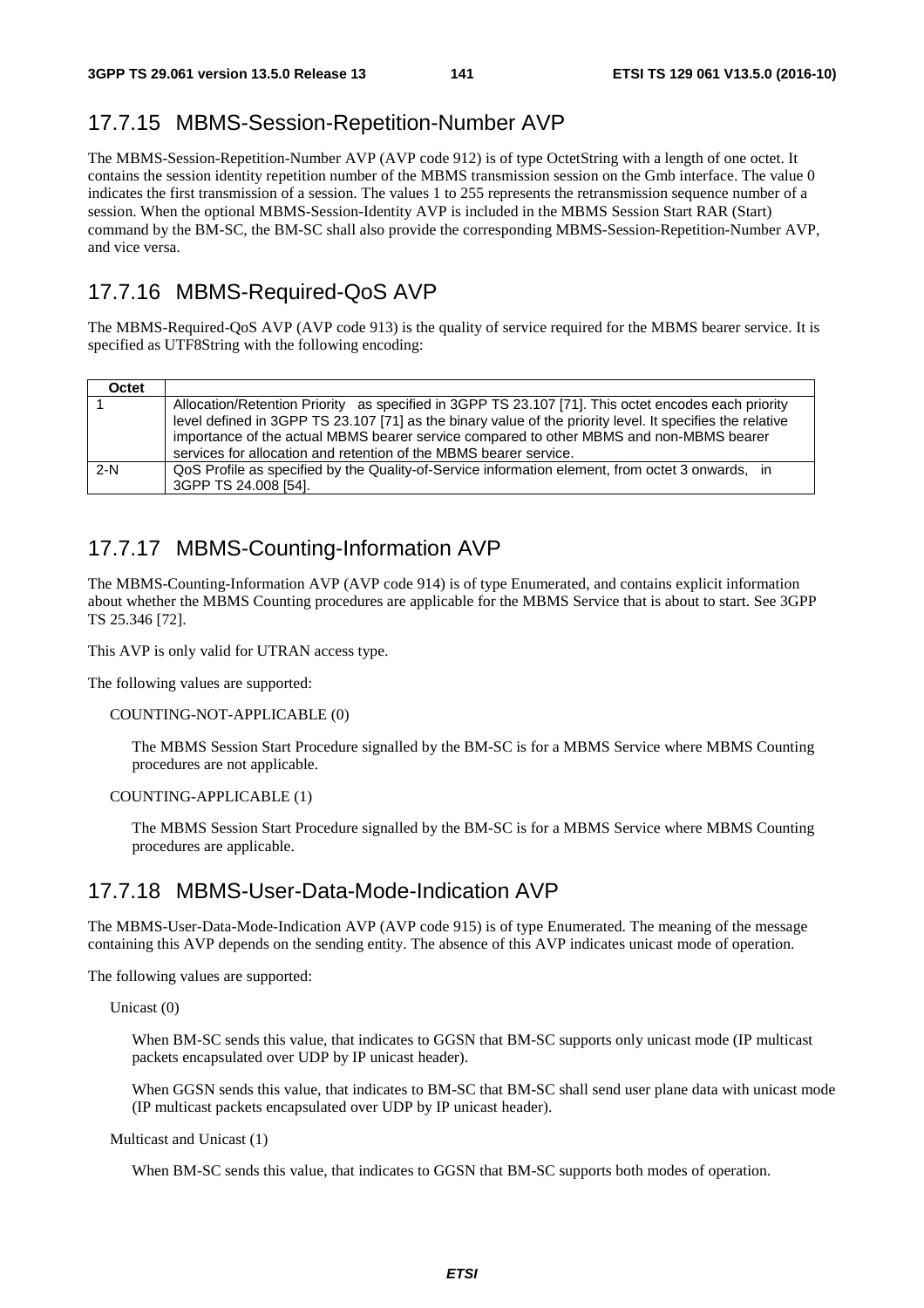#### 17.7.15 MBMS-Session-Repetition-Number AVP

The MBMS-Session-Repetition-Number AVP (AVP code 912) is of type OctetString with a length of one octet. It contains the session identity repetition number of the MBMS transmission session on the Gmb interface. The value 0 indicates the first transmission of a session. The values 1 to 255 represents the retransmission sequence number of a session. When the optional MBMS-Session-Identity AVP is included in the MBMS Session Start RAR (Start) command by the BM-SC, the BM-SC shall also provide the corresponding MBMS-Session-Repetition-Number AVP, and vice versa.

#### 17.7.16 MBMS-Required-QoS AVP

The MBMS-Required-QoS AVP (AVP code 913) is the quality of service required for the MBMS bearer service. It is specified as UTF8String with the following encoding:

| Octet |                                                                                                                                                                                                                                                                                                                                                                                  |
|-------|----------------------------------------------------------------------------------------------------------------------------------------------------------------------------------------------------------------------------------------------------------------------------------------------------------------------------------------------------------------------------------|
|       | Allocation/Retention Priority as specified in 3GPP TS 23.107 [71]. This octet encodes each priority<br>level defined in 3GPP TS 23.107 [71] as the binary value of the priority level. It specifies the relative<br>importance of the actual MBMS bearer service compared to other MBMS and non-MBMS bearer<br>services for allocation and retention of the MBMS bearer service. |
| $2-N$ | QoS Profile as specified by the Quality-of-Service information element, from octet 3 onwards, in<br>3GPP TS 24.008 [54].                                                                                                                                                                                                                                                         |

#### 17.7.17 MBMS-Counting-Information AVP

The MBMS-Counting-Information AVP (AVP code 914) is of type Enumerated, and contains explicit information about whether the MBMS Counting procedures are applicable for the MBMS Service that is about to start. See 3GPP TS 25.346 [72].

This AVP is only valid for UTRAN access type.

The following values are supported:

#### COUNTING-NOT-APPLICABLE (0)

 The MBMS Session Start Procedure signalled by the BM-SC is for a MBMS Service where MBMS Counting procedures are not applicable.

#### COUNTING-APPLICABLE (1)

 The MBMS Session Start Procedure signalled by the BM-SC is for a MBMS Service where MBMS Counting procedures are applicable.

#### 17.7.18 MBMS-User-Data-Mode-Indication AVP

The MBMS-User-Data-Mode-Indication AVP (AVP code 915) is of type Enumerated. The meaning of the message containing this AVP depends on the sending entity. The absence of this AVP indicates unicast mode of operation.

The following values are supported:

Unicast (0)

 When BM-SC sends this value, that indicates to GGSN that BM-SC supports only unicast mode (IP multicast packets encapsulated over UDP by IP unicast header).

 When GGSN sends this value, that indicates to BM-SC that BM-SC shall send user plane data with unicast mode (IP multicast packets encapsulated over UDP by IP unicast header).

Multicast and Unicast (1)

When BM-SC sends this value, that indicates to GGSN that BM-SC supports both modes of operation.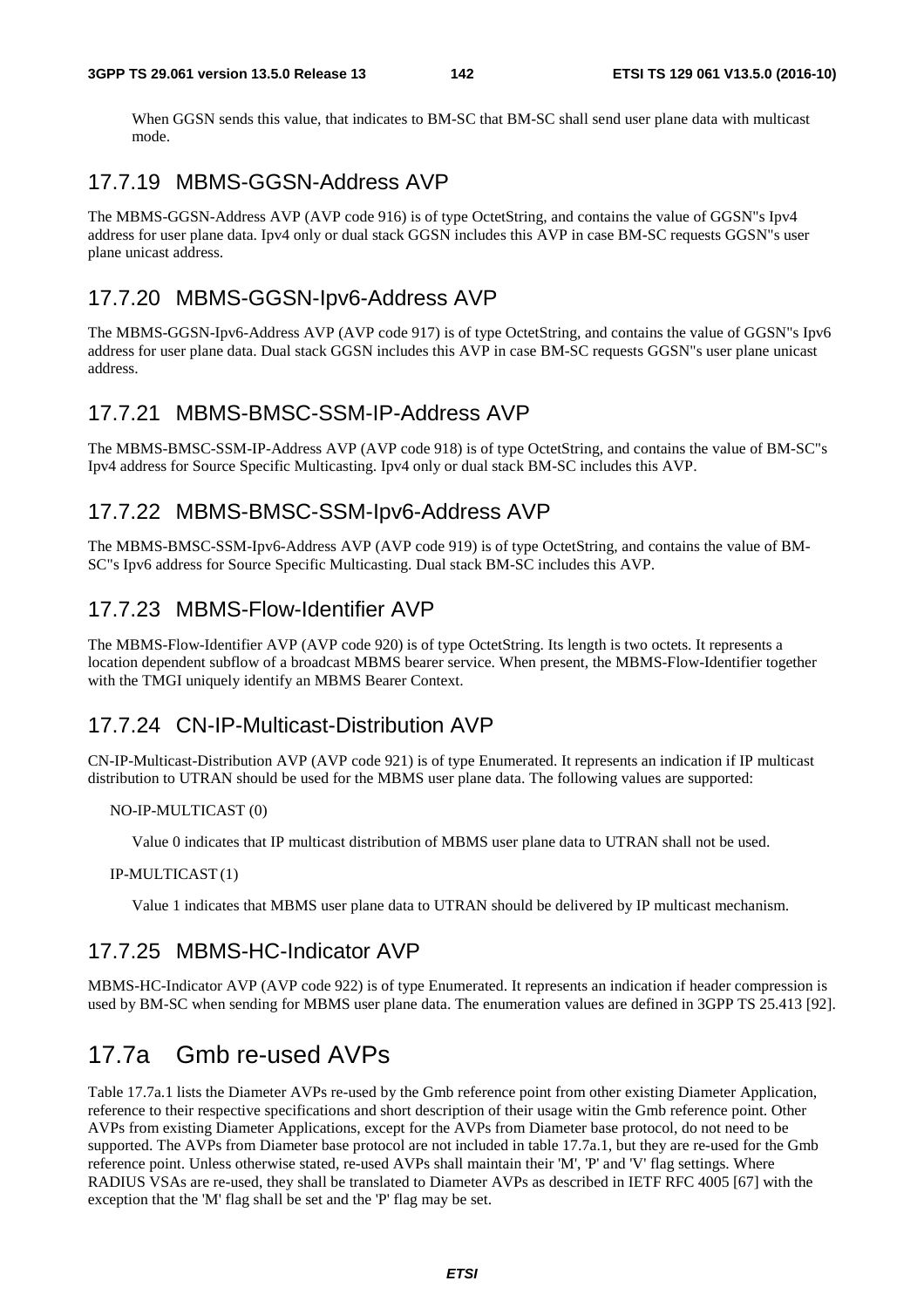When GGSN sends this value, that indicates to BM-SC that BM-SC shall send user plane data with multicast mode.

#### 17.7.19 MBMS-GGSN-Address AVP

The MBMS-GGSN-Address AVP (AVP code 916) is of type OctetString, and contains the value of GGSN"s Ipv4 address for user plane data. Ipv4 only or dual stack GGSN includes this AVP in case BM-SC requests GGSN"s user plane unicast address.

#### 17.7.20 MBMS-GGSN-Ipv6-Address AVP

The MBMS-GGSN-Ipv6-Address AVP (AVP code 917) is of type OctetString, and contains the value of GGSN"s Ipv6 address for user plane data. Dual stack GGSN includes this AVP in case BM-SC requests GGSN"s user plane unicast address.

#### 17.7.21 MBMS-BMSC-SSM-IP-Address AVP

The MBMS-BMSC-SSM-IP-Address AVP (AVP code 918) is of type OctetString, and contains the value of BM-SC"s Ipv4 address for Source Specific Multicasting. Ipv4 only or dual stack BM-SC includes this AVP.

#### 17.7.22 MBMS-BMSC-SSM-Ipv6-Address AVP

The MBMS-BMSC-SSM-Ipv6-Address AVP (AVP code 919) is of type OctetString, and contains the value of BM-SC"s Ipv6 address for Source Specific Multicasting. Dual stack BM-SC includes this AVP.

#### 17.7.23 MBMS-Flow-Identifier AVP

The MBMS-Flow-Identifier AVP (AVP code 920) is of type OctetString. Its length is two octets. It represents a location dependent subflow of a broadcast MBMS bearer service. When present, the MBMS-Flow-Identifier together with the TMGI uniquely identify an MBMS Bearer Context.

#### 17.7.24 CN-IP-Multicast-Distribution AVP

CN-IP-Multicast-Distribution AVP (AVP code 921) is of type Enumerated. It represents an indication if IP multicast distribution to UTRAN should be used for the MBMS user plane data. The following values are supported:

#### NO-IP-MULTICAST (0)

Value 0 indicates that IP multicast distribution of MBMS user plane data to UTRAN shall not be used.

#### IP-MULTICAST (1)

Value 1 indicates that MBMS user plane data to UTRAN should be delivered by IP multicast mechanism.

#### 17.7.25 MBMS-HC-Indicator AVP

MBMS-HC-Indicator AVP (AVP code 922) is of type Enumerated. It represents an indication if header compression is used by BM-SC when sending for MBMS user plane data. The enumeration values are defined in 3GPP TS 25.413 [92].

# 17.7a Gmb re-used AVPs

Table 17.7a.1 lists the Diameter AVPs re-used by the Gmb reference point from other existing Diameter Application, reference to their respective specifications and short description of their usage witin the Gmb reference point. Other AVPs from existing Diameter Applications, except for the AVPs from Diameter base protocol, do not need to be supported. The AVPs from Diameter base protocol are not included in table 17.7a.1, but they are re-used for the Gmb reference point. Unless otherwise stated, re-used AVPs shall maintain their 'M', 'P' and 'V' flag settings. Where RADIUS VSAs are re-used, they shall be translated to Diameter AVPs as described in IETF RFC 4005 [67] with the exception that the 'M' flag shall be set and the 'P' flag may be set.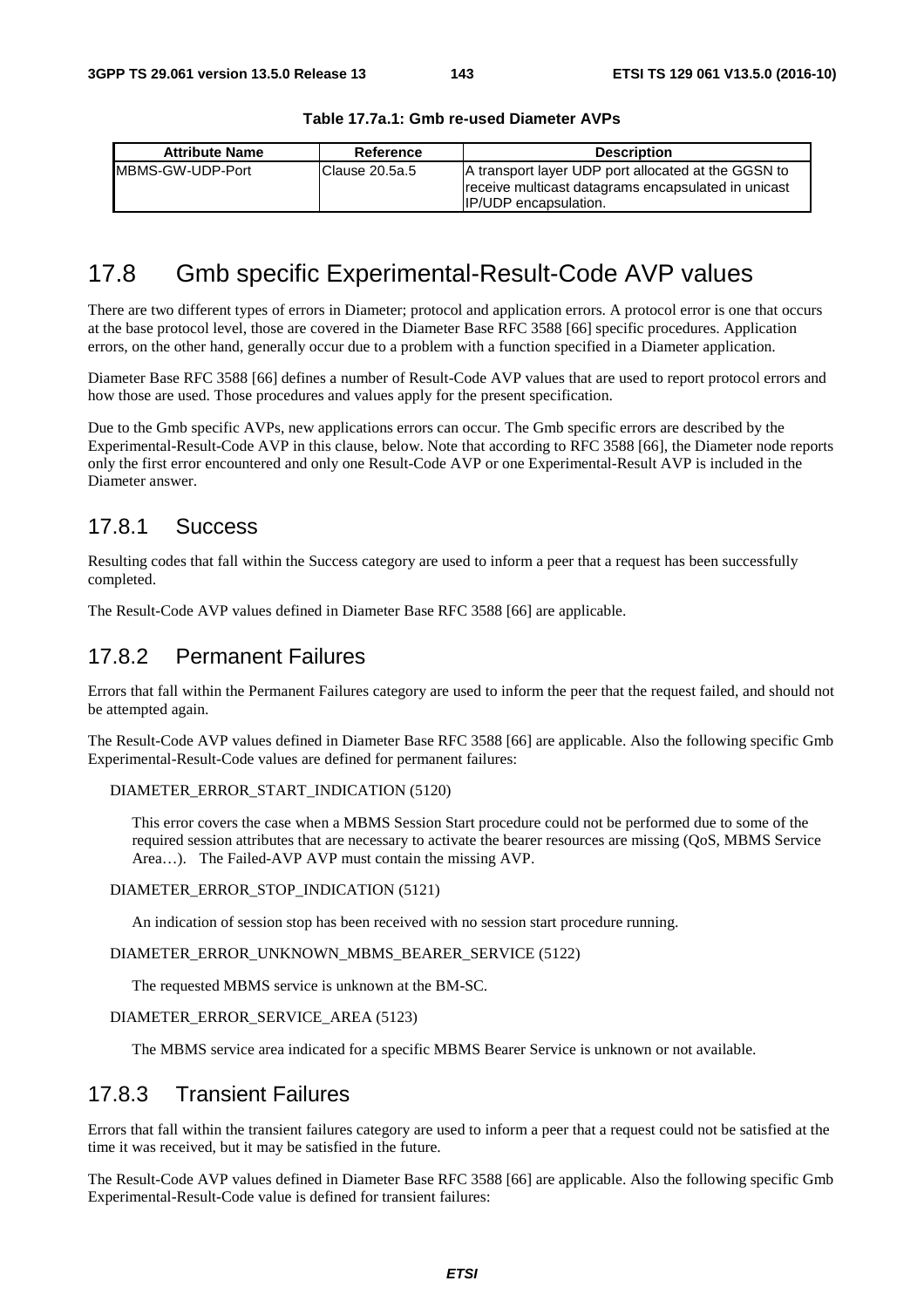| <b>Attribute Name</b> | Reference       | <b>Description</b>                                                                                                                         |
|-----------------------|-----------------|--------------------------------------------------------------------------------------------------------------------------------------------|
| MBMS-GW-UDP-Port      | lClause 20.5a.5 | A transport layer UDP port allocated at the GGSN to<br>receive multicast datagrams encapsulated in unicast<br><b>IP/UDP</b> encapsulation. |

#### **Table 17.7a.1: Gmb re-used Diameter AVPs**

# 17.8 Gmb specific Experimental-Result-Code AVP values

There are two different types of errors in Diameter; protocol and application errors. A protocol error is one that occurs at the base protocol level, those are covered in the Diameter Base RFC 3588 [66] specific procedures. Application errors, on the other hand, generally occur due to a problem with a function specified in a Diameter application.

Diameter Base RFC 3588 [66] defines a number of Result-Code AVP values that are used to report protocol errors and how those are used. Those procedures and values apply for the present specification.

Due to the Gmb specific AVPs, new applications errors can occur. The Gmb specific errors are described by the Experimental-Result-Code AVP in this clause, below. Note that according to RFC 3588 [66], the Diameter node reports only the first error encountered and only one Result-Code AVP or one Experimental-Result AVP is included in the Diameter answer.

#### 17.8.1 Success

Resulting codes that fall within the Success category are used to inform a peer that a request has been successfully completed.

The Result-Code AVP values defined in Diameter Base RFC 3588 [66] are applicable.

#### 17.8.2 Permanent Failures

Errors that fall within the Permanent Failures category are used to inform the peer that the request failed, and should not be attempted again.

The Result-Code AVP values defined in Diameter Base RFC 3588 [66] are applicable. Also the following specific Gmb Experimental-Result-Code values are defined for permanent failures:

```
DIAMETER_ERROR_START_INDICATION (5120)
```
 This error covers the case when a MBMS Session Start procedure could not be performed due to some of the required session attributes that are necessary to activate the bearer resources are missing (QoS, MBMS Service Area…). The Failed-AVP AVP must contain the missing AVP.

DIAMETER\_ERROR\_STOP\_INDICATION (5121)

An indication of session stop has been received with no session start procedure running.

DIAMETER\_ERROR\_UNKNOWN\_MBMS\_BEARER\_SERVICE (5122)

The requested MBMS service is unknown at the BM-SC.

DIAMETER\_ERROR\_SERVICE\_AREA (5123)

The MBMS service area indicated for a specific MBMS Bearer Service is unknown or not available.

#### 17.8.3 Transient Failures

Errors that fall within the transient failures category are used to inform a peer that a request could not be satisfied at the time it was received, but it may be satisfied in the future.

The Result-Code AVP values defined in Diameter Base RFC 3588 [66] are applicable. Also the following specific Gmb Experimental-Result-Code value is defined for transient failures: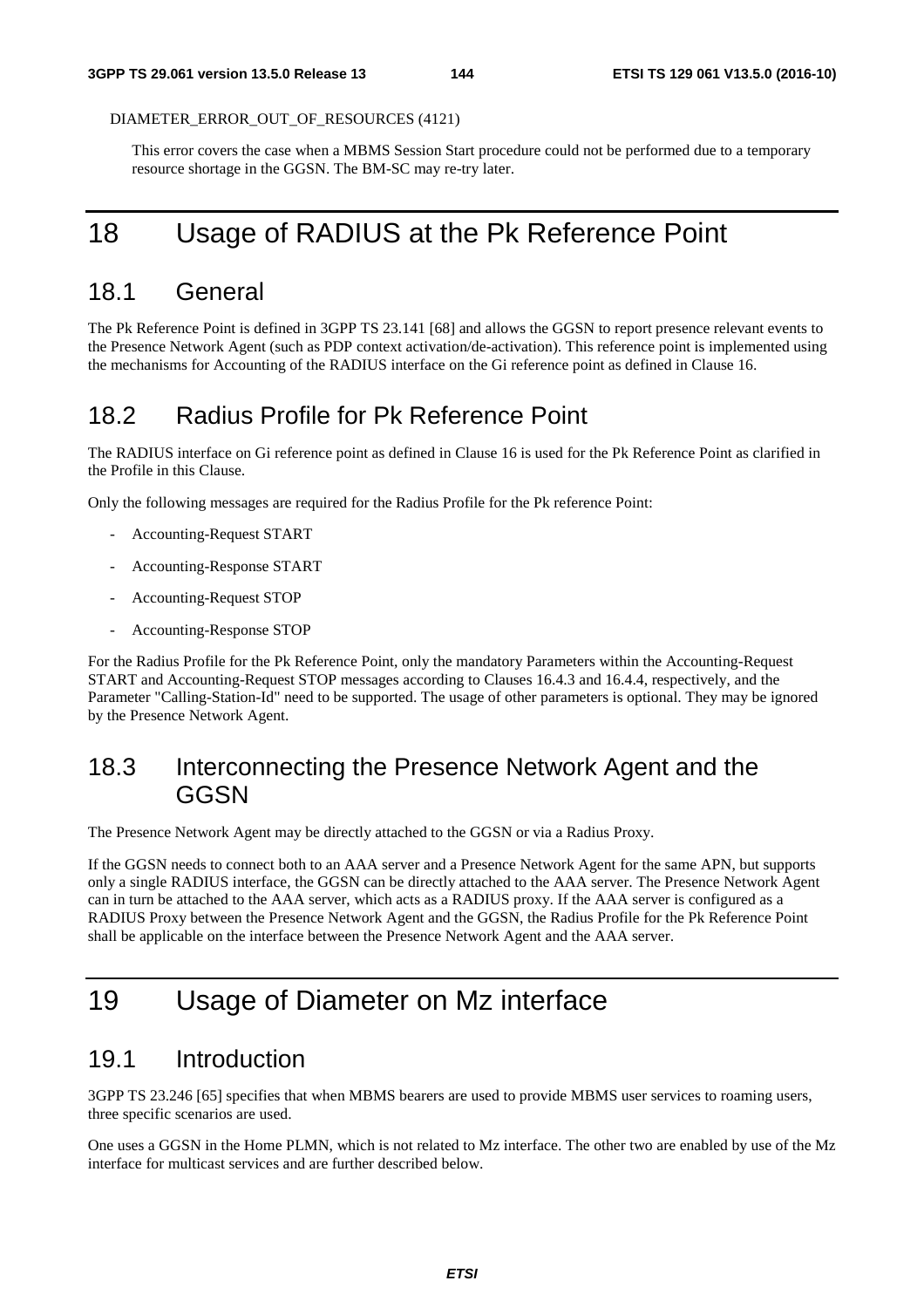DIAMETER\_ERROR\_OUT\_OF\_RESOURCES (4121)

 This error covers the case when a MBMS Session Start procedure could not be performed due to a temporary resource shortage in the GGSN. The BM-SC may re-try later.

# 18 Usage of RADIUS at the Pk Reference Point

## 18.1 General

The Pk Reference Point is defined in 3GPP TS 23.141 [68] and allows the GGSN to report presence relevant events to the Presence Network Agent (such as PDP context activation/de-activation). This reference point is implemented using the mechanisms for Accounting of the RADIUS interface on the Gi reference point as defined in Clause 16.

## 18.2 Radius Profile for Pk Reference Point

The RADIUS interface on Gi reference point as defined in Clause 16 is used for the Pk Reference Point as clarified in the Profile in this Clause.

Only the following messages are required for the Radius Profile for the Pk reference Point:

- Accounting-Request START
- Accounting-Response START
- Accounting-Request STOP
- Accounting-Response STOP

For the Radius Profile for the Pk Reference Point, only the mandatory Parameters within the Accounting-Request START and Accounting-Request STOP messages according to Clauses 16.4.3 and 16.4.4, respectively, and the Parameter "Calling-Station-Id" need to be supported. The usage of other parameters is optional. They may be ignored by the Presence Network Agent.

## 18.3 Interconnecting the Presence Network Agent and the **GGSN**

The Presence Network Agent may be directly attached to the GGSN or via a Radius Proxy.

If the GGSN needs to connect both to an AAA server and a Presence Network Agent for the same APN, but supports only a single RADIUS interface, the GGSN can be directly attached to the AAA server. The Presence Network Agent can in turn be attached to the AAA server, which acts as a RADIUS proxy. If the AAA server is configured as a RADIUS Proxy between the Presence Network Agent and the GGSN, the Radius Profile for the Pk Reference Point shall be applicable on the interface between the Presence Network Agent and the AAA server.

# 19 Usage of Diameter on Mz interface

## 19.1 Introduction

3GPP TS 23.246 [65] specifies that when MBMS bearers are used to provide MBMS user services to roaming users, three specific scenarios are used.

One uses a GGSN in the Home PLMN, which is not related to Mz interface. The other two are enabled by use of the Mz interface for multicast services and are further described below.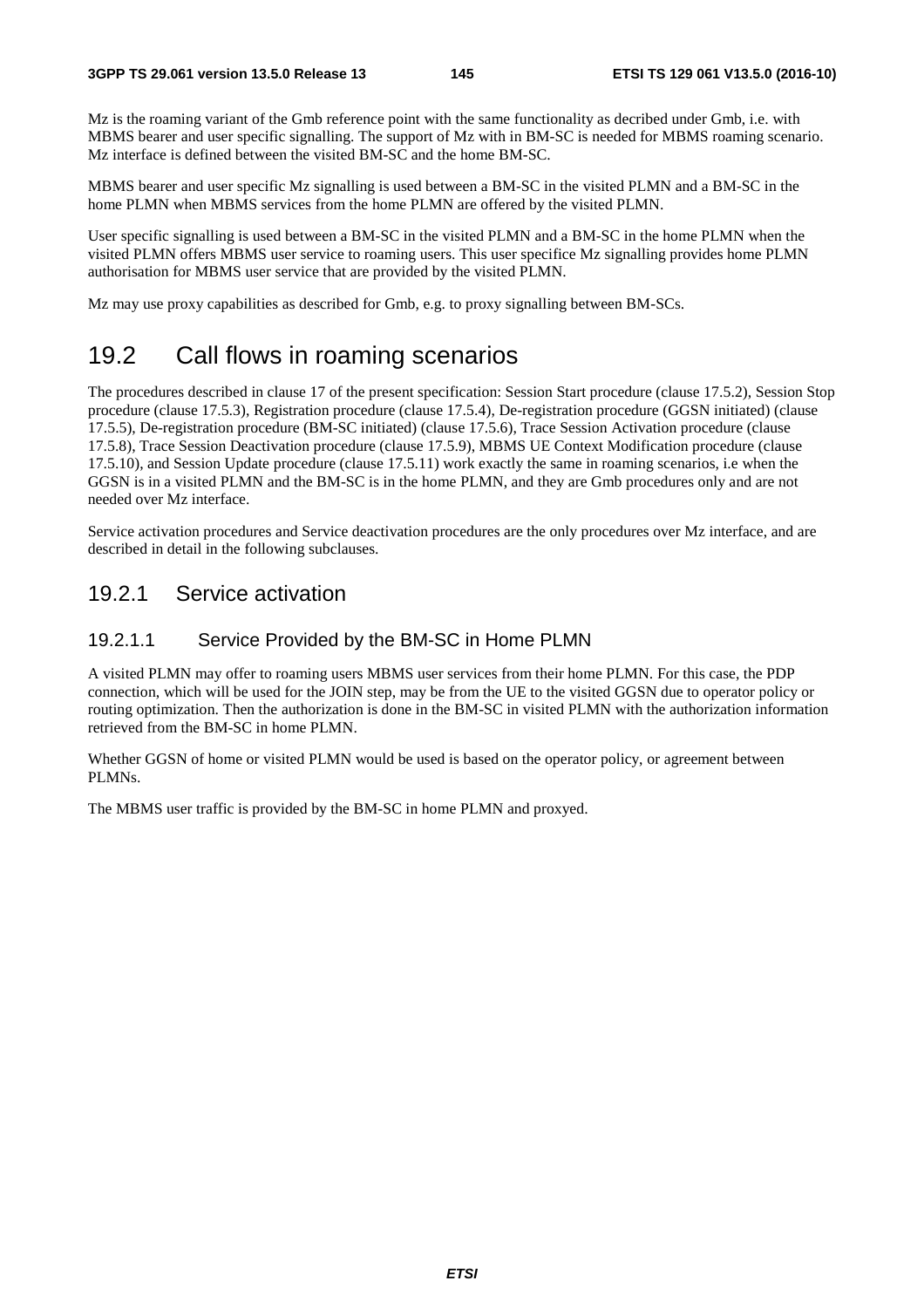Mz is the roaming variant of the Gmb reference point with the same functionality as decribed under Gmb, i.e. with MBMS bearer and user specific signalling. The support of Mz with in BM-SC is needed for MBMS roaming scenario. Mz interface is defined between the visited BM-SC and the home BM-SC.

MBMS bearer and user specific Mz signalling is used between a BM-SC in the visited PLMN and a BM-SC in the home PLMN when MBMS services from the home PLMN are offered by the visited PLMN.

User specific signalling is used between a BM-SC in the visited PLMN and a BM-SC in the home PLMN when the visited PLMN offers MBMS user service to roaming users. This user specifice Mz signalling provides home PLMN authorisation for MBMS user service that are provided by the visited PLMN.

Mz may use proxy capabilities as described for Gmb, e.g. to proxy signalling between BM-SCs.

## 19.2 Call flows in roaming scenarios

The procedures described in clause 17 of the present specification: Session Start procedure (clause 17.5.2), Session Stop procedure (clause 17.5.3), Registration procedure (clause 17.5.4), De-registration procedure (GGSN initiated) (clause 17.5.5), De-registration procedure (BM-SC initiated) (clause 17.5.6), Trace Session Activation procedure (clause 17.5.8), Trace Session Deactivation procedure (clause 17.5.9), MBMS UE Context Modification procedure (clause 17.5.10), and Session Update procedure (clause 17.5.11) work exactly the same in roaming scenarios, i.e when the GGSN is in a visited PLMN and the BM-SC is in the home PLMN, and they are Gmb procedures only and are not needed over Mz interface.

Service activation procedures and Service deactivation procedures are the only procedures over Mz interface, and are described in detail in the following subclauses.

#### 19.2.1 Service activation

#### 19.2.1.1 Service Provided by the BM-SC in Home PLMN

A visited PLMN may offer to roaming users MBMS user services from their home PLMN. For this case, the PDP connection, which will be used for the JOIN step, may be from the UE to the visited GGSN due to operator policy or routing optimization. Then the authorization is done in the BM-SC in visited PLMN with the authorization information retrieved from the BM-SC in home PLMN.

Whether GGSN of home or visited PLMN would be used is based on the operator policy, or agreement between PLMNs.

The MBMS user traffic is provided by the BM-SC in home PLMN and proxyed.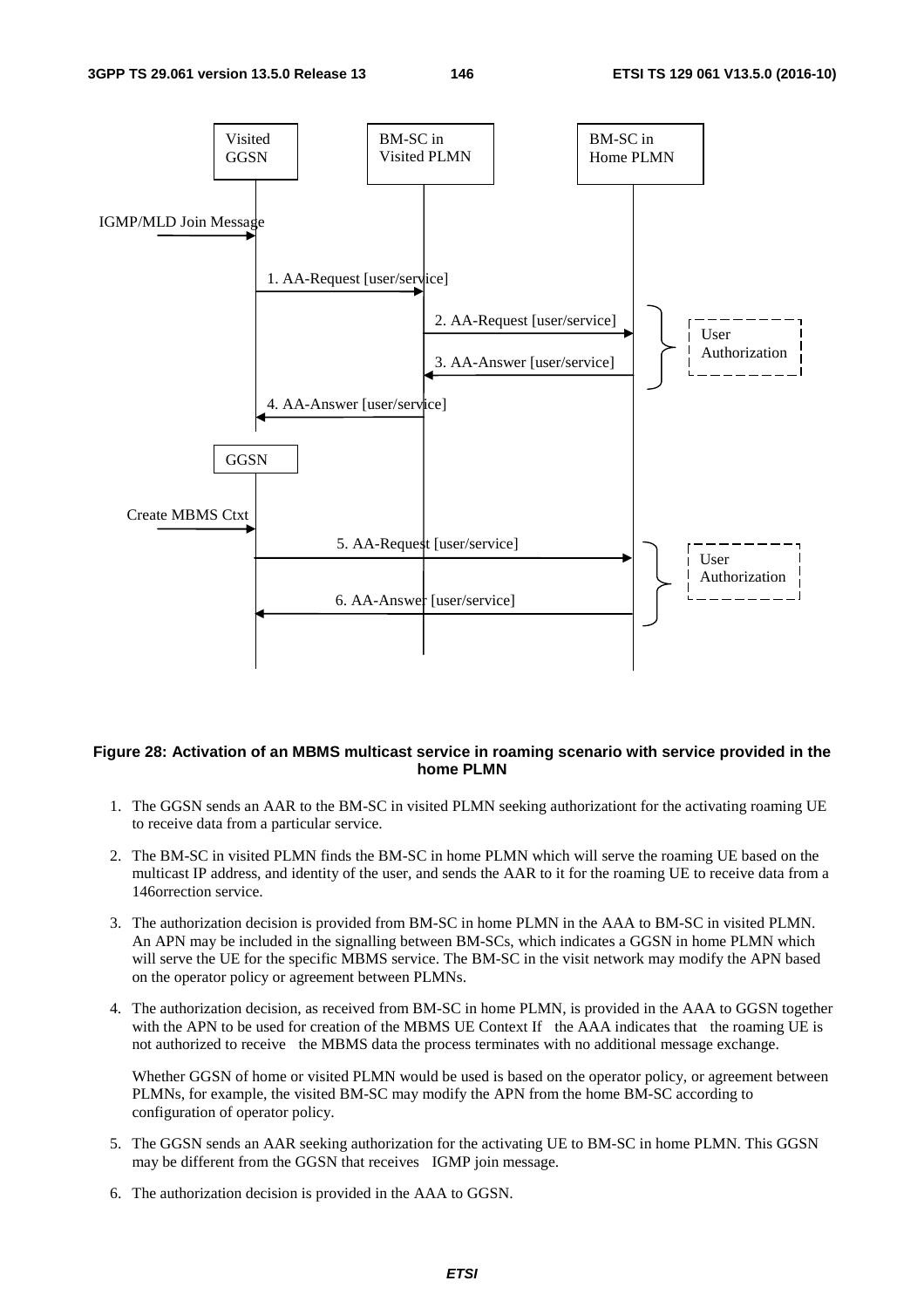

#### **Figure 28: Activation of an MBMS multicast service in roaming scenario with service provided in the home PLMN**

- 1. The GGSN sends an AAR to the BM-SC in visited PLMN seeking authorizationt for the activating roaming UE to receive data from a particular service.
- 2. The BM-SC in visited PLMN finds the BM-SC in home PLMN which will serve the roaming UE based on the multicast IP address, and identity of the user, and sends the AAR to it for the roaming UE to receive data from a 146orrection service.
- 3. The authorization decision is provided from BM-SC in home PLMN in the AAA to BM-SC in visited PLMN. An APN may be included in the signalling between BM-SCs, which indicates a GGSN in home PLMN which will serve the UE for the specific MBMS service. The BM-SC in the visit network may modify the APN based on the operator policy or agreement between PLMNs.
- 4. The authorization decision, as received from BM-SC in home PLMN, is provided in the AAA to GGSN together with the APN to be used for creation of the MBMS UE Context If the AAA indicates that the roaming UE is not authorized to receive the MBMS data the process terminates with no additional message exchange.

 Whether GGSN of home or visited PLMN would be used is based on the operator policy, or agreement between PLMNs, for example, the visited BM-SC may modify the APN from the home BM-SC according to configuration of operator policy.

- 5. The GGSN sends an AAR seeking authorization for the activating UE to BM-SC in home PLMN. This GGSN may be different from the GGSN that receives IGMP join message.
- 6. The authorization decision is provided in the AAA to GGSN.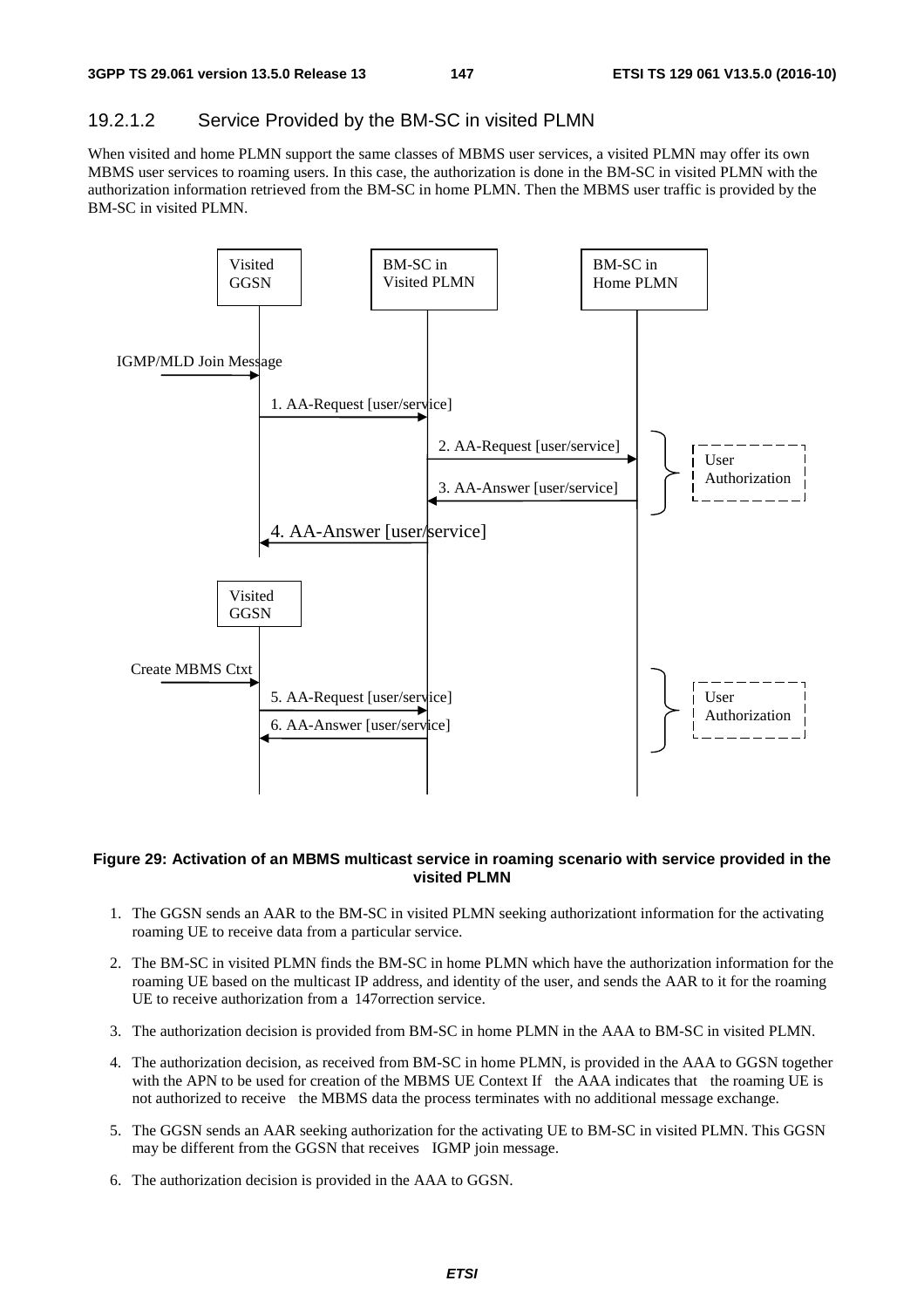#### 19.2.1.2 Service Provided by the BM-SC in visited PLMN

When visited and home PLMN support the same classes of MBMS user services, a visited PLMN may offer its own MBMS user services to roaming users. In this case, the authorization is done in the BM-SC in visited PLMN with the authorization information retrieved from the BM-SC in home PLMN. Then the MBMS user traffic is provided by the BM-SC in visited PLMN.



#### **Figure 29: Activation of an MBMS multicast service in roaming scenario with service provided in the visited PLMN**

- 1. The GGSN sends an AAR to the BM-SC in visited PLMN seeking authorizationt information for the activating roaming UE to receive data from a particular service.
- 2. The BM-SC in visited PLMN finds the BM-SC in home PLMN which have the authorization information for the roaming UE based on the multicast IP address, and identity of the user, and sends the AAR to it for the roaming UE to receive authorization from a 147orrection service.
- 3. The authorization decision is provided from BM-SC in home PLMN in the AAA to BM-SC in visited PLMN.
- 4. The authorization decision, as received from BM-SC in home PLMN, is provided in the AAA to GGSN together with the APN to be used for creation of the MBMS UE Context If the AAA indicates that the roaming UE is not authorized to receive the MBMS data the process terminates with no additional message exchange.
- 5. The GGSN sends an AAR seeking authorization for the activating UE to BM-SC in visited PLMN. This GGSN may be different from the GGSN that receives IGMP join message.
- 6. The authorization decision is provided in the AAA to GGSN.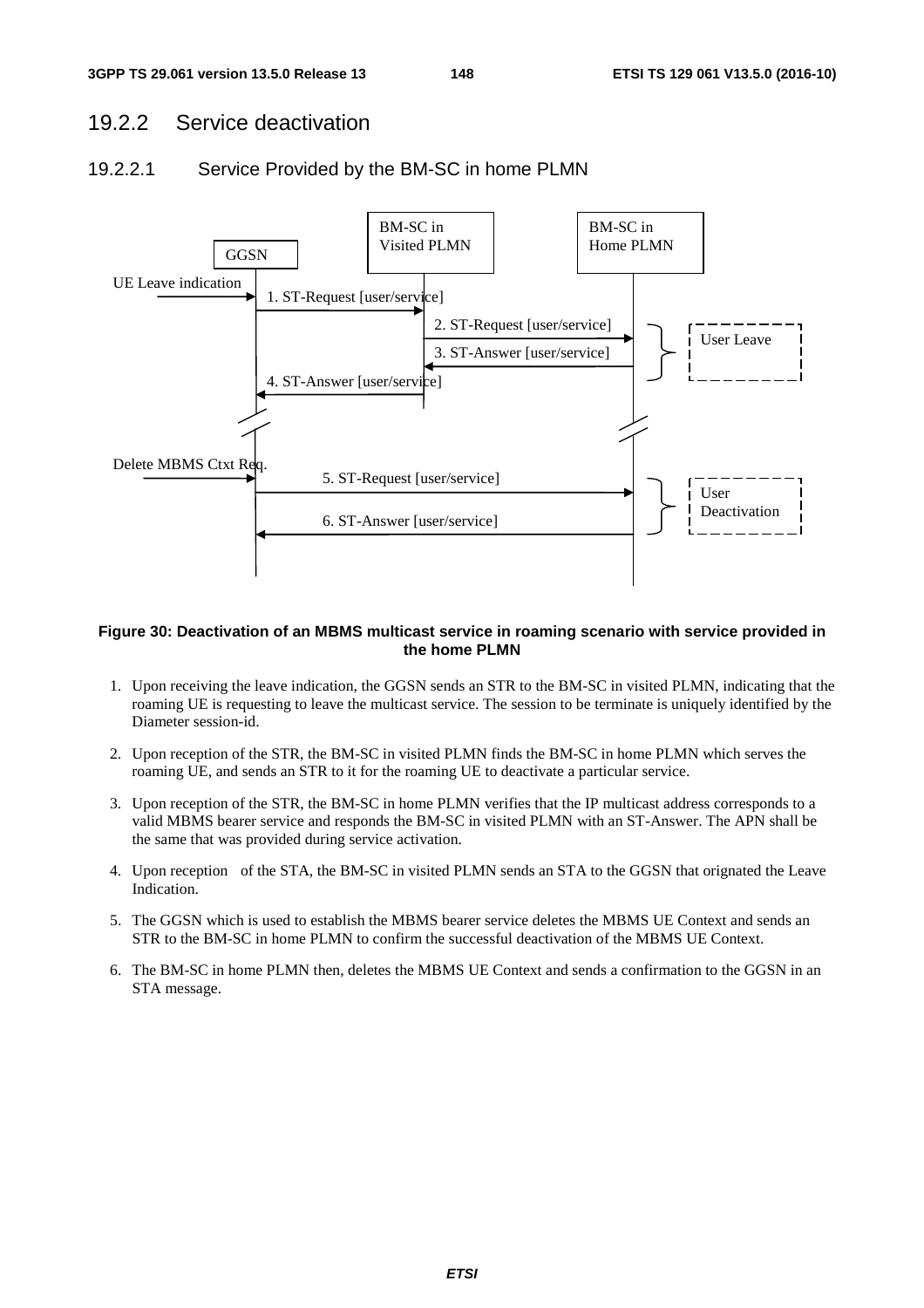### 19.2.2 Service deactivation

#### 19.2.2.1 Service Provided by the BM-SC in home PLMN



#### **Figure 30: Deactivation of an MBMS multicast service in roaming scenario with service provided in the home PLMN**

- 1. Upon receiving the leave indication, the GGSN sends an STR to the BM-SC in visited PLMN, indicating that the roaming UE is requesting to leave the multicast service. The session to be terminate is uniquely identified by the Diameter session-id.
- 2. Upon reception of the STR, the BM-SC in visited PLMN finds the BM-SC in home PLMN which serves the roaming UE, and sends an STR to it for the roaming UE to deactivate a particular service.
- 3. Upon reception of the STR, the BM-SC in home PLMN verifies that the IP multicast address corresponds to a valid MBMS bearer service and responds the BM-SC in visited PLMN with an ST-Answer. The APN shall be the same that was provided during service activation.
- 4. Upon reception of the STA, the BM-SC in visited PLMN sends an STA to the GGSN that orignated the Leave Indication.
- 5. The GGSN which is used to establish the MBMS bearer service deletes the MBMS UE Context and sends an STR to the BM-SC in home PLMN to confirm the successful deactivation of the MBMS UE Context.
- 6. The BM-SC in home PLMN then, deletes the MBMS UE Context and sends a confirmation to the GGSN in an STA message.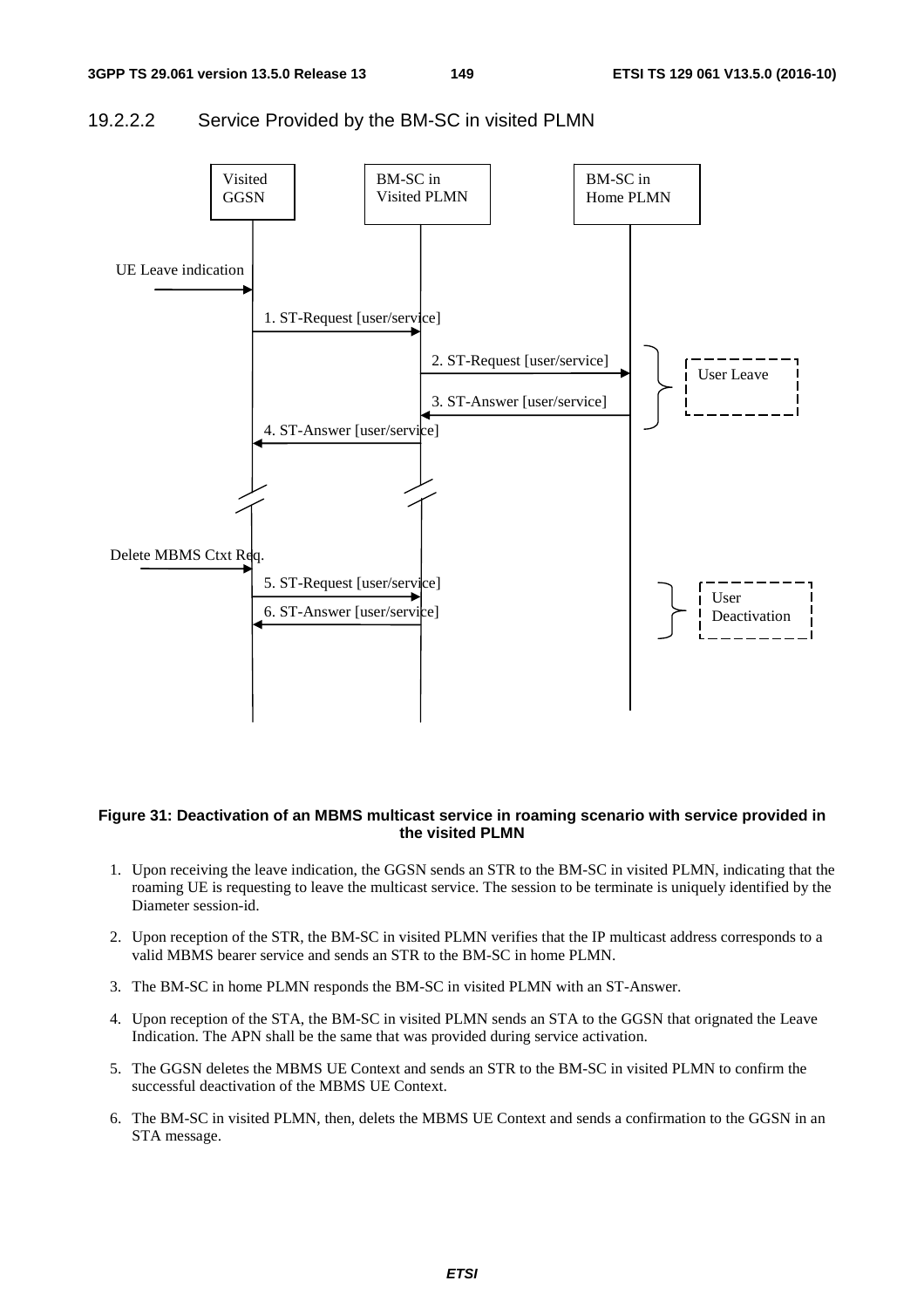#### 19.2.2.2 Service Provided by the BM-SC in visited PLMN



#### **Figure 31: Deactivation of an MBMS multicast service in roaming scenario with service provided in the visited PLMN**

- 1. Upon receiving the leave indication, the GGSN sends an STR to the BM-SC in visited PLMN, indicating that the roaming UE is requesting to leave the multicast service. The session to be terminate is uniquely identified by the Diameter session-id.
- 2. Upon reception of the STR, the BM-SC in visited PLMN verifies that the IP multicast address corresponds to a valid MBMS bearer service and sends an STR to the BM-SC in home PLMN.
- 3. The BM-SC in home PLMN responds the BM-SC in visited PLMN with an ST-Answer.
- 4. Upon reception of the STA, the BM-SC in visited PLMN sends an STA to the GGSN that orignated the Leave Indication. The APN shall be the same that was provided during service activation.
- 5. The GGSN deletes the MBMS UE Context and sends an STR to the BM-SC in visited PLMN to confirm the successful deactivation of the MBMS UE Context.
- 6. The BM-SC in visited PLMN, then, delets the MBMS UE Context and sends a confirmation to the GGSN in an STA message.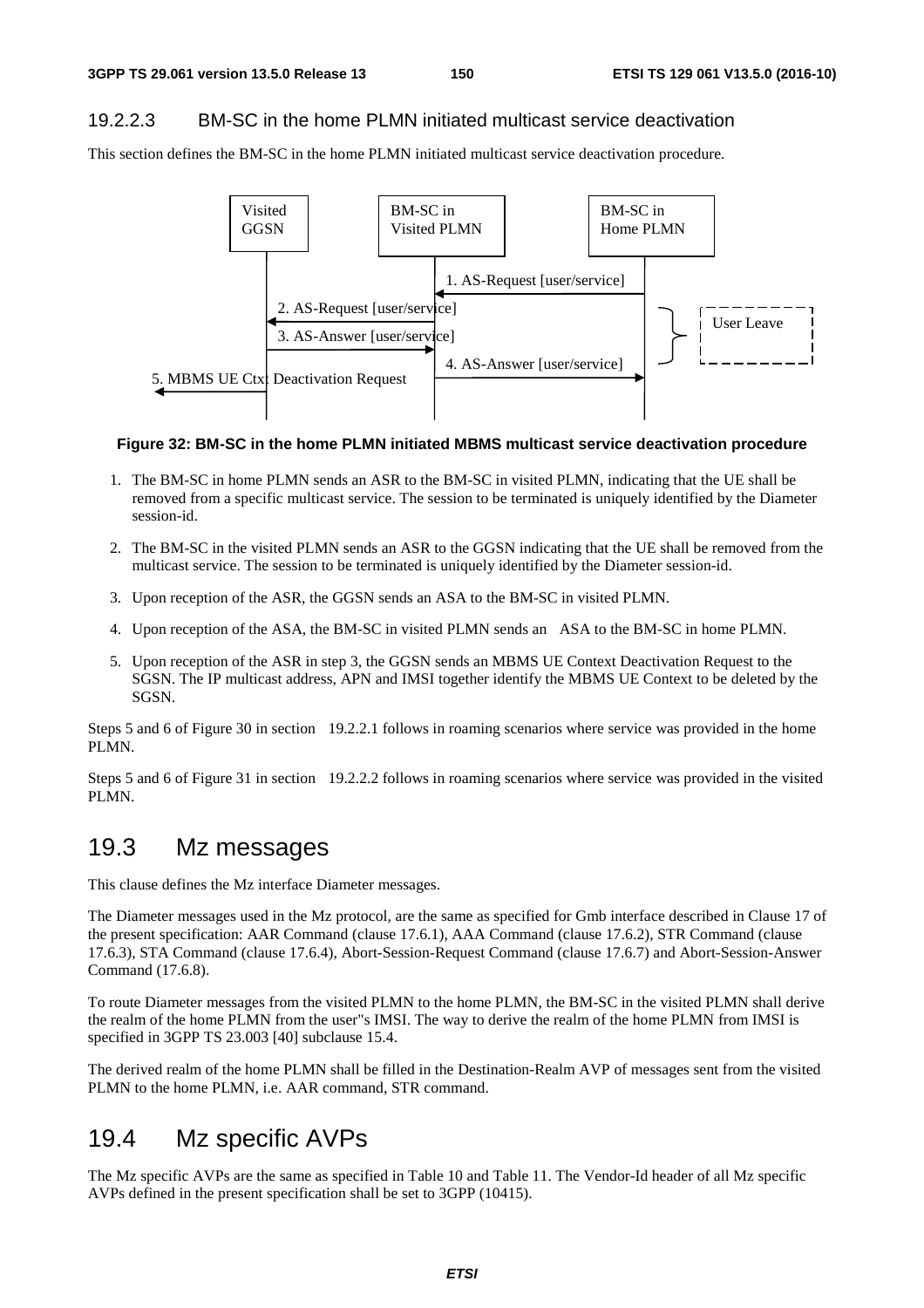#### 19.2.2.3 BM-SC in the home PLMN initiated multicast service deactivation

This section defines the BM-SC in the home PLMN initiated multicast service deactivation procedure.



#### **Figure 32: BM-SC in the home PLMN initiated MBMS multicast service deactivation procedure**

- 1. The BM-SC in home PLMN sends an ASR to the BM-SC in visited PLMN, indicating that the UE shall be removed from a specific multicast service. The session to be terminated is uniquely identified by the Diameter session-id.
- 2. The BM-SC in the visited PLMN sends an ASR to the GGSN indicating that the UE shall be removed from the multicast service. The session to be terminated is uniquely identified by the Diameter session-id.
- 3. Upon reception of the ASR, the GGSN sends an ASA to the BM-SC in visited PLMN.
- 4. Upon reception of the ASA, the BM-SC in visited PLMN sends an ASA to the BM-SC in home PLMN.
- 5. Upon reception of the ASR in step 3, the GGSN sends an MBMS UE Context Deactivation Request to the SGSN. The IP multicast address, APN and IMSI together identify the MBMS UE Context to be deleted by the SGSN.

Steps 5 and 6 of Figure 30 in section 19.2.2.1 follows in roaming scenarios where service was provided in the home PLMN.

Steps 5 and 6 of Figure 31 in section 19.2.2.2 follows in roaming scenarios where service was provided in the visited PLMN.

## 19.3 Mz messages

This clause defines the Mz interface Diameter messages.

The Diameter messages used in the Mz protocol, are the same as specified for Gmb interface described in Clause 17 of the present specification: AAR Command (clause 17.6.1), AAA Command (clause 17.6.2), STR Command (clause 17.6.3), STA Command (clause 17.6.4), Abort-Session-Request Command (clause 17.6.7) and Abort-Session-Answer Command (17.6.8).

To route Diameter messages from the visited PLMN to the home PLMN, the BM-SC in the visited PLMN shall derive the realm of the home PLMN from the user"s IMSI. The way to derive the realm of the home PLMN from IMSI is specified in 3GPP TS 23.003 [40] subclause 15.4.

The derived realm of the home PLMN shall be filled in the Destination-Realm AVP of messages sent from the visited PLMN to the home PLMN, i.e. AAR command, STR command.

# 19.4 Mz specific AVPs

The Mz specific AVPs are the same as specified in Table 10 and Table 11. The Vendor-Id header of all Mz specific AVPs defined in the present specification shall be set to 3GPP (10415).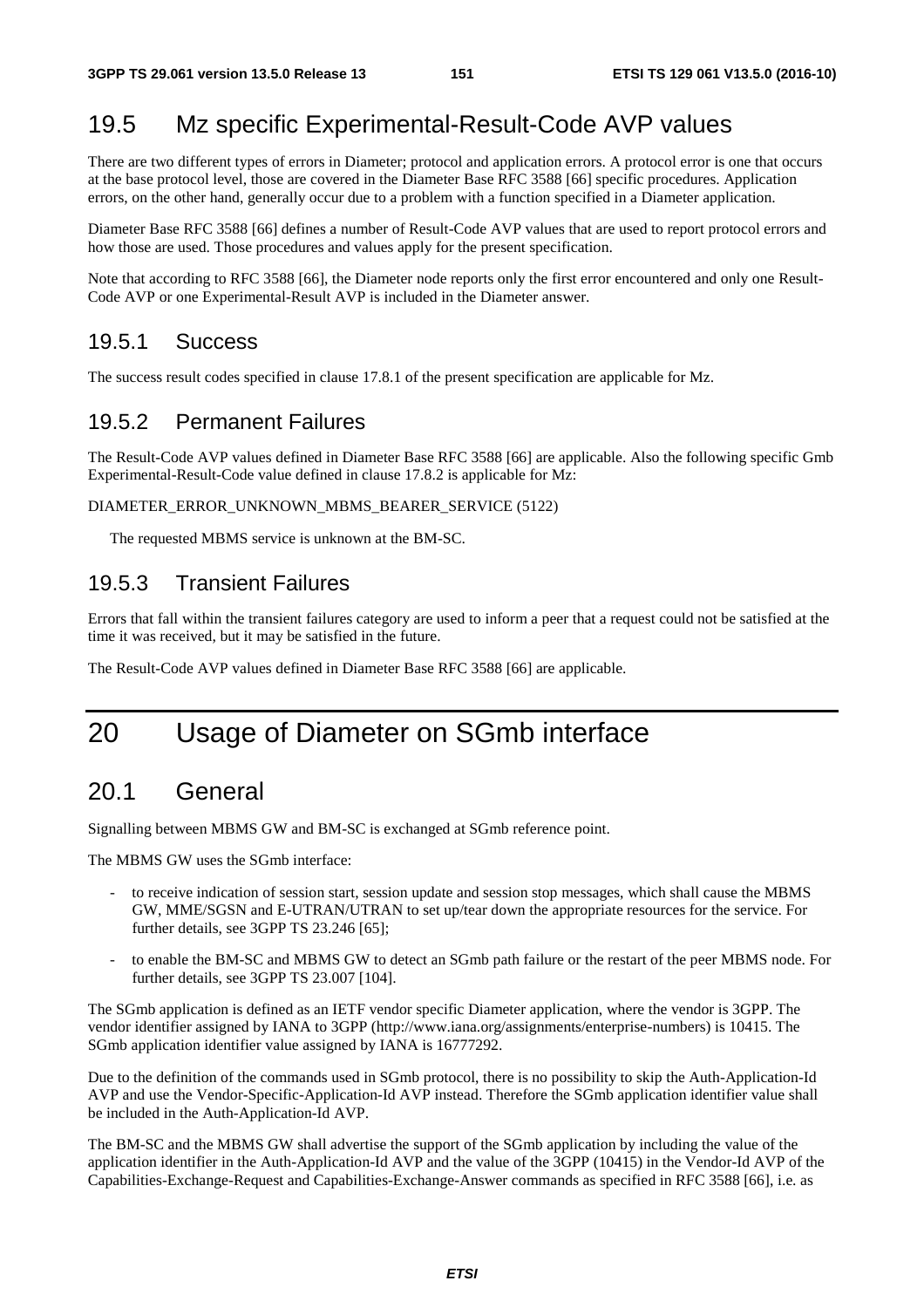## 19.5 Mz specific Experimental-Result-Code AVP values

There are two different types of errors in Diameter; protocol and application errors. A protocol error is one that occurs at the base protocol level, those are covered in the Diameter Base RFC 3588 [66] specific procedures. Application errors, on the other hand, generally occur due to a problem with a function specified in a Diameter application.

Diameter Base RFC 3588 [66] defines a number of Result-Code AVP values that are used to report protocol errors and how those are used. Those procedures and values apply for the present specification.

Note that according to RFC 3588 [66], the Diameter node reports only the first error encountered and only one Result-Code AVP or one Experimental-Result AVP is included in the Diameter answer.

#### 19.5.1 Success

The success result codes specified in clause 17.8.1 of the present specification are applicable for Mz.

#### 19.5.2 Permanent Failures

The Result-Code AVP values defined in Diameter Base RFC 3588 [66] are applicable. Also the following specific Gmb Experimental-Result-Code value defined in clause 17.8.2 is applicable for Mz:

#### DIAMETER\_ERROR\_UNKNOWN\_MBMS\_BEARER\_SERVICE (5122)

The requested MBMS service is unknown at the BM-SC.

#### 19.5.3 Transient Failures

Errors that fall within the transient failures category are used to inform a peer that a request could not be satisfied at the time it was received, but it may be satisfied in the future.

The Result-Code AVP values defined in Diameter Base RFC 3588 [66] are applicable.

# 20 Usage of Diameter on SGmb interface

## 20.1 General

Signalling between MBMS GW and BM-SC is exchanged at SGmb reference point.

The MBMS GW uses the SGmb interface:

- to receive indication of session start, session update and session stop messages, which shall cause the MBMS GW, MME/SGSN and E-UTRAN/UTRAN to set up/tear down the appropriate resources for the service. For further details, see 3GPP TS 23.246 [65];
- to enable the BM-SC and MBMS GW to detect an SGmb path failure or the restart of the peer MBMS node. For further details, see 3GPP TS 23.007 [104].

The SGmb application is defined as an IETF vendor specific Diameter application, where the vendor is 3GPP. The vendor identifier assigned by IANA to 3GPP (http://www.iana.org/assignments/enterprise-numbers) is 10415. The SGmb application identifier value assigned by IANA is 16777292.

Due to the definition of the commands used in SGmb protocol, there is no possibility to skip the Auth-Application-Id AVP and use the Vendor-Specific-Application-Id AVP instead. Therefore the SGmb application identifier value shall be included in the Auth-Application-Id AVP.

The BM-SC and the MBMS GW shall advertise the support of the SGmb application by including the value of the application identifier in the Auth-Application-Id AVP and the value of the 3GPP (10415) in the Vendor-Id AVP of the Capabilities-Exchange-Request and Capabilities-Exchange-Answer commands as specified in RFC 3588 [66], i.e. as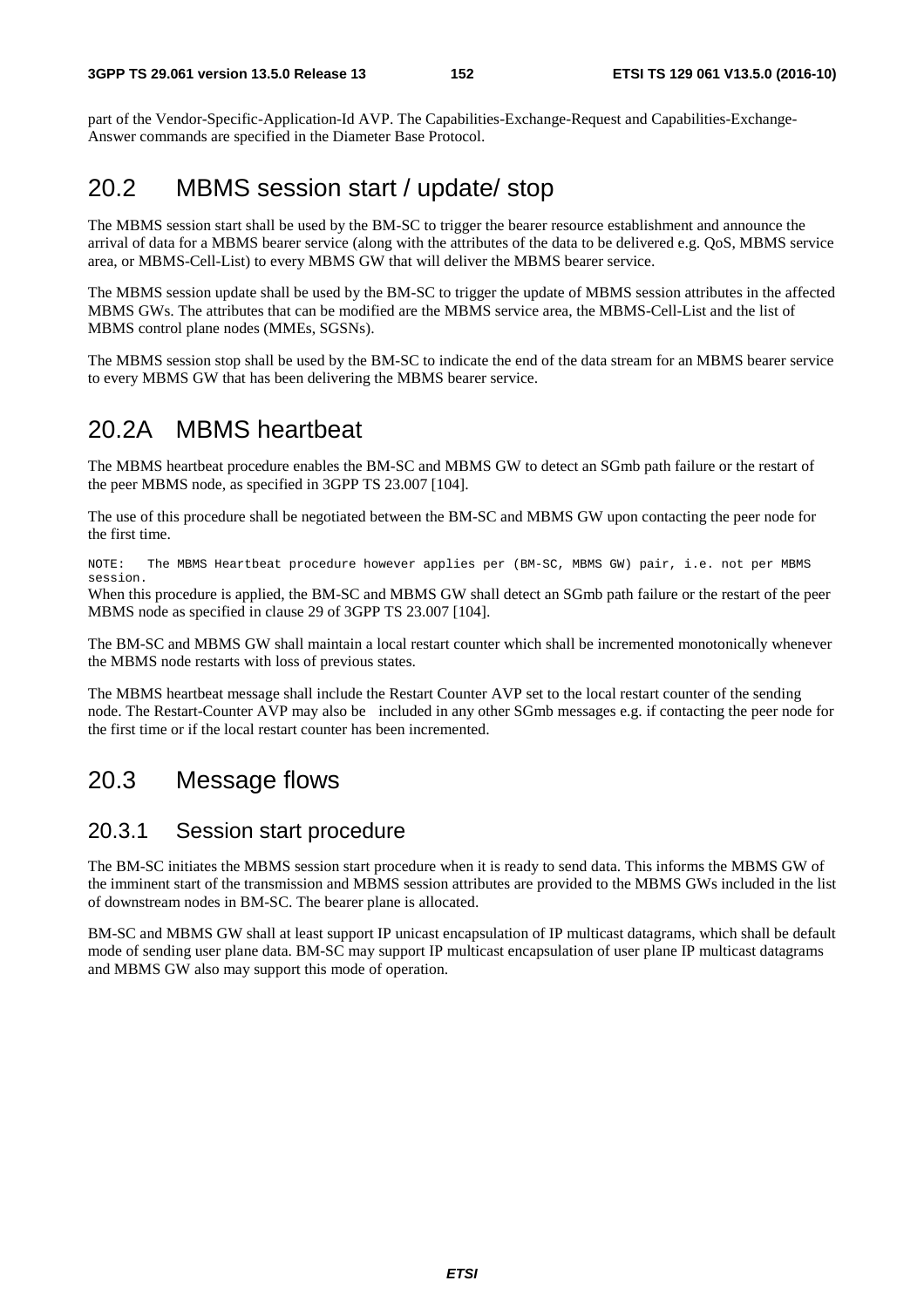part of the Vendor-Specific-Application-Id AVP. The Capabilities-Exchange-Request and Capabilities-Exchange-Answer commands are specified in the Diameter Base Protocol.

## 20.2 MBMS session start / update/ stop

The MBMS session start shall be used by the BM-SC to trigger the bearer resource establishment and announce the arrival of data for a MBMS bearer service (along with the attributes of the data to be delivered e.g. QoS, MBMS service area, or MBMS-Cell-List) to every MBMS GW that will deliver the MBMS bearer service.

The MBMS session update shall be used by the BM-SC to trigger the update of MBMS session attributes in the affected MBMS GWs. The attributes that can be modified are the MBMS service area, the MBMS-Cell-List and the list of MBMS control plane nodes (MMEs, SGSNs).

The MBMS session stop shall be used by the BM-SC to indicate the end of the data stream for an MBMS bearer service to every MBMS GW that has been delivering the MBMS bearer service.

## 20.2A MBMS heartbeat

The MBMS heartbeat procedure enables the BM-SC and MBMS GW to detect an SGmb path failure or the restart of the peer MBMS node, as specified in 3GPP TS 23.007 [104].

The use of this procedure shall be negotiated between the BM-SC and MBMS GW upon contacting the peer node for the first time.

NOTE: The MBMS Heartbeat procedure however applies per (BM-SC, MBMS GW) pair, i.e. not per MBMS session.

When this procedure is applied, the BM-SC and MBMS GW shall detect an SGmb path failure or the restart of the peer MBMS node as specified in clause 29 of 3GPP TS 23.007 [104].

The BM-SC and MBMS GW shall maintain a local restart counter which shall be incremented monotonically whenever the MBMS node restarts with loss of previous states.

The MBMS heartbeat message shall include the Restart Counter AVP set to the local restart counter of the sending node. The Restart-Counter AVP may also be included in any other SGmb messages e.g. if contacting the peer node for the first time or if the local restart counter has been incremented.

## 20.3 Message flows

#### 20.3.1 Session start procedure

The BM-SC initiates the MBMS session start procedure when it is ready to send data. This informs the MBMS GW of the imminent start of the transmission and MBMS session attributes are provided to the MBMS GWs included in the list of downstream nodes in BM-SC. The bearer plane is allocated.

BM-SC and MBMS GW shall at least support IP unicast encapsulation of IP multicast datagrams, which shall be default mode of sending user plane data. BM-SC may support IP multicast encapsulation of user plane IP multicast datagrams and MBMS GW also may support this mode of operation.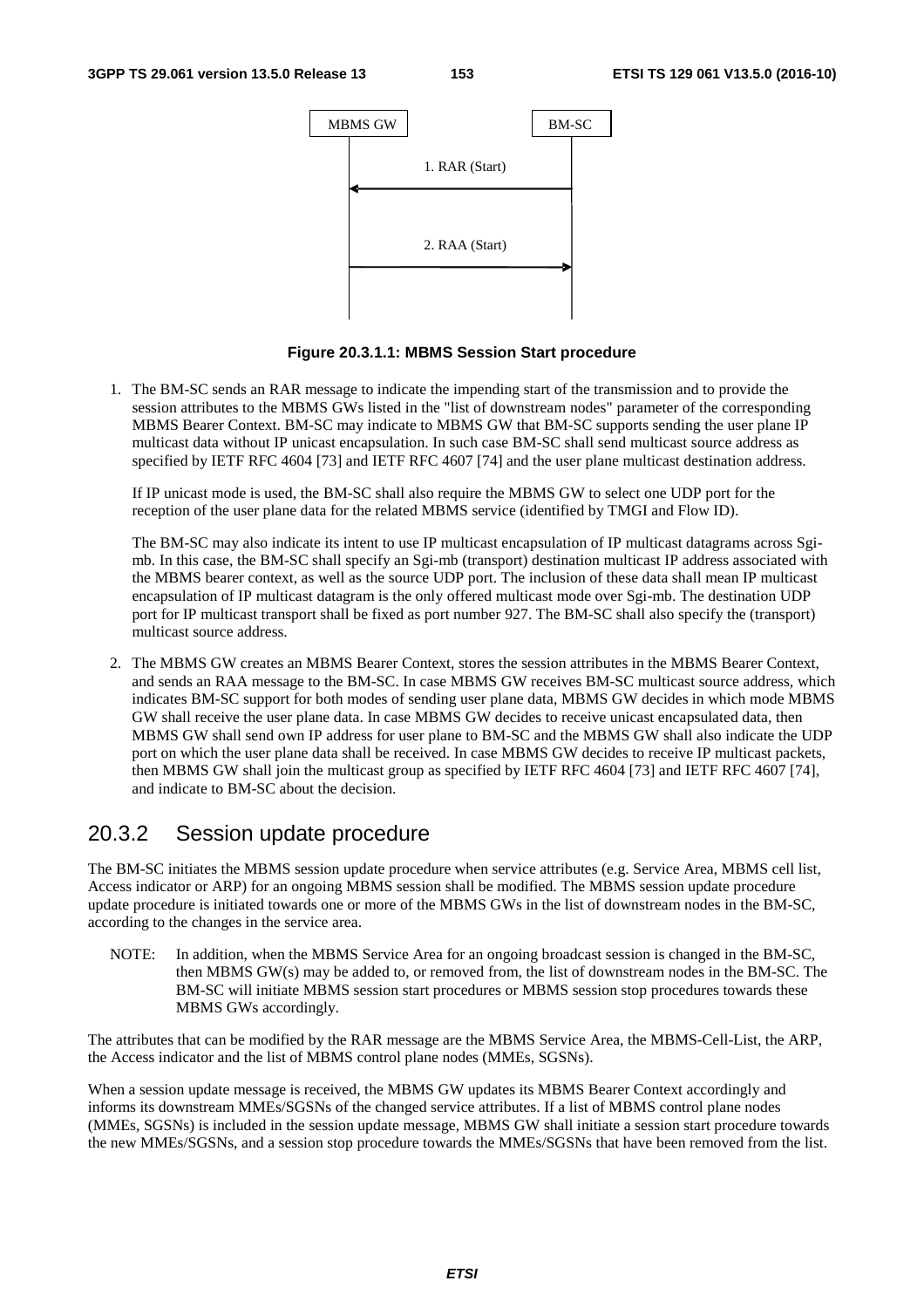

**Figure 20.3.1.1: MBMS Session Start procedure** 

1. The BM-SC sends an RAR message to indicate the impending start of the transmission and to provide the session attributes to the MBMS GWs listed in the "list of downstream nodes" parameter of the corresponding MBMS Bearer Context. BM-SC may indicate to MBMS GW that BM-SC supports sending the user plane IP multicast data without IP unicast encapsulation. In such case BM-SC shall send multicast source address as specified by IETF RFC 4604 [73] and IETF RFC 4607 [74] and the user plane multicast destination address.

 If IP unicast mode is used, the BM-SC shall also require the MBMS GW to select one UDP port for the reception of the user plane data for the related MBMS service (identified by TMGI and Flow ID).

 The BM-SC may also indicate its intent to use IP multicast encapsulation of IP multicast datagrams across Sgimb. In this case, the BM-SC shall specify an Sgi-mb (transport) destination multicast IP address associated with the MBMS bearer context, as well as the source UDP port. The inclusion of these data shall mean IP multicast encapsulation of IP multicast datagram is the only offered multicast mode over Sgi-mb. The destination UDP port for IP multicast transport shall be fixed as port number 927. The BM-SC shall also specify the (transport) multicast source address.

2. The MBMS GW creates an MBMS Bearer Context, stores the session attributes in the MBMS Bearer Context, and sends an RAA message to the BM-SC. In case MBMS GW receives BM-SC multicast source address, which indicates BM-SC support for both modes of sending user plane data, MBMS GW decides in which mode MBMS GW shall receive the user plane data. In case MBMS GW decides to receive unicast encapsulated data, then MBMS GW shall send own IP address for user plane to BM-SC and the MBMS GW shall also indicate the UDP port on which the user plane data shall be received. In case MBMS GW decides to receive IP multicast packets, then MBMS GW shall join the multicast group as specified by IETF RFC 4604 [73] and IETF RFC 4607 [74], and indicate to BM-SC about the decision.

#### 20.3.2 Session update procedure

The BM-SC initiates the MBMS session update procedure when service attributes (e.g. Service Area, MBMS cell list, Access indicator or ARP) for an ongoing MBMS session shall be modified. The MBMS session update procedure update procedure is initiated towards one or more of the MBMS GWs in the list of downstream nodes in the BM-SC, according to the changes in the service area.

NOTE: In addition, when the MBMS Service Area for an ongoing broadcast session is changed in the BM-SC, then MBMS GW(s) may be added to, or removed from, the list of downstream nodes in the BM-SC. The BM-SC will initiate MBMS session start procedures or MBMS session stop procedures towards these MBMS GWs accordingly.

The attributes that can be modified by the RAR message are the MBMS Service Area, the MBMS-Cell-List, the ARP, the Access indicator and the list of MBMS control plane nodes (MMEs, SGSNs).

When a session update message is received, the MBMS GW updates its MBMS Bearer Context accordingly and informs its downstream MMEs/SGSNs of the changed service attributes. If a list of MBMS control plane nodes (MMEs, SGSNs) is included in the session update message, MBMS GW shall initiate a session start procedure towards the new MMEs/SGSNs, and a session stop procedure towards the MMEs/SGSNs that have been removed from the list.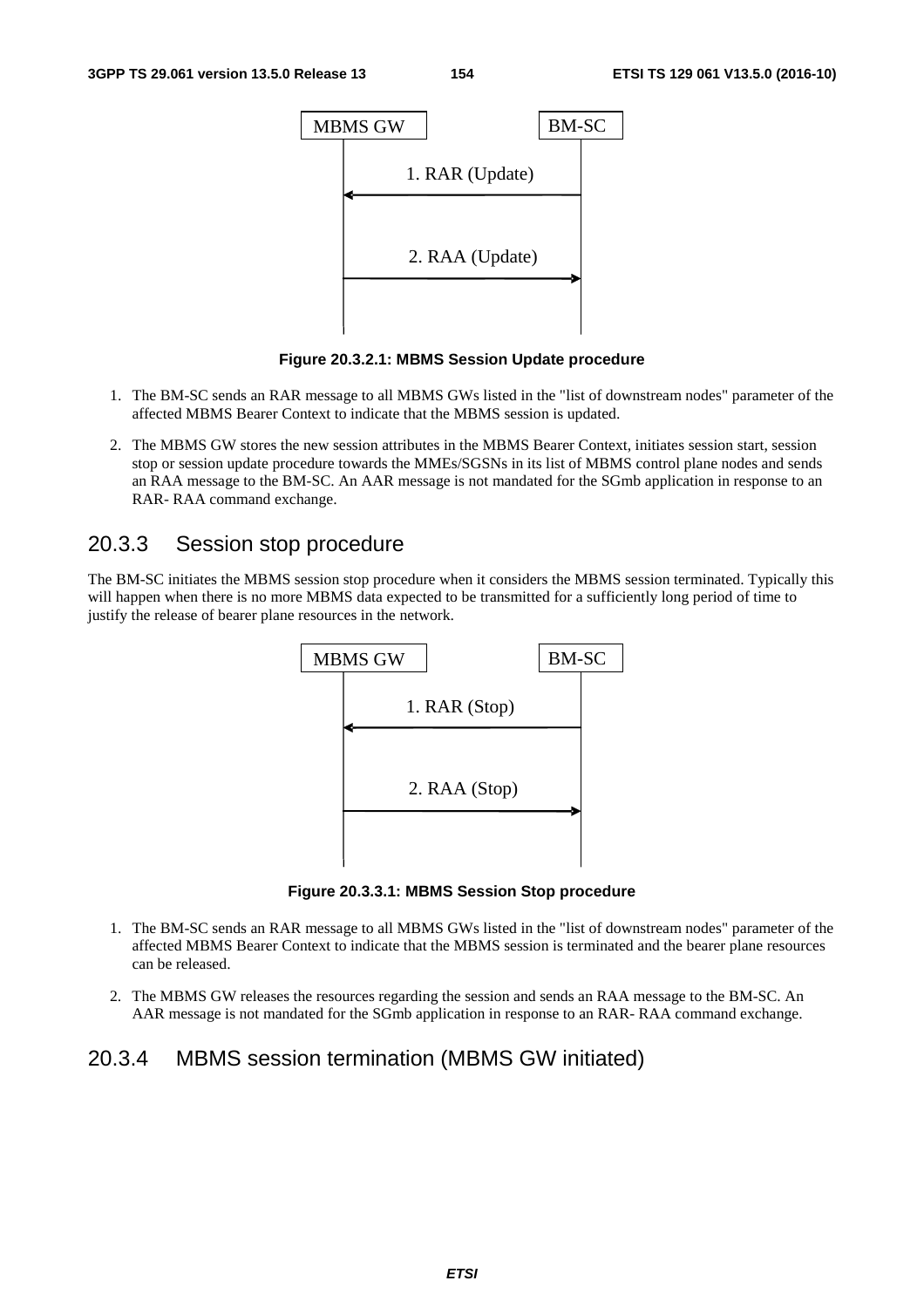

**Figure 20.3.2.1: MBMS Session Update procedure** 

- 1. The BM-SC sends an RAR message to all MBMS GWs listed in the "list of downstream nodes" parameter of the affected MBMS Bearer Context to indicate that the MBMS session is updated.
- 2. The MBMS GW stores the new session attributes in the MBMS Bearer Context, initiates session start, session stop or session update procedure towards the MMEs/SGSNs in its list of MBMS control plane nodes and sends an RAA message to the BM-SC. An AAR message is not mandated for the SGmb application in response to an RAR- RAA command exchange.

#### 20.3.3 Session stop procedure

The BM-SC initiates the MBMS session stop procedure when it considers the MBMS session terminated. Typically this will happen when there is no more MBMS data expected to be transmitted for a sufficiently long period of time to justify the release of bearer plane resources in the network.



**Figure 20.3.3.1: MBMS Session Stop procedure** 

- 1. The BM-SC sends an RAR message to all MBMS GWs listed in the "list of downstream nodes" parameter of the affected MBMS Bearer Context to indicate that the MBMS session is terminated and the bearer plane resources can be released.
- 2. The MBMS GW releases the resources regarding the session and sends an RAA message to the BM-SC. An AAR message is not mandated for the SGmb application in response to an RAR- RAA command exchange.

#### 20.3.4 MBMS session termination (MBMS GW initiated)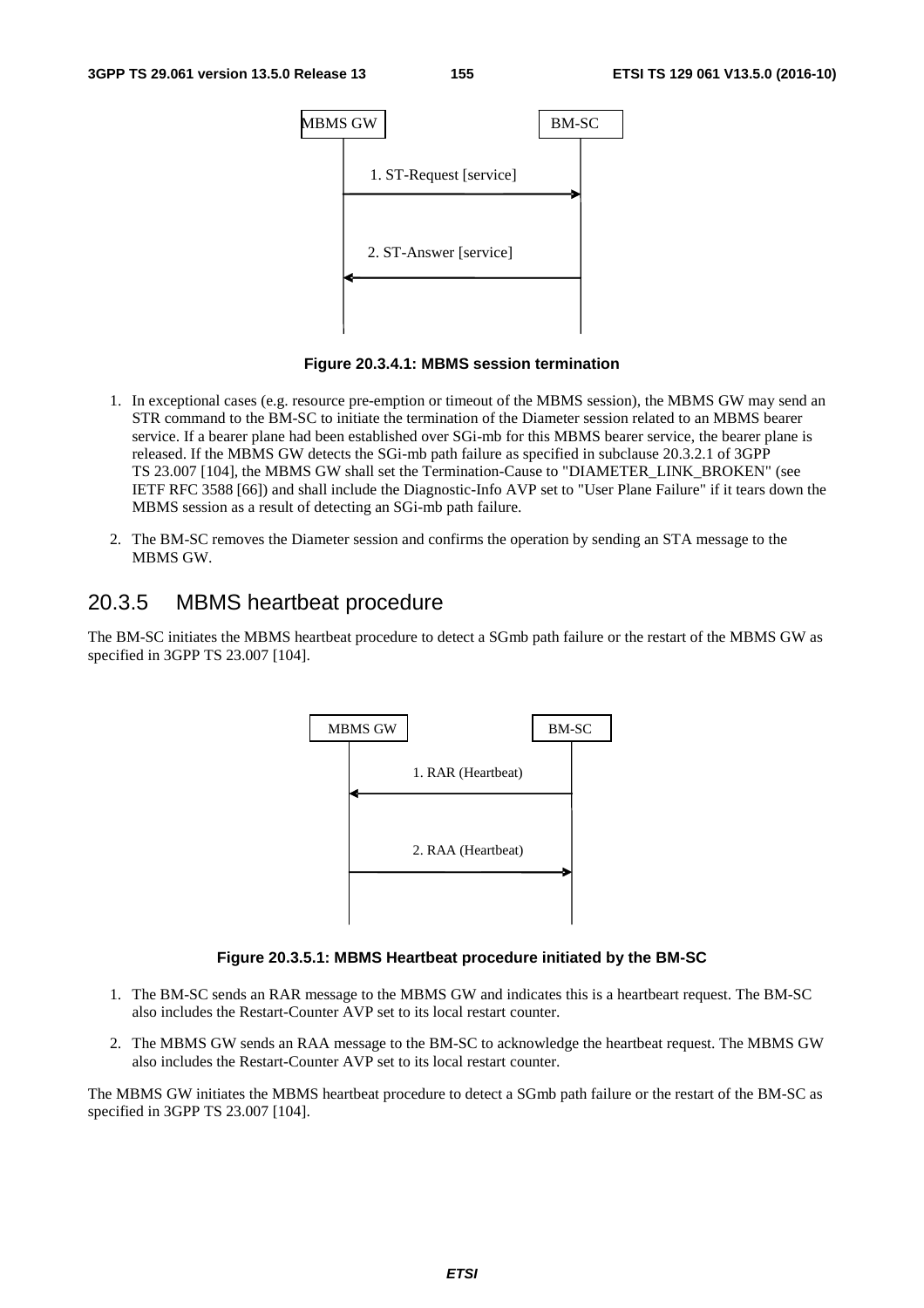

**Figure 20.3.4.1: MBMS session termination** 

- 1. In exceptional cases (e.g. resource pre-emption or timeout of the MBMS session), the MBMS GW may send an STR command to the BM-SC to initiate the termination of the Diameter session related to an MBMS bearer service. If a bearer plane had been established over SGi-mb for this MBMS bearer service, the bearer plane is released. If the MBMS GW detects the SGi-mb path failure as specified in subclause 20.3.2.1 of 3GPP TS 23.007 [104], the MBMS GW shall set the Termination-Cause to "DIAMETER\_LINK\_BROKEN" (see IETF RFC 3588 [66]) and shall include the Diagnostic-Info AVP set to "User Plane Failure" if it tears down the MBMS session as a result of detecting an SGi-mb path failure.
- 2. The BM-SC removes the Diameter session and confirms the operation by sending an STA message to the MBMS GW.

#### 20.3.5 MBMS heartbeat procedure

The BM-SC initiates the MBMS heartbeat procedure to detect a SGmb path failure or the restart of the MBMS GW as specified in 3GPP TS 23.007 [104].



#### **Figure 20.3.5.1: MBMS Heartbeat procedure initiated by the BM-SC**

- 1. The BM-SC sends an RAR message to the MBMS GW and indicates this is a heartbeart request. The BM-SC also includes the Restart-Counter AVP set to its local restart counter.
- 2. The MBMS GW sends an RAA message to the BM-SC to acknowledge the heartbeat request. The MBMS GW also includes the Restart-Counter AVP set to its local restart counter.

The MBMS GW initiates the MBMS heartbeat procedure to detect a SGmb path failure or the restart of the BM-SC as specified in 3GPP TS 23.007 [104].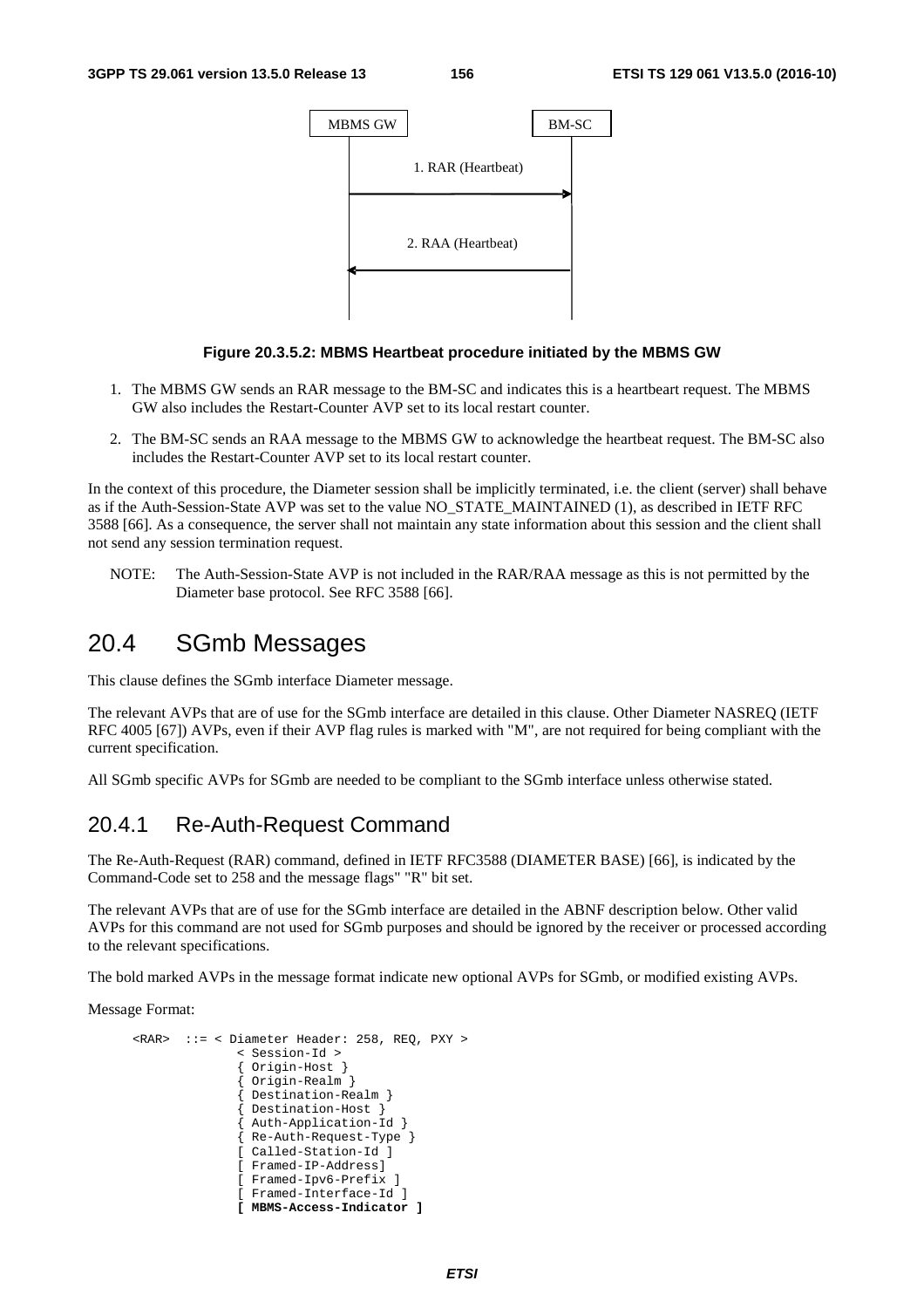

#### **Figure 20.3.5.2: MBMS Heartbeat procedure initiated by the MBMS GW**

- 1. The MBMS GW sends an RAR message to the BM-SC and indicates this is a heartbeart request. The MBMS GW also includes the Restart-Counter AVP set to its local restart counter.
- 2. The BM-SC sends an RAA message to the MBMS GW to acknowledge the heartbeat request. The BM-SC also includes the Restart-Counter AVP set to its local restart counter.

In the context of this procedure, the Diameter session shall be implicitly terminated, i.e. the client (server) shall behave as if the Auth-Session-State AVP was set to the value NO\_STATE\_MAINTAINED (1), as described in IETF RFC 3588 [66]. As a consequence, the server shall not maintain any state information about this session and the client shall not send any session termination request.

NOTE: The Auth-Session-State AVP is not included in the RAR/RAA message as this is not permitted by the Diameter base protocol. See RFC 3588 [66].

## 20.4 SGmb Messages

This clause defines the SGmb interface Diameter message.

The relevant AVPs that are of use for the SGmb interface are detailed in this clause. Other Diameter NASREQ (IETF RFC 4005 [67]) AVPs, even if their AVP flag rules is marked with "M", are not required for being compliant with the current specification.

All SGmb specific AVPs for SGmb are needed to be compliant to the SGmb interface unless otherwise stated.

#### 20.4.1 Re-Auth-Request Command

The Re-Auth-Request (RAR) command, defined in IETF RFC3588 (DIAMETER BASE) [66], is indicated by the Command-Code set to 258 and the message flags" "R" bit set.

The relevant AVPs that are of use for the SGmb interface are detailed in the ABNF description below. Other valid AVPs for this command are not used for SGmb purposes and should be ignored by the receiver or processed according to the relevant specifications.

The bold marked AVPs in the message format indicate new optional AVPs for SGmb, or modified existing AVPs.

Message Format:

```
 <RAR> ::= < Diameter Header: 258, REQ, PXY > 
                < Session-Id > 
                { Origin-Host } 
                  { Origin-Realm } 
                  { Destination-Realm } 
                 { Destination-Host } 
                 Auth-Application-Id
                { Re-Auth-Request-Type } 
                [ Called-Station-Id ] 
                [ Framed-IP-Address] 
                [ Framed-Ipv6-Prefix ] 
                [ Framed-Interface-Id ] 
                [ MBMS-Access-Indicator ]
```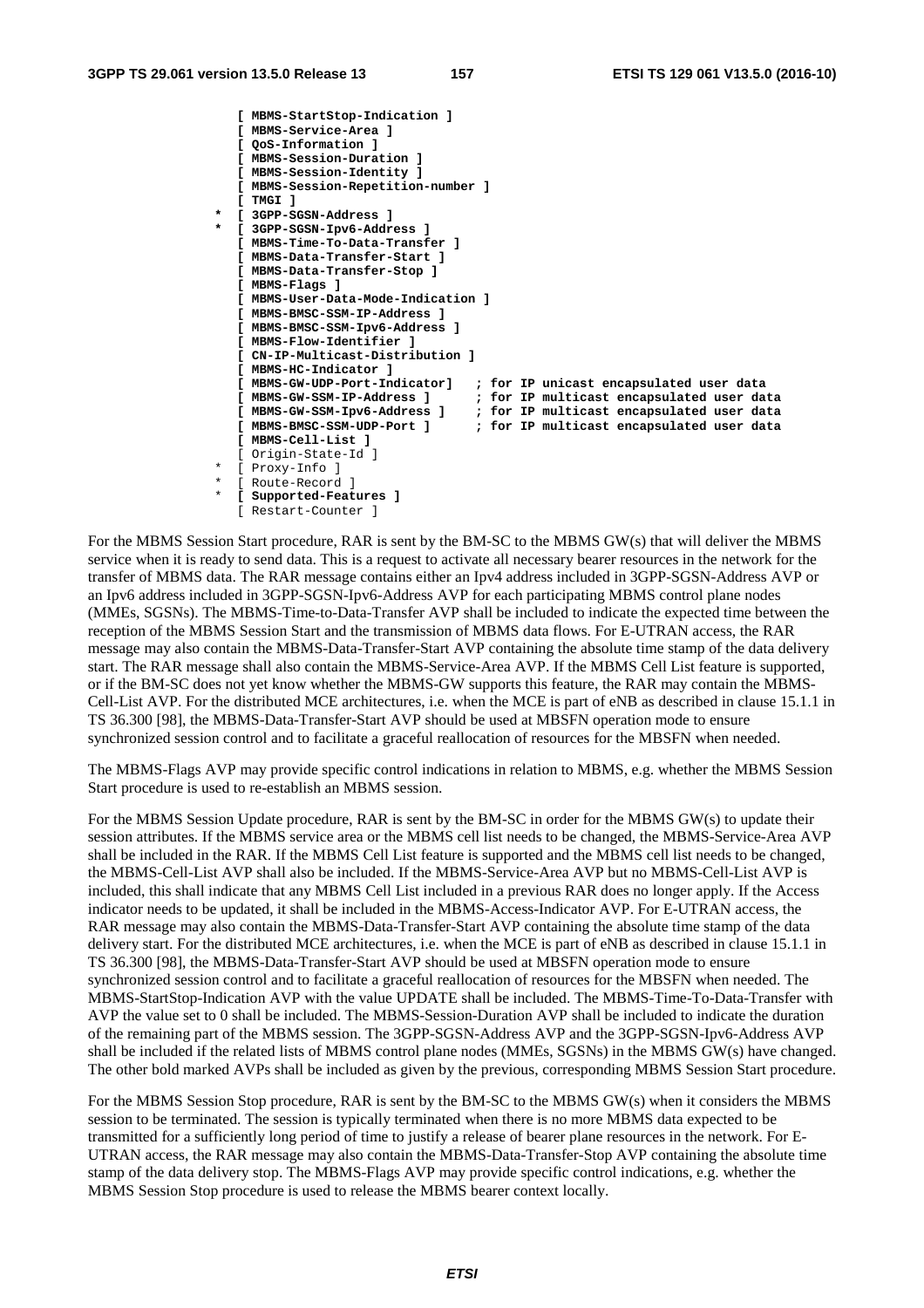```
 [ MBMS-StartStop-Indication ] 
    [ MBMS-Service-Area ] 
    [ QoS-Information ] 
    [ MBMS-Session-Duration ] 
    [ MBMS-Session-Identity ] 
    [ MBMS-Session-Repetition-number ] 
    [ TMGI ] 
   * [ 3GPP-SGSN-Address ] 
   * [ 3GPP-SGSN-Ipv6-Address ] 
    [ MBMS-Time-To-Data-Transfer ] 
    [ MBMS-Data-Transfer-Start ] 
    [ MBMS-Data-Transfer-Stop ] 
    [ MBMS-Flags ] 
    [ MBMS-User-Data-Mode-Indication ] 
    [ MBMS-BMSC-SSM-IP-Address ] 
    [ MBMS-BMSC-SSM-Ipv6-Address ] 
    [ MBMS-Flow-Identifier ] 
   [ CN-IP-Multicast-Distribution ] 
    [ MBMS-HC-Indicator ] 
    [ MBMS-GW-UDP-Port-Indicator] ; for IP unicast encapsulated user data 
    [ MBMS-GW-SSM-IP-Address ] ; for IP multicast encapsulated user data 
    [ MBMS-GW-SSM-Ipv6-Address ] ; for IP multicast encapsulated user data 
                                     ; for IP multicast encapsulated user data
    [ MBMS-Cell-List ]
    [ Origin-State-Id ] 
  [ Proxy-Info ]
 * [ Route-Record ] 
 * [ Supported-Features ]
    [ Restart-Counter ]
```
For the MBMS Session Start procedure, RAR is sent by the BM-SC to the MBMS GW(s) that will deliver the MBMS service when it is ready to send data. This is a request to activate all necessary bearer resources in the network for the transfer of MBMS data. The RAR message contains either an Ipv4 address included in 3GPP-SGSN-Address AVP or an Ipv6 address included in 3GPP-SGSN-Ipv6-Address AVP for each participating MBMS control plane nodes (MMEs, SGSNs). The MBMS-Time-to-Data-Transfer AVP shall be included to indicate the expected time between the reception of the MBMS Session Start and the transmission of MBMS data flows. For E-UTRAN access, the RAR message may also contain the MBMS-Data-Transfer-Start AVP containing the absolute time stamp of the data delivery start. The RAR message shall also contain the MBMS-Service-Area AVP. If the MBMS Cell List feature is supported, or if the BM-SC does not yet know whether the MBMS-GW supports this feature, the RAR may contain the MBMS-Cell-List AVP. For the distributed MCE architectures, i.e. when the MCE is part of eNB as described in clause 15.1.1 in TS 36.300 [98], the MBMS-Data-Transfer-Start AVP should be used at MBSFN operation mode to ensure synchronized session control and to facilitate a graceful reallocation of resources for the MBSFN when needed.

The MBMS-Flags AVP may provide specific control indications in relation to MBMS, e.g. whether the MBMS Session Start procedure is used to re-establish an MBMS session.

For the MBMS Session Update procedure, RAR is sent by the BM-SC in order for the MBMS GW(s) to update their session attributes. If the MBMS service area or the MBMS cell list needs to be changed, the MBMS-Service-Area AVP shall be included in the RAR. If the MBMS Cell List feature is supported and the MBMS cell list needs to be changed, the MBMS-Cell-List AVP shall also be included. If the MBMS-Service-Area AVP but no MBMS-Cell-List AVP is included, this shall indicate that any MBMS Cell List included in a previous RAR does no longer apply. If the Access indicator needs to be updated, it shall be included in the MBMS-Access-Indicator AVP. For E-UTRAN access, the RAR message may also contain the MBMS-Data-Transfer-Start AVP containing the absolute time stamp of the data delivery start. For the distributed MCE architectures, i.e. when the MCE is part of eNB as described in clause 15.1.1 in TS 36.300 [98], the MBMS-Data-Transfer-Start AVP should be used at MBSFN operation mode to ensure synchronized session control and to facilitate a graceful reallocation of resources for the MBSFN when needed. The MBMS-StartStop-Indication AVP with the value UPDATE shall be included. The MBMS-Time-To-Data-Transfer with AVP the value set to 0 shall be included. The MBMS-Session-Duration AVP shall be included to indicate the duration of the remaining part of the MBMS session. The 3GPP-SGSN-Address AVP and the 3GPP-SGSN-Ipv6-Address AVP shall be included if the related lists of MBMS control plane nodes (MMEs, SGSNs) in the MBMS GW(s) have changed. The other bold marked AVPs shall be included as given by the previous, corresponding MBMS Session Start procedure.

For the MBMS Session Stop procedure, RAR is sent by the BM-SC to the MBMS GW(s) when it considers the MBMS session to be terminated. The session is typically terminated when there is no more MBMS data expected to be transmitted for a sufficiently long period of time to justify a release of bearer plane resources in the network. For E-UTRAN access, the RAR message may also contain the MBMS-Data-Transfer-Stop AVP containing the absolute time stamp of the data delivery stop. The MBMS-Flags AVP may provide specific control indications, e.g. whether the MBMS Session Stop procedure is used to release the MBMS bearer context locally.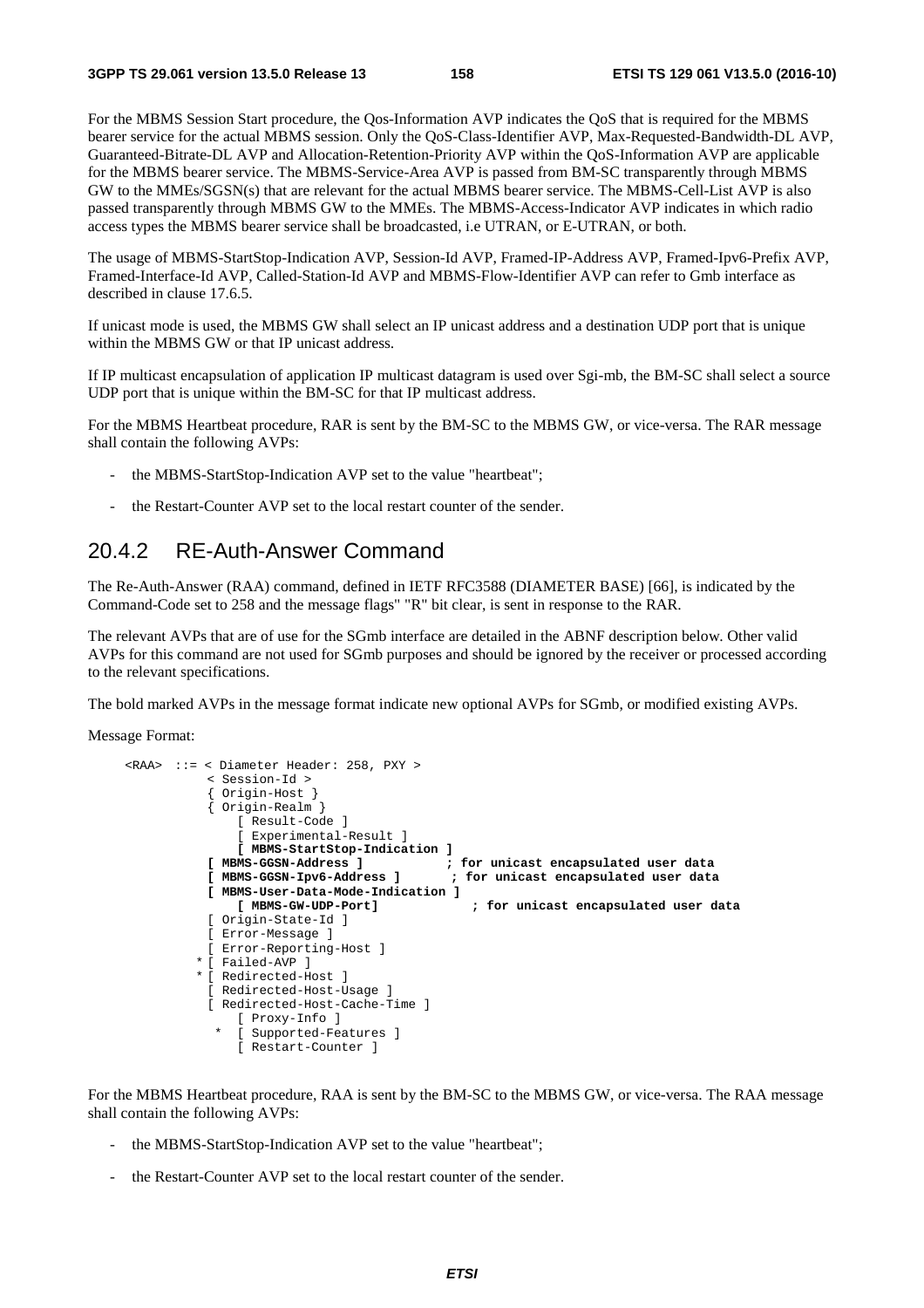For the MBMS Session Start procedure, the Qos-Information AVP indicates the QoS that is required for the MBMS bearer service for the actual MBMS session. Only the QoS-Class-Identifier AVP, Max-Requested-Bandwidth-DL AVP, Guaranteed-Bitrate-DL AVP and Allocation-Retention-Priority AVP within the QoS-Information AVP are applicable for the MBMS bearer service. The MBMS-Service-Area AVP is passed from BM-SC transparently through MBMS GW to the MMEs/SGSN(s) that are relevant for the actual MBMS bearer service. The MBMS-Cell-List AVP is also passed transparently through MBMS GW to the MMEs. The MBMS-Access-Indicator AVP indicates in which radio access types the MBMS bearer service shall be broadcasted, i.e UTRAN, or E-UTRAN, or both.

The usage of MBMS-StartStop-Indication AVP, Session-Id AVP, Framed-IP-Address AVP, Framed-Ipv6-Prefix AVP, Framed-Interface-Id AVP, Called-Station-Id AVP and MBMS-Flow-Identifier AVP can refer to Gmb interface as described in clause 17.6.5.

If unicast mode is used, the MBMS GW shall select an IP unicast address and a destination UDP port that is unique within the MBMS GW or that IP unicast address.

If IP multicast encapsulation of application IP multicast datagram is used over Sgi-mb, the BM-SC shall select a source UDP port that is unique within the BM-SC for that IP multicast address.

For the MBMS Heartbeat procedure, RAR is sent by the BM-SC to the MBMS GW, or vice-versa. The RAR message shall contain the following AVPs:

- the MBMS-StartStop-Indication AVP set to the value "heartbeat";
- the Restart-Counter AVP set to the local restart counter of the sender.

#### 20.4.2 RE-Auth-Answer Command

The Re-Auth-Answer (RAA) command, defined in IETF RFC3588 (DIAMETER BASE) [66], is indicated by the Command-Code set to 258 and the message flags" "R" bit clear, is sent in response to the RAR.

The relevant AVPs that are of use for the SGmb interface are detailed in the ABNF description below. Other valid AVPs for this command are not used for SGmb purposes and should be ignored by the receiver or processed according to the relevant specifications.

The bold marked AVPs in the message format indicate new optional AVPs for SGmb, or modified existing AVPs.

Message Format:

```
 <RAA> ::= < Diameter Header: 258, PXY > 
                 < Session-Id > 
                 { Origin-Host } 
                 { Origin-Realm } 
                     [ Result-Code ] 
                     [ Experimental-Result ] 
                     [ MBMS-StartStop-Indication ] 
 [ MBMS-GGSN-Address ] ; for unicast encapsulated user data 
 [ MBMS-GGSN-Ipv6-Address ] ; for unicast encapsulated user data 
                 [ MBMS-User-Data-Mode-Indication ] 
                                                      [ MBMS-GW-UDP-Port] ; for unicast encapsulated user data
                 [ Origin-State-Id ] 
                 [ Error-Message ] 
                 [ Error-Reporting-Host ] 
                * [ Failed-AVP ] 
                * [ Redirected-Host ] 
                 [ Redirected-Host-Usage ] 
                 [ Redirected-Host-Cache-Time ] 
                     [ Proxy-Info ] 
                  * [ Supported-Features ] 
                     [ Restart-Counter ]
```
For the MBMS Heartbeat procedure, RAA is sent by the BM-SC to the MBMS GW, or vice-versa. The RAA message shall contain the following AVPs:

- the MBMS-StartStop-Indication AVP set to the value "heartbeat";
- the Restart-Counter AVP set to the local restart counter of the sender.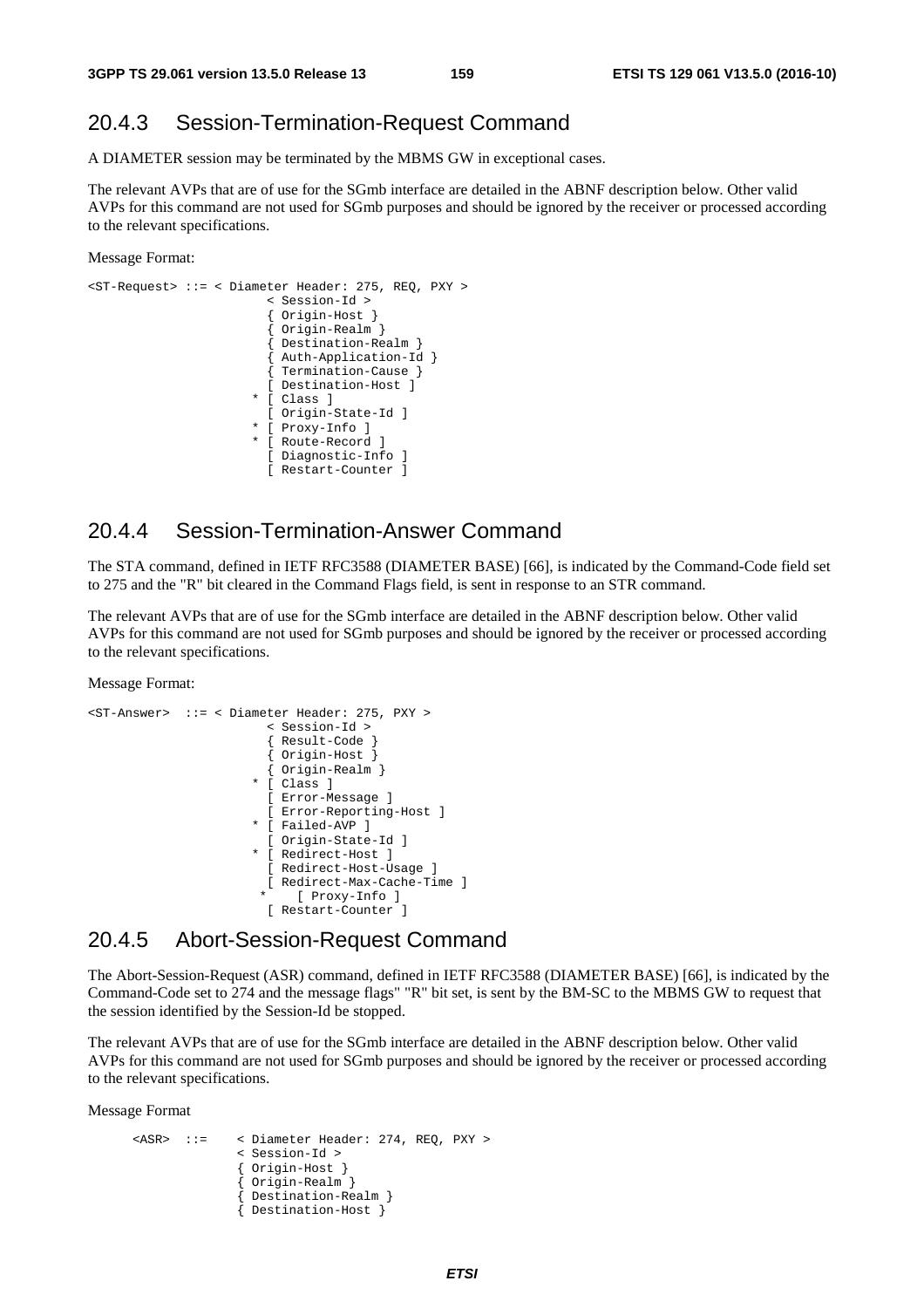## 20.4.3 Session-Termination-Request Command

A DIAMETER session may be terminated by the MBMS GW in exceptional cases.

The relevant AVPs that are of use for the SGmb interface are detailed in the ABNF description below. Other valid AVPs for this command are not used for SGmb purposes and should be ignored by the receiver or processed according to the relevant specifications.

Message Format:

```
<ST-Request> ::= < Diameter Header: 275, REQ, PXY > 
                           < Session-Id > 
                            { Origin-Host } 
                             { Origin-Realm } 
                            { Destination-Realm } 
                            { Auth-Application-Id } 
                            { Termination-Cause } 
                           [ Destination-Host ] 
                         * [ Class ] 
                           [ Origin-State-Id ] 
                          [ Proxy-Info ]
                          [ Route-Record ]
                            [ Diagnostic-Info ] 
                            [ Restart-Counter ]
```
### 20.4.4 Session-Termination-Answer Command

The STA command, defined in IETF RFC3588 (DIAMETER BASE) [66], is indicated by the Command-Code field set to 275 and the "R" bit cleared in the Command Flags field, is sent in response to an STR command.

The relevant AVPs that are of use for the SGmb interface are detailed in the ABNF description below. Other valid AVPs for this command are not used for SGmb purposes and should be ignored by the receiver or processed according to the relevant specifications.

Message Format:

```
<ST-Answer> ::= < Diameter Header: 275, PXY > 
                           < Session-Id > 
                            { Result-Code } 
                            { Origin-Host } 
                            { Origin-Realm } 
                         * [ Class ] 
                           [ Error-Message ] 
                           [ Error-Reporting-Host ] 
                         * [ Failed-AVP ] 
                           [ Origin-State-Id ] 
                         * [ Redirect-Host ] 
                           [ Redirect-Host-Usage ] 
                           [ Redirect-Max-Cache-Time ] 
                              [ Proxy-Info ]
                           [ Restart-Counter ]
```
#### 20.4.5 Abort-Session-Request Command

The Abort-Session-Request (ASR) command, defined in IETF RFC3588 (DIAMETER BASE) [66], is indicated by the Command-Code set to 274 and the message flags" "R" bit set, is sent by the BM-SC to the MBMS GW to request that the session identified by the Session-Id be stopped.

The relevant AVPs that are of use for the SGmb interface are detailed in the ABNF description below. Other valid AVPs for this command are not used for SGmb purposes and should be ignored by the receiver or processed according to the relevant specifications.

Message Format

```
 <ASR> ::= < Diameter Header: 274, REQ, PXY > 
                < Session-Id > 
                { Origin-Host } 
                { Origin-Realm } 
                  { Destination-Realm } 
                { Destination-Host }
```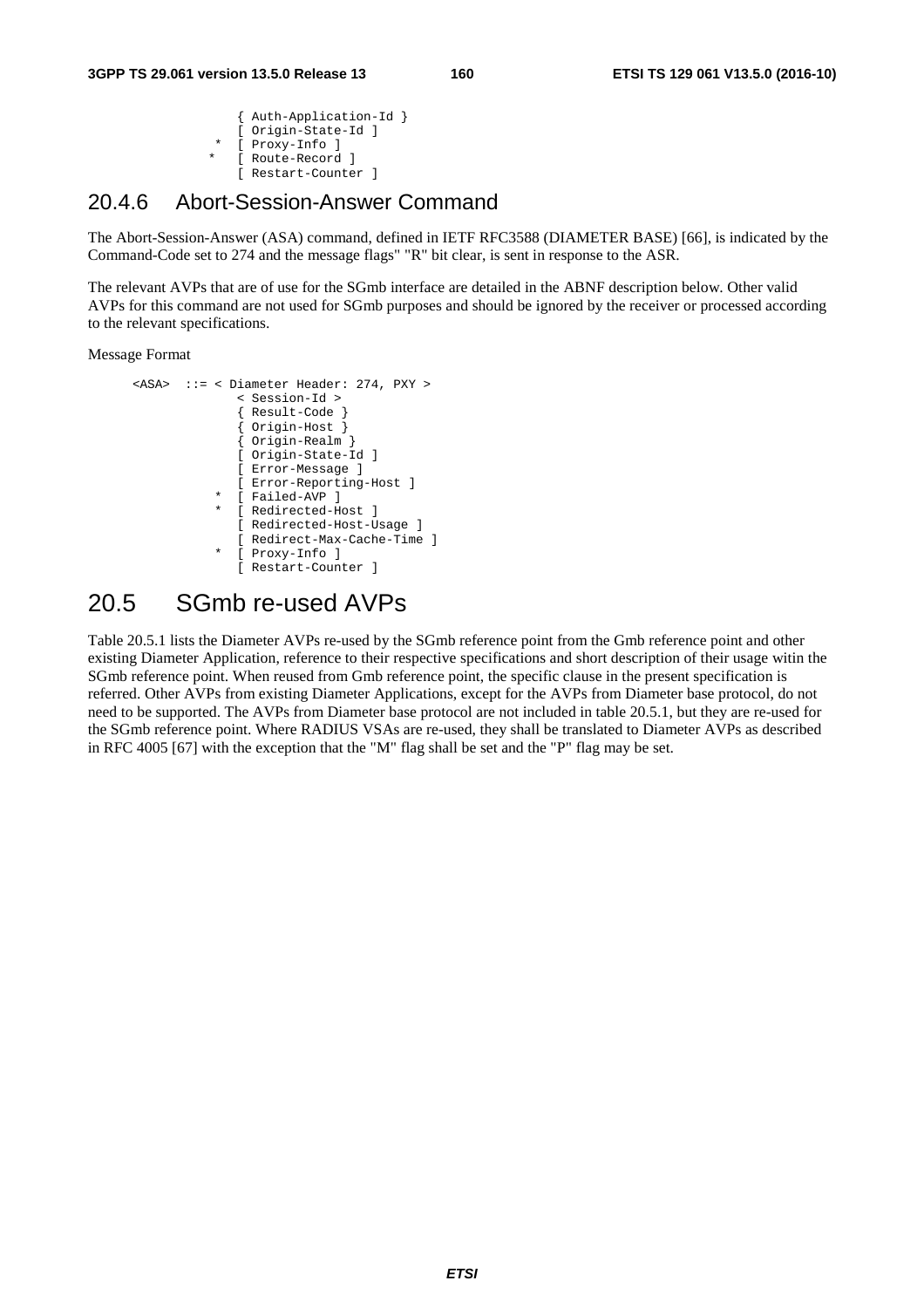```
 { Auth-Application-Id } 
 [ Origin-State-Id ] 
[ Proxy-Info ]
[ Route-Record ]
 [ Restart-Counter ]
```
#### 20.4.6 Abort-Session-Answer Command

The Abort-Session-Answer (ASA) command, defined in IETF RFC3588 (DIAMETER BASE) [66], is indicated by the Command-Code set to 274 and the message flags" "R" bit clear, is sent in response to the ASR.

The relevant AVPs that are of use for the SGmb interface are detailed in the ABNF description below. Other valid AVPs for this command are not used for SGmb purposes and should be ignored by the receiver or processed according to the relevant specifications.

Message Format

```
 <ASA> ::= < Diameter Header: 274, PXY > 
                < Session-Id > 
                { Result-Code } 
                { Origin-Host } 
                { Origin-Realm } 
                [ Origin-State-Id ] 
                [ Error-Message ] 
                [ Error-Reporting-Host ] 
              [ Failed-AVP ]
              [ Redirected-Host ]
                [ Redirected-Host-Usage ] 
                [ Redirect-Max-Cache-Time ] 
              [ Proxy-Info ]
                [ Restart-Counter ]
```
## 20.5 SGmb re-used AVPs

Table 20.5.1 lists the Diameter AVPs re-used by the SGmb reference point from the Gmb reference point and other existing Diameter Application, reference to their respective specifications and short description of their usage witin the SGmb reference point. When reused from Gmb reference point, the specific clause in the present specification is referred. Other AVPs from existing Diameter Applications, except for the AVPs from Diameter base protocol, do not need to be supported. The AVPs from Diameter base protocol are not included in table 20.5.1, but they are re-used for the SGmb reference point. Where RADIUS VSAs are re-used, they shall be translated to Diameter AVPs as described in RFC 4005 [67] with the exception that the "M" flag shall be set and the "P" flag may be set.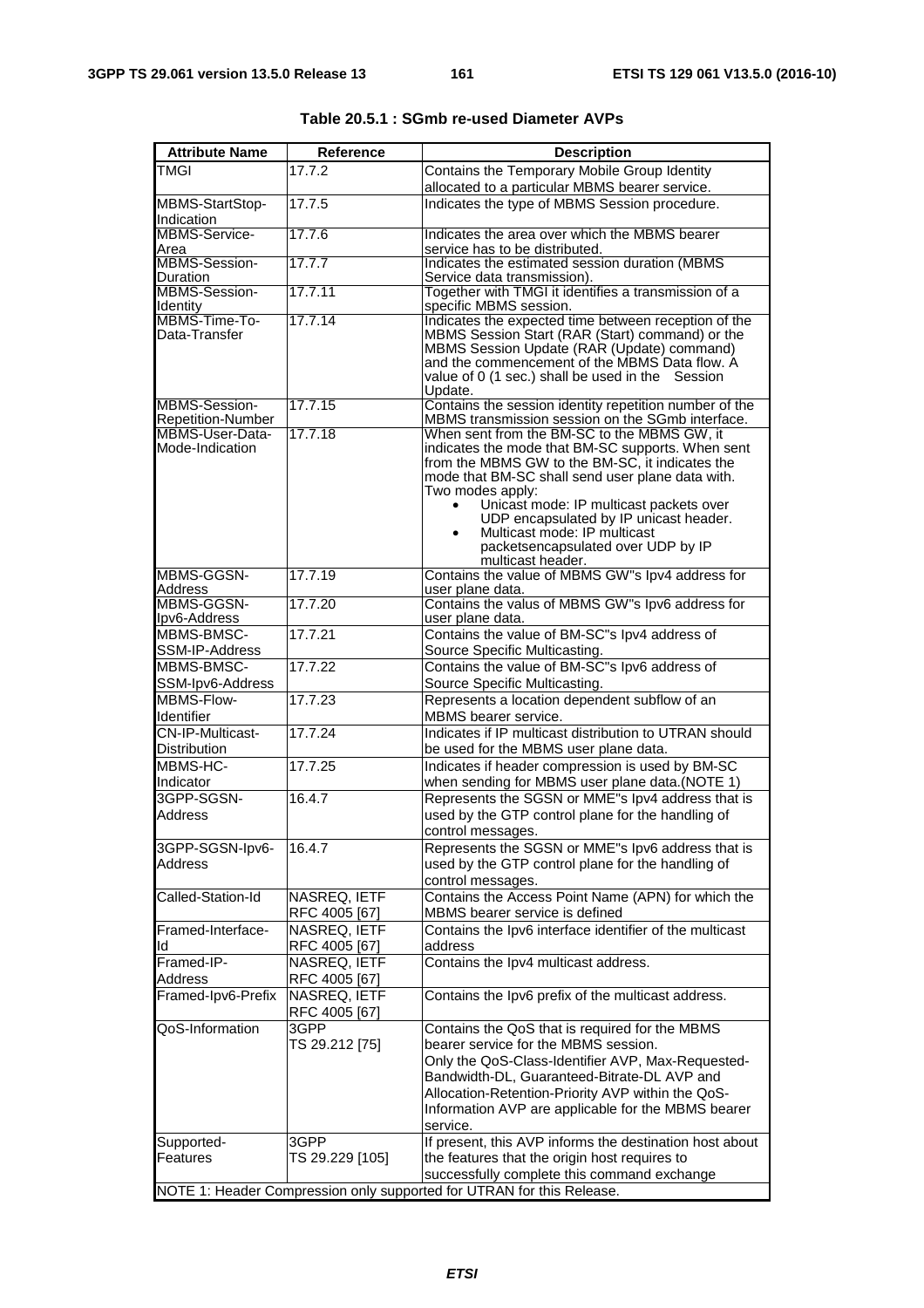| <b>Attribute Name</b>        | Reference             | <b>Description</b>                                                                                   |
|------------------------------|-----------------------|------------------------------------------------------------------------------------------------------|
| <b>TMGI</b>                  | 17.7.2                | Contains the Temporary Mobile Group Identity                                                         |
|                              |                       | allocated to a particular MBMS bearer service.                                                       |
| MBMS-StartStop-              | 17.7.5                | Indicates the type of MBMS Session procedure.                                                        |
| Indication<br>MBMS-Service-  | 17.7.6                | Indicates the area over which the MBMS bearer                                                        |
| Area                         |                       | service has to be distributed.                                                                       |
| MBMS-Session-                | 17.7.7                | Indicates the estimated session duration (MBMS                                                       |
| Duration<br>MBMS-Session-    | 17.7.11               | Service data transmission).<br>Together with TMGI it identifies a transmission of a                  |
| Identity                     |                       | specific MBMS session.                                                                               |
| MBMS-Time-To-                | 17.7.14               | Indicates the expected time between reception of the                                                 |
| Data-Transfer                |                       | MBMS Session Start (RAR (Start) command) or the<br>MBMS Session Update (RAR (Update) command)        |
|                              |                       | and the commencement of the MBMS Data flow. A                                                        |
|                              |                       | value of 0 (1 sec.) shall be used in the Session                                                     |
| MBMS-Session-                | 17.7.15               | Update.<br>Contains the session identity repetition number of the                                    |
| <b>Repetition-Number</b>     |                       | MBMS transmission session on the SGmb interface.                                                     |
| MBMS-User-Data-              | 17.7.18               | When sent from the BM-SC to the MBMS GW, it                                                          |
| Mode-Indication              |                       | indicates the mode that BM-SC supports. When sent<br>from the MBMS GW to the BM-SC, it indicates the |
|                              |                       | mode that BM-SC shall send user plane data with.                                                     |
|                              |                       | Two modes apply:                                                                                     |
|                              |                       | Unicast mode: IP multicast packets over<br>UDP encapsulated by IP unicast header.                    |
|                              |                       | Multicast mode: IP multicast<br>$\bullet$                                                            |
|                              |                       | packetsencapsulated over UDP by IP                                                                   |
| MBMS-GGSN-                   | 17.7.19               | multicast header.<br>Contains the value of MBMS GW"s lpv4 address for                                |
| <b>Address</b>               |                       | user plane data.                                                                                     |
| MBMS-GGSN-                   | 17.7.20               | Contains the valus of MBMS GW"s lpv6 address for                                                     |
| Ipv6-Address                 |                       | user plane data.                                                                                     |
| MBMS-BMSC-<br>SSM-IP-Address | 17.7.21               | Contains the value of BM-SC"s Ipv4 address of<br>Source Specific Multicasting.                       |
| MBMS-BMSC-                   | 17.7.22               | Contains the value of BM-SC"s Ipv6 address of                                                        |
| SSM-Ipv6-Address             |                       | Source Specific Multicasting.                                                                        |
| MBMS-Flow-                   | 17.7.23               | Represents a location dependent subflow of an                                                        |
| Identifier                   |                       | MBMS bearer service.                                                                                 |
| CN-IP-Multicast-             | 17.7.24               | Indicates if IP multicast distribution to UTRAN should                                               |
| <b>Distribution</b>          |                       | be used for the MBMS user plane data.                                                                |
| MBMS-HC-<br>Indicator        | 17.7.25               | Indicates if header compression is used by BM-SC<br>when sending for MBMS user plane data.(NOTE 1)   |
| 3GPP-SGSN-                   | 16.4.7                | Represents the SGSN or MME"s Ipv4 address that is                                                    |
| <b>Address</b>               |                       | used by the GTP control plane for the handling of                                                    |
|                              |                       | control messages.                                                                                    |
| 3GPP-SGSN-lpv6-              | 16.4.7                | Represents the SGSN or MME"s Ipv6 address that is                                                    |
| <b>Address</b>               |                       | used by the GTP control plane for the handling of                                                    |
| Called-Station-Id            | NASREQ, IETF          | control messages.<br>Contains the Access Point Name (APN) for which the                              |
|                              | RFC 4005 [67]         | MBMS bearer service is defined                                                                       |
| Framed-Interface-            | NASREQ, IETF          | Contains the Ipv6 interface identifier of the multicast                                              |
| ld                           | RFC 4005 [67]         | address                                                                                              |
| Framed-IP-                   | NASREQ. IETF          | Contains the Ipv4 multicast address.                                                                 |
| <b>Address</b>               | RFC 4005 [67]         |                                                                                                      |
| Framed-Ipv6-Prefix           | NASREQ, IETF          | Contains the Ipv6 prefix of the multicast address.                                                   |
| QoS-Information              | RFC 4005 [67]<br>3GPP | Contains the QoS that is required for the MBMS                                                       |
|                              | TS 29.212 [75]        | bearer service for the MBMS session.                                                                 |
|                              |                       | Only the QoS-Class-Identifier AVP, Max-Requested-                                                    |
|                              |                       | Bandwidth-DL, Guaranteed-Bitrate-DL AVP and                                                          |
|                              |                       | Allocation-Retention-Priority AVP within the QoS-                                                    |
|                              |                       | Information AVP are applicable for the MBMS bearer                                                   |
|                              |                       | service.                                                                                             |
| Supported-<br>Features       | 3GPP                  | If present, this AVP informs the destination host about                                              |
|                              | TS 29.229 [105]       | the features that the origin host requires to<br>successfully complete this command exchange         |
|                              |                       | NOTE 1: Header Compression only supported for UTRAN for this Release.                                |

| Table 20.5.1 : SGmb re-used Diameter AVPs |  |
|-------------------------------------------|--|
|                                           |  |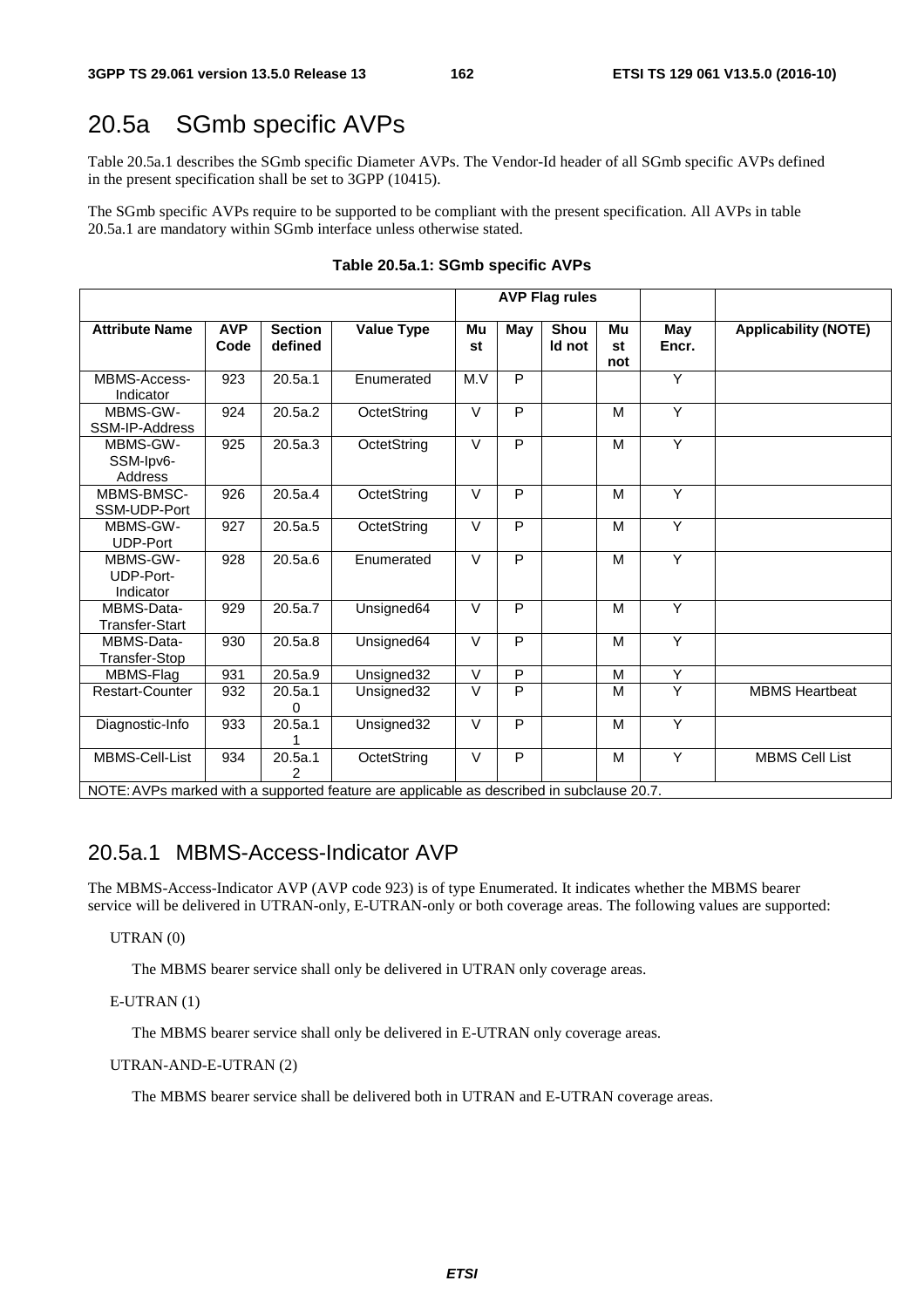## 20.5a SGmb specific AVPs

Table 20.5a.1 describes the SGmb specific Diameter AVPs. The Vendor-Id header of all SGmb specific AVPs defined in the present specification shall be set to 3GPP (10415).

The SGmb specific AVPs require to be supported to be compliant with the present specification. All AVPs in table 20.5a.1 are mandatory within SGmb interface unless otherwise stated.

|                                                                                                            |                    |                           |                   |          |                | <b>AVP Flag rules</b> |                 |                |                             |
|------------------------------------------------------------------------------------------------------------|--------------------|---------------------------|-------------------|----------|----------------|-----------------------|-----------------|----------------|-----------------------------|
| <b>Attribute Name</b>                                                                                      | <b>AVP</b><br>Code | <b>Section</b><br>defined | <b>Value Type</b> | Mu<br>st | May            | <b>Shou</b><br>Id not | Mu<br>st<br>not | May<br>Encr.   | <b>Applicability (NOTE)</b> |
| MBMS-Access-<br>Indicator                                                                                  | 923                | 20.5a.1                   | Enumerated        | M.V      | P              |                       |                 | Y              |                             |
| MBMS-GW-<br>SSM-IP-Address                                                                                 | 924                | 20.5a.2                   | OctetString       | $\vee$   | P              |                       | M               | Y              |                             |
| MBMS-GW-<br>SSM-Ipv6-<br>Address                                                                           | 925                | 20.5a.3                   | OctetString       | $\vee$   | $\overline{P}$ |                       | M               | $\overline{Y}$ |                             |
| MBMS-BMSC-<br>SSM-UDP-Port                                                                                 | 926                | 20.5a.4                   | OctetString       | $\vee$   | $\overline{P}$ |                       | M               | $\overline{Y}$ |                             |
| MBMS-GW-<br><b>UDP-Port</b>                                                                                | 927                | 20.5a.5                   | OctetString       | $\vee$   | P              |                       | M               | Y              |                             |
| MBMS-GW-<br>UDP-Port-<br>Indicator                                                                         | 928                | 20.5a.6                   | Enumerated        | $\vee$   | P              |                       | M               | Y              |                             |
| MBMS-Data-<br>Transfer-Start                                                                               | 929                | 20.5a.7                   | Unsigned64        | $\vee$   | P              |                       | M               | $\overline{Y}$ |                             |
| MBMS-Data-<br>Transfer-Stop                                                                                | 930                | 20.5a.8                   | Unsigned64        | $\vee$   | P              |                       | M               | Y              |                             |
| MBMS-Flag                                                                                                  | 931                | 20.5a.9                   | Unsigned32        | $\vee$   | P              |                       | M               | Y              |                             |
| <b>Restart-Counter</b>                                                                                     | 932                | 20.5a.1<br>0              | Unsigned32        | $\vee$   | P              |                       | M               | Y              | <b>MBMS Heartbeat</b>       |
| Diagnostic-Info                                                                                            | 933                | 20.5a.1                   | Unsigned32        | $\vee$   | P              |                       | M               | Y              |                             |
| MBMS-Cell-List<br>NOTE: AVPs marked with a supported feature are applicable as described in subclause 20.7 | 934                | 20.5a.1                   | OctetString       | $\vee$   | P              |                       | M               | Y              | <b>MBMS Cell List</b>       |

**Table 20.5a.1: SGmb specific AVPs** 

NOTE: AVPs marked with a supported feature are applicable as described in subclause 20.7.

#### 20.5a.1 MBMS-Access-Indicator AVP

The MBMS-Access-Indicator AVP (AVP code 923) is of type Enumerated. It indicates whether the MBMS bearer service will be delivered in UTRAN-only, E-UTRAN-only or both coverage areas. The following values are supported:

#### UTRAN (0)

The MBMS bearer service shall only be delivered in UTRAN only coverage areas.

#### E-UTRAN (1)

The MBMS bearer service shall only be delivered in E-UTRAN only coverage areas.

#### UTRAN-AND-E-UTRAN (2)

The MBMS bearer service shall be delivered both in UTRAN and E-UTRAN coverage areas.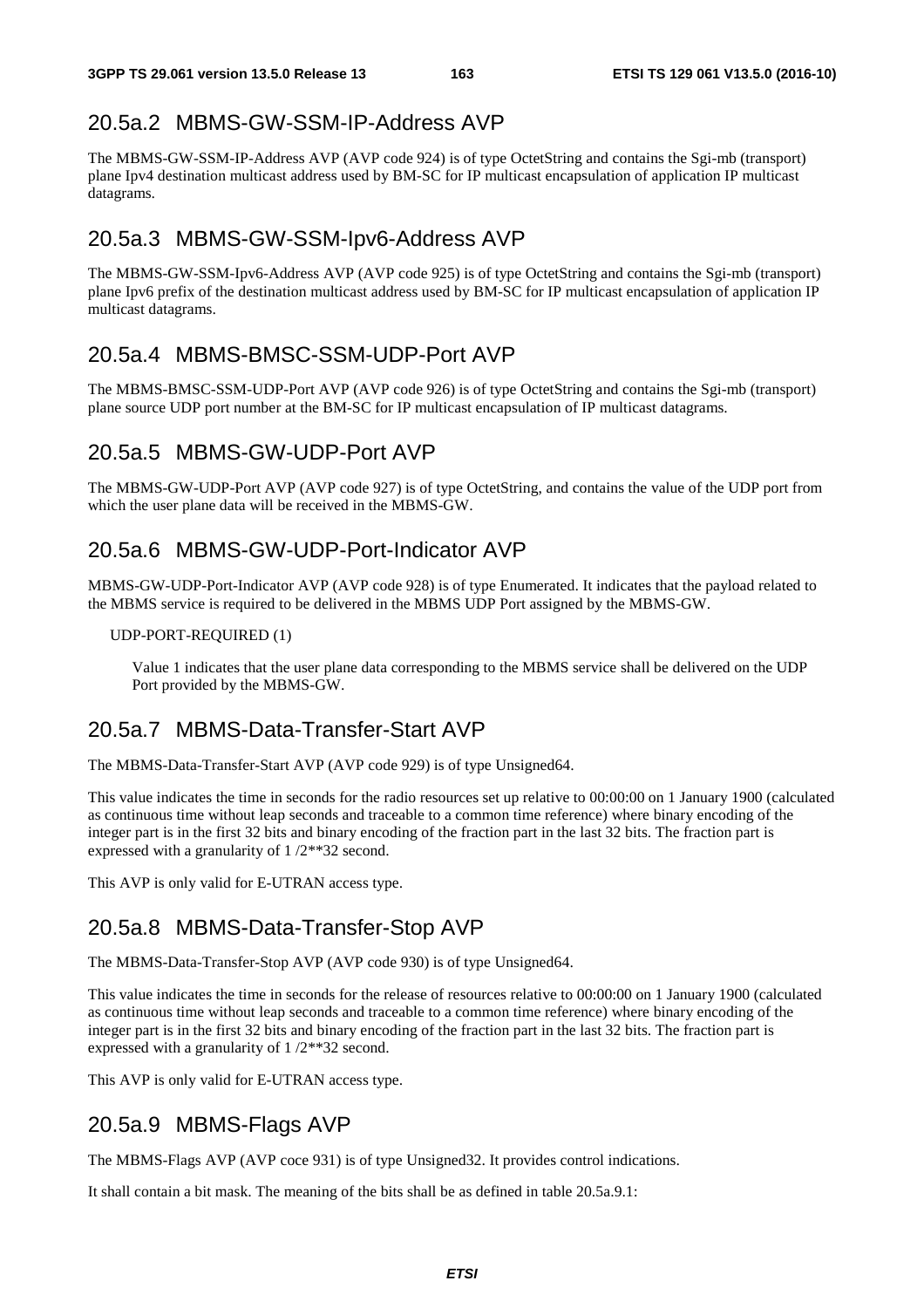#### 20.5a.2 MBMS-GW-SSM-IP-Address AVP

The MBMS-GW-SSM-IP-Address AVP (AVP code 924) is of type OctetString and contains the Sgi-mb (transport) plane Ipv4 destination multicast address used by BM-SC for IP multicast encapsulation of application IP multicast datagrams.

#### 20.5a.3 MBMS-GW-SSM-Ipv6-Address AVP

The MBMS-GW-SSM-Ipv6-Address AVP (AVP code 925) is of type OctetString and contains the Sgi-mb (transport) plane Ipv6 prefix of the destination multicast address used by BM-SC for IP multicast encapsulation of application IP multicast datagrams.

#### 20.5a.4 MBMS-BMSC-SSM-UDP-Port AVP

The MBMS-BMSC-SSM-UDP-Port AVP (AVP code 926) is of type OctetString and contains the Sgi-mb (transport) plane source UDP port number at the BM-SC for IP multicast encapsulation of IP multicast datagrams.

#### 20.5a.5 MBMS-GW-UDP-Port AVP

The MBMS-GW-UDP-Port AVP (AVP code 927) is of type OctetString, and contains the value of the UDP port from which the user plane data will be received in the MBMS-GW.

#### 20.5a.6 MBMS-GW-UDP-Port-Indicator AVP

MBMS-GW-UDP-Port-Indicator AVP (AVP code 928) is of type Enumerated. It indicates that the payload related to the MBMS service is required to be delivered in the MBMS UDP Port assigned by the MBMS-GW.

#### UDP-PORT-REQUIRED (1)

 Value 1 indicates that the user plane data corresponding to the MBMS service shall be delivered on the UDP Port provided by the MBMS-GW.

#### 20.5a.7 MBMS-Data-Transfer-Start AVP

The MBMS-Data-Transfer-Start AVP (AVP code 929) is of type Unsigned64.

This value indicates the time in seconds for the radio resources set up relative to 00:00:00 on 1 January 1900 (calculated as continuous time without leap seconds and traceable to a common time reference) where binary encoding of the integer part is in the first 32 bits and binary encoding of the fraction part in the last 32 bits. The fraction part is expressed with a granularity of 1 /2\*\*32 second.

This AVP is only valid for E-UTRAN access type.

#### 20.5a.8 MBMS-Data-Transfer-Stop AVP

The MBMS-Data-Transfer-Stop AVP (AVP code 930) is of type Unsigned64.

This value indicates the time in seconds for the release of resources relative to 00:00:00 on 1 January 1900 (calculated as continuous time without leap seconds and traceable to a common time reference) where binary encoding of the integer part is in the first 32 bits and binary encoding of the fraction part in the last 32 bits. The fraction part is expressed with a granularity of 1 /2\*\*32 second.

This AVP is only valid for E-UTRAN access type.

### 20.5a.9 MBMS-Flags AVP

The MBMS-Flags AVP (AVP coce 931) is of type Unsigned32. It provides control indications.

It shall contain a bit mask. The meaning of the bits shall be as defined in table 20.5a.9.1: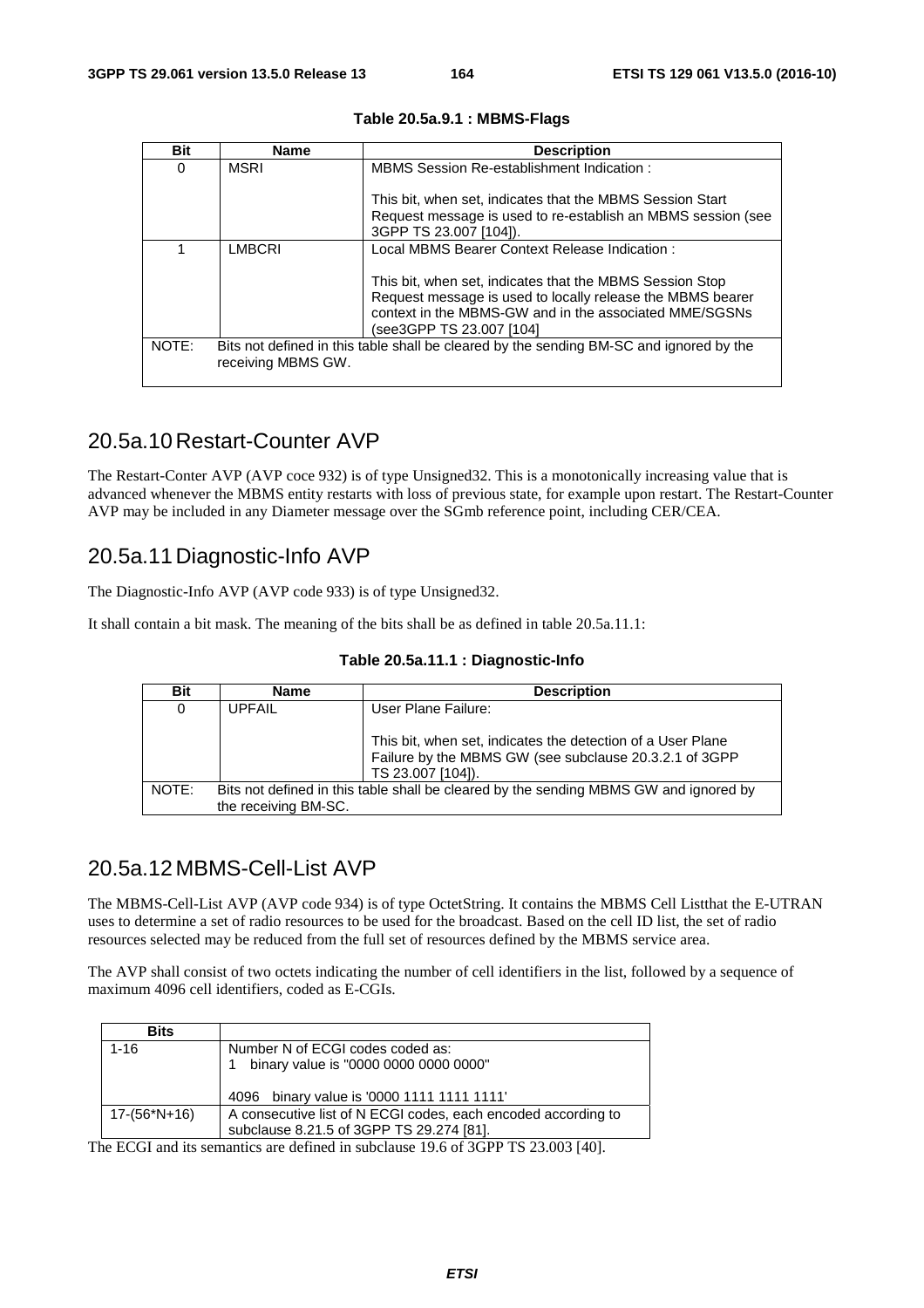| <b>Bit</b> | <b>Name</b>        | <b>Description</b>                                                                                                                                                                                           |
|------------|--------------------|--------------------------------------------------------------------------------------------------------------------------------------------------------------------------------------------------------------|
| 0          | <b>MSRI</b>        | MBMS Session Re-establishment Indication:                                                                                                                                                                    |
|            |                    | This bit, when set, indicates that the MBMS Session Start<br>Request message is used to re-establish an MBMS session (see<br>3GPP TS 23.007 [104]).                                                          |
|            | <b>LMBCRI</b>      | Local MBMS Bearer Context Release Indication:                                                                                                                                                                |
|            |                    | This bit, when set, indicates that the MBMS Session Stop<br>Request message is used to locally release the MBMS bearer<br>context in the MBMS-GW and in the associated MME/SGSNs<br>(see3GPP TS 23.007 [104] |
| NOTE:      | receiving MBMS GW. | Bits not defined in this table shall be cleared by the sending BM-SC and ignored by the                                                                                                                      |

#### **Table 20.5a.9.1 : MBMS-Flags**

### 20.5a.10 Restart-Counter AVP

The Restart-Conter AVP (AVP coce 932) is of type Unsigned32. This is a monotonically increasing value that is advanced whenever the MBMS entity restarts with loss of previous state, for example upon restart. The Restart-Counter AVP may be included in any Diameter message over the SGmb reference point, including CER/CEA.

#### 20.5a.11 Diagnostic-Info AVP

The Diagnostic-Info AVP (AVP code 933) is of type Unsigned32.

It shall contain a bit mask. The meaning of the bits shall be as defined in table 20.5a.11.1:

|  |  | Table 20.5a.11.1 : Diagnostic-Info |
|--|--|------------------------------------|
|--|--|------------------------------------|

| <b>Bit</b> | <b>Name</b>                                                                                                   | <b>Description</b>                                                                                                                         |  |  |
|------------|---------------------------------------------------------------------------------------------------------------|--------------------------------------------------------------------------------------------------------------------------------------------|--|--|
| 0          | <b>UPFAIL</b>                                                                                                 | User Plane Failure:                                                                                                                        |  |  |
|            |                                                                                                               | This bit, when set, indicates the detection of a User Plane<br>Failure by the MBMS GW (see subclause 20.3.2.1 of 3GPP<br>TS 23.007 [104]). |  |  |
| NOTE:      | Bits not defined in this table shall be cleared by the sending MBMS GW and ignored by<br>the receiving BM-SC. |                                                                                                                                            |  |  |

#### 20.5a.12 MBMS-Cell-List AVP

The MBMS-Cell-List AVP (AVP code 934) is of type OctetString. It contains the MBMS Cell Listthat the E-UTRAN uses to determine a set of radio resources to be used for the broadcast. Based on the cell ID list, the set of radio resources selected may be reduced from the full set of resources defined by the MBMS service area.

The AVP shall consist of two octets indicating the number of cell identifiers in the list, followed by a sequence of maximum 4096 cell identifiers, coded as E-CGIs.

| <b>Bits</b>  |                                                               |
|--------------|---------------------------------------------------------------|
| $1 - 16$     | Number N of ECGI codes coded as:                              |
|              | binary value is "0000 0000 0000 0000"                         |
|              |                                                               |
|              | 4096 binary value is '0000 1111 1111 1111'                    |
| 17-(56*N+16) | A consecutive list of N ECGI codes, each encoded according to |
|              | subclause 8.21.5 of 3GPP TS 29.274 [81].                      |

The ECGI and its semantics are defined in subclause 19.6 of 3GPP TS 23.003 [40].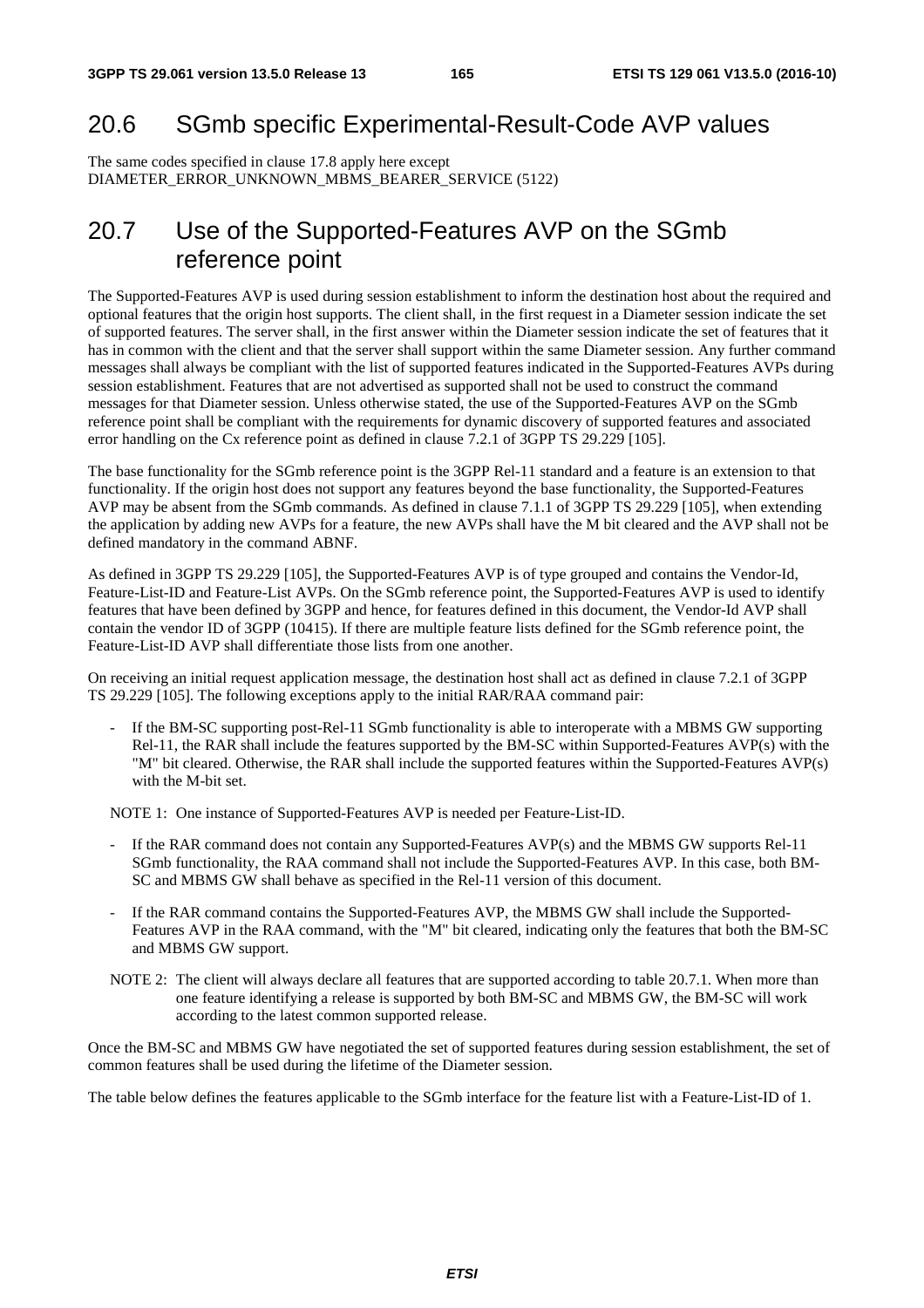# 20.6 SGmb specific Experimental-Result-Code AVP values

The same codes specified in clause 17.8 apply here except DIAMETER\_ERROR\_UNKNOWN\_MBMS\_BEARER\_SERVICE (5122)

# 20.7 Use of the Supported-Features AVP on the SGmb reference point

The Supported-Features AVP is used during session establishment to inform the destination host about the required and optional features that the origin host supports. The client shall, in the first request in a Diameter session indicate the set of supported features. The server shall, in the first answer within the Diameter session indicate the set of features that it has in common with the client and that the server shall support within the same Diameter session. Any further command messages shall always be compliant with the list of supported features indicated in the Supported-Features AVPs during session establishment. Features that are not advertised as supported shall not be used to construct the command messages for that Diameter session. Unless otherwise stated, the use of the Supported-Features AVP on the SGmb reference point shall be compliant with the requirements for dynamic discovery of supported features and associated error handling on the Cx reference point as defined in clause 7.2.1 of 3GPP TS 29.229 [105].

The base functionality for the SGmb reference point is the 3GPP Rel-11 standard and a feature is an extension to that functionality. If the origin host does not support any features beyond the base functionality, the Supported-Features AVP may be absent from the SGmb commands. As defined in clause 7.1.1 of 3GPP TS 29.229 [105], when extending the application by adding new AVPs for a feature, the new AVPs shall have the M bit cleared and the AVP shall not be defined mandatory in the command ABNF.

As defined in 3GPP TS 29.229 [105], the Supported-Features AVP is of type grouped and contains the Vendor-Id, Feature-List-ID and Feature-List AVPs. On the SGmb reference point, the Supported-Features AVP is used to identify features that have been defined by 3GPP and hence, for features defined in this document, the Vendor-Id AVP shall contain the vendor ID of 3GPP (10415). If there are multiple feature lists defined for the SGmb reference point, the Feature-List-ID AVP shall differentiate those lists from one another.

On receiving an initial request application message, the destination host shall act as defined in clause 7.2.1 of 3GPP TS 29.229 [105]. The following exceptions apply to the initial RAR/RAA command pair:

If the BM-SC supporting post-Rel-11 SGmb functionality is able to interoperate with a MBMS GW supporting Rel-11, the RAR shall include the features supported by the BM-SC within Supported-Features AVP(s) with the "M" bit cleared. Otherwise, the RAR shall include the supported features within the Supported-Features AVP(s) with the M-bit set.

NOTE 1: One instance of Supported-Features AVP is needed per Feature-List-ID.

- If the RAR command does not contain any Supported-Features AVP(s) and the MBMS GW supports Rel-11 SGmb functionality, the RAA command shall not include the Supported-Features AVP. In this case, both BM-SC and MBMS GW shall behave as specified in the Rel-11 version of this document.
- If the RAR command contains the Supported-Features AVP, the MBMS GW shall include the Supported-Features AVP in the RAA command, with the "M" bit cleared, indicating only the features that both the BM-SC and MBMS GW support.
- NOTE 2: The client will always declare all features that are supported according to table 20.7.1. When more than one feature identifying a release is supported by both BM-SC and MBMS GW, the BM-SC will work according to the latest common supported release.

Once the BM-SC and MBMS GW have negotiated the set of supported features during session establishment, the set of common features shall be used during the lifetime of the Diameter session.

The table below defines the features applicable to the SGmb interface for the feature list with a Feature-List-ID of 1.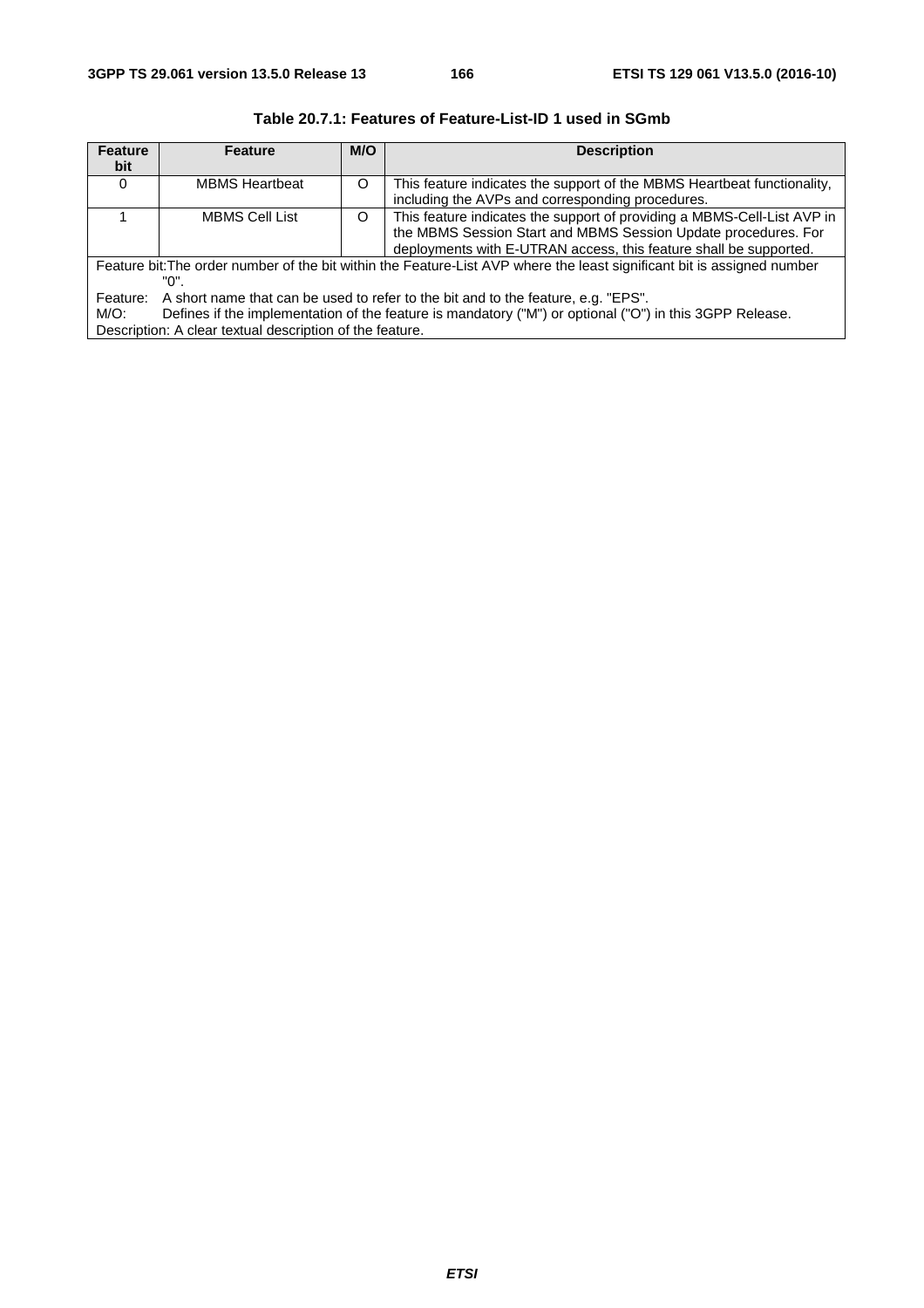| <b>Feature</b>                                           | <b>Feature</b>                                                                                                          | M/O | <b>Description</b>                                                      |  |  |
|----------------------------------------------------------|-------------------------------------------------------------------------------------------------------------------------|-----|-------------------------------------------------------------------------|--|--|
| bit                                                      |                                                                                                                         |     |                                                                         |  |  |
| 0                                                        | <b>MBMS Heartbeat</b>                                                                                                   | Ω   | This feature indicates the support of the MBMS Heartbeat functionality, |  |  |
|                                                          |                                                                                                                         |     | including the AVPs and corresponding procedures.                        |  |  |
|                                                          | <b>MBMS Cell List</b>                                                                                                   | O   | This feature indicates the support of providing a MBMS-Cell-List AVP in |  |  |
|                                                          |                                                                                                                         |     | the MBMS Session Start and MBMS Session Update procedures. For          |  |  |
|                                                          |                                                                                                                         |     | deployments with E-UTRAN access, this feature shall be supported.       |  |  |
|                                                          | Feature bit: The order number of the bit within the Feature-List AVP where the least significant bit is assigned number |     |                                                                         |  |  |
| "በ".                                                     |                                                                                                                         |     |                                                                         |  |  |
| Feature:                                                 | A short name that can be used to refer to the bit and to the feature, e.g. "EPS".                                       |     |                                                                         |  |  |
| $M/O$ :                                                  | Defines if the implementation of the feature is mandatory ("M") or optional ("O") in this 3GPP Release.                 |     |                                                                         |  |  |
| Description: A clear textual description of the feature. |                                                                                                                         |     |                                                                         |  |  |

**Table 20.7.1: Features of Feature-List-ID 1 used in SGmb**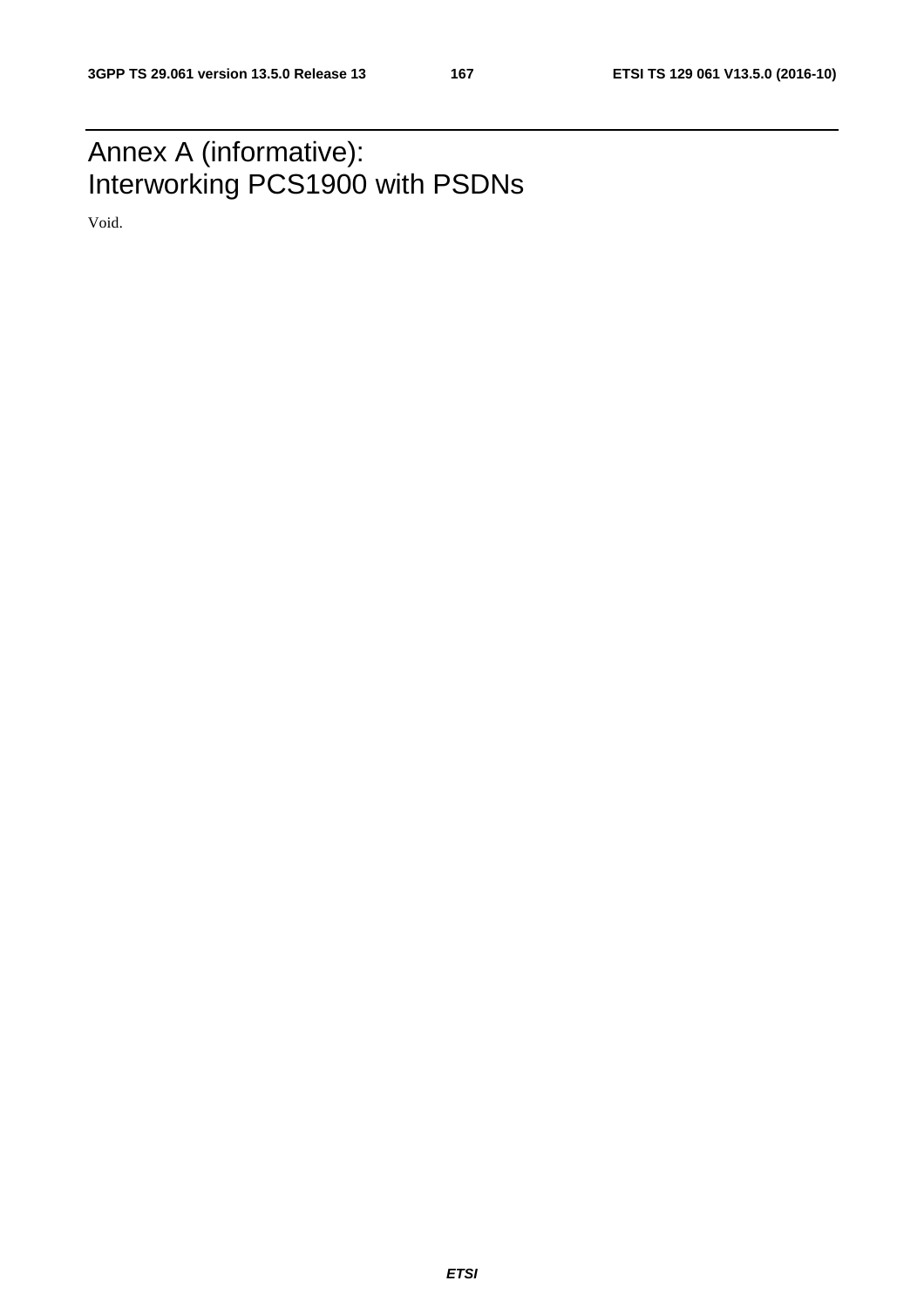# Annex A (informative): Interworking PCS1900 with PSDNs

Void.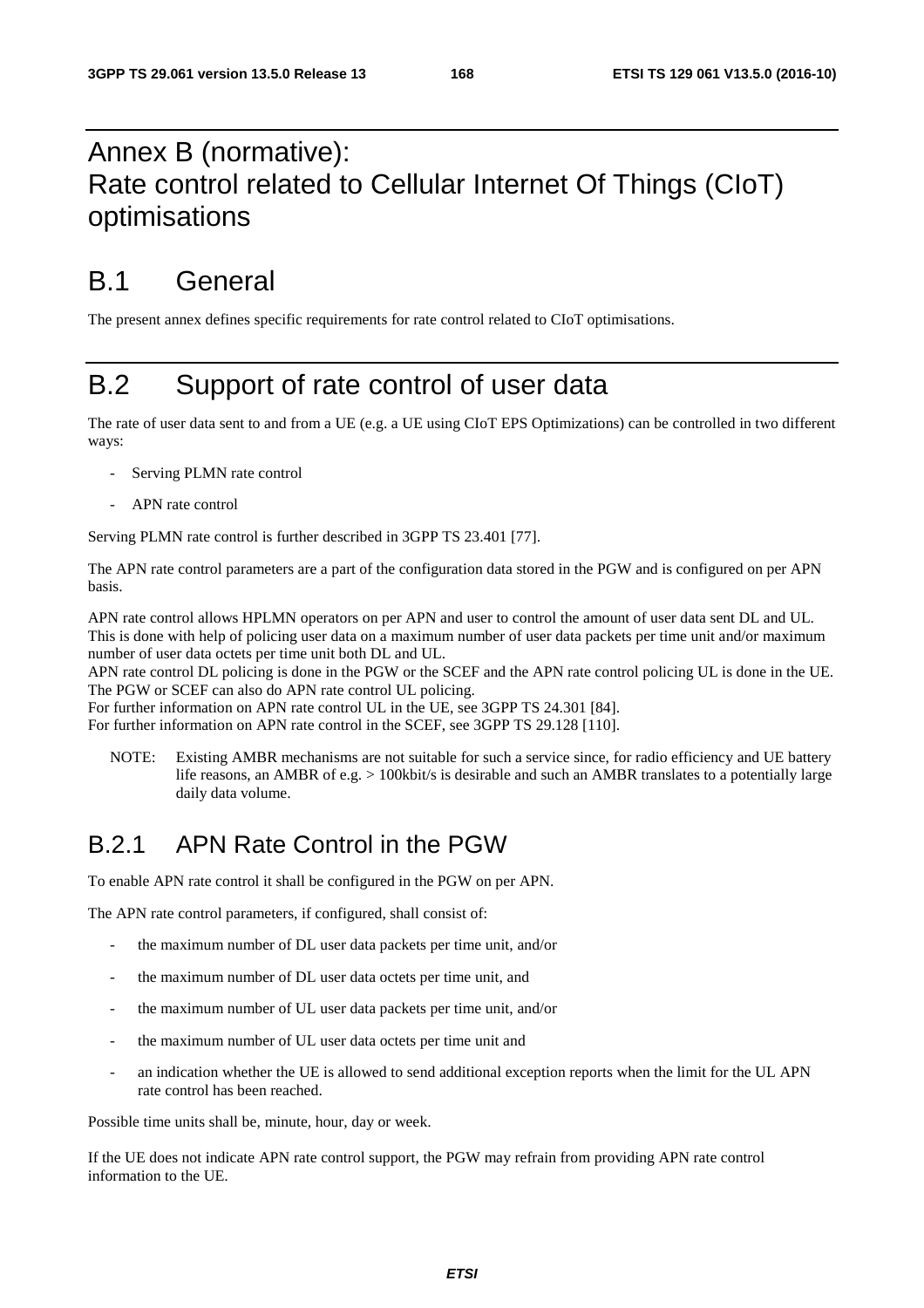# Annex B (normative): Rate control related to Cellular Internet Of Things (CIoT) optimisations

# B.1 General

The present annex defines specific requirements for rate control related to CIoT optimisations.

# B.2 Support of rate control of user data

The rate of user data sent to and from a UE (e.g. a UE using CIoT EPS Optimizations) can be controlled in two different ways:

- Serving PLMN rate control
- APN rate control

Serving PLMN rate control is further described in 3GPP TS 23.401 [77].

The APN rate control parameters are a part of the configuration data stored in the PGW and is configured on per APN basis.

APN rate control allows HPLMN operators on per APN and user to control the amount of user data sent DL and UL. This is done with help of policing user data on a maximum number of user data packets per time unit and/or maximum number of user data octets per time unit both DL and UL.

APN rate control DL policing is done in the PGW or the SCEF and the APN rate control policing UL is done in the UE. The PGW or SCEF can also do APN rate control UL policing.

For further information on APN rate control UL in the UE, see 3GPP TS 24.301 [84].

For further information on APN rate control in the SCEF, see 3GPP TS 29.128 [110].

NOTE: Existing AMBR mechanisms are not suitable for such a service since, for radio efficiency and UE battery life reasons, an AMBR of e.g. > 100kbit/s is desirable and such an AMBR translates to a potentially large daily data volume.

## B.2.1 APN Rate Control in the PGW

To enable APN rate control it shall be configured in the PGW on per APN.

The APN rate control parameters, if configured, shall consist of:

- the maximum number of DL user data packets per time unit, and/or
- the maximum number of DL user data octets per time unit, and
- the maximum number of UL user data packets per time unit, and/or
- the maximum number of UL user data octets per time unit and
- an indication whether the UE is allowed to send additional exception reports when the limit for the UL APN rate control has been reached.

Possible time units shall be, minute, hour, day or week.

If the UE does not indicate APN rate control support, the PGW may refrain from providing APN rate control information to the UE.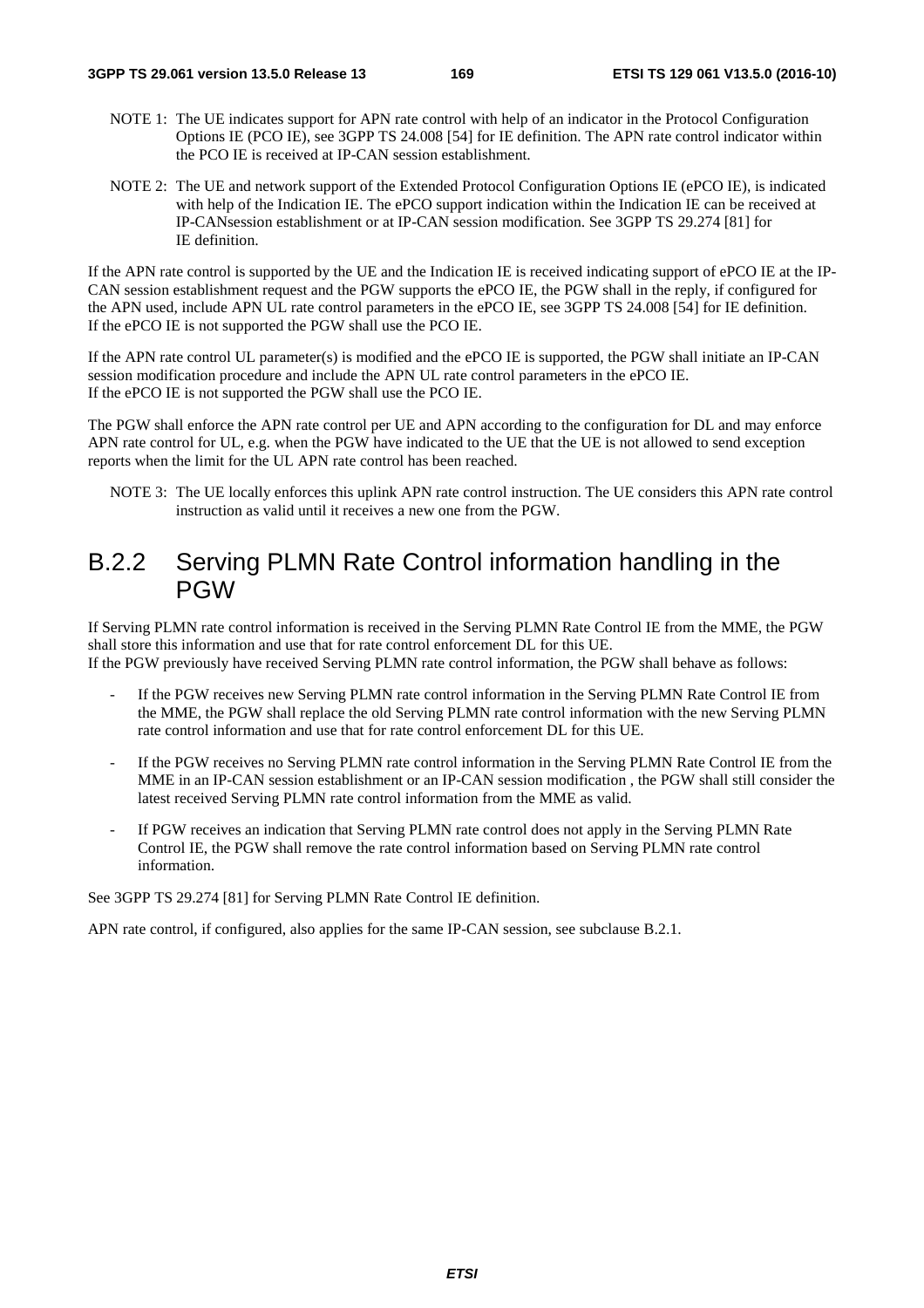- NOTE 1: The UE indicates support for APN rate control with help of an indicator in the Protocol Configuration Options IE (PCO IE), see 3GPP TS 24.008 [54] for IE definition. The APN rate control indicator within the PCO IE is received at IP-CAN session establishment.
- NOTE 2: The UE and network support of the Extended Protocol Configuration Options IE (ePCO IE), is indicated with help of the Indication IE. The ePCO support indication within the Indication IE can be received at IP-CANsession establishment or at IP-CAN session modification. See 3GPP TS 29.274 [81] for IE definition.

If the APN rate control is supported by the UE and the Indication IE is received indicating support of ePCO IE at the IP-CAN session establishment request and the PGW supports the ePCO IE, the PGW shall in the reply, if configured for the APN used, include APN UL rate control parameters in the ePCO IE, see 3GPP TS 24.008 [54] for IE definition. If the ePCO IE is not supported the PGW shall use the PCO IE.

If the APN rate control UL parameter(s) is modified and the ePCO IE is supported, the PGW shall initiate an IP-CAN session modification procedure and include the APN UL rate control parameters in the ePCO IE. If the ePCO IE is not supported the PGW shall use the PCO IE.

The PGW shall enforce the APN rate control per UE and APN according to the configuration for DL and may enforce APN rate control for UL, e.g. when the PGW have indicated to the UE that the UE is not allowed to send exception reports when the limit for the UL APN rate control has been reached.

NOTE 3: The UE locally enforces this uplink APN rate control instruction. The UE considers this APN rate control instruction as valid until it receives a new one from the PGW.

## B.2.2 Serving PLMN Rate Control information handling in the PGW

If Serving PLMN rate control information is received in the Serving PLMN Rate Control IE from the MME, the PGW shall store this information and use that for rate control enforcement DL for this UE. If the PGW previously have received Serving PLMN rate control information, the PGW shall behave as follows:

- If the PGW receives new Serving PLMN rate control information in the Serving PLMN Rate Control IE from the MME, the PGW shall replace the old Serving PLMN rate control information with the new Serving PLMN rate control information and use that for rate control enforcement DL for this UE.
- If the PGW receives no Serving PLMN rate control information in the Serving PLMN Rate Control IE from the MME in an IP-CAN session establishment or an IP-CAN session modification , the PGW shall still consider the latest received Serving PLMN rate control information from the MME as valid.
- If PGW receives an indication that Serving PLMN rate control does not apply in the Serving PLMN Rate Control IE, the PGW shall remove the rate control information based on Serving PLMN rate control information.

See 3GPP TS 29.274 [81] for Serving PLMN Rate Control IE definition.

APN rate control, if configured, also applies for the same IP-CAN session, see subclause B.2.1.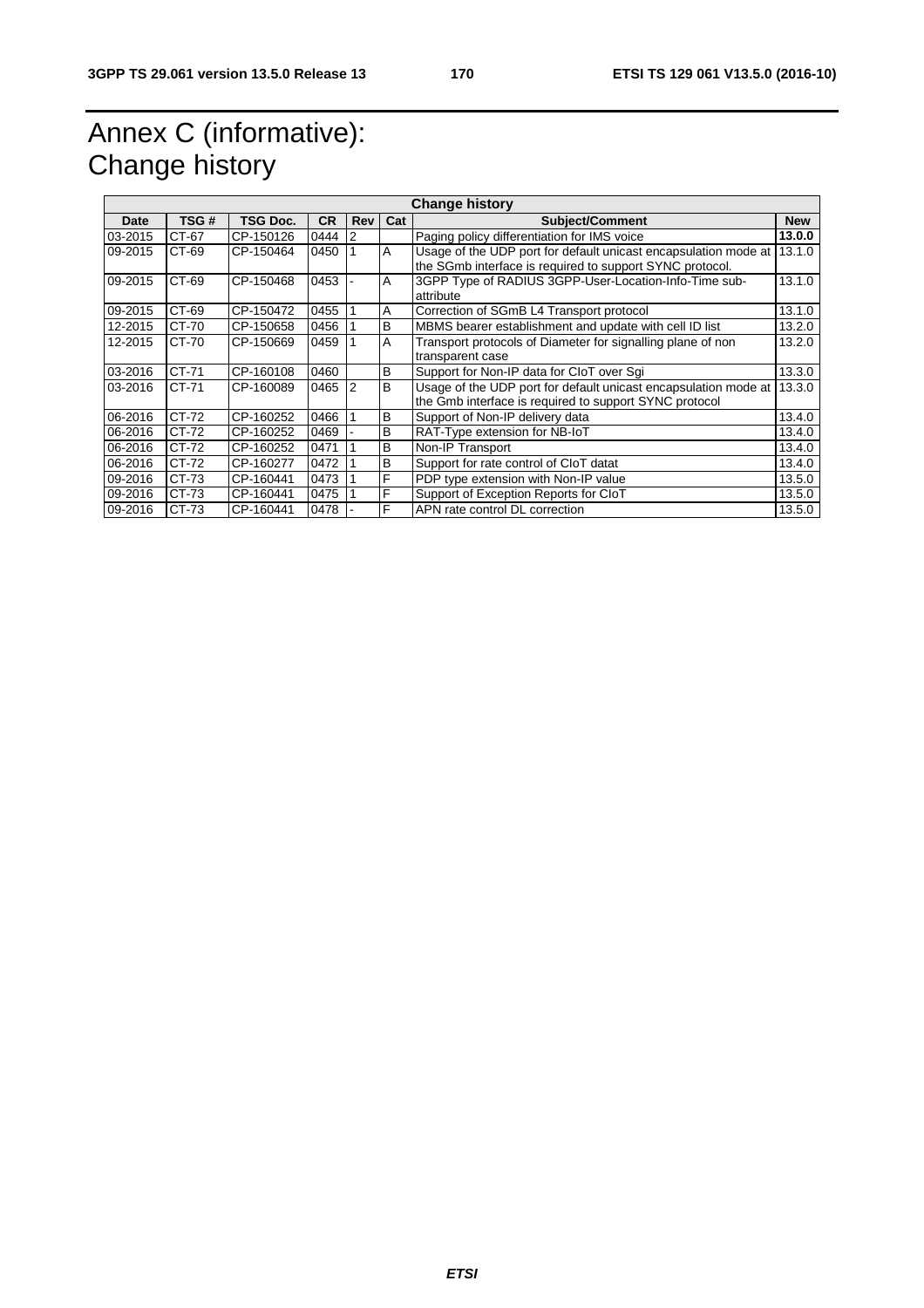# Annex C (informative): Change history

| <b>Change history</b> |       |                 |      |            |                |                                                                                                                             |            |  |  |
|-----------------------|-------|-----------------|------|------------|----------------|-----------------------------------------------------------------------------------------------------------------------------|------------|--|--|
| Date                  | TSG # | <b>TSG Doc.</b> | CR.  | <b>Rev</b> | Cat            | <b>Subject/Comment</b>                                                                                                      | <b>New</b> |  |  |
| 03-2015               | CT-67 | CP-150126       | 0444 | 2          |                | Paging policy differentiation for IMS voice                                                                                 | 13.0.0     |  |  |
| 09-2015               | CT-69 | CP-150464       | 0450 |            | $\overline{A}$ | Usage of the UDP port for default unicast encapsulation mode at<br>the SGmb interface is required to support SYNC protocol. | 13.1.0     |  |  |
| 09-2015               | CT-69 | CP-150468       | 0453 |            | $\mathsf{A}$   | 3GPP Type of RADIUS 3GPP-User-Location-Info-Time sub-<br>attribute                                                          | 13.1.0     |  |  |
| 09-2015               | CT-69 | CP-150472       | 0455 |            | A              | Correction of SGmB L4 Transport protocol                                                                                    | 13.1.0     |  |  |
| 12-2015               | CT-70 | CP-150658       | 0456 |            | B              | MBMS bearer establishment and update with cell ID list                                                                      | 13.2.0     |  |  |
| 12-2015               | CT-70 | CP-150669       | 0459 |            | A              | Transport protocols of Diameter for signalling plane of non<br>transparent case                                             | 13.2.0     |  |  |
| 03-2016               | CT-71 | CP-160108       | 0460 |            | B              | Support for Non-IP data for CloT over Sqi                                                                                   | 13.3.0     |  |  |
| 03-2016               | CT-71 | CP-160089       | 0465 | 2          | B              | Usage of the UDP port for default unicast encapsulation mode at<br>the Gmb interface is required to support SYNC protocol   | 13.3.0     |  |  |
| 06-2016               | CT-72 | CP-160252       | 0466 |            | B              | Support of Non-IP delivery data                                                                                             | 13.4.0     |  |  |
| 06-2016               | CT-72 | CP-160252       | 0469 |            | B              | RAT-Type extension for NB-IoT                                                                                               | 13.4.0     |  |  |
| 06-2016               | CT-72 | CP-160252       | 0471 |            | B              | Non-IP Transport                                                                                                            | 13.4.0     |  |  |
| 06-2016               | CT-72 | CP-160277       | 0472 |            | B              | Support for rate control of CloT datat                                                                                      | 13.4.0     |  |  |
| 09-2016               | CT-73 | CP-160441       | 0473 |            | F              | PDP type extension with Non-IP value                                                                                        | 13.5.0     |  |  |
| 09-2016               | CT-73 | CP-160441       | 0475 |            | F              | Support of Exception Reports for CloT                                                                                       | 13.5.0     |  |  |
| 09-2016               | CT-73 | CP-160441       | 0478 |            | F              | APN rate control DL correction                                                                                              | 13.5.0     |  |  |